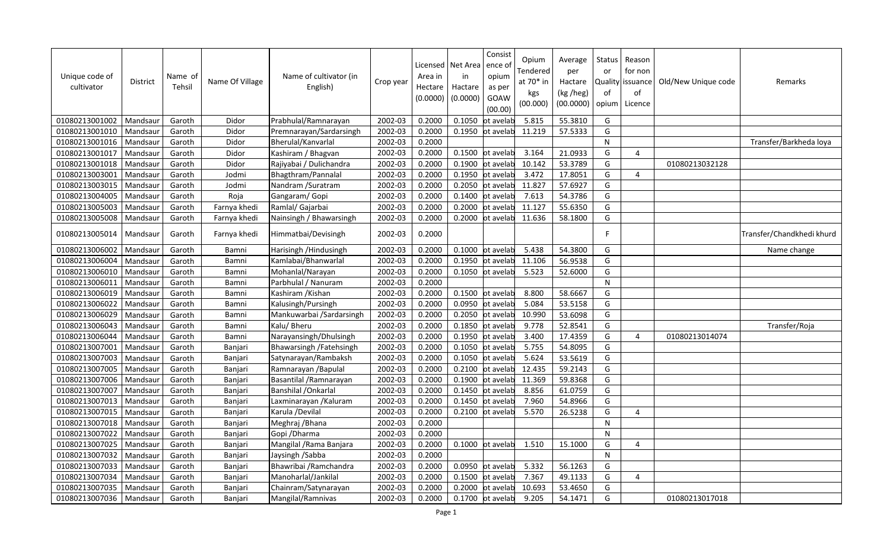| Unique code of<br>cultivator | District | Name of<br>Tehsil | Name Of Village | Name of cultivator (in<br>English) | Crop year | Area in<br>Hectare<br>(0.0000) | Licensed   Net Area<br>in<br>Hactare<br>(0.0000) | Consist<br>ence o<br>opium<br>as per<br>GOAW<br>(00.00) | Opium<br><b>Tendered</b><br>at 70* in<br>kgs<br>(00.000) | Average<br>per<br>Hactare<br>(kg /heg)<br>(00.0000) | Status<br>or<br>Quality<br>of<br>opium | Reason<br>for non<br>issuance<br>of<br>Licence | Old/New Unique code | Remarks                   |
|------------------------------|----------|-------------------|-----------------|------------------------------------|-----------|--------------------------------|--------------------------------------------------|---------------------------------------------------------|----------------------------------------------------------|-----------------------------------------------------|----------------------------------------|------------------------------------------------|---------------------|---------------------------|
| 01080213001002               | Mandsaur | Garoth            | Didor           | Prabhulal/Ramnarayan               | 2002-03   | 0.2000                         | 0.1050                                           | ot avelab                                               | 5.815                                                    | 55.3810                                             | G                                      |                                                |                     |                           |
| 01080213001010               | Mandsaur | Garoth            | Didor           | Premnarayan/Sardarsingh            | 2002-03   | 0.2000                         | 0.1950                                           | ot avelab                                               | 11.219                                                   | 57.5333                                             | G                                      |                                                |                     |                           |
| 01080213001016               | Mandsaur | Garoth            | Didor           | Bherulal/Kanvarlal                 | 2002-03   | 0.2000                         |                                                  |                                                         |                                                          |                                                     | N                                      |                                                |                     | Transfer/Barkheda loya    |
| 01080213001017               | Mandsaur | Garoth            | Didor           | Kashiram / Bhagvan                 | 2002-03   | 0.2000                         | 0.1500                                           | ot avelab                                               | 3.164                                                    | 21.0933                                             | G                                      | 4                                              |                     |                           |
| 01080213001018               | Mandsaur | Garoth            | Didor           | Rajiyabai / Dulichandra            | 2002-03   | 0.2000                         | 0.1900                                           | ot avelab                                               | 10.142                                                   | 53.3789                                             | G                                      |                                                | 01080213032128      |                           |
| 01080213003001               | Mandsaur | Garoth            | Jodmi           | Bhagthram/Pannalal                 | 2002-03   | 0.2000                         | 0.1950                                           | ot avelab                                               | 3.472                                                    | 17.8051                                             | G                                      | 4                                              |                     |                           |
| 01080213003015               | Mandsaur | Garoth            | Jodmi           | Nandram /Suratram                  | 2002-03   | 0.2000                         | 0.2050                                           | ot avelab                                               | 11.827                                                   | 57.6927                                             | G                                      |                                                |                     |                           |
| 01080213004005               | Mandsaur | Garoth            | Roja            | Gangaram/Gopi                      | 2002-03   | 0.2000                         | 0.1400                                           | ot avelab                                               | 7.613                                                    | 54.3786                                             | G                                      |                                                |                     |                           |
| 01080213005003               | Mandsaur | Garoth            | Farnya khedi    | Ramlal/ Gajarbai                   | 2002-03   | 0.2000                         | 0.2000                                           | ot avelab                                               | 11.127                                                   | 55.6350                                             | G                                      |                                                |                     |                           |
| 01080213005008               | Mandsaur | Garoth            | Farnya khedi    | Nainsingh / Bhawarsingh            | 2002-03   | 0.2000                         | 0.2000                                           | ot avelab                                               | 11.636                                                   | 58.1800                                             | G                                      |                                                |                     |                           |
| 01080213005014               | Mandsaur | Garoth            | Farnya khedi    | Himmatbai/Devisingh                | 2002-03   | 0.2000                         |                                                  |                                                         |                                                          |                                                     | F                                      |                                                |                     | Transfer/Chandkhedi khurd |
| 01080213006002               | Mandsaur | Garoth            | Bamni           | Harisingh / Hindusingh             | 2002-03   | 0.2000                         | 0.1000                                           | ot avelab                                               | 5.438                                                    | 54.3800                                             | G                                      |                                                |                     | Name change               |
| 01080213006004               | Mandsaur | Garoth            | Bamni           | Kamlabai/Bhanwarlal                | 2002-03   | 0.2000                         | 0.1950                                           | ot avelab                                               | 11.106                                                   | 56.9538                                             | G                                      |                                                |                     |                           |
| 01080213006010               | Mandsaur | Garoth            | Bamni           | Mohanlal/Narayan                   | 2002-03   | 0.2000                         |                                                  | 0.1050 ot avelab                                        | 5.523                                                    | 52.6000                                             | G                                      |                                                |                     |                           |
| 01080213006011               | Mandsaur | Garoth            | Bamni           | Parbhulal / Nanuram                | 2002-03   | 0.2000                         |                                                  |                                                         |                                                          |                                                     | $\mathsf{N}$                           |                                                |                     |                           |
| 01080213006019               | Mandsaur | Garoth            | Bamni           | Kashiram / Kishan                  | 2002-03   | 0.2000                         | 0.1500                                           | ot avelab                                               | 8.800                                                    | 58.6667                                             | G                                      |                                                |                     |                           |
| 01080213006022               | Mandsaur | Garoth            | Bamni           | Kalusingh/Pursingh                 | 2002-03   | 0.2000                         | 0.0950                                           | ot avelab                                               | 5.084                                                    | 53.5158                                             | G                                      |                                                |                     |                           |
| 01080213006029               | Mandsaur | Garoth            | Bamni           | Mankuwarbai /Sardarsingh           | 2002-03   | 0.2000                         | 0.2050                                           | ot avelab                                               | 10.990                                                   | 53.6098                                             | G                                      |                                                |                     |                           |
| 01080213006043               | Mandsaur | Garoth            | Bamni           | Kalu/ Bheru                        | 2002-03   | 0.2000                         | 0.1850                                           | ot avelab                                               | 9.778                                                    | 52.8541                                             | G                                      |                                                |                     | Transfer/Roja             |
| 01080213006044               | Mandsaur | Garoth            | Bamni           | Narayansingh/Dhulsingh             | 2002-03   | 0.2000                         | 0.1950                                           | ot avelab                                               | 3.400                                                    | 17.4359                                             | G                                      | 4                                              | 01080213014074      |                           |
| 01080213007001               | Mandsaur | Garoth            | Banjari         | Bhawarsingh / Fatehsingh           | 2002-03   | 0.2000                         | 0.1050                                           | ot avelab                                               | 5.755                                                    | 54.8095                                             | G                                      |                                                |                     |                           |
| 01080213007003               | Mandsaur | Garoth            | Banjari         | Satynarayan/Rambaksh               | 2002-03   | 0.2000                         | 0.1050                                           | ot avelab                                               | 5.624                                                    | 53.5619                                             | G                                      |                                                |                     |                           |
| 01080213007005               | Mandsaur | Garoth            | Banjari         | Ramnarayan / Bapulal               | 2002-03   | 0.2000                         | 0.2100                                           | ot avelab                                               | 12.435                                                   | 59.2143                                             | G                                      |                                                |                     |                           |
| 01080213007006               | Mandsaur | Garoth            | Banjari         | Basantilal / Ramnarayan            | 2002-03   | 0.2000                         | 0.1900                                           | ot avelab                                               | 11.369                                                   | 59.8368                                             | G                                      |                                                |                     |                           |
| 01080213007007               | Mandsaur | Garoth            | Banjari         | Banshilal / Onkarlal               | 2002-03   | 0.2000                         | 0.1450                                           | ot avelab                                               | 8.856                                                    | 61.0759                                             | G                                      |                                                |                     |                           |
| 01080213007013               | Mandsaur | Garoth            | Banjari         | Laxminarayan / Kaluram             | 2002-03   | 0.2000                         | 0.1450                                           | ot avelab                                               | 7.960                                                    | 54.8966                                             | G                                      |                                                |                     |                           |
| 01080213007015               | Mandsaur | Garoth            | Banjari         | Karula /Devilal                    | 2002-03   | 0.2000                         | 0.2100                                           | ot avelab                                               | 5.570                                                    | 26.5238                                             | G                                      | 4                                              |                     |                           |
| 01080213007018               | Mandsaur | Garoth            | Banjari         | Meghraj / Bhana                    | 2002-03   | 0.2000                         |                                                  |                                                         |                                                          |                                                     | $\mathsf{N}$                           |                                                |                     |                           |
| 01080213007022               | Mandsaur | Garoth            | Banjari         | Gopi / Dharma                      | 2002-03   | 0.2000                         |                                                  |                                                         |                                                          |                                                     | N                                      |                                                |                     |                           |
| 01080213007025               | Mandsaur | Garoth            | Banjari         | Mangilal / Rama Banjara            | 2002-03   | 0.2000                         | 0.1000                                           | ot avelab                                               | 1.510                                                    | 15.1000                                             | G                                      | 4                                              |                     |                           |
| 01080213007032               | Mandsaur | Garoth            | Banjari         | Jaysingh /Sabba                    | 2002-03   | 0.2000                         |                                                  |                                                         |                                                          |                                                     | $\mathsf{N}$                           |                                                |                     |                           |
| 01080213007033               | Mandsaur | Garoth            | Banjari         | Bhawribai / Ramchandra             | 2002-03   | 0.2000                         | 0.0950                                           | ot avelab                                               | 5.332                                                    | 56.1263                                             | G                                      |                                                |                     |                           |
| 01080213007034               | Mandsaur | Garoth            | Banjari         | Manoharlal/Jankilal                | 2002-03   | 0.2000                         | 0.1500                                           | ot avelab                                               | 7.367                                                    | 49.1133                                             | G                                      | 4                                              |                     |                           |
| 01080213007035               | Mandsaur | Garoth            | Banjari         | Chainram/Satynarayan               | 2002-03   | 0.2000                         | 0.2000                                           | ot avelab                                               | 10.693                                                   | 53.4650                                             | G                                      |                                                |                     |                           |
| 01080213007036               | Mandsaur | Garoth            | Banjari         | Mangilal/Ramnivas                  | 2002-03   | 0.2000                         | 0.1700                                           | ot avelab                                               | 9.205                                                    | 54.1471                                             | G                                      |                                                | 01080213017018      |                           |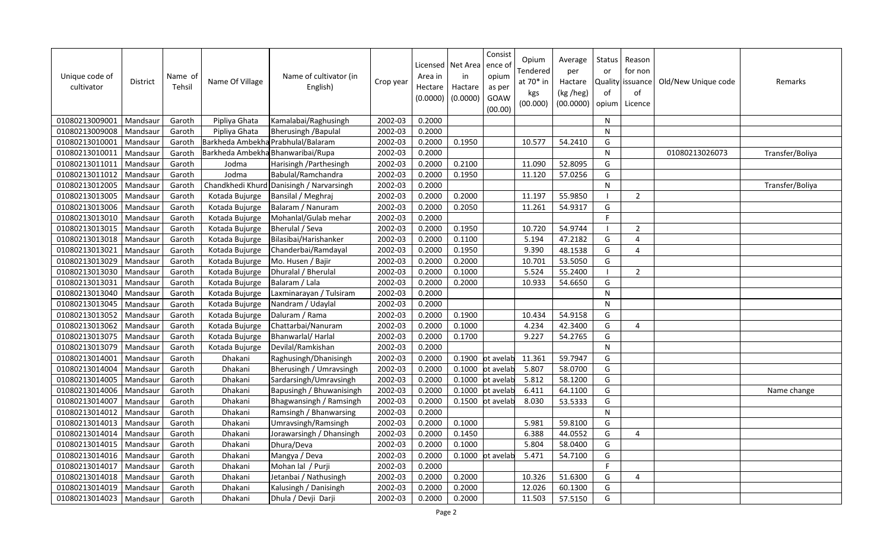| Unique code of<br>cultivator | <b>District</b> | Name of<br>Tehsil | Name Of Village | Name of cultivator (in<br>English)       | Crop year | Area in<br>Hectare<br>(0.0000) | Licensed   Net Area<br>in<br>Hactare<br>(0.0000) | Consist<br>ence o<br>opium<br>as per<br>GOAW<br>(00.00) | Opium<br><b>Tendered</b><br>at 70* in<br>kgs<br>(00.000) | Average<br>per<br>Hactare<br>(kg /heg)<br>(00.0000) | Status<br>or<br>of<br>opium | Reason<br>for non<br>Quality issuance<br>of<br>Licence | Old/New Unique code | Remarks         |
|------------------------------|-----------------|-------------------|-----------------|------------------------------------------|-----------|--------------------------------|--------------------------------------------------|---------------------------------------------------------|----------------------------------------------------------|-----------------------------------------------------|-----------------------------|--------------------------------------------------------|---------------------|-----------------|
| 01080213009001               | Mandsaur        | Garoth            | Pipliya Ghata   | Kamalabai/Raghusingh                     | 2002-03   | 0.2000                         |                                                  |                                                         |                                                          |                                                     | N                           |                                                        |                     |                 |
| 01080213009008               | Mandsaur        | Garoth            | Pipliya Ghata   | <b>Bherusingh / Bapulal</b>              | 2002-03   | 0.2000                         |                                                  |                                                         |                                                          |                                                     | N                           |                                                        |                     |                 |
| 01080213010001               | Mandsaur        | Garoth            |                 | Barkheda Ambekha Prabhulal/Balaram       | 2002-03   | 0.2000                         | 0.1950                                           |                                                         | 10.577                                                   | 54.2410                                             | G                           |                                                        |                     |                 |
| 01080213010011               | Mandsaur        | Garoth            |                 | Barkheda Ambekha Bhanwaribai/Rupa        | 2002-03   | 0.2000                         |                                                  |                                                         |                                                          |                                                     | N                           |                                                        | 01080213026073      | Transfer/Boliya |
| 01080213011011               | Mandsaur        | Garoth            | Jodma           | Harisingh / Parthesingh                  | 2002-03   | 0.2000                         | 0.2100                                           |                                                         | 11.090                                                   | 52.8095                                             | G                           |                                                        |                     |                 |
| 01080213011012               | Mandsaur        | Garoth            | Jodma           | Babulal/Ramchandra                       | 2002-03   | 0.2000                         | 0.1950                                           |                                                         | 11.120                                                   | 57.0256                                             | G                           |                                                        |                     |                 |
| 01080213012005               | Mandsaur        | Garoth            |                 | Chandkhedi Khurd Danisingh / Narvarsingh | 2002-03   | 0.2000                         |                                                  |                                                         |                                                          |                                                     | $\mathsf{N}$                |                                                        |                     | Transfer/Boliya |
| 01080213013005               | Mandsaur        | Garoth            | Kotada Bujurge  | Bansilal / Meghraj                       | 2002-03   | 0.2000                         | 0.2000                                           |                                                         | 11.197                                                   | 55.9850                                             | - 1                         | $\overline{2}$                                         |                     |                 |
| 01080213013006               | Mandsaur        | Garoth            | Kotada Bujurge  | Balaram / Nanuram                        | 2002-03   | 0.2000                         | 0.2050                                           |                                                         | 11.261                                                   | 54.9317                                             | G                           |                                                        |                     |                 |
| 01080213013010               | Mandsaur        | Garoth            | Kotada Bujurge  | Mohanlal/Gulab mehar                     | 2002-03   | 0.2000                         |                                                  |                                                         |                                                          |                                                     | F.                          |                                                        |                     |                 |
| 01080213013015               | Mandsaur        | Garoth            | Kotada Bujurge  | Bherulal / Seva                          | 2002-03   | 0.2000                         | 0.1950                                           |                                                         | 10.720                                                   | 54.9744                                             | $\overline{\phantom{a}}$    | $\overline{2}$                                         |                     |                 |
| 01080213013018               | Mandsaur        | Garoth            | Kotada Bujurge  | Bilasibai/Harishanker                    | 2002-03   | 0.2000                         | 0.1100                                           |                                                         | 5.194                                                    | 47.2182                                             | G                           | 4                                                      |                     |                 |
| 01080213013021               | Mandsaur        | Garoth            | Kotada Bujurge  | Chanderbai/Ramdayal                      | 2002-03   | 0.2000                         | 0.1950                                           |                                                         | 9.390                                                    | 48.1538                                             | G                           | 4                                                      |                     |                 |
| 01080213013029               | Mandsaur        | Garoth            | Kotada Bujurge  | Mo. Husen / Bajir                        | 2002-03   | 0.2000                         | 0.2000                                           |                                                         | 10.701                                                   | 53.5050                                             | G                           |                                                        |                     |                 |
| 01080213013030               | Mandsaur        | Garoth            | Kotada Bujurge  | Dhuralal / Bherulal                      | 2002-03   | 0.2000                         | 0.1000                                           |                                                         | 5.524                                                    | 55.2400                                             |                             | $\overline{2}$                                         |                     |                 |
| 01080213013031               | Mandsaur        | Garoth            | Kotada Bujurge  | Balaram / Lala                           | 2002-03   | 0.2000                         | 0.2000                                           |                                                         | 10.933                                                   | 54.6650                                             | G                           |                                                        |                     |                 |
| 01080213013040               | Mandsaur        | Garoth            | Kotada Bujurge  | Laxminarayan / Tulsiram                  | 2002-03   | 0.2000                         |                                                  |                                                         |                                                          |                                                     | N                           |                                                        |                     |                 |
| 01080213013045               | Mandsaur        | Garoth            | Kotada Bujurge  | Nandram / Udaylal                        | 2002-03   | 0.2000                         |                                                  |                                                         |                                                          |                                                     | $\mathsf{N}$                |                                                        |                     |                 |
| 01080213013052               | Mandsaur        | Garoth            | Kotada Bujurge  | Daluram / Rama                           | 2002-03   | 0.2000                         | 0.1900                                           |                                                         | 10.434                                                   | 54.9158                                             | G                           |                                                        |                     |                 |
| 01080213013062               | Mandsaur        | Garoth            | Kotada Bujurge  | Chattarbai/Nanuram                       | 2002-03   | 0.2000                         | 0.1000                                           |                                                         | 4.234                                                    | 42.3400                                             | G                           | $\overline{4}$                                         |                     |                 |
| 01080213013075               | Mandsaur        | Garoth            | Kotada Bujurge  | Bhanwarlal/Harlal                        | 2002-03   | 0.2000                         | 0.1700                                           |                                                         | 9.227                                                    | 54.2765                                             | G                           |                                                        |                     |                 |
| 01080213013079               | Mandsaur        | Garoth            | Kotada Bujurge  | Devilal/Ramkishan                        | 2002-03   | 0.2000                         |                                                  |                                                         |                                                          |                                                     | $\mathsf{N}$                |                                                        |                     |                 |
| 01080213014001               | Mandsaur        | Garoth            | Dhakani         | Raghusingh/Dhanisingh                    | 2002-03   | 0.2000                         | 0.1900                                           | ot avelab                                               | 11.361                                                   | 59.7947                                             | G                           |                                                        |                     |                 |
| 01080213014004               | Mandsaur        | Garoth            | Dhakani         | Bherusingh / Umravsingh                  | 2002-03   | 0.2000                         | 0.1000                                           | ot avelab                                               | 5.807                                                    | 58.0700                                             | G                           |                                                        |                     |                 |
| 01080213014005               | Mandsaur        | Garoth            | Dhakani         | Sardarsingh/Umravsingh                   | 2002-03   | 0.2000                         | 0.1000                                           | ot avelab                                               | 5.812                                                    | 58.1200                                             | G                           |                                                        |                     |                 |
| 01080213014006               | Mandsaur        | Garoth            | Dhakani         | Bapusingh / Bhuwanisingh                 | 2002-03   | 0.2000                         | 0.1000                                           | ot avelab                                               | 6.411                                                    | 64.1100                                             | G                           |                                                        |                     | Name change     |
| 01080213014007               | Mandsaur        | Garoth            | Dhakani         | Bhagwansingh / Ramsingh                  | 2002-03   | 0.2000                         | 0.1500                                           | ot avelab                                               | 8.030                                                    | 53.5333                                             | G                           |                                                        |                     |                 |
| 01080213014012               | Mandsaur        | Garoth            | Dhakani         | Ramsingh / Bhanwarsing                   | 2002-03   | 0.2000                         |                                                  |                                                         |                                                          |                                                     | $\mathsf{N}$                |                                                        |                     |                 |
| 01080213014013               | Mandsaur        | Garoth            | Dhakani         | Umravsingh/Ramsingh                      | 2002-03   | 0.2000                         | 0.1000                                           |                                                         | 5.981                                                    | 59.8100                                             | G                           |                                                        |                     |                 |
| 01080213014014               | Mandsaur        | Garoth            | Dhakani         | Jorawarsingh / Dhansingh                 | 2002-03   | 0.2000                         | 0.1450                                           |                                                         | 6.388                                                    | 44.0552                                             | G                           | 4                                                      |                     |                 |
| 01080213014015               | Mandsaur        | Garoth            | Dhakani         | Dhura/Deva                               | 2002-03   | 0.2000                         | 0.1000                                           |                                                         | 5.804                                                    | 58.0400                                             | G                           |                                                        |                     |                 |
| 01080213014016               | Mandsaur        | Garoth            | Dhakani         | Mangya / Deva                            | 2002-03   | 0.2000                         |                                                  | 0.1000 ot avelab                                        | 5.471                                                    | 54.7100                                             | G                           |                                                        |                     |                 |
| 01080213014017               | Mandsaur        | Garoth            | Dhakani         | Mohan lal / Purji                        | 2002-03   | 0.2000                         |                                                  |                                                         |                                                          |                                                     | F                           |                                                        |                     |                 |
| 01080213014018               | Mandsaur        | Garoth            | Dhakani         | Jetanbai / Nathusingh                    | 2002-03   | 0.2000                         | 0.2000                                           |                                                         | 10.326                                                   | 51.6300                                             | G                           | 4                                                      |                     |                 |
| 01080213014019               | Mandsaur        | Garoth            | Dhakani         | Kalusingh / Danisingh                    | 2002-03   | 0.2000                         | 0.2000                                           |                                                         | 12.026                                                   | 60.1300                                             | G                           |                                                        |                     |                 |
| 01080213014023               | Mandsaur        | Garoth            | Dhakani         | Dhula / Devji Darji                      | 2002-03   | 0.2000                         | 0.2000                                           |                                                         | 11.503                                                   | 57.5150                                             | G                           |                                                        |                     |                 |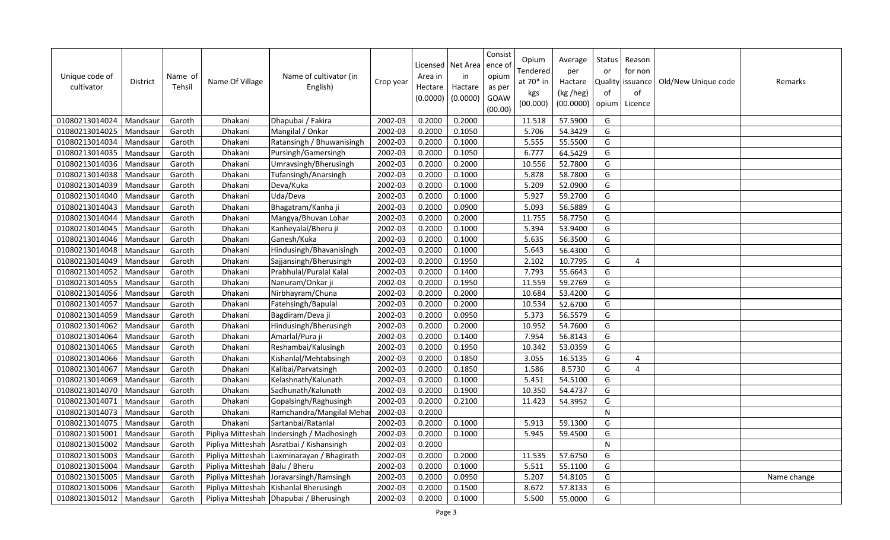| Unique code of<br>cultivator | District | Name of<br>Tehsil | Name Of Village                  | Name of cultivator (in<br>English)         | Crop year | Area in<br>Hectare<br>(0.0000) | Licensed   Net Area<br>in<br>Hactare<br>(0.0000) | Consist<br>ence of<br>opium<br>as per<br>GOAW<br>(00.00) | Opium<br>Tendered<br>at 70* in<br>kgs<br>(00.000) | Average<br>per<br>Hactare<br>(kg /heg)<br>(00.0000) | Status<br>or<br>of<br>opium | Reason<br>for non<br>Quality issuance<br>of<br>Licence | Old/New Unique code | Remarks     |
|------------------------------|----------|-------------------|----------------------------------|--------------------------------------------|-----------|--------------------------------|--------------------------------------------------|----------------------------------------------------------|---------------------------------------------------|-----------------------------------------------------|-----------------------------|--------------------------------------------------------|---------------------|-------------|
| 01080213014024               | Mandsaur | Garoth            | Dhakani                          | Dhapubai / Fakira                          | 2002-03   | 0.2000                         | 0.2000                                           |                                                          | 11.518                                            | 57.5900                                             | G                           |                                                        |                     |             |
| 01080213014025               | Mandsaur | Garoth            | Dhakani                          | Mangilal / Onkar                           | 2002-03   | 0.2000                         | 0.1050                                           |                                                          | 5.706                                             | 54.3429                                             | G                           |                                                        |                     |             |
| 01080213014034               | Mandsaur | Garoth            | Dhakani                          | Ratansingh / Bhuwanisingh                  | 2002-03   | 0.2000                         | 0.1000                                           |                                                          | 5.555                                             | 55.5500                                             | G                           |                                                        |                     |             |
| 01080213014035               | Mandsaur | Garoth            | Dhakani                          | Pursingh/Gamersingh                        | 2002-03   | 0.2000                         | 0.1050                                           |                                                          | 6.777                                             | 64.5429                                             | G                           |                                                        |                     |             |
| 01080213014036               | Mandsaur | Garoth            | Dhakani                          | Umravsingh/Bherusingh                      | 2002-03   | 0.2000                         | 0.2000                                           |                                                          | 10.556                                            | 52.7800                                             | G                           |                                                        |                     |             |
| 01080213014038               | Mandsaur | Garoth            | Dhakani                          | Tufansingh/Anarsingh                       | 2002-03   | 0.2000                         | 0.1000                                           |                                                          | 5.878                                             | 58.7800                                             | G                           |                                                        |                     |             |
| 01080213014039               | Mandsaur | Garoth            | Dhakani                          | Deva/Kuka                                  | 2002-03   | 0.2000                         | 0.1000                                           |                                                          | 5.209                                             | 52.0900                                             | G                           |                                                        |                     |             |
| 01080213014040               | Mandsaur | Garoth            | Dhakani                          | Uda/Deva                                   | 2002-03   | 0.2000                         | 0.1000                                           |                                                          | 5.927                                             | 59.2700                                             | G                           |                                                        |                     |             |
| 01080213014043               | Mandsaur | Garoth            | Dhakani                          | Bhagatram/Kanha ji                         | 2002-03   | 0.2000                         | 0.0900                                           |                                                          | 5.093                                             | 56.5889                                             | G                           |                                                        |                     |             |
| 01080213014044               | Mandsaur | Garoth            | Dhakani                          | Mangya/Bhuvan Lohar                        | 2002-03   | 0.2000                         | 0.2000                                           |                                                          | 11.755                                            | 58.7750                                             | G                           |                                                        |                     |             |
| 01080213014045               | Mandsau  | Garoth            | Dhakani                          | Kanheyalal/Bheru ji                        | 2002-03   | 0.2000                         | 0.1000                                           |                                                          | 5.394                                             | 53.9400                                             | G                           |                                                        |                     |             |
| 01080213014046               | Mandsaur | Garoth            | Dhakani                          | Ganesh/Kuka                                | 2002-03   | 0.2000                         | 0.1000                                           |                                                          | 5.635                                             | 56.3500                                             | G                           |                                                        |                     |             |
| 01080213014048               | Mandsau  | Garoth            | Dhakani                          | Hindusingh/Bhavanisingh                    | 2002-03   | 0.2000                         | 0.1000                                           |                                                          | 5.643                                             | 56.4300                                             | G                           |                                                        |                     |             |
| 01080213014049               | Mandsaur | Garoth            | Dhakani                          | Sajjansingh/Bherusingh                     | 2002-03   | 0.2000                         | 0.1950                                           |                                                          | 2.102                                             | 10.7795                                             | G                           | $\overline{4}$                                         |                     |             |
| 01080213014052               | Mandsau  | Garoth            | Dhakani                          | Prabhulal/Puralal Kalal                    | 2002-03   | 0.2000                         | 0.1400                                           |                                                          | 7.793                                             | 55.6643                                             | G                           |                                                        |                     |             |
| 01080213014055               | Mandsaur | Garoth            | Dhakani                          | Nanuram/Onkar ji                           | 2002-03   | 0.2000                         | 0.1950                                           |                                                          | 11.559                                            | 59.2769                                             | G                           |                                                        |                     |             |
| 01080213014056               | Mandsaur | Garoth            | Dhakani                          | Nirbhayram/Chuna                           | 2002-03   | 0.2000                         | 0.2000                                           |                                                          | 10.684                                            | 53.4200                                             | G                           |                                                        |                     |             |
| 01080213014057               | Mandsaur | Garoth            | Dhakani                          | Fatehsingh/Bapulal                         | 2002-03   | 0.2000                         | 0.2000                                           |                                                          | 10.534                                            | 52.6700                                             | G                           |                                                        |                     |             |
| 01080213014059               | Mandsaur | Garoth            | Dhakani                          | Bagdiram/Deva ji                           | 2002-03   | 0.2000                         | 0.0950                                           |                                                          | 5.373                                             | 56.5579                                             | G                           |                                                        |                     |             |
| 01080213014062               | Mandsaur | Garoth            | Dhakani                          | Hindusingh/Bherusingh                      | 2002-03   | 0.2000                         | 0.2000                                           |                                                          | 10.952                                            | 54.7600                                             | G                           |                                                        |                     |             |
| 01080213014064               | Mandsaur | Garoth            | Dhakani                          | Amarlal/Pura ji                            | 2002-03   | 0.2000                         | 0.1400                                           |                                                          | 7.954                                             | 56.8143                                             | G                           |                                                        |                     |             |
| 01080213014065               | Mandsaur | Garoth            | Dhakani                          | Reshambai/Kalusingh                        | 2002-03   | 0.2000                         | 0.1950                                           |                                                          | 10.342                                            | 53.0359                                             | G                           |                                                        |                     |             |
| 01080213014066               | Mandsaur | Garoth            | Dhakani                          | Kishanlal/Mehtabsingh                      | 2002-03   | 0.2000                         | 0.1850                                           |                                                          | 3.055                                             | 16.5135                                             | G                           | 4                                                      |                     |             |
| 01080213014067               | Mandsaur | Garoth            | Dhakani                          | Kalibai/Parvatsingh                        | 2002-03   | 0.2000                         | 0.1850                                           |                                                          | 1.586                                             | 8.5730                                              | G                           | $\overline{4}$                                         |                     |             |
| 01080213014069               | Mandsaur | Garoth            | Dhakani                          | Kelashnath/Kalunath                        | 2002-03   | 0.2000                         | 0.1000                                           |                                                          | 5.451                                             | 54.5100                                             | G                           |                                                        |                     |             |
| 01080213014070               | Mandsaur | Garoth            | Dhakani                          | Sadhunath/Kalunath                         | 2002-03   | 0.2000                         | 0.1900                                           |                                                          | 10.350                                            | 54.4737                                             | G                           |                                                        |                     |             |
| 01080213014071               | Mandsaur | Garoth            | Dhakani                          | Gopalsingh/Raghusingh                      | 2002-03   | 0.2000                         | 0.2100                                           |                                                          | 11.423                                            | 54.3952                                             | G                           |                                                        |                     |             |
| 01080213014073               | Mandsaur | Garoth            | Dhakani                          | Ramchandra/Mangilal Meha                   | 2002-03   | 0.2000                         |                                                  |                                                          |                                                   |                                                     | $\mathsf{N}$                |                                                        |                     |             |
| 01080213014075               | Mandsaur | Garoth            | Dhakani                          | Sartanbai/Ratanlal                         | 2002-03   | 0.2000                         | 0.1000                                           |                                                          | 5.913                                             | 59.1300                                             | G                           |                                                        |                     |             |
| 01080213015001               | Mandsau  | Garoth            | Pipliya Mitteshah                | Indersingh / Madhosingh                    | 2002-03   | 0.2000                         | 0.1000                                           |                                                          | 5.945                                             | 59.4500                                             | G                           |                                                        |                     |             |
| 01080213015002               | Mandsaur | Garoth            |                                  | Pipliya Mitteshah Asratbai / Kishansingh   | 2002-03   | 0.2000                         |                                                  |                                                          |                                                   |                                                     | ${\sf N}$                   |                                                        |                     |             |
| 01080213015003               | Mandsau  | Garoth            |                                  | Pipliya Mitteshah Laxminarayan / Bhagirath | 2002-03   | 0.2000                         | 0.2000                                           |                                                          | 11.535                                            | 57.6750                                             | G                           |                                                        |                     |             |
| 01080213015004               | Mandsaur | Garoth            | Pipliya Mitteshah   Balu / Bheru |                                            | 2002-03   | 0.2000                         | 0.1000                                           |                                                          | 5.511                                             | 55.1100                                             | G                           |                                                        |                     |             |
| 01080213015005               | Mandsau  | Garoth            |                                  | Pipliya Mitteshah Joravarsingh/Ramsingh    | 2002-03   | 0.2000                         | 0.0950                                           |                                                          | 5.207                                             | 54.8105                                             | G                           |                                                        |                     | Name change |
| 01080213015006               | Mandsaur | Garoth            |                                  | Pipliya Mitteshah   Kishanlal Bherusingh   | 2002-03   | 0.2000                         | 0.1500                                           |                                                          | 8.672                                             | 57.8133                                             | G                           |                                                        |                     |             |
| 01080213015012               | Mandsaur | Garoth            |                                  | Pipliya Mitteshah Dhapubai / Bherusingh    | 2002-03   | 0.2000                         | 0.1000                                           |                                                          | 5.500                                             | 55.0000                                             | G                           |                                                        |                     |             |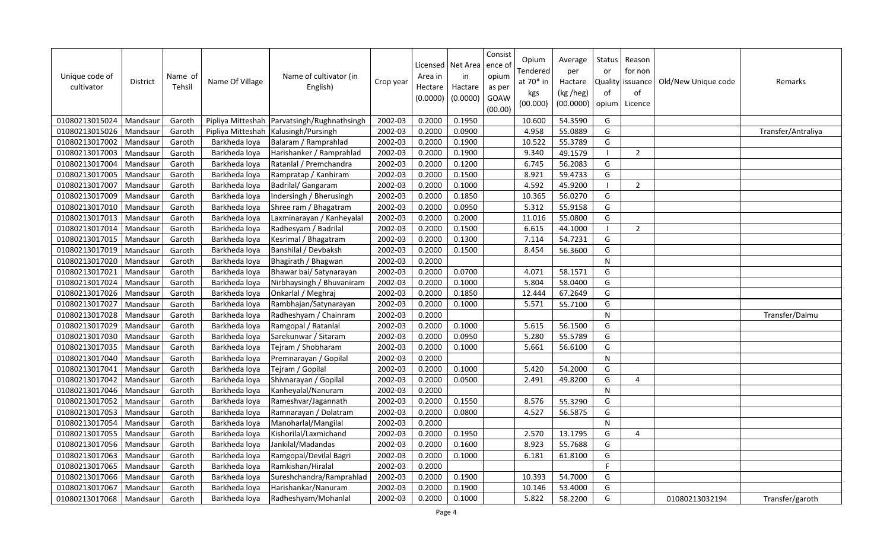| Unique code of<br>cultivator | <b>District</b> | Name of<br>Tehsil | Name Of Village   | Name of cultivator (in<br>English) | Crop year | Area in<br>Hectare<br>(0.0000) | Licensed   Net Area<br>in<br>Hactare<br>(0.0000) | Consist<br>ence o<br>opium<br>as per<br>GOAW<br>(00.00) | Opium<br>Tendered<br>at 70* in<br>kgs<br>(00.000) | Average<br>per<br>Hactare<br>(kg /heg)<br>(00.0000) | Status<br>or<br>Quality<br>of<br>opium | Reason<br>for non<br>lissuance<br>of<br>Licence | Old/New Unique code | Remarks            |
|------------------------------|-----------------|-------------------|-------------------|------------------------------------|-----------|--------------------------------|--------------------------------------------------|---------------------------------------------------------|---------------------------------------------------|-----------------------------------------------------|----------------------------------------|-------------------------------------------------|---------------------|--------------------|
| 01080213015024               | Mandsaur        | Garoth            | Pipliya Mitteshah | Parvatsingh/Rughnathsingh          | 2002-03   | 0.2000                         | 0.1950                                           |                                                         | 10.600                                            | 54.3590                                             | G                                      |                                                 |                     |                    |
| 01080213015026               | Mandsaur        | Garoth            | Pipliya Mitteshah | Kalusingh/Pursingh                 | 2002-03   | 0.2000                         | 0.0900                                           |                                                         | 4.958                                             | 55.0889                                             | G                                      |                                                 |                     | Transfer/Antraliya |
| 01080213017002               | Mandsaur        | Garoth            | Barkheda loya     | Balaram / Ramprahlad               | 2002-03   | 0.2000                         | 0.1900                                           |                                                         | 10.522                                            | 55.3789                                             | G                                      |                                                 |                     |                    |
| 01080213017003               | Mandsaur        | Garoth            | Barkheda loya     | Harishanker / Ramprahlad           | 2002-03   | 0.2000                         | 0.1900                                           |                                                         | 9.340                                             | 49.1579                                             |                                        | $\overline{2}$                                  |                     |                    |
| 01080213017004               | Mandsaur        | Garoth            | Barkheda loya     | Ratanlal / Premchandra             | 2002-03   | 0.2000                         | 0.1200                                           |                                                         | 6.745                                             | 56.2083                                             | G                                      |                                                 |                     |                    |
| 01080213017005               | Mandsaur        | Garoth            | Barkheda loya     | Rampratap / Kanhiram               | 2002-03   | 0.2000                         | 0.1500                                           |                                                         | 8.921                                             | 59.4733                                             | G                                      |                                                 |                     |                    |
| 01080213017007               | Mandsaur        | Garoth            | Barkheda loya     | Badrilal/ Gangaram                 | 2002-03   | 0.2000                         | 0.1000                                           |                                                         | 4.592                                             | 45.9200                                             | $\blacksquare$                         | $\overline{2}$                                  |                     |                    |
| 01080213017009               | Mandsaur        | Garoth            | Barkheda loya     | Indersingh / Bherusingh            | 2002-03   | 0.2000                         | 0.1850                                           |                                                         | 10.365                                            | 56.0270                                             | G                                      |                                                 |                     |                    |
| 01080213017010               | Mandsaur        | Garoth            | Barkheda loya     | Shree ram / Bhagatram              | 2002-03   | 0.2000                         | 0.0950                                           |                                                         | 5.312                                             | 55.9158                                             | G                                      |                                                 |                     |                    |
| 01080213017013               | Mandsaur        | Garoth            | Barkheda loya     | Laxminarayan / Kanheyalal          | 2002-03   | 0.2000                         | 0.2000                                           |                                                         | 11.016                                            | 55.0800                                             | G                                      |                                                 |                     |                    |
| 01080213017014               | Mandsaur        | Garoth            | Barkheda loya     | Radhesyam / Badrilal               | 2002-03   | 0.2000                         | 0.1500                                           |                                                         | 6.615                                             | 44.1000                                             | - 1                                    | $\overline{2}$                                  |                     |                    |
| 01080213017015               | Mandsaur        | Garoth            | Barkheda loya     | Kesrimal / Bhagatram               | 2002-03   | 0.2000                         | 0.1300                                           |                                                         | 7.114                                             | 54.7231                                             | G                                      |                                                 |                     |                    |
| 01080213017019               | Mandsaur        | Garoth            | Barkheda loya     | Banshilal / Devbaksh               | 2002-03   | 0.2000                         | 0.1500                                           |                                                         | 8.454                                             | 56.3600                                             | G                                      |                                                 |                     |                    |
| 01080213017020               | Mandsaur        | Garoth            | Barkheda loya     | Bhagirath / Bhagwan                | 2002-03   | 0.2000                         |                                                  |                                                         |                                                   |                                                     | $\mathsf{N}$                           |                                                 |                     |                    |
| 01080213017021               | Mandsaur        | Garoth            | Barkheda loya     | Bhawar bai/ Satynarayan            | 2002-03   | 0.2000                         | 0.0700                                           |                                                         | 4.071                                             | 58.1571                                             | G                                      |                                                 |                     |                    |
| 01080213017024               | Mandsaur        | Garoth            | Barkheda loya     | Nirbhaysingh / Bhuvaniram          | 2002-03   | 0.2000                         | 0.1000                                           |                                                         | 5.804                                             | 58.0400                                             | G                                      |                                                 |                     |                    |
| 01080213017026               | Mandsaur        | Garoth            | Barkheda loya     | Onkarlal / Meghraj                 | 2002-03   | 0.2000                         | 0.1850                                           |                                                         | 12.444                                            | 67.2649                                             | G                                      |                                                 |                     |                    |
| 01080213017027               | Mandsaur        | Garoth            | Barkheda loya     | Rambhajan/Satynarayan              | 2002-03   | 0.2000                         | 0.1000                                           |                                                         | 5.571                                             | 55.7100                                             | G                                      |                                                 |                     |                    |
| 01080213017028               | Mandsaur        | Garoth            | Barkheda loya     | Radheshyam / Chainram              | 2002-03   | 0.2000                         |                                                  |                                                         |                                                   |                                                     | $\mathsf{N}$                           |                                                 |                     | Transfer/Dalmu     |
| 01080213017029               | Mandsaur        | Garoth            | Barkheda loya     | Ramgopal / Ratanlal                | 2002-03   | 0.2000                         | 0.1000                                           |                                                         | 5.615                                             | 56.1500                                             | G                                      |                                                 |                     |                    |
| 01080213017030               | Mandsaur        | Garoth            | Barkheda loya     | Sarekunwar / Sitaram               | 2002-03   | 0.2000                         | 0.0950                                           |                                                         | 5.280                                             | 55.5789                                             | G                                      |                                                 |                     |                    |
| 01080213017035               | Mandsaur        | Garoth            | Barkheda loya     | Tejram / Shobharam                 | 2002-03   | 0.2000                         | 0.1000                                           |                                                         | 5.661                                             | 56.6100                                             | G                                      |                                                 |                     |                    |
| 01080213017040               | Mandsaur        | Garoth            | Barkheda loya     | Premnarayan / Gopilal              | 2002-03   | 0.2000                         |                                                  |                                                         |                                                   |                                                     | $\mathsf{N}$                           |                                                 |                     |                    |
| 01080213017041               | Mandsaur        | Garoth            | Barkheda loya     | Tejram / Gopilal                   | 2002-03   | 0.2000                         | 0.1000                                           |                                                         | 5.420                                             | 54.2000                                             | G                                      |                                                 |                     |                    |
| 01080213017042               | Mandsaur        | Garoth            | Barkheda loya     | Shivnarayan / Gopilal              | 2002-03   | 0.2000                         | 0.0500                                           |                                                         | 2.491                                             | 49.8200                                             | G                                      | 4                                               |                     |                    |
| 01080213017046               | Mandsaur        | Garoth            | Barkheda loya     | Kanheyalal/Nanuram                 | 2002-03   | 0.2000                         |                                                  |                                                         |                                                   |                                                     | $\mathsf{N}$                           |                                                 |                     |                    |
| 01080213017052               | Mandsaur        | Garoth            | Barkheda loya     | Rameshvar/Jagannath                | 2002-03   | 0.2000                         | 0.1550                                           |                                                         | 8.576                                             | 55.3290                                             | G                                      |                                                 |                     |                    |
| 01080213017053               | Mandsaur        | Garoth            | Barkheda loya     | Ramnarayan / Dolatram              | 2002-03   | 0.2000                         | 0.0800                                           |                                                         | 4.527                                             | 56.5875                                             | G                                      |                                                 |                     |                    |
| 01080213017054               | Mandsaur        | Garoth            | Barkheda loya     | Manoharlal/Mangilal                | 2002-03   | 0.2000                         |                                                  |                                                         |                                                   |                                                     | N                                      |                                                 |                     |                    |
| 01080213017055               | Mandsaur        | Garoth            | Barkheda loya     | Kishorilal/Laxmichand              | 2002-03   | 0.2000                         | 0.1950                                           |                                                         | 2.570                                             | 13.1795                                             | G                                      | 4                                               |                     |                    |
| 01080213017056               | Mandsaur        | Garoth            | Barkheda loya     | Jankilal/Madandas                  | 2002-03   | 0.2000                         | 0.1600                                           |                                                         | 8.923                                             | 55.7688                                             | G                                      |                                                 |                     |                    |
| 01080213017063               | Mandsaur        | Garoth            | Barkheda loya     | Ramgopal/Devilal Bagri             | 2002-03   | 0.2000                         | 0.1000                                           |                                                         | 6.181                                             | 61.8100                                             | G                                      |                                                 |                     |                    |
| 01080213017065               | Mandsaur        | Garoth            | Barkheda loya     | Ramkishan/Hiralal                  | 2002-03   | 0.2000                         |                                                  |                                                         |                                                   |                                                     | F                                      |                                                 |                     |                    |
| 01080213017066               | Mandsaur        | Garoth            | Barkheda loya     | Sureshchandra/Ramprahlad           | 2002-03   | 0.2000                         | 0.1900                                           |                                                         | 10.393                                            | 54.7000                                             | G                                      |                                                 |                     |                    |
| 01080213017067               | Mandsaur        | Garoth            | Barkheda loya     | Harishankar/Nanuram                | 2002-03   | 0.2000                         | 0.1900                                           |                                                         | 10.146                                            | 53.4000                                             | G                                      |                                                 |                     |                    |
| 01080213017068               | Mandsaur        | Garoth            | Barkheda loya     | Radheshyam/Mohanlal                | 2002-03   | 0.2000                         | 0.1000                                           |                                                         | 5.822                                             | 58.2200                                             | G                                      |                                                 | 01080213032194      | Transfer/garoth    |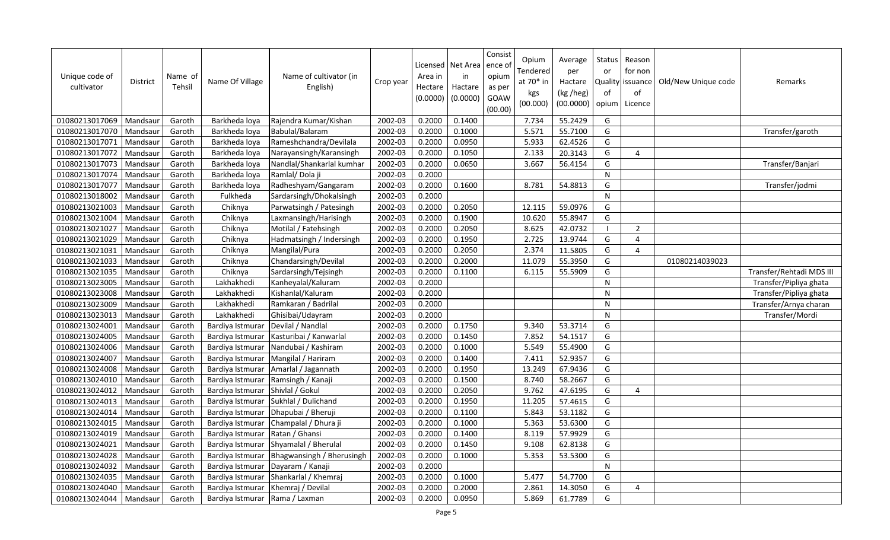| Unique code of<br>cultivator | <b>District</b> | Name of<br>Tehsil | Name Of Village  | Name of cultivator (in<br>English) | Crop year | Area in<br>Hectare<br>(0.0000) | Licensed   Net Area   ence of<br>in<br>Hactare<br>(0.0000) | Consist<br>opium<br>as per<br>GOAW<br>(00.00) | Opium<br>Tendered<br>at 70* in<br>kgs<br>(00.000) | Average<br>per<br>Hactare<br>(kg /heg)<br>(00.0000) | Status  <br>or<br>of<br>opium | Reason<br>for non<br>Quality issuance<br>of<br>Licence | Old/New Unique code | Remarks                  |
|------------------------------|-----------------|-------------------|------------------|------------------------------------|-----------|--------------------------------|------------------------------------------------------------|-----------------------------------------------|---------------------------------------------------|-----------------------------------------------------|-------------------------------|--------------------------------------------------------|---------------------|--------------------------|
| 01080213017069               | Mandsaur        | Garoth            | Barkheda loya    | Rajendra Kumar/Kishan              | 2002-03   | 0.2000                         | 0.1400                                                     |                                               | 7.734                                             | 55.2429                                             | G                             |                                                        |                     |                          |
| 01080213017070               | Mandsaur        | Garoth            | Barkheda loya    | Babulal/Balaram                    | 2002-03   | 0.2000                         | 0.1000                                                     |                                               | 5.571                                             | 55.7100                                             | G                             |                                                        |                     | Transfer/garoth          |
| 01080213017071               | Mandsaur        | Garoth            | Barkheda loya    | Rameshchandra/Devilala             | 2002-03   | 0.2000                         | 0.0950                                                     |                                               | 5.933                                             | 62.4526                                             | G                             |                                                        |                     |                          |
| 01080213017072               | Mandsaur        | Garoth            | Barkheda loya    | Narayansingh/Karansingh            | 2002-03   | 0.2000                         | 0.1050                                                     |                                               | 2.133                                             | 20.3143                                             | G                             | 4                                                      |                     |                          |
| 01080213017073               | Mandsaur        | Garoth            | Barkheda loya    | Nandlal/Shankarlal kumhar          | 2002-03   | 0.2000                         | 0.0650                                                     |                                               | 3.667                                             | 56.4154                                             | G                             |                                                        |                     | Transfer/Banjari         |
| 01080213017074               | Mandsaur        | Garoth            | Barkheda loya    | Ramlal/Dola ji                     | 2002-03   | 0.2000                         |                                                            |                                               |                                                   |                                                     | N                             |                                                        |                     |                          |
| 01080213017077               | Mandsaur        | Garoth            | Barkheda lova    | Radheshyam/Gangaram                | 2002-03   | 0.2000                         | 0.1600                                                     |                                               | 8.781                                             | 54.8813                                             | G                             |                                                        |                     | Transfer/jodmi           |
| 01080213018002               | Mandsaur        | Garoth            | Fulkheda         | Sardarsingh/Dhokalsingh            | 2002-03   | 0.2000                         |                                                            |                                               |                                                   |                                                     | N                             |                                                        |                     |                          |
| 01080213021003               | Mandsaur        | Garoth            | Chiknya          | Parwatsingh / Patesingh            | 2002-03   | 0.2000                         | 0.2050                                                     |                                               | 12.115                                            | 59.0976                                             | G                             |                                                        |                     |                          |
| 01080213021004               | Mandsaur        | Garoth            | Chiknya          | Laxmansingh/Harisingh              | 2002-03   | 0.2000                         | 0.1900                                                     |                                               | 10.620                                            | 55.8947                                             | G                             |                                                        |                     |                          |
| 01080213021027               | Mandsaur        | Garoth            | Chiknya          | Motilal / Fatehsingh               | 2002-03   | 0.2000                         | 0.2050                                                     |                                               | 8.625                                             | 42.0732                                             |                               | $\overline{2}$                                         |                     |                          |
| 01080213021029               | Mandsaur        | Garoth            | Chiknya          | Hadmatsingh / Indersingh           | 2002-03   | 0.2000                         | 0.1950                                                     |                                               | 2.725                                             | 13.9744                                             | G                             | 4                                                      |                     |                          |
| 01080213021031               | Mandsaur        | Garoth            | Chiknya          | Mangilal/Pura                      | 2002-03   | 0.2000                         | 0.2050                                                     |                                               | 2.374                                             | 11.5805                                             | G                             | 4                                                      |                     |                          |
| 01080213021033               | Mandsaur        | Garoth            | Chiknya          | Chandarsingh/Devilal               | 2002-03   | 0.2000                         | 0.2000                                                     |                                               | 11.079                                            | 55.3950                                             | G                             |                                                        | 01080214039023      |                          |
| 01080213021035               | Mandsaur        | Garoth            | Chiknya          | Sardarsingh/Tejsingh               | 2002-03   | 0.2000                         | 0.1100                                                     |                                               | 6.115                                             | 55.5909                                             | G                             |                                                        |                     | Transfer/Rehtadi MDS III |
| 01080213023005               | Mandsaur        | Garoth            | Lakhakhedi       | Kanheyalal/Kaluram                 | 2002-03   | 0.2000                         |                                                            |                                               |                                                   |                                                     | $\mathsf{N}$                  |                                                        |                     | Transfer/Pipliya ghata   |
| 01080213023008               | Mandsaur        | Garoth            | Lakhakhedi       | Kishanlal/Kaluram                  | 2002-03   | 0.2000                         |                                                            |                                               |                                                   |                                                     | N                             |                                                        |                     | Transfer/Pipliya ghata   |
| 01080213023009               | Mandsaur        | Garoth            | Lakhakhedi       | Ramkaran / Badrilal                | 2002-03   | 0.2000                         |                                                            |                                               |                                                   |                                                     | $\mathsf{N}$                  |                                                        |                     | Transfer/Arnya charan    |
| 01080213023013               | Mandsaur        | Garoth            | Lakhakhedi       | Ghisibai/Udayram                   | 2002-03   | 0.2000                         |                                                            |                                               |                                                   |                                                     | N                             |                                                        |                     | Transfer/Mordi           |
| 01080213024001               | Mandsaur        | Garoth            | Bardiya Istmurar | Devilal / Nandlal                  | 2002-03   | 0.2000                         | 0.1750                                                     |                                               | 9.340                                             | 53.3714                                             | G                             |                                                        |                     |                          |
| 01080213024005               | Mandsaur        | Garoth            | Bardiya Istmurar | Kasturibai / Kanwarlal             | 2002-03   | 0.2000                         | 0.1450                                                     |                                               | 7.852                                             | 54.1517                                             | G                             |                                                        |                     |                          |
| 01080213024006               | Mandsaur        | Garoth            | Bardiya Istmurar | Nandubai / Kashiram                | 2002-03   | 0.2000                         | 0.1000                                                     |                                               | 5.549                                             | 55.4900                                             | G                             |                                                        |                     |                          |
| 01080213024007               | Mandsaur        | Garoth            | Bardiya Istmurar | Mangilal / Hariram                 | 2002-03   | 0.2000                         | 0.1400                                                     |                                               | 7.411                                             | 52.9357                                             | G                             |                                                        |                     |                          |
| 01080213024008               | Mandsaur        | Garoth            | Bardiya Istmurar | Amarlal / Jagannath                | 2002-03   | 0.2000                         | 0.1950                                                     |                                               | 13.249                                            | 67.9436                                             | G                             |                                                        |                     |                          |
| 01080213024010               | Mandsaur        | Garoth            | Bardiya Istmurar | Ramsingh / Kanaji                  | 2002-03   | 0.2000                         | 0.1500                                                     |                                               | 8.740                                             | 58.2667                                             | G                             |                                                        |                     |                          |
| 01080213024012               | Mandsaur        | Garoth            | Bardiya Istmurar | Shivlal / Gokul                    | 2002-03   | 0.2000                         | 0.2050                                                     |                                               | 9.762                                             | 47.6195                                             | G                             | 4                                                      |                     |                          |
| 01080213024013               | Mandsaur        | Garoth            | Bardiya Istmurar | Sukhlal / Dulichand                | 2002-03   | 0.2000                         | 0.1950                                                     |                                               | 11.205                                            | 57.4615                                             | G                             |                                                        |                     |                          |
| 01080213024014               | Mandsaur        | Garoth            | Bardiya Istmurar | Dhapubai / Bheruji                 | 2002-03   | 0.2000                         | 0.1100                                                     |                                               | 5.843                                             | 53.1182                                             | G                             |                                                        |                     |                          |
| 01080213024015               | Mandsaur        | Garoth            | Bardiya Istmurar | Champalal / Dhura ji               | 2002-03   | 0.2000                         | 0.1000                                                     |                                               | 5.363                                             | 53.6300                                             | G                             |                                                        |                     |                          |
| 01080213024019               | Mandsaur        | Garoth            | Bardiya Istmurar | Ratan / Ghansi                     | 2002-03   | 0.2000                         | 0.1400                                                     |                                               | 8.119                                             | 57.9929                                             | G                             |                                                        |                     |                          |
| 01080213024021               | Mandsaur        | Garoth            | Bardiya Istmurar | Shyamalal / Bherulal               | 2002-03   | 0.2000                         | 0.1450                                                     |                                               | 9.108                                             | 62.8138                                             | G                             |                                                        |                     |                          |
| 01080213024028               | Mandsaur        | Garoth            | Bardiya Istmurar | Bhagwansingh / Bherusingh          | 2002-03   | 0.2000                         | 0.1000                                                     |                                               | 5.353                                             | 53.5300                                             | G                             |                                                        |                     |                          |
| 01080213024032               | Mandsaur        | Garoth            | Bardiya Istmurar | Dayaram / Kanaji                   | 2002-03   | 0.2000                         |                                                            |                                               |                                                   |                                                     | $\mathsf{N}$                  |                                                        |                     |                          |
| 01080213024035               | Mandsau         | Garoth            | Bardiya Istmurar | Shankarlal / Khemraj               | 2002-03   | 0.2000                         | 0.1000                                                     |                                               | 5.477                                             | 54.7700                                             | G                             |                                                        |                     |                          |
| 01080213024040               | Mandsaur        | Garoth            | Bardiya Istmurar | Khemraj / Devilal                  | 2002-03   | 0.2000                         | 0.2000                                                     |                                               | 2.861                                             | 14.3050                                             | G                             | 4                                                      |                     |                          |
| 01080213024044               | Mandsaur        | Garoth            | Bardiya Istmurar | Rama / Laxman                      | 2002-03   | 0.2000                         | 0.0950                                                     |                                               | 5.869                                             | 61.7789                                             | G                             |                                                        |                     |                          |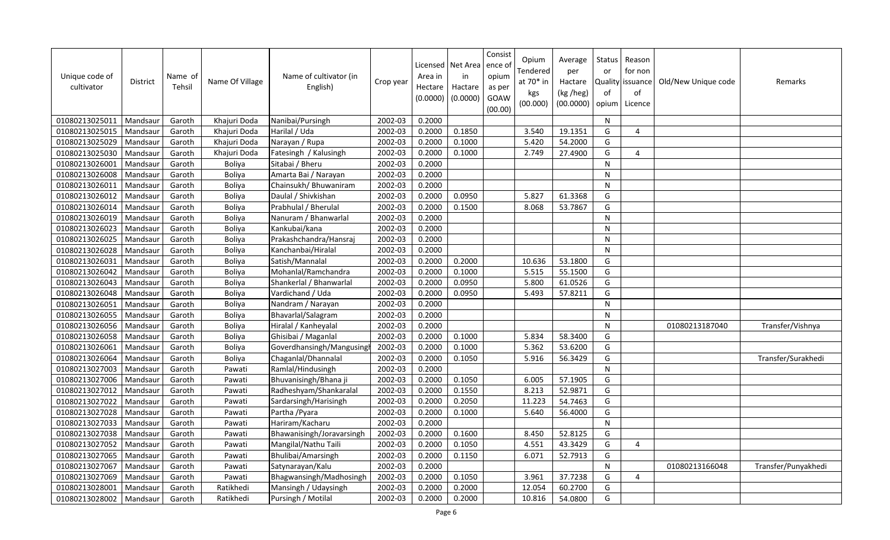| Unique code of<br>cultivator | <b>District</b> | Name of<br>Tehsil | Name Of Village | Name of cultivator (in<br>English) | Crop year | Area in<br>Hectare<br>(0.0000) | Licensed   Net Area<br>in<br>Hactare<br>(0.0000) | Consist<br>ence of<br>opium<br>as per<br>GOAW<br>(00.00) | Opium<br>Tendered<br>at 70* in<br>kgs<br>(00.000) | Average<br>per<br>Hactare<br>(kg /heg)<br>(00.0000) | Status<br>or<br>of<br>opium | Reason<br>for non<br>Quality issuance<br>of<br>Licence | Old/New Unique code | Remarks             |
|------------------------------|-----------------|-------------------|-----------------|------------------------------------|-----------|--------------------------------|--------------------------------------------------|----------------------------------------------------------|---------------------------------------------------|-----------------------------------------------------|-----------------------------|--------------------------------------------------------|---------------------|---------------------|
| 01080213025011               | Mandsaur        | Garoth            | Khajuri Doda    | Nanibai/Pursingh                   | 2002-03   | 0.2000                         |                                                  |                                                          |                                                   |                                                     | N                           |                                                        |                     |                     |
| 01080213025015               | Mandsaur        | Garoth            | Khajuri Doda    | Harilal / Uda                      | 2002-03   | 0.2000                         | 0.1850                                           |                                                          | 3.540                                             | 19.1351                                             | G                           | $\overline{4}$                                         |                     |                     |
| 01080213025029               | Mandsaur        | Garoth            | Khajuri Doda    | Narayan / Rupa                     | 2002-03   | 0.2000                         | 0.1000                                           |                                                          | 5.420                                             | 54.2000                                             | G                           |                                                        |                     |                     |
| 01080213025030               | Mandsaur        | Garoth            | Khajuri Doda    | Fatesingh / Kalusingh              | 2002-03   | 0.2000                         | 0.1000                                           |                                                          | 2.749                                             | 27.4900                                             | G                           | 4                                                      |                     |                     |
| 01080213026001               | Mandsaur        | Garoth            | Boliya          | Sitabai / Bheru                    | 2002-03   | 0.2000                         |                                                  |                                                          |                                                   |                                                     | N                           |                                                        |                     |                     |
| 01080213026008               | Mandsaur        | Garoth            | Boliya          | Amarta Bai / Narayan               | 2002-03   | 0.2000                         |                                                  |                                                          |                                                   |                                                     | N                           |                                                        |                     |                     |
| 01080213026011               | Mandsaur        | Garoth            | Boliya          | Chainsukh/ Bhuwaniram              | 2002-03   | 0.2000                         |                                                  |                                                          |                                                   |                                                     | $\mathsf{N}$                |                                                        |                     |                     |
| 01080213026012               | Mandsaur        | Garoth            | Boliya          | Daulal / Shivkishan                | 2002-03   | 0.2000                         | 0.0950                                           |                                                          | 5.827                                             | 61.3368                                             | G                           |                                                        |                     |                     |
| 01080213026014               | Mandsaur        | Garoth            | <b>Boliya</b>   | Prabhulal / Bherulal               | 2002-03   | 0.2000                         | 0.1500                                           |                                                          | 8.068                                             | 53.7867                                             | G                           |                                                        |                     |                     |
| 01080213026019               | Mandsaur        | Garoth            | Boliya          | Nanuram / Bhanwarlal               | 2002-03   | 0.2000                         |                                                  |                                                          |                                                   |                                                     | N                           |                                                        |                     |                     |
| 01080213026023               | Mandsau         | Garoth            | Boliya          | Kankubai/kana                      | 2002-03   | 0.2000                         |                                                  |                                                          |                                                   |                                                     | N                           |                                                        |                     |                     |
| 01080213026025               | Mandsaur        | Garoth            | <b>Boliva</b>   | Prakashchandra/Hansraj             | 2002-03   | 0.2000                         |                                                  |                                                          |                                                   |                                                     | N                           |                                                        |                     |                     |
| 01080213026028               | Mandsau         | Garoth            | Boliya          | Kanchanbai/Hiralal                 | 2002-03   | 0.2000                         |                                                  |                                                          |                                                   |                                                     | $\mathsf{N}$                |                                                        |                     |                     |
| 01080213026031               | Mandsaur        | Garoth            | Boliya          | Satish/Mannalal                    | 2002-03   | 0.2000                         | 0.2000                                           |                                                          | 10.636                                            | 53.1800                                             | G                           |                                                        |                     |                     |
| 01080213026042               | Mandsau         | Garoth            | Boliya          | Mohanlal/Ramchandra                | 2002-03   | 0.2000                         | 0.1000                                           |                                                          | 5.515                                             | 55.1500                                             | G                           |                                                        |                     |                     |
| 01080213026043               | Mandsaur        | Garoth            | Boliya          | Shankerlal / Bhanwarlal            | 2002-03   | 0.2000                         | 0.0950                                           |                                                          | 5.800                                             | 61.0526                                             | G                           |                                                        |                     |                     |
| 01080213026048               | Mandsaur        | Garoth            | Boliya          | Vardichand / Uda                   | 2002-03   | 0.2000                         | 0.0950                                           |                                                          | 5.493                                             | 57.8211                                             | G                           |                                                        |                     |                     |
| 01080213026051               | Mandsaur        | Garoth            | Boliya          | Nandram / Narayan                  | 2002-03   | 0.2000                         |                                                  |                                                          |                                                   |                                                     | N                           |                                                        |                     |                     |
| 01080213026055               | Mandsaur        | Garoth            | Boliya          | Bhavarlal/Salagram                 | 2002-03   | 0.2000                         |                                                  |                                                          |                                                   |                                                     | N                           |                                                        |                     |                     |
| 01080213026056               | Mandsaur        | Garoth            | Boliya          | Hiralal / Kanheyalal               | 2002-03   | 0.2000                         |                                                  |                                                          |                                                   |                                                     | $\mathsf{N}$                |                                                        | 01080213187040      | Transfer/Vishnya    |
| 01080213026058               | Mandsaur        | Garoth            | Boliya          | Ghisibai / Maganlal                | 2002-03   | 0.2000                         | 0.1000                                           |                                                          | 5.834                                             | 58.3400                                             | G                           |                                                        |                     |                     |
| 01080213026061               | Mandsaur        | Garoth            | Boliya          | Goverdhansingh/Mangusing           | 2002-03   | 0.2000                         | 0.1000                                           |                                                          | 5.362                                             | 53.6200                                             | G                           |                                                        |                     |                     |
| 01080213026064               | Mandsaur        | Garoth            | Boliya          | Chaganlal/Dhannalal                | 2002-03   | 0.2000                         | 0.1050                                           |                                                          | 5.916                                             | 56.3429                                             | G                           |                                                        |                     | Transfer/Surakhedi  |
| 01080213027003               | Mandsaur        | Garoth            | Pawati          | Ramlal/Hindusingh                  | 2002-03   | 0.2000                         |                                                  |                                                          |                                                   |                                                     | ${\sf N}$                   |                                                        |                     |                     |
| 01080213027006               | Mandsaur        | Garoth            | Pawati          | Bhuvanisingh/Bhana ji              | 2002-03   | 0.2000                         | 0.1050                                           |                                                          | 6.005                                             | 57.1905                                             | G                           |                                                        |                     |                     |
| 01080213027012               | Mandsaur        | Garoth            | Pawati          | Radheshyam/Shankaralal             | 2002-03   | 0.2000                         | 0.1550                                           |                                                          | 8.213                                             | 52.9871                                             | G                           |                                                        |                     |                     |
| 01080213027022               | Mandsaur        | Garoth            | Pawati          | Sardarsingh/Harisingh              | 2002-03   | 0.2000                         | 0.2050                                           |                                                          | 11.223                                            | 54.7463                                             | G                           |                                                        |                     |                     |
| 01080213027028               | Mandsaur        | Garoth            | Pawati          | Partha / Pyara                     | 2002-03   | 0.2000                         | 0.1000                                           |                                                          | 5.640                                             | 56.4000                                             | G                           |                                                        |                     |                     |
| 01080213027033               | Mandsaur        | Garoth            | Pawati          | Hariram/Kacharu                    | 2002-03   | 0.2000                         |                                                  |                                                          |                                                   |                                                     | ${\sf N}$                   |                                                        |                     |                     |
| 01080213027038               | Mandsau         | Garoth            | Pawati          | Bhawanisingh/Joravarsingh          | 2002-03   | 0.2000                         | 0.1600                                           |                                                          | 8.450                                             | 52.8125                                             | G                           |                                                        |                     |                     |
| 01080213027052               | Mandsaur        | Garoth            | Pawati          | Mangilal/Nathu Taili               | 2002-03   | 0.2000                         | 0.1050                                           |                                                          | 4.551                                             | 43.3429                                             | G                           | 4                                                      |                     |                     |
| 01080213027065               | Mandsau         | Garoth            | Pawati          | Bhulibai/Amarsingh                 | 2002-03   | 0.2000                         | 0.1150                                           |                                                          | 6.071                                             | 52.7913                                             | G                           |                                                        |                     |                     |
| 01080213027067               | Mandsaur        | Garoth            | Pawati          | Satynarayan/Kalu                   | 2002-03   | 0.2000                         |                                                  |                                                          |                                                   |                                                     | ${\sf N}$                   |                                                        | 01080213166048      | Transfer/Punyakhedi |
| 01080213027069               | Mandsau         | Garoth            | Pawati          | Bhagwansingh/Madhosingh            | 2002-03   | 0.2000                         | 0.1050                                           |                                                          | 3.961                                             | 37.7238                                             | G                           | 4                                                      |                     |                     |
| 01080213028001               | Mandsaur        | Garoth            | Ratikhedi       | Mansingh / Udaysingh               | 2002-03   | 0.2000                         | 0.2000                                           |                                                          | 12.054                                            | 60.2700                                             | G                           |                                                        |                     |                     |
| 01080213028002               | Mandsaur        | Garoth            | Ratikhedi       | Pursingh / Motilal                 | 2002-03   | 0.2000                         | 0.2000                                           |                                                          | 10.816                                            | 54.0800                                             | G                           |                                                        |                     |                     |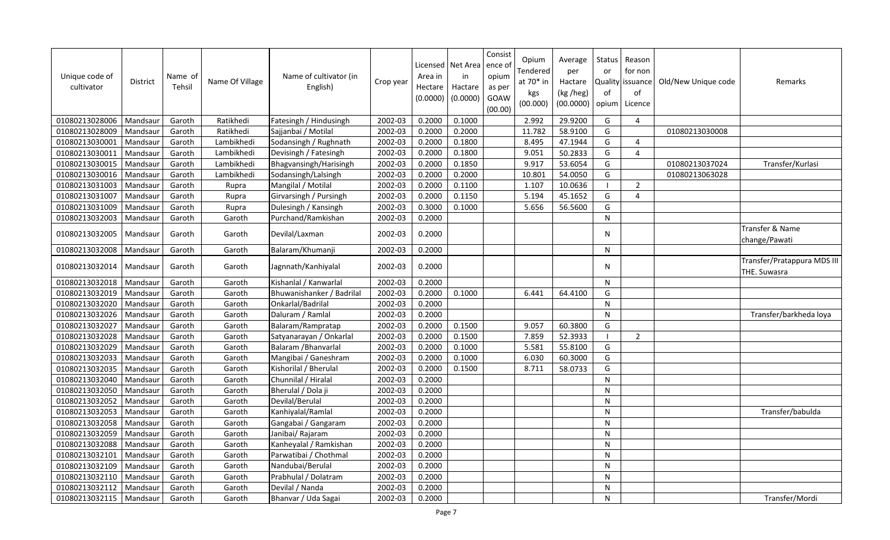| Unique code of<br>cultivator | <b>District</b> | Name of<br>Tehsil | Name Of Village | Name of cultivator (in<br>English) | Crop year | Licensed<br>Area in<br>Hectare<br>(0.0000) | Net Area<br>in<br>Hactare<br>(0.0000) | Consist<br>ence of<br>opium<br>as per<br><b>GOAW</b><br>(00.00) | Opium<br>Tendered<br>at 70* in<br>kgs<br>(00.000) | Average<br>per<br>Hactare<br>(kg /heg)<br>(00.0000) | <b>Status</b><br>or<br>Quality<br>of<br>opium | Reason<br>for non<br>issuance<br>of<br>Licence | Old/New Unique code | Remarks                                     |
|------------------------------|-----------------|-------------------|-----------------|------------------------------------|-----------|--------------------------------------------|---------------------------------------|-----------------------------------------------------------------|---------------------------------------------------|-----------------------------------------------------|-----------------------------------------------|------------------------------------------------|---------------------|---------------------------------------------|
| 01080213028006               | Mandsaur        | Garoth            | Ratikhedi       | Fatesingh / Hindusingh             | 2002-03   | 0.2000                                     | 0.1000                                |                                                                 | 2.992                                             | 29.9200                                             | G                                             | $\overline{4}$                                 |                     |                                             |
| 01080213028009               | Mandsaur        | Garoth            | Ratikhedi       | Sajjanbai / Motilal                | 2002-03   | 0.2000                                     | 0.2000                                |                                                                 | 11.782                                            | 58.9100                                             | G                                             |                                                | 01080213030008      |                                             |
| 01080213030001               | Mandsaur        | Garoth            | Lambikhedi      | Sodansingh / Rughnath              | 2002-03   | 0.2000                                     | 0.1800                                |                                                                 | 8.495                                             | 47.1944                                             | G                                             | $\boldsymbol{\Delta}$                          |                     |                                             |
| 01080213030011               | Mandsaur        | Garoth            | Lambikhedi      | Devisingh / Fatesingh              | 2002-03   | 0.2000                                     | 0.1800                                |                                                                 | 9.051                                             | 50.2833                                             | G                                             | 4                                              |                     |                                             |
| 01080213030015               | Mandsaur        | Garoth            | Lambikhedi      | Bhagvansingh/Harisingh             | 2002-03   | 0.2000                                     | 0.1850                                |                                                                 | 9.917                                             | 53.6054                                             | G                                             |                                                | 01080213037024      | Transfer/Kurlasi                            |
| 01080213030016               | Mandsaur        | Garoth            | Lambikhedi      | Sodansingh/Lalsingh                | 2002-03   | 0.2000                                     | 0.2000                                |                                                                 | 10.801                                            | 54.0050                                             | G                                             |                                                | 01080213063028      |                                             |
| 01080213031003               | Mandsaur        | Garoth            | Rupra           | Mangilal / Motilal                 | 2002-03   | 0.2000                                     | 0.1100                                |                                                                 | 1.107                                             | 10.0636                                             | $\blacksquare$                                | $\overline{2}$                                 |                     |                                             |
| 01080213031007               | Mandsaur        | Garoth            | Rupra           | Girvarsingh / Pursingh             | 2002-03   | 0.2000                                     | 0.1150                                |                                                                 | 5.194                                             | 45.1652                                             | G                                             | $\overline{4}$                                 |                     |                                             |
| 01080213031009               | Mandsaur        | Garoth            | Rupra           | Dulesingh / Kansingh               | 2002-03   | 0.3000                                     | 0.1000                                |                                                                 | 5.656                                             | 56.5600                                             | G                                             |                                                |                     |                                             |
| 01080213032003               | Mandsaur        | Garoth            | Garoth          | Purchand/Ramkishan                 | 2002-03   | 0.2000                                     |                                       |                                                                 |                                                   |                                                     | ${\sf N}$                                     |                                                |                     |                                             |
| 01080213032005               | Mandsaur        | Garoth            | Garoth          | Devilal/Laxman                     | 2002-03   | 0.2000                                     |                                       |                                                                 |                                                   |                                                     | N                                             |                                                |                     | Transfer & Name<br>change/Pawati            |
| 01080213032008               | Mandsaur        | Garoth            | Garoth          | Balaram/Khumanji                   | 2002-03   | 0.2000                                     |                                       |                                                                 |                                                   |                                                     | ${\sf N}$                                     |                                                |                     |                                             |
| 01080213032014               | Mandsaur        | Garoth            | Garoth          | Jagnnath/Kanhiyalal                | 2002-03   | 0.2000                                     |                                       |                                                                 |                                                   |                                                     | N                                             |                                                |                     | Transfer/Pratappura MDS III<br>THE. Suwasra |
| 01080213032018               | Mandsaur        | Garoth            | Garoth          | Kishanlal / Kanwarlal              | 2002-03   | 0.2000                                     |                                       |                                                                 |                                                   |                                                     | N                                             |                                                |                     |                                             |
| 01080213032019               | Mandsaur        | Garoth            | Garoth          | Bhuwanishanker / Badrilal          | 2002-03   | 0.2000                                     | 0.1000                                |                                                                 | 6.441                                             | 64.4100                                             | G                                             |                                                |                     |                                             |
| 01080213032020               | Mandsaur        | Garoth            | Garoth          | Onkarlal/Badrilal                  | 2002-03   | 0.2000                                     |                                       |                                                                 |                                                   |                                                     | $\overline{N}$                                |                                                |                     |                                             |
| 01080213032026               | Mandsaur        | Garoth            | Garoth          | Daluram / Ramlal                   | 2002-03   | 0.2000                                     |                                       |                                                                 |                                                   |                                                     | ${\sf N}$                                     |                                                |                     | Transfer/barkheda loya                      |
| 01080213032027               | Mandsaur        | Garoth            | Garoth          | Balaram/Rampratap                  | 2002-03   | 0.2000                                     | 0.1500                                |                                                                 | 9.057                                             | 60.3800                                             | G                                             |                                                |                     |                                             |
| 01080213032028               | Mandsaur        | Garoth            | Garoth          | Satyanarayan / Onkarlal            | 2002-03   | 0.2000                                     | 0.1500                                |                                                                 | 7.859                                             | 52.3933                                             | - 1                                           | $\overline{2}$                                 |                     |                                             |
| 01080213032029               | Mandsaur        | Garoth            | Garoth          | Balaram / Bhanvarlal               | 2002-03   | 0.2000                                     | 0.1000                                |                                                                 | 5.581                                             | 55.8100                                             | G                                             |                                                |                     |                                             |
| 01080213032033               | Mandsaur        | Garoth            | Garoth          | Mangibai / Ganeshram               | 2002-03   | 0.2000                                     | 0.1000                                |                                                                 | 6.030                                             | 60.3000                                             | G                                             |                                                |                     |                                             |
| 01080213032035               | Mandsaur        | Garoth            | Garoth          | Kishorilal / Bherulal              | 2002-03   | 0.2000                                     | 0.1500                                |                                                                 | 8.711                                             | 58.0733                                             | G                                             |                                                |                     |                                             |
| 01080213032040               | Mandsaur        | Garoth            | Garoth          | Chunnilal / Hiralal                | 2002-03   | 0.2000                                     |                                       |                                                                 |                                                   |                                                     | N                                             |                                                |                     |                                             |
| 01080213032050               | Mandsaur        | Garoth            | Garoth          | Bherulal / Dola ji                 | 2002-03   | 0.2000                                     |                                       |                                                                 |                                                   |                                                     | N                                             |                                                |                     |                                             |
| 01080213032052               | Mandsaur        | Garoth            | Garoth          | Devilal/Berulal                    | 2002-03   | 0.2000                                     |                                       |                                                                 |                                                   |                                                     | N                                             |                                                |                     |                                             |
| 01080213032053               | Mandsaur        | Garoth            | Garoth          | Kanhiyalal/Ramlal                  | 2002-03   | 0.2000                                     |                                       |                                                                 |                                                   |                                                     | N                                             |                                                |                     | Transfer/babulda                            |
| 01080213032058               | Mandsaur        | Garoth            | Garoth          | Gangabai / Gangaram                | 2002-03   | 0.2000                                     |                                       |                                                                 |                                                   |                                                     | N                                             |                                                |                     |                                             |
| 01080213032059               | Mandsaur        | Garoth            | Garoth          | Janibai/ Rajaram                   | 2002-03   | 0.2000                                     |                                       |                                                                 |                                                   |                                                     | N                                             |                                                |                     |                                             |
| 01080213032088               | Mandsaur        | Garoth            | Garoth          | Kanheyalal / Ramkishan             | 2002-03   | 0.2000                                     |                                       |                                                                 |                                                   |                                                     | N                                             |                                                |                     |                                             |
| 01080213032101               | Mandsaur        | Garoth            | Garoth          | Parwatibai / Chothmal              | 2002-03   | 0.2000                                     |                                       |                                                                 |                                                   |                                                     | ${\sf N}$                                     |                                                |                     |                                             |
| 01080213032109               | Mandsaur        | Garoth            | Garoth          | Nandubai/Berulal                   | 2002-03   | 0.2000                                     |                                       |                                                                 |                                                   |                                                     | N                                             |                                                |                     |                                             |
| 01080213032110               | Mandsaur        | Garoth            | Garoth          | Prabhulal / Dolatram               | 2002-03   | 0.2000                                     |                                       |                                                                 |                                                   |                                                     | ${\sf N}$                                     |                                                |                     |                                             |
| 01080213032112               | Mandsaur        | Garoth            | Garoth          | Devilal / Nanda                    | 2002-03   | 0.2000                                     |                                       |                                                                 |                                                   |                                                     | N                                             |                                                |                     |                                             |
| 01080213032115               | Mandsaur        | Garoth            | Garoth          | Bhanvar / Uda Sagai                | 2002-03   | 0.2000                                     |                                       |                                                                 |                                                   |                                                     | ${\sf N}$                                     |                                                |                     | Transfer/Mordi                              |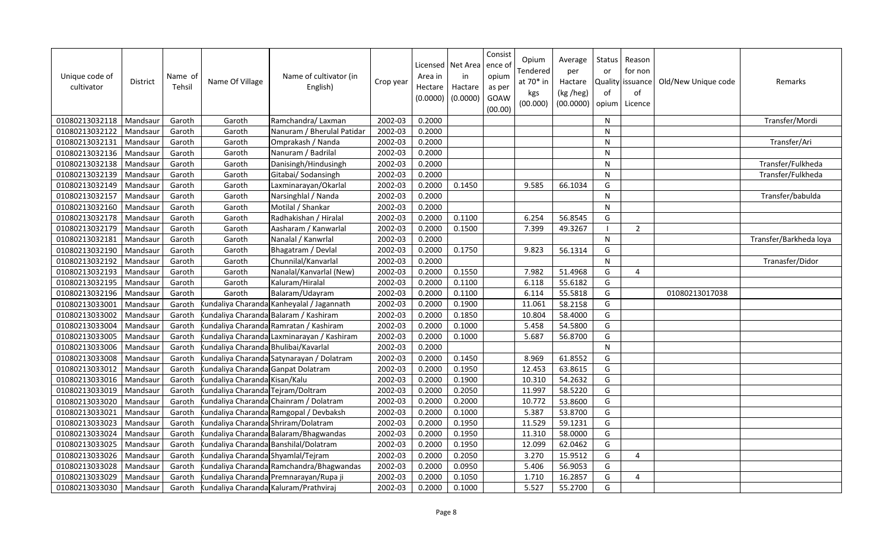| Unique code of<br>cultivator | <b>District</b> | Name of<br>Tehsil | Name Of Village                       | Name of cultivator (in<br>English)         | Crop year | Area in<br>Hectare<br>(0.0000) | Licensed   Net Area<br>in<br>Hactare<br>(0.0000) | Consist<br>ence o<br>opium<br>as per<br>GOAW<br>(00.00) | Opium<br>Tendered<br>at 70* in<br>kgs<br>(00.000) | Average<br>per<br>Hactare<br>(kg /heg)<br>(00.0000) | Status I<br>or<br>of | Reason<br>for non<br>Quality issuance<br>of<br>opium   Licence | Old/New Unique code | Remarks                |
|------------------------------|-----------------|-------------------|---------------------------------------|--------------------------------------------|-----------|--------------------------------|--------------------------------------------------|---------------------------------------------------------|---------------------------------------------------|-----------------------------------------------------|----------------------|----------------------------------------------------------------|---------------------|------------------------|
| 01080213032118               | Mandsaur        | Garoth            | Garoth                                | Ramchandra/ Laxman                         | 2002-03   | 0.2000                         |                                                  |                                                         |                                                   |                                                     | N                    |                                                                |                     | Transfer/Mordi         |
| 01080213032122               | Mandsaur        | Garoth            | Garoth                                | Nanuram / Bherulal Patidar                 | 2002-03   | 0.2000                         |                                                  |                                                         |                                                   |                                                     | N                    |                                                                |                     |                        |
| 01080213032131               | Mandsaur        | Garoth            | Garoth                                | Omprakash / Nanda                          | 2002-03   | 0.2000                         |                                                  |                                                         |                                                   |                                                     | $\mathsf{N}$         |                                                                |                     | Transfer/Ari           |
| 01080213032136               | Mandsaur        | Garoth            | Garoth                                | Nanuram / Badrilal                         | 2002-03   | 0.2000                         |                                                  |                                                         |                                                   |                                                     | N                    |                                                                |                     |                        |
| 01080213032138               | Mandsaur        | Garoth            | Garoth                                | Danisingh/Hindusingh                       | 2002-03   | 0.2000                         |                                                  |                                                         |                                                   |                                                     | N                    |                                                                |                     | Transfer/Fulkheda      |
| 01080213032139               | Mandsaur        | Garoth            | Garoth                                | Gitabai/ Sodansingh                        | 2002-03   | 0.2000                         |                                                  |                                                         |                                                   |                                                     | N                    |                                                                |                     | Transfer/Fulkheda      |
| 01080213032149               | Mandsaur        | Garoth            | Garoth                                | Laxminarayan/Okarlal                       | 2002-03   | 0.2000                         | 0.1450                                           |                                                         | 9.585                                             | 66.1034                                             | G                    |                                                                |                     |                        |
| 01080213032157               | Mandsaur        | Garoth            | Garoth                                | Narsinghlal / Nanda                        | 2002-03   | 0.2000                         |                                                  |                                                         |                                                   |                                                     | $\mathsf{N}$         |                                                                |                     | Transfer/babulda       |
| 01080213032160               | Mandsaur        | Garoth            | Garoth                                | Motilal / Shankar                          | 2002-03   | 0.2000                         |                                                  |                                                         |                                                   |                                                     | N                    |                                                                |                     |                        |
| 01080213032178               | Mandsaur        | Garoth            | Garoth                                | Radhakishan / Hiralal                      | 2002-03   | 0.2000                         | 0.1100                                           |                                                         | 6.254                                             | 56.8545                                             | G                    |                                                                |                     |                        |
| 01080213032179               | Mandsaur        | Garoth            | Garoth                                | Aasharam / Kanwarlal                       | 2002-03   | 0.2000                         | 0.1500                                           |                                                         | 7.399                                             | 49.3267                                             |                      | $\overline{2}$                                                 |                     |                        |
| 01080213032181               | Mandsaur        | Garoth            | Garoth                                | Nanalal / Kanwrlal                         | 2002-03   | 0.2000                         |                                                  |                                                         |                                                   |                                                     | N                    |                                                                |                     | Transfer/Barkheda loya |
| 01080213032190               | Mandsaur        | Garoth            | Garoth                                | Bhagatram / Devlal                         | 2002-03   | 0.2000                         | 0.1750                                           |                                                         | 9.823                                             | 56.1314                                             | G                    |                                                                |                     |                        |
| 01080213032192               | Mandsaur        | Garoth            | Garoth                                | Chunnilal/Kanvarlal                        | 2002-03   | 0.2000                         |                                                  |                                                         |                                                   |                                                     | N                    |                                                                |                     | Tranasfer/Didor        |
| 01080213032193               | Mandsaur        | Garoth            | Garoth                                | Nanalal/Kanvarlal (New)                    | 2002-03   | 0.2000                         | 0.1550                                           |                                                         | 7.982                                             | 51.4968                                             | G                    | 4                                                              |                     |                        |
| 01080213032195               | Mandsaur        | Garoth            | Garoth                                | Kaluram/Hiralal                            | 2002-03   | 0.2000                         | 0.1100                                           |                                                         | 6.118                                             | 55.6182                                             | G                    |                                                                |                     |                        |
| 01080213032196               | Mandsaur        | Garoth            | Garoth                                | Balaram/Udayram                            | 2002-03   | 0.2000                         | 0.1100                                           |                                                         | 6.114                                             | 55.5818                                             | G                    |                                                                | 01080213017038      |                        |
| 01080213033001               | Mandsaur        | Garoth            |                                       | kundaliya Charanda Kanheyalal / Jagannath  | 2002-03   | 0.2000                         | 0.1900                                           |                                                         | 11.061                                            | 58.2158                                             | G                    |                                                                |                     |                        |
| 01080213033002               | Mandsaur        | Garoth            |                                       | kundaliya Charanda Balaram / Kashiram      | 2002-03   | 0.2000                         | 0.1850                                           |                                                         | 10.804                                            | 58.4000                                             | G                    |                                                                |                     |                        |
| 01080213033004               | Mandsau         | Garoth            |                                       | kundaliya Charanda Ramratan / Kashiram     | 2002-03   | 0.2000                         | 0.1000                                           |                                                         | 5.458                                             | 54.5800                                             | G                    |                                                                |                     |                        |
| 01080213033005               | Mandsaur        | Garoth            |                                       | Kundaliya Charanda Laxminarayan / Kashiram | 2002-03   | 0.2000                         | 0.1000                                           |                                                         | 5.687                                             | 56.8700                                             | G                    |                                                                |                     |                        |
| 01080213033006               | Mandsaur        | Garoth            | kundaliya Charanda Bhulibai/Kavarlal  |                                            | 2002-03   | 0.2000                         |                                                  |                                                         |                                                   |                                                     | N                    |                                                                |                     |                        |
| 01080213033008               | Mandsaur        | Garoth            |                                       | kundaliya Charanda Satynarayan / Dolatram  | 2002-03   | 0.2000                         | 0.1450                                           |                                                         | 8.969                                             | 61.8552                                             | G                    |                                                                |                     |                        |
| 01080213033012               | Mandsaur        | Garoth            | kundaliya Charanda Ganpat Dolatram    |                                            | 2002-03   | 0.2000                         | 0.1950                                           |                                                         | 12.453                                            | 63.8615                                             | G                    |                                                                |                     |                        |
| 01080213033016               | Mandsaur        | Garoth            | kundaliya Charanda Kisan/Kalu         |                                            | 2002-03   | 0.2000                         | 0.1900                                           |                                                         | 10.310                                            | 54.2632                                             | G                    |                                                                |                     |                        |
| 01080213033019               | Mandsaur        | Garoth            | kundaliya Charanda: Tejram/Doltram    |                                            | 2002-03   | 0.2000                         | 0.2050                                           |                                                         | 11.997                                            | 58.5220                                             | G                    |                                                                |                     |                        |
| 01080213033020               | Mandsaur        | Garoth            |                                       | kundaliya Charanda: Chainram / Dolatram    | 2002-03   | 0.2000                         | 0.2000                                           |                                                         | 10.772                                            | 53.8600                                             | G                    |                                                                |                     |                        |
| 01080213033021               | Mandsaur        | Garoth            |                                       | kundaliya Charanda Ramgopal / Devbaksh     | 2002-03   | 0.2000                         | 0.1000                                           |                                                         | 5.387                                             | 53.8700                                             | G                    |                                                                |                     |                        |
| 01080213033023               | Mandsaur        | Garoth            | kundaliya Charanda Shriram/Dolatram   |                                            | 2002-03   | 0.2000                         | 0.1950                                           |                                                         | 11.529                                            | 59.1231                                             | G                    |                                                                |                     |                        |
| 01080213033024               | Mandsaur        | Garoth            |                                       | kundaliya Charanda Balaram/Bhagwandas      | 2002-03   | 0.2000                         | 0.1950                                           |                                                         | 11.310                                            | 58.0000                                             | G                    |                                                                |                     |                        |
| 01080213033025               | Mandsaur        | Garoth            |                                       | kundaliya Charanda: Banshilal/Dolatram     | 2002-03   | 0.2000                         | 0.1950                                           |                                                         | 12.099                                            | 62.0462                                             | G                    |                                                                |                     |                        |
| 01080213033026               | Mandsaur        | Garoth            | kundaliya Charanda Shyamlal/Tejram    |                                            | 2002-03   | 0.2000                         | 0.2050                                           |                                                         | 3.270                                             | 15.9512                                             | G                    | 4                                                              |                     |                        |
| 01080213033028               | Mandsaur        | Garoth            |                                       | kundaliya Charanda Ramchandra/Bhagwandas   | 2002-03   | 0.2000                         | 0.0950                                           |                                                         | 5.406                                             | 56.9053                                             | G                    |                                                                |                     |                        |
| 01080213033029               | Mandsaur        | Garoth            |                                       | kundaliya Charanda Premnarayan/Rupa ji     | 2002-03   | 0.2000                         | 0.1050                                           |                                                         | 1.710                                             | 16.2857                                             | G                    | 4                                                              |                     |                        |
| 01080213033030               | Mandsaur        | Garoth            | kundaliya Charanda Kaluram/Prathviraj |                                            | 2002-03   | 0.2000                         | 0.1000                                           |                                                         | 5.527                                             | 55.2700                                             | G                    |                                                                |                     |                        |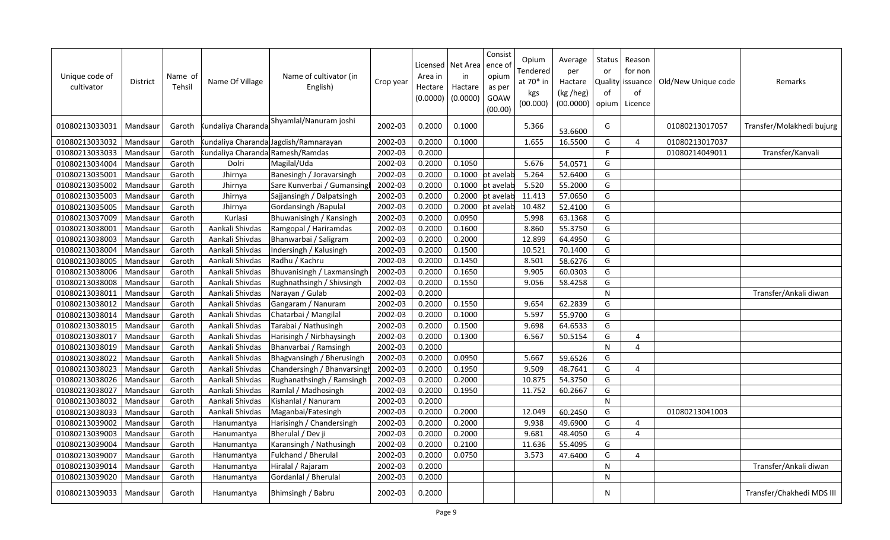| Unique code of<br>cultivator | <b>District</b> | Name of<br>Tehsil | Name Of Village                 | Name of cultivator (in<br>English)   | Crop year | Area in<br>Hectare<br>(0.0000) | Licensed   Net Area<br>in<br>Hactare<br>(0.0000) | Consist<br>ence o<br>opium<br>as per<br>GOAW<br>(00.00) | Opium<br>Fendered<br>at 70* in<br>kgs<br>(00.000) | Average<br>per<br>Hactare<br>(kg /heg)<br>(00.0000) | Status<br>or<br>of<br>opium l | Reason<br>for non<br>Quality issuance<br>of<br>Licence | Old/New Unique code | Remarks                   |
|------------------------------|-----------------|-------------------|---------------------------------|--------------------------------------|-----------|--------------------------------|--------------------------------------------------|---------------------------------------------------------|---------------------------------------------------|-----------------------------------------------------|-------------------------------|--------------------------------------------------------|---------------------|---------------------------|
| 01080213033031               | Mandsaur        | Garoth            | <b>Kundaliya Charanda</b>       | Shyamlal/Nanuram joshi               | 2002-03   | 0.2000                         | 0.1000                                           |                                                         | 5.366                                             | 53.6600                                             | G                             |                                                        | 01080213017057      | Transfer/Molakhedi bujurg |
| 01080213033032               | Mandsaur        | Garoth            |                                 | undaliya Charanda Jagdish/Ramnarayan | 2002-03   | 0.2000                         | 0.1000                                           |                                                         | 1.655                                             | 16.5500                                             | G                             | 4                                                      | 01080213017037      |                           |
| 01080213033033               | Mandsaur        | Garoth            | undaliya Charanda Ramesh/Ramdas |                                      | 2002-03   | 0.2000                         |                                                  |                                                         |                                                   |                                                     | F.                            |                                                        | 01080214049011      | Transfer/Kanvali          |
| 01080213034004               | Mandsaur        | Garoth            | Dolri                           | Magilal/Uda                          | 2002-03   | 0.2000                         | 0.1050                                           |                                                         | 5.676                                             | 54.0571                                             | G                             |                                                        |                     |                           |
| 01080213035001               | Mandsaur        | Garoth            | Jhirnya                         | Banesingh / Joravarsingh             | 2002-03   | 0.2000                         |                                                  | 0.1000 ot avelab                                        | 5.264                                             | 52.6400                                             | G                             |                                                        |                     |                           |
| 01080213035002               | Mandsaur        | Garoth            | Jhirnya                         | Sare Kunverbai / Gumansing           | 2002-03   | 0.2000                         | 0.1000                                           | ot avelab                                               | 5.520                                             | 55.2000                                             | G                             |                                                        |                     |                           |
| 01080213035003               | Mandsaur        | Garoth            | Jhirnya                         | Sajjansingh / Dalpatsingh            | 2002-03   | 0.2000                         | 0.2000                                           | ot avelab                                               | 11.413                                            | 57.0650                                             | G                             |                                                        |                     |                           |
| 01080213035005               | Mandsaur        | Garoth            | Jhirnya                         | Gordansingh / Bapulal                | 2002-03   | 0.2000                         | 0.2000                                           | ot avelab                                               | 10.482                                            | 52.4100                                             | G                             |                                                        |                     |                           |
| 01080213037009               | Mandsaur        | Garoth            | Kurlasi                         | Bhuwanisingh / Kansingh              | 2002-03   | 0.2000                         | 0.0950                                           |                                                         | 5.998                                             | 63.1368                                             | G                             |                                                        |                     |                           |
| 01080213038001               | Mandsaur        | Garoth            | Aankali Shivdas                 | Ramgopal / Hariramdas                | 2002-03   | 0.2000                         | 0.1600                                           |                                                         | 8.860                                             | 55.3750                                             | G                             |                                                        |                     |                           |
| 01080213038003               | Mandsaur        | Garoth            | Aankali Shivdas                 | Bhanwarbai / Saligram                | 2002-03   | 0.2000                         | 0.2000                                           |                                                         | 12.899                                            | 64.4950                                             | G                             |                                                        |                     |                           |
| 01080213038004               | Mandsaur        | Garoth            | Aankali Shivdas                 | Indersingh / Kalusingh               | 2002-03   | 0.2000                         | 0.1500                                           |                                                         | 10.521                                            | 70.1400                                             | G                             |                                                        |                     |                           |
| 01080213038005               | Mandsaur        | Garoth            | Aankali Shivdas                 | Radhu / Kachru                       | 2002-03   | 0.2000                         | 0.1450                                           |                                                         | 8.501                                             | 58.6276                                             | G                             |                                                        |                     |                           |
| 01080213038006               | Mandsaur        | Garoth            | Aankali Shivdas                 | Bhuvanisingh / Laxmansingh           | 2002-03   | 0.2000                         | 0.1650                                           |                                                         | 9.905                                             | 60.0303                                             | G                             |                                                        |                     |                           |
| 01080213038008               | Mandsaur        | Garoth            | Aankali Shivdas                 | Rughnathsingh / Shivsingh            | 2002-03   | 0.2000                         | 0.1550                                           |                                                         | 9.056                                             | 58.4258                                             | G                             |                                                        |                     |                           |
| 01080213038011               | Mandsaur        | Garoth            | Aankali Shivdas                 | Narayan / Gulab                      | 2002-03   | 0.2000                         |                                                  |                                                         |                                                   |                                                     | N                             |                                                        |                     | Transfer/Ankali diwan     |
| 01080213038012               | Mandsaur        | Garoth            | Aankali Shivdas                 | Gangaram / Nanuram                   | 2002-03   | 0.2000                         | 0.1550                                           |                                                         | 9.654                                             | 62.2839                                             | G                             |                                                        |                     |                           |
| 01080213038014               | Mandsaur        | Garoth            | Aankali Shivdas                 | Chatarbai / Mangilal                 | 2002-03   | 0.2000                         | 0.1000                                           |                                                         | 5.597                                             | 55.9700                                             | G                             |                                                        |                     |                           |
| 01080213038015               | Mandsaur        | Garoth            | Aankali Shivdas                 | Tarabai / Nathusingh                 | 2002-03   | 0.2000                         | 0.1500                                           |                                                         | 9.698                                             | 64.6533                                             | G                             |                                                        |                     |                           |
| 01080213038017               | Mandsaur        | Garoth            | Aankali Shivdas                 | Harisingh / Nirbhaysingh             | 2002-03   | 0.2000                         | 0.1300                                           |                                                         | 6.567                                             | 50.5154                                             | G                             | 4                                                      |                     |                           |
| 01080213038019               | Mandsaur        | Garoth            | Aankali Shivdas                 | Bhanvarbai / Ramsingh                | 2002-03   | 0.2000                         |                                                  |                                                         |                                                   |                                                     | N                             | 4                                                      |                     |                           |
| 01080213038022               | Mandsaur        | Garoth            | Aankali Shivdas                 | Bhagvansingh / Bherusingh            | 2002-03   | 0.2000                         | 0.0950                                           |                                                         | 5.667                                             | 59.6526                                             | G                             |                                                        |                     |                           |
| 01080213038023               | Mandsaur        | Garoth            | Aankali Shivdas                 | Chandersingh / Bhanvarsingh          | 2002-03   | 0.2000                         | 0.1950                                           |                                                         | 9.509                                             | 48.7641                                             | G                             | 4                                                      |                     |                           |
| 01080213038026               | Mandsaur        | Garoth            | Aankali Shivdas                 | Rughanathsingh / Ramsingh            | 2002-03   | 0.2000                         | 0.2000                                           |                                                         | 10.875                                            | 54.3750                                             | G                             |                                                        |                     |                           |
| 01080213038027               | Mandsaur        | Garoth            | Aankali Shivdas                 | Ramlal / Madhosingh                  | 2002-03   | 0.2000                         | 0.1950                                           |                                                         | 11.752                                            | 60.2667                                             | G                             |                                                        |                     |                           |
| 01080213038032               | Mandsaur        | Garoth            | Aankali Shivdas                 | Kishanlal / Nanuram                  | 2002-03   | 0.2000                         |                                                  |                                                         |                                                   |                                                     | ${\sf N}$                     |                                                        |                     |                           |
| 01080213038033               | Mandsaur        | Garoth            | Aankali Shivdas                 | Maganbai/Fatesingh                   | 2002-03   | 0.2000                         | 0.2000                                           |                                                         | 12.049                                            | 60.2450                                             | G                             |                                                        | 01080213041003      |                           |
| 01080213039002               | Mandsaur        | Garoth            | Hanumantya                      | Harisingh / Chandersingh             | 2002-03   | 0.2000                         | 0.2000                                           |                                                         | 9.938                                             | 49.6900                                             | G                             | 4                                                      |                     |                           |
| 01080213039003               | Mandsaur        | Garoth            | Hanumantya                      | Bherulal / Dev ji                    | 2002-03   | 0.2000                         | 0.2000                                           |                                                         | 9.681                                             | 48.4050                                             | G                             | 4                                                      |                     |                           |
| 01080213039004               | Mandsaur        | Garoth            | Hanumantya                      | Karansingh / Nathusingh              | 2002-03   | 0.2000                         | 0.2100                                           |                                                         | 11.636                                            | 55.4095                                             | G                             |                                                        |                     |                           |
| 01080213039007               | Mandsaur        | Garoth            | Hanumantya                      | Fulchand / Bherulal                  | 2002-03   | 0.2000                         | 0.0750                                           |                                                         | 3.573                                             | 47.6400                                             | G                             | 4                                                      |                     |                           |
| 01080213039014               | Mandsaur        | Garoth            | Hanumantya                      | Hiralal / Rajaram                    | 2002-03   | 0.2000                         |                                                  |                                                         |                                                   |                                                     | N                             |                                                        |                     | Transfer/Ankali diwan     |
| 01080213039020               | Mandsaur        | Garoth            | Hanumantya                      | Gordanlal / Bherulal                 | 2002-03   | 0.2000                         |                                                  |                                                         |                                                   |                                                     | N                             |                                                        |                     |                           |
| 01080213039033               | Mandsaur        | Garoth            | Hanumantya                      | Bhimsingh / Babru                    | 2002-03   | 0.2000                         |                                                  |                                                         |                                                   |                                                     | N                             |                                                        |                     | Transfer/Chakhedi MDS III |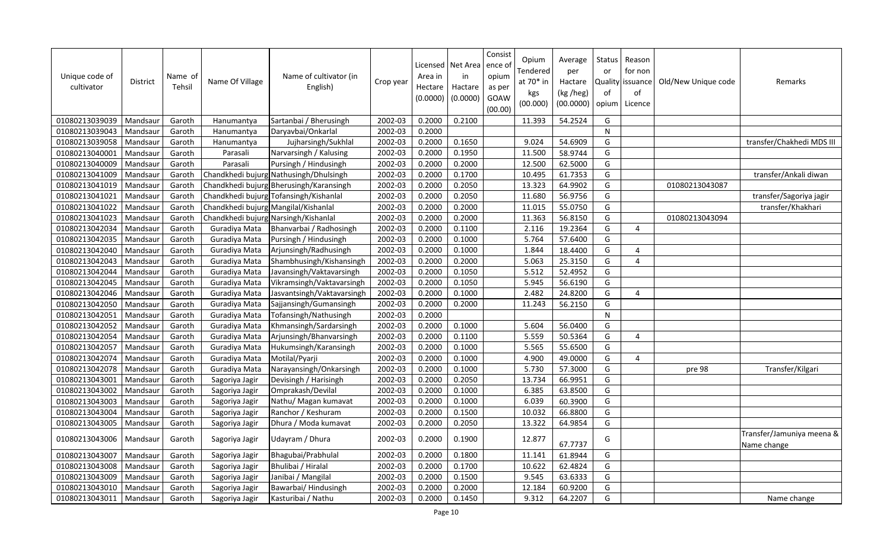| Unique code of<br>cultivator | <b>District</b> | Name of<br>Tehsil | Name Of Village                      | Name of cultivator (in<br>English)      | Crop year | Area in<br>Hectare<br>(0.0000) | Licensed   Net Area<br>in<br>Hactare<br>(0.0000) | Consist<br>ence o<br>opium<br>as per<br>GOAW<br>(00.00) | Opium<br>Tendered<br>at 70* in<br>kgs<br>(00.000) | Average<br>per<br>Hactare<br>(kg /heg)<br>(00.0000) | Status<br>or<br>Quality<br>of<br>opium | Reason<br>for non<br>lissuance<br>of<br>Licence | Old/New Unique code | Remarks                                  |
|------------------------------|-----------------|-------------------|--------------------------------------|-----------------------------------------|-----------|--------------------------------|--------------------------------------------------|---------------------------------------------------------|---------------------------------------------------|-----------------------------------------------------|----------------------------------------|-------------------------------------------------|---------------------|------------------------------------------|
| 01080213039039               | Mandsaur        | Garoth            | Hanumantya                           | Sartanbai / Bherusingh                  | 2002-03   | 0.2000                         | 0.2100                                           |                                                         | 11.393                                            | 54.2524                                             | G                                      |                                                 |                     |                                          |
| 01080213039043               | Mandsaur        | Garoth            | Hanumantya                           | Daryavbai/Onkarlal                      | 2002-03   | 0.2000                         |                                                  |                                                         |                                                   |                                                     | N                                      |                                                 |                     |                                          |
| 01080213039058               | Mandsaur        | Garoth            | Hanumantya                           | Jujharsingh/Sukhlal                     | 2002-03   | 0.2000                         | 0.1650                                           |                                                         | 9.024                                             | 54.6909                                             | G                                      |                                                 |                     | transfer/Chakhedi MDS III                |
| 01080213040001               | Mandsaur        | Garoth            | Parasali                             | Narvarsingh / Kalusing                  | 2002-03   | 0.2000                         | 0.1950                                           |                                                         | 11.500                                            | 58.9744                                             | G                                      |                                                 |                     |                                          |
| 01080213040009               | Mandsaur        | Garoth            | Parasali                             | Pursingh / Hindusingh                   | 2002-03   | 0.2000                         | 0.2000                                           |                                                         | 12.500                                            | 62.5000                                             | G                                      |                                                 |                     |                                          |
| 01080213041009               | Mandsaur        | Garoth            |                                      | Chandkhedi bujurg Nathusingh/Dhulsingh  | 2002-03   | 0.2000                         | 0.1700                                           |                                                         | 10.495                                            | 61.7353                                             | G                                      |                                                 |                     | transfer/Ankali diwan                    |
| 01080213041019               | Mandsaur        | Garoth            |                                      | Chandkhedi bujurg Bherusingh/Karansingh | 2002-03   | 0.2000                         | 0.2050                                           |                                                         | 13.323                                            | 64.9902                                             | G                                      |                                                 | 01080213043087      |                                          |
| 01080213041021               | Mandsaur        | Garoth            |                                      | Chandkhedi bujurg Tofansingh/Kishanlal  | 2002-03   | 0.2000                         | 0.2050                                           |                                                         | 11.680                                            | 56.9756                                             | G                                      |                                                 |                     | transfer/Sagoriya jagir                  |
| 01080213041022               | Mandsaur        | Garoth            | Chandkhedi bujurg Mangilal/Kishanlal |                                         | 2002-03   | 0.2000                         | 0.2000                                           |                                                         | 11.015                                            | 55.0750                                             | G                                      |                                                 |                     | transfer/Khakhari                        |
| 01080213041023               | Mandsaur        | Garoth            |                                      | Chandkhedi bujurg Narsingh/Kishanlal    | 2002-03   | 0.2000                         | 0.2000                                           |                                                         | 11.363                                            | 56.8150                                             | G                                      |                                                 | 01080213043094      |                                          |
| 01080213042034               | Mandsaur        | Garoth            | Guradiya Mata                        | Bhanvarbai / Radhosingh                 | 2002-03   | 0.2000                         | 0.1100                                           |                                                         | 2.116                                             | 19.2364                                             | G                                      | 4                                               |                     |                                          |
| 01080213042035               | Mandsaur        | Garoth            | Guradiya Mata                        | Pursingh / Hindusingh                   | 2002-03   | 0.2000                         | 0.1000                                           |                                                         | 5.764                                             | 57.6400                                             | G                                      |                                                 |                     |                                          |
| 01080213042040               | Mandsaur        | Garoth            | Guradiya Mata                        | Arjunsingh/Radhusingh                   | 2002-03   | 0.2000                         | 0.1000                                           |                                                         | 1.844                                             | 18.4400                                             | G                                      | 4                                               |                     |                                          |
| 01080213042043               | Mandsaur        | Garoth            | Guradiya Mata                        | Shambhusingh/Kishansingh                | 2002-03   | 0.2000                         | 0.2000                                           |                                                         | 5.063                                             | 25.3150                                             | G                                      | 4                                               |                     |                                          |
| 01080213042044               | Mandsaur        | Garoth            | Guradiya Mata                        | Javansingh/Vaktavarsingh                | 2002-03   | 0.2000                         | 0.1050                                           |                                                         | 5.512                                             | 52.4952                                             | G                                      |                                                 |                     |                                          |
| 01080213042045               | Mandsaur        | Garoth            | Guradiya Mata                        | Vikramsingh/Vaktavarsingh               | 2002-03   | 0.2000                         | 0.1050                                           |                                                         | 5.945                                             | 56.6190                                             | G                                      |                                                 |                     |                                          |
| 01080213042046               | Mandsaur        | Garoth            | Guradiya Mata                        | Jasvantsingh/Vaktavarsingh              | 2002-03   | 0.2000                         | 0.1000                                           |                                                         | 2.482                                             | 24.8200                                             | G                                      | 4                                               |                     |                                          |
| 01080213042050               | Mandsaur        | Garoth            | Guradiya Mata                        | Sajjansingh/Gumansingh                  | 2002-03   | 0.2000                         | 0.2000                                           |                                                         | 11.243                                            | 56.2150                                             | G                                      |                                                 |                     |                                          |
| 01080213042051               | Mandsaur        | Garoth            | Guradiya Mata                        | Tofansingh/Nathusingh                   | 2002-03   | 0.2000                         |                                                  |                                                         |                                                   |                                                     | $\mathsf{N}$                           |                                                 |                     |                                          |
| 01080213042052               | Mandsaur        | Garoth            | Guradiya Mata                        | Khmansingh/Sardarsingh                  | 2002-03   | 0.2000                         | 0.1000                                           |                                                         | 5.604                                             | 56.0400                                             | G                                      |                                                 |                     |                                          |
| 01080213042054               | Mandsaur        | Garoth            | Guradiya Mata                        | Arjunsingh/Bhanvarsingh                 | 2002-03   | 0.2000                         | 0.1100                                           |                                                         | 5.559                                             | 50.5364                                             | G                                      | 4                                               |                     |                                          |
| 01080213042057               | Mandsaur        | Garoth            | Guradiya Mata                        | Hukumsingh/Karansingh                   | 2002-03   | 0.2000                         | 0.1000                                           |                                                         | 5.565                                             | 55.6500                                             | G                                      |                                                 |                     |                                          |
| 01080213042074               | Mandsaur        | Garoth            | Guradiya Mata                        | Motilal/Pyarji                          | 2002-03   | 0.2000                         | 0.1000                                           |                                                         | 4.900                                             | 49.0000                                             | G                                      | 4                                               |                     |                                          |
| 01080213042078               | Mandsaur        | Garoth            | Guradiya Mata                        | Narayansingh/Onkarsingh                 | 2002-03   | 0.2000                         | 0.1000                                           |                                                         | 5.730                                             | 57.3000                                             | G                                      |                                                 | pre 98              | Transfer/Kilgari                         |
| 01080213043001               | Mandsaur        | Garoth            | Sagoriya Jagir                       | Devisingh / Harisingh                   | 2002-03   | 0.2000                         | 0.2050                                           |                                                         | 13.734                                            | 66.9951                                             | G                                      |                                                 |                     |                                          |
| 01080213043002               | Mandsaur        | Garoth            | Sagoriya Jagir                       | Omprakash/Devilal                       | 2002-03   | 0.2000                         | 0.1000                                           |                                                         | 6.385                                             | 63.8500                                             | G                                      |                                                 |                     |                                          |
| 01080213043003               | Mandsaur        | Garoth            | Sagoriya Jagir                       | Nathu/ Magan kumavat                    | 2002-03   | 0.2000                         | 0.1000                                           |                                                         | 6.039                                             | 60.3900                                             | G                                      |                                                 |                     |                                          |
| 01080213043004               | Mandsaur        | Garoth            | Sagoriya Jagir                       | Ranchor / Keshuram                      | 2002-03   | 0.2000                         | 0.1500                                           |                                                         | 10.032                                            | 66.8800                                             | G                                      |                                                 |                     |                                          |
| 01080213043005               | Mandsaur        | Garoth            | Sagoriya Jagir                       | Dhura / Moda kumavat                    | 2002-03   | 0.2000                         | 0.2050                                           |                                                         | 13.322                                            | 64.9854                                             | G                                      |                                                 |                     |                                          |
| 01080213043006               | Mandsaur        | Garoth            | Sagoriya Jagir                       | Udayram / Dhura                         | 2002-03   | 0.2000                         | 0.1900                                           |                                                         | 12.877                                            | 67.7737                                             | G                                      |                                                 |                     | Transfer/Jamuniya meena &<br>Name change |
| 01080213043007               | Mandsaur        | Garoth            | Sagoriya Jagir                       | Bhagubai/Prabhulal                      | 2002-03   | 0.2000                         | 0.1800                                           |                                                         | 11.141                                            | 61.8944                                             | G                                      |                                                 |                     |                                          |
| 01080213043008               | Mandsaur        | Garoth            | Sagoriya Jagir                       | Bhulibai / Hiralal                      | 2002-03   | 0.2000                         | 0.1700                                           |                                                         | 10.622                                            | 62.4824                                             | G                                      |                                                 |                     |                                          |
| 01080213043009               | Mandsaur        | Garoth            | Sagoriya Jagir                       | Janibai / Mangilal                      | 2002-03   | 0.2000                         | 0.1500                                           |                                                         | 9.545                                             | 63.6333                                             | G                                      |                                                 |                     |                                          |
| 01080213043010               | Mandsaur        | Garoth            | Sagoriya Jagir                       | Bawarbai/ Hindusingh                    | 2002-03   | 0.2000                         | 0.2000                                           |                                                         | 12.184                                            | 60.9200                                             | G                                      |                                                 |                     |                                          |
| 01080213043011               | Mandsaur        | Garoth            | Sagoriya Jagir                       | Kasturibai / Nathu                      | 2002-03   | 0.2000                         | 0.1450                                           |                                                         | 9.312                                             | 64.2207                                             | G                                      |                                                 |                     | Name change                              |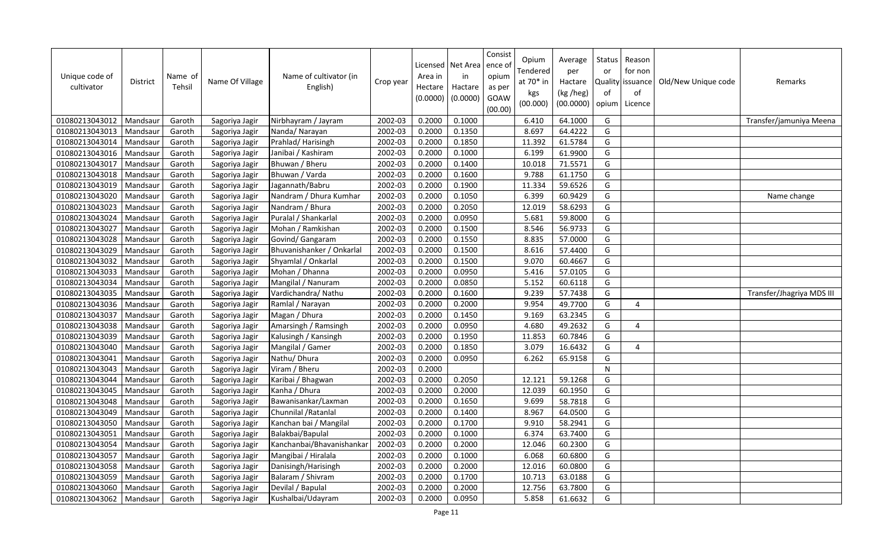| Unique code of<br>cultivator | <b>District</b> | Name of<br>Tehsil | Name Of Village | Name of cultivator (in<br>English) | Crop year | Area in<br>Hectare<br>(0.0000) | Licensed   Net Area<br>in<br>Hactare<br>(0.0000) | Consist<br>ence o<br>opium<br>as per<br>GOAW<br>(00.00) | Opium<br>Tendered<br>at $70*$ in<br>kgs<br>(00.000) | Average<br>per<br>Hactare<br>(kg /heg)<br>(00.0000) | Status<br>or<br>Quality<br>of<br>opium | Reason<br>for non<br>lissuance<br>of<br>Licence | Old/New Unique code | Remarks                   |
|------------------------------|-----------------|-------------------|-----------------|------------------------------------|-----------|--------------------------------|--------------------------------------------------|---------------------------------------------------------|-----------------------------------------------------|-----------------------------------------------------|----------------------------------------|-------------------------------------------------|---------------------|---------------------------|
| 01080213043012               | Mandsaur        | Garoth            | Sagoriya Jagir  | Nirbhayram / Jayram                | 2002-03   | 0.2000                         | 0.1000                                           |                                                         | 6.410                                               | 64.1000                                             | G                                      |                                                 |                     | Transfer/jamuniya Meena   |
| 01080213043013               | Mandsaur        | Garoth            | Sagoriya Jagir  | Nanda/Narayan                      | 2002-03   | 0.2000                         | 0.1350                                           |                                                         | 8.697                                               | 64.4222                                             | G                                      |                                                 |                     |                           |
| 01080213043014               | Mandsaur        | Garoth            | Sagoriya Jagir  | Prahlad/Harisingh                  | 2002-03   | 0.2000                         | 0.1850                                           |                                                         | 11.392                                              | 61.5784                                             | G                                      |                                                 |                     |                           |
| 01080213043016               | Mandsaur        | Garoth            | Sagoriya Jagir  | Janibai / Kashiram                 | 2002-03   | 0.2000                         | 0.1000                                           |                                                         | 6.199                                               | 61.9900                                             | G                                      |                                                 |                     |                           |
| 01080213043017               | Mandsaur        | Garoth            | Sagoriya Jagir  | Bhuwan / Bheru                     | 2002-03   | 0.2000                         | 0.1400                                           |                                                         | 10.018                                              | 71.5571                                             | G                                      |                                                 |                     |                           |
| 01080213043018               | Mandsaur        | Garoth            | Sagoriya Jagir  | Bhuwan / Varda                     | 2002-03   | 0.2000                         | 0.1600                                           |                                                         | 9.788                                               | 61.1750                                             | G                                      |                                                 |                     |                           |
| 01080213043019               | Mandsaur        | Garoth            | Sagoriya Jagir  | Jagannath/Babru                    | 2002-03   | 0.2000                         | 0.1900                                           |                                                         | 11.334                                              | 59.6526                                             | G                                      |                                                 |                     |                           |
| 01080213043020               | Mandsaur        | Garoth            | Sagoriya Jagir  | Nandram / Dhura Kumhar             | 2002-03   | 0.2000                         | 0.1050                                           |                                                         | 6.399                                               | 60.9429                                             | G                                      |                                                 |                     | Name change               |
| 01080213043023               | Mandsaur        | Garoth            | Sagoriya Jagir  | Nandram / Bhura                    | 2002-03   | 0.2000                         | 0.2050                                           |                                                         | 12.019                                              | 58.6293                                             | G                                      |                                                 |                     |                           |
| 01080213043024               | Mandsaur        | Garoth            | Sagoriya Jagir  | Puralal / Shankarlal               | 2002-03   | 0.2000                         | 0.0950                                           |                                                         | 5.681                                               | 59.8000                                             | G                                      |                                                 |                     |                           |
| 01080213043027               | Mandsaur        | Garoth            | Sagoriya Jagir  | Mohan / Ramkishan                  | 2002-03   | 0.2000                         | 0.1500                                           |                                                         | 8.546                                               | 56.9733                                             | G                                      |                                                 |                     |                           |
| 01080213043028               | Mandsaur        | Garoth            | Sagoriya Jagir  | Govind/ Gangaram                   | 2002-03   | 0.2000                         | 0.1550                                           |                                                         | 8.835                                               | 57.0000                                             | G                                      |                                                 |                     |                           |
| 01080213043029               | Mandsaur        | Garoth            | Sagoriya Jagir  | Bhuvanishanker / Onkarlal          | 2002-03   | 0.2000                         | 0.1500                                           |                                                         | 8.616                                               | 57.4400                                             | G                                      |                                                 |                     |                           |
| 01080213043032               | Mandsaur        | Garoth            | Sagoriya Jagir  | Shyamlal / Onkarlal                | 2002-03   | 0.2000                         | 0.1500                                           |                                                         | 9.070                                               | 60.4667                                             | G                                      |                                                 |                     |                           |
| 01080213043033               | Mandsaur        | Garoth            | Sagoriya Jagir  | Mohan / Dhanna                     | 2002-03   | 0.2000                         | 0.0950                                           |                                                         | 5.416                                               | 57.0105                                             | G                                      |                                                 |                     |                           |
| 01080213043034               | Mandsaur        | Garoth            | Sagoriya Jagir  | Mangilal / Nanuram                 | 2002-03   | 0.2000                         | 0.0850                                           |                                                         | 5.152                                               | 60.6118                                             | G                                      |                                                 |                     |                           |
| 01080213043035               | Mandsaur        | Garoth            | Sagoriya Jagir  | Vardichandra/ Nathu                | 2002-03   | 0.2000                         | 0.1600                                           |                                                         | 9.239                                               | 57.7438                                             | G                                      |                                                 |                     | Transfer/Jhagriya MDS III |
| 01080213043036               | Mandsaur        | Garoth            | Sagoriya Jagir  | Ramlal / Narayan                   | 2002-03   | 0.2000                         | 0.2000                                           |                                                         | 9.954                                               | 49.7700                                             | G                                      | 4                                               |                     |                           |
| 01080213043037               | Mandsaur        | Garoth            | Sagoriya Jagir  | Magan / Dhura                      | 2002-03   | 0.2000                         | 0.1450                                           |                                                         | 9.169                                               | 63.2345                                             | G                                      |                                                 |                     |                           |
| 01080213043038               | Mandsaur        | Garoth            | Sagoriya Jagir  | Amarsingh / Ramsingh               | 2002-03   | 0.2000                         | 0.0950                                           |                                                         | 4.680                                               | 49.2632                                             | G                                      | 4                                               |                     |                           |
| 01080213043039               | Mandsaur        | Garoth            | Sagoriya Jagir  | Kalusingh / Kansingh               | 2002-03   | 0.2000                         | 0.1950                                           |                                                         | 11.853                                              | 60.7846                                             | G                                      |                                                 |                     |                           |
| 01080213043040               | Mandsaur        | Garoth            | Sagoriya Jagir  | Mangilal / Gamer                   | 2002-03   | 0.2000                         | 0.1850                                           |                                                         | 3.079                                               | 16.6432                                             | G                                      | 4                                               |                     |                           |
| 01080213043041               | Mandsaur        | Garoth            | Sagoriya Jagir  | Nathu/ Dhura                       | 2002-03   | 0.2000                         | 0.0950                                           |                                                         | 6.262                                               | 65.9158                                             | G                                      |                                                 |                     |                           |
| 01080213043043               | Mandsaur        | Garoth            | Sagoriya Jagir  | Viram / Bheru                      | 2002-03   | 0.2000                         |                                                  |                                                         |                                                     |                                                     | $\mathsf{N}$                           |                                                 |                     |                           |
| 01080213043044               | Mandsaur        | Garoth            | Sagoriya Jagir  | Karibai / Bhagwan                  | 2002-03   | 0.2000                         | 0.2050                                           |                                                         | 12.121                                              | 59.1268                                             | G                                      |                                                 |                     |                           |
| 01080213043045               | Mandsaur        | Garoth            | Sagoriya Jagir  | Kanha / Dhura                      | 2002-03   | 0.2000                         | 0.2000                                           |                                                         | 12.039                                              | 60.1950                                             | G                                      |                                                 |                     |                           |
| 01080213043048               | Mandsaur        | Garoth            | Sagoriya Jagir  | Bawanisankar/Laxman                | 2002-03   | 0.2000                         | 0.1650                                           |                                                         | 9.699                                               | 58.7818                                             | G                                      |                                                 |                     |                           |
| 01080213043049               | Mandsaur        | Garoth            | Sagoriya Jagir  | Chunnilal / Ratanlal               | 2002-03   | 0.2000                         | 0.1400                                           |                                                         | 8.967                                               | 64.0500                                             | G                                      |                                                 |                     |                           |
| 01080213043050               | Mandsaur        | Garoth            | Sagoriya Jagir  | Kanchan bai / Mangilal             | 2002-03   | 0.2000                         | 0.1700                                           |                                                         | 9.910                                               | 58.2941                                             | G                                      |                                                 |                     |                           |
| 01080213043051               | Mandsaur        | Garoth            | Sagoriya Jagir  | Balakbai/Bapulal                   | 2002-03   | 0.2000                         | 0.1000                                           |                                                         | 6.374                                               | 63.7400                                             | G                                      |                                                 |                     |                           |
| 01080213043054               | Mandsaur        | Garoth            | Sagoriya Jagir  | Kanchanbai/Bhavanishankar          | 2002-03   | 0.2000                         | 0.2000                                           |                                                         | 12.046                                              | 60.2300                                             | G                                      |                                                 |                     |                           |
| 01080213043057               | Mandsaur        | Garoth            | Sagoriya Jagir  | Mangibai / Hiralala                | 2002-03   | 0.2000                         | 0.1000                                           |                                                         | 6.068                                               | 60.6800                                             | G                                      |                                                 |                     |                           |
| 01080213043058               | Mandsaur        | Garoth            | Sagoriya Jagir  | Danisingh/Harisingh                | 2002-03   | 0.2000                         | 0.2000                                           |                                                         | 12.016                                              | 60.0800                                             | G                                      |                                                 |                     |                           |
| 01080213043059               | Mandsaur        | Garoth            | Sagoriya Jagir  | Balaram / Shivram                  | 2002-03   | 0.2000                         | 0.1700                                           |                                                         | 10.713                                              | 63.0188                                             | G                                      |                                                 |                     |                           |
| 01080213043060               | Mandsaur        | Garoth            | Sagoriya Jagir  | Devilal / Bapulal                  | 2002-03   | 0.2000                         | 0.2000                                           |                                                         | 12.756                                              | 63.7800                                             | G                                      |                                                 |                     |                           |
| 01080213043062               | Mandsaur        | Garoth            | Sagoriya Jagir  | Kushalbai/Udayram                  | 2002-03   | 0.2000                         | 0.0950                                           |                                                         | 5.858                                               | 61.6632                                             | G                                      |                                                 |                     |                           |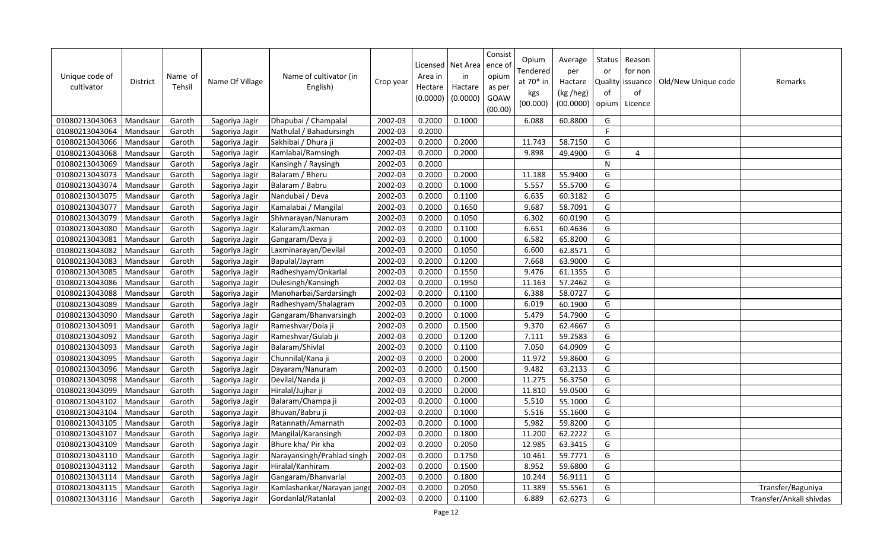| Unique code of<br>cultivator | <b>District</b> | Name of<br>Tehsil | Name Of Village | Name of cultivator (in<br>English) | Crop year | Area in<br>Hectare<br>(0.0000) | Licensed   Net Area<br>in<br>Hactare<br>(0.0000) | Consist<br>ence of<br>opium<br>as per<br>GOAW<br>(00.00) | Opium<br>Tendered<br>at 70* in<br>kgs<br>(00.000) | Average<br>per<br>Hactare<br>(kg /heg)<br>(00.0000) | Status<br>or<br>Quality<br>of<br>opium | Reason<br>for non<br>issuance<br>of<br>Licence | Old/New Unique code | Remarks                 |
|------------------------------|-----------------|-------------------|-----------------|------------------------------------|-----------|--------------------------------|--------------------------------------------------|----------------------------------------------------------|---------------------------------------------------|-----------------------------------------------------|----------------------------------------|------------------------------------------------|---------------------|-------------------------|
| 01080213043063               | Mandsaur        | Garoth            | Sagoriya Jagir  | Dhapubai / Champalal               | 2002-03   | 0.2000                         | 0.1000                                           |                                                          | 6.088                                             | 60.8800                                             | G                                      |                                                |                     |                         |
| 01080213043064               | Mandsaur        | Garoth            | Sagoriya Jagir  | Nathulal / Bahadursingh            | 2002-03   | 0.2000                         |                                                  |                                                          |                                                   |                                                     | F.                                     |                                                |                     |                         |
| 01080213043066               | Mandsaur        | Garoth            | Sagoriya Jagir  | Sakhibai / Dhura ji                | 2002-03   | 0.2000                         | 0.2000                                           |                                                          | 11.743                                            | 58.7150                                             | G                                      |                                                |                     |                         |
| 01080213043068               | Mandsaur        | Garoth            | Sagoriya Jagir  | Kamlabai/Ramsingh                  | 2002-03   | 0.2000                         | 0.2000                                           |                                                          | 9.898                                             | 49.4900                                             | G                                      | 4                                              |                     |                         |
| 01080213043069               | Mandsaur        | Garoth            | Sagoriya Jagir  | Kansingh / Raysingh                | 2002-03   | 0.2000                         |                                                  |                                                          |                                                   |                                                     | ${\sf N}$                              |                                                |                     |                         |
| 01080213043073               | Mandsaur        | Garoth            | Sagoriya Jagir  | Balaram / Bheru                    | 2002-03   | 0.2000                         | 0.2000                                           |                                                          | 11.188                                            | 55.9400                                             | G                                      |                                                |                     |                         |
| 01080213043074               | Mandsaur        | Garoth            | Sagoriya Jagir  | Balaram / Babru                    | 2002-03   | 0.2000                         | 0.1000                                           |                                                          | 5.557                                             | 55.5700                                             | G                                      |                                                |                     |                         |
| 01080213043075               | Mandsaur        | Garoth            | Sagoriya Jagir  | Nandubai / Deva                    | 2002-03   | 0.2000                         | 0.1100                                           |                                                          | 6.635                                             | 60.3182                                             | G                                      |                                                |                     |                         |
| 01080213043077               | Mandsaur        | Garoth            | Sagoriya Jagir  | Kamalabai / Mangilal               | 2002-03   | 0.2000                         | 0.1650                                           |                                                          | 9.687                                             | 58.7091                                             | G                                      |                                                |                     |                         |
| 01080213043079               | Mandsaur        | Garoth            | Sagoriya Jagir  | Shivnarayan/Nanuram                | 2002-03   | 0.2000                         | 0.1050                                           |                                                          | 6.302                                             | 60.0190                                             | G                                      |                                                |                     |                         |
| 01080213043080               | Mandsau         | Garoth            | Sagoriya Jagir  | Kaluram/Laxman                     | 2002-03   | 0.2000                         | 0.1100                                           |                                                          | 6.651                                             | 60.4636                                             | G                                      |                                                |                     |                         |
| 01080213043081               | Mandsaur        | Garoth            | Sagoriya Jagir  | Gangaram/Deva ji                   | 2002-03   | 0.2000                         | 0.1000                                           |                                                          | 6.582                                             | 65.8200                                             | G                                      |                                                |                     |                         |
| 01080213043082               | Mandsaur        | Garoth            | Sagoriya Jagir  | Laxminarayan/Devilal               | 2002-03   | 0.2000                         | 0.1050                                           |                                                          | 6.600                                             | 62.8571                                             | G                                      |                                                |                     |                         |
| 01080213043083               | Mandsaur        | Garoth            | Sagoriya Jagir  | Bapulal/Jayram                     | 2002-03   | 0.2000                         | 0.1200                                           |                                                          | 7.668                                             | 63.9000                                             | G                                      |                                                |                     |                         |
| 01080213043085               | Mandsau         | Garoth            | Sagoriya Jagir  | Radheshyam/Onkarlal                | 2002-03   | 0.2000                         | 0.1550                                           |                                                          | 9.476                                             | 61.1355                                             | G                                      |                                                |                     |                         |
| 01080213043086               | Mandsaur        | Garoth            | Sagoriya Jagir  | Dulesingh/Kansingh                 | 2002-03   | 0.2000                         | 0.1950                                           |                                                          | 11.163                                            | 57.2462                                             | G                                      |                                                |                     |                         |
| 01080213043088               | Mandsaur        | Garoth            | Sagoriya Jagir  | Manoharbai/Sardarsingh             | 2002-03   | 0.2000                         | 0.1100                                           |                                                          | 6.388                                             | 58.0727                                             | G                                      |                                                |                     |                         |
| 01080213043089               | Mandsaur        | Garoth            | Sagoriya Jagir  | Radheshyam/Shalagram               | 2002-03   | 0.2000                         | 0.1000                                           |                                                          | 6.019                                             | 60.1900                                             | G                                      |                                                |                     |                         |
| 01080213043090               | Mandsaur        | Garoth            | Sagoriya Jagir  | Gangaram/Bhanvarsingh              | 2002-03   | 0.2000                         | 0.1000                                           |                                                          | 5.479                                             | 54.7900                                             | G                                      |                                                |                     |                         |
| 01080213043091               | Mandsaur        | Garoth            | Sagoriya Jagir  | Rameshvar/Dola ji                  | 2002-03   | 0.2000                         | 0.1500                                           |                                                          | 9.370                                             | 62.4667                                             | G                                      |                                                |                     |                         |
| 01080213043092               | Mandsaur        | Garoth            | Sagoriya Jagir  | Rameshvar/Gulab ji                 | 2002-03   | 0.2000                         | 0.1200                                           |                                                          | 7.111                                             | 59.2583                                             | G                                      |                                                |                     |                         |
| 01080213043093               | Mandsaur        | Garoth            | Sagoriya Jagir  | Balaram/Shivlal                    | 2002-03   | 0.2000                         | 0.1100                                           |                                                          | 7.050                                             | 64.0909                                             | G                                      |                                                |                     |                         |
| 01080213043095               | Mandsaur        | Garoth            | Sagoriya Jagir  | Chunnilal/Kana ji                  | 2002-03   | 0.2000                         | 0.2000                                           |                                                          | 11.972                                            | 59.8600                                             | G                                      |                                                |                     |                         |
| 01080213043096               | Mandsaur        | Garoth            | Sagoriya Jagir  | Dayaram/Nanuram                    | 2002-03   | 0.2000                         | 0.1500                                           |                                                          | 9.482                                             | 63.2133                                             | G                                      |                                                |                     |                         |
| 01080213043098               | Mandsaur        | Garoth            | Sagoriya Jagir  | Devilal/Nanda ji                   | 2002-03   | 0.2000                         | 0.2000                                           |                                                          | 11.275                                            | 56.3750                                             | G                                      |                                                |                     |                         |
| 01080213043099               | Mandsaur        | Garoth            | Sagoriya Jagir  | Hiralal/Jujhar ji                  | 2002-03   | 0.2000                         | 0.2000                                           |                                                          | 11.810                                            | 59.0500                                             | G                                      |                                                |                     |                         |
| 01080213043102               | Mandsaur        | Garoth            | Sagoriya Jagir  | Balaram/Champa ji                  | 2002-03   | 0.2000                         | 0.1000                                           |                                                          | 5.510                                             | 55.1000                                             | G                                      |                                                |                     |                         |
| 01080213043104               | Mandsaur        | Garoth            | Sagoriya Jagir  | Bhuvan/Babru ji                    | 2002-03   | 0.2000                         | 0.1000                                           |                                                          | 5.516                                             | 55.1600                                             | G                                      |                                                |                     |                         |
| 01080213043105               | Mandsaur        | Garoth            | Sagoriya Jagir  | Ratannath/Amarnath                 | 2002-03   | 0.2000                         | 0.1000                                           |                                                          | 5.982                                             | 59.8200                                             | G                                      |                                                |                     |                         |
| 01080213043107               | Mandsau         | Garoth            | Sagoriya Jagir  | Mangilal/Karansingh                | 2002-03   | 0.2000                         | 0.1800                                           |                                                          | 11.200                                            | 62.2222                                             | G                                      |                                                |                     |                         |
| 01080213043109               | Mandsaur        | Garoth            | Sagoriya Jagir  | Bhure kha/ Pir kha                 | 2002-03   | 0.2000                         | 0.2050                                           |                                                          | 12.985                                            | 63.3415                                             | G                                      |                                                |                     |                         |
| 01080213043110               | Mandsau         | Garoth            | Sagoriya Jagir  | Narayansingh/Prahlad singh         | 2002-03   | 0.2000                         | 0.1750                                           |                                                          | 10.461                                            | 59.7771                                             | G                                      |                                                |                     |                         |
| 01080213043112               | Mandsaur        | Garoth            | Sagoriya Jagir  | Hiralal/Kanhiram                   | 2002-03   | 0.2000                         | 0.1500                                           |                                                          | 8.952                                             | 59.6800                                             | G                                      |                                                |                     |                         |
| 01080213043114               | Mandsau         | Garoth            | Sagoriya Jagir  | Gangaram/Bhanvarlal                | 2002-03   | 0.2000                         | 0.1800                                           |                                                          | 10.244                                            | 56.9111                                             | G                                      |                                                |                     |                         |
| 01080213043115               | Mandsaur        | Garoth            | Sagoriya Jagir  | Kamlashankar/Narayan jang          | 2002-03   | 0.2000                         | 0.2050                                           |                                                          | 11.389                                            | 55.5561                                             | G                                      |                                                |                     | Transfer/Baguniya       |
| 01080213043116               | Mandsaur        | Garoth            | Sagoriya Jagir  | Gordanlal/Ratanlal                 | 2002-03   | 0.2000                         | 0.1100                                           |                                                          | 6.889                                             | 62.6273                                             | G                                      |                                                |                     | Transfer/Ankali shivdas |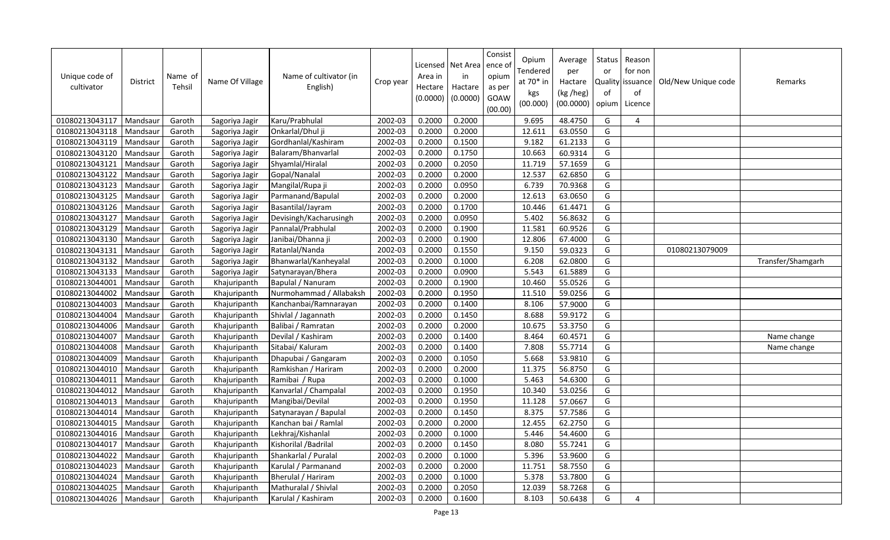| Unique code of<br>cultivator | <b>District</b> | Name of<br>Tehsil | Name Of Village | Name of cultivator (in<br>English) | Crop year | Area in<br>Hectare<br>(0.0000) | Licensed   Net Area<br>in<br>Hactare<br>(0.0000) | Consist<br>ence of<br>opium<br>as per<br>GOAW<br>(00.00) | Opium<br>Tendered<br>at 70* in<br>kgs<br>(00.000) | Average<br>per<br>Hactare<br>(kg /heg)<br>(00.0000) | Status<br>or<br>Quality<br>of<br>opium | Reason<br>for non<br>issuance<br>of<br>Licence | Old/New Unique code | Remarks           |
|------------------------------|-----------------|-------------------|-----------------|------------------------------------|-----------|--------------------------------|--------------------------------------------------|----------------------------------------------------------|---------------------------------------------------|-----------------------------------------------------|----------------------------------------|------------------------------------------------|---------------------|-------------------|
| 01080213043117               | Mandsaur        | Garoth            | Sagoriya Jagir  | Karu/Prabhulal                     | 2002-03   | 0.2000                         | 0.2000                                           |                                                          | 9.695                                             | 48.4750                                             | G                                      | 4                                              |                     |                   |
| 01080213043118               | Mandsaur        | Garoth            | Sagoriya Jagir  | Onkarlal/Dhul ji                   | 2002-03   | 0.2000                         | 0.2000                                           |                                                          | 12.611                                            | 63.0550                                             | G                                      |                                                |                     |                   |
| 01080213043119               | Mandsaur        | Garoth            | Sagoriya Jagir  | Gordhanlal/Kashiram                | 2002-03   | 0.2000                         | 0.1500                                           |                                                          | 9.182                                             | 61.2133                                             | G                                      |                                                |                     |                   |
| 01080213043120               | Mandsaur        | Garoth            | Sagoriya Jagir  | Balaram/Bhanvarlal                 | 2002-03   | 0.2000                         | 0.1750                                           |                                                          | 10.663                                            | 60.9314                                             | G                                      |                                                |                     |                   |
| 01080213043121               | Mandsaur        | Garoth            | Sagoriya Jagir  | Shyamlal/Hiralal                   | 2002-03   | 0.2000                         | 0.2050                                           |                                                          | 11.719                                            | 57.1659                                             | G                                      |                                                |                     |                   |
| 01080213043122               | Mandsaur        | Garoth            | Sagoriya Jagir  | Gopal/Nanalal                      | 2002-03   | 0.2000                         | 0.2000                                           |                                                          | 12.537                                            | 62.6850                                             | G                                      |                                                |                     |                   |
| 01080213043123               | Mandsaur        | Garoth            | Sagoriya Jagir  | Mangilal/Rupa ji                   | 2002-03   | 0.2000                         | 0.0950                                           |                                                          | 6.739                                             | 70.9368                                             | G                                      |                                                |                     |                   |
| 01080213043125               | Mandsaur        | Garoth            | Sagoriya Jagir  | Parmanand/Bapulal                  | 2002-03   | 0.2000                         | 0.2000                                           |                                                          | 12.613                                            | 63.0650                                             | G                                      |                                                |                     |                   |
| 01080213043126               | Mandsaur        | Garoth            | Sagoriya Jagir  | Basantilal/Jayram                  | 2002-03   | 0.2000                         | 0.1700                                           |                                                          | 10.446                                            | 61.4471                                             | G                                      |                                                |                     |                   |
| 01080213043127               | Mandsaur        | Garoth            | Sagoriya Jagir  | Devisingh/Kacharusingh             | 2002-03   | 0.2000                         | 0.0950                                           |                                                          | 5.402                                             | 56.8632                                             | G                                      |                                                |                     |                   |
| 01080213043129               | Mandsau         | Garoth            | Sagoriya Jagir  | Pannalal/Prabhulal                 | 2002-03   | 0.2000                         | 0.1900                                           |                                                          | 11.581                                            | 60.9526                                             | G                                      |                                                |                     |                   |
| 01080213043130               | Mandsaur        | Garoth            | Sagoriya Jagir  | Janibai/Dhanna ji                  | 2002-03   | 0.2000                         | 0.1900                                           |                                                          | 12.806                                            | 67.4000                                             | G                                      |                                                |                     |                   |
| 01080213043131               | Mandsaur        | Garoth            | Sagoriya Jagir  | Ratanlal/Nanda                     | 2002-03   | 0.2000                         | 0.1550                                           |                                                          | 9.150                                             | 59.0323                                             | G                                      |                                                | 01080213079009      |                   |
| 01080213043132               | Mandsaur        | Garoth            | Sagoriya Jagir  | Bhanwarlal/Kanheyalal              | 2002-03   | 0.2000                         | 0.1000                                           |                                                          | 6.208                                             | 62.0800                                             | G                                      |                                                |                     | Transfer/Shamgarh |
| 01080213043133               | Mandsau         | Garoth            | Sagoriya Jagir  | Satynarayan/Bhera                  | 2002-03   | 0.2000                         | 0.0900                                           |                                                          | 5.543                                             | 61.5889                                             | G                                      |                                                |                     |                   |
| 01080213044001               | Mandsaur        | Garoth            | Khajuripanth    | Bapulal / Nanuram                  | 2002-03   | 0.2000                         | 0.1900                                           |                                                          | 10.460                                            | 55.0526                                             | G                                      |                                                |                     |                   |
| 01080213044002               | Mandsaur        | Garoth            | Khajuripanth    | Nurmohammad / Allabaksh            | 2002-03   | 0.2000                         | 0.1950                                           |                                                          | 11.510                                            | 59.0256                                             | G                                      |                                                |                     |                   |
| 01080213044003               | Mandsaur        | Garoth            | Khajuripanth    | Kanchanbai/Ramnarayan              | 2002-03   | 0.2000                         | 0.1400                                           |                                                          | 8.106                                             | 57.9000                                             | G                                      |                                                |                     |                   |
| 01080213044004               | Mandsaur        | Garoth            | Khajuripanth    | Shivlal / Jagannath                | 2002-03   | 0.2000                         | 0.1450                                           |                                                          | 8.688                                             | 59.9172                                             | G                                      |                                                |                     |                   |
| 01080213044006               | Mandsaur        | Garoth            | Khajuripanth    | Balibai / Ramratan                 | 2002-03   | 0.2000                         | 0.2000                                           |                                                          | 10.675                                            | 53.3750                                             | G                                      |                                                |                     |                   |
| 01080213044007               | Mandsaur        | Garoth            | Khajuripanth    | Devilal / Kashiram                 | 2002-03   | 0.2000                         | 0.1400                                           |                                                          | 8.464                                             | 60.4571                                             | G                                      |                                                |                     | Name change       |
| 01080213044008               | Mandsaur        | Garoth            | Khajuripanth    | Sitabai/ Kaluram                   | 2002-03   | 0.2000                         | 0.1400                                           |                                                          | 7.808                                             | 55.7714                                             | G                                      |                                                |                     | Name change       |
| 01080213044009               | Mandsaur        | Garoth            | Khajuripanth    | Dhapubai / Gangaram                | 2002-03   | 0.2000                         | 0.1050                                           |                                                          | 5.668                                             | 53.9810                                             | G                                      |                                                |                     |                   |
| 01080213044010               | Mandsaur        | Garoth            | Khajuripanth    | Ramkishan / Hariram                | 2002-03   | 0.2000                         | 0.2000                                           |                                                          | 11.375                                            | 56.8750                                             | G                                      |                                                |                     |                   |
| 01080213044011               | Mandsaur        | Garoth            | Khajuripanth    | Ramibai / Rupa                     | 2002-03   | 0.2000                         | 0.1000                                           |                                                          | 5.463                                             | 54.6300                                             | G                                      |                                                |                     |                   |
| 01080213044012               | Mandsaur        | Garoth            | Khajuripanth    | Kanvarlal / Champalal              | 2002-03   | 0.2000                         | 0.1950                                           |                                                          | 10.340                                            | 53.0256                                             | G                                      |                                                |                     |                   |
| 01080213044013               | Mandsaur        | Garoth            | Khajuripanth    | Mangibai/Devilal                   | 2002-03   | 0.2000                         | 0.1950                                           |                                                          | 11.128                                            | 57.0667                                             | G                                      |                                                |                     |                   |
| 01080213044014               | Mandsau         | Garoth            | Khajuripanth    | Satynarayan / Bapulal              | 2002-03   | 0.2000                         | 0.1450                                           |                                                          | 8.375                                             | 57.7586                                             | G                                      |                                                |                     |                   |
| 01080213044015               | Mandsau         | Garoth            | Khajuripanth    | Kanchan bai / Ramlal               | 2002-03   | 0.2000                         | 0.2000                                           |                                                          | 12.455                                            | 62.2750                                             | G                                      |                                                |                     |                   |
| 01080213044016               | Mandsaur        | Garoth            | Khajuripanth    | Lekhraj/Kishanlal                  | 2002-03   | 0.2000                         | 0.1000                                           |                                                          | 5.446                                             | 54.4600                                             | G                                      |                                                |                     |                   |
| 01080213044017               | Mandsaur        | Garoth            | Khajuripanth    | Kishorilal / Badrilal              | 2002-03   | 0.2000                         | 0.1450                                           |                                                          | 8.080                                             | 55.7241                                             | G                                      |                                                |                     |                   |
| 01080213044022               | Mandsau         | Garoth            | Khajuripanth    | Shankarlal / Puralal               | 2002-03   | 0.2000                         | 0.1000                                           |                                                          | 5.396                                             | 53.9600                                             | G                                      |                                                |                     |                   |
| 01080213044023               | Mandsaur        | Garoth            | Khajuripanth    | Karulal / Parmanand                | 2002-03   | 0.2000                         | 0.2000                                           |                                                          | 11.751                                            | 58.7550                                             | G                                      |                                                |                     |                   |
| 01080213044024               | Mandsaur        | Garoth            | Khajuripanth    | Bherulal / Hariram                 | 2002-03   | 0.2000                         | 0.1000                                           |                                                          | 5.378                                             | 53.7800                                             | G                                      |                                                |                     |                   |
| 01080213044025               | Mandsaur        | Garoth            | Khajuripanth    | Mathuralal / Shivlal               | 2002-03   | 0.2000                         | 0.2050                                           |                                                          | 12.039                                            | 58.7268                                             | G                                      |                                                |                     |                   |
| 01080213044026               | Mandsaur        | Garoth            | Khajuripanth    | Karulal / Kashiram                 | 2002-03   | 0.2000                         | 0.1600                                           |                                                          | 8.103                                             | 50.6438                                             | G                                      | $\overline{4}$                                 |                     |                   |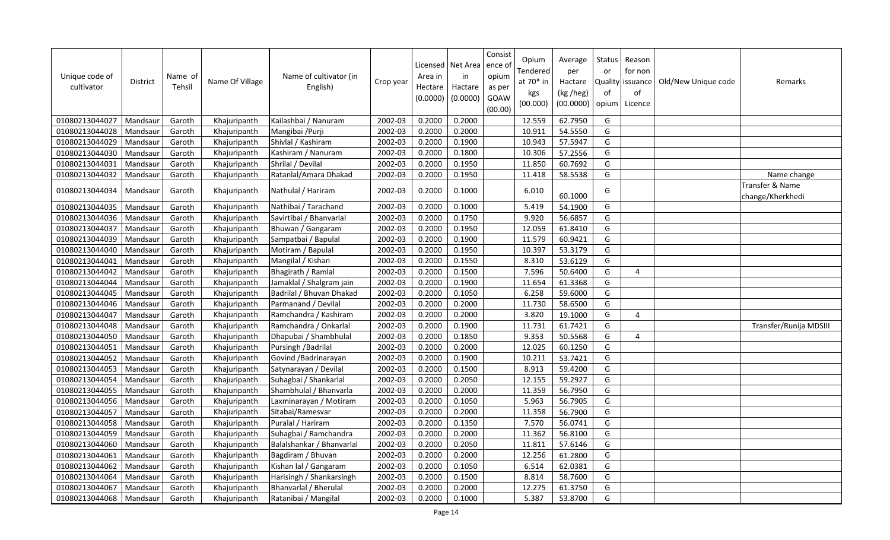| Unique code of<br>cultivator | <b>District</b> | Name of<br>Tehsil | Name Of Village | Name of cultivator (in<br>English) | Crop year | Area in<br>Hectare<br>(0.0000) | Licensed   Net Area<br>in<br>Hactare<br>(0.0000) | Consist<br>ence o<br>opium<br>as per<br>GOAW<br>(00.00) | Opium<br>Tendered<br>at 70* in<br>kgs<br>(00.000) | Average<br>per<br>Hactare<br>(kg /heg)<br>(00.0000) | Status<br>or<br>Quality<br>of<br>opium | Reason<br>for non<br>lissuance<br>of<br>Licence | Old/New Unique code | Remarks                             |
|------------------------------|-----------------|-------------------|-----------------|------------------------------------|-----------|--------------------------------|--------------------------------------------------|---------------------------------------------------------|---------------------------------------------------|-----------------------------------------------------|----------------------------------------|-------------------------------------------------|---------------------|-------------------------------------|
| 01080213044027               | Mandsaur        | Garoth            | Khajuripanth    | Kailashbai / Nanuram               | 2002-03   | 0.2000                         | 0.2000                                           |                                                         | 12.559                                            | 62.7950                                             | G                                      |                                                 |                     |                                     |
| 01080213044028               | Mandsaur        | Garoth            | Khajuripanth    | Mangibai /Purji                    | 2002-03   | 0.2000                         | 0.2000                                           |                                                         | 10.911                                            | 54.5550                                             | G                                      |                                                 |                     |                                     |
| 01080213044029               | Mandsaur        | Garoth            | Khajuripanth    | Shivlal / Kashiram                 | 2002-03   | 0.2000                         | 0.1900                                           |                                                         | 10.943                                            | 57.5947                                             | G                                      |                                                 |                     |                                     |
| 01080213044030               | Mandsaur        | Garoth            | Khajuripanth    | Kashiram / Nanuram                 | 2002-03   | 0.2000                         | 0.1800                                           |                                                         | 10.306                                            | 57.2556                                             | G                                      |                                                 |                     |                                     |
| 01080213044031               | Mandsaur        | Garoth            | Khajuripanth    | Shrilal / Devilal                  | 2002-03   | 0.2000                         | 0.1950                                           |                                                         | 11.850                                            | 60.7692                                             | G                                      |                                                 |                     |                                     |
| 01080213044032               | Mandsaur        | Garoth            | Khajuripanth    | Ratanlal/Amara Dhakad              | 2002-03   | 0.2000                         | 0.1950                                           |                                                         | 11.418                                            | 58.5538                                             | G                                      |                                                 |                     | Name change                         |
| 01080213044034               | Mandsaur        | Garoth            | Khajuripanth    | Nathulal / Hariram                 | 2002-03   | 0.2000                         | 0.1000                                           |                                                         | 6.010                                             | 60.1000                                             | G                                      |                                                 |                     | Transfer & Name<br>change/Kherkhedi |
| 01080213044035               | Mandsaur        | Garoth            | Khajuripanth    | Nathibai / Tarachand               | 2002-03   | 0.2000                         | 0.1000                                           |                                                         | 5.419                                             | 54.1900                                             | G                                      |                                                 |                     |                                     |
| 01080213044036               | Mandsaur        | Garoth            | Khajuripanth    | Savirtibai / Bhanvarlal            | 2002-03   | 0.2000                         | 0.1750                                           |                                                         | 9.920                                             | 56.6857                                             | G                                      |                                                 |                     |                                     |
| 01080213044037               | Mandsaur        | Garoth            | Khajuripanth    | Bhuwan / Gangaram                  | 2002-03   | 0.2000                         | 0.1950                                           |                                                         | 12.059                                            | 61.8410                                             | G                                      |                                                 |                     |                                     |
| 01080213044039               | Mandsaur        | Garoth            | Khajuripanth    | Sampatbai / Bapulal                | 2002-03   | 0.2000                         | 0.1900                                           |                                                         | 11.579                                            | 60.9421                                             | G                                      |                                                 |                     |                                     |
| 01080213044040               | Mandsaur        | Garoth            | Khajuripanth    | Motiram / Bapulal                  | 2002-03   | 0.2000                         | 0.1950                                           |                                                         | 10.397                                            | 53.3179                                             | G                                      |                                                 |                     |                                     |
| 01080213044041               | Mandsaur        | Garoth            | Khajuripanth    | Mangilal / Kishan                  | 2002-03   | 0.2000                         | 0.1550                                           |                                                         | 8.310                                             | 53.6129                                             | G                                      |                                                 |                     |                                     |
| 01080213044042               | Mandsaur        | Garoth            | Khajuripanth    | Bhagirath / Ramlal                 | 2002-03   | 0.2000                         | 0.1500                                           |                                                         | 7.596                                             | 50.6400                                             | G                                      | 4                                               |                     |                                     |
| 01080213044044               | Mandsaur        | Garoth            | Khajuripanth    | Jamaklal / Shalgram jain           | 2002-03   | 0.2000                         | 0.1900                                           |                                                         | 11.654                                            | 61.3368                                             | G                                      |                                                 |                     |                                     |
| 01080213044045               | Mandsaur        | Garoth            | Khajuripanth    | Badrilal / Bhuvan Dhakad           | 2002-03   | 0.2000                         | 0.1050                                           |                                                         | 6.258                                             | 59.6000                                             | G                                      |                                                 |                     |                                     |
| 01080213044046               | Mandsaur        | Garoth            | Khajuripanth    | Parmanand / Devilal                | 2002-03   | 0.2000                         | 0.2000                                           |                                                         | 11.730                                            | 58.6500                                             | G                                      |                                                 |                     |                                     |
| 01080213044047               | Mandsaur        | Garoth            | Khajuripanth    | Ramchandra / Kashiram              | 2002-03   | 0.2000                         | 0.2000                                           |                                                         | 3.820                                             | 19.1000                                             | G                                      | 4                                               |                     |                                     |
| 01080213044048               | Mandsaur        | Garoth            | Khajuripanth    | Ramchandra / Onkarlal              | 2002-03   | 0.2000                         | 0.1900                                           |                                                         | 11.731                                            | 61.7421                                             | G                                      |                                                 |                     | Transfer/Runija MDSIII              |
| 01080213044050               | Mandsaur        | Garoth            | Khajuripanth    | Dhapubai / Shambhulal              | 2002-03   | 0.2000                         | 0.1850                                           |                                                         | 9.353                                             | 50.5568                                             | G                                      | 4                                               |                     |                                     |
| 01080213044051               | Mandsaur        | Garoth            | Khajuripanth    | Pursingh / Badrilal                | 2002-03   | 0.2000                         | 0.2000                                           |                                                         | 12.025                                            | 60.1250                                             | G                                      |                                                 |                     |                                     |
| 01080213044052               | Mandsaur        | Garoth            | Khajuripanth    | Govind / Badrinarayan              | 2002-03   | 0.2000                         | 0.1900                                           |                                                         | 10.211                                            | 53.7421                                             | G                                      |                                                 |                     |                                     |
| 01080213044053               | Mandsaur        | Garoth            | Khajuripanth    | Satynarayan / Devilal              | 2002-03   | 0.2000                         | 0.1500                                           |                                                         | 8.913                                             | 59.4200                                             | G                                      |                                                 |                     |                                     |
| 01080213044054               | Mandsaur        | Garoth            | Khajuripanth    | Suhagbai / Shankarlal              | 2002-03   | 0.2000                         | 0.2050                                           |                                                         | 12.155                                            | 59.2927                                             | G                                      |                                                 |                     |                                     |
| 01080213044055               | Mandsaur        | Garoth            | Khajuripanth    | Shambhulal / Bhanvarla             | 2002-03   | 0.2000                         | 0.2000                                           |                                                         | 11.359                                            | 56.7950                                             | G                                      |                                                 |                     |                                     |
| 01080213044056               | Mandsaur        | Garoth            | Khajuripanth    | Laxminarayan / Motiram             | 2002-03   | 0.2000                         | 0.1050                                           |                                                         | 5.963                                             | 56.7905                                             | G                                      |                                                 |                     |                                     |
| 01080213044057               | Mandsaur        | Garoth            | Khajuripanth    | Sitabai/Ramesvar                   | 2002-03   | 0.2000                         | 0.2000                                           |                                                         | 11.358                                            | 56.7900                                             | G                                      |                                                 |                     |                                     |
| 01080213044058               | Mandsaur        | Garoth            | Khajuripanth    | Puralal / Hariram                  | 2002-03   | 0.2000                         | 0.1350                                           |                                                         | 7.570                                             | 56.0741                                             | G                                      |                                                 |                     |                                     |
| 01080213044059               | Mandsaur        | Garoth            | Khajuripanth    | Suhagbai / Ramchandra              | 2002-03   | 0.2000                         | 0.2000                                           |                                                         | 11.362                                            | 56.8100                                             | G                                      |                                                 |                     |                                     |
| 01080213044060               | Mandsaur        | Garoth            | Khajuripanth    | Balalshankar / Bhanvarlal          | 2002-03   | 0.2000                         | 0.2050                                           |                                                         | 11.811                                            | 57.6146                                             | G                                      |                                                 |                     |                                     |
| 01080213044061               | Mandsaur        | Garoth            | Khajuripanth    | Bagdiram / Bhuvan                  | 2002-03   | 0.2000                         | 0.2000                                           |                                                         | 12.256                                            | 61.2800                                             | G                                      |                                                 |                     |                                     |
| 01080213044062               | Mandsaur        | Garoth            | Khajuripanth    | Kishan lal / Gangaram              | 2002-03   | 0.2000                         | 0.1050                                           |                                                         | 6.514                                             | 62.0381                                             | G                                      |                                                 |                     |                                     |
| 01080213044064               | Mandsaur        | Garoth            | Khajuripanth    | Harisingh / Shankarsingh           | 2002-03   | 0.2000                         | 0.1500                                           |                                                         | 8.814                                             | 58.7600                                             | G                                      |                                                 |                     |                                     |
| 01080213044067               | Mandsaur        | Garoth            | Khajuripanth    | Bhanvarlal / Bherulal              | 2002-03   | 0.2000                         | 0.2000                                           |                                                         | 12.275                                            | 61.3750                                             | G                                      |                                                 |                     |                                     |
| 01080213044068               | Mandsaur        | Garoth            | Khajuripanth    | Ratanibai / Mangilal               | 2002-03   | 0.2000                         | 0.1000                                           |                                                         | 5.387                                             | 53.8700                                             | G                                      |                                                 |                     |                                     |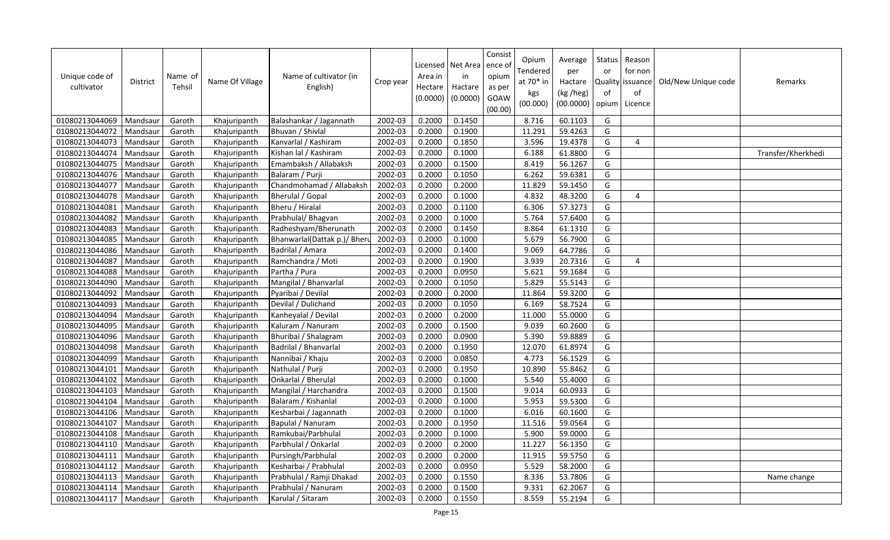| Unique code of<br>cultivator | <b>District</b> | Name of<br>Tehsil | Name Of Village | Name of cultivator (in<br>English) | Crop year | Licensed<br>Area in<br>Hectare<br>(0.0000) | Net Area<br>in<br>Hactare<br>(0.0000) | Consist<br>ence of<br>opium<br>as per<br>GOAW<br>(00.00) | Opium<br>Tendered<br>at 70* in<br>kgs<br>(00.000) | Average<br>per<br>Hactare<br>(kg /heg)<br>(00.0000) | <b>Status</b><br>or<br>Quality<br>of<br>opium | Reason<br>for non<br>issuance<br>of<br>Licence | Old/New Unique code | Remarks            |
|------------------------------|-----------------|-------------------|-----------------|------------------------------------|-----------|--------------------------------------------|---------------------------------------|----------------------------------------------------------|---------------------------------------------------|-----------------------------------------------------|-----------------------------------------------|------------------------------------------------|---------------------|--------------------|
| 01080213044069               | Mandsaur        | Garoth            | Khajuripanth    | Balashankar / Jagannath            | 2002-03   | 0.2000                                     | 0.1450                                |                                                          | 8.716                                             | 60.1103                                             | G                                             |                                                |                     |                    |
| 01080213044072               | Mandsaur        | Garoth            | Khajuripanth    | Bhuvan / Shivlal                   | 2002-03   | 0.2000                                     | 0.1900                                |                                                          | 11.291                                            | 59.4263                                             | G                                             |                                                |                     |                    |
| 01080213044073               | Mandsaur        | Garoth            | Khajuripanth    | Kanvarlal / Kashiram               | 2002-03   | 0.2000                                     | 0.1850                                |                                                          | 3.596                                             | 19.4378                                             | G                                             | $\overline{4}$                                 |                     |                    |
| 01080213044074               | Mandsaur        | Garoth            | Khajuripanth    | Kishan lal / Kashiram              | 2002-03   | 0.2000                                     | 0.1000                                |                                                          | 6.188                                             | 61.8800                                             | G                                             |                                                |                     | Transfer/Kherkhedi |
| 01080213044075               | Mandsaur        | Garoth            | Khajuripanth    | Emambaksh / Allabaksh              | 2002-03   | 0.2000                                     | 0.1500                                |                                                          | 8.419                                             | 56.1267                                             | G                                             |                                                |                     |                    |
| 01080213044076               | Mandsaur        | Garoth            | Khajuripanth    | Balaram / Purji                    | 2002-03   | 0.2000                                     | 0.1050                                |                                                          | 6.262                                             | 59.6381                                             | G                                             |                                                |                     |                    |
| 01080213044077               | Mandsaur        | Garoth            | Khajuripanth    | Chandmohamad / Allabaksh           | 2002-03   | 0.2000                                     | 0.2000                                |                                                          | 11.829                                            | 59.1450                                             | G                                             |                                                |                     |                    |
| 01080213044078               | Mandsaur        | Garoth            | Khajuripanth    | Bherulal / Gopal                   | 2002-03   | 0.2000                                     | 0.1000                                |                                                          | 4.832                                             | 48.3200                                             | G                                             | 4                                              |                     |                    |
| 01080213044081               | Mandsaur        | Garoth            | Khajuripanth    | Bheru / Hiralal                    | 2002-03   | 0.2000                                     | 0.1100                                |                                                          | 6.306                                             | 57.3273                                             | G                                             |                                                |                     |                    |
| 01080213044082               | Mandsaur        | Garoth            | Khajuripanth    | Prabhulal/ Bhagvan                 | 2002-03   | 0.2000                                     | 0.1000                                |                                                          | 5.764                                             | 57.6400                                             | G                                             |                                                |                     |                    |
| 01080213044083               | Mandsaur        | Garoth            | Khajuripanth    | Radheshyam/Bherunath               | 2002-03   | 0.2000                                     | 0.1450                                |                                                          | 8.864                                             | 61.1310                                             | G                                             |                                                |                     |                    |
| 01080213044085               | Mandsaur        | Garoth            | Khajuripanth    | Bhanwarlal(Dattak p.)/ Bheru       | 2002-03   | 0.2000                                     | 0.1000                                |                                                          | 5.679                                             | 56.7900                                             | G                                             |                                                |                     |                    |
| 01080213044086               | Mandsaur        | Garoth            | Khajuripanth    | Badrilal / Amara                   | 2002-03   | 0.2000                                     | 0.1400                                |                                                          | 9.069                                             | 64.7786                                             | G                                             |                                                |                     |                    |
| 01080213044087               | Mandsaur        | Garoth            | Khajuripanth    | Ramchandra / Moti                  | 2002-03   | 0.2000                                     | 0.1900                                |                                                          | 3.939                                             | 20.7316                                             | G                                             | 4                                              |                     |                    |
| 01080213044088               | Mandsaur        | Garoth            | Khajuripanth    | Partha / Pura                      | 2002-03   | 0.2000                                     | 0.0950                                |                                                          | 5.621                                             | 59.1684                                             | G                                             |                                                |                     |                    |
| 01080213044090               | Mandsaur        | Garoth            | Khajuripanth    | Mangilal / Bhanvarlal              | 2002-03   | 0.2000                                     | 0.1050                                |                                                          | 5.829                                             | 55.5143                                             | G                                             |                                                |                     |                    |
| 01080213044092               | Mandsaur        | Garoth            | Khajuripanth    | Pyaribai / Devilal                 | 2002-03   | 0.2000                                     | 0.2000                                |                                                          | 11.864                                            | 59.3200                                             | G                                             |                                                |                     |                    |
| 01080213044093               | Mandsaur        | Garoth            | Khajuripanth    | Devilal / Dulichand                | 2002-03   | 0.2000                                     | 0.1050                                |                                                          | 6.169                                             | 58.7524                                             | G                                             |                                                |                     |                    |
| 01080213044094               | Mandsaur        | Garoth            | Khajuripanth    | Kanheyalal / Devilal               | 2002-03   | 0.2000                                     | 0.2000                                |                                                          | 11.000                                            | 55.0000                                             | G                                             |                                                |                     |                    |
| 01080213044095               | Mandsaur        | Garoth            | Khajuripanth    | Kaluram / Nanuram                  | 2002-03   | 0.2000                                     | 0.1500                                |                                                          | 9.039                                             | 60.2600                                             | G                                             |                                                |                     |                    |
| 01080213044096               | Mandsaur        | Garoth            | Khajuripanth    | Bhuribai / Shalagram               | 2002-03   | 0.2000                                     | 0.0900                                |                                                          | 5.390                                             | 59.8889                                             | G                                             |                                                |                     |                    |
| 01080213044098               | Mandsaur        | Garoth            | Khajuripanth    | Badrilal / Bhanvarlal              | 2002-03   | 0.2000                                     | 0.1950                                |                                                          | 12.070                                            | 61.8974                                             | G                                             |                                                |                     |                    |
| 01080213044099               | Mandsaur        | Garoth            | Khajuripanth    | Nannibai / Khaju                   | 2002-03   | 0.2000                                     | 0.0850                                |                                                          | 4.773                                             | 56.1529                                             | G                                             |                                                |                     |                    |
| 01080213044101               | Mandsaur        | Garoth            | Khajuripanth    | Nathulal / Purji                   | 2002-03   | 0.2000                                     | 0.1950                                |                                                          | 10.890                                            | 55.8462                                             | G                                             |                                                |                     |                    |
| 01080213044102               | Mandsaur        | Garoth            | Khajuripanth    | Onkarlal / Bherulal                | 2002-03   | 0.2000                                     | 0.1000                                |                                                          | 5.540                                             | 55.4000                                             | G                                             |                                                |                     |                    |
| 01080213044103               | Mandsaur        | Garoth            | Khajuripanth    | Mangilal / Harchandra              | 2002-03   | 0.2000                                     | 0.1500                                |                                                          | 9.014                                             | 60.0933                                             | G                                             |                                                |                     |                    |
| 01080213044104               | Mandsaur        | Garoth            | Khajuripanth    | Balaram / Kishanlal                | 2002-03   | 0.2000                                     | 0.1000                                |                                                          | 5.953                                             | 59.5300                                             | G                                             |                                                |                     |                    |
| 01080213044106               | Mandsaur        | Garoth            | Khajuripanth    | Kesharbai / Jagannath              | 2002-03   | 0.2000                                     | 0.1000                                |                                                          | 6.016                                             | 60.1600                                             | G                                             |                                                |                     |                    |
| 01080213044107               | Mandsaur        | Garoth            | Khajuripanth    | Bapulal / Nanuram                  | 2002-03   | 0.2000                                     | 0.1950                                |                                                          | 11.516                                            | 59.0564                                             | G                                             |                                                |                     |                    |
| 01080213044108               | Mandsaur        | Garoth            | Khajuripanth    | Ramkubai/Parbhulal                 | 2002-03   | 0.2000                                     | 0.1000                                |                                                          | 5.900                                             | 59.0000                                             | G                                             |                                                |                     |                    |
| 01080213044110               | Mandsaur        | Garoth            | Khajuripanth    | Parbhulal / Onkarlal               | 2002-03   | 0.2000                                     | 0.2000                                |                                                          | 11.227                                            | 56.1350                                             | G                                             |                                                |                     |                    |
| 01080213044111               | Mandsaur        | Garoth            | Khajuripanth    | Pursingh/Parbhulal                 | 2002-03   | 0.2000                                     | 0.2000                                |                                                          | 11.915                                            | 59.5750                                             | G                                             |                                                |                     |                    |
| 01080213044112               | Mandsaur        | Garoth            | Khajuripanth    | Kesharbai / Prabhulal              | 2002-03   | 0.2000                                     | 0.0950                                |                                                          | 5.529                                             | 58.2000                                             | G                                             |                                                |                     |                    |
| 01080213044113               | Mandsaur        | Garoth            | Khajuripanth    | Prabhulal / Ramji Dhakad           | 2002-03   | 0.2000                                     | 0.1550                                |                                                          | 8.336                                             | 53.7806                                             | G                                             |                                                |                     | Name change        |
| 01080213044114               | Mandsaur        | Garoth            | Khajuripanth    | Prabhulal / Nanuram                | 2002-03   | 0.2000                                     | 0.1500                                |                                                          | 9.331                                             | 62.2067                                             | G                                             |                                                |                     |                    |
| 01080213044117               | Mandsaur        | Garoth            | Khajuripanth    | Karulal / Sitaram                  | 2002-03   | 0.2000                                     | 0.1550                                |                                                          | 8.559                                             | 55.2194                                             | G                                             |                                                |                     |                    |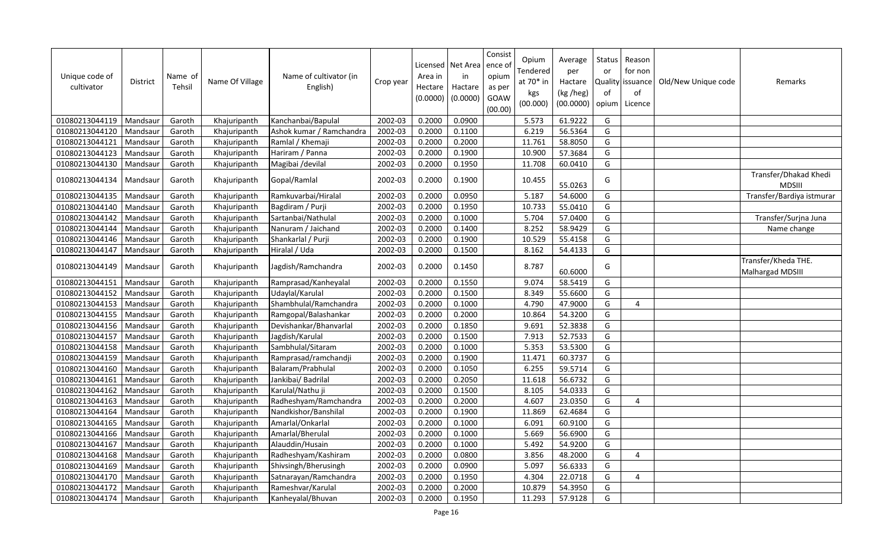| Unique code of<br>cultivator | <b>District</b> | Name of<br>Tehsil | Name Of Village | Name of cultivator (in<br>English) | Crop year | Area in<br>Hectare<br>(0.0000) | Licensed   Net Area<br>in<br>Hactare<br>(0.0000) | Consist<br>ence o<br>opium<br>as per<br>GOAW<br>(00.00) | Opium<br>Tendered<br>at $70*$ in<br>kgs<br>(00.000) | Average<br>per<br>Hactare<br>(kg /heg)<br>(00.0000) | Status<br>or<br>Quality<br>of<br>opium | Reason<br>for non<br>lissuance<br>of<br>Licence | Old/New Unique code | Remarks                                        |
|------------------------------|-----------------|-------------------|-----------------|------------------------------------|-----------|--------------------------------|--------------------------------------------------|---------------------------------------------------------|-----------------------------------------------------|-----------------------------------------------------|----------------------------------------|-------------------------------------------------|---------------------|------------------------------------------------|
| 01080213044119               | Mandsaur        | Garoth            | Khajuripanth    | Kanchanbai/Bapulal                 | 2002-03   | 0.2000                         | 0.0900                                           |                                                         | 5.573                                               | 61.9222                                             | G                                      |                                                 |                     |                                                |
| 01080213044120               | Mandsaur        | Garoth            | Khajuripanth    | Ashok kumar / Ramchandra           | 2002-03   | 0.2000                         | 0.1100                                           |                                                         | 6.219                                               | 56.5364                                             | G                                      |                                                 |                     |                                                |
| 01080213044121               | Mandsaur        | Garoth            | Khajuripanth    | Ramlal / Khemaji                   | 2002-03   | 0.2000                         | 0.2000                                           |                                                         | 11.761                                              | 58.8050                                             | G                                      |                                                 |                     |                                                |
| 01080213044123               | Mandsaur        | Garoth            | Khajuripanth    | Hariram / Panna                    | 2002-03   | 0.2000                         | 0.1900                                           |                                                         | 10.900                                              | 57.3684                                             | G                                      |                                                 |                     |                                                |
| 01080213044130               | Mandsaur        | Garoth            | Khajuripanth    | Magibai /devilal                   | 2002-03   | 0.2000                         | 0.1950                                           |                                                         | 11.708                                              | 60.0410                                             | G                                      |                                                 |                     |                                                |
| 01080213044134               | Mandsaur        | Garoth            | Khajuripanth    | Gopal/Ramlal                       | 2002-03   | 0.2000                         | 0.1900                                           |                                                         | 10.455                                              | 55.0263                                             | G                                      |                                                 |                     | Transfer/Dhakad Khedi<br><b>MDSIII</b>         |
| 01080213044135               | Mandsaur        | Garoth            | Khajuripanth    | Ramkuvarbai/Hiralal                | 2002-03   | 0.2000                         | 0.0950                                           |                                                         | 5.187                                               | 54.6000                                             | G                                      |                                                 |                     | Transfer/Bardiya istmurar                      |
| 01080213044140               | Mandsaur        | Garoth            | Khajuripanth    | Bagdiram / Purji                   | 2002-03   | 0.2000                         | 0.1950                                           |                                                         | 10.733                                              | 55.0410                                             | G                                      |                                                 |                     |                                                |
| 01080213044142               | Mandsaur        | Garoth            | Khajuripanth    | Sartanbai/Nathulal                 | 2002-03   | 0.2000                         | 0.1000                                           |                                                         | 5.704                                               | 57.0400                                             | G                                      |                                                 |                     | Transfer/Surjna Juna                           |
| 01080213044144               | Mandsaur        | Garoth            | Khajuripanth    | Nanuram / Jaichand                 | 2002-03   | 0.2000                         | 0.1400                                           |                                                         | 8.252                                               | 58.9429                                             | G                                      |                                                 |                     | Name change                                    |
| 01080213044146               | Mandsaur        | Garoth            | Khajuripanth    | Shankarlal / Purji                 | 2002-03   | 0.2000                         | 0.1900                                           |                                                         | 10.529                                              | 55.4158                                             | G                                      |                                                 |                     |                                                |
| 01080213044147               | Mandsaur        | Garoth            | Khajuripanth    | Hiralal / Uda                      | 2002-03   | 0.2000                         | 0.1500                                           |                                                         | 8.162                                               | 54.4133                                             | G                                      |                                                 |                     |                                                |
| 01080213044149               | Mandsaur        | Garoth            | Khajuripanth    | Jagdish/Ramchandra                 | 2002-03   | 0.2000                         | 0.1450                                           |                                                         | 8.787                                               | 60.6000                                             | G                                      |                                                 |                     | Transfer/Kheda THE.<br><b>Malhargad MDSIII</b> |
| 01080213044151               | Mandsaur        | Garoth            | Khajuripanth    | Ramprasad/Kanheyalal               | 2002-03   | 0.2000                         | 0.1550                                           |                                                         | 9.074                                               | 58.5419                                             | G                                      |                                                 |                     |                                                |
| 01080213044152               | Mandsaur        | Garoth            | Khajuripanth    | Udaylal/Karulal                    | 2002-03   | 0.2000                         | 0.1500                                           |                                                         | 8.349                                               | 55.6600                                             | G                                      |                                                 |                     |                                                |
| 01080213044153               | Mandsaur        | Garoth            | Khajuripanth    | Shambhulal/Ramchandra              | 2002-03   | 0.2000                         | 0.1000                                           |                                                         | 4.790                                               | 47.9000                                             | G                                      | 4                                               |                     |                                                |
| 01080213044155               | Mandsaur        | Garoth            | Khajuripanth    | Ramgopal/Balashankar               | 2002-03   | 0.2000                         | 0.2000                                           |                                                         | 10.864                                              | 54.3200                                             | G                                      |                                                 |                     |                                                |
| 01080213044156               | Mandsaur        | Garoth            | Khajuripanth    | Devishankar/Bhanvarlal             | 2002-03   | 0.2000                         | 0.1850                                           |                                                         | 9.691                                               | 52.3838                                             | G                                      |                                                 |                     |                                                |
| 01080213044157               | Mandsaur        | Garoth            | Khajuripanth    | Jagdish/Karulal                    | 2002-03   | 0.2000                         | 0.1500                                           |                                                         | 7.913                                               | 52.7533                                             | G                                      |                                                 |                     |                                                |
| 01080213044158               | Mandsaur        | Garoth            | Khajuripanth    | Sambhulal/Sitaram                  | 2002-03   | 0.2000                         | 0.1000                                           |                                                         | 5.353                                               | 53.5300                                             | G                                      |                                                 |                     |                                                |
| 01080213044159               | Mandsaur        | Garoth            | Khajuripanth    | Ramprasad/ramchandji               | 2002-03   | 0.2000                         | 0.1900                                           |                                                         | 11.471                                              | 60.3737                                             | G                                      |                                                 |                     |                                                |
| 01080213044160               | Mandsaur        | Garoth            | Khajuripanth    | Balaram/Prabhulal                  | 2002-03   | 0.2000                         | 0.1050                                           |                                                         | 6.255                                               | 59.5714                                             | G                                      |                                                 |                     |                                                |
| 01080213044161               | Mandsaur        | Garoth            | Khajuripanth    | Jankibai/ Badrilal                 | 2002-03   | 0.2000                         | 0.2050                                           |                                                         | 11.618                                              | 56.6732                                             | G                                      |                                                 |                     |                                                |
| 01080213044162               | Mandsaur        | Garoth            | Khajuripanth    | Karulal/Nathu ji                   | 2002-03   | 0.2000                         | 0.1500                                           |                                                         | 8.105                                               | 54.0333                                             | G                                      |                                                 |                     |                                                |
| 01080213044163               | Mandsaur        | Garoth            | Khajuripanth    | Radheshyam/Ramchandra              | 2002-03   | 0.2000                         | 0.2000                                           |                                                         | 4.607                                               | 23.0350                                             | G                                      | 4                                               |                     |                                                |
| 01080213044164               | Mandsaur        | Garoth            | Khajuripanth    | Nandkishor/Banshilal               | 2002-03   | 0.2000                         | 0.1900                                           |                                                         | 11.869                                              | 62.4684                                             | G                                      |                                                 |                     |                                                |
| 01080213044165               | Mandsaur        | Garoth            | Khajuripanth    | Amarlal/Onkarlal                   | 2002-03   | 0.2000                         | 0.1000                                           |                                                         | 6.091                                               | 60.9100                                             | G                                      |                                                 |                     |                                                |
| 01080213044166               | Mandsaur        | Garoth            | Khajuripanth    | Amarlal/Bherulal                   | 2002-03   | 0.2000                         | 0.1000                                           |                                                         | 5.669                                               | 56.6900                                             | G                                      |                                                 |                     |                                                |
| 01080213044167               | Mandsaur        | Garoth            | Khajuripanth    | Alauddin/Husain                    | 2002-03   | 0.2000                         | 0.1000                                           |                                                         | 5.492                                               | 54.9200                                             | G                                      |                                                 |                     |                                                |
| 01080213044168               | Mandsaur        | Garoth            | Khajuripanth    | Radheshyam/Kashiram                | 2002-03   | 0.2000                         | 0.0800                                           |                                                         | 3.856                                               | 48.2000                                             | G                                      | 4                                               |                     |                                                |
| 01080213044169               | Mandsaur        | Garoth            | Khajuripanth    | Shivsingh/Bherusingh               | 2002-03   | 0.2000                         | 0.0900                                           |                                                         | 5.097                                               | 56.6333                                             | G                                      |                                                 |                     |                                                |
| 01080213044170               | Mandsaur        | Garoth            | Khajuripanth    | Satnarayan/Ramchandra              | 2002-03   | 0.2000                         | 0.1950                                           |                                                         | 4.304                                               | 22.0718                                             | G                                      | 4                                               |                     |                                                |
| 01080213044172               | Mandsaur        | Garoth            | Khajuripanth    | Rameshvar/Karulal                  | 2002-03   | 0.2000                         | 0.2000                                           |                                                         | 10.879                                              | 54.3950                                             | G                                      |                                                 |                     |                                                |
| 01080213044174               | Mandsaur        | Garoth            | Khajuripanth    | Kanheyalal/Bhuvan                  | 2002-03   | 0.2000                         | 0.1950                                           |                                                         | 11.293                                              | 57.9128                                             | G                                      |                                                 |                     |                                                |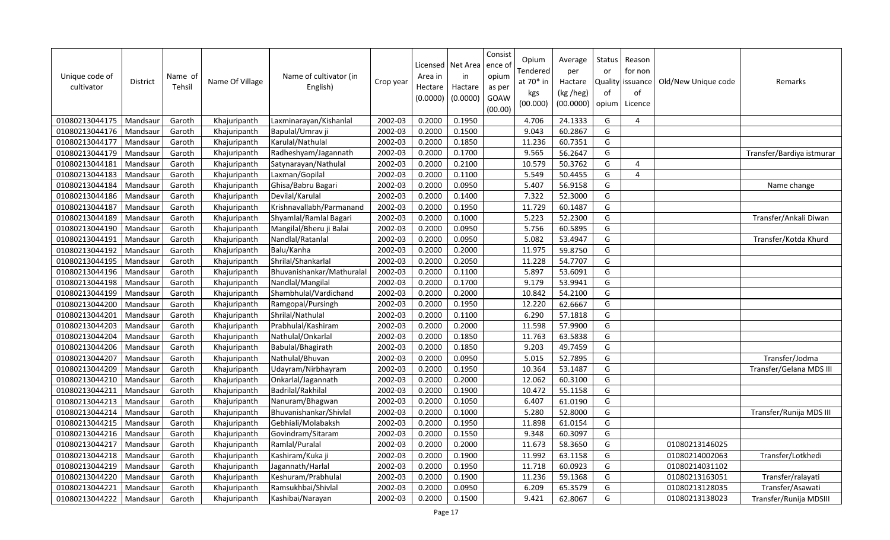| Unique code of<br>cultivator | <b>District</b> | Name of<br>Tehsil | Name Of Village | Name of cultivator (in<br>English) | Crop year | Area in<br>Hectare<br>(0.0000) | Licensed   Net Area<br>in<br>Hactare<br>(0.0000) | Consist<br>ence o<br>opium<br>as per<br>GOAW<br>(00.00) | Opium<br>Tendered<br>at 70* in<br>kgs<br>(00.000) | Average<br>per<br>Hactare<br>(kg /heg)<br>(00.0000) | Status<br>or<br>Quality<br>of<br>opium | Reason<br>for non<br>lissuance<br>of<br>Licence | Old/New Unique code | Remarks                   |
|------------------------------|-----------------|-------------------|-----------------|------------------------------------|-----------|--------------------------------|--------------------------------------------------|---------------------------------------------------------|---------------------------------------------------|-----------------------------------------------------|----------------------------------------|-------------------------------------------------|---------------------|---------------------------|
| 01080213044175               | Mandsaur        | Garoth            | Khajuripanth    | Laxminarayan/Kishanlal             | 2002-03   | 0.2000                         | 0.1950                                           |                                                         | 4.706                                             | 24.1333                                             | G                                      | 4                                               |                     |                           |
| 01080213044176               | Mandsaur        | Garoth            | Khajuripanth    | Bapulal/Umrav ji                   | 2002-03   | 0.2000                         | 0.1500                                           |                                                         | 9.043                                             | 60.2867                                             | G                                      |                                                 |                     |                           |
| 01080213044177               | Mandsaur        | Garoth            | Khajuripanth    | Karulal/Nathulal                   | 2002-03   | 0.2000                         | 0.1850                                           |                                                         | 11.236                                            | 60.7351                                             | G                                      |                                                 |                     |                           |
| 01080213044179               | Mandsaur        | Garoth            | Khajuripanth    | Radheshyam/Jagannath               | 2002-03   | 0.2000                         | 0.1700                                           |                                                         | 9.565                                             | 56.2647                                             | G                                      |                                                 |                     | Transfer/Bardiya istmurar |
| 01080213044181               | Mandsaur        | Garoth            | Khajuripanth    | Satynarayan/Nathulal               | 2002-03   | 0.2000                         | 0.2100                                           |                                                         | 10.579                                            | 50.3762                                             | G                                      | 4                                               |                     |                           |
| 01080213044183               | Mandsaur        | Garoth            | Khajuripanth    | Laxman/Gopilal                     | 2002-03   | 0.2000                         | 0.1100                                           |                                                         | 5.549                                             | 50.4455                                             | G                                      | 4                                               |                     |                           |
| 01080213044184               | Mandsaur        | Garoth            | Khajuripanth    | Ghisa/Babru Bagari                 | 2002-03   | 0.2000                         | 0.0950                                           |                                                         | 5.407                                             | 56.9158                                             | G                                      |                                                 |                     | Name change               |
| 01080213044186               | Mandsaur        | Garoth            | Khajuripanth    | Devilal/Karulal                    | 2002-03   | 0.2000                         | 0.1400                                           |                                                         | 7.322                                             | 52.3000                                             | G                                      |                                                 |                     |                           |
| 01080213044187               | Mandsaur        | Garoth            | Khajuripanth    | Krishnavallabh/Parmanand           | 2002-03   | 0.2000                         | 0.1950                                           |                                                         | 11.729                                            | 60.1487                                             | G                                      |                                                 |                     |                           |
| 01080213044189               | Mandsaur        | Garoth            | Khajuripanth    | Shyamlal/Ramlal Bagari             | 2002-03   | 0.2000                         | 0.1000                                           |                                                         | 5.223                                             | 52.2300                                             | G                                      |                                                 |                     | Transfer/Ankali Diwan     |
| 01080213044190               | Mandsaur        | Garoth            | Khajuripanth    | Mangilal/Bheru ji Balai            | 2002-03   | 0.2000                         | 0.0950                                           |                                                         | 5.756                                             | 60.5895                                             | G                                      |                                                 |                     |                           |
| 01080213044191               | Mandsaur        | Garoth            | Khajuripanth    | Nandlal/Ratanlal                   | 2002-03   | 0.2000                         | 0.0950                                           |                                                         | 5.082                                             | 53.4947                                             | G                                      |                                                 |                     | Transfer/Kotda Khurd      |
| 01080213044192               | Mandsaur        | Garoth            | Khajuripanth    | Balu/Kanha                         | 2002-03   | 0.2000                         | 0.2000                                           |                                                         | 11.975                                            | 59.8750                                             | G                                      |                                                 |                     |                           |
| 01080213044195               | Mandsaur        | Garoth            | Khajuripanth    | Shrilal/Shankarlal                 | 2002-03   | 0.2000                         | 0.2050                                           |                                                         | 11.228                                            | 54.7707                                             | G                                      |                                                 |                     |                           |
| 01080213044196               | Mandsaur        | Garoth            | Khajuripanth    | Bhuvanishankar/Mathuralal          | 2002-03   | 0.2000                         | 0.1100                                           |                                                         | 5.897                                             | 53.6091                                             | G                                      |                                                 |                     |                           |
| 01080213044198               | Mandsaur        | Garoth            | Khajuripanth    | Nandlal/Mangilal                   | 2002-03   | 0.2000                         | 0.1700                                           |                                                         | 9.179                                             | 53.9941                                             | G                                      |                                                 |                     |                           |
| 01080213044199               | Mandsaur        | Garoth            | Khajuripanth    | Shambhulal/Vardichand              | 2002-03   | 0.2000                         | 0.2000                                           |                                                         | 10.842                                            | 54.2100                                             | G                                      |                                                 |                     |                           |
| 01080213044200               | Mandsaur        | Garoth            | Khajuripanth    | Ramgopal/Pursingh                  | 2002-03   | 0.2000                         | 0.1950                                           |                                                         | 12.220                                            | 62.6667                                             | G                                      |                                                 |                     |                           |
| 01080213044201               | Mandsaur        | Garoth            | Khajuripanth    | Shrilal/Nathulal                   | 2002-03   | 0.2000                         | 0.1100                                           |                                                         | 6.290                                             | 57.1818                                             | G                                      |                                                 |                     |                           |
| 01080213044203               | Mandsaur        | Garoth            | Khajuripanth    | Prabhulal/Kashiram                 | 2002-03   | 0.2000                         | 0.2000                                           |                                                         | 11.598                                            | 57.9900                                             | G                                      |                                                 |                     |                           |
| 01080213044204               | Mandsaur        | Garoth            | Khajuripanth    | Nathulal/Onkarlal                  | 2002-03   | 0.2000                         | 0.1850                                           |                                                         | 11.763                                            | 63.5838                                             | G                                      |                                                 |                     |                           |
| 01080213044206               | Mandsaur        | Garoth            | Khajuripanth    | Babulal/Bhagirath                  | 2002-03   | 0.2000                         | 0.1850                                           |                                                         | 9.203                                             | 49.7459                                             | G                                      |                                                 |                     |                           |
| 01080213044207               | Mandsaur        | Garoth            | Khajuripanth    | Nathulal/Bhuvan                    | 2002-03   | 0.2000                         | 0.0950                                           |                                                         | 5.015                                             | 52.7895                                             | G                                      |                                                 |                     | Transfer/Jodma            |
| 01080213044209               | Mandsaur        | Garoth            | Khajuripanth    | Udayram/Nirbhayram                 | 2002-03   | 0.2000                         | 0.1950                                           |                                                         | 10.364                                            | 53.1487                                             | G                                      |                                                 |                     | Transfer/Gelana MDS III   |
| 01080213044210               | Mandsaur        | Garoth            | Khajuripanth    | Onkarlal/Jagannath                 | 2002-03   | 0.2000                         | 0.2000                                           |                                                         | 12.062                                            | 60.3100                                             | G                                      |                                                 |                     |                           |
| 01080213044211               | Mandsaur        | Garoth            | Khajuripanth    | Badrilal/Rakhilal                  | 2002-03   | 0.2000                         | 0.1900                                           |                                                         | 10.472                                            | 55.1158                                             | G                                      |                                                 |                     |                           |
| 01080213044213               | Mandsaur        | Garoth            | Khajuripanth    | Nanuram/Bhagwan                    | 2002-03   | 0.2000                         | 0.1050                                           |                                                         | 6.407                                             | 61.0190                                             | G                                      |                                                 |                     |                           |
| 01080213044214               | Mandsaur        | Garoth            | Khajuripanth    | Bhuvanishankar/Shivlal             | 2002-03   | 0.2000                         | 0.1000                                           |                                                         | 5.280                                             | 52.8000                                             | G                                      |                                                 |                     | Transfer/Runija MDS III   |
| 01080213044215               | Mandsaur        | Garoth            | Khajuripanth    | Gebhiali/Molabaksh                 | 2002-03   | 0.2000                         | 0.1950                                           |                                                         | 11.898                                            | 61.0154                                             | G                                      |                                                 |                     |                           |
| 01080213044216               | Mandsaur        | Garoth            | Khajuripanth    | Govindram/Sitaram                  | 2002-03   | 0.2000                         | 0.1550                                           |                                                         | 9.348                                             | 60.3097                                             | G                                      |                                                 |                     |                           |
| 01080213044217               | Mandsaur        | Garoth            | Khajuripanth    | Ramlal/Puralal                     | 2002-03   | 0.2000                         | 0.2000                                           |                                                         | 11.673                                            | 58.3650                                             | G                                      |                                                 | 01080213146025      |                           |
| 01080213044218               | Mandsaur        | Garoth            | Khajuripanth    | Kashiram/Kuka ji                   | 2002-03   | 0.2000                         | 0.1900                                           |                                                         | 11.992                                            | 63.1158                                             | G                                      |                                                 | 01080214002063      | Transfer/Lotkhedi         |
| 01080213044219               | Mandsaur        | Garoth            | Khajuripanth    | Jagannath/Harlal                   | 2002-03   | 0.2000                         | 0.1950                                           |                                                         | 11.718                                            | 60.0923                                             | G                                      |                                                 | 01080214031102      |                           |
| 01080213044220               | Mandsaur        | Garoth            | Khajuripanth    | Keshuram/Prabhulal                 | 2002-03   | 0.2000                         | 0.1900                                           |                                                         | 11.236                                            | 59.1368                                             | G                                      |                                                 | 01080213163051      | Transfer/ralayati         |
| 01080213044221               | Mandsaur        | Garoth            | Khajuripanth    | Ramsukhbai/Shivlal                 | 2002-03   | 0.2000                         | 0.0950                                           |                                                         | 6.209                                             | 65.3579                                             | G                                      |                                                 | 01080213128035      | Transfer/Asawati          |
| 01080213044222               | Mandsaur        | Garoth            | Khajuripanth    | Kashibai/Narayan                   | 2002-03   | 0.2000                         | 0.1500                                           |                                                         | 9.421                                             | 62.8067                                             | G                                      |                                                 | 01080213138023      | Transfer/Runija MDSIII    |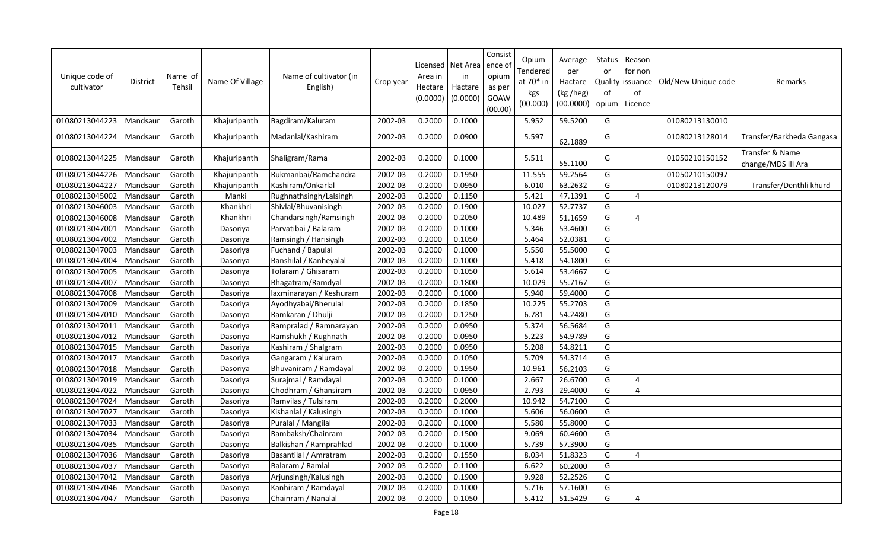| Unique code of<br>cultivator | <b>District</b> | Name of<br>Tehsil | Name Of Village | Name of cultivator (in<br>English) | Crop year | Area in<br>Hectare<br>(0.0000) | Licensed   Net Area<br>in<br>Hactare<br>(0.0000) | Consist<br>ence o<br>opium<br>as per<br>GOAW<br>(00.00) | Opium<br>Tendered<br>at 70* in<br>kgs<br>(00.000) | Average<br>per<br>Hactare<br>(kg /heg)<br>(00.0000) | Status<br>or<br>of<br>opium | Reason<br>for non<br>Quality issuance<br>of<br>Licence | Old/New Unique code | Remarks                               |
|------------------------------|-----------------|-------------------|-----------------|------------------------------------|-----------|--------------------------------|--------------------------------------------------|---------------------------------------------------------|---------------------------------------------------|-----------------------------------------------------|-----------------------------|--------------------------------------------------------|---------------------|---------------------------------------|
| 01080213044223               | Mandsaur        | Garoth            | Khajuripanth    | Bagdiram/Kaluram                   | 2002-03   | 0.2000                         | 0.1000                                           |                                                         | 5.952                                             | 59.5200                                             | G                           |                                                        | 01080213130010      |                                       |
| 01080213044224               | Mandsaur        | Garoth            | Khajuripanth    | Madanlal/Kashiram                  | 2002-03   | 0.2000                         | 0.0900                                           |                                                         | 5.597                                             | 62.1889                                             | G                           |                                                        | 01080213128014      | Transfer/Barkheda Gangasa             |
| 01080213044225               | Mandsaur        | Garoth            | Khajuripanth    | Shaligram/Rama                     | 2002-03   | 0.2000                         | 0.1000                                           |                                                         | 5.511                                             | 55.1100                                             | G                           |                                                        | 01050210150152      | Transfer & Name<br>change/MDS III Ara |
| 01080213044226               | Mandsaur        | Garoth            | Khajuripanth    | Rukmanbai/Ramchandra               | 2002-03   | 0.2000                         | 0.1950                                           |                                                         | 11.555                                            | 59.2564                                             | G                           |                                                        | 01050210150097      |                                       |
| 01080213044227               | Mandsaur        | Garoth            | Khajuripanth    | Kashiram/Onkarlal                  | 2002-03   | 0.2000                         | 0.0950                                           |                                                         | 6.010                                             | 63.2632                                             | G                           |                                                        | 01080213120079      | Transfer/Denthli khurd                |
| 01080213045002               | Mandsaur        | Garoth            | Manki           | Rughnathsingh/Lalsingh             | 2002-03   | 0.2000                         | 0.1150                                           |                                                         | 5.421                                             | 47.1391                                             | G                           | 4                                                      |                     |                                       |
| 01080213046003               | Mandsaur        | Garoth            | Khankhri        | Shivlal/Bhuvanisingh               | 2002-03   | 0.2000                         | 0.1900                                           |                                                         | 10.027                                            | 52.7737                                             | G                           |                                                        |                     |                                       |
| 01080213046008               | Mandsaur        | Garoth            | Khankhri        | Chandarsingh/Ramsingh              | 2002-03   | 0.2000                         | 0.2050                                           |                                                         | 10.489                                            | 51.1659                                             | G                           | $\Delta$                                               |                     |                                       |
| 01080213047001               | Mandsaur        | Garoth            | Dasoriya        | Parvatibai / Balaram               | 2002-03   | 0.2000                         | 0.1000                                           |                                                         | 5.346                                             | 53.4600                                             | G                           |                                                        |                     |                                       |
| 01080213047002               | Mandsaur        | Garoth            | Dasoriya        | Ramsingh / Harisingh               | 2002-03   | 0.2000                         | 0.1050                                           |                                                         | 5.464                                             | 52.0381                                             | G                           |                                                        |                     |                                       |
| 01080213047003               | Mandsaur        | Garoth            | Dasoriya        | Fuchand / Bapulal                  | 2002-03   | 0.2000                         | 0.1000                                           |                                                         | 5.550                                             | 55.5000                                             | G                           |                                                        |                     |                                       |
| 01080213047004               | Mandsaur        | Garoth            | Dasoriya        | Banshilal / Kanheyalal             | 2002-03   | 0.2000                         | 0.1000                                           |                                                         | 5.418                                             | 54.1800                                             | G                           |                                                        |                     |                                       |
| 01080213047005               | Mandsaur        | Garoth            | Dasoriya        | Tolaram / Ghisaram                 | 2002-03   | 0.2000                         | 0.1050                                           |                                                         | 5.614                                             | 53.4667                                             | G                           |                                                        |                     |                                       |
| 01080213047007               | Mandsaur        | Garoth            | Dasoriya        | Bhagatram/Ramdyal                  | 2002-03   | 0.2000                         | 0.1800                                           |                                                         | 10.029                                            | 55.7167                                             | G                           |                                                        |                     |                                       |
| 01080213047008               | Mandsaur        | Garoth            | Dasoriya        | laxminarayan / Keshuram            | 2002-03   | 0.2000                         | 0.1000                                           |                                                         | 5.940                                             | 59.4000                                             | G                           |                                                        |                     |                                       |
| 01080213047009               | Mandsaur        | Garoth            | Dasoriya        | Ayodhyabai/Bherulal                | 2002-03   | 0.2000                         | 0.1850                                           |                                                         | 10.225                                            | 55.2703                                             | G                           |                                                        |                     |                                       |
| 01080213047010               | Mandsaur        | Garoth            | Dasoriya        | Ramkaran / Dhulji                  | 2002-03   | 0.2000                         | 0.1250                                           |                                                         | 6.781                                             | 54.2480                                             | G                           |                                                        |                     |                                       |
| 01080213047011               | Mandsaur        | Garoth            | Dasoriya        | Rampralad / Ramnarayan             | 2002-03   | 0.2000                         | 0.0950                                           |                                                         | 5.374                                             | 56.5684                                             | G                           |                                                        |                     |                                       |
| 01080213047012               | Mandsaur        | Garoth            | Dasoriya        | Ramshukh / Rughnath                | 2002-03   | 0.2000                         | 0.0950                                           |                                                         | 5.223                                             | 54.9789                                             | G                           |                                                        |                     |                                       |
| 01080213047015               | Mandsaur        | Garoth            | Dasoriya        | Kashiram / Shalgram                | 2002-03   | 0.2000                         | 0.0950                                           |                                                         | 5.208                                             | 54.8211                                             | G                           |                                                        |                     |                                       |
| 01080213047017               | Mandsaur        | Garoth            | Dasoriya        | Gangaram / Kaluram                 | 2002-03   | 0.2000                         | 0.1050                                           |                                                         | 5.709                                             | 54.3714                                             | G                           |                                                        |                     |                                       |
| 01080213047018               | Mandsaur        | Garoth            | Dasoriya        | Bhuvaniram / Ramdayal              | 2002-03   | 0.2000                         | 0.1950                                           |                                                         | 10.961                                            | 56.2103                                             | G                           |                                                        |                     |                                       |
| 01080213047019               | Mandsaur        | Garoth            | Dasoriya        | Surajmal / Ramdayal                | 2002-03   | 0.2000                         | 0.1000                                           |                                                         | 2.667                                             | 26.6700                                             | G                           | 4                                                      |                     |                                       |
| 01080213047022               | Mandsaur        | Garoth            | Dasoriya        | Chodhram / Ghansiram               | 2002-03   | 0.2000                         | 0.0950                                           |                                                         | 2.793                                             | 29.4000                                             | G                           | 4                                                      |                     |                                       |
| 01080213047024               | Mandsaur        | Garoth            | Dasoriya        | Ramvilas / Tulsiram                | 2002-03   | 0.2000                         | 0.2000                                           |                                                         | 10.942                                            | 54.7100                                             | G                           |                                                        |                     |                                       |
| 01080213047027               | Mandsaur        | Garoth            | Dasoriya        | Kishanlal / Kalusingh              | 2002-03   | 0.2000                         | 0.1000                                           |                                                         | 5.606                                             | 56.0600                                             | G                           |                                                        |                     |                                       |
| 01080213047033               | Mandsaur        | Garoth            | Dasoriya        | Puralal / Mangilal                 | 2002-03   | 0.2000                         | 0.1000                                           |                                                         | 5.580                                             | 55.8000                                             | G                           |                                                        |                     |                                       |
| 01080213047034               | Mandsaur        | Garoth            | Dasoriya        | Rambaksh/Chainram                  | 2002-03   | 0.2000                         | 0.1500                                           |                                                         | 9.069                                             | 60.4600                                             | G                           |                                                        |                     |                                       |
| 01080213047035               | Mandsaur        | Garoth            | Dasoriya        | Balkishan / Ramprahlad             | 2002-03   | 0.2000                         | 0.1000                                           |                                                         | 5.739                                             | 57.3900                                             | G                           |                                                        |                     |                                       |
| 01080213047036               | Mandsaur        | Garoth            | Dasoriya        | Basantilal / Amratram              | 2002-03   | 0.2000                         | 0.1550                                           |                                                         | 8.034                                             | 51.8323                                             | G                           | 4                                                      |                     |                                       |
| 01080213047037               | Mandsaur        | Garoth            | Dasoriya        | Balaram / Ramlal                   | 2002-03   | 0.2000                         | 0.1100                                           |                                                         | 6.622                                             | 60.2000                                             | G                           |                                                        |                     |                                       |
| 01080213047042               | Mandsaur        | Garoth            | Dasoriya        | Arjunsingh/Kalusingh               | 2002-03   | 0.2000                         | 0.1900                                           |                                                         | 9.928                                             | 52.2526                                             | G                           |                                                        |                     |                                       |
| 01080213047046               | Mandsaur        | Garoth            | Dasoriya        | Kanhiram / Ramdayal                | 2002-03   | 0.2000                         | 0.1000                                           |                                                         | 5.716                                             | 57.1600                                             | G                           |                                                        |                     |                                       |
| 01080213047047               | Mandsaur        | Garoth            | Dasoriya        | Chainram / Nanalal                 | 2002-03   | 0.2000                         | 0.1050                                           |                                                         | 5.412                                             | 51.5429                                             | G                           | 4                                                      |                     |                                       |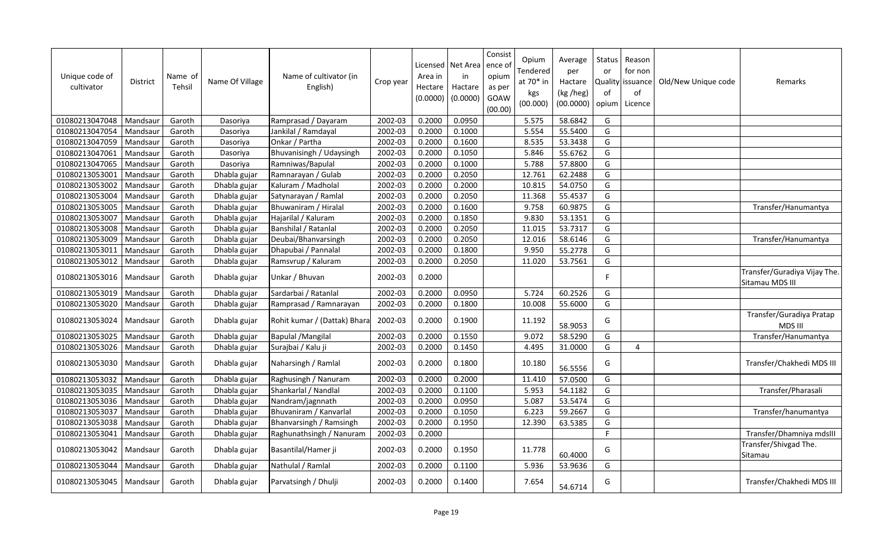| Unique code of<br>cultivator | <b>District</b> | Name of<br>Tehsil | Name Of Village | Name of cultivator (in<br>English) | Crop year | Area in<br>Hectare<br>(0.0000) | Licensed   Net Area  <br>in<br>Hactare<br>(0.0000) | Consist<br>ence o<br>opium<br>as per<br>GOAW<br>(00.00) | Opium<br>Tendered<br>at 70* in<br>kgs<br>(00.000) | Average<br>per<br>Hactare<br>(kg /heg)<br>(00.0000) | Status<br>or<br>of<br>opium | Reason<br>for non<br>Quality issuance<br>of<br>Licence | Old/New Unique code | Remarks                                         |
|------------------------------|-----------------|-------------------|-----------------|------------------------------------|-----------|--------------------------------|----------------------------------------------------|---------------------------------------------------------|---------------------------------------------------|-----------------------------------------------------|-----------------------------|--------------------------------------------------------|---------------------|-------------------------------------------------|
| 01080213047048               | Mandsaur        | Garoth            | Dasoriya        | Ramprasad / Dayaram                | 2002-03   | 0.2000                         | 0.0950                                             |                                                         | 5.575                                             | 58.6842                                             | G                           |                                                        |                     |                                                 |
| 01080213047054               | Mandsaur        | Garoth            | Dasoriya        | Jankilal / Ramdayal                | 2002-03   | 0.2000                         | 0.1000                                             |                                                         | 5.554                                             | 55.5400                                             | G                           |                                                        |                     |                                                 |
| 01080213047059               | Mandsaur        | Garoth            | Dasoriya        | Onkar / Partha                     | 2002-03   | 0.2000                         | 0.1600                                             |                                                         | 8.535                                             | 53.3438                                             | G                           |                                                        |                     |                                                 |
| 01080213047061               | Mandsaur        | Garoth            | Dasoriya        | Bhuvanisingh / Udaysingh           | 2002-03   | 0.2000                         | 0.1050                                             |                                                         | 5.846                                             | 55.6762                                             | G                           |                                                        |                     |                                                 |
| 01080213047065               | Mandsaur        | Garoth            | Dasoriya        | Ramniwas/Bapulal                   | 2002-03   | 0.2000                         | 0.1000                                             |                                                         | 5.788                                             | 57.8800                                             | G                           |                                                        |                     |                                                 |
| 01080213053001               | Mandsaur        | Garoth            | Dhabla gujar    | Ramnarayan / Gulab                 | 2002-03   | 0.2000                         | 0.2050                                             |                                                         | 12.761                                            | 62.2488                                             | G                           |                                                        |                     |                                                 |
| 01080213053002               | Mandsaur        | Garoth            | Dhabla gujar    | Kaluram / Madholal                 | 2002-03   | 0.2000                         | 0.2000                                             |                                                         | 10.815                                            | 54.0750                                             | G                           |                                                        |                     |                                                 |
| 01080213053004               | Mandsaur        | Garoth            | Dhabla gujar    | Satynarayan / Ramlal               | 2002-03   | 0.2000                         | 0.2050                                             |                                                         | 11.368                                            | 55.4537                                             | G                           |                                                        |                     |                                                 |
| 01080213053005               | Mandsaur        | Garoth            | Dhabla gujar    | Bhuwaniram / Hiralal               | 2002-03   | 0.2000                         | 0.1600                                             |                                                         | 9.758                                             | 60.9875                                             | G                           |                                                        |                     | Transfer/Hanumantya                             |
| 01080213053007               | Mandsaur        | Garoth            | Dhabla gujar    | Hajarilal / Kaluram                | 2002-03   | 0.2000                         | 0.1850                                             |                                                         | 9.830                                             | 53.1351                                             | G                           |                                                        |                     |                                                 |
| 01080213053008               | Mandsaur        | Garoth            | Dhabla gujar    | Banshilal / Ratanlal               | 2002-03   | 0.2000                         | 0.2050                                             |                                                         | 11.015                                            | 53.7317                                             | G                           |                                                        |                     |                                                 |
| 01080213053009               | Mandsaur        | Garoth            | Dhabla gujar    | Deubai/Bhanvarsingh                | 2002-03   | 0.2000                         | 0.2050                                             |                                                         | 12.016                                            | 58.6146                                             | G                           |                                                        |                     | Transfer/Hanumantya                             |
| 01080213053011               | Mandsaur        | Garoth            | Dhabla gujar    | Dhapubai / Pannalal                | 2002-03   | 0.2000                         | 0.1800                                             |                                                         | 9.950                                             | 55.2778                                             | G                           |                                                        |                     |                                                 |
| 01080213053012               | Mandsaur        | Garoth            | Dhabla gujar    | Ramsvrup / Kaluram                 | 2002-03   | 0.2000                         | 0.2050                                             |                                                         | 11.020                                            | 53.7561                                             | G                           |                                                        |                     |                                                 |
| 01080213053016               | Mandsaur        | Garoth            | Dhabla gujar    | Unkar / Bhuvan                     | 2002-03   | 0.2000                         |                                                    |                                                         |                                                   |                                                     | F                           |                                                        |                     | Transfer/Guradiya Vijay The.<br>Sitamau MDS III |
| 01080213053019               | Mandsaur        | Garoth            | Dhabla gujar    | Sardarbai / Ratanlal               | 2002-03   | 0.2000                         | 0.0950                                             |                                                         | 5.724                                             | 60.2526                                             | G                           |                                                        |                     |                                                 |
| 01080213053020               | Mandsaur        | Garoth            | Dhabla gujar    | Ramprasad / Ramnarayan             | 2002-03   | 0.2000                         | 0.1800                                             |                                                         | 10.008                                            | 55.6000                                             | G                           |                                                        |                     |                                                 |
| 01080213053024               | Mandsaur        | Garoth            | Dhabla gujar    | Rohit kumar / (Dattak) Bhara       | 2002-03   | 0.2000                         | 0.1900                                             |                                                         | 11.192                                            | 58.9053                                             | G                           |                                                        |                     | Transfer/Guradiya Pratap<br>MDS III             |
| 01080213053025               | Mandsaur        | Garoth            | Dhabla gujar    | <b>Bapulal /Mangilal</b>           | 2002-03   | 0.2000                         | 0.1550                                             |                                                         | 9.072                                             | 58.5290                                             | G                           |                                                        |                     | Transfer/Hanumantya                             |
| 01080213053026               | Mandsaur        | Garoth            | Dhabla gujar    | Surajbai / Kalu ji                 | 2002-03   | 0.2000                         | 0.1450                                             |                                                         | 4.495                                             | 31.0000                                             | G                           | 4                                                      |                     |                                                 |
| 01080213053030               | Mandsaur        | Garoth            | Dhabla gujar    | Naharsingh / Ramlal                | 2002-03   | 0.2000                         | 0.1800                                             |                                                         | 10.180                                            | 56.5556                                             | G                           |                                                        |                     | Transfer/Chakhedi MDS III                       |
| 01080213053032               | Mandsaur        | Garoth            | Dhabla gujar    | Raghusingh / Nanuram               | 2002-03   | 0.2000                         | 0.2000                                             |                                                         | 11.410                                            | 57.0500                                             | G                           |                                                        |                     |                                                 |
| 01080213053035               | Mandsaur        | Garoth            | Dhabla gujar    | Shankarlal / Nandlal               | 2002-03   | 0.2000                         | 0.1100                                             |                                                         | 5.953                                             | 54.1182                                             | G                           |                                                        |                     | Transfer/Pharasali                              |
| 01080213053036               | Mandsaur        | Garoth            | Dhabla gujar    | Nandram/jagnnath                   | 2002-03   | 0.2000                         | 0.0950                                             |                                                         | 5.087                                             | 53.5474                                             | G                           |                                                        |                     |                                                 |
| 01080213053037               | Mandsaur        | Garoth            | Dhabla gujar    | Bhuvaniram / Kanvarlal             | 2002-03   | 0.2000                         | 0.1050                                             |                                                         | 6.223                                             | 59.2667                                             | G                           |                                                        |                     | Transfer/hanumantya                             |
| 01080213053038               | Mandsaur        | Garoth            | Dhabla gujar    | Bhanvarsingh / Ramsingh            | 2002-03   | 0.2000                         | 0.1950                                             |                                                         | 12.390                                            | 63.5385                                             | G                           |                                                        |                     |                                                 |
| 01080213053041               | Mandsaur        | Garoth            | Dhabla gujar    | Raghunathsingh / Nanuram           | 2002-03   | 0.2000                         |                                                    |                                                         |                                                   |                                                     | F                           |                                                        |                     | Transfer/Dhamniya mdsIII                        |
| 01080213053042               | Mandsaur        | Garoth            | Dhabla gujar    | Basantilal/Hamer ji                | 2002-03   | 0.2000                         | 0.1950                                             |                                                         | 11.778                                            | 60.4000                                             | G                           |                                                        |                     | Transfer/Shivgad The.<br>Sitamau                |
| 01080213053044               | Mandsaur        | Garoth            | Dhabla gujar    | Nathulal / Ramlal                  | 2002-03   | 0.2000                         | 0.1100                                             |                                                         | 5.936                                             | 53.9636                                             | G                           |                                                        |                     |                                                 |
| 01080213053045               | Mandsaur        | Garoth            | Dhabla gujar    | Parvatsingh / Dhulji               | 2002-03   | 0.2000                         | 0.1400                                             |                                                         | 7.654                                             | 54.6714                                             | G                           |                                                        |                     | Transfer/Chakhedi MDS III                       |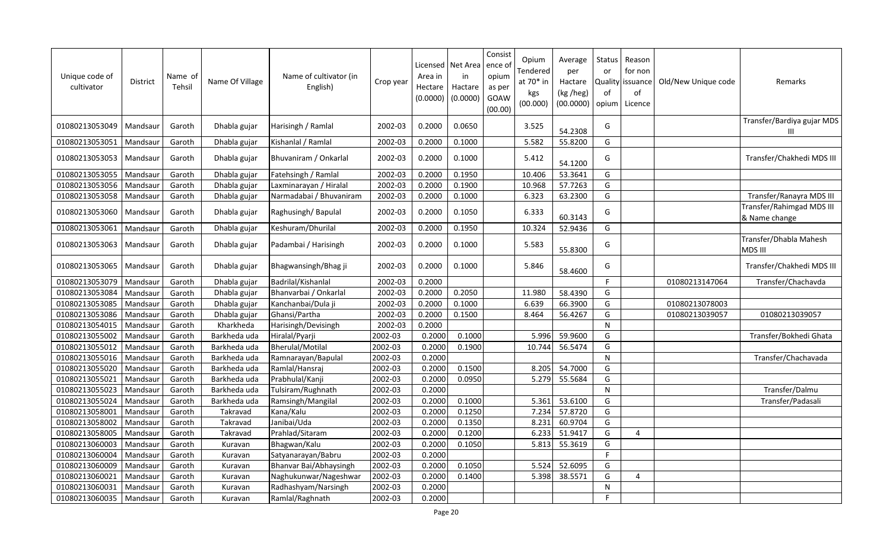| Unique code of<br>cultivator | <b>District</b> | Name of<br>Tehsil | Name Of Village | Name of cultivator (in<br>English) | Crop year | Area in<br>Hectare<br>(0.0000) | Licensed   Net Area<br>in<br>Hactare<br>(0.0000) | Consist<br>ence o<br>opium<br>as per<br>GOAW<br>(00.00) | Opium<br>Tendered<br>at 70* in<br>kgs<br>(00.000) | Average<br>per<br>Hactare<br>(kg /heg)<br>(00.0000) | <b>Status</b><br>or<br>Quality<br>of<br>opium | Reason<br>for non<br>issuance<br>of<br>Licence | Old/New Unique code | Remarks                                    |
|------------------------------|-----------------|-------------------|-----------------|------------------------------------|-----------|--------------------------------|--------------------------------------------------|---------------------------------------------------------|---------------------------------------------------|-----------------------------------------------------|-----------------------------------------------|------------------------------------------------|---------------------|--------------------------------------------|
| 01080213053049               | Mandsaur        | Garoth            | Dhabla gujar    | Harisingh / Ramlal                 | 2002-03   | 0.2000                         | 0.0650                                           |                                                         | 3.525                                             | 54.2308                                             | G                                             |                                                |                     | Transfer/Bardiya gujar MDS<br>Ш            |
| 01080213053051               | Mandsaur        | Garoth            | Dhabla gujar    | Kishanlal / Ramlal                 | 2002-03   | 0.2000                         | 0.1000                                           |                                                         | 5.582                                             | 55.8200                                             | G                                             |                                                |                     |                                            |
| 01080213053053               | Mandsaur        | Garoth            | Dhabla gujar    | Bhuvaniram / Onkarlal              | 2002-03   | 0.2000                         | 0.1000                                           |                                                         | 5.412                                             | 54.1200                                             | G                                             |                                                |                     | Transfer/Chakhedi MDS III                  |
| 01080213053055               | Mandsaur        | Garoth            | Dhabla gujar    | Fatehsingh / Ramlal                | 2002-03   | 0.2000                         | 0.1950                                           |                                                         | 10.406                                            | 53.3641                                             | G                                             |                                                |                     |                                            |
| 01080213053056               | Mandsaur        | Garoth            | Dhabla gujar    | Laxminarayan / Hiralal             | 2002-03   | 0.2000                         | 0.1900                                           |                                                         | 10.968                                            | 57.7263                                             | G                                             |                                                |                     |                                            |
| 01080213053058               | Mandsaur        | Garoth            | Dhabla gujar    | Narmadabai / Bhuvaniram            | 2002-03   | 0.2000                         | 0.1000                                           |                                                         | 6.323                                             | 63.2300                                             | G                                             |                                                |                     | Transfer/Ranayra MDS III                   |
| 01080213053060               | Mandsaur        | Garoth            | Dhabla gujar    | Raghusingh/Bapulal                 | 2002-03   | 0.2000                         | 0.1050                                           |                                                         | 6.333                                             | 60.3143                                             | G                                             |                                                |                     | Transfer/Rahimgad MDS III<br>& Name change |
| 01080213053061               | Mandsaur        | Garoth            | Dhabla gujar    | Keshuram/Dhurilal                  | 2002-03   | 0.2000                         | 0.1950                                           |                                                         | 10.324                                            | 52.9436                                             | G                                             |                                                |                     |                                            |
| 01080213053063               | Mandsaur        | Garoth            | Dhabla gujar    | Padambai / Harisingh               | 2002-03   | 0.2000                         | 0.1000                                           |                                                         | 5.583                                             | 55.8300                                             | G                                             |                                                |                     | Transfer/Dhabla Mahesh<br>MDS III          |
| 01080213053065               | Mandsaur        | Garoth            | Dhabla gujar    | Bhagwansingh/Bhag ji               | 2002-03   | 0.2000                         | 0.1000                                           |                                                         | 5.846                                             | 58.4600                                             | G                                             |                                                |                     | Transfer/Chakhedi MDS III                  |
| 01080213053079               | Mandsaur        | Garoth            | Dhabla gujar    | Badrilal/Kishanlal                 | 2002-03   | 0.2000                         |                                                  |                                                         |                                                   |                                                     | F                                             |                                                | 01080213147064      | Transfer/Chachavda                         |
| 01080213053084               | Mandsaur        | Garoth            | Dhabla gujar    | Bhanvarbai / Onkarlal              | 2002-03   | 0.2000                         | 0.2050                                           |                                                         | 11.980                                            | 58.4390                                             | G                                             |                                                |                     |                                            |
| 01080213053085               | Mandsaur        | Garoth            | Dhabla gujar    | Kanchanbai/Dula ji                 | 2002-03   | 0.2000                         | 0.1000                                           |                                                         | 6.639                                             | 66.3900                                             | G                                             |                                                | 01080213078003      |                                            |
| 01080213053086               | Mandsau         | Garoth            | Dhabla gujar    | Ghansi/Partha                      | 2002-03   | 0.2000                         | 0.1500                                           |                                                         | 8.464                                             | 56.4267                                             | G                                             |                                                | 01080213039057      | 01080213039057                             |
| 01080213054015               | Mandsaur        | Garoth            | Kharkheda       | Harisingh/Devisingh                | 2002-03   | 0.2000                         |                                                  |                                                         |                                                   |                                                     | $\mathsf{N}$                                  |                                                |                     |                                            |
| 01080213055002               | Mandsaur        | Garoth            | Barkheda uda    | Hiralal/Pyarji                     | 2002-03   | 0.2000                         | 0.1000                                           |                                                         | 5.996                                             | 59.9600                                             | G                                             |                                                |                     | Transfer/Bokhedi Ghata                     |
| 01080213055012               | Mandsaur        | Garoth            | Barkheda uda    | <b>Bherulal/Motilal</b>            | 2002-03   | 0.2000                         | 0.1900                                           |                                                         | 10.744                                            | 56.5474                                             | G                                             |                                                |                     |                                            |
| 01080213055016               | Mandsau         | Garoth            | Barkheda uda    | Ramnarayan/Bapulal                 | 2002-03   | 0.2000                         |                                                  |                                                         |                                                   |                                                     | N                                             |                                                |                     | Transfer/Chachavada                        |
| 01080213055020               | Mandsaur        | Garoth            | Barkheda uda    | Ramlal/Hansraj                     | 2002-03   | 0.2000                         | 0.1500                                           |                                                         | 8.205                                             | 54.7000                                             | G                                             |                                                |                     |                                            |
| 01080213055021               | Mandsaur        | Garoth            | Barkheda uda    | Prabhulal/Kanji                    | 2002-03   | 0.2000                         | 0.0950                                           |                                                         | 5.279                                             | 55.5684                                             | G                                             |                                                |                     |                                            |
| 01080213055023               | Mandsaur        | Garoth            | Barkheda uda    | Tulsiram/Rughnath                  | 2002-03   | 0.2000                         |                                                  |                                                         |                                                   |                                                     | $\mathsf{N}$                                  |                                                |                     | Transfer/Dalmu                             |
| 01080213055024               | Mandsaur        | Garoth            | Barkheda uda    | Ramsingh/Mangilal                  | 2002-03   | 0.2000                         | 0.1000                                           |                                                         | 5.361                                             | 53.6100                                             | G                                             |                                                |                     | Transfer/Padasali                          |
| 01080213058001               | Mandsaur        | Garoth            | Takravad        | Kana/Kalu                          | 2002-03   | 0.2000                         | 0.1250                                           |                                                         | 7.234                                             | 57.8720                                             | G                                             |                                                |                     |                                            |
| 01080213058002               | Mandsaur        | Garoth            | Takravad        | Janibai/Uda                        | 2002-03   | 0.2000                         | 0.1350                                           |                                                         | 8.231                                             | 60.9704                                             | G                                             |                                                |                     |                                            |
| 01080213058005               | Mandsaur        | Garoth            | Takravad        | Prahlad/Sitaram                    | 2002-03   | 0.2000                         | 0.1200                                           |                                                         | 6.233                                             | 51.9417                                             | G                                             | 4                                              |                     |                                            |
| 01080213060003               | Mandsau         | Garoth            | Kuravan         | Bhagwan/Kalu                       | 2002-03   | 0.2000                         | 0.1050                                           |                                                         | 5.813                                             | 55.3619                                             | G                                             |                                                |                     |                                            |
| 01080213060004               | Mandsaur        | Garoth            | Kuravan         | Satyanarayan/Babru                 | 2002-03   | 0.2000                         |                                                  |                                                         |                                                   |                                                     | $\mathsf{F}$                                  |                                                |                     |                                            |
| 01080213060009               | Mandsaur        | Garoth            | Kuravan         | Bhanvar Bai/Abhaysingh             | 2002-03   | 0.2000                         | 0.1050                                           |                                                         | 5.524                                             | 52.6095                                             | G                                             |                                                |                     |                                            |
| 01080213060021               | Mandsaur        | Garoth            | Kuravan         | Naghukunwar/Nageshwar              | 2002-03   | 0.2000                         | 0.1400                                           |                                                         | 5.398                                             | 38.5571                                             | G                                             | 4                                              |                     |                                            |
| 01080213060031               | Mandsaur        | Garoth            | Kuravan         | Radhashyam/Narsingh                | 2002-03   | 0.2000                         |                                                  |                                                         |                                                   |                                                     | N                                             |                                                |                     |                                            |
| 01080213060035               | Mandsaur        | Garoth            | Kuravan         | Ramlal/Raghnath                    | 2002-03   | 0.2000                         |                                                  |                                                         |                                                   |                                                     | $\mathsf F$                                   |                                                |                     |                                            |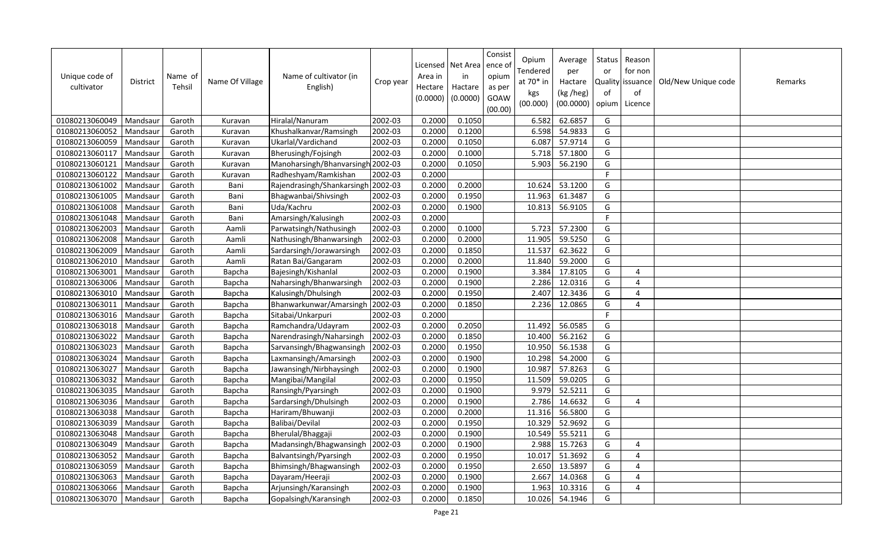| Unique code of<br>cultivator | District | Name of<br>Tehsil | Name Of Village | Name of cultivator (in<br>English) | Crop year | Area in<br>Hectare<br>(0.0000) | Licensed   Net Area<br>in<br>Hactare<br>(0.0000) | Consist<br>ence of<br>opium<br>as per<br>GOAW<br>(00.00) | Opium<br>Tendered<br>at 70* in<br>kgs<br>(00.000) | Average<br>per<br>Hactare<br>(kg /heg)<br>(00.0000) | Status<br>or<br><b>Quality</b><br>of<br>opium | Reason<br>for non<br>issuance<br>of<br>Licence | Old/New Unique code | Remarks |
|------------------------------|----------|-------------------|-----------------|------------------------------------|-----------|--------------------------------|--------------------------------------------------|----------------------------------------------------------|---------------------------------------------------|-----------------------------------------------------|-----------------------------------------------|------------------------------------------------|---------------------|---------|
| 01080213060049               | Mandsaur | Garoth            | Kuravan         | Hiralal/Nanuram                    | 2002-03   | 0.2000                         | 0.1050                                           |                                                          | 6.582                                             | 62.6857                                             | G                                             |                                                |                     |         |
| 01080213060052               | Mandsaur | Garoth            | Kuravan         | Khushalkanvar/Ramsingh             | 2002-03   | 0.2000                         | 0.1200                                           |                                                          | 6.598                                             | 54.9833                                             | G                                             |                                                |                     |         |
| 01080213060059               | Mandsaur | Garoth            | Kuravan         | Ukarlal/Vardichand                 | 2002-03   | 0.2000                         | 0.1050                                           |                                                          | 6.087                                             | 57.9714                                             | G                                             |                                                |                     |         |
| 01080213060117               | Mandsaur | Garoth            | Kuravan         | Bherusingh/Fojsingh                | 2002-03   | 0.2000                         | 0.1000                                           |                                                          | 5.718                                             | 57.1800                                             | G                                             |                                                |                     |         |
| 01080213060121               | Mandsaur | Garoth            | Kuravan         | Manoharsingh/Bhanvarsingh 2002-03  |           | 0.2000                         | 0.1050                                           |                                                          | 5.903                                             | 56.2190                                             | G                                             |                                                |                     |         |
| 01080213060122               | Mandsaur | Garoth            | Kuravan         | Radheshyam/Ramkishan               | 2002-03   | 0.2000                         |                                                  |                                                          |                                                   |                                                     | F.                                            |                                                |                     |         |
| 01080213061002               | Mandsaur | Garoth            | Bani            | Rajendrasingh/Shankarsingh 2002-03 |           | 0.2000                         | 0.2000                                           |                                                          | 10.624                                            | 53.1200                                             | G                                             |                                                |                     |         |
| 01080213061005               | Mandsaur | Garoth            | Bani            | Bhagwanbai/Shivsingh               | 2002-03   | 0.2000                         | 0.1950                                           |                                                          | 11.963                                            | 61.3487                                             | G                                             |                                                |                     |         |
| 01080213061008               | Mandsaur | Garoth            | Bani            | Uda/Kachru                         | 2002-03   | 0.2000                         | 0.1900                                           |                                                          | 10.813                                            | 56.9105                                             | G                                             |                                                |                     |         |
| 01080213061048               | Mandsaur | Garoth            | Bani            | Amarsingh/Kalusingh                | 2002-03   | 0.2000                         |                                                  |                                                          |                                                   |                                                     | $\mathsf F$                                   |                                                |                     |         |
| 01080213062003               | Mandsau  | Garoth            | Aamli           | Parwatsingh/Nathusingh             | 2002-03   | 0.2000                         | 0.1000                                           |                                                          | 5.723                                             | 57.2300                                             | G                                             |                                                |                     |         |
| 01080213062008               | Mandsau  | Garoth            | Aamli           | Nathusingh/Bhanwarsingh            | 2002-03   | 0.2000                         | 0.2000                                           |                                                          | 11.905                                            | 59.5250                                             | G                                             |                                                |                     |         |
| 01080213062009               | Mandsau  | Garoth            | Aamli           | Sardarsingh/Jorawarsingh           | 2002-03   | 0.2000                         | 0.1850                                           |                                                          | 11.537                                            | 62.3622                                             | G                                             |                                                |                     |         |
| 01080213062010               | Mandsaur | Garoth            | Aamli           | Ratan Bai/Gangaram                 | 2002-03   | 0.2000                         | 0.2000                                           |                                                          | 11.840                                            | 59.2000                                             | G                                             |                                                |                     |         |
| 01080213063001               | Mandsau  | Garoth            | Bapcha          | Bajesingh/Kishanlal                | 2002-03   | 0.2000                         | 0.1900                                           |                                                          | 3.384                                             | 17.8105                                             | G                                             | $\overline{4}$                                 |                     |         |
| 01080213063006               | Mandsaur | Garoth            | Bapcha          | Naharsingh/Bhanwarsingh            | 2002-03   | 0.2000                         | 0.1900                                           |                                                          | 2.286                                             | 12.0316                                             | G                                             | $\overline{4}$                                 |                     |         |
| 01080213063010               | Mandsaur | Garoth            | Bapcha          | Kalusingh/Dhulsingh                | 2002-03   | 0.2000                         | 0.1950                                           |                                                          | 2.407                                             | 12.3436                                             | G                                             | $\Delta$                                       |                     |         |
| 01080213063011               | Mandsaur | Garoth            | Bapcha          | Bhanwarkunwar/Amarsingh            | 2002-03   | 0.2000                         | 0.1850                                           |                                                          | 2.236                                             | 12.0865                                             | G                                             | 4                                              |                     |         |
| 01080213063016               | Mandsaur | Garoth            | Bapcha          | Sitabai/Unkarpuri                  | 2002-03   | 0.2000                         |                                                  |                                                          |                                                   |                                                     | F.                                            |                                                |                     |         |
| 01080213063018               | Mandsaur | Garoth            | Bapcha          | Ramchandra/Udayram                 | 2002-03   | 0.2000                         | 0.2050                                           |                                                          | 11.492                                            | 56.0585                                             | G                                             |                                                |                     |         |
| 01080213063022               | Mandsaur | Garoth            | Bapcha          | Narendrasingh/Naharsingh           | 2002-03   | 0.2000                         | 0.1850                                           |                                                          | 10.400                                            | 56.2162                                             | G                                             |                                                |                     |         |
| 01080213063023               | Mandsaur | Garoth            | Bapcha          | Sarvansingh/Bhagwansingh           | 2002-03   | 0.2000                         | 0.1950                                           |                                                          | 10.950                                            | 56.1538                                             | G                                             |                                                |                     |         |
| 01080213063024               | Mandsaur | Garoth            | Bapcha          | Laxmansingh/Amarsingh              | 2002-03   | 0.2000                         | 0.1900                                           |                                                          | 10.298                                            | 54.2000                                             | G                                             |                                                |                     |         |
| 01080213063027               | Mandsaur | Garoth            | Bapcha          | Jawansingh/Nirbhaysingh            | 2002-03   | 0.2000                         | 0.1900                                           |                                                          | 10.987                                            | 57.8263                                             | G                                             |                                                |                     |         |
| 01080213063032               | Mandsaur | Garoth            | Bapcha          | Mangibai/Mangilal                  | 2002-03   | 0.2000                         | 0.1950                                           |                                                          | 11.509                                            | 59.0205                                             | G                                             |                                                |                     |         |
| 01080213063035               | Mandsaur | Garoth            | Bapcha          | Ransingh/Pyarsingh                 | 2002-03   | 0.2000                         | 0.1900                                           |                                                          | 9.979                                             | 52.5211                                             | G                                             |                                                |                     |         |
| 01080213063036               | Mandsaur | Garoth            | Bapcha          | Sardarsingh/Dhulsingh              | 2002-03   | 0.2000                         | 0.1900                                           |                                                          | 2.786                                             | 14.6632                                             | G                                             | $\overline{4}$                                 |                     |         |
| 01080213063038               | Mandsau  | Garoth            | Bapcha          | Hariram/Bhuwanji                   | 2002-03   | 0.2000                         | 0.2000                                           |                                                          | 11.316                                            | 56.5800                                             | G                                             |                                                |                     |         |
| 01080213063039               | Mandsau  | Garoth            | Bapcha          | Balibai/Devilal                    | 2002-03   | 0.2000                         | 0.1950                                           |                                                          | 10.329                                            | 52.9692                                             | G                                             |                                                |                     |         |
| 01080213063048               | Mandsaur | Garoth            | Bapcha          | Bherulal/Bhaggaji                  | 2002-03   | 0.2000                         | 0.1900                                           |                                                          | 10.549                                            | 55.5211                                             | G                                             |                                                |                     |         |
| 01080213063049               | Mandsaur | Garoth            | Bapcha          | Madansingh/Bhagwansingh            | 2002-03   | 0.2000                         | 0.1900                                           |                                                          | 2.988                                             | 15.7263                                             | G                                             | $\overline{4}$                                 |                     |         |
| 01080213063052               | Mandsau  | Garoth            | Bapcha          | Balvantsingh/Pyarsingh             | 2002-03   | 0.2000                         | 0.1950                                           |                                                          | 10.017                                            | 51.3692                                             | G                                             | $\boldsymbol{\Delta}$                          |                     |         |
| 01080213063059               | Mandsaur | Garoth            | Bapcha          | Bhimsingh/Bhagwansingh             | 2002-03   | 0.2000                         | 0.1950                                           |                                                          | 2.650                                             | 13.5897                                             | G                                             | $\overline{4}$                                 |                     |         |
| 01080213063063               | Mandsaur | Garoth            | Bapcha          | Dayaram/Heeraji                    | 2002-03   | 0.2000                         | 0.1900                                           |                                                          | 2.667                                             | 14.0368                                             | G                                             | $\overline{4}$                                 |                     |         |
| 01080213063066               | Mandsaur | Garoth            | Bapcha          | Arjunsingh/Karansingh              | 2002-03   | 0.2000                         | 0.1900                                           |                                                          | 1.963                                             | 10.3316                                             | G                                             | $\boldsymbol{\Delta}$                          |                     |         |
| 01080213063070               | Mandsaur | Garoth            | Bapcha          | Gopalsingh/Karansingh              | 2002-03   | 0.2000                         | 0.1850                                           |                                                          | 10.026                                            | 54.1946                                             | G                                             |                                                |                     |         |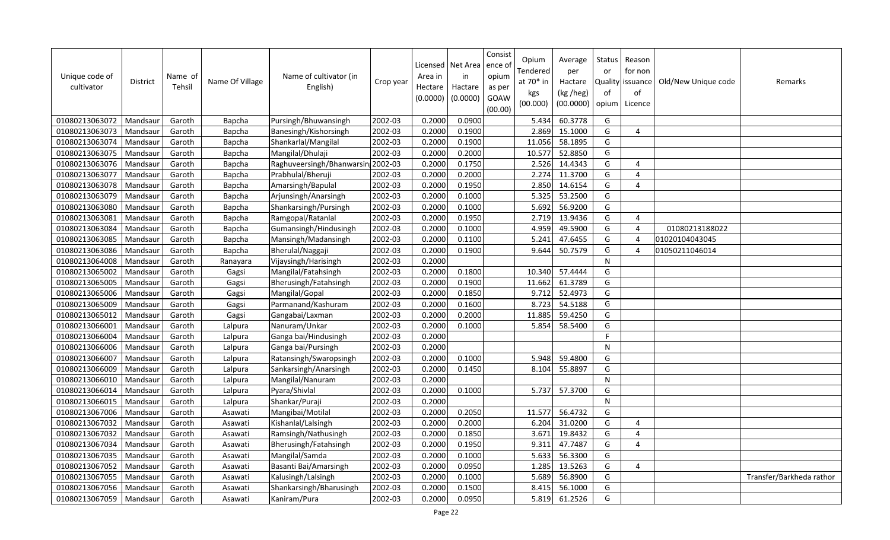| Unique code of<br>cultivator | <b>District</b> | Name of<br>Tehsil | Name Of Village | Name of cultivator (in<br>English) | Crop year | Area in<br>Hectare<br>(0.0000) | Licensed   Net Area<br>in<br>Hactare<br>(0.0000) | Consist<br>ence of<br>opium<br>as per<br>GOAW<br>(00.00) | Opium<br>Tendered<br>at 70* in<br>kgs<br>(00.000) | Average<br>per<br>Hactare<br>(kg /heg)<br>(00.0000) | Status<br>or<br>Quality<br>of<br>opium | Reason<br>for non<br>issuance<br>of<br>Licence | Old/New Unique code | Remarks                  |
|------------------------------|-----------------|-------------------|-----------------|------------------------------------|-----------|--------------------------------|--------------------------------------------------|----------------------------------------------------------|---------------------------------------------------|-----------------------------------------------------|----------------------------------------|------------------------------------------------|---------------------|--------------------------|
| 01080213063072               | Mandsaur        | Garoth            | Bapcha          | Pursingh/Bhuwansingh               | 2002-03   | 0.2000                         | 0.0900                                           |                                                          | 5.434                                             | 60.3778                                             | G                                      |                                                |                     |                          |
| 01080213063073               | Mandsaur        | Garoth            | Bapcha          | Banesingh/Kishorsingh              | 2002-03   | 0.2000                         | 0.1900                                           |                                                          | 2.869                                             | 15.1000                                             | G                                      | $\boldsymbol{\Delta}$                          |                     |                          |
| 01080213063074               | Mandsaur        | Garoth            | Bapcha          | Shankarlal/Mangilal                | 2002-03   | 0.2000                         | 0.1900                                           |                                                          | 11.056                                            | 58.1895                                             | G                                      |                                                |                     |                          |
| 01080213063075               | Mandsaur        | Garoth            | Bapcha          | Mangilal/Dhulaji                   | 2002-03   | 0.2000                         | 0.2000                                           |                                                          | 10.577                                            | 52.8850                                             | G                                      |                                                |                     |                          |
| 01080213063076               | Mandsaur        | Garoth            | Bapcha          | Raghuveersingh/Bhanwarsin 2002-03  |           | 0.2000                         | 0.1750                                           |                                                          | 2.526                                             | 14.4343                                             | G                                      | $\overline{4}$                                 |                     |                          |
| 01080213063077               | Mandsaur        | Garoth            | Bapcha          | Prabhulal/Bheruji                  | 2002-03   | 0.2000                         | 0.2000                                           |                                                          | 2.274                                             | 11.3700                                             | G                                      | $\boldsymbol{\Delta}$                          |                     |                          |
| 01080213063078               | Mandsaur        | Garoth            | Bapcha          | Amarsingh/Bapulal                  | 2002-03   | 0.2000                         | 0.1950                                           |                                                          | 2.850                                             | 14.6154                                             | G                                      | $\overline{4}$                                 |                     |                          |
| 01080213063079               | Mandsaur        | Garoth            | Bapcha          | Arjunsingh/Anarsingh               | 2002-03   | 0.2000                         | 0.1000                                           |                                                          | 5.325                                             | 53.2500                                             | G                                      |                                                |                     |                          |
| 01080213063080               | Mandsaur        | Garoth            | Bapcha          | Shankarsingh/Pursingh              | 2002-03   | 0.2000                         | 0.1000                                           |                                                          | 5.692                                             | 56.9200                                             | G                                      |                                                |                     |                          |
| 01080213063081               | Mandsaur        | Garoth            | Bapcha          | Ramgopal/Ratanlal                  | 2002-03   | 0.2000                         | 0.1950                                           |                                                          | 2.719                                             | 13.9436                                             | G                                      | $\overline{4}$                                 |                     |                          |
| 01080213063084               | Mandsau         | Garoth            | Bapcha          | Gumansingh/Hindusingh              | 2002-03   | 0.2000                         | 0.1000                                           |                                                          | 4.959                                             | 49.5900                                             | G                                      | $\overline{4}$                                 | 01080213188022      |                          |
| 01080213063085               | Mandsaur        | Garoth            | Bapcha          | Mansingh/Madansingh                | 2002-03   | 0.2000                         | 0.1100                                           |                                                          | 5.241                                             | 47.6455                                             | G                                      | $\overline{4}$                                 | 01020104043045      |                          |
| 01080213063086               | Mandsaur        | Garoth            | Bapcha          | Bherulal/Naggaji                   | 2002-03   | 0.2000                         | 0.1900                                           |                                                          | 9.644                                             | 50.7579                                             | G                                      | $\overline{4}$                                 | 01050211046014      |                          |
| 01080213064008               | Mandsaur        | Garoth            | Ranayara        | Vijaysingh/Harisingh               | 2002-03   | 0.2000                         |                                                  |                                                          |                                                   |                                                     | N                                      |                                                |                     |                          |
| 01080213065002               | Mandsau         | Garoth            | Gagsi           | Mangilal/Fatahsingh                | 2002-03   | 0.2000                         | 0.1800                                           |                                                          | 10.340                                            | 57.4444                                             | G                                      |                                                |                     |                          |
| 01080213065005               | Mandsaur        | Garoth            | Gagsi           | Bherusingh/Fatahsingh              | 2002-03   | 0.2000                         | 0.1900                                           |                                                          | 11.662                                            | 61.3789                                             | G                                      |                                                |                     |                          |
| 01080213065006               | Mandsaur        | Garoth            | Gagsi           | Mangilal/Gopal                     | 2002-03   | 0.2000                         | 0.1850                                           |                                                          | 9.712                                             | 52.4973                                             | G                                      |                                                |                     |                          |
| 01080213065009               | Mandsaur        | Garoth            | Gagsi           | Parmanand/Kashuram                 | 2002-03   | 0.2000                         | 0.1600                                           |                                                          | 8.723                                             | 54.5188                                             | G                                      |                                                |                     |                          |
| 01080213065012               | Mandsaur        | Garoth            | Gagsi           | Gangabai/Laxman                    | 2002-03   | 0.2000                         | 0.2000                                           |                                                          | 11.885                                            | 59.4250                                             | G                                      |                                                |                     |                          |
| 01080213066001               | Mandsaur        | Garoth            | Lalpura         | Nanuram/Unkar                      | 2002-03   | 0.2000                         | 0.1000                                           |                                                          | 5.854                                             | 58.5400                                             | G                                      |                                                |                     |                          |
| 01080213066004               | Mandsaur        | Garoth            | Lalpura         | Ganga bai/Hindusingh               | 2002-03   | 0.2000                         |                                                  |                                                          |                                                   |                                                     | F.                                     |                                                |                     |                          |
| 01080213066006               | Mandsaur        | Garoth            | Lalpura         | Ganga bai/Pursingh                 | 2002-03   | 0.2000                         |                                                  |                                                          |                                                   |                                                     | ${\sf N}$                              |                                                |                     |                          |
| 01080213066007               | Mandsaur        | Garoth            | Lalpura         | Ratansingh/Swaropsingh             | 2002-03   | 0.2000                         | 0.1000                                           |                                                          | 5.948                                             | 59.4800                                             | G                                      |                                                |                     |                          |
| 01080213066009               | Mandsaur        | Garoth            | Lalpura         | Sankarsingh/Anarsingh              | 2002-03   | 0.2000                         | 0.1450                                           |                                                          | 8.104                                             | 55.8897                                             | G                                      |                                                |                     |                          |
| 01080213066010               | Mandsaur        | Garoth            | Lalpura         | Mangilal/Nanuram                   | 2002-03   | 0.2000                         |                                                  |                                                          |                                                   |                                                     | ${\sf N}$                              |                                                |                     |                          |
| 01080213066014               | Mandsaur        | Garoth            | Lalpura         | Pyara/Shivlal                      | 2002-03   | 0.2000                         | 0.1000                                           |                                                          | 5.737                                             | 57.3700                                             | G                                      |                                                |                     |                          |
| 01080213066015               | Mandsaur        | Garoth            | Lalpura         | Shankar/Puraji                     | 2002-03   | 0.2000                         |                                                  |                                                          |                                                   |                                                     | ${\sf N}$                              |                                                |                     |                          |
| 01080213067006               | Mandsau         | Garoth            | Asawati         | Mangibai/Motilal                   | 2002-03   | 0.2000                         | 0.2050                                           |                                                          | 11.577                                            | 56.4732                                             | G                                      |                                                |                     |                          |
| 01080213067032               | Mandsau         | Garoth            | Asawati         | Kishanlal/Lalsingh                 | 2002-03   | 0.2000                         | 0.2000                                           |                                                          | 6.204                                             | 31.0200                                             | G                                      | $\overline{4}$                                 |                     |                          |
| 01080213067032               | Mandsaur        | Garoth            | Asawati         | Ramsingh/Nathusingh                | 2002-03   | 0.2000                         | 0.1850                                           |                                                          | 3.671                                             | 19.8432                                             | G                                      | $\boldsymbol{\Delta}$                          |                     |                          |
| 01080213067034               | Mandsaur        | Garoth            | Asawati         | Bherusingh/Fatahsingh              | 2002-03   | 0.2000                         | 0.1950                                           |                                                          | 9.311                                             | 47.7487                                             | G                                      | $\overline{4}$                                 |                     |                          |
| 01080213067035               | Mandsau         | Garoth            | Asawati         | Mangilal/Samda                     | 2002-03   | 0.2000                         | 0.1000                                           |                                                          | 5.633                                             | 56.3300                                             | G                                      |                                                |                     |                          |
| 01080213067052               | Mandsaur        | Garoth            | Asawati         | Basanti Bai/Amarsingh              | 2002-03   | 0.2000                         | 0.0950                                           |                                                          | 1.285                                             | 13.5263                                             | G                                      | $\overline{4}$                                 |                     |                          |
| 01080213067055               | Mandsaur        | Garoth            | Asawati         | Kalusingh/Lalsingh                 | 2002-03   | 0.2000                         | 0.1000                                           |                                                          | 5.689                                             | 56.8900                                             | G                                      |                                                |                     | Transfer/Barkheda rathor |
| 01080213067056               | Mandsaur        | Garoth            | Asawati         | Shankarsingh/Bharusingh            | 2002-03   | 0.2000                         | 0.1500                                           |                                                          | 8.415                                             | 56.1000                                             | G                                      |                                                |                     |                          |
| 01080213067059               | Mandsaur        | Garoth            | Asawati         | Kaniram/Pura                       | 2002-03   | 0.2000                         | 0.0950                                           |                                                          | 5.819                                             | 61.2526                                             | G                                      |                                                |                     |                          |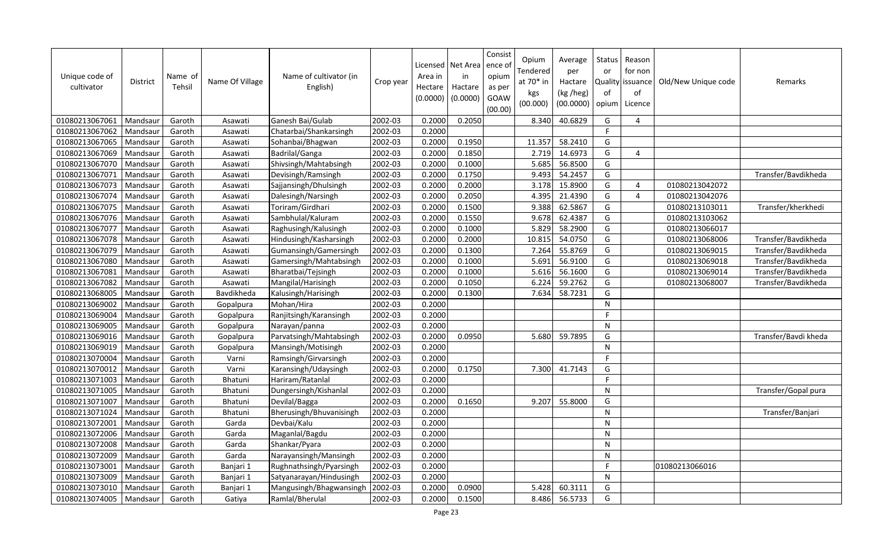| Unique code of<br>cultivator | District | Name of<br>Tehsil | Name Of Village | Name of cultivator (in<br>English) | Crop year | Area in<br>Hectare<br>(0.0000) | Licensed   Net Area<br>in<br>Hactare<br>(0.0000) | Consist<br>ence o<br>opium<br>as per<br>GOAW<br>(00.00) | Opium<br>Tendered<br>at 70* in<br>kgs<br>(00.000) | Average<br>per<br>Hactare<br>(kg /heg)<br>(00.0000) | Status<br>or<br>Quality<br>of<br>opium | Reason<br>for non<br>issuance<br>of<br>Licence | Old/New Unique code | Remarks              |
|------------------------------|----------|-------------------|-----------------|------------------------------------|-----------|--------------------------------|--------------------------------------------------|---------------------------------------------------------|---------------------------------------------------|-----------------------------------------------------|----------------------------------------|------------------------------------------------|---------------------|----------------------|
| 01080213067061               | Mandsaur | Garoth            | Asawati         | Ganesh Bai/Gulab                   | 2002-03   | 0.2000                         | 0.2050                                           |                                                         | 8.340                                             | 40.6829                                             | G                                      | 4                                              |                     |                      |
| 01080213067062               | Mandsaur | Garoth            | Asawati         | Chatarbai/Shankarsingh             | 2002-03   | 0.2000                         |                                                  |                                                         |                                                   |                                                     | F.                                     |                                                |                     |                      |
| 01080213067065               | Mandsaur | Garoth            | Asawati         | Sohanbai/Bhagwan                   | 2002-03   | 0.2000                         | 0.1950                                           |                                                         | 11.357                                            | 58.2410                                             | G                                      |                                                |                     |                      |
| 01080213067069               | Mandsaur | Garoth            | Asawati         | Badrilal/Ganga                     | 2002-03   | 0.2000                         | 0.1850                                           |                                                         | 2.719                                             | 14.6973                                             | G                                      | $\overline{4}$                                 |                     |                      |
| 01080213067070               | Mandsaur | Garoth            | Asawati         | Shivsingh/Mahtabsingh              | 2002-03   | 0.2000                         | 0.1000                                           |                                                         | 5.685                                             | 56.8500                                             | G                                      |                                                |                     |                      |
| 01080213067071               | Mandsaur | Garoth            | Asawati         | Devisingh/Ramsingh                 | 2002-03   | 0.2000                         | 0.1750                                           |                                                         | 9.493                                             | 54.2457                                             | G                                      |                                                |                     | Transfer/Bavdikheda  |
| 01080213067073               | Mandsaur | Garoth            | Asawati         | Sajjansingh/Dhulsingh              | 2002-03   | 0.2000                         | 0.2000                                           |                                                         | 3.178                                             | 15.8900                                             | G                                      | $\overline{4}$                                 | 01080213042072      |                      |
| 01080213067074               | Mandsaur | Garoth            | Asawati         | Dalesingh/Narsingh                 | 2002-03   | 0.2000                         | 0.2050                                           |                                                         | 4.395                                             | 21.4390                                             | G                                      | 4                                              | 01080213042076      |                      |
| 01080213067075               | Mandsaur | Garoth            | Asawati         | Toriram/Girdhari                   | 2002-03   | 0.2000                         | 0.1500                                           |                                                         | 9.388                                             | 62.5867                                             | G                                      |                                                | 01080213103011      | Transfer/kherkhedi   |
| 01080213067076               | Mandsaur | Garoth            | Asawati         | Sambhulal/Kaluram                  | 2002-03   | 0.2000                         | 0.1550                                           |                                                         | 9.678                                             | 62.4387                                             | G                                      |                                                | 01080213103062      |                      |
| 01080213067077               | Mandsaur | Garoth            | Asawati         | Raghusingh/Kalusingh               | 2002-03   | 0.2000                         | 0.1000                                           |                                                         | 5.829                                             | 58.2900                                             | G                                      |                                                | 01080213066017      |                      |
| 01080213067078               | Mandsaur | Garoth            | Asawati         | Hindusingh/Kasharsingh             | 2002-03   | 0.2000                         | 0.2000                                           |                                                         | 10.815                                            | 54.0750                                             | G                                      |                                                | 01080213068006      | Transfer/Bavdikheda  |
| 01080213067079               | Mandsaur | Garoth            | Asawati         | Gumansingh/Gamersingh              | 2002-03   | 0.2000                         | 0.1300                                           |                                                         | 7.264                                             | 55.8769                                             | G                                      |                                                | 01080213069015      | Transfer/Bavdikheda  |
| 01080213067080               | Mandsaur | Garoth            | Asawati         | Gamersingh/Mahtabsingh             | 2002-03   | 0.2000                         | 0.1000                                           |                                                         | 5.691                                             | 56.9100                                             | G                                      |                                                | 01080213069018      | Transfer/Bavdikheda  |
| 01080213067081               | Mandsaur | Garoth            | Asawati         | Bharatbai/Tejsingh                 | 2002-03   | 0.2000                         | 0.1000                                           |                                                         | 5.616                                             | 56.1600                                             | G                                      |                                                | 01080213069014      | Transfer/Bavdikheda  |
| 01080213067082               | Mandsaur | Garoth            | Asawati         | Mangilal/Harisingh                 | 2002-03   | 0.2000                         | 0.1050                                           |                                                         | 6.224                                             | 59.2762                                             | G                                      |                                                | 01080213068007      | Transfer/Bavdikheda  |
| 01080213068005               | Mandsaur | Garoth            | Bavdikheda      | Kalusingh/Harisingh                | 2002-03   | 0.2000                         | 0.1300                                           |                                                         | 7.634                                             | 58.7231                                             | G                                      |                                                |                     |                      |
| 01080213069002               | Mandsaur | Garoth            | Gopalpura       | Mohan/Hira                         | 2002-03   | 0.2000                         |                                                  |                                                         |                                                   |                                                     | $\mathsf{N}$                           |                                                |                     |                      |
| 01080213069004               | Mandsaur | Garoth            | Gopalpura       | Ranjitsingh/Karansingh             | 2002-03   | 0.2000                         |                                                  |                                                         |                                                   |                                                     | F                                      |                                                |                     |                      |
| 01080213069005               | Mandsaur | Garoth            | Gopalpura       | Narayan/panna                      | 2002-03   | 0.2000                         |                                                  |                                                         |                                                   |                                                     | N                                      |                                                |                     |                      |
| 01080213069016               | Mandsaur | Garoth            | Gopalpura       | Parvatsingh/Mahtabsingh            | 2002-03   | 0.2000                         | 0.0950                                           |                                                         | 5.680                                             | 59.7895                                             | G                                      |                                                |                     | Transfer/Bavdi kheda |
| 01080213069019               | Mandsaur | Garoth            | Gopalpura       | Mansingh/Motisingh                 | 2002-03   | 0.2000                         |                                                  |                                                         |                                                   |                                                     | $\mathsf{N}$                           |                                                |                     |                      |
| 01080213070004               | Mandsaur | Garoth            | Varni           | Ramsingh/Girvarsingh               | 2002-03   | 0.2000                         |                                                  |                                                         |                                                   |                                                     | F.                                     |                                                |                     |                      |
| 01080213070012               | Mandsaur | Garoth            | Varni           | Karansingh/Udaysingh               | 2002-03   | 0.2000                         | 0.1750                                           |                                                         | 7.300                                             | 41.7143                                             | G                                      |                                                |                     |                      |
| 01080213071003               | Mandsaur | Garoth            | Bhatuni         | Hariram/Ratanlal                   | 2002-03   | 0.2000                         |                                                  |                                                         |                                                   |                                                     | F.                                     |                                                |                     |                      |
| 01080213071005               | Mandsaur | Garoth            | Bhatuni         | Dungersingh/Kishanlal              | 2002-03   | 0.2000                         |                                                  |                                                         |                                                   |                                                     | $\mathsf{N}$                           |                                                |                     | Transfer/Gopal pura  |
| 01080213071007               | Mandsaur | Garoth            | Bhatuni         | Devilal/Bagga                      | 2002-03   | 0.2000                         | 0.1650                                           |                                                         | 9.207                                             | 55.8000                                             | G                                      |                                                |                     |                      |
| 01080213071024               | Mandsaur | Garoth            | Bhatuni         | Bherusingh/Bhuvanisingh            | 2002-03   | 0.2000                         |                                                  |                                                         |                                                   |                                                     | $\mathsf{N}$                           |                                                |                     | Transfer/Banjari     |
| 01080213072001               | Mandsaur | Garoth            | Garda           | Devbai/Kalu                        | 2002-03   | 0.2000                         |                                                  |                                                         |                                                   |                                                     | $\mathsf{N}$                           |                                                |                     |                      |
| 01080213072006               | Mandsaur | Garoth            | Garda           | Maganlal/Bagdu                     | 2002-03   | 0.2000                         |                                                  |                                                         |                                                   |                                                     | N                                      |                                                |                     |                      |
| 01080213072008               | Mandsaur | Garoth            | Garda           | Shankar/Pyara                      | 2002-03   | 0.2000                         |                                                  |                                                         |                                                   |                                                     | $\mathsf{N}$                           |                                                |                     |                      |
| 01080213072009               | Mandsaur | Garoth            | Garda           | Narayansingh/Mansingh              | 2002-03   | 0.2000                         |                                                  |                                                         |                                                   |                                                     | $\mathsf{N}$                           |                                                |                     |                      |
| 01080213073001               | Mandsaur | Garoth            | Banjari 1       | Rughnathsingh/Pyarsingh            | 2002-03   | 0.2000                         |                                                  |                                                         |                                                   |                                                     | F                                      |                                                | 01080213066016      |                      |
| 01080213073009               | Mandsaur | Garoth            | Banjari 1       | Satyanarayan/Hindusingh            | 2002-03   | 0.2000                         |                                                  |                                                         |                                                   |                                                     | N                                      |                                                |                     |                      |
| 01080213073010               | Mandsaur | Garoth            | Banjari 1       | Mangusingh/Bhagwansingh            | 2002-03   | 0.2000                         | 0.0900                                           |                                                         | 5.428                                             | 60.3111                                             | G                                      |                                                |                     |                      |
| 01080213074005               | Mandsaur | Garoth            | Gatiya          | Ramlal/Bherulal                    | 2002-03   | 0.2000                         | 0.1500                                           |                                                         | 8.486                                             | 56.5733                                             | G                                      |                                                |                     |                      |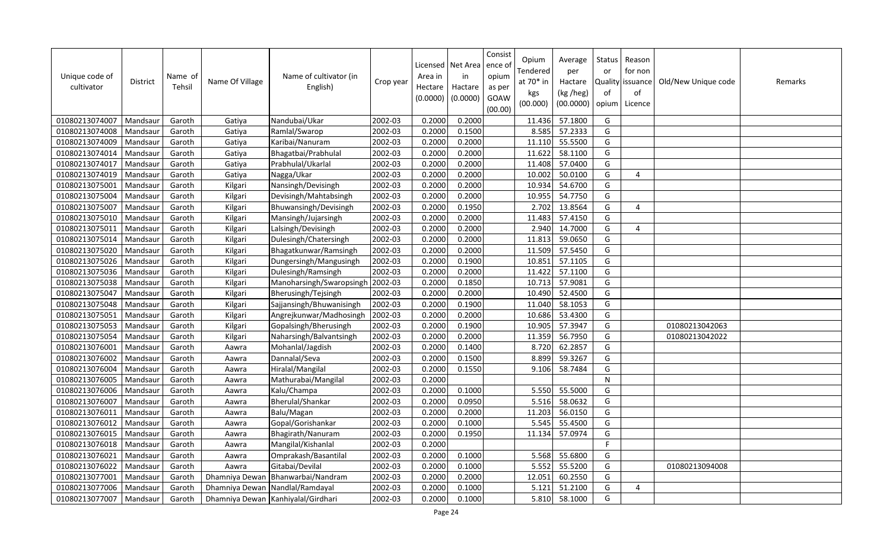| Unique code of<br>cultivator | <b>District</b> | Name of<br>Tehsil | Name Of Village | Name of cultivator (in<br>English)   | Crop year | Area in<br>Hectare<br>(0.0000) | Licensed   Net Area<br>in<br>Hactare<br>(0.0000) | Consist<br>ence of<br>opium<br>as per<br>GOAW<br>(00.00) | Opium<br>Tendered<br>at $70*$ in<br>kgs<br>(00.000) | Average<br>per<br>Hactare<br>(kg /heg)<br>(00.0000) | Status<br>or<br>of<br>opium | Reason<br>for non<br>Quality issuance<br>of<br>Licence | Old/New Unique code | Remarks |
|------------------------------|-----------------|-------------------|-----------------|--------------------------------------|-----------|--------------------------------|--------------------------------------------------|----------------------------------------------------------|-----------------------------------------------------|-----------------------------------------------------|-----------------------------|--------------------------------------------------------|---------------------|---------|
| 01080213074007               | Mandsaur        | Garoth            | Gatiya          | Nandubai/Ukar                        | 2002-03   | 0.2000                         | 0.2000                                           |                                                          | 11.436                                              | 57.1800                                             | G                           |                                                        |                     |         |
| 01080213074008               | Mandsaur        | Garoth            | Gatiya          | Ramlal/Swarop                        | 2002-03   | 0.2000                         | 0.1500                                           |                                                          | 8.585                                               | 57.2333                                             | G                           |                                                        |                     |         |
| 01080213074009               | Mandsaur        | Garoth            | Gatiya          | Karibai/Nanuram                      | 2002-03   | 0.2000                         | 0.2000                                           |                                                          | 11.110                                              | 55.5500                                             | G                           |                                                        |                     |         |
| 01080213074014               | Mandsaur        | Garoth            | Gatiya          | Bhagatbai/Prabhulal                  | 2002-03   | 0.2000                         | 0.2000                                           |                                                          | 11.622                                              | 58.1100                                             | G                           |                                                        |                     |         |
| 01080213074017               | Mandsaur        | Garoth            | Gatiya          | Prabhulal/Ukarlal                    | 2002-03   | 0.2000                         | 0.2000                                           |                                                          | 11.408                                              | 57.0400                                             | G                           |                                                        |                     |         |
| 01080213074019               | Mandsaur        | Garoth            | Gatiya          | Nagga/Ukar                           | 2002-03   | 0.2000                         | 0.2000                                           |                                                          | 10.002                                              | 50.0100                                             | G                           | $\boldsymbol{\Delta}$                                  |                     |         |
| 01080213075001               | Mandsau         | Garoth            | Kilgari         | Nansingh/Devisingh                   | 2002-03   | 0.2000                         | 0.2000                                           |                                                          | 10.934                                              | 54.6700                                             | G                           |                                                        |                     |         |
| 01080213075004               | Mandsaur        | Garoth            | Kilgari         | Devisingh/Mahtabsingh                | 2002-03   | 0.2000                         | 0.2000                                           |                                                          | 10.955                                              | 54.7750                                             | G                           |                                                        |                     |         |
| 01080213075007               | Mandsau         | Garoth            | Kilgari         | Bhuwansingh/Devisingh                | 2002-03   | 0.2000                         | 0.1950                                           |                                                          | 2.702                                               | 13.8564                                             | G                           | $\overline{4}$                                         |                     |         |
| 01080213075010               | Mandsaur        | Garoth            | Kilgari         | Mansingh/Jujarsingh                  | 2002-03   | 0.2000                         | 0.2000                                           |                                                          | 11.483                                              | 57.4150                                             | G                           |                                                        |                     |         |
| 01080213075011               | Mandsau         | Garoth            | Kilgari         | Lalsingh/Devisingh                   | 2002-03   | 0.2000                         | 0.2000                                           |                                                          | 2.940                                               | 14.7000                                             | G                           | $\overline{4}$                                         |                     |         |
| 01080213075014               | Mandsau         | Garoth            | Kilgari         | Dulesingh/Chatersingh                | 2002-03   | 0.2000                         | 0.2000                                           |                                                          | 11.813                                              | 59.0650                                             | G                           |                                                        |                     |         |
| 01080213075020               | Mandsau         | Garoth            | Kilgari         | Bhagatkunwar/Ramsingh                | 2002-03   | 0.2000                         | 0.2000                                           |                                                          | 11.509                                              | 57.5450                                             | G                           |                                                        |                     |         |
| 01080213075026               | Mandsaur        | Garoth            | Kilgari         | Dungersingh/Mangusingh               | 2002-03   | 0.2000                         | 0.1900                                           |                                                          | 10.851                                              | 57.1105                                             | G                           |                                                        |                     |         |
| 01080213075036               | Mandsau         | Garoth            | Kilgari         | Dulesingh/Ramsingh                   | 2002-03   | 0.2000                         | 0.2000                                           |                                                          | 11.422                                              | 57.1100                                             | G                           |                                                        |                     |         |
| 01080213075038               | Mandsaur        | Garoth            | Kilgari         | Manoharsingh/Swaropsingh             | 2002-03   | 0.2000                         | 0.1850                                           |                                                          | 10.713                                              | 57.9081                                             | G                           |                                                        |                     |         |
| 01080213075047               | Mandsaur        | Garoth            | Kilgari         | Bherusingh/Tejsingh                  | 2002-03   | 0.2000                         | 0.2000                                           |                                                          | 10.490                                              | 52.4500                                             | G                           |                                                        |                     |         |
| 01080213075048               | Mandsaur        | Garoth            | Kilgari         | Sajjansingh/Bhuwanisingh             | 2002-03   | 0.2000                         | 0.1900                                           |                                                          | 11.040                                              | 58.1053                                             | G                           |                                                        |                     |         |
| 01080213075051               | Mandsau         | Garoth            | Kilgari         | Angrejkunwar/Madhosingh              | 2002-03   | 0.2000                         | 0.2000                                           |                                                          | 10.686                                              | 53.4300                                             | G                           |                                                        |                     |         |
| 01080213075053               | Mandsaur        | Garoth            | Kilgari         | Gopalsingh/Bherusingh                | 2002-03   | 0.2000                         | 0.1900                                           |                                                          | 10.905                                              | 57.3947                                             | G                           |                                                        | 01080213042063      |         |
| 01080213075054               | Mandsaur        | Garoth            | Kilgari         | Naharsingh/Balvantsingh              | 2002-03   | 0.2000                         | 0.2000                                           |                                                          | 11.359                                              | 56.7950                                             | G                           |                                                        | 01080213042022      |         |
| 01080213076001               | Mandsaur        | Garoth            | Aawra           | Mohanlal/Jagdish                     | 2002-03   | 0.2000                         | 0.1400                                           |                                                          | 8.720                                               | 62.2857                                             | G                           |                                                        |                     |         |
| 01080213076002               | Mandsaur        | Garoth            | Aawra           | Dannalal/Seva                        | 2002-03   | 0.2000                         | 0.1500                                           |                                                          | 8.899                                               | 59.3267                                             | G                           |                                                        |                     |         |
| 01080213076004               | Mandsau         | Garoth            | Aawra           | Hiralal/Mangilal                     | 2002-03   | 0.2000                         | 0.1550                                           |                                                          | 9.106                                               | 58.7484                                             | G                           |                                                        |                     |         |
| 01080213076005               | Mandsaur        | Garoth            | Aawra           | Mathurabai/Mangilal                  | 2002-03   | 0.2000                         |                                                  |                                                          |                                                     |                                                     | ${\sf N}$                   |                                                        |                     |         |
| 01080213076006               | Mandsaur        | Garoth            | Aawra           | Kalu/Champa                          | 2002-03   | 0.2000                         | 0.1000                                           |                                                          | 5.550                                               | 55.5000                                             | G                           |                                                        |                     |         |
| 01080213076007               | Mandsaur        | Garoth            | Aawra           | Bherulal/Shankar                     | 2002-03   | 0.2000                         | 0.0950                                           |                                                          | 5.516                                               | 58.0632                                             | G                           |                                                        |                     |         |
| 01080213076011               | Mandsau         | Garoth            | Aawra           | Balu/Magan                           | 2002-03   | 0.2000                         | 0.2000                                           |                                                          | 11.203                                              | 56.0150                                             | G                           |                                                        |                     |         |
| 01080213076012               | Mandsaur        | Garoth            | Aawra           | Gopal/Gorishankar                    | 2002-03   | 0.2000                         | 0.1000                                           |                                                          | 5.545                                               | 55.4500                                             | G                           |                                                        |                     |         |
| 01080213076015               | Mandsau         | Garoth            | Aawra           | Bhagirath/Nanuram                    | 2002-03   | 0.2000                         | 0.1950                                           |                                                          | 11.134                                              | 57.0974                                             | G                           |                                                        |                     |         |
| 01080213076018               | Mandsaur        | Garoth            | Aawra           | Mangilal/Kishanlal                   | 2002-03   | 0.2000                         |                                                  |                                                          |                                                     |                                                     | F                           |                                                        |                     |         |
| 01080213076021               | Mandsau         | Garoth            | Aawra           | Omprakash/Basantilal                 | 2002-03   | 0.2000                         | 0.1000                                           |                                                          | 5.568                                               | 55.6800                                             | G                           |                                                        |                     |         |
| 01080213076022               | Mandsau         | Garoth            | Aawra           | Gitabai/Devilal                      | 2002-03   | 0.2000                         | 0.1000                                           |                                                          | 5.552                                               | 55.5200                                             | G                           |                                                        | 01080213094008      |         |
| 01080213077001               | Mandsau         | Garoth            | Dhamniya Dewan  | Bhanwarbai/Nandram                   | 2002-03   | 0.2000                         | 0.2000                                           |                                                          | 12.051                                              | 60.2550                                             | G                           |                                                        |                     |         |
| 01080213077006               | Mandsaur        | Garoth            | Dhamniya Dewan  | Nandlal/Ramdayal                     | 2002-03   | 0.2000                         | 0.1000                                           |                                                          | 5.121                                               | 51.2100                                             | G                           | 4                                                      |                     |         |
| 01080213077007               | Mandsaur        | Garoth            |                 | Dhamniya Dewan   Kanhiyalal/Girdhari | 2002-03   | 0.2000                         | 0.1000                                           |                                                          | 5.810                                               | 58.1000                                             | G                           |                                                        |                     |         |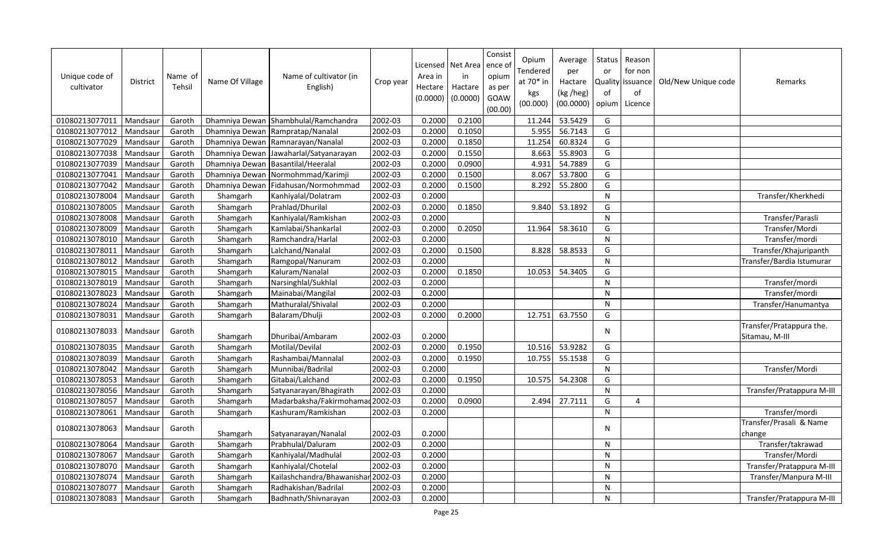| Unique code of<br>cultivator | District | Name of<br>Tehsil | Name Of Village | Name of cultivator (in<br>English) | Crop year | Area in<br>Hectare<br>(0.0000) | Licensed   Net Area<br>in<br>Hactare<br>(0.0000) | Consist<br>ence o<br>opium<br>as per<br>GOAW<br>(00.00) | Opium<br>Fendered<br>at $70*$ in<br>kgs<br>(00.000) | Average<br>per<br>Hactare<br>(kg /heg)<br>(00.0000) | Status<br>or<br>οf<br>opium | Reason<br>for non<br>Quality issuance<br>of<br>Licence | Old/New Unique code | Remarks                                    |
|------------------------------|----------|-------------------|-----------------|------------------------------------|-----------|--------------------------------|--------------------------------------------------|---------------------------------------------------------|-----------------------------------------------------|-----------------------------------------------------|-----------------------------|--------------------------------------------------------|---------------------|--------------------------------------------|
| 01080213077011               | Mandsaur | Garoth            | Dhamniya Dewan  | Shambhulal/Ramchandra              | 2002-03   | 0.2000                         | 0.2100                                           |                                                         | 11.244                                              | 53.5429                                             | G                           |                                                        |                     |                                            |
| 01080213077012               | Mandsaur | Garoth            | Dhamniya Dewan  | Rampratap/Nanalal                  | 2002-03   | 0.2000                         | 0.1050                                           |                                                         | 5.955                                               | 56.7143                                             | G                           |                                                        |                     |                                            |
| 01080213077029               | Mandsaur | Garoth            | Dhamniya Dewan  | Ramnarayan/Nanalal                 | 2002-03   | 0.2000                         | 0.1850                                           |                                                         | 11.254                                              | 60.8324                                             | G                           |                                                        |                     |                                            |
| 01080213077038               | Mandsaur | Garoth            | Dhamniya Dewan  | Jawaharlal/Satyanarayan            | 2002-03   | 0.2000                         | 0.1550                                           |                                                         | 8.663                                               | 55.8903                                             | G                           |                                                        |                     |                                            |
| 01080213077039               | Mandsaur | Garoth            | Dhamniya Dewan  | Basantilal/Heeralal                | 2002-03   | 0.2000                         | 0.0900                                           |                                                         | 4.931                                               | 54.7889                                             | G                           |                                                        |                     |                                            |
| 01080213077041               | Mandsaur | Garoth            | Dhamniya Dewan  | Normohmmad/Karimji                 | 2002-03   | 0.2000                         | 0.1500                                           |                                                         | 8.067                                               | 53.7800                                             | G                           |                                                        |                     |                                            |
| 01080213077042               | Mandsaur | Garoth            | Dhamniya Dewan  | Fidahusan/Normohmmad               | 2002-03   | 0.2000                         | 0.1500                                           |                                                         | 8.292                                               | 55.2800                                             | G                           |                                                        |                     |                                            |
| 01080213078004               | Mandsaur | Garoth            | Shamgarh        | Kanhiyalal/Dolatram                | 2002-03   | 0.2000                         |                                                  |                                                         |                                                     |                                                     | N                           |                                                        |                     | Transfer/Kherkhedi                         |
| 01080213078005               | Mandsaur | Garoth            | Shamgarh        | Prahlad/Dhurilal                   | 2002-03   | 0.2000                         | 0.1850                                           |                                                         | 9.840                                               | 53.1892                                             | G                           |                                                        |                     |                                            |
| 01080213078008               | Mandsaur | Garoth            | Shamgarh        | Kanhiyalal/Ramkishan               | 2002-03   | 0.2000                         |                                                  |                                                         |                                                     |                                                     | $\overline{N}$              |                                                        |                     | Transfer/Parasli                           |
| 01080213078009               | Mandsaur | Garoth            | Shamgarh        | Kamlabai/Shankarlal                | 2002-03   | 0.2000                         | 0.2050                                           |                                                         | 11.964                                              | 58.3610                                             | G                           |                                                        |                     | Transfer/Mordi                             |
| 01080213078010               | Mandsaur | Garoth            | Shamgarh        | Ramchandra/Harlal                  | 2002-03   | 0.2000                         |                                                  |                                                         |                                                     |                                                     | N                           |                                                        |                     | Transfer/mordi                             |
| 01080213078011               | Mandsaur | Garoth            | Shamgarh        | Lalchand/Nanalal                   | 2002-03   | 0.2000                         | 0.1500                                           |                                                         | 8.828                                               | 58.8533                                             | G                           |                                                        |                     | Transfer/Khajuripanth                      |
| 01080213078012               | Mandsaur | Garoth            | Shamgarh        | Ramgopal/Nanuram                   | 2002-03   | 0.2000                         |                                                  |                                                         |                                                     |                                                     | N                           |                                                        |                     | Transfer/Bardia Istumurar                  |
| 01080213078015               | Mandsaur | Garoth            | Shamgarh        | Kaluram/Nanalal                    | 2002-03   | 0.2000                         | 0.1850                                           |                                                         | 10.053                                              | 54.3405                                             | G                           |                                                        |                     |                                            |
| 01080213078019               | Mandsaur | Garoth            | Shamgarh        | Narsinghlal/Sukhlal                | 2002-03   | 0.2000                         |                                                  |                                                         |                                                     |                                                     | N                           |                                                        |                     | Transfer/mordi                             |
| 01080213078023               | Mandsaur | Garoth            | Shamgarh        | Mainabai/Mangilal                  | 2002-03   | 0.2000                         |                                                  |                                                         |                                                     |                                                     | N                           |                                                        |                     | Transfer/mordi                             |
| 01080213078024               | Mandsaur | Garoth            | Shamgarh        | Mathuralal/Shivalal                | 2002-03   | 0.2000                         |                                                  |                                                         |                                                     |                                                     | N                           |                                                        |                     | Transfer/Hanumantya                        |
| 01080213078031               | Mandsaur | Garoth            | Shamgarh        | Balaram/Dhulji                     | 2002-03   | 0.2000                         | 0.2000                                           |                                                         | 12.751                                              | 63.7550                                             | G                           |                                                        |                     |                                            |
| 01080213078033               | Mandsaur | Garoth            | Shamgarh        | Dhuribai/Ambaram                   | 2002-03   | 0.2000                         |                                                  |                                                         |                                                     |                                                     | N                           |                                                        |                     | Transfer/Pratappura the.<br>Sitamau, M-III |
| 01080213078035               | Mandsaur | Garoth            | Shamgarh        | Motilal/Devilal                    | 2002-03   | 0.2000                         | 0.1950                                           |                                                         | 10.516                                              | 53.9282                                             | G                           |                                                        |                     |                                            |
| 01080213078039               | Mandsaur | Garoth            | Shamgarh        | Rashambai/Mannalal                 | 2002-03   | 0.2000                         | 0.1950                                           |                                                         | 10.755                                              | 55.1538                                             | G                           |                                                        |                     |                                            |
| 01080213078042               | Mandsaur | Garoth            | Shamgarh        | Munnibai/Badrilal                  | 2002-03   | 0.2000                         |                                                  |                                                         |                                                     |                                                     | N                           |                                                        |                     | Transfer/Mordi                             |
| 01080213078053               | Mandsaur | Garoth            | Shamgarh        | Gitabai/Lalchand                   | 2002-03   | 0.2000                         | 0.1950                                           |                                                         | 10.575                                              | 54.2308                                             | G                           |                                                        |                     |                                            |
| 01080213078056               | Mandsaur | Garoth            | Shamgarh        | Satyanarayan/Bhagirath             | 2002-03   | 0.2000                         |                                                  |                                                         |                                                     |                                                     | N                           |                                                        |                     | Transfer/Pratappura M-III                  |
| 01080213078057               | Mandsaur | Garoth            | Shamgarh        | Madarbaksha/Fakirmohama            | 2002-03   | 0.2000                         | 0.0900                                           |                                                         | 2.494                                               | 27.7111                                             | G                           | 4                                                      |                     |                                            |
| 01080213078061               | Mandsaur | Garoth            | Shamgarh        | Kashuram/Ramkishan                 | 2002-03   | 0.2000                         |                                                  |                                                         |                                                     |                                                     | N                           |                                                        |                     | Transfer/mordi                             |
| 01080213078063               | Mandsaur | Garoth            | Shamgarh        | Satyanarayan/Nanalal               | 2002-03   | 0.2000                         |                                                  |                                                         |                                                     |                                                     | N                           |                                                        |                     | Transfer/Prasali & Name<br>change          |
| 01080213078064               | Mandsaur | Garoth            | Shamgarh        | Prabhulal/Daluram                  | 2002-03   | 0.2000                         |                                                  |                                                         |                                                     |                                                     | N                           |                                                        |                     | Transfer/takrawad                          |
| 01080213078067               | Mandsaur | Garoth            | Shamgarh        | Kanhiyalal/Madhulal                | 2002-03   | 0.2000                         |                                                  |                                                         |                                                     |                                                     | N                           |                                                        |                     | Transfer/Mordi                             |
| 01080213078070               | Mandsaur | Garoth            | Shamgarh        | Kanhiyalal/Chotelal                | 2002-03   | 0.2000                         |                                                  |                                                         |                                                     |                                                     | N                           |                                                        |                     | Transfer/Pratappura M-III                  |
| 01080213078074               | Mandsaur | Garoth            | Shamgarh        | Kailashchandra/Bhawanishar 2002-03 |           | 0.2000                         |                                                  |                                                         |                                                     |                                                     | N                           |                                                        |                     | Transfer/Manpura M-III                     |
| 01080213078077               | Mandsau  | Garoth            | Shamgarh        | Radhakishan/Badrilal               | 2002-03   | 0.2000                         |                                                  |                                                         |                                                     |                                                     | N                           |                                                        |                     |                                            |
| 01080213078083               | Mandsaur | Garoth            | Shamgarh        | Badhnath/Shivnarayan               | 2002-03   | 0.2000                         |                                                  |                                                         |                                                     |                                                     | N                           |                                                        |                     | Transfer/Pratappura M-III                  |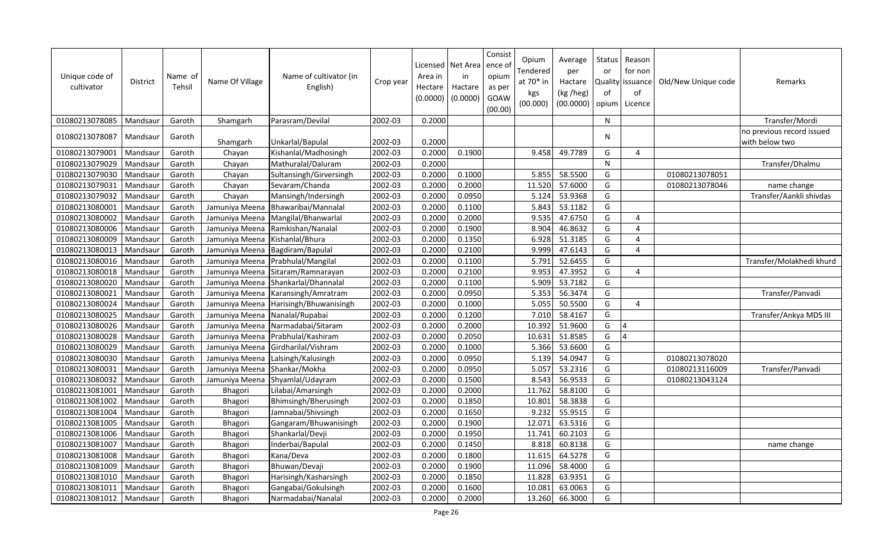| Unique code of<br>cultivator | <b>District</b> | Name of<br>Tehsil | Name Of Village | Name of cultivator (in<br>English) | Crop year | Area in<br>Hectare<br>(0.0000) | Licensed   Net Area<br>in<br>Hactare<br>(0.0000) | Consist<br>ence of<br>opium<br>as per<br>GOAW<br>(00.00) | Opium<br>Tendered<br>at 70* in<br>kgs<br>(00.000) | Average<br>per<br>Hactare<br>(kg /heg)<br>(00.0000) | Status<br>or<br>Quality<br>of<br>opium | Reason<br>for non<br>issuance<br>of<br>Licence | Old/New Unique code | Remarks                                     |
|------------------------------|-----------------|-------------------|-----------------|------------------------------------|-----------|--------------------------------|--------------------------------------------------|----------------------------------------------------------|---------------------------------------------------|-----------------------------------------------------|----------------------------------------|------------------------------------------------|---------------------|---------------------------------------------|
| 01080213078085               | Mandsaur        | Garoth            | Shamgarh        | Parasram/Devilal                   | 2002-03   | 0.2000                         |                                                  |                                                          |                                                   |                                                     | N                                      |                                                |                     | Transfer/Mordi                              |
| 01080213078087               | Mandsaur        | Garoth            | Shamgarh        | Unkarlal/Bapulal                   | 2002-03   | 0.2000                         |                                                  |                                                          |                                                   |                                                     | N                                      |                                                |                     | no previous record issued<br>with below two |
| 01080213079001               | Mandsaur        | Garoth            | Chayan          | Kishanlal/Madhosingh               | 2002-03   | 0.2000                         | 0.1900                                           |                                                          | 9.458                                             | 49.7789                                             | G                                      | 4                                              |                     |                                             |
| 01080213079029               | Mandsaur        | Garoth            | Chayan          | Mathuralal/Daluram                 | 2002-03   | 0.2000                         |                                                  |                                                          |                                                   |                                                     | N                                      |                                                |                     | Transfer/Dhalmu                             |
| 01080213079030               | Mandsaur        | Garoth            | Chayan          | Sultansingh/Girversingh            | 2002-03   | 0.2000                         | 0.1000                                           |                                                          | 5.855                                             | 58.5500                                             | G                                      |                                                | 01080213078051      |                                             |
| 01080213079031               | Mandsaur        | Garoth            | Chayan          | Sevaram/Chanda                     | 2002-03   | 0.2000                         | 0.2000                                           |                                                          | 11.520                                            | 57.6000                                             | G                                      |                                                | 01080213078046      | name change                                 |
| 01080213079032               | Mandsaur        | Garoth            | Chayan          | Mansingh/Indersingh                | 2002-03   | 0.2000                         | 0.0950                                           |                                                          | 5.124                                             | 53.9368                                             | G                                      |                                                |                     | Transfer/Aankli shivdas                     |
| 01080213080001               | Mandsaur        | Garoth            | Jamuniya Meena  | Bhawaribai/Mannalal                | 2002-03   | 0.2000                         | 0.1100                                           |                                                          | 5.843                                             | 53.1182                                             | G                                      |                                                |                     |                                             |
| 01080213080002               | Mandsaur        | Garoth            | Jamuniya Meena  | Mangilal/Bhanwarlal                | 2002-03   | 0.2000                         | 0.2000                                           |                                                          | 9.535                                             | 47.6750                                             | G                                      | $\boldsymbol{\Delta}$                          |                     |                                             |
| 01080213080006               | Mandsaur        | Garoth            | Jamuniya Meena  | Ramkishan/Nanalal                  | 2002-03   | 0.2000                         | 0.1900                                           |                                                          | 8.904                                             | 46.8632                                             | G                                      | 4                                              |                     |                                             |
| 01080213080009               | Mandsaur        | Garoth            | Jamuniya Meena  | Kishanlal/Bhura                    | 2002-03   | 0.2000                         | 0.1350                                           |                                                          | 6.928                                             | 51.3185                                             | G                                      | 4                                              |                     |                                             |
| 01080213080013               | Mandsaur        | Garoth            | Jamuniya Meena  | Bagdiram/Bapulal                   | 2002-03   | 0.2000                         | 0.2100                                           |                                                          | 9.999                                             | 47.6143                                             | G                                      | 4                                              |                     |                                             |
| 01080213080016               | Mandsaur        | Garoth            | Jamuniya Meena  | Prabhulal/Mangilal                 | 2002-03   | 0.2000                         | 0.1100                                           |                                                          | 5.791                                             | 52.6455                                             | G                                      |                                                |                     | Transfer/Molakhedi khurd                    |
| 01080213080018               | Mandsaur        | Garoth            | Jamuniya Meena  | Sitaram/Ramnarayan                 | 2002-03   | 0.2000                         | 0.2100                                           |                                                          | 9.953                                             | 47.3952                                             | G                                      | 4                                              |                     |                                             |
| 01080213080020               | Mandsaur        | Garoth            | Jamuniya Meena  | Shankarlal/Dhannalal               | 2002-03   | 0.2000                         | 0.1100                                           |                                                          | 5.909                                             | 53.7182                                             | G                                      |                                                |                     |                                             |
| 01080213080021               | Mandsaur        | Garoth            | Jamuniya Meena  | Karansingh/Amratram                | 2002-03   | 0.2000                         | 0.0950                                           |                                                          | 5.353                                             | 56.3474                                             | G                                      |                                                |                     | Transfer/Panvadi                            |
| 01080213080024               | Mandsaur        | Garoth            | Jamuniya Meena  | Harisingh/Bhuwanisingh             | 2002-03   | 0.2000                         | 0.1000                                           |                                                          | 5.055                                             | 50.5500                                             | G                                      | 4                                              |                     |                                             |
| 01080213080025               | Mandsaur        | Garoth            | Jamuniya Meena  | Nanalal/Rupabai                    | 2002-03   | 0.2000                         | 0.1200                                           |                                                          | 7.010                                             | 58.4167                                             | G                                      |                                                |                     | Transfer/Ankya MDS III                      |
| 01080213080026               | Mandsaur        | Garoth            | Jamuniya Meena  | Narmadabai/Sitaram                 | 2002-03   | 0.2000                         | 0.2000                                           |                                                          | 10.392                                            | 51.9600                                             | G                                      | $\overline{4}$                                 |                     |                                             |
| 01080213080028               | Mandsaur        | Garoth            | Jamuniya Meena  | Prabhulal/Kashiram                 | 2002-03   | 0.2000                         | 0.2050                                           |                                                          | 10.631                                            | 51.8585                                             | G                                      | $\Delta$                                       |                     |                                             |
| 01080213080029               | Mandsaur        | Garoth            | Jamuniya Meena  | Girdharilal/Vishram                | 2002-03   | 0.2000                         | 0.1000                                           |                                                          | 5.366                                             | 53.6600                                             | G                                      |                                                |                     |                                             |
| 01080213080030               | Mandsaur        | Garoth            | Jamuniya Meena  | Lalsingh/Kalusingh                 | 2002-03   | 0.2000                         | 0.0950                                           |                                                          | 5.139                                             | 54.0947                                             | G                                      |                                                | 01080213078020      |                                             |
| 01080213080031               | Mandsaur        | Garoth            | Jamuniya Meena  | Shankar/Mokha                      | 2002-03   | 0.2000                         | 0.0950                                           |                                                          | 5.057                                             | 53.2316                                             | G                                      |                                                | 01080213116009      | Transfer/Panvadi                            |
| 01080213080032               | Mandsaur        | Garoth            | Jamuniya Meena  | Shyamlal/Udayram                   | 2002-03   | 0.2000                         | 0.1500                                           |                                                          | 8.543                                             | 56.9533                                             | G                                      |                                                | 01080213043124      |                                             |
| 01080213081001               | Mandsaur        | Garoth            | Bhagori         | Lilabai/Amarsingh                  | 2002-03   | 0.2000                         | 0.2000                                           |                                                          | 11.762                                            | 58.8100                                             | G                                      |                                                |                     |                                             |
| 01080213081002               | Mandsaur        | Garoth            | Bhagori         | Bhimsingh/Bherusingh               | 2002-03   | 0.2000                         | 0.1850                                           |                                                          | 10.801                                            | 58.3838                                             | G                                      |                                                |                     |                                             |
| 01080213081004               | Mandsaur        | Garoth            | Bhagori         | Jamnabai/Shivsingh                 | 2002-03   | 0.2000                         | 0.1650                                           |                                                          | 9.232                                             | 55.9515                                             | G                                      |                                                |                     |                                             |
| 01080213081005               | Mandsaur        | Garoth            | Bhagori         | Gangaram/Bhuwanisingh              | 2002-03   | 0.2000                         | 0.1900                                           |                                                          | 12.071                                            | 63.5316                                             | G                                      |                                                |                     |                                             |
| 01080213081006               | Mandsaur        | Garoth            | Bhagori         | Shankarlal/Devji                   | 2002-03   | 0.2000                         | 0.1950                                           |                                                          | 11.741                                            | 60.2103                                             | G                                      |                                                |                     |                                             |
| 01080213081007               | Mandsaur        | Garoth            | Bhagori         | Inderbai/Bapulal                   | 2002-03   | 0.2000                         | 0.1450                                           |                                                          | 8.818                                             | 60.8138                                             | G                                      |                                                |                     | name change                                 |
| 01080213081008               | Mandsaur        | Garoth            | Bhagori         | Kana/Deva                          | 2002-03   | 0.2000                         | 0.1800                                           |                                                          | 11.615                                            | 64.5278                                             | G                                      |                                                |                     |                                             |
| 01080213081009               | Mandsaur        | Garoth            | Bhagori         | Bhuwan/Devaji                      | 2002-03   | 0.2000                         | 0.1900                                           |                                                          | 11.096                                            | 58.4000                                             | G                                      |                                                |                     |                                             |
| 01080213081010               | Mandsaur        | Garoth            | Bhagori         | Harisingh/Kasharsingh              | 2002-03   | 0.2000                         | 0.1850                                           |                                                          | 11.828                                            | 63.9351                                             | G                                      |                                                |                     |                                             |
| 01080213081011               | Mandsaur        | Garoth            | Bhagori         | Gangabai/Gokulsingh                | 2002-03   | 0.2000                         | 0.1600                                           |                                                          | 10.081                                            | 63.0063                                             | G                                      |                                                |                     |                                             |
| 01080213081012               | Mandsaur        | Garoth            | Bhagori         | Narmadabai/Nanalal                 | 2002-03   | 0.2000                         | 0.2000                                           |                                                          | 13.260                                            | 66.3000                                             | G                                      |                                                |                     |                                             |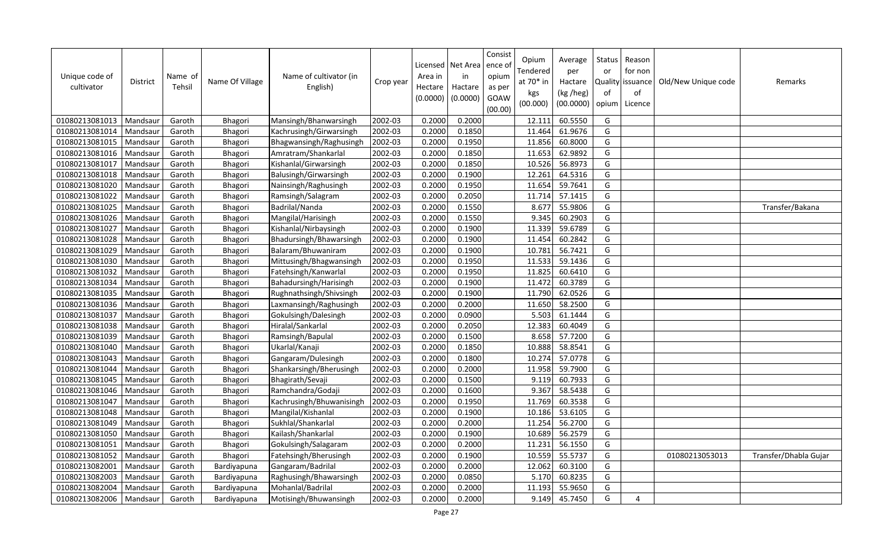| Unique code of<br>cultivator | <b>District</b> | Name of<br>Tehsil | Name Of Village | Name of cultivator (in<br>English) | Crop year | Area in<br>Hectare<br>(0.0000) | Licensed   Net Area<br>in<br>Hactare<br>(0.0000) | Consist<br>ence o<br>opium<br>as per<br>GOAW<br>(00.00) | Opium<br>Tendered<br>at 70* in<br>kgs<br>(00.000) | Average<br>per<br>Hactare<br>(kg /heg)<br>(00.0000) | Status<br>or<br>of<br>opium | Reason<br>for non<br>Quality issuance<br>of<br>Licence | Old/New Unique code | Remarks               |
|------------------------------|-----------------|-------------------|-----------------|------------------------------------|-----------|--------------------------------|--------------------------------------------------|---------------------------------------------------------|---------------------------------------------------|-----------------------------------------------------|-----------------------------|--------------------------------------------------------|---------------------|-----------------------|
| 01080213081013               | Mandsaur        | Garoth            | Bhagori         | Mansingh/Bhanwarsingh              | 2002-03   | 0.2000                         | 0.2000                                           |                                                         | 12.111                                            | 60.5550                                             | G                           |                                                        |                     |                       |
| 01080213081014               | Mandsaur        | Garoth            | Bhagori         | Kachrusingh/Girwarsingh            | 2002-03   | 0.2000                         | 0.1850                                           |                                                         | 11.464                                            | 61.9676                                             | G                           |                                                        |                     |                       |
| 01080213081015               | Mandsaur        | Garoth            | Bhagori         | Bhagwansingh/Raghusingh            | 2002-03   | 0.2000                         | 0.1950                                           |                                                         | 11.856                                            | 60.8000                                             | G                           |                                                        |                     |                       |
| 01080213081016               | Mandsaur        | Garoth            | Bhagori         | Amratram/Shankarlal                | 2002-03   | 0.2000                         | 0.1850                                           |                                                         | 11.653                                            | 62.9892                                             | G                           |                                                        |                     |                       |
| 01080213081017               | Mandsaur        | Garoth            | Bhagori         | Kishanlal/Girwarsingh              | 2002-03   | 0.2000                         | 0.1850                                           |                                                         | 10.526                                            | 56.8973                                             | G                           |                                                        |                     |                       |
| 01080213081018               | Mandsaur        | Garoth            | Bhagori         | Balusingh/Girwarsingh              | 2002-03   | 0.2000                         | 0.1900                                           |                                                         | 12.261                                            | 64.5316                                             | G                           |                                                        |                     |                       |
| 01080213081020               | Mandsau         | Garoth            | Bhagori         | Nainsingh/Raghusingh               | 2002-03   | 0.2000                         | 0.1950                                           |                                                         | 11.654                                            | 59.7641                                             | G                           |                                                        |                     |                       |
| 01080213081022               | Mandsaur        | Garoth            | Bhagori         | Ramsingh/Salagram                  | 2002-03   | 0.2000                         | 0.2050                                           |                                                         | 11.714                                            | 57.1415                                             | G                           |                                                        |                     |                       |
| 01080213081025               | Mandsau         | Garoth            | Bhagori         | Badrilal/Nanda                     | 2002-03   | 0.2000                         | 0.1550                                           |                                                         | 8.677                                             | 55.9806                                             | G                           |                                                        |                     | Transfer/Bakana       |
| 01080213081026               | Mandsaur        | Garoth            | Bhagori         | Mangilal/Harisingh                 | 2002-03   | 0.2000                         | 0.1550                                           |                                                         | 9.345                                             | 60.2903                                             | G                           |                                                        |                     |                       |
| 01080213081027               | Mandsau         | Garoth            | Bhagori         | Kishanlal/Nirbaysingh              | 2002-03   | 0.2000                         | 0.1900                                           |                                                         | 11.339                                            | 59.6789                                             | G                           |                                                        |                     |                       |
| 01080213081028               | Mandsaur        | Garoth            | Bhagori         | Bhadursingh/Bhawarsingh            | 2002-03   | 0.2000                         | 0.1900                                           |                                                         | 11.454                                            | 60.2842                                             | G                           |                                                        |                     |                       |
| 01080213081029               | Mandsau         | Garoth            | Bhagori         | Balaram/Bhuwaniram                 | 2002-03   | 0.2000                         | 0.1900                                           |                                                         | 10.781                                            | 56.7421                                             | G                           |                                                        |                     |                       |
| 01080213081030               | Mandsaur        | Garoth            | Bhagori         | Mittusingh/Bhagwansingh            | 2002-03   | 0.2000                         | 0.1950                                           |                                                         | 11.533                                            | 59.1436                                             | G                           |                                                        |                     |                       |
| 01080213081032               | Mandsau         | Garoth            | Bhagori         | Fatehsingh/Kanwarlal               | 2002-03   | 0.2000                         | 0.1950                                           |                                                         | 11.825                                            | 60.6410                                             | G                           |                                                        |                     |                       |
| 01080213081034               | Mandsaur        | Garoth            | Bhagori         | Bahadursingh/Harisingh             | 2002-03   | 0.2000                         | 0.1900                                           |                                                         | 11.472                                            | 60.3789                                             | G                           |                                                        |                     |                       |
| 01080213081035               | Mandsau         | Garoth            | Bhagori         | Rughnathsingh/Shivsingh            | 2002-03   | 0.2000                         | 0.1900                                           |                                                         | 11.790                                            | 62.0526                                             | G                           |                                                        |                     |                       |
| 01080213081036               | Mandsaur        | Garoth            | Bhagori         | Laxmansingh/Raghusingh             | 2002-03   | 0.2000                         | 0.2000                                           |                                                         | 11.650                                            | 58.2500                                             | G                           |                                                        |                     |                       |
| 01080213081037               | Mandsaur        | Garoth            | Bhagori         | Gokulsingh/Dalesingh               | 2002-03   | 0.2000                         | 0.0900                                           |                                                         | 5.503                                             | 61.1444                                             | G                           |                                                        |                     |                       |
| 01080213081038               | Mandsau         | Garoth            | Bhagori         | Hiralal/Sankarlal                  | 2002-03   | 0.2000                         | 0.2050                                           |                                                         | 12.383                                            | 60.4049                                             | G                           |                                                        |                     |                       |
| 01080213081039               | Mandsaur        | Garoth            | Bhagori         | Ramsingh/Bapulal                   | 2002-03   | 0.2000                         | 0.1500                                           |                                                         | 8.658                                             | 57.7200                                             | G                           |                                                        |                     |                       |
| 01080213081040               | Mandsaur        | Garoth            | Bhagori         | Ukarlal/Kanaji                     | 2002-03   | 0.2000                         | 0.1850                                           |                                                         | 10.888                                            | 58.8541                                             | G                           |                                                        |                     |                       |
| 01080213081043               | Mandsaur        | Garoth            | Bhagori         | Gangaram/Dulesingh                 | 2002-03   | 0.2000                         | 0.1800                                           |                                                         | 10.274                                            | 57.0778                                             | G                           |                                                        |                     |                       |
| 01080213081044               | Mandsau         | Garoth            | Bhagori         | Shankarsingh/Bherusingh            | 2002-03   | 0.2000                         | 0.2000                                           |                                                         | 11.958                                            | 59.7900                                             | G                           |                                                        |                     |                       |
| 01080213081045               | Mandsaur        | Garoth            | Bhagori         | Bhagirath/Sevaji                   | 2002-03   | 0.2000                         | 0.1500                                           |                                                         | 9.119                                             | 60.7933                                             | G                           |                                                        |                     |                       |
| 01080213081046               | Mandsau         | Garoth            | Bhagori         | Ramchandra/Godaji                  | 2002-03   | 0.2000                         | 0.1600                                           |                                                         | 9.367                                             | 58.5438                                             | G                           |                                                        |                     |                       |
| 01080213081047               | Mandsaur        | Garoth            | Bhagori         | Kachrusingh/Bhuwanisingh           | 2002-03   | 0.2000                         | 0.1950                                           |                                                         | 11.769                                            | 60.3538                                             | G                           |                                                        |                     |                       |
| 01080213081048               | Mandsau         | Garoth            | Bhagori         | Mangilal/Kishanlal                 | 2002-03   | 0.2000                         | 0.1900                                           |                                                         | 10.186                                            | 53.6105                                             | G                           |                                                        |                     |                       |
| 01080213081049               | Mandsaur        | Garoth            | Bhagori         | Sukhlal/Shankarlal                 | 2002-03   | 0.2000                         | 0.2000                                           |                                                         | 11.254                                            | 56.2700                                             | G                           |                                                        |                     |                       |
| 01080213081050               | Mandsau         | Garoth            | Bhagori         | Kailash/Shankarlal                 | 2002-03   | 0.2000                         | 0.1900                                           |                                                         | 10.689                                            | 56.2579                                             | G                           |                                                        |                     |                       |
| 01080213081051               | Mandsaur        | Garoth            | Bhagori         | Gokulsingh/Salagaram               | 2002-03   | 0.2000                         | 0.2000                                           |                                                         | 11.231                                            | 56.1550                                             | G                           |                                                        |                     |                       |
| 01080213081052               | Mandsaur        | Garoth            | Bhagori         | Fatehsingh/Bherusingh              | 2002-03   | 0.2000                         | 0.1900                                           |                                                         | 10.559                                            | 55.5737                                             | G                           |                                                        | 01080213053013      | Transfer/Dhabla Gujar |
| 01080213082001               | Mandsaur        | Garoth            | Bardiyapuna     | Gangaram/Badrilal                  | 2002-03   | 0.2000                         | 0.2000                                           |                                                         | 12.062                                            | 60.3100                                             | G                           |                                                        |                     |                       |
| 01080213082003               | Mandsau         | Garoth            | Bardiyapuna     | Raghusingh/Bhawarsingh             | 2002-03   | 0.2000                         | 0.0850                                           |                                                         | 5.170                                             | 60.8235                                             | G                           |                                                        |                     |                       |
| 01080213082004               | Mandsaur        | Garoth            | Bardiyapuna     | Mohanlal/Badrilal                  | 2002-03   | 0.2000                         | 0.2000                                           |                                                         | 11.193                                            | 55.9650                                             | G                           |                                                        |                     |                       |
| 01080213082006               | Mandsaur        | Garoth            | Bardiyapuna     | Motisingh/Bhuwansingh              | 2002-03   | 0.2000                         | 0.2000                                           |                                                         | 9.149                                             | 45.7450                                             | G                           | $\overline{4}$                                         |                     |                       |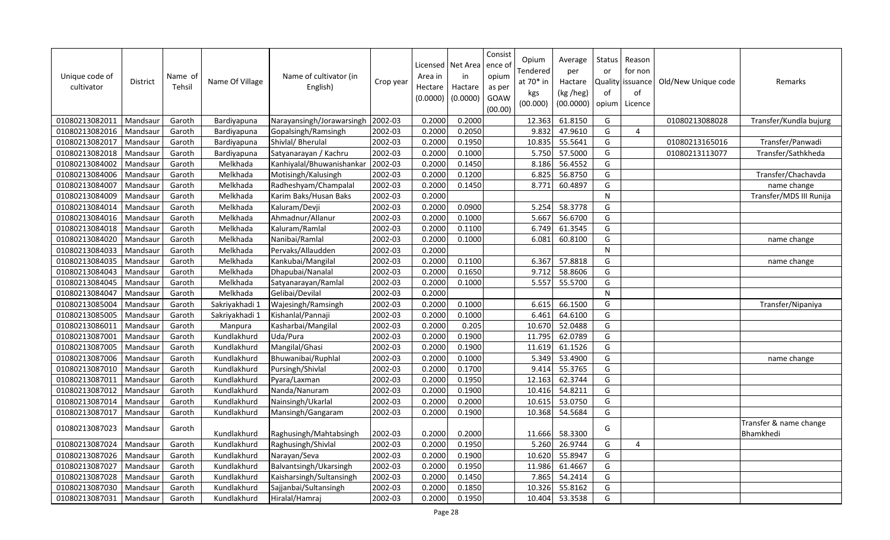| Unique code of<br>cultivator | <b>District</b> | Name of<br>Tehsil | Name Of Village | Name of cultivator (in<br>English) | Crop year | Licensed   Net Area<br>Area in<br>Hectare<br>(0.0000) | in<br>Hactare<br>(0.0000) | Consist<br>ence of<br>opium<br>as per<br>GOAW<br>(00.00) | Opium<br>Tendered<br>at 70* in<br>kgs<br>(00.000) | Average<br>per<br>Hactare<br>(kg /heg)<br>(00.0000) | Status<br>or<br>of<br>opium | Reason<br>for non<br>Quality issuance<br>of<br>Licence | Old/New Unique code | Remarks                             |
|------------------------------|-----------------|-------------------|-----------------|------------------------------------|-----------|-------------------------------------------------------|---------------------------|----------------------------------------------------------|---------------------------------------------------|-----------------------------------------------------|-----------------------------|--------------------------------------------------------|---------------------|-------------------------------------|
| 01080213082011               | Mandsaur        | Garoth            | Bardiyapuna     | Narayansingh/Jorawarsingh          | 2002-03   | 0.2000                                                | 0.2000                    |                                                          | 12.363                                            | 61.8150                                             | G                           |                                                        | 01080213088028      | Transfer/Kundla bujurg              |
| 01080213082016               | Mandsaur        | Garoth            | Bardiyapuna     | Gopalsingh/Ramsingh                | 2002-03   | 0.2000                                                | 0.2050                    |                                                          | 9.832                                             | 47.9610                                             | G                           | 4                                                      |                     |                                     |
| 01080213082017               | Mandsaur        | Garoth            | Bardiyapuna     | Shivlal/ Bherulal                  | 2002-03   | 0.2000                                                | 0.1950                    |                                                          | 10.835                                            | 55.5641                                             | G                           |                                                        | 01080213165016      | Transfer/Panwadi                    |
| 01080213082018               | Mandsaur        | Garoth            | Bardiyapuna     | Satyanarayan / Kachru              | 2002-03   | 0.2000                                                | 0.1000                    |                                                          | 5.750                                             | 57.5000                                             | G                           |                                                        | 01080213113077      | Transfer/Sathkheda                  |
| 01080213084002               | Mandsaur        | Garoth            | Melkhada        | Kanhiyalal/Bhuwanishankar          | 2002-03   | 0.2000                                                | 0.1450                    |                                                          | 8.186                                             | 56.4552                                             | G                           |                                                        |                     |                                     |
| 01080213084006               | Mandsaur        | Garoth            | Melkhada        | Motisingh/Kalusingh                | 2002-03   | 0.2000                                                | 0.1200                    |                                                          | 6.825                                             | 56.8750                                             | G                           |                                                        |                     | Transfer/Chachavda                  |
| 01080213084007               | Mandsaur        | Garoth            | Melkhada        | Radheshyam/Champalal               | 2002-03   | 0.2000                                                | 0.1450                    |                                                          | 8.771                                             | 60.4897                                             | G                           |                                                        |                     | name change                         |
| 01080213084009               | Mandsaur        | Garoth            | Melkhada        | Karim Baks/Husan Baks              | 2002-03   | 0.2000                                                |                           |                                                          |                                                   |                                                     | $\mathsf{N}$                |                                                        |                     | Transfer/MDS III Runija             |
| 01080213084014               | Mandsaur        | Garoth            | Melkhada        | Kaluram/Devji                      | 2002-03   | 0.2000                                                | 0.0900                    |                                                          | 5.254                                             | 58.3778                                             | G                           |                                                        |                     |                                     |
| 01080213084016               | Mandsaur        | Garoth            | Melkhada        | Ahmadnur/Allanur                   | 2002-03   | 0.2000                                                | 0.1000                    |                                                          | 5.667                                             | 56.6700                                             | G                           |                                                        |                     |                                     |
| 01080213084018               | Mandsaur        | Garoth            | Melkhada        | Kaluram/Ramlal                     | 2002-03   | 0.2000                                                | 0.1100                    |                                                          | 6.749                                             | 61.3545                                             | G                           |                                                        |                     |                                     |
| 01080213084020               | Mandsaur        | Garoth            | Melkhada        | Nanibai/Ramlal                     | 2002-03   | 0.2000                                                | 0.1000                    |                                                          | 6.081                                             | 60.8100                                             | G                           |                                                        |                     | name change                         |
| 01080213084033               | Mandsaur        | Garoth            | Melkhada        | Pervaks/Allaudden                  | 2002-03   | 0.2000                                                |                           |                                                          |                                                   |                                                     | N                           |                                                        |                     |                                     |
| 01080213084035               | Mandsaur        | Garoth            | Melkhada        | Kankubai/Mangilal                  | 2002-03   | 0.2000                                                | 0.1100                    |                                                          | 6.367                                             | 57.8818                                             | G                           |                                                        |                     | name change                         |
| 01080213084043               | Mandsaur        | Garoth            | Melkhada        | Dhapubai/Nanalal                   | 2002-03   | 0.2000                                                | 0.1650                    |                                                          | 9.712                                             | 58.8606                                             | G                           |                                                        |                     |                                     |
| 01080213084045               | Mandsaur        | Garoth            | Melkhada        | Satyanarayan/Ramlal                | 2002-03   | 0.2000                                                | 0.1000                    |                                                          | 5.557                                             | 55.5700                                             | G                           |                                                        |                     |                                     |
| 01080213084047               | Mandsaur        | Garoth            | Melkhada        | Gelibai/Devilal                    | 2002-03   | 0.2000                                                |                           |                                                          |                                                   |                                                     | N                           |                                                        |                     |                                     |
| 01080213085004               | Mandsaur        | Garoth            | Sakriyakhadi 1  | Wajesingh/Ramsingh                 | 2002-03   | 0.2000                                                | 0.1000                    |                                                          | 6.615                                             | 66.1500                                             | G                           |                                                        |                     | Transfer/Nipaniya                   |
| 01080213085005               | Mandsaur        | Garoth            | Sakriyakhadi 1  | Kishanlal/Pannaji                  | 2002-03   | 0.2000                                                | 0.1000                    |                                                          | 6.461                                             | 64.6100                                             | G                           |                                                        |                     |                                     |
| 01080213086011               | Mandsaur        | Garoth            | Manpura         | Kasharbai/Mangilal                 | 2002-03   | 0.2000                                                | 0.205                     |                                                          | 10.670                                            | 52.0488                                             | G                           |                                                        |                     |                                     |
| 01080213087001               | Mandsaur        | Garoth            | Kundlakhurd     | Uda/Pura                           | 2002-03   | 0.2000                                                | 0.1900                    |                                                          | 11.795                                            | 62.0789                                             | G                           |                                                        |                     |                                     |
| 01080213087005               | Mandsaur        | Garoth            | Kundlakhurd     | Mangilal/Ghasi                     | 2002-03   | 0.2000                                                | 0.1900                    |                                                          | 11.619                                            | 61.1526                                             | G                           |                                                        |                     |                                     |
| 01080213087006               | Mandsaur        | Garoth            | Kundlakhurd     | Bhuwanibai/Ruphlal                 | 2002-03   | 0.2000                                                | 0.1000                    |                                                          | 5.349                                             | 53.4900                                             | G                           |                                                        |                     | name change                         |
| 01080213087010               | Mandsaur        | Garoth            | Kundlakhurd     | Pursingh/Shivlal                   | 2002-03   | 0.2000                                                | 0.1700                    |                                                          | 9.414                                             | 55.3765                                             | G                           |                                                        |                     |                                     |
| 01080213087011               | Mandsaur        | Garoth            | Kundlakhurd     | Pyara/Laxman                       | 2002-03   | 0.2000                                                | 0.1950                    |                                                          | 12.163                                            | 62.3744                                             | G                           |                                                        |                     |                                     |
| 01080213087012               | Mandsaur        | Garoth            | Kundlakhurd     | Nanda/Nanuram                      | 2002-03   | 0.2000                                                | 0.1900                    |                                                          | 10.416                                            | 54.8211                                             | G                           |                                                        |                     |                                     |
| 01080213087014               | Mandsaur        | Garoth            | Kundlakhurd     | Nainsingh/Ukarlal                  | 2002-03   | 0.2000                                                | 0.2000                    |                                                          | 10.615                                            | 53.0750                                             | G                           |                                                        |                     |                                     |
| 01080213087017               | Mandsaur        | Garoth            | Kundlakhurd     | Mansingh/Gangaram                  | 2002-03   | 0.2000                                                | 0.1900                    |                                                          | 10.368                                            | 54.5684                                             | G                           |                                                        |                     |                                     |
| 01080213087023               | Mandsaur        | Garoth            | Kundlakhurd     | Raghusingh/Mahtabsingh             | 2002-03   | 0.2000                                                | 0.2000                    |                                                          | 11.666                                            | 58.3300                                             | G                           |                                                        |                     | Transfer & name change<br>Bhamkhedi |
| 01080213087024               | Mandsaur        | Garoth            | Kundlakhurd     | Raghusingh/Shivlal                 | 2002-03   | 0.2000                                                | 0.1950                    |                                                          | 5.260                                             | 26.9744                                             | G                           | $\overline{4}$                                         |                     |                                     |
| 01080213087026               | Mandsaur        | Garoth            | Kundlakhurd     | Narayan/Seva                       | 2002-03   | 0.2000                                                | 0.1900                    |                                                          | 10.620                                            | 55.8947                                             | G                           |                                                        |                     |                                     |
| 01080213087027               | Mandsaur        | Garoth            | Kundlakhurd     | Balvantsingh/Ukarsingh             | 2002-03   | 0.2000                                                | 0.1950                    |                                                          | 11.986                                            | 61.4667                                             | G                           |                                                        |                     |                                     |
| 01080213087028               | Mandsaur        | Garoth            | Kundlakhurd     | Kaisharsingh/Sultansingh           | 2002-03   | 0.2000                                                | 0.1450                    |                                                          | 7.865                                             | 54.2414                                             | G                           |                                                        |                     |                                     |
| 01080213087030               | Mandsaur        | Garoth            | Kundlakhurd     | Sajjanbai/Sultansingh              | 2002-03   | 0.2000                                                | 0.1850                    |                                                          | 10.326                                            | 55.8162                                             | G                           |                                                        |                     |                                     |
| 01080213087031               | Mandsaur        | Garoth            | Kundlakhurd     | Hiralal/Hamraj                     | 2002-03   | 0.2000                                                | 0.1950                    |                                                          | 10.404                                            | 53.3538                                             | G                           |                                                        |                     |                                     |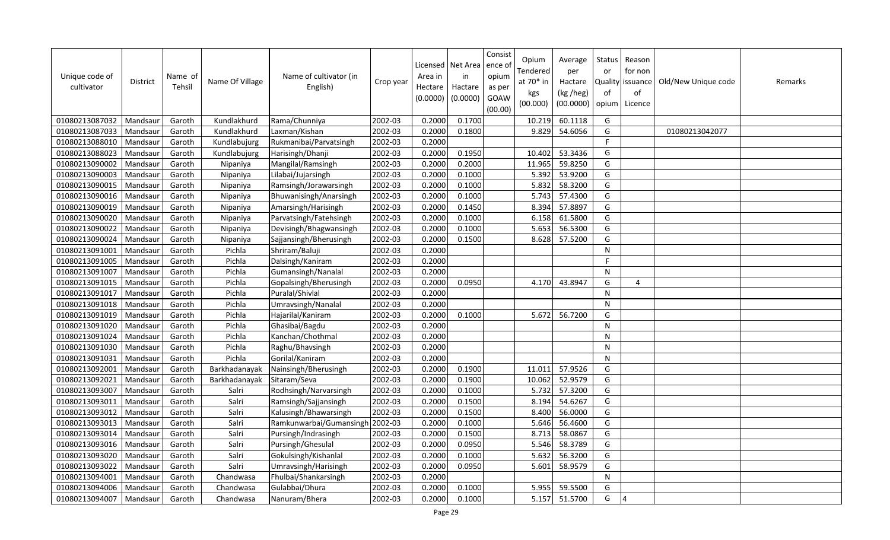| Unique code of<br>cultivator | <b>District</b> | Name of<br>Tehsil | Name Of Village | Name of cultivator (in<br>English) | Crop year | Area in<br>Hectare<br>(0.0000) | Licensed   Net Area<br>in<br>Hactare<br>(0.0000) | Consist<br>ence of<br>opium<br>as per<br>GOAW<br>(00.00) | Opium<br>Tendered<br>at 70* in<br>kgs<br>(00.000) | Average<br>per<br>Hactare<br>(kg /heg)<br>(00.0000) | Status<br>or<br>Quality<br>of<br>opium | Reason<br>for non<br>issuance<br>of<br>Licence | Old/New Unique code | Remarks |
|------------------------------|-----------------|-------------------|-----------------|------------------------------------|-----------|--------------------------------|--------------------------------------------------|----------------------------------------------------------|---------------------------------------------------|-----------------------------------------------------|----------------------------------------|------------------------------------------------|---------------------|---------|
| 01080213087032               | Mandsaur        | Garoth            | Kundlakhurd     | Rama/Chunniya                      | 2002-03   | 0.2000                         | 0.1700                                           |                                                          | 10.219                                            | 60.1118                                             | G                                      |                                                |                     |         |
| 01080213087033               | Mandsaur        | Garoth            | Kundlakhurd     | Laxman/Kishan                      | 2002-03   | 0.2000                         | 0.1800                                           |                                                          | 9.829                                             | 54.6056                                             | G                                      |                                                | 01080213042077      |         |
| 01080213088010               | Mandsaur        | Garoth            | Kundlabujurg    | Rukmanibai/Parvatsingh             | 2002-03   | 0.2000                         |                                                  |                                                          |                                                   |                                                     | F                                      |                                                |                     |         |
| 01080213088023               | Mandsaur        | Garoth            | Kundlabujurg    | Harisingh/Dhanji                   | 2002-03   | 0.2000                         | 0.1950                                           |                                                          | 10.402                                            | 53.3436                                             | G                                      |                                                |                     |         |
| 01080213090002               | Mandsaur        | Garoth            | Nipaniya        | Mangilal/Ramsingh                  | 2002-03   | 0.2000                         | 0.2000                                           |                                                          | 11.965                                            | 59.8250                                             | G                                      |                                                |                     |         |
| 01080213090003               | Mandsaur        | Garoth            | Nipaniya        | Lilabai/Jujarsingh                 | 2002-03   | 0.2000                         | 0.1000                                           |                                                          | 5.392                                             | 53.9200                                             | G                                      |                                                |                     |         |
| 01080213090015               | Mandsaur        | Garoth            | Nipaniya        | Ramsingh/Jorawarsingh              | 2002-03   | 0.2000                         | 0.1000                                           |                                                          | 5.832                                             | 58.3200                                             | G                                      |                                                |                     |         |
| 01080213090016               | Mandsaur        | Garoth            | Nipaniya        | Bhuwanisingh/Anarsingh             | 2002-03   | 0.2000                         | 0.1000                                           |                                                          | 5.743                                             | 57.4300                                             | G                                      |                                                |                     |         |
| 01080213090019               | Mandsaur        | Garoth            | Nipaniya        | Amarsingh/Harisingh                | 2002-03   | 0.2000                         | 0.1450                                           |                                                          | 8.394                                             | 57.8897                                             | G                                      |                                                |                     |         |
| 01080213090020               | Mandsaur        | Garoth            | Nipaniya        | Parvatsingh/Fatehsingh             | 2002-03   | 0.2000                         | 0.1000                                           |                                                          | 6.158                                             | 61.5800                                             | G                                      |                                                |                     |         |
| 01080213090022               | Mandsau         | Garoth            | Nipaniya        | Devisingh/Bhagwansingh             | 2002-03   | 0.2000                         | 0.1000                                           |                                                          | 5.653                                             | 56.5300                                             | G                                      |                                                |                     |         |
| 01080213090024               | Mandsau         | Garoth            | Nipaniya        | Sajjansingh/Bherusingh             | 2002-03   | 0.2000                         | 0.1500                                           |                                                          | 8.628                                             | 57.5200                                             | G                                      |                                                |                     |         |
| 01080213091001               | Mandsaur        | Garoth            | Pichla          | Shriram/Baluji                     | 2002-03   | 0.2000                         |                                                  |                                                          |                                                   |                                                     | ${\sf N}$                              |                                                |                     |         |
| 01080213091005               | Mandsaur        | Garoth            | Pichla          | Dalsingh/Kaniram                   | 2002-03   | 0.2000                         |                                                  |                                                          |                                                   |                                                     | F                                      |                                                |                     |         |
| 01080213091007               | Mandsau         | Garoth            | Pichla          | Gumansingh/Nanalal                 | 2002-03   | 0.2000                         |                                                  |                                                          |                                                   |                                                     | N                                      |                                                |                     |         |
| 01080213091015               | Mandsaur        | Garoth            | Pichla          | Gopalsingh/Bherusingh              | 2002-03   | 0.2000                         | 0.0950                                           |                                                          | 4.170                                             | 43.8947                                             | G                                      | $\overline{4}$                                 |                     |         |
| 01080213091017               | Mandsaur        | Garoth            | Pichla          | Puralal/Shivlal                    | 2002-03   | 0.2000                         |                                                  |                                                          |                                                   |                                                     | N                                      |                                                |                     |         |
| 01080213091018               | Mandsaur        | Garoth            | Pichla          | Umravsingh/Nanalal                 | 2002-03   | 0.2000                         |                                                  |                                                          |                                                   |                                                     | N                                      |                                                |                     |         |
| 01080213091019               | Mandsaur        | Garoth            | Pichla          | Hajarilal/Kaniram                  | 2002-03   | 0.2000                         | 0.1000                                           |                                                          | 5.672                                             | 56.7200                                             | G                                      |                                                |                     |         |
| 01080213091020               | Mandsaur        | Garoth            | Pichla          | Ghasibai/Bagdu                     | 2002-03   | 0.2000                         |                                                  |                                                          |                                                   |                                                     | ${\sf N}$                              |                                                |                     |         |
| 01080213091024               | Mandsaur        | Garoth            | Pichla          | Kanchan/Chothmal                   | 2002-03   | 0.2000                         |                                                  |                                                          |                                                   |                                                     | N                                      |                                                |                     |         |
| 01080213091030               | Mandsaur        | Garoth            | Pichla          | Raghu/Bhavsingh                    | 2002-03   | 0.2000                         |                                                  |                                                          |                                                   |                                                     | ${\sf N}$                              |                                                |                     |         |
| 01080213091031               | Mandsaur        | Garoth            | Pichla          | Gorilal/Kaniram                    | 2002-03   | 0.2000                         |                                                  |                                                          |                                                   |                                                     | $\mathsf{N}$                           |                                                |                     |         |
| 01080213092001               | Mandsaur        | Garoth            | Barkhadanayak   | Nainsingh/Bherusingh               | 2002-03   | 0.2000                         | 0.1900                                           |                                                          | 11.011                                            | 57.9526                                             | G                                      |                                                |                     |         |
| 01080213092021               | Mandsaur        | Garoth            | Barkhadanayak   | Sitaram/Seva                       | 2002-03   | 0.2000                         | 0.1900                                           |                                                          | 10.062                                            | 52.9579                                             | G                                      |                                                |                     |         |
| 01080213093007               | Mandsaur        | Garoth            | Salri           | Rodhsingh/Narvarsingh              | 2002-03   | 0.2000                         | 0.1000                                           |                                                          | 5.732                                             | 57.3200                                             | G                                      |                                                |                     |         |
| 01080213093011               | Mandsaur        | Garoth            | Salri           | Ramsingh/Sajjansingh               | 2002-03   | 0.2000                         | 0.1500                                           |                                                          | 8.194                                             | 54.6267                                             | G                                      |                                                |                     |         |
| 01080213093012               | Mandsau         | Garoth            | Salri           | Kalusingh/Bhawarsingh              | 2002-03   | 0.2000                         | 0.1500                                           |                                                          | 8.400                                             | 56.0000                                             | G                                      |                                                |                     |         |
| 01080213093013               | Mandsau         | Garoth            | Salri           | Ramkunwarbai/Gumansingh            | 2002-03   | 0.2000                         | 0.1000                                           |                                                          | 5.646                                             | 56.4600                                             | G                                      |                                                |                     |         |
| 01080213093014               | Mandsaur        | Garoth            | Salri           | Pursingh/Indrasingh                | 2002-03   | 0.2000                         | 0.1500                                           |                                                          | 8.713                                             | 58.0867                                             | G                                      |                                                |                     |         |
| 01080213093016               | Mandsaur        | Garoth            | Salri           | Pursingh/Ghesulal                  | 2002-03   | 0.2000                         | 0.0950                                           |                                                          | 5.546                                             | 58.3789                                             | G                                      |                                                |                     |         |
| 01080213093020               | Mandsau         | Garoth            | Salri           | Gokulsingh/Kishanlal               | 2002-03   | 0.2000                         | 0.1000                                           |                                                          | 5.632                                             | 56.3200                                             | G                                      |                                                |                     |         |
| 01080213093022               | Mandsaur        | Garoth            | Salri           | Umravsingh/Harisingh               | 2002-03   | 0.2000                         | 0.0950                                           |                                                          | 5.601                                             | 58.9579                                             | G                                      |                                                |                     |         |
| 01080213094001               | Mandsaur        | Garoth            | Chandwasa       | Fhulbai/Shankarsingh               | 2002-03   | 0.2000                         |                                                  |                                                          |                                                   |                                                     | N                                      |                                                |                     |         |
| 01080213094006               | Mandsaur        | Garoth            | Chandwasa       | Gulabbai/Dhura                     | 2002-03   | 0.2000                         | 0.1000                                           |                                                          | 5.955                                             | 59.5500                                             | G                                      |                                                |                     |         |
| 01080213094007               | Mandsaur        | Garoth            | Chandwasa       | Nanuram/Bhera                      | 2002-03   | 0.2000                         | 0.1000                                           |                                                          | 5.157                                             | 51.5700                                             | G                                      | $\overline{4}$                                 |                     |         |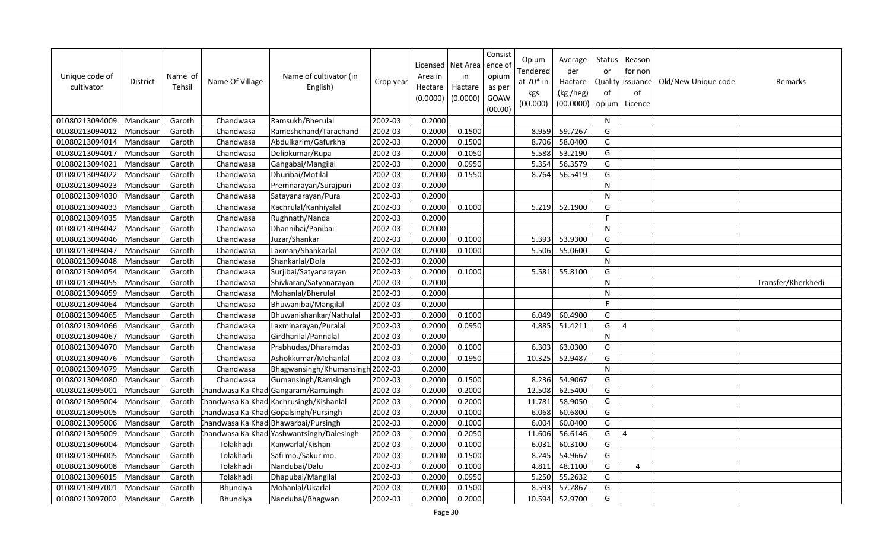| Unique code of<br>cultivator | District | Name of<br>Tehsil | Name Of Village | Name of cultivator (in<br>English)         | Crop year | Area in<br>Hectare<br>(0.0000) | Licensed   Net Area<br>in<br>Hactare<br>(0.0000) | Consist<br>ence of<br>opium<br>as per<br>GOAW<br>(00.00) | Opium<br>Tendered<br>at 70* in<br>kgs<br>(00.000) | Average<br>per<br>Hactare<br>(kg /heg)<br>(00.0000) | Status<br>or<br>Quality<br>of<br>opium | Reason<br>for non<br>issuance<br>of<br>Licence | Old/New Unique code | Remarks            |
|------------------------------|----------|-------------------|-----------------|--------------------------------------------|-----------|--------------------------------|--------------------------------------------------|----------------------------------------------------------|---------------------------------------------------|-----------------------------------------------------|----------------------------------------|------------------------------------------------|---------------------|--------------------|
| 01080213094009               | Mandsaur | Garoth            | Chandwasa       | Ramsukh/Bherulal                           | 2002-03   | 0.2000                         |                                                  |                                                          |                                                   |                                                     | N                                      |                                                |                     |                    |
| 01080213094012               | Mandsaur | Garoth            | Chandwasa       | Rameshchand/Tarachand                      | 2002-03   | 0.2000                         | 0.1500                                           |                                                          | 8.959                                             | 59.7267                                             | G                                      |                                                |                     |                    |
| 01080213094014               | Mandsaur | Garoth            | Chandwasa       | Abdulkarim/Gafurkha                        | 2002-03   | 0.2000                         | 0.1500                                           |                                                          | 8.706                                             | 58.0400                                             | G                                      |                                                |                     |                    |
| 01080213094017               | Mandsaur | Garoth            | Chandwasa       | Delipkumar/Rupa                            | 2002-03   | 0.2000                         | 0.1050                                           |                                                          | 5.588                                             | 53.2190                                             | G                                      |                                                |                     |                    |
| 01080213094021               | Mandsaur | Garoth            | Chandwasa       | Gangabai/Mangilal                          | 2002-03   | 0.2000                         | 0.0950                                           |                                                          | 5.354                                             | 56.3579                                             | G                                      |                                                |                     |                    |
| 01080213094022               | Mandsaur | Garoth            | Chandwasa       | Dhuribai/Motilal                           | 2002-03   | 0.2000                         | 0.1550                                           |                                                          | 8.764                                             | 56.5419                                             | G                                      |                                                |                     |                    |
| 01080213094023               | Mandsaur | Garoth            | Chandwasa       | Premnarayan/Surajpuri                      | 2002-03   | 0.2000                         |                                                  |                                                          |                                                   |                                                     | $\mathsf{N}$                           |                                                |                     |                    |
| 01080213094030               | Mandsaur | Garoth            | Chandwasa       | Satayanarayan/Pura                         | 2002-03   | 0.2000                         |                                                  |                                                          |                                                   |                                                     | $\mathsf{N}$                           |                                                |                     |                    |
| 01080213094033               | Mandsaur | Garoth            | Chandwasa       | Kachrulal/Kanhiyalal                       | 2002-03   | 0.2000                         | 0.1000                                           |                                                          | 5.219                                             | 52.1900                                             | G                                      |                                                |                     |                    |
| 01080213094035               | Mandsaur | Garoth            | Chandwasa       | Rughnath/Nanda                             | 2002-03   | 0.2000                         |                                                  |                                                          |                                                   |                                                     | $\mathsf F$                            |                                                |                     |                    |
| 01080213094042               | Mandsau  | Garoth            | Chandwasa       | Dhannibai/Panibai                          | 2002-03   | 0.2000                         |                                                  |                                                          |                                                   |                                                     | ${\sf N}$                              |                                                |                     |                    |
| 01080213094046               | Mandsaur | Garoth            | Chandwasa       | Juzar/Shankar                              | 2002-03   | 0.2000                         | 0.1000                                           |                                                          | 5.393                                             | 53.9300                                             | G                                      |                                                |                     |                    |
| 01080213094047               | Mandsaur | Garoth            | Chandwasa       | Laxman/Shankarlal                          | 2002-03   | 0.2000                         | 0.1000                                           |                                                          | 5.506                                             | 55.0600                                             | G                                      |                                                |                     |                    |
| 01080213094048               | Mandsaur | Garoth            | Chandwasa       | Shankarlal/Dola                            | 2002-03   | 0.2000                         |                                                  |                                                          |                                                   |                                                     | N                                      |                                                |                     |                    |
| 01080213094054               | Mandsau  | Garoth            | Chandwasa       | Surjibai/Satyanarayan                      | 2002-03   | 0.2000                         | 0.1000                                           |                                                          | 5.581                                             | 55.8100                                             | G                                      |                                                |                     |                    |
| 01080213094055               | Mandsaur | Garoth            | Chandwasa       | Shivkaran/Satyanarayan                     | 2002-03   | 0.2000                         |                                                  |                                                          |                                                   |                                                     | $\mathsf{N}$                           |                                                |                     | Transfer/Kherkhedi |
| 01080213094059               | Mandsaur | Garoth            | Chandwasa       | Mohanlal/Bherulal                          | 2002-03   | 0.2000                         |                                                  |                                                          |                                                   |                                                     | N                                      |                                                |                     |                    |
| 01080213094064               | Mandsaur | Garoth            | Chandwasa       | Bhuwanibai/Mangilal                        | 2002-03   | 0.2000                         |                                                  |                                                          |                                                   |                                                     | $\mathsf{F}$                           |                                                |                     |                    |
| 01080213094065               | Mandsaur | Garoth            | Chandwasa       | Bhuwanishankar/Nathulal                    | 2002-03   | 0.2000                         | 0.1000                                           |                                                          | 6.049                                             | 60.4900                                             | G                                      |                                                |                     |                    |
| 01080213094066               | Mandsaur | Garoth            | Chandwasa       | Laxminarayan/Puralal                       | 2002-03   | 0.2000                         | 0.0950                                           |                                                          | 4.885                                             | 51.4211                                             | G                                      | $\overline{A}$                                 |                     |                    |
| 01080213094067               | Mandsaur | Garoth            | Chandwasa       | Girdharilal/Pannalal                       | 2002-03   | 0.2000                         |                                                  |                                                          |                                                   |                                                     | N                                      |                                                |                     |                    |
| 01080213094070               | Mandsaur | Garoth            | Chandwasa       | Prabhudas/Dharamdas                        | 2002-03   | 0.2000                         | 0.1000                                           |                                                          | 6.303                                             | 63.0300                                             | G                                      |                                                |                     |                    |
| 01080213094076               | Mandsaur | Garoth            | Chandwasa       | Ashokkumar/Mohanlal                        | 2002-03   | 0.2000                         | 0.1950                                           |                                                          | 10.325                                            | 52.9487                                             | G                                      |                                                |                     |                    |
| 01080213094079               | Mandsaur | Garoth            | Chandwasa       | Bhagwansingh/Khumansingh 2002-03           |           | 0.2000                         |                                                  |                                                          |                                                   |                                                     | N                                      |                                                |                     |                    |
| 01080213094080               | Mandsaur | Garoth            | Chandwasa       | Gumansingh/Ramsingh                        | 2002-03   | 0.2000                         | 0.1500                                           |                                                          | 8.236                                             | 54.9067                                             | G                                      |                                                |                     |                    |
| 01080213095001               | Mandsaur | Garoth            |                 | chandwasa Ka Khadi Gangaram/Ramsingh       | 2002-03   | 0.2000                         | 0.2000                                           |                                                          | 12.508                                            | 62.5400                                             | G                                      |                                                |                     |                    |
| 01080213095004               | Mandsaur | Garoth            |                 | Chandwasa Ka Khadi Kachrusingh/Kishanlal   | 2002-03   | 0.2000                         | 0.2000                                           |                                                          | 11.781                                            | 58.9050                                             | G                                      |                                                |                     |                    |
| 01080213095005               | Mandsau  | Garoth            |                 | Chandwasa Ka Khad Gopalsingh/Pursingh      | 2002-03   | 0.2000                         | 0.1000                                           |                                                          | 6.068                                             | 60.6800                                             | G                                      |                                                |                     |                    |
| 01080213095006               | Mandsau  | Garoth            |                 | handwasa Ka Khad Bhawarbai/Pursingh        | 2002-03   | 0.2000                         | 0.1000                                           |                                                          | 6.004                                             | 60.0400                                             | G                                      |                                                |                     |                    |
| 01080213095009               | Mandsaur | Garoth            |                 | Chandwasa Ka Khadi Yashwantsingh/Dalesingh | 2002-03   | 0.2000                         | 0.2050                                           |                                                          | 11.606                                            | 56.6146                                             | G                                      | $\overline{4}$                                 |                     |                    |
| 01080213096004               | Mandsaur | Garoth            | Tolakhadi       | Kanwarlal/Kishan                           | 2002-03   | 0.2000                         | 0.1000                                           |                                                          | 6.031                                             | 60.3100                                             | G                                      |                                                |                     |                    |
| 01080213096005               | Mandsau  | Garoth            | Tolakhadi       | Safi mo./Sakur mo.                         | 2002-03   | 0.2000                         | 0.1500                                           |                                                          | 8.245                                             | 54.9667                                             | G                                      |                                                |                     |                    |
| 01080213096008               | Mandsaur | Garoth            | Tolakhadi       | Nandubai/Dalu                              | 2002-03   | 0.2000                         | 0.1000                                           |                                                          | 4.811                                             | 48.1100                                             | G                                      | $\overline{4}$                                 |                     |                    |
| 01080213096015               | Mandsaur | Garoth            | Tolakhadi       | Dhapubai/Mangilal                          | 2002-03   | 0.2000                         | 0.0950                                           |                                                          | 5.250                                             | 55.2632                                             | G                                      |                                                |                     |                    |
| 01080213097001               | Mandsaur | Garoth            | Bhundiya        | Mohanlal/Ukarlal                           | 2002-03   | 0.2000                         | 0.1500                                           |                                                          | 8.593                                             | 57.2867                                             | G                                      |                                                |                     |                    |
| 01080213097002               | Mandsaur | Garoth            | Bhundiya        | Nandubai/Bhagwan                           | 2002-03   | 0.2000                         | 0.2000                                           |                                                          | 10.594                                            | 52.9700                                             | G                                      |                                                |                     |                    |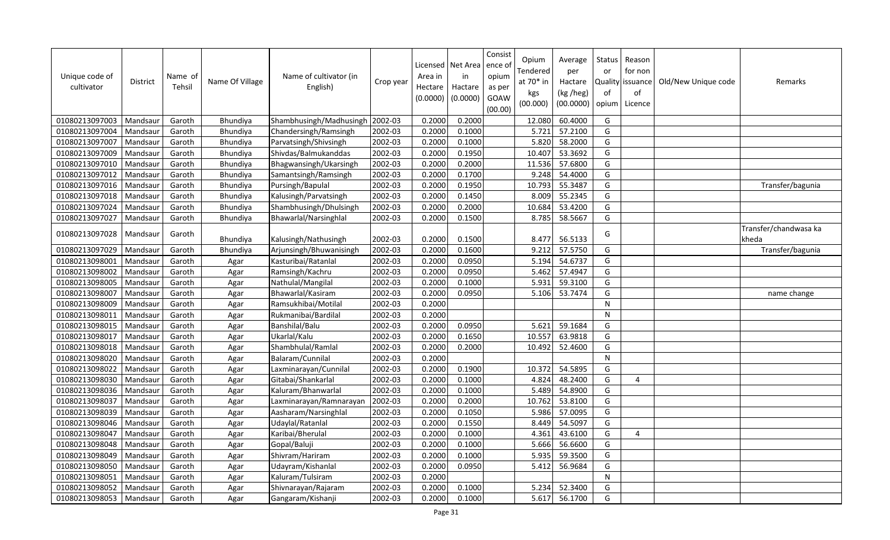| Unique code of<br>cultivator | <b>District</b> | Name of<br>Tehsil | Name Of Village | Name of cultivator (in<br>English) | Crop year | Licensed<br>Area in<br>Hectare<br>(0.0000) | Net Area<br>in<br>Hactare<br>(0.0000) | Consist<br>ence of<br>opium<br>as per<br><b>GOAW</b><br>(00.00) | Opium<br>Tendered<br>at 70* in<br>kgs<br>(00.000) | Average<br>per<br>Hactare<br>(kg /heg)<br>(00.0000) | <b>Status</b><br>or<br>of<br>opium | Reason<br>for non<br>Quality issuance<br>of<br>Licence | Old/New Unique code | Remarks                        |
|------------------------------|-----------------|-------------------|-----------------|------------------------------------|-----------|--------------------------------------------|---------------------------------------|-----------------------------------------------------------------|---------------------------------------------------|-----------------------------------------------------|------------------------------------|--------------------------------------------------------|---------------------|--------------------------------|
| 01080213097003               | Mandsaur        | Garoth            | Bhundiya        | Shambhusingh/Madhusingh 2002-03    |           | 0.2000                                     | 0.2000                                |                                                                 | 12.080                                            | 60.4000                                             | G                                  |                                                        |                     |                                |
| 01080213097004               | Mandsaur        | Garoth            | Bhundiya        | Chandersingh/Ramsingh              | 2002-03   | 0.2000                                     | 0.1000                                |                                                                 | 5.721                                             | 57.2100                                             | G                                  |                                                        |                     |                                |
| 01080213097007               | Mandsaur        | Garoth            | Bhundiya        | Parvatsingh/Shivsingh              | 2002-03   | 0.2000                                     | 0.1000                                |                                                                 | 5.820                                             | 58.2000                                             | G                                  |                                                        |                     |                                |
| 01080213097009               | Mandsaur        | Garoth            | Bhundiya        | Shivdas/Balmukanddas               | 2002-03   | 0.2000                                     | 0.1950                                |                                                                 | 10.407                                            | 53.3692                                             | G                                  |                                                        |                     |                                |
| 01080213097010               | Mandsaur        | Garoth            | Bhundiya        | Bhagwansingh/Ukarsingh             | 2002-03   | 0.2000                                     | 0.2000                                |                                                                 | 11.536                                            | 57.6800                                             | G                                  |                                                        |                     |                                |
| 01080213097012               | Mandsaur        | Garoth            | Bhundiya        | Samantsingh/Ramsingh               | 2002-03   | 0.2000                                     | 0.1700                                |                                                                 | 9.248                                             | 54.4000                                             | G                                  |                                                        |                     |                                |
| 01080213097016               | Mandsaur        | Garoth            | Bhundiya        | Pursingh/Bapulal                   | 2002-03   | 0.2000                                     | 0.1950                                |                                                                 | 10.793                                            | 55.3487                                             | G                                  |                                                        |                     | Transfer/bagunia               |
| 01080213097018               | Mandsaur        | Garoth            | Bhundiya        | Kalusingh/Parvatsingh              | 2002-03   | 0.2000                                     | 0.1450                                |                                                                 | 8.009                                             | 55.2345                                             | G                                  |                                                        |                     |                                |
| 01080213097024               | Mandsaur        | Garoth            | Bhundiya        | Shambhusingh/Dhulsingh             | 2002-03   | 0.2000                                     | 0.2000                                |                                                                 | 10.684                                            | 53.4200                                             | G                                  |                                                        |                     |                                |
| 01080213097027               | Mandsaur        | Garoth            | Bhundiya        | Bhawarlal/Narsinghlal              | 2002-03   | 0.2000                                     | 0.1500                                |                                                                 | 8.785                                             | 58.5667                                             | G                                  |                                                        |                     |                                |
| 01080213097028               | Mandsaur        | Garoth            | Bhundiya        | Kalusingh/Nathusingh               | 2002-03   | 0.2000                                     | 0.1500                                |                                                                 | 8.477                                             | 56.5133                                             | G                                  |                                                        |                     | Transfer/chandwasa ka<br>kheda |
| 01080213097029               | Mandsaur        | Garoth            | Bhundiya        | Arjunsingh/Bhuwanisingh            | 2002-03   | 0.2000                                     | 0.1600                                |                                                                 | 9.212                                             | 57.5750                                             | G                                  |                                                        |                     | Transfer/bagunia               |
| 01080213098001               | Mandsaur        | Garoth            | Agar            | Kasturibai/Ratanlal                | 2002-03   | 0.2000                                     | 0.0950                                |                                                                 | 5.194                                             | 54.6737                                             | G                                  |                                                        |                     |                                |
| 01080213098002               | Mandsaur        | Garoth            | Agar            | Ramsingh/Kachru                    | 2002-03   | 0.2000                                     | 0.0950                                |                                                                 | 5.462                                             | 57.4947                                             | G                                  |                                                        |                     |                                |
| 01080213098005               | Mandsaur        | Garoth            | Agar            | Nathulal/Mangilal                  | 2002-03   | 0.2000                                     | 0.1000                                |                                                                 | 5.931                                             | 59.3100                                             | G                                  |                                                        |                     |                                |
| 01080213098007               | Mandsaur        | Garoth            | Agar            | Bhawarlal/Kasiram                  | 2002-03   | 0.2000                                     | 0.0950                                |                                                                 | 5.106                                             | 53.7474                                             | G                                  |                                                        |                     | name change                    |
| 01080213098009               | Mandsaur        | Garoth            | Agar            | Ramsukhibai/Motilal                | 2002-03   | 0.2000                                     |                                       |                                                                 |                                                   |                                                     | N                                  |                                                        |                     |                                |
| 01080213098011               | Mandsaur        | Garoth            | Agar            | Rukmanibai/Bardilal                | 2002-03   | 0.2000                                     |                                       |                                                                 |                                                   |                                                     | N                                  |                                                        |                     |                                |
| 01080213098015               | Mandsaur        | Garoth            | Agar            | Banshilal/Balu                     | 2002-03   | 0.2000                                     | 0.0950                                |                                                                 | 5.621                                             | 59.1684                                             | G                                  |                                                        |                     |                                |
| 01080213098017               | Mandsaur        | Garoth            | Agar            | Ukarlal/Kalu                       | 2002-03   | 0.2000                                     | 0.1650                                |                                                                 | 10.557                                            | 63.9818                                             | G                                  |                                                        |                     |                                |
| 01080213098018               | Mandsaur        | Garoth            | Agar            | Shambhulal/Ramlal                  | 2002-03   | 0.2000                                     | 0.2000                                |                                                                 | 10.492                                            | 52.4600                                             | G                                  |                                                        |                     |                                |
| 01080213098020               | Mandsaur        | Garoth            | Agar            | Balaram/Cunnilal                   | 2002-03   | 0.2000                                     |                                       |                                                                 |                                                   |                                                     | ${\sf N}$                          |                                                        |                     |                                |
| 01080213098022               | Mandsaur        | Garoth            | Agar            | Laxminarayan/Cunnilal              | 2002-03   | 0.2000                                     | 0.1900                                |                                                                 | 10.372                                            | 54.5895                                             | G                                  |                                                        |                     |                                |
| 01080213098030               | Mandsaur        | Garoth            | Agar            | Gitabai/Shankarlal                 | 2002-03   | 0.2000                                     | 0.1000                                |                                                                 | 4.824                                             | 48.2400                                             | G                                  | 4                                                      |                     |                                |
| 01080213098036               | Mandsaur        | Garoth            | Agar            | Kaluram/Bhanwarlal                 | 2002-03   | 0.2000                                     | 0.1000                                |                                                                 | 5.489                                             | 54.8900                                             | G                                  |                                                        |                     |                                |
| 01080213098037               | Mandsaur        | Garoth            | Agar            | Laxminarayan/Ramnarayan            | 2002-03   | 0.2000                                     | 0.2000                                |                                                                 | 10.762                                            | 53.8100                                             | G                                  |                                                        |                     |                                |
| 01080213098039               | Mandsaur        | Garoth            | Agar            | Aasharam/Narsinghlal               | 2002-03   | 0.2000                                     | 0.1050                                |                                                                 | 5.986                                             | 57.0095                                             | G                                  |                                                        |                     |                                |
| 01080213098046               | Mandsaur        | Garoth            | Agar            | Udaylal/Ratanlal                   | 2002-03   | 0.2000                                     | 0.1550                                |                                                                 | 8.449                                             | 54.5097                                             | G                                  |                                                        |                     |                                |
| 01080213098047               | Mandsaur        | Garoth            | Agar            | Karibai/Bherulal                   | 2002-03   | 0.2000                                     | 0.1000                                |                                                                 | 4.361                                             | 43.6100                                             | G                                  | 4                                                      |                     |                                |
| 01080213098048               | Mandsaur        | Garoth            | Agar            | Gopal/Baluji                       | 2002-03   | 0.2000                                     | 0.1000                                |                                                                 | 5.666                                             | 56.6600                                             | G                                  |                                                        |                     |                                |
| 01080213098049               | Mandsaur        | Garoth            | Agar            | Shivram/Hariram                    | 2002-03   | 0.2000                                     | 0.1000                                |                                                                 | 5.935                                             | 59.3500                                             | G                                  |                                                        |                     |                                |
| 01080213098050               | Mandsaur        | Garoth            | Agar            | Udayram/Kishanlal                  | 2002-03   | 0.2000                                     | 0.0950                                |                                                                 | 5.412                                             | 56.9684                                             | G                                  |                                                        |                     |                                |
| 01080213098051               | Mandsaur        | Garoth            | Agar            | Kaluram/Tulsiram                   | 2002-03   | 0.2000                                     |                                       |                                                                 |                                                   |                                                     | ${\sf N}$                          |                                                        |                     |                                |
| 01080213098052               | Mandsaur        | Garoth            | Agar            | Shivnarayan/Rajaram                | 2002-03   | 0.2000                                     | 0.1000                                |                                                                 | 5.234                                             | 52.3400                                             | G                                  |                                                        |                     |                                |
| 01080213098053               | Mandsaur        | Garoth            | Agar            | Gangaram/Kishanji                  | 2002-03   | 0.2000                                     | 0.1000                                |                                                                 | 5.617                                             | 56.1700                                             | G                                  |                                                        |                     |                                |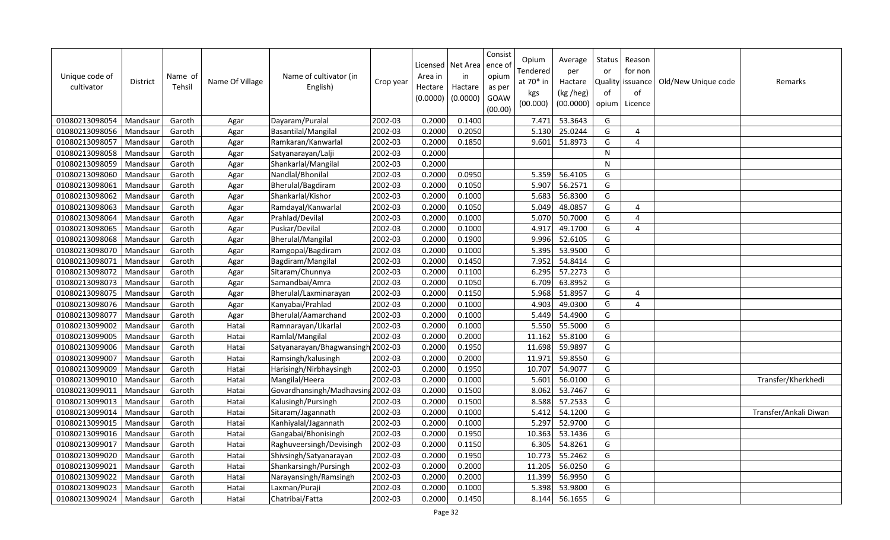| Unique code of<br>cultivator | <b>District</b> | Name of<br>Tehsil | Name Of Village | Name of cultivator (in<br>English) | Crop year | Area in<br>Hectare<br>(0.0000) | Licensed   Net Area<br>in<br>Hactare<br>(0.0000) | Consist<br>ence of<br>opium<br>as per<br>GOAW<br>(00.00) | Opium<br>Tendered<br>at 70* in<br>kgs<br>(00.000) | Average<br>per<br>Hactare<br>(kg /heg)<br>(00.0000) | Status<br>or<br>Quality<br>of<br>opium | Reason<br>for non<br>issuance<br>of<br>Licence | Old/New Unique code | Remarks               |
|------------------------------|-----------------|-------------------|-----------------|------------------------------------|-----------|--------------------------------|--------------------------------------------------|----------------------------------------------------------|---------------------------------------------------|-----------------------------------------------------|----------------------------------------|------------------------------------------------|---------------------|-----------------------|
| 01080213098054               | Mandsaur        | Garoth            | Agar            | Dayaram/Puralal                    | 2002-03   | 0.2000                         | 0.1400                                           |                                                          | 7.471                                             | 53.3643                                             | G                                      |                                                |                     |                       |
| 01080213098056               | Mandsaur        | Garoth            | Agar            | Basantilal/Mangilal                | 2002-03   | 0.2000                         | 0.2050                                           |                                                          | 5.130                                             | 25.0244                                             | G                                      | 4                                              |                     |                       |
| 01080213098057               | Mandsaur        | Garoth            | Agar            | Ramkaran/Kanwarlal                 | 2002-03   | 0.2000                         | 0.1850                                           |                                                          | 9.601                                             | 51.8973                                             | G                                      | 4                                              |                     |                       |
| 01080213098058               | Mandsaur        | Garoth            | Agar            | Satyanarayan/Lalji                 | 2002-03   | 0.2000                         |                                                  |                                                          |                                                   |                                                     | N                                      |                                                |                     |                       |
| 01080213098059               | Mandsaur        | Garoth            | Agar            | Shankarlal/Mangilal                | 2002-03   | 0.2000                         |                                                  |                                                          |                                                   |                                                     | $\mathsf{N}$                           |                                                |                     |                       |
| 01080213098060               | Mandsaur        | Garoth            | Agar            | Nandlal/Bhonilal                   | 2002-03   | 0.2000                         | 0.0950                                           |                                                          | 5.359                                             | 56.4105                                             | G                                      |                                                |                     |                       |
| 01080213098061               | Mandsaur        | Garoth            | Agar            | Bherulal/Bagdiram                  | 2002-03   | 0.2000                         | 0.1050                                           |                                                          | 5.907                                             | 56.2571                                             | G                                      |                                                |                     |                       |
| 01080213098062               | Mandsaur        | Garoth            | Agar            | Shankarlal/Kishor                  | 2002-03   | 0.2000                         | 0.1000                                           |                                                          | 5.683                                             | 56.8300                                             | G                                      |                                                |                     |                       |
| 01080213098063               | Mandsau         | Garoth            | Agar            | Ramdayal/Kanwarlal                 | 2002-03   | 0.2000                         | 0.1050                                           |                                                          | 5.049                                             | 48.0857                                             | G                                      | $\overline{4}$                                 |                     |                       |
| 01080213098064               | Mandsaur        | Garoth            | Agar            | Prahlad/Devilal                    | 2002-03   | 0.2000                         | 0.1000                                           |                                                          | 5.070                                             | 50.7000                                             | G                                      | $\overline{4}$                                 |                     |                       |
| 01080213098065               | Mandsau         | Garoth            | Agar            | Puskar/Devilal                     | 2002-03   | 0.2000                         | 0.1000                                           |                                                          | 4.917                                             | 49.1700                                             | G                                      | $\overline{4}$                                 |                     |                       |
| 01080213098068               | Mandsau         | Garoth            | Agar            | Bherulal/Mangilal                  | 2002-03   | 0.2000                         | 0.1900                                           |                                                          | 9.996                                             | 52.6105                                             | G                                      |                                                |                     |                       |
| 01080213098070               | Mandsaur        | Garoth            | Agar            | Ramgopal/Bagdiram                  | 2002-03   | 0.2000                         | 0.1000                                           |                                                          | 5.395                                             | 53.9500                                             | G                                      |                                                |                     |                       |
| 01080213098071               | Mandsaur        | Garoth            | Agar            | Bagdiram/Mangilal                  | 2002-03   | 0.2000                         | 0.1450                                           |                                                          | 7.952                                             | 54.8414                                             | G                                      |                                                |                     |                       |
| 01080213098072               | Mandsau         | Garoth            | Agar            | Sitaram/Chunnya                    | 2002-03   | 0.2000                         | 0.1100                                           |                                                          | 6.295                                             | 57.2273                                             | G                                      |                                                |                     |                       |
| 01080213098073               | Mandsaur        | Garoth            | Agar            | Samandbai/Amra                     | 2002-03   | 0.2000                         | 0.1050                                           |                                                          | 6.709                                             | 63.8952                                             | G                                      |                                                |                     |                       |
| 01080213098075               | Mandsaur        | Garoth            | Agar            | Bherulal/Laxminarayan              | 2002-03   | 0.2000                         | 0.1150                                           |                                                          | 5.968                                             | 51.8957                                             | G                                      | 4                                              |                     |                       |
| 01080213098076               | Mandsaur        | Garoth            | Agar            | Kanyabai/Prahlad                   | 2002-03   | 0.2000                         | 0.1000                                           |                                                          | 4.903                                             | 49.0300                                             | G                                      | 4                                              |                     |                       |
| 01080213098077               | Mandsaur        | Garoth            | Agar            | Bherulal/Aamarchand                | 2002-03   | 0.2000                         | 0.1000                                           |                                                          | 5.449                                             | 54.4900                                             | G                                      |                                                |                     |                       |
| 01080213099002               | Mandsaur        | Garoth            | Hatai           | Ramnarayan/Ukarlal                 | 2002-03   | 0.2000                         | 0.1000                                           |                                                          | 5.550                                             | 55.5000                                             | G                                      |                                                |                     |                       |
| 01080213099005               | Mandsaur        | Garoth            | Hatai           | Ramlal/Mangilal                    | 2002-03   | 0.2000                         | 0.2000                                           |                                                          | 11.162                                            | 55.8100                                             | G                                      |                                                |                     |                       |
| 01080213099006               | Mandsaur        | Garoth            | Hatai           | Satyanarayan/Bhagwansingh 2002-03  |           | 0.2000                         | 0.1950                                           |                                                          | 11.698                                            | 59.9897                                             | G                                      |                                                |                     |                       |
| 01080213099007               | Mandsaur        | Garoth            | Hatai           | Ramsingh/kalusingh                 | 2002-03   | 0.2000                         | 0.2000                                           |                                                          | 11.971                                            | 59.8550                                             | G                                      |                                                |                     |                       |
| 01080213099009               | Mandsaur        | Garoth            | Hatai           | Harisingh/Nirbhaysingh             | 2002-03   | 0.2000                         | 0.1950                                           |                                                          | 10.707                                            | 54.9077                                             | G                                      |                                                |                     |                       |
| 01080213099010               | Mandsaur        | Garoth            | Hatai           | Mangilal/Heera                     | 2002-03   | 0.2000                         | 0.1000                                           |                                                          | 5.601                                             | 56.0100                                             | G                                      |                                                |                     | Transfer/Kherkhedi    |
| 01080213099011               | Mandsaur        | Garoth            | Hatai           | Govardhansingh/Madhavsing          | 2002-03   | 0.2000                         | 0.1500                                           |                                                          | 8.062                                             | 53.7467                                             | G                                      |                                                |                     |                       |
| 01080213099013               | Mandsaur        | Garoth            | Hatai           | Kalusingh/Pursingh                 | 2002-03   | 0.2000                         | 0.1500                                           |                                                          | 8.588                                             | 57.2533                                             | G                                      |                                                |                     |                       |
| 01080213099014               | Mandsau         | Garoth            | Hatai           | Sitaram/Jagannath                  | 2002-03   | 0.2000                         | 0.1000                                           |                                                          | 5.412                                             | 54.1200                                             | G                                      |                                                |                     | Transfer/Ankali Diwan |
| 01080213099015               | Mandsau         | Garoth            | Hatai           | Kanhiyalal/Jagannath               | 2002-03   | 0.2000                         | 0.1000                                           |                                                          | 5.297                                             | 52.9700                                             | G                                      |                                                |                     |                       |
| 01080213099016               | Mandsau         | Garoth            | Hatai           | Gangabai/Bhonisingh                | 2002-03   | 0.2000                         | 0.1950                                           |                                                          | 10.363                                            | 53.1436                                             | G                                      |                                                |                     |                       |
| 01080213099017               | Mandsaur        | Garoth            | Hatai           | Raghuveersingh/Devisingh           | 2002-03   | 0.2000                         | 0.1150                                           |                                                          | 6.305                                             | 54.8261                                             | G                                      |                                                |                     |                       |
| 01080213099020               | Mandsau         | Garoth            | Hatai           | Shivsingh/Satyanarayan             | 2002-03   | 0.2000                         | 0.1950                                           |                                                          | 10.773                                            | 55.2462                                             | G                                      |                                                |                     |                       |
| 01080213099021               | Mandsaur        | Garoth            | Hatai           | Shankarsingh/Pursingh              | 2002-03   | 0.2000                         | 0.2000                                           |                                                          | 11.205                                            | 56.0250                                             | G                                      |                                                |                     |                       |
| 01080213099022               | Mandsaur        | Garoth            | Hatai           | Narayansingh/Ramsingh              | 2002-03   | 0.2000                         | 0.2000                                           |                                                          | 11.399                                            | 56.9950                                             | G                                      |                                                |                     |                       |
| 01080213099023               | Mandsaur        | Garoth            | Hatai           | Laxman/Puraji                      | 2002-03   | 0.2000                         | 0.1000                                           |                                                          | 5.398                                             | 53.9800                                             | G                                      |                                                |                     |                       |
| 01080213099024               | Mandsaur        | Garoth            | Hatai           | Chatribai/Fatta                    | 2002-03   | 0.2000                         | 0.1450                                           |                                                          | 8.144                                             | 56.1655                                             | G                                      |                                                |                     |                       |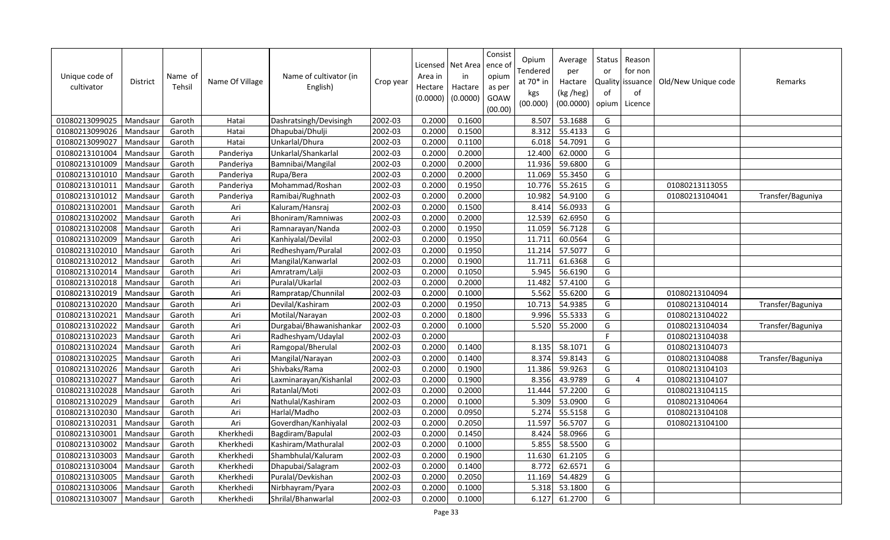| Unique code of<br>cultivator | <b>District</b> | Name of<br>Tehsil | Name Of Village | Name of cultivator (in<br>English) | Crop year | Licensed<br>Area in<br>Hectare<br>(0.0000) | Net Area<br>in<br>Hactare<br>(0.0000) | Consist<br>ence of<br>opium<br>as per<br>GOAW<br>(00.00) | Opium<br>Tendered<br>at 70* in<br>kgs<br>(00.000) | Average<br>per<br>Hactare<br>(kg /heg)<br>(00.0000) | Status<br>or<br>of<br>opium | Reason<br>for non<br>Quality issuance<br>of<br>Licence | Old/New Unique code | Remarks           |
|------------------------------|-----------------|-------------------|-----------------|------------------------------------|-----------|--------------------------------------------|---------------------------------------|----------------------------------------------------------|---------------------------------------------------|-----------------------------------------------------|-----------------------------|--------------------------------------------------------|---------------------|-------------------|
| 01080213099025               | Mandsaur        | Garoth            | Hatai           | Dashratsingh/Devisingh             | 2002-03   | 0.2000                                     | 0.1600                                |                                                          | 8.507                                             | 53.1688                                             | G                           |                                                        |                     |                   |
| 01080213099026               | Mandsaur        | Garoth            | Hatai           | Dhapubai/Dhulji                    | 2002-03   | 0.2000                                     | 0.1500                                |                                                          | 8.312                                             | 55.4133                                             | G                           |                                                        |                     |                   |
| 01080213099027               | Mandsaur        | Garoth            | Hatai           | Unkarlal/Dhura                     | 2002-03   | 0.2000                                     | 0.1100                                |                                                          | 6.018                                             | 54.7091                                             | G                           |                                                        |                     |                   |
| 01080213101004               | Mandsaur        | Garoth            | Panderiya       | Unkarlal/Shankarlal                | 2002-03   | 0.2000                                     | 0.2000                                |                                                          | 12.400                                            | 62.0000                                             | G                           |                                                        |                     |                   |
| 01080213101009               | Mandsaur        | Garoth            | Panderiya       | Bamnibai/Mangilal                  | 2002-03   | 0.2000                                     | 0.2000                                |                                                          | 11.936                                            | 59.6800                                             | G                           |                                                        |                     |                   |
| 01080213101010               | Mandsaur        | Garoth            | Panderiya       | Rupa/Bera                          | 2002-03   | 0.2000                                     | 0.2000                                |                                                          | 11.069                                            | 55.3450                                             | G                           |                                                        |                     |                   |
| 01080213101011               | Mandsaur        | Garoth            | Panderiya       | Mohammad/Roshan                    | 2002-03   | 0.2000                                     | 0.1950                                |                                                          | 10.776                                            | 55.2615                                             | G                           |                                                        | 01080213113055      |                   |
| 01080213101012               | Mandsaur        | Garoth            | Panderiya       | Ramibai/Rughnath                   | 2002-03   | 0.2000                                     | 0.2000                                |                                                          | 10.982                                            | 54.9100                                             | G                           |                                                        | 01080213104041      | Transfer/Baguniya |
| 01080213102001               | Mandsau         | Garoth            | Ari             | Kaluram/Hansraj                    | 2002-03   | 0.2000                                     | 0.1500                                |                                                          | 8.414                                             | 56.0933                                             | G                           |                                                        |                     |                   |
| 01080213102002               | Mandsaur        | Garoth            | Ari             | Bhoniram/Ramniwas                  | 2002-03   | 0.2000                                     | 0.2000                                |                                                          | 12.539                                            | 62.6950                                             | G                           |                                                        |                     |                   |
| 01080213102008               | Mandsau         | Garoth            | Ari             | Ramnarayan/Nanda                   | 2002-03   | 0.2000                                     | 0.1950                                |                                                          | 11.059                                            | 56.7128                                             | G                           |                                                        |                     |                   |
| 01080213102009               | Mandsaur        | Garoth            | Ari             | Kanhiyalal/Devilal                 | 2002-03   | 0.2000                                     | 0.1950                                |                                                          | 11.711                                            | 60.0564                                             | G                           |                                                        |                     |                   |
| 01080213102010               | Mandsau         | Garoth            | Ari             | Redheshyam/Puralal                 | 2002-03   | 0.2000                                     | 0.1950                                |                                                          | 11.214                                            | 57.5077                                             | G                           |                                                        |                     |                   |
| 01080213102012               | Mandsaur        | Garoth            | Ari             | Mangilal/Kanwarlal                 | 2002-03   | 0.2000                                     | 0.1900                                |                                                          | 11.711                                            | 61.6368                                             | G                           |                                                        |                     |                   |
| 01080213102014               | Mandsau         | Garoth            | Ari             | Amratram/Lalji                     | 2002-03   | 0.2000                                     | 0.1050                                |                                                          | 5.945                                             | 56.6190                                             | G                           |                                                        |                     |                   |
| 01080213102018               | Mandsaur        | Garoth            | Ari             | Puralal/Ukarlal                    | 2002-03   | 0.2000                                     | 0.2000                                |                                                          | 11.482                                            | 57.4100                                             | G                           |                                                        |                     |                   |
| 01080213102019               | Mandsaur        | Garoth            | Ari             | Rampratap/Chunnilal                | 2002-03   | 0.2000                                     | 0.1000                                |                                                          | 5.562                                             | 55.6200                                             | G                           |                                                        | 01080213104094      |                   |
| 01080213102020               | Mandsaur        | Garoth            | Ari             | Devilal/Kashiram                   | 2002-03   | 0.2000                                     | 0.1950                                |                                                          | 10.713                                            | 54.9385                                             | G                           |                                                        | 01080213104014      | Transfer/Baguniya |
| 01080213102021               | Mandsau         | Garoth            | Ari             | Motilal/Narayan                    | 2002-03   | 0.2000                                     | 0.1800                                |                                                          | 9.996                                             | 55.5333                                             | G                           |                                                        | 01080213104022      |                   |
| 01080213102022               | Mandsaur        | Garoth            | Ari             | Durgabai/Bhawanishankar            | 2002-03   | 0.2000                                     | 0.1000                                |                                                          | 5.520                                             | 55.2000                                             | G                           |                                                        | 01080213104034      | Transfer/Baguniya |
| 01080213102023               | Mandsaur        | Garoth            | Ari             | Radheshyam/Udaylal                 | 2002-03   | 0.2000                                     |                                       |                                                          |                                                   |                                                     | E                           |                                                        | 01080213104038      |                   |
| 01080213102024               | Mandsaur        | Garoth            | Ari             | Ramgopal/Bherulal                  | 2002-03   | 0.2000                                     | 0.1400                                |                                                          | 8.135                                             | 58.1071                                             | G                           |                                                        | 01080213104073      |                   |
| 01080213102025               | Mandsaur        | Garoth            | Ari             | Mangilal/Narayan                   | 2002-03   | 0.2000                                     | 0.1400                                |                                                          | 8.374                                             | 59.8143                                             | G                           |                                                        | 01080213104088      | Transfer/Baguniya |
| 01080213102026               | Mandsau         | Garoth            | Ari             | Shivbaks/Rama                      | 2002-03   | 0.2000                                     | 0.1900                                |                                                          | 11.386                                            | 59.9263                                             | G                           |                                                        | 01080213104103      |                   |
| 01080213102027               | Mandsaur        | Garoth            | Ari             | Laxminarayan/Kishanlal             | 2002-03   | 0.2000                                     | 0.1900                                |                                                          | 8.356                                             | 43.9789                                             | G                           | $\overline{4}$                                         | 01080213104107      |                   |
| 01080213102028               | Mandsaur        | Garoth            | Ari             | Ratanlal/Moti                      | 2002-03   | 0.2000                                     | 0.2000                                |                                                          | 11.444                                            | 57.2200                                             | G                           |                                                        | 01080213104115      |                   |
| 01080213102029               | Mandsaur        | Garoth            | Ari             | Nathulal/Kashiram                  | 2002-03   | 0.2000                                     | 0.1000                                |                                                          | 5.309                                             | 53.0900                                             | G                           |                                                        | 01080213104064      |                   |
| 01080213102030               | Mandsaur        | Garoth            | Ari             | Harlal/Madho                       | 2002-03   | 0.2000                                     | 0.0950                                |                                                          | 5.274                                             | 55.5158                                             | G                           |                                                        | 01080213104108      |                   |
| 01080213102031               | Mandsaur        | Garoth            | Ari             | Goverdhan/Kanhiyalal               | 2002-03   | 0.2000                                     | 0.2050                                |                                                          | 11.597                                            | 56.5707                                             | G                           |                                                        | 01080213104100      |                   |
| 01080213103001               | Mandsau         | Garoth            | Kherkhedi       | Bagdiram/Bapulal                   | 2002-03   | 0.2000                                     | 0.1450                                |                                                          | 8.424                                             | 58.0966                                             | G                           |                                                        |                     |                   |
| 01080213103002               | Mandsaur        | Garoth            | Kherkhedi       | Kashiram/Mathuralal                | 2002-03   | 0.2000                                     | 0.1000                                |                                                          | 5.855                                             | 58.5500                                             | G                           |                                                        |                     |                   |
| 01080213103003               | Mandsau         | Garoth            | Kherkhedi       | Shambhulal/Kaluram                 | 2002-03   | 0.2000                                     | 0.1900                                |                                                          | 11.630                                            | 61.2105                                             | G                           |                                                        |                     |                   |
| 01080213103004               | Mandsaur        | Garoth            | Kherkhedi       | Dhapubai/Salagram                  | 2002-03   | 0.2000                                     | 0.1400                                |                                                          | 8.772                                             | 62.6571                                             | G                           |                                                        |                     |                   |
| 01080213103005               | Mandsau         | Garoth            | Kherkhedi       | Puralal/Devkishan                  | 2002-03   | 0.2000                                     | 0.2050                                |                                                          | 11.169                                            | 54.4829                                             | G                           |                                                        |                     |                   |
| 01080213103006               | Mandsaur        | Garoth            | Kherkhedi       | Nirbhayram/Pyara                   | 2002-03   | 0.2000                                     | 0.1000                                |                                                          | 5.318                                             | 53.1800                                             | G                           |                                                        |                     |                   |
| 01080213103007               | Mandsaur        | Garoth            | Kherkhedi       | Shrilal/Bhanwarlal                 | 2002-03   | 0.2000                                     | 0.1000                                |                                                          | 6.127                                             | 61.2700                                             | G                           |                                                        |                     |                   |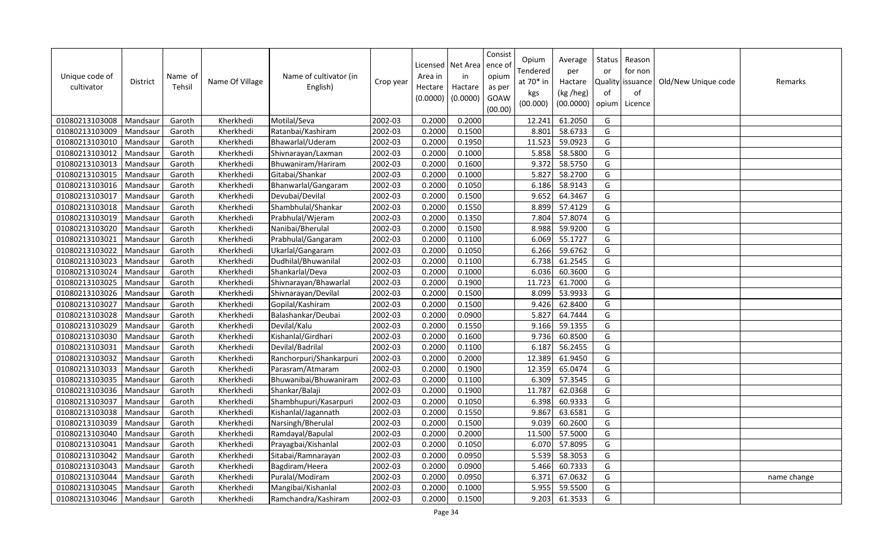| Unique code of<br>cultivator | <b>District</b> | Name of<br>Tehsil | Name Of Village | Name of cultivator (in<br>English) | Crop year | Area in<br>Hectare<br>(0.0000) | Licensed   Net Area<br>in<br>Hactare<br>(0.0000) | Consist<br>ence of<br>opium<br>as per<br>GOAW<br>(00.00) | Opium<br>Tendered<br>at 70* in<br>kgs<br>(00.000) | Average<br>per<br>Hactare<br>(kg /heg)<br>(00.0000) | Status<br>or<br>Quality<br>of<br>opium | Reason<br>for non<br>issuance<br>of<br>Licence | Old/New Unique code | Remarks     |
|------------------------------|-----------------|-------------------|-----------------|------------------------------------|-----------|--------------------------------|--------------------------------------------------|----------------------------------------------------------|---------------------------------------------------|-----------------------------------------------------|----------------------------------------|------------------------------------------------|---------------------|-------------|
| 01080213103008               | Mandsaur        | Garoth            | Kherkhedi       | Motilal/Seva                       | 2002-03   | 0.2000                         | 0.2000                                           |                                                          | 12.241                                            | 61.2050                                             | G                                      |                                                |                     |             |
| 01080213103009               | Mandsaur        | Garoth            | Kherkhedi       | Ratanbai/Kashiram                  | 2002-03   | 0.2000                         | 0.1500                                           |                                                          | 8.801                                             | 58.6733                                             | G                                      |                                                |                     |             |
| 01080213103010               | Mandsaur        | Garoth            | Kherkhedi       | Bhawarlal/Uderam                   | 2002-03   | 0.2000                         | 0.1950                                           |                                                          | 11.523                                            | 59.0923                                             | G                                      |                                                |                     |             |
| 01080213103012               | Mandsaur        | Garoth            | Kherkhedi       | Shivnarayan/Laxman                 | 2002-03   | 0.2000                         | 0.1000                                           |                                                          | 5.858                                             | 58.5800                                             | G                                      |                                                |                     |             |
| 01080213103013               | Mandsaur        | Garoth            | Kherkhedi       | Bhuwaniram/Hariram                 | 2002-03   | 0.2000                         | 0.1600                                           |                                                          | 9.372                                             | 58.5750                                             | G                                      |                                                |                     |             |
| 01080213103015               | Mandsaur        | Garoth            | Kherkhedi       | Gitabai/Shankar                    | 2002-03   | 0.2000                         | 0.1000                                           |                                                          | 5.827                                             | 58.2700                                             | G                                      |                                                |                     |             |
| 01080213103016               | Mandsaur        | Garoth            | Kherkhedi       | Bhanwarlal/Gangaram                | 2002-03   | 0.2000                         | 0.1050                                           |                                                          | 6.186                                             | 58.9143                                             | G                                      |                                                |                     |             |
| 01080213103017               | Mandsaur        | Garoth            | Kherkhedi       | Devubai/Devilal                    | 2002-03   | 0.2000                         | 0.1500                                           |                                                          | 9.652                                             | 64.3467                                             | G                                      |                                                |                     |             |
| 01080213103018               | Mandsaur        | Garoth            | Kherkhedi       | Shambhulal/Shankar                 | 2002-03   | 0.2000                         | 0.1550                                           |                                                          | 8.899                                             | 57.4129                                             | G                                      |                                                |                     |             |
| 01080213103019               | Mandsaur        | Garoth            | Kherkhedi       | Prabhulal/Wjeram                   | 2002-03   | 0.2000                         | 0.1350                                           |                                                          | 7.804                                             | 57.8074                                             | G                                      |                                                |                     |             |
| 01080213103020               | Mandsau         | Garoth            | Kherkhedi       | Nanibai/Bherulal                   | 2002-03   | 0.2000                         | 0.1500                                           |                                                          | 8.988                                             | 59.9200                                             | G                                      |                                                |                     |             |
| 01080213103021               | Mandsaur        | Garoth            | Kherkhedi       | Prabhulal/Gangaram                 | 2002-03   | 0.2000                         | 0.1100                                           |                                                          | 6.069                                             | 55.1727                                             | G                                      |                                                |                     |             |
| 01080213103022               | Mandsaur        | Garoth            | Kherkhedi       | Ukarlal/Gangaram                   | 2002-03   | 0.2000                         | 0.1050                                           |                                                          | 6.266                                             | 59.6762                                             | G                                      |                                                |                     |             |
| 01080213103023               | Mandsaur        | Garoth            | Kherkhedi       | Dudhilal/Bhuwanilal                | 2002-03   | 0.2000                         | 0.1100                                           |                                                          | 6.738                                             | 61.2545                                             | G                                      |                                                |                     |             |
| 01080213103024               | Mandsau         | Garoth            | Kherkhedi       | Shankarlal/Deva                    | 2002-03   | 0.2000                         | 0.1000                                           |                                                          | 6.036                                             | 60.3600                                             | G                                      |                                                |                     |             |
| 01080213103025               | Mandsaur        | Garoth            | Kherkhedi       | Shivnarayan/Bhawarlal              | 2002-03   | 0.2000                         | 0.1900                                           |                                                          | 11.723                                            | 61.7000                                             | G                                      |                                                |                     |             |
| 01080213103026               | Mandsaur        | Garoth            | Kherkhedi       | Shivnarayan/Devilal                | 2002-03   | 0.2000                         | 0.1500                                           |                                                          | 8.099                                             | 53.9933                                             | G                                      |                                                |                     |             |
| 01080213103027               | Mandsaur        | Garoth            | Kherkhedi       | Gopilal/Kashiram                   | 2002-03   | 0.2000                         | 0.1500                                           |                                                          | 9.426                                             | 62.8400                                             | G                                      |                                                |                     |             |
| 01080213103028               | Mandsaur        | Garoth            | Kherkhedi       | Balashankar/Deubai                 | 2002-03   | 0.2000                         | 0.0900                                           |                                                          | 5.827                                             | 64.7444                                             | G                                      |                                                |                     |             |
| 01080213103029               | Mandsaur        | Garoth            | Kherkhedi       | Devilal/Kalu                       | 2002-03   | 0.2000                         | 0.1550                                           |                                                          | 9.166                                             | 59.1355                                             | G                                      |                                                |                     |             |
| 01080213103030               | Mandsaur        | Garoth            | Kherkhedi       | Kishanlal/Girdhari                 | 2002-03   | 0.2000                         | 0.1600                                           |                                                          | 9.736                                             | 60.8500                                             | G                                      |                                                |                     |             |
| 01080213103031               | Mandsaur        | Garoth            | Kherkhedi       | Devilal/Badrilal                   | 2002-03   | 0.2000                         | 0.1100                                           |                                                          | 6.187                                             | 56.2455                                             | G                                      |                                                |                     |             |
| 01080213103032               | Mandsaur        | Garoth            | Kherkhedi       | Ranchorpuri/Shankarpuri            | 2002-03   | 0.2000                         | 0.2000                                           |                                                          | 12.389                                            | 61.9450                                             | G                                      |                                                |                     |             |
| 01080213103033               | Mandsaur        | Garoth            | Kherkhedi       | Parasram/Atmaram                   | 2002-03   | 0.2000                         | 0.1900                                           |                                                          | 12.359                                            | 65.0474                                             | G                                      |                                                |                     |             |
| 01080213103035               | Mandsaur        | Garoth            | Kherkhedi       | Bhuwanibai/Bhuwaniram              | 2002-03   | 0.2000                         | 0.1100                                           |                                                          | 6.309                                             | 57.3545                                             | G                                      |                                                |                     |             |
| 01080213103036               | Mandsaur        | Garoth            | Kherkhedi       | Shankar/Balaji                     | 2002-03   | 0.2000                         | 0.1900                                           |                                                          | 11.787                                            | 62.0368                                             | G                                      |                                                |                     |             |
| 01080213103037               | Mandsaur        | Garoth            | Kherkhedi       | Shambhupuri/Kasarpuri              | 2002-03   | 0.2000                         | 0.1050                                           |                                                          | 6.398                                             | 60.9333                                             | G                                      |                                                |                     |             |
| 01080213103038               | Mandsau         | Garoth            | Kherkhedi       | Kishanlal/Jagannath                | 2002-03   | 0.2000                         | 0.1550                                           |                                                          | 9.867                                             | 63.6581                                             | G                                      |                                                |                     |             |
| 01080213103039               | Mandsaur        | Garoth            | Kherkhedi       | Narsingh/Bherulal                  | 2002-03   | 0.2000                         | 0.1500                                           |                                                          | 9.039                                             | 60.2600                                             | G                                      |                                                |                     |             |
| 01080213103040               | Mandsaur        | Garoth            | Kherkhedi       | Ramdayal/Bapulal                   | 2002-03   | 0.2000                         | 0.2000                                           |                                                          | 11.500                                            | 57.5000                                             | G                                      |                                                |                     |             |
| 01080213103041               | Mandsaur        | Garoth            | Kherkhedi       | Prayagbai/Kishanlal                | 2002-03   | 0.2000                         | 0.1050                                           |                                                          | 6.070                                             | 57.8095                                             | G                                      |                                                |                     |             |
| 01080213103042               | Mandsau         | Garoth            | Kherkhedi       | Sitabai/Ramnarayan                 | 2002-03   | 0.2000                         | 0.0950                                           |                                                          | 5.539                                             | 58.3053                                             | G                                      |                                                |                     |             |
| 01080213103043               | Mandsaur        | Garoth            | Kherkhedi       | Bagdiram/Heera                     | 2002-03   | 0.2000                         | 0.0900                                           |                                                          | 5.466                                             | 60.7333                                             | G                                      |                                                |                     |             |
| 01080213103044               | Mandsaur        | Garoth            | Kherkhedi       | Puralal/Modiram                    | 2002-03   | 0.2000                         | 0.0950                                           |                                                          | 6.371                                             | 67.0632                                             | G                                      |                                                |                     | name change |
| 01080213103045               | Mandsaur        | Garoth            | Kherkhedi       | Mangibai/Kishanlal                 | 2002-03   | 0.2000                         | 0.1000                                           |                                                          | 5.955                                             | 59.5500                                             | G                                      |                                                |                     |             |
| 01080213103046               | Mandsaur        | Garoth            | Kherkhedi       | Ramchandra/Kashiram                | 2002-03   | 0.2000                         | 0.1500                                           |                                                          | 9.203                                             | 61.3533                                             | G                                      |                                                |                     |             |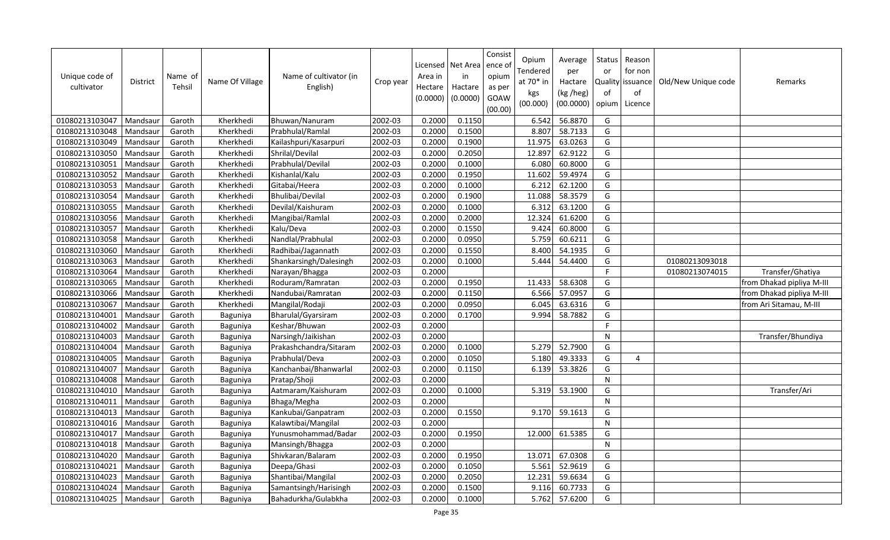| Unique code of<br>cultivator | <b>District</b> | Name of<br>Tehsil | Name Of Village | Name of cultivator (in<br>English) | Crop year            | Licensed<br>Area in<br>Hectare<br>(0.0000) | Net Area<br>in<br>Hactare<br>(0.0000) | Consist<br>ence of<br>opium<br>as per<br>GOAW<br>(00.00) | Opium<br>Tendered<br>at $70*$ in<br>kgs<br>(00.000) | Average<br>per<br>Hactare<br>(kg /heg)<br>(00.0000) | <b>Status</b><br>or<br><b>Quality</b><br>of<br>opium | Reason<br>for non<br>issuance<br>of<br>Licence | Old/New Unique code | Remarks                   |
|------------------------------|-----------------|-------------------|-----------------|------------------------------------|----------------------|--------------------------------------------|---------------------------------------|----------------------------------------------------------|-----------------------------------------------------|-----------------------------------------------------|------------------------------------------------------|------------------------------------------------|---------------------|---------------------------|
| 01080213103047               | Mandsaur        | Garoth            | Kherkhedi       | Bhuwan/Nanuram                     | 2002-03              | 0.2000                                     | 0.1150                                |                                                          | 6.542                                               | 56.8870                                             | G                                                    |                                                |                     |                           |
| 01080213103048               | Mandsaur        | Garoth            | Kherkhedi       | Prabhulal/Ramlal                   | 2002-03              | 0.2000                                     | 0.1500                                |                                                          | 8.807                                               | 58.7133                                             | G                                                    |                                                |                     |                           |
| 01080213103049               | Mandsaur        | Garoth            | Kherkhedi       | Kailashpuri/Kasarpuri              | 2002-03              | 0.2000                                     | 0.1900                                |                                                          | 11.975                                              | 63.0263                                             | G                                                    |                                                |                     |                           |
| 01080213103050               | Mandsaur        | Garoth            | Kherkhedi       | Shrilal/Devilal                    | 2002-03              | 0.2000                                     | 0.2050                                |                                                          | 12.897                                              | 62.9122                                             | G                                                    |                                                |                     |                           |
| 01080213103051               | Mandsaur        | Garoth            | Kherkhedi       | Prabhulal/Devilal                  | 2002-03              | 0.2000                                     | 0.1000                                |                                                          | 6.080                                               | 60.8000                                             | G                                                    |                                                |                     |                           |
| 01080213103052               | Mandsaur        | Garoth            | Kherkhedi       | Kishanlal/Kalu                     | 2002-03              | 0.2000                                     | 0.1950                                |                                                          | 11.602                                              | 59.4974                                             | G                                                    |                                                |                     |                           |
| 01080213103053               | Mandsaur        | Garoth            | Kherkhedi       | Gitabai/Heera                      | 2002-03              | 0.2000                                     | 0.1000                                |                                                          | 6.212                                               | 62.1200                                             | G                                                    |                                                |                     |                           |
| 01080213103054               | Mandsaur        | Garoth            | Kherkhedi       | Bhulibai/Devilal                   | 2002-03              | 0.2000                                     | 0.1900                                |                                                          | 11.088                                              | 58.3579                                             | G                                                    |                                                |                     |                           |
| 01080213103055               | Mandsaur        | Garoth            | Kherkhedi       | Devilal/Kaishuram                  | 2002-03              | 0.2000                                     | 0.1000                                |                                                          | 6.312                                               | 63.1200                                             | G                                                    |                                                |                     |                           |
| 01080213103056               | Mandsaur        | Garoth            | Kherkhedi       | Mangibai/Ramlal                    | 2002-03              | 0.2000                                     | 0.2000                                |                                                          | 12.324                                              | 61.6200                                             | G                                                    |                                                |                     |                           |
| 01080213103057               | Mandsaur        | Garoth            | Kherkhedi       | Kalu/Deva                          | 2002-03              | 0.2000                                     | 0.1550                                |                                                          | 9.424                                               | 60.8000                                             | G                                                    |                                                |                     |                           |
| 01080213103058               | Mandsaur        | Garoth            | Kherkhedi       | Nandlal/Prabhulal                  | 2002-03              | 0.2000                                     | 0.0950                                |                                                          | 5.759                                               | 60.6211                                             | G                                                    |                                                |                     |                           |
| 01080213103060               | Mandsaur        | Garoth            | Kherkhedi       | Radhibai/Jagannath                 | 2002-03              | 0.2000                                     | 0.1550                                |                                                          | 8.400                                               | 54.1935                                             | G                                                    |                                                |                     |                           |
| 01080213103063               | Mandsaur        | Garoth            | Kherkhedi       | Shankarsingh/Dalesingh             | 2002-03              | 0.2000                                     | 0.1000                                |                                                          | 5.444                                               | 54.4400                                             | G                                                    |                                                | 01080213093018      |                           |
| 01080213103064               | Mandsaur        | Garoth            | Kherkhedi       | Narayan/Bhagga                     | 2002-03              | 0.2000                                     |                                       |                                                          |                                                     |                                                     | F                                                    |                                                | 01080213074015      | Transfer/Ghatiya          |
| 01080213103065               | Mandsaur        | Garoth            | Kherkhedi       | Roduram/Ramratan                   | 2002-03              | 0.2000                                     | 0.1950                                |                                                          | 11.433                                              | 58.6308                                             | G                                                    |                                                |                     | from Dhakad pipliya M-III |
| 01080213103066               | Mandsaur        | Garoth            | Kherkhedi       | Nandubai/Ramratan                  | 2002-03              | 0.2000                                     | 0.1150                                |                                                          | 6.566                                               | 57.0957                                             | G                                                    |                                                |                     | from Dhakad pipliya M-III |
| 01080213103067               | Mandsaur        | Garoth            | Kherkhedi       | Mangilal/Rodaji                    | 2002-03              | 0.2000                                     | 0.0950                                |                                                          | 6.045                                               | 63.6316                                             | G                                                    |                                                |                     | irom Ari Sitamau, M-III   |
| 01080213104001               | Mandsaur        | Garoth            | Baguniya        | Bharulal/Gyarsiram                 | 2002-03              | 0.2000                                     | 0.1700                                |                                                          | 9.994                                               | 58.7882                                             | G                                                    |                                                |                     |                           |
| 01080213104002               | Mandsaur        | Garoth            | Baguniya        | Keshar/Bhuwan                      | 2002-03              | 0.2000                                     |                                       |                                                          |                                                     |                                                     | F                                                    |                                                |                     |                           |
| 01080213104003               | Mandsaur        | Garoth            | Baguniya        | Narsingh/Jaikishan                 | 2002-03              | 0.2000                                     |                                       |                                                          |                                                     |                                                     | N                                                    |                                                |                     | Transfer/Bhundiya         |
| 01080213104004               | Mandsaur        | Garoth            | Baguniya        | Prakashchandra/Sitaram             | 2002-03              | 0.2000                                     | 0.1000                                |                                                          | 5.279                                               | 52.7900                                             | G                                                    |                                                |                     |                           |
| 01080213104005               | Mandsaur        | Garoth            | Baguniya        | Prabhulal/Deva                     | 2002-03              | 0.2000                                     | 0.1050                                |                                                          | 5.180                                               | 49.3333                                             | G                                                    | 4                                              |                     |                           |
| 01080213104007               | Mandsaur        | Garoth            | Baguniya        | Kanchanbai/Bhanwarlal              | 2002-03              | 0.2000                                     | 0.1150                                |                                                          | 6.139                                               | 53.3826                                             | G                                                    |                                                |                     |                           |
| 01080213104008               | Mandsaur        | Garoth            | Baguniya        | Pratap/Shoji                       | $\overline{2002-03}$ | 0.2000                                     |                                       |                                                          |                                                     |                                                     | ${\sf N}$                                            |                                                |                     |                           |
| 01080213104010               | Mandsaur        | Garoth            | Baguniya        | Aatmaram/Kaishuram                 | 2002-03              | 0.2000                                     | 0.1000                                |                                                          | 5.319                                               | 53.1900                                             | G                                                    |                                                |                     | Transfer/Ari              |
| 01080213104011               | Mandsaur        | Garoth            | Baguniya        | Bhaga/Megha                        | 2002-03              | 0.2000                                     |                                       |                                                          |                                                     |                                                     | ${\sf N}$                                            |                                                |                     |                           |
| 01080213104013               | Mandsaur        | Garoth            | Baguniya        | Kankubai/Ganpatram                 | 2002-03              | 0.2000                                     | 0.1550                                |                                                          | 9.170                                               | 59.1613                                             | G                                                    |                                                |                     |                           |
| 01080213104016               | Mandsaur        | Garoth            | Baguniya        | Kalawtibai/Mangilal                | 2002-03              | 0.2000                                     |                                       |                                                          |                                                     |                                                     | ${\sf N}$                                            |                                                |                     |                           |
| 01080213104017               | Mandsaur        | Garoth            | Baguniya        | Yunusmohammad/Badar                | 2002-03              | 0.2000                                     | 0.1950                                |                                                          | 12.000                                              | 61.5385                                             | G                                                    |                                                |                     |                           |
| 01080213104018               | Mandsaur        | Garoth            | Baguniya        | Mansingh/Bhagga                    | 2002-03              | 0.2000                                     |                                       |                                                          |                                                     |                                                     | ${\sf N}$                                            |                                                |                     |                           |
| 01080213104020               | Mandsaur        | Garoth            | Baguniya        | Shivkaran/Balaram                  | 2002-03              | 0.2000                                     | 0.1950                                |                                                          | 13.071                                              | 67.0308                                             | G                                                    |                                                |                     |                           |
| 01080213104021               | Mandsaur        | Garoth            | Baguniya        | Deepa/Ghasi                        | 2002-03              | 0.2000                                     | 0.1050                                |                                                          | 5.561                                               | 52.9619                                             | G                                                    |                                                |                     |                           |
| 01080213104023               | Mandsaur        | Garoth            | Baguniya        | Shantibai/Mangilal                 | 2002-03              | 0.2000                                     | 0.2050                                |                                                          | 12.231                                              | 59.6634                                             | G                                                    |                                                |                     |                           |
| 01080213104024               | Mandsaur        | Garoth            | Baguniya        | Samantsingh/Harisingh              | 2002-03              | 0.2000                                     | 0.1500                                |                                                          | 9.116                                               | 60.7733                                             | G                                                    |                                                |                     |                           |
| 01080213104025               | Mandsaur        | Garoth            | Baguniya        | Bahadurkha/Gulabkha                | 2002-03              | 0.2000                                     | 0.1000                                |                                                          | 5.762                                               | 57.6200                                             | G                                                    |                                                |                     |                           |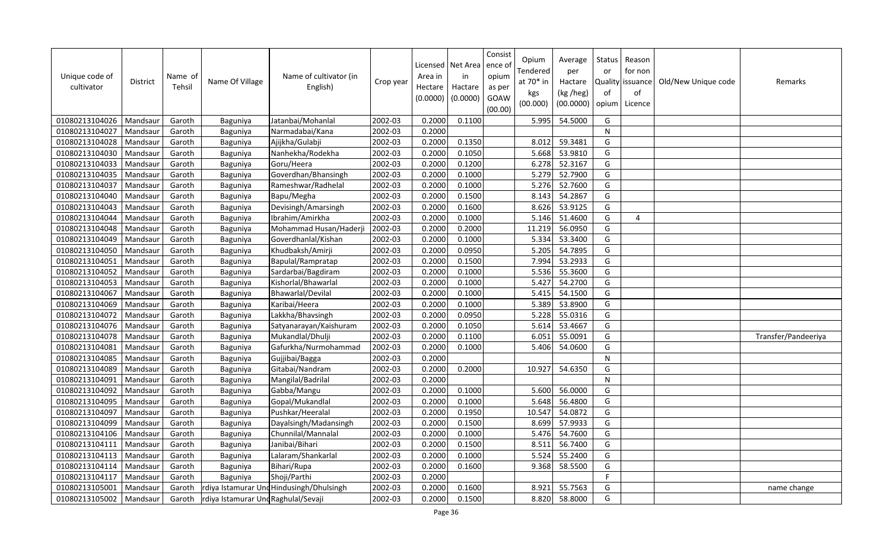| Unique code of<br>cultivator | <b>District</b> | Name of<br>Tehsil | Name Of Village                     | Name of cultivator (in<br>English)       | Crop year            | Licensed<br>Area in<br>Hectare<br>(0.0000) | Net Area<br>in<br>Hactare<br>(0.0000) | Consist<br>ence of<br>opium<br>as per<br>GOAW<br>(00.00) | Opium<br>Tendered<br>at 70* in<br>kgs<br>(00.000) | Average<br>per<br>Hactare<br>(kg /heg)<br>(00.0000) | <b>Status</b><br>or<br>of<br>opium | Reason<br>for non<br>Quality issuance<br>of<br>Licence | Old/New Unique code | Remarks             |
|------------------------------|-----------------|-------------------|-------------------------------------|------------------------------------------|----------------------|--------------------------------------------|---------------------------------------|----------------------------------------------------------|---------------------------------------------------|-----------------------------------------------------|------------------------------------|--------------------------------------------------------|---------------------|---------------------|
| 01080213104026               | Mandsaur        | Garoth            | Baguniya                            | Jatanbai/Mohanlal                        | 2002-03              | 0.2000                                     | 0.1100                                |                                                          | 5.995                                             | 54.5000                                             | G                                  |                                                        |                     |                     |
| 01080213104027               | Mandsaur        | Garoth            | Baguniya                            | Narmadabai/Kana                          | 2002-03              | 0.2000                                     |                                       |                                                          |                                                   |                                                     | ${\sf N}$                          |                                                        |                     |                     |
| 01080213104028               | Mandsaur        | Garoth            | Baguniya                            | Ajijkha/Gulabji                          | 2002-03              | 0.2000                                     | 0.1350                                |                                                          | 8.012                                             | 59.3481                                             | G                                  |                                                        |                     |                     |
| 01080213104030               | Mandsaur        | Garoth            | Baguniya                            | Nanhekha/Rodekha                         | 2002-03              | 0.2000                                     | 0.1050                                |                                                          | 5.668                                             | 53.9810                                             | G                                  |                                                        |                     |                     |
| 01080213104033               | Mandsaur        | Garoth            | Baguniya                            | Goru/Heera                               | 2002-03              | 0.2000                                     | 0.1200                                |                                                          | 6.278                                             | 52.3167                                             | G                                  |                                                        |                     |                     |
| 01080213104035               | Mandsaur        | Garoth            | Baguniya                            | Goverdhan/Bhansingh                      | 2002-03              | 0.2000                                     | 0.1000                                |                                                          | 5.279                                             | 52.7900                                             | G                                  |                                                        |                     |                     |
| 01080213104037               | Mandsaur        | Garoth            | Baguniya                            | Rameshwar/Radhelal                       | 2002-03              | 0.2000                                     | 0.1000                                |                                                          | 5.276                                             | 52.7600                                             | G                                  |                                                        |                     |                     |
| 01080213104040               | Mandsaur        | Garoth            | Baguniya                            | Bapu/Megha                               | 2002-03              | 0.2000                                     | 0.1500                                |                                                          | 8.143                                             | 54.2867                                             | G                                  |                                                        |                     |                     |
| 01080213104043               | Mandsaur        | Garoth            | Baguniya                            | Devisingh/Amarsingh                      | 2002-03              | 0.2000                                     | 0.1600                                |                                                          | 8.626                                             | 53.9125                                             | G                                  |                                                        |                     |                     |
| 01080213104044               | Mandsaur        | Garoth            | Baguniya                            | Ibrahim/Amirkha                          | 2002-03              | 0.2000                                     | 0.1000                                |                                                          | 5.146                                             | 51.4600                                             | G                                  | $\boldsymbol{\Delta}$                                  |                     |                     |
| 01080213104048               | Mandsaur        | Garoth            | Baguniya                            | Mohammad Husan/Haderji                   | 2002-03              | 0.2000                                     | 0.2000                                |                                                          | 11.219                                            | 56.0950                                             | G                                  |                                                        |                     |                     |
| 01080213104049               | Mandsaur        | Garoth            | Baguniya                            | Goverdhanlal/Kishan                      | 2002-03              | 0.2000                                     | 0.1000                                |                                                          | 5.334                                             | 53.3400                                             | G                                  |                                                        |                     |                     |
| 01080213104050               | Mandsaur        | Garoth            | Baguniya                            | Khudbaksh/Amirji                         | 2002-03              | 0.2000                                     | 0.0950                                |                                                          | 5.205                                             | 54.7895                                             | G                                  |                                                        |                     |                     |
| 01080213104051               | Mandsaur        | Garoth            | Baguniya                            | Bapulal/Rampratap                        | 2002-03              | 0.2000                                     | 0.1500                                |                                                          | 7.994                                             | 53.2933                                             | G                                  |                                                        |                     |                     |
| 01080213104052               | Mandsaur        | Garoth            | Baguniya                            | Sardarbai/Bagdiram                       | 2002-03              | 0.2000                                     | 0.1000                                |                                                          | 5.536                                             | 55.3600                                             | G                                  |                                                        |                     |                     |
| 01080213104053               | Mandsaur        | Garoth            | Baguniya                            | Kishorlal/Bhawarlal                      | 2002-03              | 0.2000                                     | 0.1000                                |                                                          | 5.427                                             | 54.2700                                             | G                                  |                                                        |                     |                     |
| 01080213104067               | Mandsaur        | Garoth            | Baguniya                            | Bhawarlal/Devilal                        | 2002-03              | 0.2000                                     | 0.1000                                |                                                          | 5.415                                             | 54.1500                                             | G                                  |                                                        |                     |                     |
| 01080213104069               | Mandsaur        | Garoth            | Baguniya                            | Karibai/Heera                            | 2002-03              | 0.2000                                     | 0.1000                                |                                                          | 5.389                                             | 53.8900                                             | G                                  |                                                        |                     |                     |
| 01080213104072               | Mandsaur        | Garoth            | Baguniya                            | Lakkha/Bhavsingh                         | 2002-03              | 0.2000                                     | 0.0950                                |                                                          | 5.228                                             | 55.0316                                             | G                                  |                                                        |                     |                     |
| 01080213104076               | Mandsaur        | Garoth            | Baguniya                            | Satyanarayan/Kaishuram                   | 2002-03              | 0.2000                                     | 0.1050                                |                                                          | 5.614                                             | 53.4667                                             | G                                  |                                                        |                     |                     |
| 01080213104078               | Mandsaur        | Garoth            | Baguniya                            | Mukandlal/Dhulji                         | 2002-03              | 0.2000                                     | 0.1100                                |                                                          | 6.051                                             | 55.0091                                             | G                                  |                                                        |                     | Transfer/Pandeeriya |
| 01080213104081               | Mandsaur        | Garoth            | Baguniya                            | Gafurkha/Nurmohammad                     | 2002-03              | 0.2000                                     | 0.1000                                |                                                          | 5.406                                             | 54.0600                                             | G                                  |                                                        |                     |                     |
| 01080213104085               | Mandsaur        | Garoth            | Baguniya                            | Gujjibai/Bagga                           | 2002-03              | 0.2000                                     |                                       |                                                          |                                                   |                                                     | ${\sf N}$                          |                                                        |                     |                     |
| 01080213104089               | Mandsaur        | Garoth            | Baguniya                            | Gitabai/Nandram                          | 2002-03              | 0.2000                                     | 0.2000                                |                                                          | 10.927                                            | 54.6350                                             | G                                  |                                                        |                     |                     |
| 01080213104091               | Mandsaur        | Garoth            | Baguniya                            | Mangilal/Badrilal                        | $\overline{2002-03}$ | 0.2000                                     |                                       |                                                          |                                                   |                                                     | ${\sf N}$                          |                                                        |                     |                     |
| 01080213104092               | Mandsaur        | Garoth            | Baguniya                            | Gabba/Mangu                              | 2002-03              | 0.2000                                     | 0.1000                                |                                                          | 5.600                                             | 56.0000                                             | G                                  |                                                        |                     |                     |
| 01080213104095               | Mandsaur        | Garoth            | Baguniya                            | Gopal/Mukandlal                          | 2002-03              | 0.2000                                     | 0.1000                                |                                                          | 5.648                                             | 56.4800                                             | G                                  |                                                        |                     |                     |
| 01080213104097               | Mandsaur        | Garoth            | Baguniya                            | Pushkar/Heeralal                         | 2002-03              | 0.2000                                     | 0.1950                                |                                                          | 10.547                                            | 54.0872                                             | G                                  |                                                        |                     |                     |
| 01080213104099               | Mandsaur        | Garoth            | Baguniya                            | Dayalsingh/Madansingh                    | 2002-03              | 0.2000                                     | 0.1500                                |                                                          | 8.699                                             | 57.9933                                             | G                                  |                                                        |                     |                     |
| 01080213104106               | Mandsaur        | Garoth            | Baguniya                            | Chunnilal/Mannalal                       | 2002-03              | 0.2000                                     | 0.1000                                |                                                          | 5.476                                             | 54.7600                                             | G                                  |                                                        |                     |                     |
| 01080213104111               | Mandsaur        | Garoth            | Baguniya                            | Janibai/Bihari                           | 2002-03              | 0.2000                                     | 0.1500                                |                                                          | 8.511                                             | 56.7400                                             | G                                  |                                                        |                     |                     |
| 01080213104113               | Mandsaur        | Garoth            | Baguniya                            | Lalaram/Shankarlal                       | 2002-03              | 0.2000                                     | 0.1000                                |                                                          | 5.524                                             | 55.2400                                             | G                                  |                                                        |                     |                     |
| 01080213104114               | Mandsaur        | Garoth            | Baguniya                            | Bihari/Rupa                              | 2002-03              | 0.2000                                     | 0.1600                                |                                                          | 9.368                                             | 58.5500                                             | G                                  |                                                        |                     |                     |
| 01080213104117               | Mandsaur        | Garoth            | Baguniya                            | Shoji/Parthi                             | 2002-03              | 0.2000                                     |                                       |                                                          |                                                   |                                                     | F.                                 |                                                        |                     |                     |
| 01080213105001               | Mandsaur        | Garoth            |                                     | rdiya Istamurar Und Hindusingh/Dhulsingh | 2002-03              | 0.2000                                     | 0.1600                                |                                                          | 8.921                                             | 55.7563                                             | G                                  |                                                        |                     | name change         |
| 01080213105002               | Mandsaur        | Garoth            | rdiya Istamurar Und Raghulal/Sevaji |                                          | 2002-03              | 0.2000                                     | 0.1500                                |                                                          | 8.820                                             | 58.8000                                             | G                                  |                                                        |                     |                     |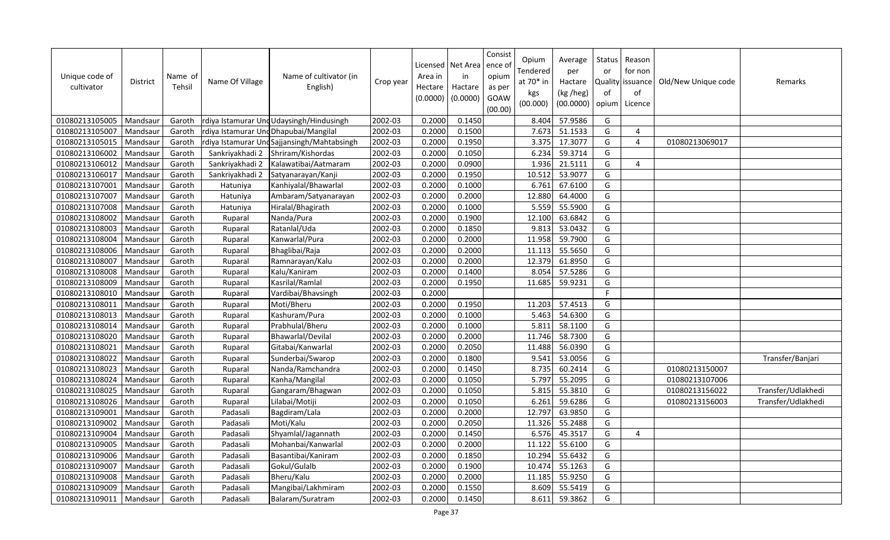| Unique code of<br>cultivator | <b>District</b> | Name of<br>Tehsil | Name Of Village | Name of cultivator (in<br>English)          | Crop year | Area in<br>Hectare<br>(0.0000) | Licensed   Net Area<br>in<br>Hactare<br>(0.0000) | Consist<br>ence of<br>opium<br>as per<br>GOAW<br>(00.00) | Opium<br>Tendered<br>at 70* in<br>kgs<br>(00.000) | Average<br>per<br>Hactare<br>(kg /heg)<br>(00.0000) | Status<br>or<br>of<br>opium | Reason<br>for non<br>Quality issuance<br>of<br>Licence | Old/New Unique code | Remarks            |
|------------------------------|-----------------|-------------------|-----------------|---------------------------------------------|-----------|--------------------------------|--------------------------------------------------|----------------------------------------------------------|---------------------------------------------------|-----------------------------------------------------|-----------------------------|--------------------------------------------------------|---------------------|--------------------|
| 01080213105005               | Mandsaur        | Garoth            |                 | rdiya Istamurar Und Udaysingh/Hindusingh    | 2002-03   | 0.2000                         | 0.1450                                           |                                                          | 8.404                                             | 57.9586                                             | G                           |                                                        |                     |                    |
| 01080213105007               | Mandsaur        | Garoth            |                 | rdiya Istamurar Und Dhapubai/Mangilal       | 2002-03   | 0.2000                         | 0.1500                                           |                                                          | 7.673                                             | 51.1533                                             | G                           | $\overline{4}$                                         |                     |                    |
| 01080213105015               | Mandsaur        | Garoth            |                 | rdiya Istamurar Und Sajjansingh/Mahtabsingh | 2002-03   | 0.2000                         | 0.1950                                           |                                                          | 3.375                                             | 17.3077                                             | G                           | $\overline{4}$                                         | 01080213069017      |                    |
| 01080213106002               | Mandsaur        | Garoth            | Sankriyakhadi 2 | Shriram/Kishordas                           | 2002-03   | 0.2000                         | 0.1050                                           |                                                          | 6.234                                             | 59.3714                                             | G                           |                                                        |                     |                    |
| 01080213106012               | Mandsaur        | Garoth            | Sankriyakhadi 2 | Kalawatibai/Aatmaram                        | 2002-03   | 0.2000                         | 0.0900                                           |                                                          | 1.936                                             | 21.5111                                             | G                           | $\overline{4}$                                         |                     |                    |
| 01080213106017               | Mandsaur        | Garoth            | Sankriyakhadi 2 | Satyanarayan/Kanji                          | 2002-03   | 0.2000                         | 0.1950                                           |                                                          | 10.512                                            | 53.9077                                             | G                           |                                                        |                     |                    |
| 01080213107001               | Mandsau         | Garoth            | Hatuniya        | Kanhiyalal/Bhawarlal                        | 2002-03   | 0.2000                         | 0.1000                                           |                                                          | 6.761                                             | 67.6100                                             | G                           |                                                        |                     |                    |
| 01080213107007               | Mandsaur        | Garoth            | Hatuniya        | Ambaram/Satyanarayan                        | 2002-03   | 0.2000                         | 0.2000                                           |                                                          | 12.880                                            | 64.4000                                             | G                           |                                                        |                     |                    |
| 01080213107008               | Mandsau         | Garoth            | Hatuniya        | Hiralal/Bhagirath                           | 2002-03   | 0.2000                         | 0.1000                                           |                                                          | 5.559                                             | 55.5900                                             | G                           |                                                        |                     |                    |
| 01080213108002               | Mandsaur        | Garoth            | Ruparal         | Nanda/Pura                                  | 2002-03   | 0.2000                         | 0.1900                                           |                                                          | 12.100                                            | 63.6842                                             | G                           |                                                        |                     |                    |
| 01080213108003               | Mandsau         | Garoth            | Ruparal         | Ratanlal/Uda                                | 2002-03   | 0.2000                         | 0.1850                                           |                                                          | 9.813                                             | 53.0432                                             | G                           |                                                        |                     |                    |
| 01080213108004               | Mandsaur        | Garoth            | Ruparal         | Kanwarlal/Pura                              | 2002-03   | 0.2000                         | 0.2000                                           |                                                          | 11.958                                            | 59.7900                                             | G                           |                                                        |                     |                    |
| 01080213108006               | Mandsau         | Garoth            | Ruparal         | Bhaglibai/Raja                              | 2002-03   | 0.2000                         | 0.2000                                           |                                                          | 11.113                                            | 55.5650                                             | G                           |                                                        |                     |                    |
| 01080213108007               | Mandsaur        | Garoth            | Ruparal         | Ramnarayan/Kalu                             | 2002-03   | 0.2000                         | 0.2000                                           |                                                          | 12.379                                            | 61.8950                                             | G                           |                                                        |                     |                    |
| 01080213108008               | Mandsaur        | Garoth            | Ruparal         | Kalu/Kaniram                                | 2002-03   | 0.2000                         | 0.1400                                           |                                                          | 8.054                                             | 57.5286                                             | G                           |                                                        |                     |                    |
| 01080213108009               | Mandsaur        | Garoth            | Ruparal         | Kasrilal/Ramlal                             | 2002-03   | 0.2000                         | 0.1950                                           |                                                          | 11.685                                            | 59.9231                                             | G                           |                                                        |                     |                    |
| 01080213108010               | Mandsaur        | Garoth            | Ruparal         | Vardibai/Bhavsingh                          | 2002-03   | 0.2000                         |                                                  |                                                          |                                                   |                                                     | F                           |                                                        |                     |                    |
| 01080213108011               | Mandsaur        | Garoth            | Ruparal         | Moti/Bheru                                  | 2002-03   | 0.2000                         | 0.1950                                           |                                                          | 11.203                                            | 57.4513                                             | G                           |                                                        |                     |                    |
| 01080213108013               | Mandsaur        | Garoth            | Ruparal         | Kashuram/Pura                               | 2002-03   | 0.2000                         | 0.1000                                           |                                                          | 5.463                                             | 54.6300                                             | G                           |                                                        |                     |                    |
| 01080213108014               | Mandsau         | Garoth            | Ruparal         | Prabhulal/Bheru                             | 2002-03   | 0.2000                         | 0.1000                                           |                                                          | 5.811                                             | 58.1100                                             | G                           |                                                        |                     |                    |
| 01080213108020               | Mandsaur        | Garoth            | Ruparal         | Bhawarlal/Devilal                           | 2002-03   | 0.2000                         | 0.2000                                           |                                                          | 11.746                                            | 58.7300                                             | G                           |                                                        |                     |                    |
| 01080213108021               | Mandsaur        | Garoth            | Ruparal         | Gitabai/Kanwarlal                           | 2002-03   | 0.2000                         | 0.2050                                           |                                                          | 11.488                                            | 56.0390                                             | G                           |                                                        |                     |                    |
| 01080213108022               | Mandsaur        | Garoth            | Ruparal         | Sunderbai/Swarop                            | 2002-03   | 0.2000                         | 0.1800                                           |                                                          | 9.541                                             | 53.0056                                             | G                           |                                                        |                     | Transfer/Banjari   |
| 01080213108023               | Mandsau         | Garoth            | Ruparal         | Nanda/Ramchandra                            | 2002-03   | 0.2000                         | 0.1450                                           |                                                          | 8.735                                             | 60.2414                                             | G                           |                                                        | 01080213150007      |                    |
| 01080213108024               | Mandsaur        | Garoth            | Ruparal         | Kanha/Mangilal                              | 2002-03   | 0.2000                         | 0.1050                                           |                                                          | 5.797                                             | 55.2095                                             | G                           |                                                        | 01080213107006      |                    |
| 01080213108025               | Mandsau         | Garoth            | Ruparal         | Gangaram/Bhagwan                            | 2002-03   | 0.2000                         | 0.1050                                           |                                                          | 5.815                                             | 55.3810                                             | G                           |                                                        | 01080213156022      | Transfer/Udlakhedi |
| 01080213108026               | Mandsaur        | Garoth            | Ruparal         | Lilabai/Motiji                              | 2002-03   | 0.2000                         | 0.1050                                           |                                                          | 6.261                                             | 59.6286                                             | G                           |                                                        | 01080213156003      | Transfer/Udlakhedi |
| 01080213109001               | Mandsau         | Garoth            | Padasali        | Bagdiram/Lala                               | 2002-03   | 0.2000                         | 0.2000                                           |                                                          | 12.797                                            | 63.9850                                             | G                           |                                                        |                     |                    |
| 01080213109002               | Mandsaur        | Garoth            | Padasali        | Moti/Kalu                                   | 2002-03   | 0.2000                         | 0.2050                                           |                                                          | 11.326                                            | 55.2488                                             | G                           |                                                        |                     |                    |
| 01080213109004               | Mandsau         | Garoth            | Padasali        | Shyamlal/Jagannath                          | 2002-03   | 0.2000                         | 0.1450                                           |                                                          | 6.576                                             | 45.3517                                             | G                           | $\boldsymbol{\Delta}$                                  |                     |                    |
| 01080213109005               | Mandsaur        | Garoth            | Padasali        | Mohanbai/Kanwarlal                          | 2002-03   | 0.2000                         | 0.2000                                           |                                                          | 11.122                                            | 55.6100                                             | G                           |                                                        |                     |                    |
| 01080213109006               | Mandsaur        | Garoth            | Padasali        | Basantibai/Kaniram                          | 2002-03   | 0.2000                         | 0.1850                                           |                                                          | 10.294                                            | 55.6432                                             | G                           |                                                        |                     |                    |
| 01080213109007               | Mandsaur        | Garoth            | Padasali        | Gokul/Gulalb                                | 2002-03   | 0.2000                         | 0.1900                                           |                                                          | 10.474                                            | 55.1263                                             | G                           |                                                        |                     |                    |
| 01080213109008               | Mandsau         | Garoth            | Padasali        | Bheru/Kalu                                  | 2002-03   | 0.2000                         | 0.2000                                           |                                                          | 11.185                                            | 55.9250                                             | G                           |                                                        |                     |                    |
| 01080213109009               | Mandsaur        | Garoth            | Padasali        | Mangibai/Lakhmiram                          | 2002-03   | 0.2000                         | 0.1550                                           |                                                          | 8.609                                             | 55.5419                                             | G                           |                                                        |                     |                    |
| 01080213109011               | Mandsaur        | Garoth            | Padasali        | Balaram/Suratram                            | 2002-03   | 0.2000                         | 0.1450                                           |                                                          | 8.611                                             | 59.3862                                             | G                           |                                                        |                     |                    |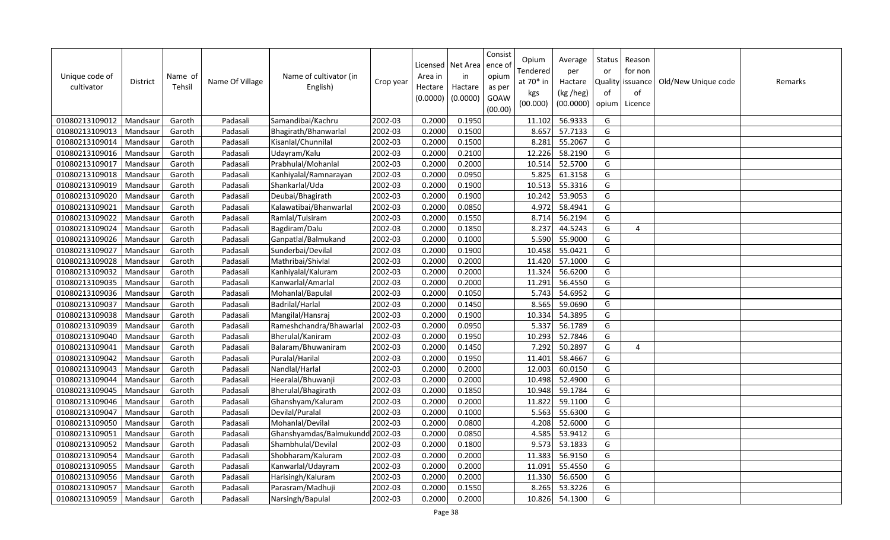| Unique code of<br>cultivator | District | Name of<br>Tehsil | Name Of Village | Name of cultivator (in<br>English) | Crop year | Area in<br>Hectare<br>(0.0000) | Licensed   Net Area<br>in<br>Hactare<br>(0.0000) | Consist<br>ence of<br>opium<br>as per<br>GOAW<br>(00.00) | Opium<br>Tendered<br>at 70* in<br>kgs<br>(00.000) | Average<br>per<br>Hactare<br>(kg /heg)<br>(00.0000) | Status<br>or<br><b>Quality</b><br>of<br>opium | Reason<br>for non<br>issuance<br>of<br>Licence | Old/New Unique code | Remarks |
|------------------------------|----------|-------------------|-----------------|------------------------------------|-----------|--------------------------------|--------------------------------------------------|----------------------------------------------------------|---------------------------------------------------|-----------------------------------------------------|-----------------------------------------------|------------------------------------------------|---------------------|---------|
| 01080213109012               | Mandsaur | Garoth            | Padasali        | Samandibai/Kachru                  | 2002-03   | 0.2000                         | 0.1950                                           |                                                          | 11.102                                            | 56.9333                                             | G                                             |                                                |                     |         |
| 01080213109013               | Mandsaur | Garoth            | Padasali        | Bhagirath/Bhanwarlal               | 2002-03   | 0.2000                         | 0.1500                                           |                                                          | 8.657                                             | 57.7133                                             | G                                             |                                                |                     |         |
| 01080213109014               | Mandsaur | Garoth            | Padasali        | Kisanlal/Chunnilal                 | 2002-03   | 0.2000                         | 0.1500                                           |                                                          | 8.281                                             | 55.2067                                             | G                                             |                                                |                     |         |
| 01080213109016               | Mandsaur | Garoth            | Padasali        | Udayram/Kalu                       | 2002-03   | 0.2000                         | 0.2100                                           |                                                          | 12.226                                            | 58.2190                                             | G                                             |                                                |                     |         |
| 01080213109017               | Mandsaur | Garoth            | Padasali        | Prabhulal/Mohanlal                 | 2002-03   | 0.2000                         | 0.2000                                           |                                                          | 10.514                                            | 52.5700                                             | G                                             |                                                |                     |         |
| 01080213109018               | Mandsaur | Garoth            | Padasali        | Kanhiyalal/Ramnarayan              | 2002-03   | 0.2000                         | 0.0950                                           |                                                          | 5.825                                             | 61.3158                                             | G                                             |                                                |                     |         |
| 01080213109019               | Mandsau  | Garoth            | Padasali        | Shankarlal/Uda                     | 2002-03   | 0.2000                         | 0.1900                                           |                                                          | 10.513                                            | 55.3316                                             | G                                             |                                                |                     |         |
| 01080213109020               | Mandsaur | Garoth            | Padasali        | Deubai/Bhagirath                   | 2002-03   | 0.2000                         | 0.1900                                           |                                                          | 10.242                                            | 53.9053                                             | G                                             |                                                |                     |         |
| 01080213109021               | Mandsau  | Garoth            | Padasali        | Kalawatibai/Bhanwarlal             | 2002-03   | 0.2000                         | 0.0850                                           |                                                          | 4.972                                             | 58.4941                                             | G                                             |                                                |                     |         |
| 01080213109022               | Mandsaur | Garoth            | Padasali        | Ramlal/Tulsiram                    | 2002-03   | 0.2000                         | 0.1550                                           |                                                          | 8.714                                             | 56.2194                                             | G                                             |                                                |                     |         |
| 01080213109024               | Mandsau  | Garoth            | Padasali        | Bagdiram/Dalu                      | 2002-03   | 0.2000                         | 0.1850                                           |                                                          | 8.237                                             | 44.5243                                             | G                                             | $\overline{4}$                                 |                     |         |
| 01080213109026               | Mandsau  | Garoth            | Padasali        | Ganpatlal/Balmukand                | 2002-03   | 0.2000                         | 0.1000                                           |                                                          | 5.590                                             | 55.9000                                             | G                                             |                                                |                     |         |
| 01080213109027               | Mandsau  | Garoth            | Padasali        | Sunderbai/Devilal                  | 2002-03   | 0.2000                         | 0.1900                                           |                                                          | 10.458                                            | 55.0421                                             | G                                             |                                                |                     |         |
| 01080213109028               | Mandsaur | Garoth            | Padasali        | Mathribai/Shivlal                  | 2002-03   | 0.2000                         | 0.2000                                           |                                                          | 11.420                                            | 57.1000                                             | G                                             |                                                |                     |         |
| 01080213109032               | Mandsaur | Garoth            | Padasali        | Kanhiyalal/Kaluram                 | 2002-03   | 0.2000                         | 0.2000                                           |                                                          | 11.324                                            | 56.6200                                             | G                                             |                                                |                     |         |
| 01080213109035               | Mandsaur | Garoth            | Padasali        | Kanwarlal/Amarlal                  | 2002-03   | 0.2000                         | 0.2000                                           |                                                          | 11.291                                            | 56.4550                                             | G                                             |                                                |                     |         |
| 01080213109036               | Mandsaur | Garoth            | Padasali        | Mohanlal/Bapulal                   | 2002-03   | 0.2000                         | 0.1050                                           |                                                          | 5.743                                             | 54.6952                                             | G                                             |                                                |                     |         |
| 01080213109037               | Mandsaur | Garoth            | Padasali        | Badrilal/Harlal                    | 2002-03   | 0.2000                         | 0.1450                                           |                                                          | 8.565                                             | 59.0690                                             | G                                             |                                                |                     |         |
| 01080213109038               | Mandsaur | Garoth            | Padasali        | Mangilal/Hansraj                   | 2002-03   | 0.2000                         | 0.1900                                           |                                                          | 10.334                                            | 54.3895                                             | G                                             |                                                |                     |         |
| 01080213109039               | Mandsaur | Garoth            | Padasali        | Rameshchandra/Bhawarlal            | 2002-03   | 0.2000                         | 0.0950                                           |                                                          | 5.337                                             | 56.1789                                             | G                                             |                                                |                     |         |
| 01080213109040               | Mandsaur | Garoth            | Padasali        | Bherulal/Kaniram                   | 2002-03   | 0.2000                         | 0.1950                                           |                                                          | 10.293                                            | 52.7846                                             | G                                             |                                                |                     |         |
| 01080213109041               | Mandsau  | Garoth            | Padasali        | Balaram/Bhuwaniram                 | 2002-03   | 0.2000                         | 0.1450                                           |                                                          | 7.292                                             | 50.2897                                             | G                                             | $\overline{a}$                                 |                     |         |
| 01080213109042               | Mandsaur | Garoth            | Padasali        | Puralal/Harilal                    | 2002-03   | 0.2000                         | 0.1950                                           |                                                          | 11.401                                            | 58.4667                                             | G                                             |                                                |                     |         |
| 01080213109043               | Mandsau  | Garoth            | Padasali        | Nandlal/Harlal                     | 2002-03   | 0.2000                         | 0.2000                                           |                                                          | 12.003                                            | 60.0150                                             | G                                             |                                                |                     |         |
| 01080213109044               | Mandsau  | Garoth            | Padasali        | Heeralal/Bhuwanji                  | 2002-03   | 0.2000                         | 0.2000                                           |                                                          | 10.498                                            | 52.4900                                             | G                                             |                                                |                     |         |
| 01080213109045               | Mandsau  | Garoth            | Padasali        | Bherulal/Bhagirath                 | 2002-03   | 0.2000                         | 0.1850                                           |                                                          | 10.948                                            | 59.1784                                             | G                                             |                                                |                     |         |
| 01080213109046               | Mandsaur | Garoth            | Padasali        | Ghanshyam/Kaluram                  | 2002-03   | 0.2000                         | 0.2000                                           |                                                          | 11.822                                            | 59.1100                                             | G                                             |                                                |                     |         |
| 01080213109047               | Mandsaur | Garoth            | Padasali        | Devilal/Puralal                    | 2002-03   | 0.2000                         | 0.1000                                           |                                                          | 5.563                                             | 55.6300                                             | G                                             |                                                |                     |         |
| 01080213109050               | Mandsaur | Garoth            | Padasali        | Mohanlal/Devilal                   | 2002-03   | 0.2000                         | 0.0800                                           |                                                          | 4.208                                             | 52.6000                                             | G                                             |                                                |                     |         |
| 01080213109051               | Mandsaur | Garoth            | Padasali        | Ghanshyamdas/Balmukundd 2002-03    |           | 0.2000                         | 0.0850                                           |                                                          | 4.585                                             | 53.9412                                             | G                                             |                                                |                     |         |
| 01080213109052               | Mandsaur | Garoth            | Padasali        | Shambhulal/Devilal                 | 2002-03   | 0.2000                         | 0.1800                                           |                                                          | 9.573                                             | 53.1833                                             | G                                             |                                                |                     |         |
| 01080213109054               | Mandsaur | Garoth            | Padasali        | Shobharam/Kaluram                  | 2002-03   | 0.2000                         | 0.2000                                           |                                                          | 11.383                                            | 56.9150                                             | G                                             |                                                |                     |         |
| 01080213109055               | Mandsaur | Garoth            | Padasali        | Kanwarlal/Udayram                  | 2002-03   | 0.2000                         | 0.2000                                           |                                                          | 11.091                                            | 55.4550                                             | G                                             |                                                |                     |         |
| 01080213109056               | Mandsaur | Garoth            | Padasali        | Harisingh/Kaluram                  | 2002-03   | 0.2000                         | 0.2000                                           |                                                          | 11.330                                            | 56.6500                                             | G                                             |                                                |                     |         |
| 01080213109057               | Mandsaur | Garoth            | Padasali        | Parasram/Madhuji                   | 2002-03   | 0.2000                         | 0.1550                                           |                                                          | 8.265                                             | 53.3226                                             | G                                             |                                                |                     |         |
| 01080213109059               | Mandsaur | Garoth            | Padasali        | Narsingh/Bapulal                   | 2002-03   | 0.2000                         | 0.2000                                           |                                                          | 10.826                                            | 54.1300                                             | G                                             |                                                |                     |         |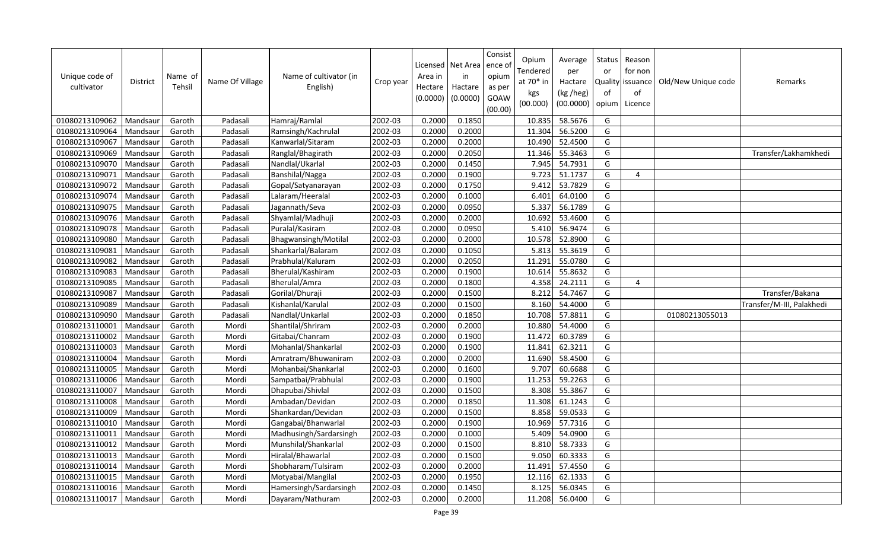| Unique code of<br>cultivator | <b>District</b> | Name of<br>Tehsil | Name Of Village | Name of cultivator (in<br>English) | Crop year | Licensed<br>Area in<br>Hectare<br>(0.0000) | Net Area<br>in<br>Hactare<br>(0.0000) | Consist<br>ence of<br>opium<br>as per<br>GOAW<br>(00.00) | Opium<br>Tendered<br>at 70* in<br>kgs<br>(00.000) | Average<br>per<br>Hactare<br>(kg /heg)<br>(00.0000) | <b>Status</b><br>or<br>of<br>opium | Reason<br>for non<br>Quality issuance<br>of<br>Licence | Old/New Unique code | Remarks                   |
|------------------------------|-----------------|-------------------|-----------------|------------------------------------|-----------|--------------------------------------------|---------------------------------------|----------------------------------------------------------|---------------------------------------------------|-----------------------------------------------------|------------------------------------|--------------------------------------------------------|---------------------|---------------------------|
| 01080213109062               | Mandsaur        | Garoth            | Padasali        | Hamraj/Ramlal                      | 2002-03   | 0.2000                                     | 0.1850                                |                                                          | 10.835                                            | 58.5676                                             | G                                  |                                                        |                     |                           |
| 01080213109064               | Mandsaur        | Garoth            | Padasali        | Ramsingh/Kachrulal                 | 2002-03   | 0.2000                                     | 0.2000                                |                                                          | 11.304                                            | 56.5200                                             | G                                  |                                                        |                     |                           |
| 01080213109067               | Mandsaur        | Garoth            | Padasali        | Kanwarlal/Sitaram                  | 2002-03   | 0.2000                                     | 0.2000                                |                                                          | 10.490                                            | 52.4500                                             | G                                  |                                                        |                     |                           |
| 01080213109069               | Mandsaur        | Garoth            | Padasali        | Ranglal/Bhagirath                  | 2002-03   | 0.2000                                     | 0.2050                                |                                                          | 11.346                                            | 55.3463                                             | G                                  |                                                        |                     | Transfer/Lakhamkhedi      |
| 01080213109070               | Mandsaur        | Garoth            | Padasali        | Nandlal/Ukarlal                    | 2002-03   | 0.2000                                     | 0.1450                                |                                                          | 7.945                                             | 54.7931                                             | G                                  |                                                        |                     |                           |
| 01080213109071               | Mandsaur        | Garoth            | Padasali        | Banshilal/Nagga                    | 2002-03   | 0.2000                                     | 0.1900                                |                                                          | 9.723                                             | 51.1737                                             | G                                  | 4                                                      |                     |                           |
| 01080213109072               | Mandsaur        | Garoth            | Padasali        | Gopal/Satyanarayan                 | 2002-03   | 0.2000                                     | 0.1750                                |                                                          | 9.412                                             | 53.7829                                             | G                                  |                                                        |                     |                           |
| 01080213109074               | Mandsaur        | Garoth            | Padasali        | Lalaram/Heeralal                   | 2002-03   | 0.2000                                     | 0.1000                                |                                                          | 6.401                                             | 64.0100                                             | G                                  |                                                        |                     |                           |
| 01080213109075               | Mandsaur        | Garoth            | Padasali        | Jagannath/Seva                     | 2002-03   | 0.2000                                     | 0.0950                                |                                                          | 5.337                                             | 56.1789                                             | G                                  |                                                        |                     |                           |
| 01080213109076               | Mandsaur        | Garoth            | Padasali        | Shyamlal/Madhuji                   | 2002-03   | 0.2000                                     | 0.2000                                |                                                          | 10.692                                            | 53.4600                                             | G                                  |                                                        |                     |                           |
| 01080213109078               | Mandsaur        | Garoth            | Padasali        | Puralal/Kasiram                    | 2002-03   | 0.2000                                     | 0.0950                                |                                                          | 5.410                                             | 56.9474                                             | G                                  |                                                        |                     |                           |
| 01080213109080               | Mandsaur        | Garoth            | Padasali        | Bhagwansingh/Motilal               | 2002-03   | 0.2000                                     | 0.2000                                |                                                          | 10.578                                            | 52.8900                                             | G                                  |                                                        |                     |                           |
| 01080213109081               | Mandsaur        | Garoth            | Padasali        | Shankarlal/Balaram                 | 2002-03   | 0.2000                                     | 0.1050                                |                                                          | 5.813                                             | 55.3619                                             | G                                  |                                                        |                     |                           |
| 01080213109082               | Mandsaur        | Garoth            | Padasali        | Prabhulal/Kaluram                  | 2002-03   | 0.2000                                     | 0.2050                                |                                                          | 11.291                                            | 55.0780                                             | G                                  |                                                        |                     |                           |
| 01080213109083               | Mandsaur        | Garoth            | Padasali        | Bherulal/Kashiram                  | 2002-03   | 0.2000                                     | 0.1900                                |                                                          | 10.614                                            | 55.8632                                             | G                                  |                                                        |                     |                           |
| 01080213109085               | Mandsaur        | Garoth            | Padasali        | Bherulal/Amra                      | 2002-03   | 0.2000                                     | 0.1800                                |                                                          | 4.358                                             | 24.2111                                             | G                                  | $\overline{4}$                                         |                     |                           |
| 01080213109087               | Mandsaur        | Garoth            | Padasali        | Gorilal/Dhuraji                    | 2002-03   | 0.2000                                     | 0.1500                                |                                                          | 8.212                                             | 54.7467                                             | G                                  |                                                        |                     | Transfer/Bakana           |
| 01080213109089               | Mandsaur        | Garoth            | Padasali        | Kishanlal/Karulal                  | 2002-03   | 0.2000                                     | 0.1500                                |                                                          | 8.160                                             | 54.4000                                             | G                                  |                                                        |                     | Transfer/M-III, Palakhedi |
| 01080213109090               | Mandsaur        | Garoth            | Padasali        | Nandlal/Unkarlal                   | 2002-03   | 0.2000                                     | 0.1850                                |                                                          | 10.708                                            | 57.8811                                             | G                                  |                                                        | 01080213055013      |                           |
| 01080213110001               | Mandsaur        | Garoth            | Mordi           | Shantilal/Shriram                  | 2002-03   | 0.2000                                     | 0.2000                                |                                                          | 10.880                                            | 54.4000                                             | G                                  |                                                        |                     |                           |
| 01080213110002               | Mandsaur        | Garoth            | Mordi           | Gitabai/Chanram                    | 2002-03   | 0.2000                                     | 0.1900                                |                                                          | 11.472                                            | 60.3789                                             | G                                  |                                                        |                     |                           |
| 01080213110003               | Mandsaur        | Garoth            | Mordi           | Mohanlal/Shankarlal                | 2002-03   | 0.2000                                     | 0.1900                                |                                                          | 11.841                                            | 62.3211                                             | G                                  |                                                        |                     |                           |
| 01080213110004               | Mandsaur        | Garoth            | Mordi           | Amratram/Bhuwaniram                | 2002-03   | 0.2000                                     | 0.2000                                |                                                          | 11.690                                            | 58.4500                                             | G                                  |                                                        |                     |                           |
| 01080213110005               | Mandsaur        | Garoth            | Mordi           | Mohanbai/Shankarlal                | 2002-03   | 0.2000                                     | 0.1600                                |                                                          | 9.707                                             | 60.6688                                             | G                                  |                                                        |                     |                           |
| 01080213110006               | Mandsaur        | Garoth            | Mordi           | Sampatbai/Prabhulal                | 2002-03   | 0.2000                                     | 0.1900                                |                                                          | 11.253                                            | 59.2263                                             | G                                  |                                                        |                     |                           |
| 01080213110007               | Mandsaur        | Garoth            | Mordi           | Dhapubai/Shivlal                   | 2002-03   | 0.2000                                     | 0.1500                                |                                                          | 8.308                                             | 55.3867                                             | G                                  |                                                        |                     |                           |
| 01080213110008               | Mandsaur        | Garoth            | Mordi           | Ambadan/Devidan                    | 2002-03   | 0.2000                                     | 0.1850                                |                                                          | 11.308                                            | 61.1243                                             | G                                  |                                                        |                     |                           |
| 01080213110009               | Mandsaur        | Garoth            | Mordi           | Shankardan/Devidan                 | 2002-03   | 0.2000                                     | 0.1500                                |                                                          | 8.858                                             | 59.0533                                             | G                                  |                                                        |                     |                           |
| 01080213110010               | Mandsaur        | Garoth            | Mordi           | Gangabai/Bhanwarlal                | 2002-03   | 0.2000                                     | 0.1900                                |                                                          | 10.969                                            | 57.7316                                             | G                                  |                                                        |                     |                           |
| 01080213110011               | Mandsaur        | Garoth            | Mordi           | Madhusingh/Sardarsingh             | 2002-03   | 0.2000                                     | 0.1000                                |                                                          | 5.409                                             | 54.0900                                             | G                                  |                                                        |                     |                           |
| 01080213110012               | Mandsaur        | Garoth            | Mordi           | Munshilal/Shankarlal               | 2002-03   | 0.2000                                     | 0.1500                                |                                                          | 8.810                                             | 58.7333                                             | G                                  |                                                        |                     |                           |
| 01080213110013               | Mandsaur        | Garoth            | Mordi           | Hiralal/Bhawarlal                  | 2002-03   | 0.2000                                     | 0.1500                                |                                                          | 9.050                                             | 60.3333                                             | G                                  |                                                        |                     |                           |
| 01080213110014               | Mandsaur        | Garoth            | Mordi           | Shobharam/Tulsiram                 | 2002-03   | 0.2000                                     | 0.2000                                |                                                          | 11.491                                            | 57.4550                                             | G                                  |                                                        |                     |                           |
| 01080213110015               | Mandsaur        | Garoth            | Mordi           | Motyabai/Mangilal                  | 2002-03   | 0.2000                                     | 0.1950                                |                                                          | 12.116                                            | 62.1333                                             | G                                  |                                                        |                     |                           |
| 01080213110016               | Mandsaur        | Garoth            | Mordi           | Hamersingh/Sardarsingh             | 2002-03   | 0.2000                                     | 0.1450                                |                                                          | 8.125                                             | 56.0345                                             | G                                  |                                                        |                     |                           |
| 01080213110017               | Mandsaur        | Garoth            | Mordi           | Dayaram/Nathuram                   | 2002-03   | 0.2000                                     | 0.2000                                |                                                          | 11.208                                            | 56.0400                                             | G                                  |                                                        |                     |                           |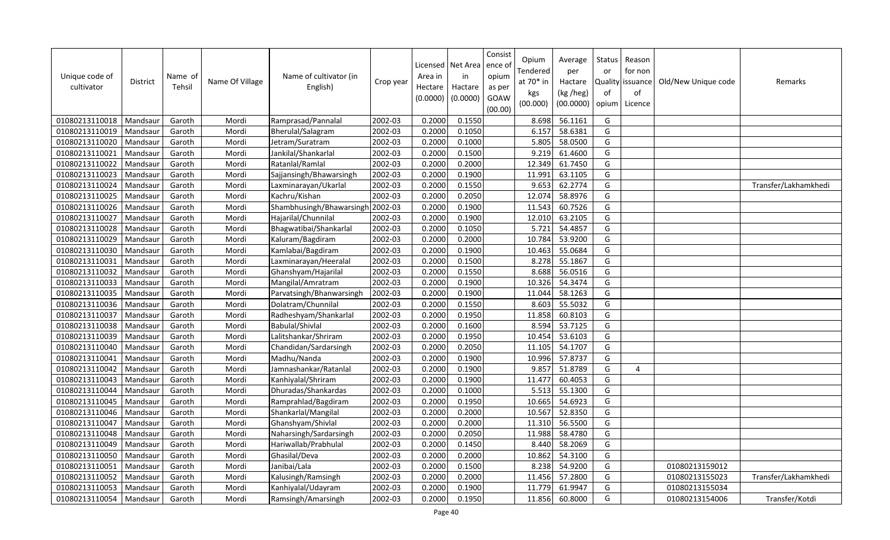| Unique code of<br>cultivator | <b>District</b> | Name of<br>Tehsil | Name Of Village | Name of cultivator (in<br>English) | Crop year | Area in<br>Hectare<br>(0.0000) | Licensed   Net Area<br>in<br>Hactare<br>(0.0000) | Consist<br>ence of<br>opium<br>as per<br>GOAW<br>(00.00) | Opium<br>Tendered<br>at 70* in<br>kgs<br>(00.000) | Average<br>per<br>Hactare<br>(kg /heg)<br>(00.0000) | Status<br>or<br>Quality<br>of<br>opium | Reason<br>for non<br>issuance<br>of<br>Licence | Old/New Unique code | Remarks              |
|------------------------------|-----------------|-------------------|-----------------|------------------------------------|-----------|--------------------------------|--------------------------------------------------|----------------------------------------------------------|---------------------------------------------------|-----------------------------------------------------|----------------------------------------|------------------------------------------------|---------------------|----------------------|
| 01080213110018               | Mandsaur        | Garoth            | Mordi           | Ramprasad/Pannalal                 | 2002-03   | 0.2000                         | 0.1550                                           |                                                          | 8.698                                             | 56.1161                                             | G                                      |                                                |                     |                      |
| 01080213110019               | Mandsaur        | Garoth            | Mordi           | Bherulal/Salagram                  | 2002-03   | 0.2000                         | 0.1050                                           |                                                          | 6.157                                             | 58.6381                                             | G                                      |                                                |                     |                      |
| 01080213110020               | Mandsaur        | Garoth            | Mordi           | Jetram/Suratram                    | 2002-03   | 0.2000                         | 0.1000                                           |                                                          | 5.805                                             | 58.0500                                             | G                                      |                                                |                     |                      |
| 01080213110021               | Mandsaur        | Garoth            | Mordi           | Jankilal/Shankarlal                | 2002-03   | 0.2000                         | 0.1500                                           |                                                          | 9.219                                             | 61.4600                                             | G                                      |                                                |                     |                      |
| 01080213110022               | Mandsaur        | Garoth            | Mordi           | Ratanlal/Ramlal                    | 2002-03   | 0.2000                         | 0.2000                                           |                                                          | 12.349                                            | 61.7450                                             | G                                      |                                                |                     |                      |
| 01080213110023               | Mandsaur        | Garoth            | Mordi           | Sajjansingh/Bhawarsingh            | 2002-03   | 0.2000                         | 0.1900                                           |                                                          | 11.991                                            | 63.1105                                             | G                                      |                                                |                     |                      |
| 01080213110024               | Mandsaur        | Garoth            | Mordi           | Laxminarayan/Ukarlal               | 2002-03   | 0.2000                         | 0.1550                                           |                                                          | 9.653                                             | 62.2774                                             | G                                      |                                                |                     | Transfer/Lakhamkhedi |
| 01080213110025               | Mandsaur        | Garoth            | Mordi           | Kachru/Kishan                      | 2002-03   | 0.2000                         | 0.2050                                           |                                                          | 12.074                                            | 58.8976                                             | G                                      |                                                |                     |                      |
| 01080213110026               | Mandsau         | Garoth            | Mordi           | Shambhusingh/Bhawarsingh 2002-03   |           | 0.2000                         | 0.1900                                           |                                                          | 11.543                                            | 60.7526                                             | G                                      |                                                |                     |                      |
| 01080213110027               | Mandsaur        | Garoth            | Mordi           | Hajarilal/Chunnilal                | 2002-03   | 0.2000                         | 0.1900                                           |                                                          | 12.010                                            | 63.2105                                             | G                                      |                                                |                     |                      |
| 01080213110028               | Mandsau         | Garoth            | Mordi           | Bhagwatibai/Shankarlal             | 2002-03   | 0.2000                         | 0.1050                                           |                                                          | 5.721                                             | 54.4857                                             | G                                      |                                                |                     |                      |
| 01080213110029               | Mandsaur        | Garoth            | Mordi           | Kaluram/Bagdiram                   | 2002-03   | 0.2000                         | 0.2000                                           |                                                          | 10.784                                            | 53.9200                                             | G                                      |                                                |                     |                      |
| 01080213110030               | Mandsaur        | Garoth            | Mordi           | Kamlabai/Bagdiram                  | 2002-03   | 0.2000                         | 0.1900                                           |                                                          | 10.463                                            | 55.0684                                             | G                                      |                                                |                     |                      |
| 01080213110031               | Mandsaur        | Garoth            | Mordi           | Laxminarayan/Heeralal              | 2002-03   | 0.2000                         | 0.1500                                           |                                                          | 8.278                                             | 55.1867                                             | G                                      |                                                |                     |                      |
| 01080213110032               | Mandsau         | Garoth            | Mordi           | Ghanshyam/Hajarilal                | 2002-03   | 0.2000                         | 0.1550                                           |                                                          | 8.688                                             | 56.0516                                             | G                                      |                                                |                     |                      |
| 01080213110033               | Mandsaur        | Garoth            | Mordi           | Mangilal/Amratram                  | 2002-03   | 0.2000                         | 0.1900                                           |                                                          | 10.326                                            | 54.3474                                             | G                                      |                                                |                     |                      |
| 01080213110035               | Mandsaur        | Garoth            | Mordi           | Parvatsingh/Bhanwarsingh           | 2002-03   | 0.2000                         | 0.1900                                           |                                                          | 11.044                                            | 58.1263                                             | G                                      |                                                |                     |                      |
| 01080213110036               | Mandsaur        | Garoth            | Mordi           | Dolatram/Chunnilal                 | 2002-03   | 0.2000                         | 0.1550                                           |                                                          | 8.603                                             | 55.5032                                             | G                                      |                                                |                     |                      |
| 01080213110037               | Mandsau         | Garoth            | Mordi           | Radheshyam/Shankarlal              | 2002-03   | 0.2000                         | 0.1950                                           |                                                          | 11.858                                            | 60.8103                                             | G                                      |                                                |                     |                      |
| 01080213110038               | Mandsaur        | Garoth            | Mordi           | Babulal/Shivlal                    | 2002-03   | 0.2000                         | 0.1600                                           |                                                          | 8.594                                             | 53.7125                                             | G                                      |                                                |                     |                      |
| 01080213110039               | Mandsau         | Garoth            | Mordi           | Lalitshankar/Shriram               | 2002-03   | 0.2000                         | 0.1950                                           |                                                          | 10.454                                            | 53.6103                                             | G                                      |                                                |                     |                      |
| 01080213110040               | Mandsaur        | Garoth            | Mordi           | Chandidan/Sardarsingh              | 2002-03   | 0.2000                         | 0.2050                                           |                                                          | 11.105                                            | 54.1707                                             | G                                      |                                                |                     |                      |
| 01080213110041               | Mandsaur        | Garoth            | Mordi           | Madhu/Nanda                        | 2002-03   | 0.2000                         | 0.1900                                           |                                                          | 10.996                                            | 57.8737                                             | G                                      |                                                |                     |                      |
| 01080213110042               | Mandsaur        | Garoth            | Mordi           | Jamnashankar/Ratanlal              | 2002-03   | 0.2000                         | 0.1900                                           |                                                          | 9.857                                             | 51.8789                                             | G                                      | $\overline{4}$                                 |                     |                      |
| 01080213110043               | Mandsaur        | Garoth            | Mordi           | Kanhiyalal/Shriram                 | 2002-03   | 0.2000                         | 0.1900                                           |                                                          | 11.477                                            | 60.4053                                             | G                                      |                                                |                     |                      |
| 01080213110044               | Mandsaur        | Garoth            | Mordi           | Dhuradas/Shankardas                | 2002-03   | 0.2000                         | 0.1000                                           |                                                          | 5.513                                             | 55.1300                                             | G                                      |                                                |                     |                      |
| 01080213110045               | Mandsaur        | Garoth            | Mordi           | Ramprahlad/Bagdiram                | 2002-03   | 0.2000                         | 0.1950                                           |                                                          | 10.665                                            | 54.6923                                             | G                                      |                                                |                     |                      |
| 01080213110046               | Mandsaur        | Garoth            | Mordi           | Shankarlal/Mangilal                | 2002-03   | 0.2000                         | 0.2000                                           |                                                          | 10.567                                            | 52.8350                                             | G                                      |                                                |                     |                      |
| 01080213110047               | Mandsaur        | Garoth            | Mordi           | Ghanshyam/Shivlal                  | 2002-03   | 0.2000                         | 0.2000                                           |                                                          | 11.310                                            | 56.5500                                             | G                                      |                                                |                     |                      |
| 01080213110048               | Mandsau         | Garoth            | Mordi           | Naharsingh/Sardarsingh             | 2002-03   | 0.2000                         | 0.2050                                           |                                                          | 11.988                                            | 58.4780                                             | G                                      |                                                |                     |                      |
| 01080213110049               | Mandsaur        | Garoth            | Mordi           | Hariwallab/Prabhulal               | 2002-03   | 0.2000                         | 0.1450                                           |                                                          | 8.440                                             | 58.2069                                             | G                                      |                                                |                     |                      |
| 01080213110050               | Mandsau         | Garoth            | Mordi           | Ghasilal/Deva                      | 2002-03   | 0.2000                         | 0.2000                                           |                                                          | 10.862                                            | 54.3100                                             | G                                      |                                                |                     |                      |
| 01080213110051               | Mandsau         | Garoth            | Mordi           | Janibai/Lala                       | 2002-03   | 0.2000                         | 0.1500                                           |                                                          | 8.238                                             | 54.9200                                             | G                                      |                                                | 01080213159012      |                      |
| 01080213110052               | Mandsau         | Garoth            | Mordi           | Kalusingh/Ramsingh                 | 2002-03   | 0.2000                         | 0.2000                                           |                                                          | 11.456                                            | 57.2800                                             | G                                      |                                                | 01080213155023      | Transfer/Lakhamkhedi |
| 01080213110053               | Mandsaur        | Garoth            | Mordi           | Kanhiyalal/Udayram                 | 2002-03   | 0.2000                         | 0.1900                                           |                                                          | 11.779                                            | $\overline{61.9947}$                                | G                                      |                                                | 01080213155034      |                      |
| 01080213110054               | Mandsaur        | Garoth            | Mordi           | Ramsingh/Amarsingh                 | 2002-03   | 0.2000                         | 0.1950                                           |                                                          | 11.856                                            | 60.8000                                             | G                                      |                                                | 01080213154006      | Transfer/Kotdi       |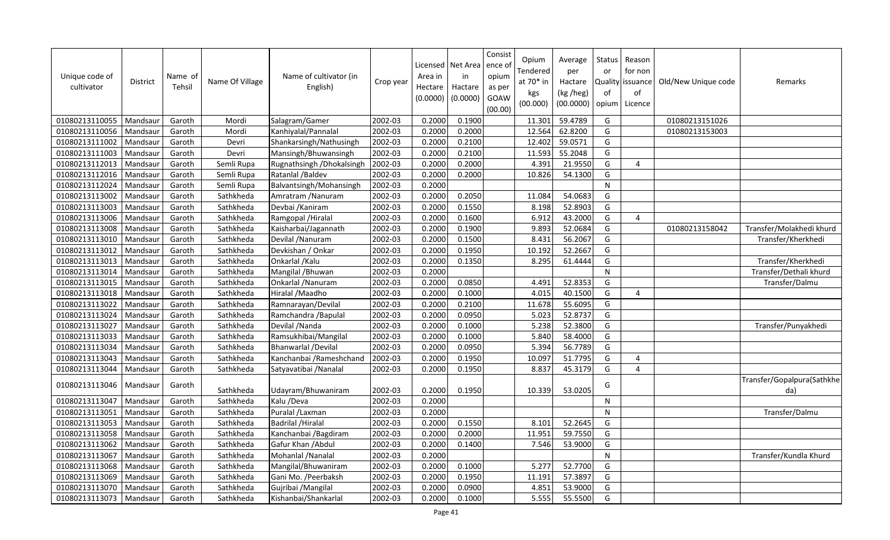| Unique code of<br>cultivator | <b>District</b> | Name of<br>Tehsil | Name Of Village | Name of cultivator (in<br>English) | Crop year | Area in<br>Hectare<br>(0.0000) | Licensed   Net Area<br>in<br>Hactare<br>(0.0000) | Consist<br>ence o<br>opium<br>as per<br>GOAW<br>(00.00) | Opium<br><b>Tendered</b><br>at 70* in<br>kgs<br>(00.000) | Average<br>per<br>Hactare<br>(kg /heg)<br>(00.0000) | Status<br>or<br>Quality<br>of<br>opium | Reason<br>for non<br>issuance<br>of<br>Licence | Old/New Unique code | Remarks                           |
|------------------------------|-----------------|-------------------|-----------------|------------------------------------|-----------|--------------------------------|--------------------------------------------------|---------------------------------------------------------|----------------------------------------------------------|-----------------------------------------------------|----------------------------------------|------------------------------------------------|---------------------|-----------------------------------|
| 01080213110055               | Mandsaur        | Garoth            | Mordi           | Salagram/Gamer                     | 2002-03   | 0.2000                         | 0.1900                                           |                                                         | 11.301                                                   | 59.4789                                             | G                                      |                                                | 01080213151026      |                                   |
| 01080213110056               | Mandsaur        | Garoth            | Mordi           | Kanhiyalal/Pannalal                | 2002-03   | 0.2000                         | 0.2000                                           |                                                         | 12.564                                                   | 62.8200                                             | G                                      |                                                | 01080213153003      |                                   |
| 01080213111002               | Mandsaur        | Garoth            | Devri           | Shankarsingh/Nathusingh            | 2002-03   | 0.2000                         | 0.2100                                           |                                                         | 12.402                                                   | 59.0571                                             | G                                      |                                                |                     |                                   |
| 01080213111003               | Mandsaur        | Garoth            | Devri           | Mansingh/Bhuwansingh               | 2002-03   | 0.2000                         | 0.2100                                           |                                                         | 11.593                                                   | $\overline{55.2048}$                                | G                                      |                                                |                     |                                   |
| 01080213112013               | Mandsaur        | Garoth            | Semli Rupa      | Rugnathsingh / Dhokalsingh         | 2002-03   | 0.2000                         | 0.2000                                           |                                                         | 4.391                                                    | 21.9550                                             | G                                      | 4                                              |                     |                                   |
| 01080213112016               | Mandsaur        | Garoth            | Semli Rupa      | Ratanlal /Baldev                   | 2002-03   | 0.2000                         | 0.2000                                           |                                                         | 10.826                                                   | 54.1300                                             | G                                      |                                                |                     |                                   |
| 01080213112024               | Mandsaur        | Garoth            | Semli Rupa      | Balvantsingh/Mohansingh            | 2002-03   | 0.2000                         |                                                  |                                                         |                                                          |                                                     | $\mathsf{N}$                           |                                                |                     |                                   |
| 01080213113002               | Mandsaur        | Garoth            | Sathkheda       | Amratram / Nanuram                 | 2002-03   | 0.2000                         | 0.2050                                           |                                                         | 11.084                                                   | 54.0683                                             | G                                      |                                                |                     |                                   |
| 01080213113003               | Mandsaur        | Garoth            | Sathkheda       | Devbai / Kaniram                   | 2002-03   | 0.2000                         | 0.1550                                           |                                                         | 8.198                                                    | 52.8903                                             | G                                      |                                                |                     |                                   |
| 01080213113006               | Mandsaur        | Garoth            | Sathkheda       | Ramgopal / Hiralal                 | 2002-03   | 0.2000                         | 0.1600                                           |                                                         | 6.912                                                    | 43.2000                                             | G                                      | $\overline{a}$                                 |                     |                                   |
| 01080213113008               | Mandsaur        | Garoth            | Sathkheda       | Kaisharbai/Jagannath               | 2002-03   | 0.2000                         | 0.1900                                           |                                                         | 9.893                                                    | 52.0684                                             | G                                      |                                                | 01080213158042      | Transfer/Molakhedi khurd          |
| 01080213113010               | Mandsaur        | Garoth            | Sathkheda       | Devilal / Nanuram                  | 2002-03   | 0.2000                         | 0.1500                                           |                                                         | 8.431                                                    | 56.2067                                             | G                                      |                                                |                     | Transfer/Kherkhedi                |
| 01080213113012               | Mandsaur        | Garoth            | Sathkheda       | Devkishan / Onkar                  | 2002-03   | 0.2000                         | 0.1950                                           |                                                         | 10.192                                                   | 52.2667                                             | G                                      |                                                |                     |                                   |
| 01080213113013               | Mandsaur        | Garoth            | Sathkheda       | Onkarlal / Kalu                    | 2002-03   | 0.2000                         | 0.1350                                           |                                                         | 8.295                                                    | 61.4444                                             | G                                      |                                                |                     | Transfer/Kherkhedi                |
| 01080213113014               | Mandsaur        | Garoth            | Sathkheda       | Mangilal / Bhuwan                  | 2002-03   | 0.2000                         |                                                  |                                                         |                                                          |                                                     | $\mathsf{N}$                           |                                                |                     | Transfer/Dethali khurd            |
| 01080213113015               | Mandsaur        | Garoth            | Sathkheda       | Onkarlal / Nanuram                 | 2002-03   | 0.2000                         | 0.0850                                           |                                                         | 4.49                                                     | 52.8353                                             | G                                      |                                                |                     | Transfer/Dalmu                    |
| 01080213113018               | Mandsaur        | Garoth            | Sathkheda       | Hiralal /Maadho                    | 2002-03   | 0.2000                         | 0.1000                                           |                                                         | 4.015                                                    | 40.1500                                             | G                                      | 4                                              |                     |                                   |
| 01080213113022               | Mandsaur        | Garoth            | Sathkheda       | Ramnarayan/Devilal                 | 2002-03   | 0.2000                         | 0.2100                                           |                                                         | 11.678                                                   | 55.6095                                             | G                                      |                                                |                     |                                   |
| 01080213113024               | Mandsaur        | Garoth            | Sathkheda       | Ramchandra / Bapulal               | 2002-03   | 0.2000                         | 0.0950                                           |                                                         | 5.023                                                    | 52.8737                                             | G                                      |                                                |                     |                                   |
| 01080213113027               | Mandsaur        | Garoth            | Sathkheda       | Devilal / Nanda                    | 2002-03   | 0.2000                         | 0.1000                                           |                                                         | 5.238                                                    | 52.3800                                             | G                                      |                                                |                     | Transfer/Punyakhedi               |
| 01080213113033               | Mandsaur        | Garoth            | Sathkheda       | Ramsukhibai/Mangilal               | 2002-03   | 0.2000                         | 0.1000                                           |                                                         | 5.840                                                    | 58.4000                                             | G                                      |                                                |                     |                                   |
| 01080213113034               | Mandsaur        | Garoth            | Sathkheda       | Bhanwarlal /Devilal                | 2002-03   | 0.2000                         | 0.0950                                           |                                                         | 5.394                                                    | 56.7789                                             | G                                      |                                                |                     |                                   |
| 01080213113043               | Mandsaur        | Garoth            | Sathkheda       | Kanchanbai / Rameshchand           | 2002-03   | 0.2000                         | 0.1950                                           |                                                         | 10.097                                                   | 51.7795                                             | G                                      | 4                                              |                     |                                   |
| 01080213113044               | Mandsaur        | Garoth            | Sathkheda       | Satyavatibai / Nanalal             | 2002-03   | 0.2000                         | 0.1950                                           |                                                         | 8.837                                                    | 45.3179                                             | G                                      | $\overline{4}$                                 |                     |                                   |
| 01080213113046               | Mandsaur        | Garoth            | Sathkheda       | Udayram/Bhuwaniram                 | 2002-03   | 0.2000                         | 0.1950                                           |                                                         | 10.339                                                   | 53.0205                                             | G                                      |                                                |                     | Transfer/Gopalpura(Sathkhe<br>da) |
| 01080213113047               | Mandsaur        | Garoth            | Sathkheda       | Kalu /Deva                         | 2002-03   | 0.2000                         |                                                  |                                                         |                                                          |                                                     | $\mathsf{N}$                           |                                                |                     |                                   |
| 01080213113051               | Mandsaur        | Garoth            | Sathkheda       | Puralal /Laxman                    | 2002-03   | 0.2000                         |                                                  |                                                         |                                                          |                                                     | $\mathsf{N}$                           |                                                |                     | Transfer/Dalmu                    |
| 01080213113053               | Mandsaur        | Garoth            | Sathkheda       | <b>Badrilal / Hiralal</b>          | 2002-03   | 0.2000                         | 0.1550                                           |                                                         | 8.101                                                    | 52.2645                                             | G                                      |                                                |                     |                                   |
| 01080213113058               | Mandsaur        | Garoth            | Sathkheda       | Kanchanbai / Bagdiram              | 2002-03   | 0.2000                         | 0.2000                                           |                                                         | 11.951                                                   | 59.7550                                             | G                                      |                                                |                     |                                   |
| 01080213113062               | Mandsaur        | Garoth            | Sathkheda       | Gafur Khan / Abdul                 | 2002-03   | 0.2000                         | 0.1400                                           |                                                         | 7.546                                                    | 53.9000                                             | G                                      |                                                |                     |                                   |
| 01080213113067               | Mandsaur        | Garoth            | Sathkheda       | Mohanlal /Nanalal                  | 2002-03   | 0.2000                         |                                                  |                                                         |                                                          |                                                     | $\mathsf{N}$                           |                                                |                     | Transfer/Kundla Khurd             |
| 01080213113068               | Mandsaur        | Garoth            | Sathkheda       | Mangilal/Bhuwaniram                | 2002-03   | 0.2000                         | 0.1000                                           |                                                         | 5.277                                                    | 52.7700                                             | G                                      |                                                |                     |                                   |
| 01080213113069               | Mandsaur        | Garoth            | Sathkheda       | Gani Mo. / Peerbaksh               | 2002-03   | 0.2000                         | 0.1950                                           |                                                         | 11.191                                                   | 57.3897                                             | G                                      |                                                |                     |                                   |
| 01080213113070               | Mandsaur        | Garoth            | Sathkheda       | Gujribai / Mangilal                | 2002-03   | 0.2000                         | 0.0900                                           |                                                         | 4.851                                                    | 53.9000                                             | G                                      |                                                |                     |                                   |
| 01080213113073               | Mandsaur        | Garoth            | Sathkheda       | Kishanbai/Shankarlal               | 2002-03   | 0.2000                         | 0.1000                                           |                                                         | 5.555                                                    | 55.5500                                             | G                                      |                                                |                     |                                   |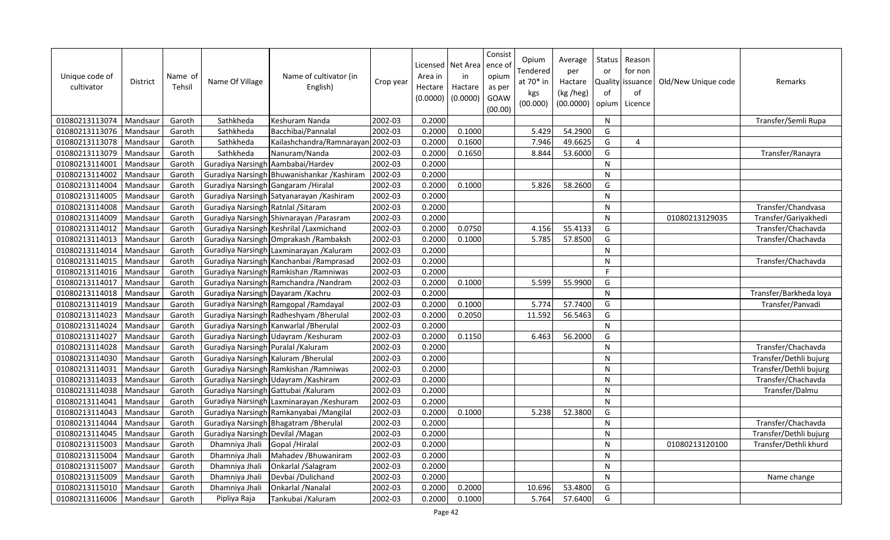| Unique code of<br>cultivator | <b>District</b> | Name of<br>Tehsil | Name Of Village                      | Name of cultivator (in<br>English)          | Crop year | Area in<br>Hectare<br>(0.0000) | Licensed   Net Area<br>in<br>Hactare<br>(0.0000) | Consist<br>ence of<br>opium<br>as per<br>GOAW<br>(00.00) | Opium<br><b>Tendered</b><br>at $70*$ in<br>kgs<br>(00.000) | Average<br>per<br>Hactare<br>(kg /heg)<br>(00.0000) | Status<br>or<br>of<br>opium | Reason<br>for non<br>Quality issuance<br>of<br>Licence | Old/New Unique code | Remarks                |
|------------------------------|-----------------|-------------------|--------------------------------------|---------------------------------------------|-----------|--------------------------------|--------------------------------------------------|----------------------------------------------------------|------------------------------------------------------------|-----------------------------------------------------|-----------------------------|--------------------------------------------------------|---------------------|------------------------|
| 01080213113074               | Mandsaur        | Garoth            | Sathkheda                            | Keshuram Nanda                              | 2002-03   | 0.2000                         |                                                  |                                                          |                                                            |                                                     | N                           |                                                        |                     | Transfer/Semli Rupa    |
| 01080213113076               | Mandsaur        | Garoth            | Sathkheda                            | Bacchibai/Pannalal                          | 2002-03   | 0.2000                         | 0.1000                                           |                                                          | 5.429                                                      | 54.2900                                             | G                           |                                                        |                     |                        |
| 01080213113078               | Mandsaur        | Garoth            | Sathkheda                            | Kailashchandra/Ramnarayan 2002-03           |           | 0.2000                         | 0.1600                                           |                                                          | 7.946                                                      | 49.6625                                             | G                           | 4                                                      |                     |                        |
| 01080213113079               | Mandsaur        | Garoth            | Sathkheda                            | Nanuram/Nanda                               | 2002-03   | 0.2000                         | 0.1650                                           |                                                          | 8.844                                                      | 53.6000                                             | G                           |                                                        |                     | Transfer/Ranayra       |
| 01080213114001               | Mandsaur        | Garoth            | Guradiya Narsingh Aambabai/Hardev    |                                             | 2002-03   | 0.2000                         |                                                  |                                                          |                                                            |                                                     | N                           |                                                        |                     |                        |
| 01080213114002               | Mandsaur        | Garoth            |                                      | Guradiya Narsingh Bhuwanishankar / Kashiram | 2002-03   | 0.2000                         |                                                  |                                                          |                                                            |                                                     | N                           |                                                        |                     |                        |
| 01080213114004               | Mandsaur        | Garoth            | Guradiya Narsingh Gangaram / Hiralal |                                             | 2002-03   | 0.2000                         | 0.1000                                           |                                                          | 5.826                                                      | 58.2600                                             | G                           |                                                        |                     |                        |
| 01080213114005               | Mandsaur        | Garoth            |                                      | Guradiya Narsingh Satyanarayan / Kashiram   | 2002-03   | 0.2000                         |                                                  |                                                          |                                                            |                                                     | $\mathsf{N}$                |                                                        |                     |                        |
| 01080213114008               | Mandsaur        | Garoth            | Guradiya Narsingh Ratnlal / Sitaram  |                                             | 2002-03   | 0.2000                         |                                                  |                                                          |                                                            |                                                     | $\mathsf{N}$                |                                                        |                     | Transfer/Chandvasa     |
| 01080213114009               | Mandsaur        | Garoth            |                                      | Guradiya Narsingh Shivnarayan / Parasram    | 2002-03   | 0.2000                         |                                                  |                                                          |                                                            |                                                     | N                           |                                                        | 01080213129035      | Transfer/Gariyakhedi   |
| 01080213114012               | Mandsaur        | Garoth            |                                      | Guradiya Narsingh Keshrilal / Laxmichand    | 2002-03   | 0.2000                         | 0.0750                                           |                                                          | 4.156                                                      | 55.4133                                             | G                           |                                                        |                     | Transfer/Chachavda     |
| 01080213114013               | Mandsaur        | Garoth            |                                      | Guradiya Narsingh Omprakash / Rambaksh      | 2002-03   | 0.2000                         | 0.1000                                           |                                                          | 5.785                                                      | 57.8500                                             | G                           |                                                        |                     | Transfer/Chachavda     |
| 01080213114014               | Mandsaur        | Garoth            |                                      | Guradiya Narsingh Laxminarayan / Kaluram    | 2002-03   | 0.2000                         |                                                  |                                                          |                                                            |                                                     | N                           |                                                        |                     |                        |
| 01080213114015               | Mandsaur        | Garoth            |                                      | Guradiya Narsingh Kanchanbai / Ramprasad    | 2002-03   | 0.2000                         |                                                  |                                                          |                                                            |                                                     | ${\sf N}$                   |                                                        |                     | Transfer/Chachavda     |
| 01080213114016               | Mandsaur        | Garoth            |                                      | Guradiya Narsingh Ramkishan / Ramniwas      | 2002-03   | 0.2000                         |                                                  |                                                          |                                                            |                                                     | F.                          |                                                        |                     |                        |
| 01080213114017               | Mandsaur        | Garoth            |                                      | Guradiya Narsingh Ramchandra / Nandram      | 2002-03   | 0.2000                         | 0.1000                                           |                                                          | 5.599                                                      | 55.9900                                             | G                           |                                                        |                     |                        |
| 01080213114018               | Mandsaur        | Garoth            | Guradiya Narsingh Dayaram / Kachru   |                                             | 2002-03   | 0.2000                         |                                                  |                                                          |                                                            |                                                     | N                           |                                                        |                     | Transfer/Barkheda loya |
| 01080213114019               | Mandsaur        | Garoth            |                                      | Guradiya Narsingh Ramgopal / Ramdayal       | 2002-03   | 0.2000                         | 0.1000                                           |                                                          | 5.774                                                      | 57.7400                                             | G                           |                                                        |                     | Transfer/Panvadi       |
| 01080213114023               | Mandsaur        | Garoth            |                                      | Guradiya Narsingh Radheshyam / Bherulal     | 2002-03   | 0.2000                         | 0.2050                                           |                                                          | 11.592                                                     | 56.5463                                             | G                           |                                                        |                     |                        |
| 01080213114024               | Mandsaur        | Garoth            |                                      | Guradiya Narsingh Kanwarlal / Bherulal      | 2002-03   | 0.2000                         |                                                  |                                                          |                                                            |                                                     | N                           |                                                        |                     |                        |
| 01080213114027               | Mandsaur        | Garoth            |                                      | Guradiya Narsingh Udayram / Keshuram        | 2002-03   | 0.2000                         | 0.1150                                           |                                                          | 6.463                                                      | 56.2000                                             | G                           |                                                        |                     |                        |
| 01080213114028               | Mandsaur        | Garoth            | Guradiya Narsingh Puralal / Kaluram  |                                             | 2002-03   | 0.2000                         |                                                  |                                                          |                                                            |                                                     | $\mathsf{N}$                |                                                        |                     | Transfer/Chachavda     |
| 01080213114030               | Mandsaur        | Garoth            | Guradiya Narsingh Kaluram / Bherulal |                                             | 2002-03   | 0.2000                         |                                                  |                                                          |                                                            |                                                     | N                           |                                                        |                     | Transfer/Dethli bujurg |
| 01080213114031               | Mandsaur        | Garoth            |                                      | Guradiya Narsingh Ramkishan / Ramniwas      | 2002-03   | 0.2000                         |                                                  |                                                          |                                                            |                                                     | N                           |                                                        |                     | Transfer/Dethli bujurg |
| 01080213114033               | Mandsaur        | Garoth            |                                      | Guradiya Narsingh Udayram / Kashiram        | 2002-03   | 0.2000                         |                                                  |                                                          |                                                            |                                                     | ${\sf N}$                   |                                                        |                     | Transfer/Chachavda     |
| 01080213114038               | Mandsaur        | Garoth            | Guradiya Narsingh Gattubai / Kaluram |                                             | 2002-03   | 0.2000                         |                                                  |                                                          |                                                            |                                                     | N                           |                                                        |                     | Transfer/Dalmu         |
| 01080213114041               | Mandsaur        | Garoth            |                                      | Guradiya Narsingh Laxminarayan / Keshuram   | 2002-03   | 0.2000                         |                                                  |                                                          |                                                            |                                                     | N                           |                                                        |                     |                        |
| 01080213114043               | Mandsaur        | Garoth            |                                      | Guradiya Narsingh Ramkanyabai / Mangilal    | 2002-03   | 0.2000                         | 0.1000                                           |                                                          | 5.238                                                      | 52.3800                                             | G                           |                                                        |                     |                        |
| 01080213114044               | Mandsaur        | Garoth            |                                      | Guradiya Narsingh Bhagatram / Bherulal      | 2002-03   | 0.2000                         |                                                  |                                                          |                                                            |                                                     | $\mathsf{N}$                |                                                        |                     | Transfer/Chachavda     |
| 01080213114045               | Mandsaur        | Garoth            | Guradiya Narsingh Devilal / Magan    |                                             | 2002-03   | 0.2000                         |                                                  |                                                          |                                                            |                                                     | N                           |                                                        |                     | Transfer/Dethli bujurg |
| 01080213115003               | Mandsaur        | Garoth            | Dhamniya Jhali                       | Gopal / Hiralal                             | 2002-03   | 0.2000                         |                                                  |                                                          |                                                            |                                                     | ${\sf N}$                   |                                                        | 01080213120100      | Transfer/Dethli khurd  |
| 01080213115004               | Mandsaur        | Garoth            | Dhamniya Jhali                       | Mahadev / Bhuwaniram                        | 2002-03   | 0.2000                         |                                                  |                                                          |                                                            |                                                     | N                           |                                                        |                     |                        |
| 01080213115007               | Mandsaur        | Garoth            | Dhamniya Jhali                       | Onkarlal /Salagram                          | 2002-03   | 0.2000                         |                                                  |                                                          |                                                            |                                                     | N                           |                                                        |                     |                        |
| 01080213115009               | Mandsaur        | Garoth            | Dhamniya Jhali                       | Devbai /Dulichand                           | 2002-03   | 0.2000                         |                                                  |                                                          |                                                            |                                                     | N                           |                                                        |                     | Name change            |
| 01080213115010               | Mandsaur        | Garoth            | Dhamniya Jhali                       | Onkarlal / Nanalal                          | 2002-03   | 0.2000                         | 0.2000                                           |                                                          | 10.696                                                     | 53.4800                                             | G                           |                                                        |                     |                        |
| 01080213116006               | Mandsaur        | Garoth            | Pipliya Raja                         | Tankubai /Kaluram                           | 2002-03   | 0.2000                         | 0.1000                                           |                                                          | 5.764                                                      | 57.6400                                             | G                           |                                                        |                     |                        |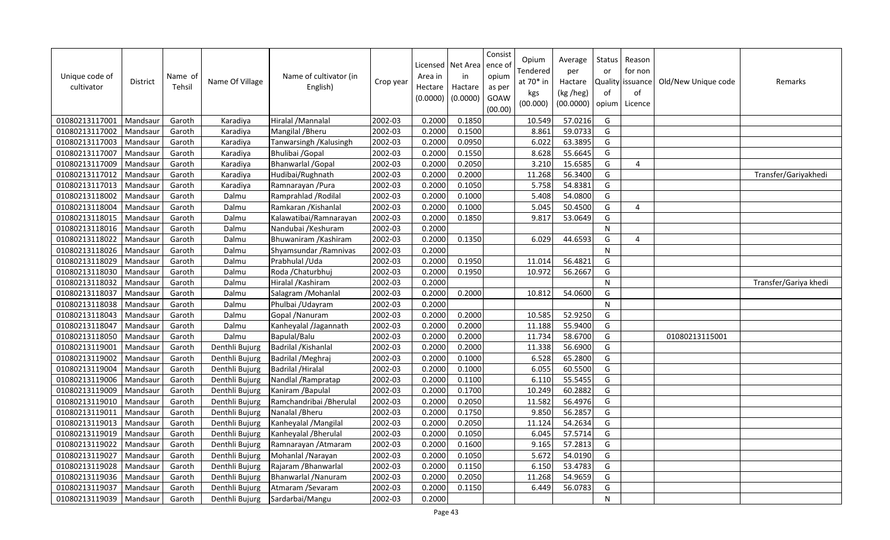| Unique code of<br>cultivator | <b>District</b> | Name of<br>Tehsil | Name Of Village | Name of cultivator (in<br>English) | Crop year | Area in<br>Hectare<br>(0.0000) | Licensed   Net Area<br>in<br>Hactare<br>(0.0000) | Consist<br>ence of<br>opium<br>as per<br>GOAW<br>(00.00) | Opium<br>Tendered<br>at 70* in<br>kgs<br>(00.000) | Average<br>per<br>Hactare<br>(kg /heg)<br>(00.0000) | <b>Status</b><br>or<br><b>Quality</b><br>of<br>opium | Reason<br>for non<br>issuance<br>of<br>Licence | Old/New Unique code | Remarks               |
|------------------------------|-----------------|-------------------|-----------------|------------------------------------|-----------|--------------------------------|--------------------------------------------------|----------------------------------------------------------|---------------------------------------------------|-----------------------------------------------------|------------------------------------------------------|------------------------------------------------|---------------------|-----------------------|
| 01080213117001               | Mandsaur        | Garoth            | Karadiya        | Hiralal /Mannalal                  | 2002-03   | 0.2000                         | 0.1850                                           |                                                          | 10.549                                            | 57.0216                                             | G                                                    |                                                |                     |                       |
| 01080213117002               | Mandsaur        | Garoth            | Karadiya        | Mangilal / Bheru                   | 2002-03   | 0.2000                         | 0.1500                                           |                                                          | 8.861                                             | 59.0733                                             | G                                                    |                                                |                     |                       |
| 01080213117003               | Mandsaur        | Garoth            | Karadiya        | Tanwarsingh / Kalusingh            | 2002-03   | 0.2000                         | 0.0950                                           |                                                          | 6.022                                             | 63.3895                                             | G                                                    |                                                |                     |                       |
| 01080213117007               | Mandsaur        | Garoth            | Karadiya        | Bhulibai / Gopal                   | 2002-03   | 0.2000                         | 0.1550                                           |                                                          | 8.628                                             | 55.6645                                             | G                                                    |                                                |                     |                       |
| 01080213117009               | Mandsaur        | Garoth            | Karadiya        | <b>Bhanwarlal / Gopal</b>          | 2002-03   | 0.2000                         | 0.2050                                           |                                                          | 3.210                                             | 15.6585                                             | G                                                    | 4                                              |                     |                       |
| 01080213117012               | Mandsaur        | Garoth            | Karadiya        | Hudibai/Rughnath                   | 2002-03   | 0.2000                         | 0.2000                                           |                                                          | 11.268                                            | 56.3400                                             | G                                                    |                                                |                     | Transfer/Gariyakhedi  |
| 01080213117013               | Mandsaur        | Garoth            | Karadiya        | Ramnarayan / Pura                  | 2002-03   | 0.2000                         | 0.1050                                           |                                                          | 5.758                                             | 54.8381                                             | G                                                    |                                                |                     |                       |
| 01080213118002               | Mandsaur        | Garoth            | Dalmu           | Ramprahlad / Rodilal               | 2002-03   | 0.2000                         | 0.1000                                           |                                                          | 5.408                                             | 54.0800                                             | G                                                    |                                                |                     |                       |
| 01080213118004               | Mandsaur        | Garoth            | Dalmu           | Ramkaran / Kishanlal               | 2002-03   | 0.2000                         | 0.1000                                           |                                                          | 5.045                                             | 50.4500                                             | G                                                    | 4                                              |                     |                       |
| 01080213118015               | Mandsaur        | Garoth            | Dalmu           | Kalawatibai/Ramnarayan             | 2002-03   | 0.2000                         | 0.1850                                           |                                                          | 9.817                                             | 53.0649                                             | G                                                    |                                                |                     |                       |
| 01080213118016               | Mandsaur        | Garoth            | Dalmu           | Nandubai / Keshuram                | 2002-03   | 0.2000                         |                                                  |                                                          |                                                   |                                                     | $\overline{N}$                                       |                                                |                     |                       |
| 01080213118022               | Mandsaur        | Garoth            | Dalmu           | Bhuwaniram / Kashiram              | 2002-03   | 0.2000                         | 0.1350                                           |                                                          | 6.029                                             | 44.6593                                             | G                                                    | $\overline{4}$                                 |                     |                       |
| 01080213118026               | Mandsaur        | Garoth            | Dalmu           | Shyamsundar / Ramnivas             | 2002-03   | 0.2000                         |                                                  |                                                          |                                                   |                                                     | ${\sf N}$                                            |                                                |                     |                       |
| 01080213118029               | Mandsaur        | Garoth            | Dalmu           | Prabhulal / Uda                    | 2002-03   | 0.2000                         | 0.1950                                           |                                                          | 11.014                                            | 56.4821                                             | G                                                    |                                                |                     |                       |
| 01080213118030               | Mandsaur        | Garoth            | Dalmu           | Roda / Chaturbhuj                  | 2002-03   | 0.2000                         | 0.1950                                           |                                                          | 10.972                                            | 56.2667                                             | G                                                    |                                                |                     |                       |
| 01080213118032               | Mandsaur        | Garoth            | Dalmu           | Hiralal / Kashiram                 | 2002-03   | 0.2000                         |                                                  |                                                          |                                                   |                                                     | ${\sf N}$                                            |                                                |                     | Transfer/Gariya khedi |
| 01080213118037               | Mandsaur        | Garoth            | Dalmu           | Salagram / Mohanlal                | 2002-03   | 0.2000                         | 0.2000                                           |                                                          | 10.812                                            | 54.0600                                             | G                                                    |                                                |                     |                       |
| 01080213118038               | Mandsaur        | Garoth            | Dalmu           | Phulbai / Udayram                  | 2002-03   | 0.2000                         |                                                  |                                                          |                                                   |                                                     | N                                                    |                                                |                     |                       |
| 01080213118043               | Mandsaur        | Garoth            | Dalmu           | Gopal / Nanuram                    | 2002-03   | 0.2000                         | 0.2000                                           |                                                          | 10.585                                            | 52.9250                                             | G                                                    |                                                |                     |                       |
| 01080213118047               | Mandsaur        | Garoth            | Dalmu           | Kanheyalal /Jagannath              | 2002-03   | 0.2000                         | 0.2000                                           |                                                          | 11.188                                            | 55.9400                                             | G                                                    |                                                |                     |                       |
| 01080213118050               | Mandsaur        | Garoth            | Dalmu           | Bapulal/Balu                       | 2002-03   | 0.2000                         | 0.2000                                           |                                                          | 11.734                                            | 58.6700                                             | G                                                    |                                                | 01080213115001      |                       |
| 01080213119001               | Mandsaur        | Garoth            | Denthli Bujurg  | Badrilal / Kishanlal               | 2002-03   | 0.2000                         | 0.2000                                           |                                                          | 11.338                                            | 56.6900                                             | G                                                    |                                                |                     |                       |
| 01080213119002               | Mandsaur        | Garoth            | Denthli Bujurg  | Badrilal / Meghraj                 | 2002-03   | 0.2000                         | 0.1000                                           |                                                          | 6.528                                             | 65.2800                                             | G                                                    |                                                |                     |                       |
| 01080213119004               | Mandsaur        | Garoth            | Denthli Bujurg  | <b>Badrilal / Hiralal</b>          | 2002-03   | 0.2000                         | 0.1000                                           |                                                          | 6.055                                             | 60.5500                                             | G                                                    |                                                |                     |                       |
| 01080213119006               | Mandsaur        | Garoth            | Denthli Bujurg  | Nandlal / Rampratap                | 2002-03   | 0.2000                         | 0.1100                                           |                                                          | 6.110                                             | 55.5455                                             | G                                                    |                                                |                     |                       |
| 01080213119009               | Mandsaur        | Garoth            | Denthli Bujurg  | Kaniram /Bapulal                   | 2002-03   | 0.2000                         | 0.1700                                           |                                                          | 10.249                                            | 60.2882                                             | G                                                    |                                                |                     |                       |
| 01080213119010               | Mandsaur        | Garoth            | Denthli Bujurg  | Ramchandribai / Bherulal           | 2002-03   | 0.2000                         | 0.2050                                           |                                                          | 11.582                                            | 56.4976                                             | G                                                    |                                                |                     |                       |
| 01080213119011               | Mandsaur        | Garoth            | Denthli Bujurg  | Nanalal / Bheru                    | 2002-03   | 0.2000                         | 0.1750                                           |                                                          | 9.850                                             | 56.2857                                             | G                                                    |                                                |                     |                       |
| 01080213119013               | Mandsaur        | Garoth            | Denthli Bujurg  | Kanheyalal / Mangilal              | 2002-03   | 0.2000                         | 0.2050                                           |                                                          | 11.124                                            | 54.2634                                             | G                                                    |                                                |                     |                       |
| 01080213119019               | Mandsaur        | Garoth            | Denthli Bujurg  | Kanheyalal / Bherulal              | 2002-03   | 0.2000                         | 0.1050                                           |                                                          | 6.045                                             | 57.5714                                             | G                                                    |                                                |                     |                       |
| 01080213119022               | Mandsaur        | Garoth            | Denthli Bujurg  | Ramnarayan / Atmaram               | 2002-03   | 0.2000                         | 0.1600                                           |                                                          | 9.165                                             | 57.2813                                             | G                                                    |                                                |                     |                       |
| 01080213119027               | Mandsaur        | Garoth            | Denthli Bujurg  | Mohanlal / Narayan                 | 2002-03   | 0.2000                         | 0.1050                                           |                                                          | 5.672                                             | 54.0190                                             | G                                                    |                                                |                     |                       |
| 01080213119028               | Mandsaur        | Garoth            | Denthli Bujurg  | Rajaram / Bhanwarlal               | 2002-03   | 0.2000                         | 0.1150                                           |                                                          | 6.150                                             | 53.4783                                             | G                                                    |                                                |                     |                       |
| 01080213119036               | Mandsaur        | Garoth            | Denthli Bujurg  | Bhanwarlal / Nanuram               | 2002-03   | 0.2000                         | 0.2050                                           |                                                          | 11.268                                            | 54.9659                                             | G                                                    |                                                |                     |                       |
| 01080213119037               | Mandsaur        | Garoth            | Denthli Bujurg  | Atmaram / Sevaram                  | 2002-03   | 0.2000                         | 0.1150                                           |                                                          | 6.449                                             | 56.0783                                             | G                                                    |                                                |                     |                       |
| 01080213119039               | Mandsaur        | Garoth            | Denthli Bujurg  | Sardarbai/Mangu                    | 2002-03   | 0.2000                         |                                                  |                                                          |                                                   |                                                     | N                                                    |                                                |                     |                       |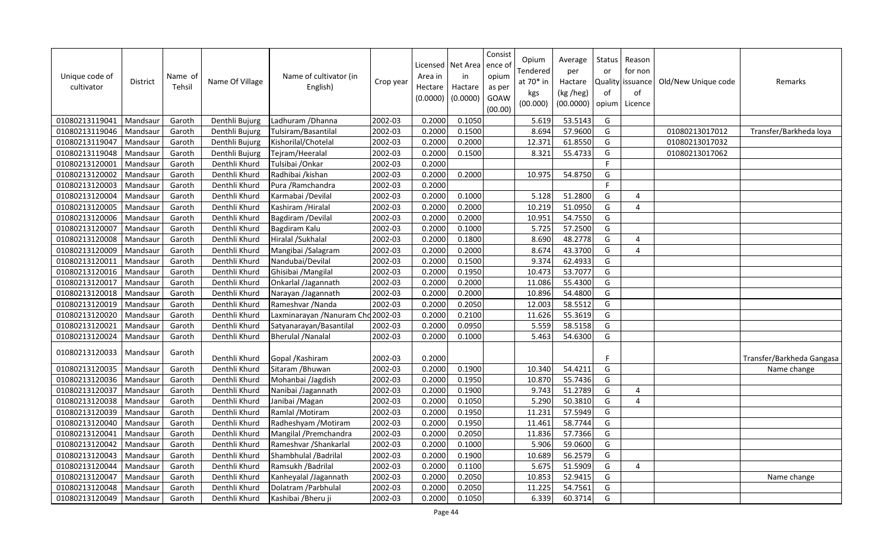| Unique code of<br>cultivator | <b>District</b> | Name of<br>Tehsil | Name Of Village | Name of cultivator (in<br>English) | Crop year | Area in<br>Hectare<br>(0.0000) | Licensed   Net Area<br>in<br>Hactare<br>(0.0000) | Consist<br>ence o<br>opium<br>as per<br>GOAW<br>(00.00) | Opium<br>Tendered<br>at 70* in<br>kgs<br>(00.000) | Average<br>per<br>Hactare<br>(kg /heg)<br>(00.0000) | Status<br>or<br>of<br>opium | Reason<br>for non<br>Quality issuance<br>of<br>Licence | Old/New Unique code | Remarks                   |
|------------------------------|-----------------|-------------------|-----------------|------------------------------------|-----------|--------------------------------|--------------------------------------------------|---------------------------------------------------------|---------------------------------------------------|-----------------------------------------------------|-----------------------------|--------------------------------------------------------|---------------------|---------------------------|
| 01080213119041               | Mandsaur        | Garoth            | Denthli Bujurg  | Ladhuram / Dhanna                  | 2002-03   | 0.2000                         | 0.1050                                           |                                                         | 5.619                                             | 53.5143                                             | G                           |                                                        |                     |                           |
| 01080213119046               | Mandsaur        | Garoth            | Denthli Bujurg  | Tulsiram/Basantilal                | 2002-03   | 0.2000                         | 0.1500                                           |                                                         | 8.694                                             | 57.9600                                             | G                           |                                                        | 01080213017012      | Transfer/Barkheda loya    |
| 01080213119047               | Mandsaur        | Garoth            | Denthli Bujurg  | Kishorilal/Chotelal                | 2002-03   | 0.2000                         | 0.2000                                           |                                                         | 12.371                                            | 61.8550                                             | G                           |                                                        | 01080213017032      |                           |
| 01080213119048               | Mandsaur        | Garoth            | Denthli Bujurg  | Tejram/Heeralal                    | 2002-03   | 0.2000                         | 0.1500                                           |                                                         | 8.321                                             | 55.4733                                             | G                           |                                                        | 01080213017062      |                           |
| 01080213120001               | Mandsaur        | Garoth            | Denthli Khurd   | Tulsibai / Onkar                   | 2002-03   | 0.2000                         |                                                  |                                                         |                                                   |                                                     | F.                          |                                                        |                     |                           |
| 01080213120002               | Mandsaur        | Garoth            | Denthli Khurd   | Radhibai /kishan                   | 2002-03   | 0.2000                         | 0.2000                                           |                                                         | 10.975                                            | 54.8750                                             | G                           |                                                        |                     |                           |
| 01080213120003               | Mandsaur        | Garoth            | Denthli Khurd   | Pura / Ramchandra                  | 2002-03   | 0.2000                         |                                                  |                                                         |                                                   |                                                     | F                           |                                                        |                     |                           |
| 01080213120004               | Mandsaur        | Garoth            | Denthli Khurd   | Karmabai /Devilal                  | 2002-03   | 0.2000                         | 0.1000                                           |                                                         | 5.128                                             | 51.2800                                             | G                           | 4                                                      |                     |                           |
| 01080213120005               | Mandsaur        | Garoth            | Denthli Khurd   | Kashiram /Hiralal                  | 2002-03   | 0.2000                         | 0.2000                                           |                                                         | 10.219                                            | 51.0950                                             | G                           | 4                                                      |                     |                           |
| 01080213120006               | Mandsaur        | Garoth            | Denthli Khurd   | Bagdiram / Devilal                 | 2002-03   | 0.2000                         | 0.2000                                           |                                                         | 10.951                                            | 54.7550                                             | G                           |                                                        |                     |                           |
| 01080213120007               | Mandsaur        | Garoth            | Denthli Khurd   | Bagdiram Kalu                      | 2002-03   | 0.2000                         | 0.1000                                           |                                                         | 5.725                                             | 57.2500                                             | G                           |                                                        |                     |                           |
| 01080213120008               | Mandsaur        | Garoth            | Denthli Khurd   | Hiralal /Sukhalal                  | 2002-03   | 0.2000                         | 0.1800                                           |                                                         | 8.690                                             | 48.2778                                             | G                           | 4                                                      |                     |                           |
| 01080213120009               | Mandsaur        | Garoth            | Denthli Khurd   | Mangibai /Salagram                 | 2002-03   | 0.2000                         | 0.2000                                           |                                                         | 8.674                                             | 43.3700                                             | G                           | $\overline{4}$                                         |                     |                           |
| 01080213120011               | Mandsaur        | Garoth            | Denthli Khurd   | Nandubai/Devilal                   | 2002-03   | 0.2000                         | 0.1500                                           |                                                         | 9.374                                             | 62.4933                                             | G                           |                                                        |                     |                           |
| 01080213120016               | Mandsaur        | Garoth            | Denthli Khurd   | Ghisibai / Mangilal                | 2002-03   | 0.2000                         | 0.1950                                           |                                                         | 10.473                                            | 53.7077                                             | G                           |                                                        |                     |                           |
| 01080213120017               | Mandsaur        | Garoth            | Denthli Khurd   | Onkarlal /Jagannath                | 2002-03   | 0.2000                         | 0.2000                                           |                                                         | 11.086                                            | 55.4300                                             | G                           |                                                        |                     |                           |
| 01080213120018               | Mandsaur        | Garoth            | Denthli Khurd   | Narayan /Jagannath                 | 2002-03   | 0.2000                         | 0.2000                                           |                                                         | 10.896                                            | 54.4800                                             | G                           |                                                        |                     |                           |
| 01080213120019               | Mandsaur        | Garoth            | Denthli Khurd   | Rameshvar / Nanda                  | 2002-03   | 0.2000                         | 0.2050                                           |                                                         | 12.003                                            | 58.5512                                             | G                           |                                                        |                     |                           |
| 01080213120020               | Mandsaur        | Garoth            | Denthli Khurd   | Laxminarayan / Nanuram Chd 2002-03 |           | 0.2000                         | 0.2100                                           |                                                         | 11.626                                            | 55.3619                                             | G                           |                                                        |                     |                           |
| 01080213120021               | Mandsaur        | Garoth            | Denthli Khurd   | Satyanarayan/Basantilal            | 2002-03   | 0.2000                         | 0.0950                                           |                                                         | 5.559                                             | 58.5158                                             | G                           |                                                        |                     |                           |
| 01080213120024               | Mandsaur        | Garoth            | Denthli Khurd   | <b>Bherulal / Nanalal</b>          | 2002-03   | 0.2000                         | 0.1000                                           |                                                         | 5.463                                             | 54.6300                                             | G                           |                                                        |                     |                           |
| 01080213120033               | Mandsaur        | Garoth            | Denthli Khurd   | Gopal / Kashiram                   | 2002-03   | 0.2000                         |                                                  |                                                         |                                                   |                                                     | F                           |                                                        |                     | Transfer/Barkheda Gangasa |
| 01080213120035               | Mandsaur        | Garoth            | Denthli Khurd   | Sitaram / Bhuwan                   | 2002-03   | 0.2000                         | 0.1900                                           |                                                         | 10.340                                            | 54.4211                                             | G                           |                                                        |                     | Name change               |
| 01080213120036               | Mandsaur        | Garoth            | Denthli Khurd   | Mohanbai /Jagdish                  | 2002-03   | 0.2000                         | 0.1950                                           |                                                         | 10.870                                            | 55.7436                                             | G                           |                                                        |                     |                           |
| 01080213120037               | Mandsaur        | Garoth            | Denthli Khurd   | Nanibai /Jagannath                 | 2002-03   | 0.2000                         | 0.1900                                           |                                                         | 9.743                                             | 51.2789                                             | G                           | 4                                                      |                     |                           |
| 01080213120038               | Mandsaur        | Garoth            | Denthli Khurd   | Janibai / Magan                    | 2002-03   | 0.2000                         | 0.1050                                           |                                                         | 5.290                                             | 50.3810                                             | G                           | $\overline{4}$                                         |                     |                           |
| 01080213120039               | Mandsaur        | Garoth            | Denthli Khurd   | Ramlal /Motiram                    | 2002-03   | 0.2000                         | 0.1950                                           |                                                         | 11.231                                            | 57.5949                                             | G                           |                                                        |                     |                           |
| 01080213120040               | Mandsaur        | Garoth            | Denthli Khurd   | Radheshyam / Motiram               | 2002-03   | 0.2000                         | 0.1950                                           |                                                         | 11.461                                            | 58.7744                                             | G                           |                                                        |                     |                           |
| 01080213120041               | Mandsaur        | Garoth            | Denthli Khurd   | Mangilal /Premchandra              | 2002-03   | 0.2000                         | 0.2050                                           |                                                         | 11.836                                            | 57.7366                                             | G                           |                                                        |                     |                           |
| 01080213120042               | Mandsaur        | Garoth            | Denthli Khurd   | Rameshvar / Shankarlal             | 2002-03   | 0.2000                         | 0.1000                                           |                                                         | 5.906                                             | 59.0600                                             | G                           |                                                        |                     |                           |
| 01080213120043               | Mandsaur        | Garoth            | Denthli Khurd   | Shambhulal / Badrilal              | 2002-03   | 0.2000                         | 0.1900                                           |                                                         | 10.689                                            | 56.2579                                             | G                           |                                                        |                     |                           |
| 01080213120044               | Mandsaur        | Garoth            | Denthli Khurd   | Ramsukh / Badrilal                 | 2002-03   | 0.2000                         | 0.1100                                           |                                                         | 5.675                                             | 51.5909                                             | G                           | 4                                                      |                     |                           |
| 01080213120047               | Mandsaur        | Garoth            | Denthli Khurd   | Kanheyalal /Jagannath              | 2002-03   | 0.2000                         | 0.2050                                           |                                                         | 10.853                                            | 52.9415                                             | G                           |                                                        |                     | Name change               |
| 01080213120048               | Mandsaur        | Garoth            | Denthli Khurd   | Dolatram / Parbhulal               | 2002-03   | 0.2000                         | 0.2050                                           |                                                         | 11.225                                            | 54.7561                                             | G                           |                                                        |                     |                           |
| 01080213120049               | Mandsaur        | Garoth            | Denthli Khurd   | Kashibai / Bheru ji                | 2002-03   | 0.2000                         | 0.1050                                           |                                                         | 6.339                                             | 60.3714                                             | G                           |                                                        |                     |                           |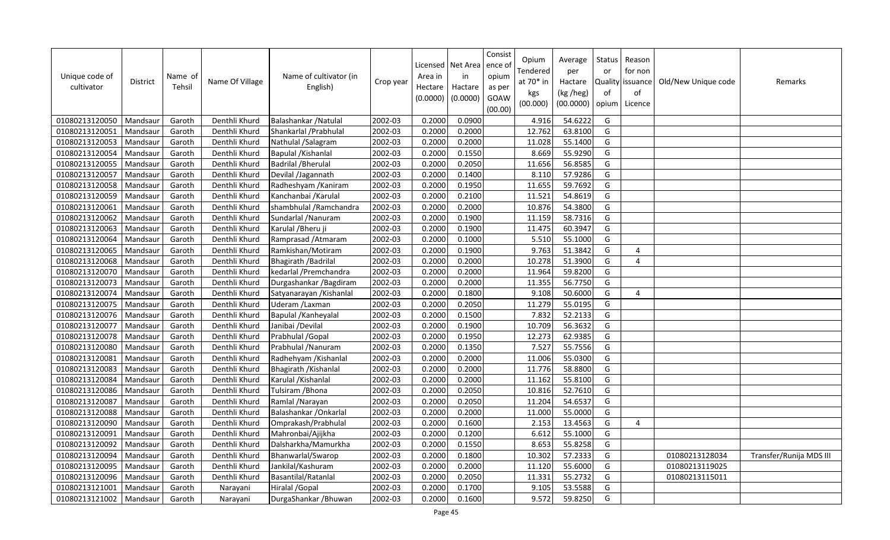| Unique code of<br>cultivator | <b>District</b> | Name of<br>Tehsil | Name Of Village | Name of cultivator (in<br>English) | Crop year | Area in<br>Hectare<br>(0.0000) | Licensed   Net Area<br>in<br>Hactare<br>(0.0000) | Consist<br>ence of<br>opium<br>as per<br>GOAW<br>(00.00) | Opium<br>Tendered<br>at 70* in<br>kgs<br>(00.000) | Average<br>per<br>Hactare<br>(kg /heg)<br>(00.0000) | Status<br>or<br>of<br>opium | Reason<br>for non<br>Quality issuance<br>of<br>Licence | Old/New Unique code | Remarks                 |
|------------------------------|-----------------|-------------------|-----------------|------------------------------------|-----------|--------------------------------|--------------------------------------------------|----------------------------------------------------------|---------------------------------------------------|-----------------------------------------------------|-----------------------------|--------------------------------------------------------|---------------------|-------------------------|
| 01080213120050               | Mandsaur        | Garoth            | Denthli Khurd   | Balashankar / Natulal              | 2002-03   | 0.2000                         | 0.0900                                           |                                                          | 4.916                                             | 54.6222                                             | G                           |                                                        |                     |                         |
| 01080213120051               | Mandsaur        | Garoth            | Denthli Khurd   | Shankarlal / Prabhulal             | 2002-03   | 0.2000                         | 0.2000                                           |                                                          | 12.762                                            | 63.8100                                             | G                           |                                                        |                     |                         |
| 01080213120053               | Mandsaur        | Garoth            | Denthli Khurd   | Nathulal /Salagram                 | 2002-03   | 0.2000                         | 0.2000                                           |                                                          | 11.028                                            | 55.1400                                             | G                           |                                                        |                     |                         |
| 01080213120054               | Mandsaur        | Garoth            | Denthli Khurd   | Bapulal / Kishanlal                | 2002-03   | 0.2000                         | 0.1550                                           |                                                          | 8.669                                             | 55.9290                                             | G                           |                                                        |                     |                         |
| 01080213120055               | Mandsaur        | Garoth            | Denthli Khurd   | <b>Badrilal / Bherulal</b>         | 2002-03   | 0.2000                         | 0.2050                                           |                                                          | 11.656                                            | 56.8585                                             | G                           |                                                        |                     |                         |
| 01080213120057               | Mandsaur        | Garoth            | Denthli Khurd   | Devilal /Jagannath                 | 2002-03   | 0.2000                         | 0.1400                                           |                                                          | 8.110                                             | 57.9286                                             | G                           |                                                        |                     |                         |
| 01080213120058               | Mandsau         | Garoth            | Denthli Khurd   | Radheshyam / Kaniram               | 2002-03   | 0.2000                         | 0.1950                                           |                                                          | 11.655                                            | 59.7692                                             | G                           |                                                        |                     |                         |
| 01080213120059               | Mandsaur        | Garoth            | Denthli Khurd   | Kanchanbai / Karulal               | 2002-03   | 0.2000                         | 0.2100                                           |                                                          | 11.521                                            | 54.8619                                             | G                           |                                                        |                     |                         |
| 01080213120061               | Mandsau         | Garoth            | Denthli Khurd   | shambhulal / Ramchandra            | 2002-03   | 0.2000                         | 0.2000                                           |                                                          | 10.876                                            | 54.3800                                             | G                           |                                                        |                     |                         |
| 01080213120062               | Mandsaur        | Garoth            | Denthli Khurd   | Sundarlal / Nanuram                | 2002-03   | 0.2000                         | 0.1900                                           |                                                          | 11.159                                            | 58.7316                                             | G                           |                                                        |                     |                         |
| 01080213120063               | Mandsau         | Garoth            | Denthli Khurd   | Karulal / Bheru ji                 | 2002-03   | 0.2000                         | 0.1900                                           |                                                          | 11.475                                            | 60.3947                                             | G                           |                                                        |                     |                         |
| 01080213120064               | Mandsaur        | Garoth            | Denthli Khurd   | Ramprasad / Atmaram                | 2002-03   | 0.2000                         | 0.1000                                           |                                                          | 5.510                                             | 55.1000                                             | G                           |                                                        |                     |                         |
| 01080213120065               | Mandsau         | Garoth            | Denthli Khurd   | Ramkishan/Motiram                  | 2002-03   | 0.2000                         | 0.1900                                           |                                                          | 9.763                                             | 51.3842                                             | G                           | $\overline{4}$                                         |                     |                         |
| 01080213120068               | Mandsaur        | Garoth            | Denthli Khurd   | Bhagirath / Badrilal               | 2002-03   | 0.2000                         | 0.2000                                           |                                                          | 10.278                                            | 51.3900                                             | G                           | $\overline{4}$                                         |                     |                         |
| 01080213120070               | Mandsaur        | Garoth            | Denthli Khurd   | kedarlal / Premchandra             | 2002-03   | 0.2000                         | 0.2000                                           |                                                          | 11.964                                            | 59.8200                                             | G                           |                                                        |                     |                         |
| 01080213120073               | Mandsaur        | Garoth            | Denthli Khurd   | Durgashankar / Bagdiram            | 2002-03   | 0.2000                         | 0.2000                                           |                                                          | 11.355                                            | 56.7750                                             | G                           |                                                        |                     |                         |
| 01080213120074               | Mandsaur        | Garoth            | Denthli Khurd   | Satyanarayan / Kishanlal           | 2002-03   | 0.2000                         | 0.1800                                           |                                                          | 9.108                                             | 50.6000                                             | G                           | $\overline{4}$                                         |                     |                         |
| 01080213120075               | Mandsaur        | Garoth            | Denthli Khurd   | Uderam /Laxman                     | 2002-03   | 0.2000                         | 0.2050                                           |                                                          | 11.279                                            | 55.0195                                             | G                           |                                                        |                     |                         |
| 01080213120076               | Mandsaur        | Garoth            | Denthli Khurd   | Bapulal /Kanheyalal                | 2002-03   | 0.2000                         | 0.1500                                           |                                                          | 7.832                                             | 52.2133                                             | G                           |                                                        |                     |                         |
| 01080213120077               | Mandsaur        | Garoth            | Denthli Khurd   | Janibai /Devilal                   | 2002-03   | 0.2000                         | 0.1900                                           |                                                          | 10.709                                            | 56.3632                                             | G                           |                                                        |                     |                         |
| 01080213120078               | Mandsaur        | Garoth            | Denthli Khurd   | Prabhulal / Gopal                  | 2002-03   | 0.2000                         | 0.1950                                           |                                                          | 12.273                                            | 62.9385                                             | G                           |                                                        |                     |                         |
| 01080213120080               | Mandsaur        | Garoth            | Denthli Khurd   | Prabhulal / Nanuram                | 2002-03   | 0.2000                         | 0.1350                                           |                                                          | 7.527                                             | 55.7556                                             | G                           |                                                        |                     |                         |
| 01080213120081               | Mandsaur        | Garoth            | Denthli Khurd   | Radhehyam / Kishanlal              | 2002-03   | 0.2000                         | 0.2000                                           |                                                          | 11.006                                            | 55.0300                                             | G                           |                                                        |                     |                         |
| 01080213120083               | Mandsau         | Garoth            | Denthli Khurd   | Bhagirath / Kishanlal              | 2002-03   | 0.2000                         | 0.2000                                           |                                                          | 11.776                                            | 58.8800                                             | G                           |                                                        |                     |                         |
| 01080213120084               | Mandsaur        | Garoth            | Denthli Khurd   | Karulal / Kishanlal                | 2002-03   | 0.2000                         | 0.2000                                           |                                                          | 11.162                                            | 55.8100                                             | G                           |                                                        |                     |                         |
| 01080213120086               | Mandsau         | Garoth            | Denthli Khurd   | Tulsiram / Bhona                   | 2002-03   | 0.2000                         | 0.2050                                           |                                                          | 10.816                                            | 52.7610                                             | G                           |                                                        |                     |                         |
| 01080213120087               | Mandsaur        | Garoth            | Denthli Khurd   | Ramlal / Narayan                   | 2002-03   | 0.2000                         | 0.2050                                           |                                                          | 11.204                                            | 54.6537                                             | G                           |                                                        |                     |                         |
| 01080213120088               | Mandsau         | Garoth            | Denthli Khurd   | Balashankar / Onkarlal             | 2002-03   | 0.2000                         | 0.2000                                           |                                                          | 11.000                                            | 55.0000                                             | G                           |                                                        |                     |                         |
| 01080213120090               | Mandsau         | Garoth            | Denthli Khurd   | Omprakash/Prabhulal                | 2002-03   | 0.2000                         | 0.1600                                           |                                                          | 2.153                                             | 13.4563                                             | G                           | $\overline{4}$                                         |                     |                         |
| 01080213120091               | Mandsau         | Garoth            | Denthli Khurd   | Mahronbai/Ajijkha                  | 2002-03   | 0.2000                         | 0.1200                                           |                                                          | 6.612                                             | 55.1000                                             | G                           |                                                        |                     |                         |
| 01080213120092               | Mandsaur        | Garoth            | Denthli Khurd   | Dalsharkha/Mamurkha                | 2002-03   | 0.2000                         | 0.1550                                           |                                                          | 8.653                                             | 55.8258                                             | G                           |                                                        |                     |                         |
| 01080213120094               | Mandsau         | Garoth            | Denthli Khurd   | Bhanwarlal/Swarop                  | 2002-03   | 0.2000                         | 0.1800                                           |                                                          | 10.302                                            | 57.2333                                             | G                           |                                                        | 01080213128034      | Transfer/Runija MDS III |
| 01080213120095               | Mandsaur        | Garoth            | Denthli Khurd   | Jankilal/Kashuram                  | 2002-03   | 0.2000                         | 0.2000                                           |                                                          | 11.120                                            | 55.6000                                             | G                           |                                                        | 01080213119025      |                         |
| 01080213120096               | Mandsaur        | Garoth            | Denthli Khurd   | Basantilal/Ratanlal                | 2002-03   | 0.2000                         | 0.2050                                           |                                                          | 11.331                                            | 55.2732                                             | G                           |                                                        | 01080213115011      |                         |
| 01080213121001               | Mandsaur        | Garoth            | Narayani        | Hiralal / Gopal                    | 2002-03   | 0.2000                         | 0.1700                                           |                                                          | 9.105                                             | 53.5588                                             | G                           |                                                        |                     |                         |
| 01080213121002               | Mandsaur        | Garoth            | Narayani        | DurgaShankar / Bhuwan              | 2002-03   | 0.2000                         | 0.1600                                           |                                                          | 9.572                                             | 59.8250                                             | G                           |                                                        |                     |                         |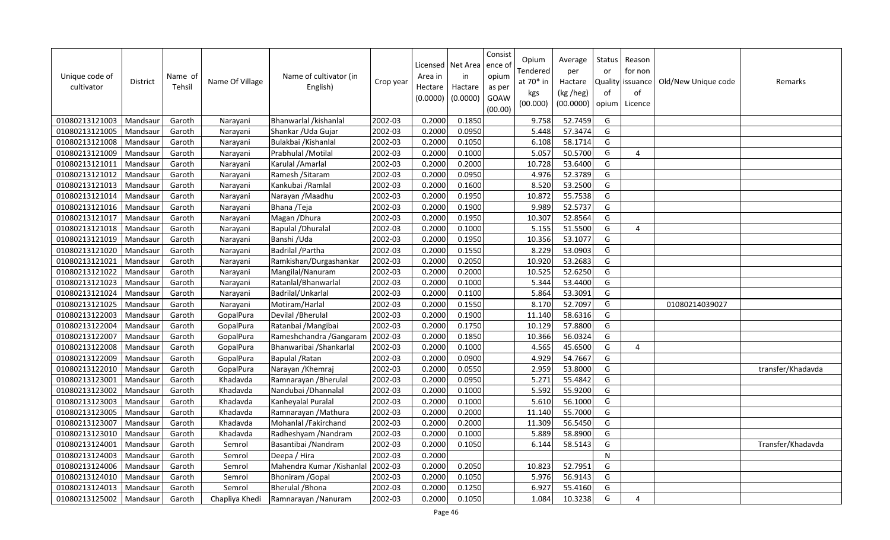| Unique code of<br>cultivator | District | Name of<br>Tehsil | Name Of Village | Name of cultivator (in<br>English) | Crop year | Area in<br>Hectare<br>(0.0000) | Licensed   Net Area<br>in<br>Hactare<br>(0.0000) | Consist<br>ence of<br>opium<br>as per<br>GOAW<br>(00.00) | Opium<br>Tendered<br>at 70* in<br>kgs<br>(00.000) | Average<br>per<br>Hactare<br>(kg /heg)<br>(00.0000) | Status<br>or<br>of<br>opium | Reason<br>for non<br>Quality issuance<br>of<br>Licence | Old/New Unique code | Remarks           |
|------------------------------|----------|-------------------|-----------------|------------------------------------|-----------|--------------------------------|--------------------------------------------------|----------------------------------------------------------|---------------------------------------------------|-----------------------------------------------------|-----------------------------|--------------------------------------------------------|---------------------|-------------------|
| 01080213121003               | Mandsaur | Garoth            | Narayani        | Bhanwarlal /kishanlal              | 2002-03   | 0.2000                         | 0.1850                                           |                                                          | 9.758                                             | 52.7459                                             | G                           |                                                        |                     |                   |
| 01080213121005               | Mandsaur | Garoth            | Narayani        | Shankar / Uda Gujar                | 2002-03   | 0.2000                         | 0.0950                                           |                                                          | 5.448                                             | 57.3474                                             | G                           |                                                        |                     |                   |
| 01080213121008               | Mandsaur | Garoth            | Narayani        | Bulakbai / Kishanlal               | 2002-03   | 0.2000                         | 0.1050                                           |                                                          | 6.108                                             | 58.1714                                             | G                           |                                                        |                     |                   |
| 01080213121009               | Mandsaur | Garoth            | Narayani        | Prabhulal / Motilal                | 2002-03   | 0.2000                         | 0.1000                                           |                                                          | 5.057                                             | 50.5700                                             | G                           | $\overline{4}$                                         |                     |                   |
| 01080213121011               | Mandsaur | Garoth            | Narayani        | Karulal / Amarlal                  | 2002-03   | 0.2000                         | 0.2000                                           |                                                          | 10.728                                            | 53.6400                                             | G                           |                                                        |                     |                   |
| 01080213121012               | Mandsaur | Garoth            | Narayani        | Ramesh / Sitaram                   | 2002-03   | 0.2000                         | 0.0950                                           |                                                          | 4.976                                             | 52.3789                                             | G                           |                                                        |                     |                   |
| 01080213121013               | Mandsau  | Garoth            | Narayani        | Kankubai / Ramlal                  | 2002-03   | 0.2000                         | 0.1600                                           |                                                          | 8.520                                             | 53.2500                                             | G                           |                                                        |                     |                   |
| 01080213121014               | Mandsaur | Garoth            | Narayani        | Narayan / Maadhu                   | 2002-03   | 0.2000                         | 0.1950                                           |                                                          | 10.872                                            | 55.7538                                             | G                           |                                                        |                     |                   |
| 01080213121016               | Mandsau  | Garoth            | Narayani        | Bhana / Teja                       | 2002-03   | 0.2000                         | 0.1900                                           |                                                          | 9.989                                             | 52.5737                                             | G                           |                                                        |                     |                   |
| 01080213121017               | Mandsaur | Garoth            | Narayani        | Magan / Dhura                      | 2002-03   | 0.2000                         | 0.1950                                           |                                                          | 10.307                                            | 52.8564                                             | G                           |                                                        |                     |                   |
| 01080213121018               | Mandsau  | Garoth            | Narayani        | Bapulal / Dhuralal                 | 2002-03   | 0.2000                         | 0.1000                                           |                                                          | 5.155                                             | 51.5500                                             | G                           | 4                                                      |                     |                   |
| 01080213121019               | Mandsaur | Garoth            | Narayani        | Banshi / Uda                       | 2002-03   | 0.2000                         | 0.1950                                           |                                                          | 10.356                                            | 53.1077                                             | G                           |                                                        |                     |                   |
| 01080213121020               | Mandsau  | Garoth            | Narayani        | Badrilal / Partha                  | 2002-03   | 0.2000                         | 0.1550                                           |                                                          | 8.229                                             | 53.0903                                             | G                           |                                                        |                     |                   |
| 01080213121021               | Mandsaur | Garoth            | Narayani        | Ramkishan/Durgashankar             | 2002-03   | 0.2000                         | 0.2050                                           |                                                          | 10.920                                            | 53.2683                                             | G                           |                                                        |                     |                   |
| 01080213121022               | Mandsau  | Garoth            | Narayani        | Mangilal/Nanuram                   | 2002-03   | 0.2000                         | 0.2000                                           |                                                          | 10.525                                            | 52.6250                                             | G                           |                                                        |                     |                   |
| 01080213121023               | Mandsaur | Garoth            | Narayani        | Ratanlal/Bhanwarlal                | 2002-03   | 0.2000                         | 0.1000                                           |                                                          | 5.344                                             | 53.4400                                             | G                           |                                                        |                     |                   |
| 01080213121024               | Mandsaur | Garoth            | Narayani        | Badrilal/Unkarlal                  | 2002-03   | 0.2000                         | 0.1100                                           |                                                          | 5.864                                             | 53.3091                                             | G                           |                                                        |                     |                   |
| 01080213121025               | Mandsaur | Garoth            | Narayani        | Motiram/Harlal                     | 2002-03   | 0.2000                         | 0.1550                                           |                                                          | 8.170                                             | 52.7097                                             | G                           |                                                        | 01080214039027      |                   |
| 01080213122003               | Mandsau  | Garoth            | GopalPura       | Devilal / Bherulal                 | 2002-03   | 0.2000                         | 0.1900                                           |                                                          | 11.140                                            | 58.6316                                             | G                           |                                                        |                     |                   |
| 01080213122004               | Mandsaur | Garoth            | GopalPura       | Ratanbai / Mangibai                | 2002-03   | 0.2000                         | 0.1750                                           |                                                          | 10.129                                            | 57.8800                                             | G                           |                                                        |                     |                   |
| 01080213122007               | Mandsaur | Garoth            | GopalPura       | Rameshchandra / Gangaram           | 2002-03   | 0.2000                         | 0.1850                                           |                                                          | 10.366                                            | 56.0324                                             | G                           |                                                        |                     |                   |
| 01080213122008               | Mandsaur | Garoth            | GopalPura       | Bhanwaribai / Shankarlal           | 2002-03   | 0.2000                         | 0.1000                                           |                                                          | 4.565                                             | 45.6500                                             | G                           | $\overline{4}$                                         |                     |                   |
| 01080213122009               | Mandsaur | Garoth            | GopalPura       | Bapulal / Ratan                    | 2002-03   | 0.2000                         | 0.0900                                           |                                                          | 4.929                                             | 54.7667                                             | G                           |                                                        |                     |                   |
| 01080213122010               | Mandsau  | Garoth            | GopalPura       | Narayan / Khemraj                  | 2002-03   | 0.2000                         | 0.0550                                           |                                                          | 2.959                                             | 53.8000                                             | G                           |                                                        |                     | transfer/Khadavda |
| 01080213123001               | Mandsaur | Garoth            | Khadavda        | Ramnarayan / Bherulal              | 2002-03   | 0.2000                         | 0.0950                                           |                                                          | 5.271                                             | 55.4842                                             | G                           |                                                        |                     |                   |
| 01080213123002               | Mandsaur | Garoth            | Khadavda        | Nandubai / Dhannalal               | 2002-03   | 0.2000                         | 0.1000                                           |                                                          | 5.592                                             | 55.9200                                             | G                           |                                                        |                     |                   |
| 01080213123003               | Mandsaur | Garoth            | Khadavda        | Kanheyalal Puralal                 | 2002-03   | 0.2000                         | 0.1000                                           |                                                          | 5.610                                             | 56.1000                                             | G                           |                                                        |                     |                   |
| 01080213123005               | Mandsaur | Garoth            | Khadavda        | Ramnarayan / Mathura               | 2002-03   | 0.2000                         | 0.2000                                           |                                                          | 11.140                                            | 55.7000                                             | G                           |                                                        |                     |                   |
| 01080213123007               | Mandsaur | Garoth            | Khadavda        | Mohanlal /Fakirchand               | 2002-03   | 0.2000                         | 0.2000                                           |                                                          | 11.309                                            | 56.5450                                             | G                           |                                                        |                     |                   |
| 01080213123010               | Mandsau  | Garoth            | Khadavda        | Radheshyam /Nandram                | 2002-03   | 0.2000                         | 0.1000                                           |                                                          | 5.889                                             | 58.8900                                             | G                           |                                                        |                     |                   |
| 01080213124001               | Mandsaur | Garoth            | Semrol          | Basantibai / Nandram               | 2002-03   | 0.2000                         | 0.1050                                           |                                                          | 6.144                                             | 58.5143                                             | G                           |                                                        |                     | Transfer/Khadavda |
| 01080213124003               | Mandsau  | Garoth            | Semrol          | Deepa / Hira                       | 2002-03   | 0.2000                         |                                                  |                                                          |                                                   |                                                     | $\overline{\mathsf{N}}$     |                                                        |                     |                   |
| 01080213124006               | Mandsau  | Garoth            | Semrol          | Mahendra Kumar / Kishanlal         | 2002-03   | 0.2000                         | 0.2050                                           |                                                          | 10.823                                            | 52.7951                                             | G                           |                                                        |                     |                   |
| 01080213124010               | Mandsau  | Garoth            | Semrol          | Bhoniram / Gopal                   | 2002-03   | 0.2000                         | 0.1050                                           |                                                          | 5.976                                             | 56.9143                                             | G                           |                                                        |                     |                   |
| 01080213124013               | Mandsaur | Garoth            | Semrol          | Bherulal / Bhona                   | 2002-03   | 0.2000                         | 0.1250                                           |                                                          | 6.927                                             | 55.4160                                             | G                           |                                                        |                     |                   |
| 01080213125002               | Mandsaur | Garoth            | Chapliya Khedi  | Ramnarayan / Nanuram               | 2002-03   | 0.2000                         | 0.1050                                           |                                                          | 1.084                                             | 10.3238                                             | G                           | 4                                                      |                     |                   |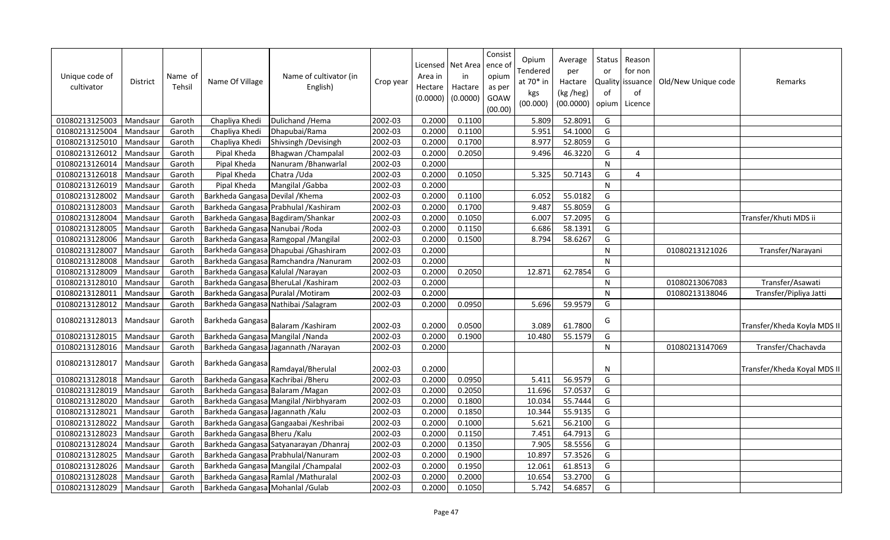| Unique code of<br>cultivator | <b>District</b> | Name of<br><b>Tehsil</b> | Name Of Village                    | Name of cultivator (in<br>English)      | Crop year | Area in<br>Hectare<br>(0.0000) | Licensed   Net Area<br>in<br>Hactare<br>(0.0000) | Consist<br>ence o<br>opium<br>as per<br>GOAW<br>(00.00) | Opium<br>Tendered<br>at 70* in<br>kgs<br>(00.000) | Average<br>per<br>Hactare<br>(kg /heg)<br>(00.0000) | <b>Status</b><br>or<br>of<br>opium | Reason<br>for non<br>Quality issuance<br>of<br>Licence | Old/New Unique code | Remarks                     |
|------------------------------|-----------------|--------------------------|------------------------------------|-----------------------------------------|-----------|--------------------------------|--------------------------------------------------|---------------------------------------------------------|---------------------------------------------------|-----------------------------------------------------|------------------------------------|--------------------------------------------------------|---------------------|-----------------------------|
| 01080213125003               | Mandsaur        | Garoth                   | Chapliya Khedi                     | Dulichand / Hema                        | 2002-03   | 0.2000                         | 0.1100                                           |                                                         | 5.809                                             | 52.8091                                             | G                                  |                                                        |                     |                             |
| 01080213125004               | Mandsaur        | Garoth                   | Chapliya Khedi                     | Dhapubai/Rama                           | 2002-03   | 0.2000                         | 0.1100                                           |                                                         | 5.951                                             | 54.1000                                             | G                                  |                                                        |                     |                             |
| 01080213125010               | Mandsaur        | Garoth                   | Chapliya Khedi                     | Shivsingh /Devisingh                    | 2002-03   | 0.2000                         | 0.1700                                           |                                                         | 8.977                                             | 52.8059                                             | G                                  |                                                        |                     |                             |
| 01080213126012               | Mandsaur        | Garoth                   | Pipal Kheda                        | Bhagwan / Champalal                     | 2002-03   | 0.2000                         | 0.2050                                           |                                                         | 9.496                                             | 46.3220                                             | G                                  | 4                                                      |                     |                             |
| 01080213126014               | Mandsaur        | Garoth                   | Pipal Kheda                        | Nanuram / Bhanwarlal                    | 2002-03   | 0.2000                         |                                                  |                                                         |                                                   |                                                     | N                                  |                                                        |                     |                             |
| 01080213126018               | Mandsaur        | Garoth                   | Pipal Kheda                        | Chatra / Uda                            | 2002-03   | 0.2000                         | 0.1050                                           |                                                         | 5.325                                             | 50.7143                                             | G                                  | 4                                                      |                     |                             |
| 01080213126019               | Mandsaur        | Garoth                   | Pipal Kheda                        | Mangilal /Gabba                         | 2002-03   | 0.2000                         |                                                  |                                                         |                                                   |                                                     | N                                  |                                                        |                     |                             |
| 01080213128002               | Mandsaur        | Garoth                   | Barkheda Gangasa Devilal / Khema   |                                         | 2002-03   | 0.2000                         | 0.1100                                           |                                                         | 6.052                                             | 55.0182                                             | G                                  |                                                        |                     |                             |
| 01080213128003               | Mandsaur        | Garoth                   |                                    | Barkheda Gangasa Prabhulal / Kashiram   | 2002-03   | 0.2000                         | 0.1700                                           |                                                         | 9.487                                             | 55.8059                                             | G                                  |                                                        |                     |                             |
| 01080213128004               | Mandsaur        | Garoth                   |                                    | Barkheda Gangasa Bagdiram/Shankar       | 2002-03   | 0.2000                         | 0.1050                                           |                                                         | 6.007                                             | 57.2095                                             | G                                  |                                                        |                     | Transfer/Khuti MDS ii       |
| 01080213128005               | Mandsaur        | Garoth                   | Barkheda Gangasa Nanubai / Roda    |                                         | 2002-03   | 0.2000                         | 0.1150                                           |                                                         | 6.686                                             | 58.1391                                             | G                                  |                                                        |                     |                             |
| 01080213128006               | Mandsaur        | Garoth                   |                                    | Barkheda Gangasa Ramgopal / Mangilal    | 2002-03   | 0.2000                         | 0.1500                                           |                                                         | 8.794                                             | 58.6267                                             | G                                  |                                                        |                     |                             |
| 01080213128007               | Mandsaur        | Garoth                   |                                    | Barkheda Gangasa Dhapubai / Ghashiram   | 2002-03   | 0.2000                         |                                                  |                                                         |                                                   |                                                     | N                                  |                                                        | 01080213121026      | Transfer/Narayani           |
| 01080213128008               | Mandsaur        | Garoth                   |                                    | Barkheda Gangasa Ramchandra / Nanuram   | 2002-03   | 0.2000                         |                                                  |                                                         |                                                   |                                                     | N                                  |                                                        |                     |                             |
| 01080213128009               | Mandsaur        | Garoth                   | Barkheda Gangasa Kalulal / Narayan |                                         | 2002-03   | 0.2000                         | 0.2050                                           |                                                         | 12.871                                            | 62.7854                                             | G                                  |                                                        |                     |                             |
| 01080213128010               | Mandsaur        | Garoth                   |                                    | Barkheda Gangasa BheruLal / Kashiram    | 2002-03   | 0.2000                         |                                                  |                                                         |                                                   |                                                     | N                                  |                                                        | 01080213067083      | Transfer/Asawati            |
| 01080213128011               | Mandsaur        | Garoth                   | Barkheda Gangasa Puralal / Motiram |                                         | 2002-03   | 0.2000                         |                                                  |                                                         |                                                   |                                                     | N                                  |                                                        | 01080213138046      | Transfer/Pipliya Jatti      |
| 01080213128012               | Mandsaur        | Garoth                   |                                    | Barkheda Gangasa Nathibai / Salagram    | 2002-03   | 0.2000                         | 0.0950                                           |                                                         | 5.696                                             | 59.9579                                             | G                                  |                                                        |                     |                             |
| 01080213128013               | Mandsaur        | Garoth                   |                                    | Barkheda Gangasa Balaram / Kashiram     | 2002-03   | 0.2000                         | 0.0500                                           |                                                         | 3.089                                             | 61.7800                                             | G                                  |                                                        |                     | Transfer/Kheda Koyla MDS II |
| 01080213128015               | Mandsaur        | Garoth                   | Barkheda Gangasa Mangilal / Nanda  |                                         | 2002-03   | 0.2000                         | 0.1900                                           |                                                         | 10.480                                            | 55.1579                                             | G                                  |                                                        |                     |                             |
| 01080213128016               | Mandsaur        | Garoth                   |                                    | Barkheda Gangasa Jagannath / Narayan    | 2002-03   | 0.2000                         |                                                  |                                                         |                                                   |                                                     | N                                  |                                                        | 01080213147069      | Transfer/Chachavda          |
| 01080213128017               | Mandsaur        | Garoth                   | Barkheda Gangasa                   | Ramdayal/Bherulal                       | 2002-03   | 0.2000                         |                                                  |                                                         |                                                   |                                                     | <sup>N</sup>                       |                                                        |                     | Transfer/Kheda Koyal MDS II |
| 01080213128018               | Mandsaur        | Garoth                   | Barkheda Gangasa Kachribai / Bheru |                                         | 2002-03   | 0.2000                         | 0.0950                                           |                                                         | 5.411                                             | 56.9579                                             | G                                  |                                                        |                     |                             |
| 01080213128019               | Mandsaur        | Garoth                   | Barkheda Gangasa Balaram / Magan   |                                         | 2002-03   | 0.2000                         | 0.2050                                           |                                                         | 11.696                                            | 57.0537                                             | G                                  |                                                        |                     |                             |
| 01080213128020               | Mandsaur        | Garoth                   |                                    | Barkheda Gangasa Mangilal / Nirbhyaram  | 2002-03   | 0.2000                         | 0.1800                                           |                                                         | 10.034                                            | 55.7444                                             | G                                  |                                                        |                     |                             |
| 01080213128021               | Mandsaur        | Garoth                   | Barkheda Gangasa Jagannath / Kalu  |                                         | 2002-03   | 0.2000                         | 0.1850                                           |                                                         | 10.344                                            | 55.9135                                             | G                                  |                                                        |                     |                             |
| 01080213128022               | Mandsaur        | Garoth                   |                                    | Barkheda Gangasa Gangaabai / Keshribai  | 2002-03   | 0.2000                         | 0.1000                                           |                                                         | 5.621                                             | 56.2100                                             | G                                  |                                                        |                     |                             |
| 01080213128023               | Mandsaur        | Garoth                   | Barkheda Gangasa Bheru / Kalu      |                                         | 2002-03   | 0.2000                         | 0.1150                                           |                                                         | 7.451                                             | 64.7913                                             | G                                  |                                                        |                     |                             |
| 01080213128024               | Mandsaur        | Garoth                   |                                    | Barkheda Gangasa Satyanarayan / Dhanraj | 2002-03   | 0.2000                         | 0.1350                                           |                                                         | 7.905                                             | 58.5556                                             | G                                  |                                                        |                     |                             |
| 01080213128025               | Mandsaur        | Garoth                   |                                    | Barkheda Gangasa Prabhulal/Nanuram      | 2002-03   | 0.2000                         | 0.1900                                           |                                                         | 10.897                                            | 57.3526                                             | G                                  |                                                        |                     |                             |
| 01080213128026               | Mandsaur        | Garoth                   |                                    | Barkheda Gangasa Mangilal / Champalal   | 2002-03   | 0.2000                         | 0.1950                                           |                                                         | 12.061                                            | 61.8513                                             | G                                  |                                                        |                     |                             |
| 01080213128028               | Mandsaur        | Garoth                   |                                    | Barkheda Gangasa Ramlal / Mathuralal    | 2002-03   | 0.2000                         | 0.2000                                           |                                                         | 10.654                                            | 53.2700                                             | G                                  |                                                        |                     |                             |
| 01080213128029               | Mandsaur        | Garoth                   | Barkheda Gangasa Mohanlal / Gulab  |                                         | 2002-03   | 0.2000                         | 0.1050                                           |                                                         | 5.742                                             | 54.6857                                             | G                                  |                                                        |                     |                             |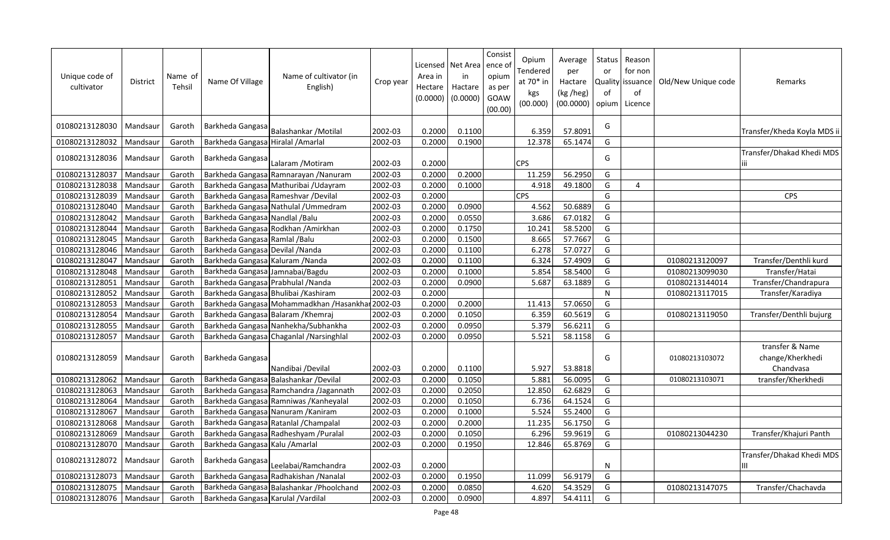| Unique code of<br>cultivator | <b>District</b> | Name of<br>Tehsil | Name Of Village                      | Name of cultivator (in<br>English)                | Crop year | Area in<br>Hectare<br>(0.0000) | Licensed   Net Area   ence o<br>in<br>Hactare<br>(0.0000) | Consist<br>opium<br>as per<br>GOAW<br>(00.00) | Opium<br>Tendered<br>at 70* in<br>kgs<br>(00.000) | Average<br>per<br>Hactare<br>(kg /heg)<br>(00.0000) | Status<br>or<br>Quality<br>of<br>opium | Reason<br>for non<br>lissuance<br>of<br>Licence | Old/New Unique code | Remarks                        |
|------------------------------|-----------------|-------------------|--------------------------------------|---------------------------------------------------|-----------|--------------------------------|-----------------------------------------------------------|-----------------------------------------------|---------------------------------------------------|-----------------------------------------------------|----------------------------------------|-------------------------------------------------|---------------------|--------------------------------|
| 01080213128030               | Mandsaur        | Garoth            | Barkheda Gangasa                     | Balashankar / Motilal                             | 2002-03   | 0.2000                         | 0.1100                                                    |                                               | 6.359                                             | 57.8091                                             | G                                      |                                                 |                     | Transfer/Kheda Koyla MDS ii    |
| 01080213128032               | Mandsaur        | Garoth            | Barkheda Gangasa Hiralal / Amarlal   |                                                   | 2002-03   | 0.2000                         | 0.1900                                                    |                                               | 12.378                                            | 65.1474                                             | G                                      |                                                 |                     |                                |
| 01080213128036               | Mandsaur        | Garoth            | Barkheda Gangasa                     | Lalaram / Motiram                                 | 2002-03   | 0.2000                         |                                                           |                                               | <b>CPS</b>                                        |                                                     | G                                      |                                                 |                     | Transfer/Dhakad Khedi MDS      |
| 01080213128037               | Mandsaur        | Garoth            |                                      | Barkheda Gangasa Ramnarayan / Nanuram             | 2002-03   | 0.2000                         | 0.2000                                                    |                                               | 11.259                                            | 56.2950                                             | G                                      |                                                 |                     |                                |
| 01080213128038               | Mandsaur        | Garoth            |                                      | Barkheda Gangasa Mathuribai / Udayram             | 2002-03   | 0.2000                         | 0.1000                                                    |                                               | 4.918                                             | 49.1800                                             | G                                      | $\overline{4}$                                  |                     |                                |
| 01080213128039               | Mandsaur        | Garoth            |                                      | Barkheda Gangasa Rameshvar / Devilal              | 2002-03   | 0.2000                         |                                                           |                                               | <b>CPS</b>                                        |                                                     | G                                      |                                                 |                     | <b>CPS</b>                     |
| 01080213128040               | Mandsaur        | Garoth            |                                      | Barkheda Gangasa Nathulal / Ummedram              | 2002-03   | 0.2000                         | 0.0900                                                    |                                               | 4.562                                             | 50.6889                                             | G                                      |                                                 |                     |                                |
| 01080213128042               | Mandsaur        | Garoth            | Barkheda Gangasa Nandlal / Balu      |                                                   | 2002-03   | 0.2000                         | 0.0550                                                    |                                               | 3.686                                             | 67.0182                                             | G                                      |                                                 |                     |                                |
| 01080213128044               | Mandsaur        | Garoth            |                                      | Barkheda Gangasa Rodkhan / Amirkhan               | 2002-03   | 0.2000                         | 0.1750                                                    |                                               | 10.241                                            | 58.5200                                             | G                                      |                                                 |                     |                                |
| 01080213128045               | Mandsaur        | Garoth            | Barkheda Gangasa Ramlal / Balu       |                                                   | 2002-03   | 0.2000                         | 0.1500                                                    |                                               | 8.665                                             | 57.7667                                             | G                                      |                                                 |                     |                                |
| 01080213128046               | Mandsaur        | Garoth            | Barkheda Gangasa Devilal / Nanda     |                                                   | 2002-03   | 0.2000                         | 0.1100                                                    |                                               | 6.278                                             | 57.0727                                             | G                                      |                                                 |                     |                                |
| 01080213128047               | Mandsaur        | Garoth            | Barkheda Gangasa Kaluram / Nanda     |                                                   | 2002-03   | 0.2000                         | 0.1100                                                    |                                               | 6.324                                             | 57.4909                                             | G                                      |                                                 | 01080213120097      | Transfer/Denthli kurd          |
| 01080213128048               | Mandsaur        | Garoth            | Barkheda Gangasa Jamnabai/Bagdu      |                                                   | 2002-03   | 0.2000                         | 0.1000                                                    |                                               | 5.854                                             | 58.5400                                             | G                                      |                                                 | 01080213099030      | Transfer/Hatai                 |
| 01080213128051               | Mandsaur        | Garoth            | Barkheda Gangasa Prabhulal / Nanda   |                                                   | 2002-03   | 0.2000                         | 0.0900                                                    |                                               | 5.687                                             | 63.1889                                             | G                                      |                                                 | 01080213144014      | Transfer/Chandrapura           |
| 01080213128052               | Mandsaur        | Garoth            | Barkheda Gangasa Bhulibai / Kashiram |                                                   | 2002-03   | 0.2000                         |                                                           |                                               |                                                   |                                                     | $\mathsf{N}$                           |                                                 | 01080213117015      | Transfer/Karadiya              |
| 01080213128053               | Mandsaur        | Garoth            |                                      | Barkheda Gangasa Mohammadkhan / Hasankhar 2002-03 |           | 0.2000                         | 0.2000                                                    |                                               | 11.413                                            | 57.0650                                             | G                                      |                                                 |                     |                                |
| 01080213128054               | Mandsau         | Garoth            | Barkheda Gangasa Balaram / Khemraj   |                                                   | 2002-03   | 0.2000                         | 0.1050                                                    |                                               | 6.359                                             | 60.5619                                             | G                                      |                                                 | 01080213119050      | Transfer/Denthli bujurg        |
| 01080213128055               | Mandsaur        | Garoth            |                                      | Barkheda Gangasa Nanhekha/Subhankha               | 2002-03   | 0.2000                         | 0.0950                                                    |                                               | 5.379                                             | 56.6211                                             | G                                      |                                                 |                     |                                |
| 01080213128057               | Mandsaur        | Garoth            |                                      | Barkheda Gangasa Chaganlal / Narsinghlal          | 2002-03   | 0.2000                         | 0.0950                                                    |                                               | 5.521                                             | 58.1158                                             | G                                      |                                                 |                     |                                |
|                              |                 |                   |                                      |                                                   |           |                                |                                                           |                                               |                                                   |                                                     |                                        |                                                 |                     | transfer & Name                |
| 01080213128059               | Mandsaur        | Garoth            | Barkheda Gangasa                     |                                                   |           |                                |                                                           |                                               |                                                   |                                                     | G                                      |                                                 | 01080213103072      | change/Kherkhedi               |
|                              |                 |                   |                                      | Nandibai / Devilal                                | 2002-03   | 0.2000                         | 0.1100                                                    |                                               | 5.927                                             | 53.8818                                             |                                        |                                                 |                     | Chandvasa                      |
| 01080213128062               | Mandsaur        | Garoth            |                                      | Barkheda Gangasa Balashankar / Devilal            | 2002-03   | 0.2000                         | 0.1050                                                    |                                               | 5.881                                             | 56.0095                                             | G                                      |                                                 | 01080213103071      | transfer/Kherkhedi             |
| 01080213128063               | Mandsaur        | Garoth            |                                      | Barkheda Gangasa Ramchandra /Jagannath            | 2002-03   | 0.2000                         | 0.2050                                                    |                                               | 12.850                                            | 62.6829                                             | G                                      |                                                 |                     |                                |
| 01080213128064               | Mandsaur        | Garoth            |                                      | Barkheda Gangasa Ramniwas / Kanheyalal            | 2002-03   | 0.2000                         | 0.1050                                                    |                                               | 6.736                                             | 64.1524                                             | G                                      |                                                 |                     |                                |
| 01080213128067               | Mandsaur        | Garoth            |                                      | Barkheda Gangasa Nanuram / Kaniram                | 2002-03   | 0.2000                         | 0.1000                                                    |                                               | 5.524                                             | 55.2400                                             | G                                      |                                                 |                     |                                |
| 01080213128068               | Mandsaur        | Garoth            |                                      | Barkheda Gangasa Ratanlal / Champalal             | 2002-03   | 0.2000                         | 0.2000                                                    |                                               | 11.235                                            | 56.1750                                             | G                                      |                                                 |                     |                                |
| 01080213128069               | Mandsaur        | Garoth            |                                      | Barkheda Gangasa Radheshyam / Puralal             | 2002-03   | 0.2000                         | 0.1050                                                    |                                               | 6.296                                             | 59.9619                                             | G                                      |                                                 | 01080213044230      | Transfer/Khajuri Panth         |
| 01080213128070               | Mandsaur        | Garoth            | Barkheda Gangasa Kalu / Amarlal      |                                                   | 2002-03   | 0.2000                         | 0.1950                                                    |                                               | 12.846                                            | 65.8769                                             | G                                      |                                                 |                     |                                |
| 01080213128072               | Mandsaur        | Garoth            | Barkheda Gangasa                     | Leelabai/Ramchandra                               | 2002-03   | 0.2000                         |                                                           |                                               |                                                   |                                                     | N                                      |                                                 |                     | Transfer/Dhakad Khedi MDS<br>Ш |
| 01080213128073               | Mandsaur        | Garoth            |                                      | Barkheda Gangasa Radhakishan / Nanalal            | 2002-03   | 0.2000                         | 0.1950                                                    |                                               | 11.099                                            | 56.9179                                             | G                                      |                                                 |                     |                                |
| 01080213128075               | Mandsaur        | Garoth            |                                      | Barkheda Gangasa Balashankar / Phoolchand         | 2002-03   | 0.2000                         | 0.0850                                                    |                                               | 4.620                                             | 54.3529                                             | G                                      |                                                 | 01080213147075      | Transfer/Chachavda             |
| 01080213128076               | Mandsaur        | Garoth            | Barkheda Gangasa Karulal / Vardilal  |                                                   | 2002-03   | 0.2000                         | 0.0900                                                    |                                               | 4.897                                             | 54.4111                                             | G                                      |                                                 |                     |                                |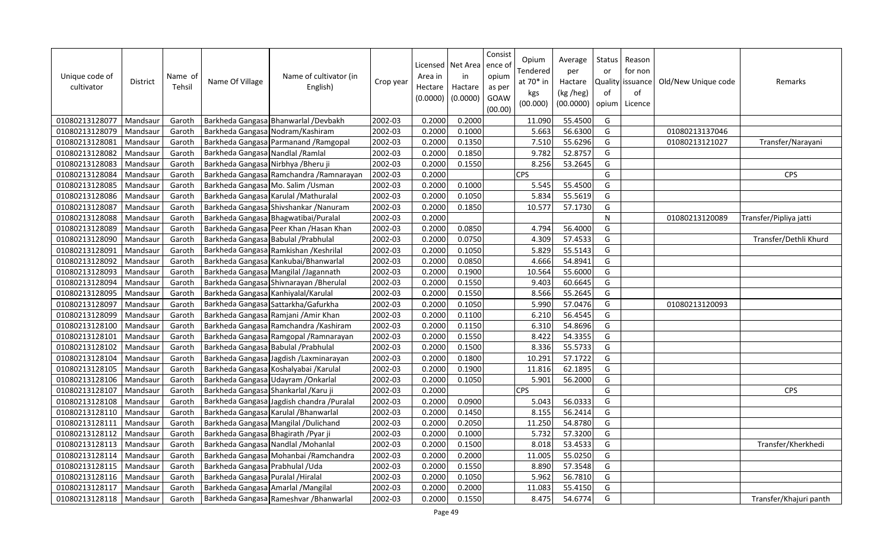| Unique code of<br>cultivator | <b>District</b> | Name of<br>Tehsil | Name Of Village                       | Name of cultivator (in<br>English)         | Crop year | Area in<br>Hectare<br>(0.0000) | Licensed   Net Area<br>in<br>Hactare<br>(0.0000) | Consist<br>ence o<br>opium<br>as per<br>GOAW<br>(00.00) | Opium<br>Tendered<br>at 70* in<br>kgs<br>(00.000) | Average<br>per<br>Hactare<br>(kg /heg)<br>(00.0000) | Status<br>or<br>of<br>opium | Reason<br>for non<br>Quality issuance<br>of<br>Licence | Old/New Unique code | Remarks                |
|------------------------------|-----------------|-------------------|---------------------------------------|--------------------------------------------|-----------|--------------------------------|--------------------------------------------------|---------------------------------------------------------|---------------------------------------------------|-----------------------------------------------------|-----------------------------|--------------------------------------------------------|---------------------|------------------------|
| 01080213128077               | Mandsaur        | Garoth            |                                       | Barkheda Gangasa Bhanwarlal / Devbakh      | 2002-03   | 0.2000                         | 0.2000                                           |                                                         | 11.090                                            | 55.4500                                             | G                           |                                                        |                     |                        |
| 01080213128079               | Mandsaur        | Garoth            | Barkheda Gangasa Nodram/Kashiram      |                                            | 2002-03   | 0.2000                         | 0.1000                                           |                                                         | 5.663                                             | 56.6300                                             | G                           |                                                        | 01080213137046      |                        |
| 01080213128081               | Mandsaur        | Garoth            |                                       | Barkheda Gangasa Parmanand / Ramgopal      | 2002-03   | 0.2000                         | 0.1350                                           |                                                         | 7.510                                             | 55.6296                                             | G                           |                                                        | 01080213121027      | Transfer/Narayani      |
| 01080213128082               | Mandsaur        | Garoth            | Barkheda Gangasa Nandlal / Ramlal     |                                            | 2002-03   | 0.2000                         | 0.1850                                           |                                                         | 9.782                                             | 52.8757                                             | G                           |                                                        |                     |                        |
| 01080213128083               | Mandsaur        | Garoth            | Barkheda Gangasa Nirbhya / Bheru ji   |                                            | 2002-03   | 0.2000                         | 0.1550                                           |                                                         | 8.256                                             | 53.2645                                             | G                           |                                                        |                     |                        |
| 01080213128084               | Mandsaur        | Garoth            |                                       | Barkheda Gangasa Ramchandra / Ramnarayan   | 2002-03   | 0.2000                         |                                                  |                                                         | <b>CPS</b>                                        |                                                     | G                           |                                                        |                     | CPS                    |
| 01080213128085               | Mandsaur        | Garoth            | Barkheda Gangasa Mo. Salim / Usman    |                                            | 2002-03   | 0.2000                         | 0.1000                                           |                                                         | 5.545                                             | 55.4500                                             | G                           |                                                        |                     |                        |
| 01080213128086               | Mandsaur        | Garoth            | Barkheda Gangasa Karulal / Mathuralal |                                            | 2002-03   | 0.2000                         | 0.1050                                           |                                                         | 5.834                                             | 55.5619                                             | G                           |                                                        |                     |                        |
| 01080213128087               | Mandsaur        | Garoth            |                                       | Barkheda Gangasa Shivshankar / Nanuram     | 2002-03   | 0.2000                         | 0.1850                                           |                                                         | 10.577                                            | 57.1730                                             | G                           |                                                        |                     |                        |
| 01080213128088               | Mandsaur        | Garoth            |                                       | Barkheda Gangasa Bhagwatibai/Puralal       | 2002-03   | 0.2000                         |                                                  |                                                         |                                                   |                                                     | $\mathsf{N}$                |                                                        | 01080213120089      | Transfer/Pipliya jatti |
| 01080213128089               | Mandsaur        | Garoth            |                                       | Barkheda Gangasa Peer Khan / Hasan Khan    | 2002-03   | 0.2000                         | 0.0850                                           |                                                         | 4.794                                             | 56.4000                                             | G                           |                                                        |                     |                        |
| 01080213128090               | Mandsaur        | Garoth            | Barkheda Gangasa Babulal / Prabhulal  |                                            | 2002-03   | 0.2000                         | 0.0750                                           |                                                         | 4.309                                             | 57.4533                                             | G                           |                                                        |                     | Transfer/Dethli Khurd  |
| 01080213128091               | Mandsaur        | Garoth            |                                       | Barkheda Gangasa Ramkishan / Keshrilal     | 2002-03   | 0.2000                         | 0.1050                                           |                                                         | 5.829                                             | 55.5143                                             | G                           |                                                        |                     |                        |
| 01080213128092               | Mandsaur        | Garoth            |                                       | Barkheda Gangasa Kankubai/Bhanwarlal       | 2002-03   | 0.2000                         | 0.0850                                           |                                                         | 4.666                                             | 54.8941                                             | G                           |                                                        |                     |                        |
| 01080213128093               | Mandsaur        | Garoth            |                                       | Barkheda Gangasa Mangilal /Jagannath       | 2002-03   | 0.2000                         | 0.1900                                           |                                                         | 10.564                                            | 55.6000                                             | G                           |                                                        |                     |                        |
| 01080213128094               | Mandsaur        | Garoth            |                                       | Barkheda Gangasa Shivnarayan / Bherulal    | 2002-03   | 0.2000                         | 0.1550                                           |                                                         | 9.403                                             | 60.6645                                             | G                           |                                                        |                     |                        |
| 01080213128095               | Mandsaur        | Garoth            | Barkheda Gangasa Kanhiyalal/Karulal   |                                            | 2002-03   | 0.2000                         | 0.1550                                           |                                                         | 8.566                                             | 55.2645                                             | G                           |                                                        |                     |                        |
| 01080213128097               | Mandsaur        | Garoth            | Barkheda Gangasa Sattarkha/Gafurkha   |                                            | 2002-03   | 0.2000                         | 0.1050                                           |                                                         | 5.990                                             | 57.0476                                             | G                           |                                                        | 01080213120093      |                        |
| 01080213128099               | Mandsaur        | Garoth            |                                       | Barkheda Gangasa Ramjani / Amir Khan       | 2002-03   | 0.2000                         | 0.1100                                           |                                                         | 6.210                                             | 56.4545                                             | G                           |                                                        |                     |                        |
| 01080213128100               | Mandsaur        | Garoth            |                                       | Barkheda Gangasa Ramchandra / Kashiram     | 2002-03   | 0.2000                         | 0.1150                                           |                                                         | 6.310                                             | 54.8696                                             | G                           |                                                        |                     |                        |
| 01080213128101               | Mandsaur        | Garoth            |                                       | Barkheda Gangasa Ramgopal / Ramnarayan     | 2002-03   | 0.2000                         | 0.1550                                           |                                                         | 8.422                                             | 54.3355                                             | G                           |                                                        |                     |                        |
| 01080213128102               | Mandsaur        | Garoth            | Barkheda Gangasa Babulal / Prabhulal  |                                            | 2002-03   | 0.2000                         | 0.1500                                           |                                                         | 8.336                                             | 55.5733                                             | G                           |                                                        |                     |                        |
| 01080213128104               | Mandsaur        | Garoth            |                                       | Barkheda Gangasa Jagdish / Laxminarayan    | 2002-03   | 0.2000                         | 0.1800                                           |                                                         | 10.291                                            | 57.1722                                             | G                           |                                                        |                     |                        |
| 01080213128105               | Mandsaur        | Garoth            |                                       | Barkheda Gangasa Koshalyabai / Karulal     | 2002-03   | 0.2000                         | 0.1900                                           |                                                         | 11.816                                            | 62.1895                                             | G                           |                                                        |                     |                        |
| 01080213128106               | Mandsaur        | Garoth            | Barkheda Gangasa Udayram / Onkarlal   |                                            | 2002-03   | 0.2000                         | 0.1050                                           |                                                         | 5.901                                             | 56.2000                                             | G                           |                                                        |                     |                        |
| 01080213128107               | Mandsaur        | Garoth            | Barkheda Gangasa Shankarlal / Karu ji |                                            | 2002-03   | 0.2000                         |                                                  |                                                         | <b>CPS</b>                                        |                                                     | G                           |                                                        |                     | CPS                    |
| 01080213128108               | Mandsaur        | Garoth            |                                       | Barkheda Gangasa Jagdish chandra / Puralal | 2002-03   | 0.2000                         | 0.0900                                           |                                                         | 5.043                                             | 56.0333                                             | G                           |                                                        |                     |                        |
| 01080213128110               | Mandsaur        | Garoth            | Barkheda Gangasa Karulal / Bhanwarlal |                                            | 2002-03   | 0.2000                         | 0.1450                                           |                                                         | 8.155                                             | 56.2414                                             | G                           |                                                        |                     |                        |
| 01080213128111               | Mandsaur        | Garoth            |                                       | Barkheda Gangasa Mangilal / Dulichand      | 2002-03   | 0.2000                         | 0.2050                                           |                                                         | 11.250                                            | 54.8780                                             | G                           |                                                        |                     |                        |
| 01080213128112               | Mandsaur        | Garoth            | Barkheda Gangasa Bhagirath / Pyar ji  |                                            | 2002-03   | 0.2000                         | 0.1000                                           |                                                         | 5.732                                             | 57.3200                                             | G                           |                                                        |                     |                        |
| 01080213128113               | Mandsaur        | Garoth            | Barkheda Gangasa Nandlal / Mohanlal   |                                            | 2002-03   | 0.2000                         | 0.1500                                           |                                                         | 8.018                                             | 53.4533                                             | G                           |                                                        |                     | Transfer/Kherkhedi     |
| 01080213128114               | Mandsaur        | Garoth            |                                       | Barkheda Gangasa Mohanbai / Ramchandra     | 2002-03   | 0.2000                         | 0.2000                                           |                                                         | 11.005                                            | 55.0250                                             | G                           |                                                        |                     |                        |
| 01080213128115               | Mandsaur        | Garoth            | Barkheda Gangasa Prabhulal / Uda      |                                            | 2002-03   | 0.2000                         | 0.1550                                           |                                                         | 8.890                                             | 57.3548                                             | G                           |                                                        |                     |                        |
| 01080213128116               | Mandsaur        | Garoth            | Barkheda Gangasa Puralal / Hiralal    |                                            | 2002-03   | 0.2000                         | 0.1050                                           |                                                         | 5.962                                             | 56.7810                                             | G                           |                                                        |                     |                        |
| 01080213128117               | Mandsaur        | Garoth            | Barkheda Gangasa Amarlal / Mangilal   |                                            | 2002-03   | 0.2000                         | 0.2000                                           |                                                         | 11.083                                            | 55.4150                                             | G                           |                                                        |                     |                        |
| 01080213128118               | Mandsaur        | Garoth            |                                       | Barkheda Gangasa Rameshvar / Bhanwarlal    | 2002-03   | 0.2000                         | 0.1550                                           |                                                         | 8.475                                             | 54.6774                                             | G                           |                                                        |                     | Transfer/Khajuri panth |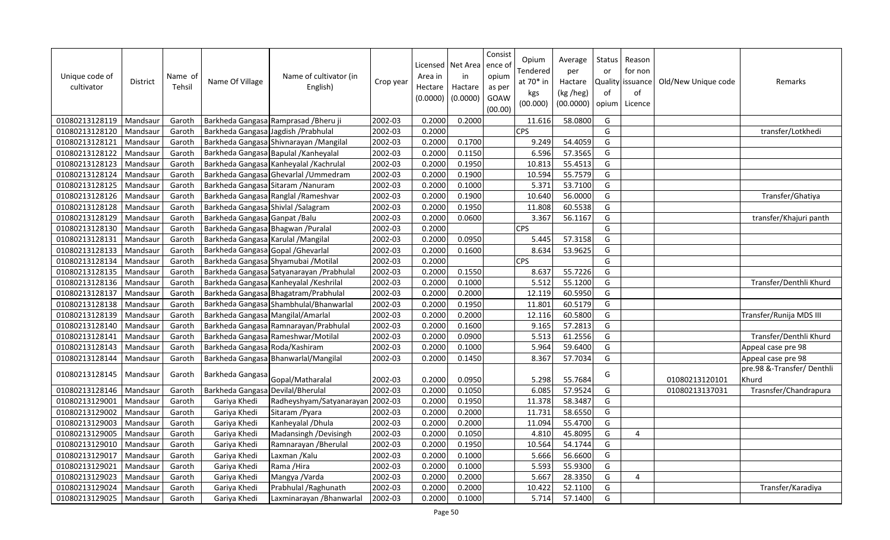| Unique code of<br>cultivator | <b>District</b> | Name of<br>Tehsil | Name Of Village                      | Name of cultivator (in<br>English)        | Crop year | Area in<br>Hectare<br>(0.0000) | Licensed   Net Area<br>in<br>Hactare<br>(0.0000) | Consist<br>ence o<br>opium<br>as per<br>GOAW<br>(00.00) | Opium<br><b>Tendered</b><br>at 70* in<br>kgs<br>(00.000) | Average<br>per<br>Hactare<br>(kg /heg)<br>(00.0000) | Status<br>or<br>Quality<br>of<br>opium | Reason<br>for non<br>lissuance<br>of<br>Licence | Old/New Unique code | Remarks                            |
|------------------------------|-----------------|-------------------|--------------------------------------|-------------------------------------------|-----------|--------------------------------|--------------------------------------------------|---------------------------------------------------------|----------------------------------------------------------|-----------------------------------------------------|----------------------------------------|-------------------------------------------------|---------------------|------------------------------------|
| 01080213128119               | Mandsaur        | Garoth            |                                      | Barkheda Gangasa Ramprasad / Bheru ji     | 2002-03   | 0.2000                         | 0.2000                                           |                                                         | 11.616                                                   | 58.0800                                             | G                                      |                                                 |                     |                                    |
| 01080213128120               | Mandsaur        | Garoth            | Barkheda Gangasa Jagdish / Prabhulal |                                           | 2002-03   | 0.2000                         |                                                  |                                                         | <b>CPS</b>                                               |                                                     | G                                      |                                                 |                     | transfer/Lotkhedi                  |
| 01080213128121               | Mandsaur        | Garoth            |                                      | Barkheda Gangasa Shivnarayan / Mangilal   | 2002-03   | 0.2000                         | 0.1700                                           |                                                         | 9.249                                                    | 54.4059                                             | G                                      |                                                 |                     |                                    |
| 01080213128122               | Mandsaur        | Garoth            |                                      | Barkheda Gangasa Bapulal / Kanheyalal     | 2002-03   | 0.2000                         | 0.1150                                           |                                                         | 6.596                                                    | 57.3565                                             | G                                      |                                                 |                     |                                    |
| 01080213128123               | Mandsaur        | Garoth            |                                      | Barkheda Gangasa Kanheyalal / Kachrulal   | 2002-03   | 0.2000                         | 0.1950                                           |                                                         | 10.813                                                   | 55.4513                                             | G                                      |                                                 |                     |                                    |
| 01080213128124               | Mandsaur        | Garoth            |                                      | Barkheda Gangasa Ghevarlal / Ummedram     | 2002-03   | 0.2000                         | 0.1900                                           |                                                         | 10.594                                                   | 55.7579                                             | G                                      |                                                 |                     |                                    |
| 01080213128125               | Mandsaur        | Garoth            | Barkheda Gangasa Sitaram / Nanuram   |                                           | 2002-03   | 0.2000                         | 0.1000                                           |                                                         | 5.371                                                    | 53.7100                                             | G                                      |                                                 |                     |                                    |
| 01080213128126               | Mandsaur        | Garoth            |                                      | Barkheda Gangasa Ranglal / Rameshvar      | 2002-03   | 0.2000                         | 0.1900                                           |                                                         | 10.640                                                   | 56.0000                                             | G                                      |                                                 |                     | Transfer/Ghatiya                   |
| 01080213128128               | Mandsaur        | Garoth            | Barkheda Gangasa Shivlal / Salagram  |                                           | 2002-03   | 0.2000                         | 0.1950                                           |                                                         | 11.808                                                   | 60.5538                                             | G                                      |                                                 |                     |                                    |
| 01080213128129               | Mandsaur        | Garoth            | Barkheda Gangasa Ganpat / Balu       |                                           | 2002-03   | 0.2000                         | 0.0600                                           |                                                         | 3.367                                                    | 56.1167                                             | G                                      |                                                 |                     | transfer/Khajuri panth             |
| 01080213128130               | Mandsaur        | Garoth            | Barkheda Gangasa Bhagwan / Puralal   |                                           | 2002-03   | 0.2000                         |                                                  |                                                         | <b>CPS</b>                                               |                                                     | G                                      |                                                 |                     |                                    |
| 01080213128131               | Mandsaur        | Garoth            | Barkheda Gangasa Karulal / Mangilal  |                                           | 2002-03   | 0.2000                         | 0.0950                                           |                                                         | 5.445                                                    | 57.3158                                             | G                                      |                                                 |                     |                                    |
| 01080213128133               | Mandsaur        | Garoth            | Barkheda Gangasa Gopal / Ghevarlal   |                                           | 2002-03   | 0.2000                         | 0.1600                                           |                                                         | 8.634                                                    | 53.9625                                             | G                                      |                                                 |                     |                                    |
| 01080213128134               | Mandsaur        | Garoth            |                                      | Barkheda Gangasa Shyamubai / Motilal      | 2002-03   | 0.2000                         |                                                  |                                                         | <b>CPS</b>                                               |                                                     | G                                      |                                                 |                     |                                    |
| 01080213128135               | Mandsaur        | Garoth            |                                      | Barkheda Gangasa Satyanarayan / Prabhulal | 2002-03   | 0.2000                         | 0.1550                                           |                                                         | 8.637                                                    | 55.7226                                             | G                                      |                                                 |                     |                                    |
| 01080213128136               | Mandsaur        | Garoth            |                                      | Barkheda Gangasa Kanheyalal / Keshrilal   | 2002-03   | 0.2000                         | 0.1000                                           |                                                         | 5.512                                                    | 55.1200                                             | G                                      |                                                 |                     | Transfer/Denthli Khurd             |
| 01080213128137               | Mandsaur        | Garoth            |                                      | Barkheda Gangasa Bhagatram/Prabhulal      | 2002-03   | 0.2000                         | 0.2000                                           |                                                         | 12.119                                                   | 60.5950                                             | G                                      |                                                 |                     |                                    |
| 01080213128138               | Mandsaur        | Garoth            |                                      | Barkheda Gangasa Shambhulal/Bhanwarlal    | 2002-03   | 0.2000                         | 0.1950                                           |                                                         | 11.801                                                   | 60.5179                                             | G                                      |                                                 |                     |                                    |
| 01080213128139               | Mandsaur        | Garoth            | Barkheda Gangasa Mangilal/Amarlal    |                                           | 2002-03   | 0.2000                         | 0.2000                                           |                                                         | 12.116                                                   | 60.5800                                             | G                                      |                                                 |                     | Transfer/Runija MDS III            |
| 01080213128140               | Mandsaur        | Garoth            |                                      | Barkheda Gangasa Ramnarayan/Prabhulal     | 2002-03   | 0.2000                         | 0.1600                                           |                                                         | 9.165                                                    | 57.2813                                             | G                                      |                                                 |                     |                                    |
| 01080213128141               | Mandsaur        | Garoth            |                                      | Barkheda Gangasa Rameshwar/Motilal        | 2002-03   | 0.2000                         | 0.0900                                           |                                                         | 5.513                                                    | 61.2556                                             | G                                      |                                                 |                     | Transfer/Denthli Khurd             |
| 01080213128143               | Mandsaur        | Garoth            | Barkheda Gangasa Roda/Kashiram       |                                           | 2002-03   | 0.2000                         | 0.1000                                           |                                                         | 5.964                                                    | 59.6400                                             | G                                      |                                                 |                     | Appeal case pre 98                 |
| 01080213128144               | Mandsaur        | Garoth            |                                      | Barkheda Gangasa Bhanwarlal/Mangilal      | 2002-03   | 0.2000                         | 0.1450                                           |                                                         | 8.367                                                    | 57.7034                                             | G                                      |                                                 |                     | Appeal case pre 98                 |
| 01080213128145               | Mandsaur        | Garoth            | Barkheda Gangasa                     | Gopal/Matharalal                          | 2002-03   | 0.2000                         | 0.0950                                           |                                                         | 5.298                                                    | 55.7684                                             | G                                      |                                                 | 01080213120101      | pre.98 &-Transfer/Denthli<br>Khurd |
| 01080213128146               | Mandsaur        | Garoth            | Barkheda Gangasa Devilal/Bherulal    |                                           | 2002-03   | 0.2000                         | 0.1050                                           |                                                         | 6.085                                                    | 57.9524                                             | G                                      |                                                 | 01080213137031      | Trasnsfer/Chandrapura              |
| 01080213129001               | Mandsaur        | Garoth            | Gariya Khedi                         | Radheyshyam/Satyanarayan                  | 2002-03   | 0.2000                         | 0.1950                                           |                                                         | 11.378                                                   | 58.3487                                             | G                                      |                                                 |                     |                                    |
| 01080213129002               | Mandsaur        | Garoth            | Gariya Khedi                         | Sitaram / Pyara                           | 2002-03   | 0.2000                         | 0.2000                                           |                                                         | 11.731                                                   | 58.6550                                             | G                                      |                                                 |                     |                                    |
| 01080213129003               | Mandsaur        | Garoth            | Gariya Khedi                         | Kanheyalal / Dhula                        | 2002-03   | 0.2000                         | 0.2000                                           |                                                         | 11.094                                                   | 55.4700                                             | G                                      |                                                 |                     |                                    |
| 01080213129005               | Mandsaur        | Garoth            | Gariya Khedi                         | Madansingh / Devisingh                    | 2002-03   | 0.2000                         | 0.1050                                           |                                                         | 4.810                                                    | 45.8095                                             | G                                      | 4                                               |                     |                                    |
| 01080213129010               | Mandsaur        | Garoth            | Gariya Khedi                         | Ramnarayan / Bherulal                     | 2002-03   | 0.2000                         | 0.1950                                           |                                                         | 10.564                                                   | 54.1744                                             | G                                      |                                                 |                     |                                    |
| 01080213129017               | Mandsaur        | Garoth            | Gariya Khedi                         | Laxman / Kalu                             | 2002-03   | 0.2000                         | 0.1000                                           |                                                         | 5.666                                                    | 56.6600                                             | G                                      |                                                 |                     |                                    |
| 01080213129021               | Mandsaur        | Garoth            | Gariya Khedi                         | Rama / Hira                               | 2002-03   | 0.2000                         | 0.1000                                           |                                                         | 5.593                                                    | 55.9300                                             | G                                      |                                                 |                     |                                    |
| 01080213129023               | Mandsaur        | Garoth            | Gariya Khedi                         | Mangya /Varda                             | 2002-03   | 0.2000                         | 0.2000                                           |                                                         | 5.667                                                    | 28.3350                                             | G                                      | 4                                               |                     |                                    |
| 01080213129024               | Mandsaur        | Garoth            | Gariya Khedi                         | Prabhulal / Raghunath                     | 2002-03   | 0.2000                         | 0.2000                                           |                                                         | 10.422                                                   | 52.1100                                             | G                                      |                                                 |                     | Transfer/Karadiya                  |
| 01080213129025               | Mandsaur        | Garoth            | Gariya Khedi                         | Laxminarayan / Bhanwarlal                 | 2002-03   | 0.2000                         | 0.1000                                           |                                                         | 5.714                                                    | 57.1400                                             | G                                      |                                                 |                     |                                    |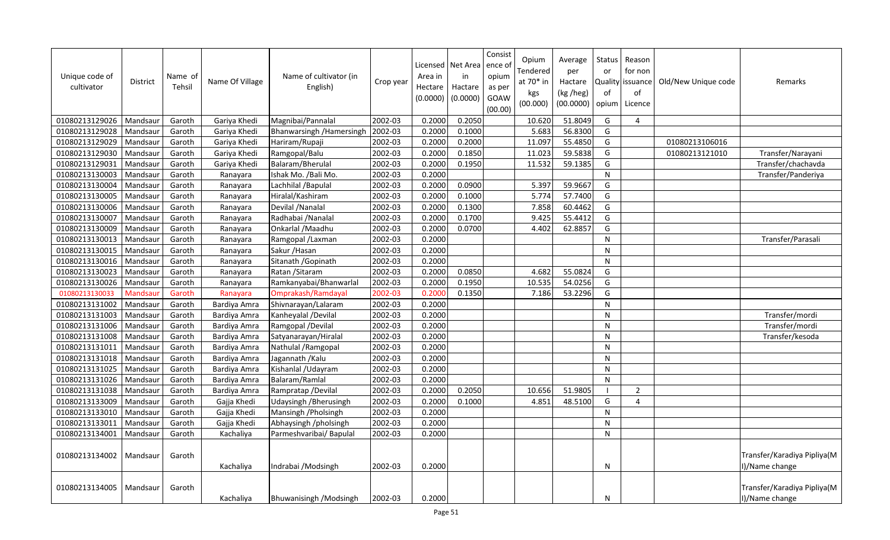| Unique code of<br>cultivator | <b>District</b> | Name of<br>Tehsil | Name Of Village | Name of cultivator (in<br>English) | Crop year | Area in<br>Hectare<br>(0.0000) | Licensed   Net Area<br>in<br>Hactare<br>(0.0000) | Consist<br>ence o<br>opium<br>as per<br>GOAW<br>(00.00) | Opium<br>Fendered<br>at 70* in<br>kgs<br>(00.000) | Average<br>per<br>Hactare<br>(kg /heg)<br>(00.0000) | Status<br>or<br>οf<br>opium | Reason<br>for non<br>Quality issuance<br>of<br>Licence | Old/New Unique code | Remarks                                       |
|------------------------------|-----------------|-------------------|-----------------|------------------------------------|-----------|--------------------------------|--------------------------------------------------|---------------------------------------------------------|---------------------------------------------------|-----------------------------------------------------|-----------------------------|--------------------------------------------------------|---------------------|-----------------------------------------------|
| 01080213129026               | Mandsaur        | Garoth            | Gariya Khedi    | Magnibai/Pannalal                  | 2002-03   | 0.2000                         | 0.2050                                           |                                                         | 10.620                                            | 51.8049                                             | G                           | 4                                                      |                     |                                               |
| 01080213129028               | Mandsaur        | Garoth            | Gariya Khedi    | Bhanwarsingh / Hamersingh          | 2002-03   | 0.2000                         | 0.1000                                           |                                                         | 5.683                                             | 56.8300                                             | G                           |                                                        |                     |                                               |
| 01080213129029               | Mandsaur        | Garoth            | Gariya Khedi    | Hariram/Rupaji                     | 2002-03   | 0.2000                         | 0.2000                                           |                                                         | 11.097                                            | 55.4850                                             | G                           |                                                        | 01080213106016      |                                               |
| 01080213129030               | Mandsaur        | Garoth            | Gariya Khedi    | Ramgopal/Balu                      | 2002-03   | 0.2000                         | 0.1850                                           |                                                         | 11.023                                            | 59.5838                                             | G                           |                                                        | 01080213121010      | Transfer/Narayani                             |
| 01080213129031               | Mandsaur        | Garoth            | Gariya Khedi    | Balaram/Bherulal                   | 2002-03   | 0.2000                         | 0.1950                                           |                                                         | 11.532                                            | 59.1385                                             | G                           |                                                        |                     | Transfer/chachavda                            |
| 01080213130003               | Mandsaur        | Garoth            | Ranayara        | Ishak Mo. / Bali Mo.               | 2002-03   | 0.2000                         |                                                  |                                                         |                                                   |                                                     | N                           |                                                        |                     | Transfer/Panderiya                            |
| 01080213130004               | Mandsaur        | Garoth            | Ranayara        | Lachhilal / Bapulal                | 2002-03   | 0.2000                         | 0.0900                                           |                                                         | 5.397                                             | 59.9667                                             | G                           |                                                        |                     |                                               |
| 01080213130005               | Mandsaur        | Garoth            | Ranayara        | Hiralal/Kashiram                   | 2002-03   | 0.2000                         | 0.1000                                           |                                                         | 5.774                                             | 57.7400                                             | G                           |                                                        |                     |                                               |
| 01080213130006               | Mandsaur        | Garoth            | Ranayara        | Devilal / Nanalal                  | 2002-03   | 0.2000                         | 0.1300                                           |                                                         | 7.858                                             | 60.4462                                             | G                           |                                                        |                     |                                               |
| 01080213130007               | Mandsaur        | Garoth            | Ranayara        | Radhabai / Nanalal                 | 2002-03   | 0.2000                         | 0.1700                                           |                                                         | 9.425                                             | 55.4412                                             | G                           |                                                        |                     |                                               |
| 01080213130009               | Mandsaur        | Garoth            | Ranayara        | Onkarlal / Maadhu                  | 2002-03   | 0.2000                         | 0.0700                                           |                                                         | 4.402                                             | 62.8857                                             | G                           |                                                        |                     |                                               |
| 01080213130013               | Mandsaur        | Garoth            | Ranayara        | Ramgopal /Laxman                   | 2002-03   | 0.2000                         |                                                  |                                                         |                                                   |                                                     | N                           |                                                        |                     | Transfer/Parasali                             |
| 01080213130015               | Mandsaur        | Garoth            | Ranayara        | Sakur / Hasan                      | 2002-03   | 0.2000                         |                                                  |                                                         |                                                   |                                                     | N                           |                                                        |                     |                                               |
| 01080213130016               | Mandsaur        | Garoth            | Ranayara        | Sitanath / Gopinath                | 2002-03   | 0.2000                         |                                                  |                                                         |                                                   |                                                     | N                           |                                                        |                     |                                               |
| 01080213130023               | Mandsaur        | Garoth            | Ranayara        | Ratan / Sitaram                    | 2002-03   | 0.2000                         | 0.0850                                           |                                                         | 4.682                                             | 55.0824                                             | G                           |                                                        |                     |                                               |
| 01080213130026               | Mandsaur        | Garoth            | Ranayara        | Ramkanyabai/Bhanwarlal             | 2002-03   | 0.2000                         | 0.1950                                           |                                                         | 10.535                                            | 54.0256                                             | G                           |                                                        |                     |                                               |
| 01080213130033               | Mandsau         | Garoth            | Ranayara        | Omprakash/Ramdayal                 | 2002-03   | 0.2000                         | 0.1350                                           |                                                         | 7.186                                             | 53.2296                                             | G                           |                                                        |                     |                                               |
| 01080213131002               | Mandsaur        | Garoth            | Bardiya Amra    | Shivnarayan/Lalaram                | 2002-03   | 0.2000                         |                                                  |                                                         |                                                   |                                                     | N                           |                                                        |                     |                                               |
| 01080213131003               | Mandsaur        | Garoth            | Bardiya Amra    | Kanheyalal /Devilal                | 2002-03   | 0.2000                         |                                                  |                                                         |                                                   |                                                     | N                           |                                                        |                     | Transfer/mordi                                |
| 01080213131006               | Mandsaur        | Garoth            | Bardiya Amra    | Ramgopal /Devilal                  | 2002-03   | 0.2000                         |                                                  |                                                         |                                                   |                                                     | N                           |                                                        |                     | Transfer/mordi                                |
| 01080213131008               | Mandsaur        | Garoth            | Bardiya Amra    | Satyanarayan/Hiralal               | 2002-03   | 0.2000                         |                                                  |                                                         |                                                   |                                                     | N                           |                                                        |                     | Transfer/kesoda                               |
| 01080213131011               | Mandsaur        | Garoth            | Bardiya Amra    | Nathulal / Ramgopal                | 2002-03   | 0.2000                         |                                                  |                                                         |                                                   |                                                     | N                           |                                                        |                     |                                               |
| 01080213131018               | Mandsaur        | Garoth            | Bardiya Amra    | Jagannath / Kalu                   | 2002-03   | 0.2000                         |                                                  |                                                         |                                                   |                                                     | N                           |                                                        |                     |                                               |
| 01080213131025               | Mandsaur        | Garoth            | Bardiya Amra    | Kishanlal / Udayram                | 2002-03   | 0.2000                         |                                                  |                                                         |                                                   |                                                     | N                           |                                                        |                     |                                               |
| 01080213131026               | Mandsaur        | Garoth            | Bardiya Amra    | Balaram/Ramlal                     | 2002-03   | 0.2000                         |                                                  |                                                         |                                                   |                                                     | N                           |                                                        |                     |                                               |
| 01080213131038               | Mandsaur        | Garoth            | Bardiya Amra    | Rampratap / Devilal                | 2002-03   | 0.2000                         | 0.2050                                           |                                                         | 10.656                                            | 51.9805                                             | - 1                         | $\overline{2}$                                         |                     |                                               |
| 01080213133009               | Mandsaur        | Garoth            | Gajja Khedi     | Udaysingh / Bherusingh             | 2002-03   | 0.2000                         | 0.1000                                           |                                                         | 4.851                                             | 48.5100                                             | G                           | 4                                                      |                     |                                               |
| 01080213133010               | Mandsaur        | Garoth            | Gajja Khedi     | Mansingh / Pholsingh               | 2002-03   | 0.2000                         |                                                  |                                                         |                                                   |                                                     | ${\sf N}$                   |                                                        |                     |                                               |
| 01080213133011               | Mandsaur        | Garoth            | Gajja Khedi     | Abhaysingh /pholsingh              | 2002-03   | 0.2000                         |                                                  |                                                         |                                                   |                                                     | N                           |                                                        |                     |                                               |
| 01080213134001               | Mandsaur        | Garoth            | Kachaliya       | Parmeshvaribai/ Bapulal            | 2002-03   | 0.2000                         |                                                  |                                                         |                                                   |                                                     | N                           |                                                        |                     |                                               |
| 01080213134002               | Mandsaur        | Garoth            | Kachaliya       | Indrabai / Modsingh                | 2002-03   | 0.2000                         |                                                  |                                                         |                                                   |                                                     | N                           |                                                        |                     | Transfer/Karadiya Pipliya(M<br>I)/Name change |
| 01080213134005               | Mandsaur        | Garoth            | Kachaliya       | Bhuwanisingh / Modsingh            | 2002-03   | 0.2000                         |                                                  |                                                         |                                                   |                                                     | N                           |                                                        |                     | Transfer/Karadiya Pipliya(M<br>I)/Name change |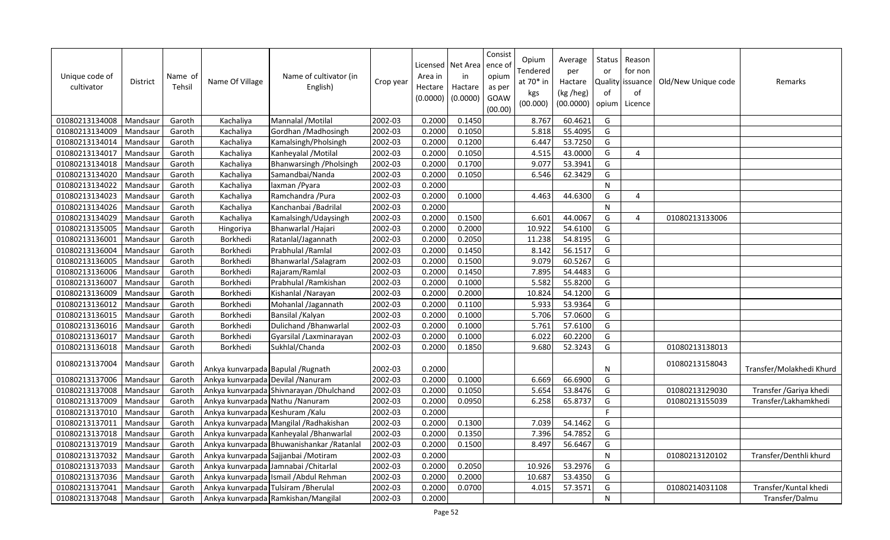| Unique code of<br>cultivator | <b>District</b> | Name of<br>Tehsil | Name Of Village                    | Name of cultivator (in<br>English)         | Crop year | Area in<br>Hectare<br>(0.0000) | Licensed Net Area<br>in<br>Hactare<br>(0.0000) | Consist<br>ence o<br>opium<br>as per<br>GOAW<br>(00.00) | Opium<br>Tendered<br>at $70*$ in<br>kgs<br>(00.000) | Average<br>per<br>Hactare<br>(kg /heg)<br>(00.0000) | Status<br>or<br>of<br>opium | Reason<br>for non<br>Quality issuance<br>of<br>Licence | Old/New Unique code | Remarks                  |
|------------------------------|-----------------|-------------------|------------------------------------|--------------------------------------------|-----------|--------------------------------|------------------------------------------------|---------------------------------------------------------|-----------------------------------------------------|-----------------------------------------------------|-----------------------------|--------------------------------------------------------|---------------------|--------------------------|
| 01080213134008               | Mandsaur        | Garoth            | Kachaliya                          | Mannalal / Motilal                         | 2002-03   | 0.2000                         | 0.1450                                         |                                                         | 8.767                                               | 60.4621                                             | G                           |                                                        |                     |                          |
| 01080213134009               | Mandsaur        | Garoth            | Kachaliya                          | Gordhan / Madhosingh                       | 2002-03   | 0.2000                         | 0.1050                                         |                                                         | 5.818                                               | 55.4095                                             | G                           |                                                        |                     |                          |
| 01080213134014               | Mandsaur        | Garoth            | Kachaliya                          | Kamalsingh/Pholsingh                       | 2002-03   | 0.2000                         | 0.1200                                         |                                                         | 6.447                                               | 53.7250                                             | G                           |                                                        |                     |                          |
| 01080213134017               | Mandsaur        | Garoth            | Kachaliya                          | Kanheyalal / Motilal                       | 2002-03   | 0.2000                         | 0.1050                                         |                                                         | 4.515                                               | 43.0000                                             | G                           | 4                                                      |                     |                          |
| 01080213134018               | Mandsaur        | Garoth            | Kachaliya                          | Bhanwarsingh / Pholsingh                   | 2002-03   | 0.2000                         | 0.1700                                         |                                                         | 9.077                                               | 53.3941                                             | G                           |                                                        |                     |                          |
| 01080213134020               | Mandsaur        | Garoth            | Kachaliya                          | Samandbai/Nanda                            | 2002-03   | 0.2000                         | 0.1050                                         |                                                         | 6.546                                               | 62.3429                                             | G                           |                                                        |                     |                          |
| 01080213134022               | Mandsaur        | Garoth            | Kachaliya                          | laxman / Pyara                             | 2002-03   | 0.2000                         |                                                |                                                         |                                                     |                                                     | N                           |                                                        |                     |                          |
| 01080213134023               | Mandsaur        | Garoth            | Kachaliya                          | Ramchandra / Pura                          | 2002-03   | 0.2000                         | 0.1000                                         |                                                         | 4.463                                               | 44.6300                                             | G                           | 4                                                      |                     |                          |
| 01080213134026               | Mandsaur        | Garoth            | Kachaliya                          | Kanchanbai / Badrilal                      | 2002-03   | 0.2000                         |                                                |                                                         |                                                     |                                                     | N                           |                                                        |                     |                          |
| 01080213134029               | Mandsaur        | Garoth            | Kachaliya                          | Kamalsingh/Udaysingh                       | 2002-03   | 0.2000                         | 0.1500                                         |                                                         | 6.601                                               | 44.0067                                             | G                           | 4                                                      | 01080213133006      |                          |
| 01080213135005               | Mandsaur        | Garoth            | Hingoriya                          | Bhanwarlal / Hajari                        | 2002-03   | 0.2000                         | 0.2000                                         |                                                         | 10.922                                              | 54.6100                                             | G                           |                                                        |                     |                          |
| 01080213136001               | Mandsaur        | Garoth            | Borkhedi                           | Ratanlal/Jagannath                         | 2002-03   | 0.2000                         | 0.2050                                         |                                                         | 11.238                                              | 54.8195                                             | G                           |                                                        |                     |                          |
| 01080213136004               | Mandsaur        | Garoth            | Borkhedi                           | Prabhulal / Ramlal                         | 2002-03   | 0.2000                         | 0.1450                                         |                                                         | 8.142                                               | 56.1517                                             | G                           |                                                        |                     |                          |
| 01080213136005               | Mandsaur        | Garoth            | Borkhedi                           | Bhanwarlal / Salagram                      | 2002-03   | 0.2000                         | 0.1500                                         |                                                         | 9.079                                               | 60.5267                                             | G                           |                                                        |                     |                          |
| 01080213136006               | Mandsaur        | Garoth            | Borkhedi                           | Rajaram/Ramlal                             | 2002-03   | 0.2000                         | 0.1450                                         |                                                         | 7.895                                               | 54.4483                                             | G                           |                                                        |                     |                          |
| 01080213136007               | Mandsaur        | Garoth            | Borkhedi                           | Prabhulal / Ramkishan                      | 2002-03   | 0.2000                         | 0.1000                                         |                                                         | 5.582                                               | 55.8200                                             | G                           |                                                        |                     |                          |
| 01080213136009               | Mandsaur        | Garoth            | Borkhedi                           | Kishanlal / Narayan                        | 2002-03   | 0.2000                         | 0.2000                                         |                                                         | 10.824                                              | 54.1200                                             | G                           |                                                        |                     |                          |
| 01080213136012               | Mandsaur        | Garoth            | Borkhedi                           | Mohanlal /Jagannath                        | 2002-03   | 0.2000                         | 0.1100                                         |                                                         | 5.933                                               | 53.9364                                             | G                           |                                                        |                     |                          |
| 01080213136015               | Mandsaur        | Garoth            | Borkhedi                           | Bansilal / Kalyan                          | 2002-03   | 0.2000                         | 0.1000                                         |                                                         | 5.706                                               | 57.0600                                             | G                           |                                                        |                     |                          |
| 01080213136016               | Mandsaur        | Garoth            | Borkhedi                           | Dulichand / Bhanwarlal                     | 2002-03   | 0.2000                         | 0.1000                                         |                                                         | 5.761                                               | 57.6100                                             | G                           |                                                        |                     |                          |
| 01080213136017               | Mandsaur        | Garoth            | Borkhedi                           | Gyarsilal /Laxminarayan                    | 2002-03   | 0.2000                         | 0.1000                                         |                                                         | 6.022                                               | 60.2200                                             | G                           |                                                        |                     |                          |
| 01080213136018               | Mandsaur        | Garoth            | Borkhedi                           | Sukhlal/Chanda                             | 2002-03   | 0.2000                         | 0.1850                                         |                                                         | 9.680                                               | 52.3243                                             | G                           |                                                        | 01080213138013      |                          |
| 01080213137004               | Mandsaur        | Garoth            | Ankya kunvarpada Bapulal / Rugnath |                                            | 2002-03   | 0.2000                         |                                                |                                                         |                                                     |                                                     | N                           |                                                        | 01080213158043      | Transfer/Molakhedi Khurd |
| 01080213137006               | Mandsaur        | Garoth            | Ankya kunvarpada Devilal / Nanuram |                                            | 2002-03   | 0.2000                         | 0.1000                                         |                                                         | 6.669                                               | 66.6900                                             | G                           |                                                        |                     |                          |
| 01080213137008               | Mandsaur        | Garoth            |                                    | Ankya kunvarpada Shivnarayan / Dhulchand   | 2002-03   | 0.2000                         | 0.1050                                         |                                                         | 5.654                                               | 53.8476                                             | G                           |                                                        | 01080213129030      | Transfer / Gariya khedi  |
| 01080213137009               | Mandsaur        | Garoth            | Ankya kunvarpada Nathu / Nanuram   |                                            | 2002-03   | 0.2000                         | 0.0950                                         |                                                         | 6.258                                               | 65.8737                                             | G                           |                                                        | 01080213155039      | Transfer/Lakhamkhedi     |
| 01080213137010               | Mandsaur        | Garoth            | Ankya kunvarpada Keshuram /Kalu    |                                            | 2002-03   | 0.2000                         |                                                |                                                         |                                                     |                                                     | $\mathsf F$                 |                                                        |                     |                          |
| 01080213137011               | Mandsaur        | Garoth            |                                    | Ankya kunvarpada Mangilal / Radhakishan    | 2002-03   | 0.2000                         | 0.1300                                         |                                                         | 7.039                                               | 54.1462                                             | G                           |                                                        |                     |                          |
| 01080213137018               | Mandsaur        | Garoth            |                                    | Ankya kunvarpada Kanheyalal / Bhanwarlal   | 2002-03   | 0.2000                         | 0.1350                                         |                                                         | 7.396                                               | 54.7852                                             | G                           |                                                        |                     |                          |
| 01080213137019               | Mandsaur        | Garoth            |                                    | Ankya kunvarpada Bhuwanishankar / Ratanlal | 2002-03   | 0.2000                         | 0.1500                                         |                                                         | 8.497                                               | 56.6467                                             | G                           |                                                        |                     |                          |
| 01080213137032               | Mandsaur        | Garoth            |                                    | Ankya kunvarpada Sajjanbai / Motiram       | 2002-03   | 0.2000                         |                                                |                                                         |                                                     |                                                     | $\mathsf{N}$                |                                                        | 01080213120102      | Transfer/Denthli khurd   |
| 01080213137033               | Mandsaur        | Garoth            |                                    | Ankya kunvarpada Jamnabai / Chitarlal      | 2002-03   | 0.2000                         | 0.2050                                         |                                                         | 10.926                                              | 53.2976                                             | G                           |                                                        |                     |                          |
| 01080213137036               | Mandsaur        | Garoth            |                                    | Ankya kunvarpada Ismail / Abdul Rehman     | 2002-03   | 0.2000                         | 0.2000                                         |                                                         | 10.687                                              | 53.4350                                             | G                           |                                                        |                     |                          |
| 01080213137041               | Mandsaur        | Garoth            |                                    | Ankya kunvarpada Tulsiram / Bherulal       | 2002-03   | 0.2000                         | 0.0700                                         |                                                         | 4.015                                               | 57.3571                                             | G                           |                                                        | 01080214031108      | Transfer/Kuntal khedi    |
| 01080213137048               | Mandsaur        | Garoth            |                                    | Ankya kunvarpada Ramkishan/Mangilal        | 2002-03   | 0.2000                         |                                                |                                                         |                                                     |                                                     | ${\sf N}$                   |                                                        |                     | Transfer/Dalmu           |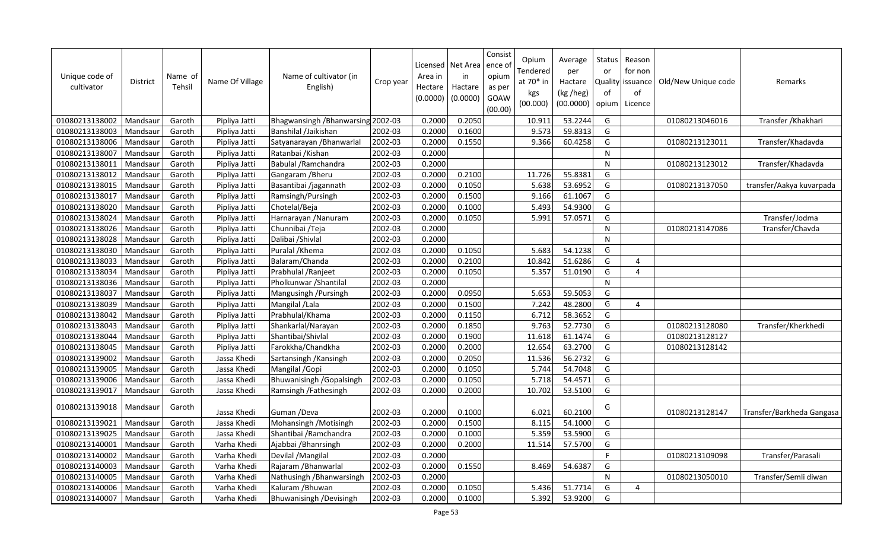| Unique code of<br>cultivator | <b>District</b> | Name of<br>Tehsil | Name Of Village | Name of cultivator (in<br>English) | Crop year | Area in<br>Hectare<br>(0.0000) | Licensed   Net Area  <br>in<br>Hactare<br>(0.0000) | Consist<br>ence o<br>opium<br>as per<br>GOAW<br>(00.00) | Opium<br>Tendered<br>at 70* in<br>kgs<br>(00.000) | Average<br>per<br>Hactare<br>(kg /heg)<br>(00.0000) | Status<br>or<br>of<br>opium | Reason<br>for non<br>Quality issuance<br>of<br>Licence | Old/New Unique code | Remarks                   |
|------------------------------|-----------------|-------------------|-----------------|------------------------------------|-----------|--------------------------------|----------------------------------------------------|---------------------------------------------------------|---------------------------------------------------|-----------------------------------------------------|-----------------------------|--------------------------------------------------------|---------------------|---------------------------|
| 01080213138002               | Mandsaur        | Garoth            | Pipliya Jatti   | Bhagwansingh / Bhanwarsing 2002-03 |           | 0.2000                         | 0.2050                                             |                                                         | 10.911                                            | 53.2244                                             | G                           |                                                        | 01080213046016      | Transfer / Khakhari       |
| 01080213138003               | Mandsaur        | Garoth            | Pipliya Jatti   | Banshilal /Jaikishan               | 2002-03   | 0.2000                         | 0.1600                                             |                                                         | 9.573                                             | 59.8313                                             | G                           |                                                        |                     |                           |
| 01080213138006               | Mandsaur        | Garoth            | Pipliya Jatti   | Satyanarayan / Bhanwarlal          | 2002-03   | 0.2000                         | 0.1550                                             |                                                         | 9.366                                             | 60.4258                                             | G                           |                                                        | 01080213123011      | Transfer/Khadavda         |
| 01080213138007               | Mandsaur        | Garoth            | Pipliya Jatti   | Ratanbai / Kishan                  | 2002-03   | 0.2000                         |                                                    |                                                         |                                                   |                                                     | N                           |                                                        |                     |                           |
| 01080213138011               | Mandsaur        | Garoth            | Pipliya Jatti   | Babulal / Ramchandra               | 2002-03   | 0.2000                         |                                                    |                                                         |                                                   |                                                     | $\mathsf{N}$                |                                                        | 01080213123012      | Transfer/Khadavda         |
| 01080213138012               | Mandsaur        | Garoth            | Pipliya Jatti   | Gangaram / Bheru                   | 2002-03   | 0.2000                         | 0.2100                                             |                                                         | 11.726                                            | 55.8381                                             | G                           |                                                        |                     |                           |
| 01080213138015               | Mandsaur        | Garoth            | Pipliya Jatti   | Basantibai /jagannath              | 2002-03   | 0.2000                         | 0.1050                                             |                                                         | 5.638                                             | 53.6952                                             | G                           |                                                        | 01080213137050      | transfer/Aakya kuvarpada  |
| 01080213138017               | Mandsaur        | Garoth            | Pipliya Jatti   | Ramsingh/Pursingh                  | 2002-03   | 0.2000                         | 0.1500                                             |                                                         | 9.166                                             | 61.1067                                             | G                           |                                                        |                     |                           |
| 01080213138020               | Mandsaur        | Garoth            | Pipliya Jatti   | Chotelal/Beja                      | 2002-03   | 0.2000                         | 0.1000                                             |                                                         | 5.493                                             | 54.9300                                             | G                           |                                                        |                     |                           |
| 01080213138024               | Mandsaur        | Garoth            | Pipliya Jatti   | Harnarayan / Nanuram               | 2002-03   | 0.2000                         | 0.1050                                             |                                                         | 5.991                                             | 57.0571                                             | G                           |                                                        |                     | Transfer/Jodma            |
| 01080213138026               | Mandsaur        | Garoth            | Pipliya Jatti   | Chunnibai / Teja                   | 2002-03   | 0.2000                         |                                                    |                                                         |                                                   |                                                     | $\mathsf{N}$                |                                                        | 01080213147086      | Transfer/Chavda           |
| 01080213138028               | Mandsaur        | Garoth            | Pipliya Jatti   | Dalibai / Shivlal                  | 2002-03   | 0.2000                         |                                                    |                                                         |                                                   |                                                     | $\mathsf{N}$                |                                                        |                     |                           |
| 01080213138030               | Mandsaur        | Garoth            | Pipliya Jatti   | Puralal / Khema                    | 2002-03   | 0.2000                         | 0.1050                                             |                                                         | 5.683                                             | 54.1238                                             | G                           |                                                        |                     |                           |
| 01080213138033               | Mandsaur        | Garoth            | Pipliya Jatti   | Balaram/Chanda                     | 2002-03   | 0.2000                         | 0.2100                                             |                                                         | 10.842                                            | 51.6286                                             | G                           | 4                                                      |                     |                           |
| 01080213138034               | Mandsaur        | Garoth            | Pipliya Jatti   | Prabhulal / Ranjeet                | 2002-03   | 0.2000                         | 0.1050                                             |                                                         | 5.357                                             | 51.0190                                             | G                           | $\overline{4}$                                         |                     |                           |
| 01080213138036               | Mandsaur        | Garoth            | Pipliya Jatti   | Pholkunwar / Shantilal             | 2002-03   | 0.2000                         |                                                    |                                                         |                                                   |                                                     | $\mathsf{N}$                |                                                        |                     |                           |
| 01080213138037               | Mandsaur        | Garoth            | Pipliya Jatti   | Mangusingh / Pursingh              | 2002-03   | 0.2000                         | 0.0950                                             |                                                         | 5.653                                             | 59.5053                                             | G                           |                                                        |                     |                           |
| 01080213138039               | Mandsaur        | Garoth            | Pipliya Jatti   | Mangilal /Lala                     | 2002-03   | 0.2000                         | 0.1500                                             |                                                         | 7.242                                             | 48.2800                                             | G                           | 4                                                      |                     |                           |
| 01080213138042               | Mandsaur        | Garoth            | Pipliya Jatti   | Prabhulal/Khama                    | 2002-03   | 0.2000                         | 0.1150                                             |                                                         | 6.712                                             | 58.3652                                             | G                           |                                                        |                     |                           |
| 01080213138043               | Mandsaur        | Garoth            | Pipliya Jatti   | Shankarlal/Narayan                 | 2002-03   | 0.2000                         | 0.1850                                             |                                                         | 9.763                                             | 52.7730                                             | G                           |                                                        | 01080213128080      | Transfer/Kherkhedi        |
| 01080213138044               | Mandsaur        | Garoth            | Pipliya Jatti   | Shantibai/Shivlal                  | 2002-03   | 0.2000                         | 0.1900                                             |                                                         | 11.618                                            | 61.1474                                             | G                           |                                                        | 01080213128127      |                           |
| 01080213138045               | Mandsaur        | Garoth            | Pipliya Jatti   | Farokkha/Chandkha                  | 2002-03   | 0.2000                         | 0.2000                                             |                                                         | 12.654                                            | 63.2700                                             | G                           |                                                        | 01080213128142      |                           |
| 01080213139002               | Mandsaur        | Garoth            | Jassa Khedi     | Sartansingh / Kansingh             | 2002-03   | 0.2000                         | 0.2050                                             |                                                         | 11.536                                            | 56.2732                                             | G                           |                                                        |                     |                           |
| 01080213139005               | Mandsaur        | Garoth            | Jassa Khedi     | Mangilal / Gopi                    | 2002-03   | 0.2000                         | 0.1050                                             |                                                         | 5.744                                             | 54.7048                                             | G                           |                                                        |                     |                           |
| 01080213139006               | Mandsaur        | Garoth            | Jassa Khedi     | Bhuwanisingh / Gopalsingh          | 2002-03   | 0.2000                         | 0.1050                                             |                                                         | 5.718                                             | 54.4571                                             | G                           |                                                        |                     |                           |
| 01080213139017               | Mandsaur        | Garoth            | Jassa Khedi     | Ramsingh / Fathesingh              | 2002-03   | 0.2000                         | 0.2000                                             |                                                         | 10.702                                            | 53.5100                                             | G                           |                                                        |                     |                           |
| 01080213139018               | Mandsaur        | Garoth            | Jassa Khedi     | Guman /Deva                        | 2002-03   | 0.2000                         | 0.1000                                             |                                                         | 6.021                                             | 60.2100                                             | G                           |                                                        | 01080213128147      | Transfer/Barkheda Gangasa |
| 01080213139021               | Mandsaur        | Garoth            | Jassa Khedi     | Mohansingh / Motisingh             | 2002-03   | 0.2000                         | 0.1500                                             |                                                         | 8.115                                             | 54.1000                                             | G                           |                                                        |                     |                           |
| 01080213139025               | Mandsaur        | Garoth            | Jassa Khedi     | Shantibai / Ramchandra             | 2002-03   | 0.2000                         | 0.1000                                             |                                                         | 5.359                                             | 53.5900                                             | G                           |                                                        |                     |                           |
| 01080213140001               | Mandsaur        | Garoth            | Varha Khedi     | Ajabbai / Bhanrsingh               | 2002-03   | 0.2000                         | 0.2000                                             |                                                         | 11.514                                            | 57.5700                                             | G                           |                                                        |                     |                           |
| 01080213140002               | Mandsaur        | Garoth            | Varha Khedi     | Devilal / Mangilal                 | 2002-03   | 0.2000                         |                                                    |                                                         |                                                   |                                                     | F                           |                                                        | 01080213109098      | Transfer/Parasali         |
| 01080213140003               | Mandsaur        | Garoth            | Varha Khedi     | Rajaram / Bhanwarlal               | 2002-03   | 0.2000                         | 0.1550                                             |                                                         | 8.469                                             | 54.6387                                             | G                           |                                                        |                     |                           |
| 01080213140005               | Mandsaur        | Garoth            | Varha Khedi     | Nathusingh / Bhanwarsingh          | 2002-03   | 0.2000                         |                                                    |                                                         |                                                   |                                                     | $\mathsf{N}$                |                                                        | 01080213050010      | Transfer/Semli diwan      |
| 01080213140006               | Mandsaur        | Garoth            | Varha Khedi     | Kaluram / Bhuwan                   | 2002-03   | 0.2000                         | 0.1050                                             |                                                         | 5.436                                             | 51.7714                                             | G                           | 4                                                      |                     |                           |
| 01080213140007               | Mandsaur        | Garoth            | Varha Khedi     | Bhuwanisingh /Devisingh            | 2002-03   | 0.2000                         | 0.1000                                             |                                                         | 5.392                                             | 53.9200                                             | G                           |                                                        |                     |                           |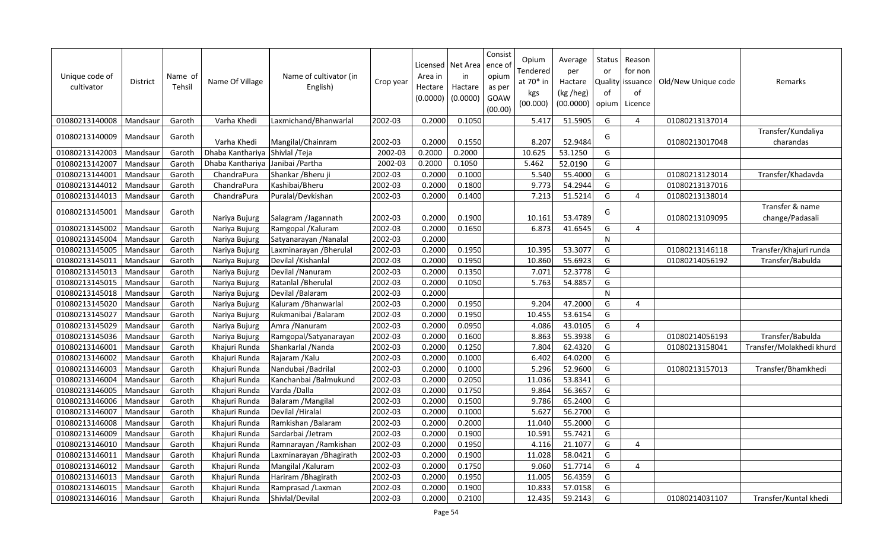| Unique code of<br>cultivator | <b>District</b> | Name of<br>Tehsil | Name Of Village  | Name of cultivator (in<br>English) | Crop year | Area in<br>Hectare<br>(0.0000) | Licensed   Net Area<br>in<br>Hactare<br>(0.0000) | Consist<br>ence o<br>opium<br>as per<br><b>GOAW</b><br>(00.00) | Opium<br><b>Tendered</b><br>at 70* in<br>kgs<br>(00.000) | Average<br>per<br>Hactare<br>(kg /heg)<br>(00.0000) | Status<br>or<br>Quality<br>of<br>opium | Reason<br>for non<br>issuance<br>of<br>Licence | Old/New Unique code | Remarks                            |
|------------------------------|-----------------|-------------------|------------------|------------------------------------|-----------|--------------------------------|--------------------------------------------------|----------------------------------------------------------------|----------------------------------------------------------|-----------------------------------------------------|----------------------------------------|------------------------------------------------|---------------------|------------------------------------|
| 01080213140008               | Mandsaur        | Garoth            | Varha Khedi      | Laxmichand/Bhanwarlal              | 2002-03   | 0.2000                         | 0.1050                                           |                                                                | 5.417                                                    | 51.5905                                             | G                                      | 4                                              | 01080213137014      |                                    |
| 01080213140009               | Mandsaur        | Garoth            | Varha Khedi      | Mangilal/Chainram                  | 2002-03   | 0.2000                         | 0.1550                                           |                                                                | 8.207                                                    | 52.9484                                             | G                                      |                                                | 01080213017048      | Transfer/Kundaliya<br>charandas    |
| 01080213142003               | Mandsaur        | Garoth            | Dhaba Kanthariya | Shivlal / Teja                     | 2002-03   | 0.2000                         | 0.2000                                           |                                                                | 10.625                                                   | 53.1250                                             | G                                      |                                                |                     |                                    |
| 01080213142007               | Mandsaur        | Garoth            | Dhaba Kanthariya | Janibai / Partha                   | 2002-03   | 0.2000                         | 0.1050                                           |                                                                | 5.462                                                    | 52.0190                                             | G                                      |                                                |                     |                                    |
| 01080213144001               | Mandsaur        | Garoth            | ChandraPura      | Shankar / Bheru ji                 | 2002-03   | 0.2000                         | 0.1000                                           |                                                                | 5.540                                                    | 55.4000                                             | G                                      |                                                | 01080213123014      | Transfer/Khadavda                  |
| 01080213144012               | Mandsaur        | Garoth            | ChandraPura      | Kashibai/Bheru                     | 2002-03   | 0.2000                         | 0.1800                                           |                                                                | 9.773                                                    | 54.2944                                             | G                                      |                                                | 01080213137016      |                                    |
| 01080213144013               | Mandsaur        | Garoth            | ChandraPura      | Puralal/Devkishan                  | 2002-03   | 0.2000                         | 0.1400                                           |                                                                | 7.213                                                    | 51.5214                                             | G                                      | 4                                              | 01080213138014      |                                    |
| 01080213145001               | Mandsaur        | Garoth            | Nariya Bujurg    | Salagram /Jagannath                | 2002-03   | 0.2000                         | 0.1900                                           |                                                                | 10.161                                                   | 53.4789                                             | G                                      |                                                | 01080213109095      | Transfer & name<br>change/Padasali |
| 01080213145002               | Mandsaur        | Garoth            | Nariya Bujurg    | Ramgopal / Kaluram                 | 2002-03   | 0.2000                         | 0.1650                                           |                                                                | 6.873                                                    | 41.6545                                             | G                                      | 4                                              |                     |                                    |
| 01080213145004               | Mandsaur        | Garoth            | Nariya Bujurg    | Satyanarayan / Nanalal             | 2002-03   | 0.2000                         |                                                  |                                                                |                                                          |                                                     | $\mathsf{N}$                           |                                                |                     |                                    |
| 01080213145005               | Mandsaur        | Garoth            | Nariya Bujurg    | Laxminarayan / Bherulal            | 2002-03   | 0.2000                         | 0.1950                                           |                                                                | 10.395                                                   | 53.3077                                             | G                                      |                                                | 01080213146118      | Transfer/Khajuri runda             |
| 01080213145011               | Mandsaur        | Garoth            | Nariya Bujurg    | Devilal / Kishanlal                | 2002-03   | 0.2000                         | 0.1950                                           |                                                                | 10.860                                                   | 55.6923                                             | G                                      |                                                | 01080214056192      | Transfer/Babulda                   |
| 01080213145013               | Mandsaur        | Garoth            | Nariya Bujurg    | Devilal / Nanuram                  | 2002-03   | 0.2000                         | 0.1350                                           |                                                                | 7.071                                                    | 52.3778                                             | G                                      |                                                |                     |                                    |
| 01080213145015               | Mandsaur        | Garoth            | Nariya Bujurg    | Ratanlal / Bherulal                | 2002-03   | 0.2000                         | 0.1050                                           |                                                                | 5.763                                                    | 54.8857                                             | G                                      |                                                |                     |                                    |
| 01080213145018               | Mandsaur        | Garoth            | Nariya Bujurg    | Devilal / Balaram                  | 2002-03   | 0.2000                         |                                                  |                                                                |                                                          |                                                     | $\mathsf{N}$                           |                                                |                     |                                    |
| 01080213145020               | Mandsaur        | Garoth            | Nariya Bujurg    | Kaluram / Bhanwarlal               | 2002-03   | 0.2000                         | 0.1950                                           |                                                                | 9.204                                                    | 47.2000                                             | G                                      | $\overline{a}$                                 |                     |                                    |
| 01080213145027               | Mandsaur        | Garoth            | Nariya Bujurg    | Rukmanibai /Balaram                | 2002-03   | 0.2000                         | 0.1950                                           |                                                                | 10.455                                                   | 53.6154                                             | G                                      |                                                |                     |                                    |
| 01080213145029               | Mandsaur        | Garoth            | Nariya Bujurg    | Amra / Nanuram                     | 2002-03   | 0.2000                         | 0.0950                                           |                                                                | 4.086                                                    | 43.0105                                             | G                                      | $\overline{4}$                                 |                     |                                    |
| 01080213145036               | Mandsaur        | Garoth            | Nariya Bujurg    | Ramgopal/Satyanarayan              | 2002-03   | 0.2000                         | 0.1600                                           |                                                                | 8.863                                                    | 55.3938                                             | G                                      |                                                | 01080214056193      | Transfer/Babulda                   |
| 01080213146001               | Mandsaur        | Garoth            | Khajuri Runda    | Shankarlal / Nanda                 | 2002-03   | 0.2000                         | 0.1250                                           |                                                                | 7.804                                                    | 62.4320                                             | G                                      |                                                | 01080213158041      | Transfer/Molakhedi khurd           |
| 01080213146002               | Mandsaur        | Garoth            | Khajuri Runda    | Rajaram / Kalu                     | 2002-03   | 0.2000                         | 0.1000                                           |                                                                | 6.402                                                    | 64.0200                                             | G                                      |                                                |                     |                                    |
| 01080213146003               | Mandsaur        | Garoth            | Khajuri Runda    | Nandubai / Badrilal                | 2002-03   | 0.2000                         | 0.1000                                           |                                                                | 5.296                                                    | 52.9600                                             | G                                      |                                                | 01080213157013      | Transfer/Bhamkhedi                 |
| 01080213146004               | Mandsaur        | Garoth            | Khajuri Runda    | Kanchanbai / Balmukund             | 2002-03   | 0.2000                         | 0.2050                                           |                                                                | 11.036                                                   | 53.8341                                             | G                                      |                                                |                     |                                    |
| 01080213146005               | Mandsaur        | Garoth            | Khajuri Runda    | Varda / Dalla                      | 2002-03   | 0.2000                         | 0.1750                                           |                                                                | 9.864                                                    | 56.3657                                             | G                                      |                                                |                     |                                    |
| 01080213146006               | Mandsaur        | Garoth            | Khajuri Runda    | Balaram / Mangilal                 | 2002-03   | 0.2000                         | 0.1500                                           |                                                                | 9.786                                                    | 65.2400                                             | G                                      |                                                |                     |                                    |
| 01080213146007               | Mandsaur        | Garoth            | Khajuri Runda    | Devilal / Hiralal                  | 2002-03   | 0.2000                         | 0.1000                                           |                                                                | 5.627                                                    | 56.2700                                             | G                                      |                                                |                     |                                    |
| 01080213146008               | Mandsaur        | Garoth            | Khajuri Runda    | Ramkishan / Balaram                | 2002-03   | 0.2000                         | 0.2000                                           |                                                                | 11.040                                                   | 55.2000                                             | G                                      |                                                |                     |                                    |
| 01080213146009               | Mandsaur        | Garoth            | Khajuri Runda    | Sardarbai /Jetram                  | 2002-03   | 0.2000                         | 0.1900                                           |                                                                | 10.591                                                   | 55.7421                                             | G                                      |                                                |                     |                                    |
| 01080213146010               | Mandsaur        | Garoth            | Khajuri Runda    | Ramnarayan / Ramkishan             | 2002-03   | 0.2000                         | 0.1950                                           |                                                                | 4.116                                                    | 21.1077                                             | G                                      | 4                                              |                     |                                    |
| 01080213146011               | Mandsaur        | Garoth            | Khajuri Runda    | Laxminarayan / Bhagirath           | 2002-03   | 0.2000                         | 0.1900                                           |                                                                | 11.028                                                   | 58.0421                                             | G                                      |                                                |                     |                                    |
| 01080213146012               | Mandsaur        | Garoth            | Khajuri Runda    | Mangilal / Kaluram                 | 2002-03   | 0.2000                         | 0.1750                                           |                                                                | 9.060                                                    | 51.7714                                             | G                                      | 4                                              |                     |                                    |
| 01080213146013               | Mandsaur        | Garoth            | Khajuri Runda    | Hariram / Bhagirath                | 2002-03   | 0.2000                         | 0.1950                                           |                                                                | 11.005                                                   | 56.4359                                             | G                                      |                                                |                     |                                    |
| 01080213146015               | Mandsaur        | Garoth            | Khajuri Runda    | Ramprasad /Laxman                  | 2002-03   | 0.2000                         | 0.1900                                           |                                                                | 10.833                                                   | 57.0158                                             | G                                      |                                                |                     |                                    |
| 01080213146016               | Mandsaur        | Garoth            | Khajuri Runda    | Shivlal/Devilal                    | 2002-03   | 0.2000                         | 0.2100                                           |                                                                | 12.435                                                   | 59.2143                                             | G                                      |                                                | 01080214031107      | Transfer/Kuntal khedi              |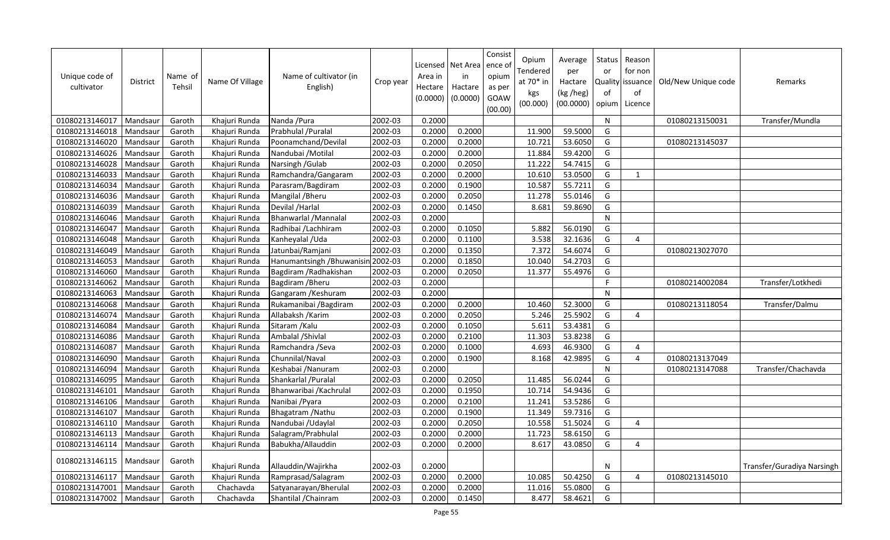| Unique code of<br>cultivator | District | Name of<br>Tehsil | Name Of Village | Name of cultivator (in<br>English) | Crop year | Area in<br>Hectare<br>(0.0000) | Licensed   Net Area<br>in<br>Hactare<br>(0.0000) | Consist<br>ence of<br>opium<br>as per<br>GOAW<br>(00.00) | Opium<br>Tendered<br>at 70* in<br>kgs<br>(00.000) | Average<br>per<br>Hactare<br>(kg /heg)<br>(00.0000) | Status<br>or<br>of<br>opium | Reason<br>for non<br>Quality issuance<br>of<br>Licence | Old/New Unique code | Remarks                    |
|------------------------------|----------|-------------------|-----------------|------------------------------------|-----------|--------------------------------|--------------------------------------------------|----------------------------------------------------------|---------------------------------------------------|-----------------------------------------------------|-----------------------------|--------------------------------------------------------|---------------------|----------------------------|
| 01080213146017               | Mandsaur | Garoth            | Khajuri Runda   | Nanda / Pura                       | 2002-03   | 0.2000                         |                                                  |                                                          |                                                   |                                                     | N                           |                                                        | 01080213150031      | Transfer/Mundla            |
| 01080213146018               | Mandsaur | Garoth            | Khajuri Runda   | Prabhulal / Puralal                | 2002-03   | 0.2000                         | 0.2000                                           |                                                          | 11.900                                            | 59.5000                                             | G                           |                                                        |                     |                            |
| 01080213146020               | Mandsaur | Garoth            | Khajuri Runda   | Poonamchand/Devilal                | 2002-03   | 0.2000                         | 0.2000                                           |                                                          | 10.721                                            | 53.6050                                             | G                           |                                                        | 01080213145037      |                            |
| 01080213146026               | Mandsaur | Garoth            | Khajuri Runda   | Nandubai / Motilal                 | 2002-03   | 0.2000                         | 0.2000                                           |                                                          | 11.884                                            | 59.4200                                             | G                           |                                                        |                     |                            |
| 01080213146028               | Mandsaur | Garoth            | Khajuri Runda   | Narsingh / Gulab                   | 2002-03   | 0.2000                         | 0.2050                                           |                                                          | 11.222                                            | 54.7415                                             | G                           |                                                        |                     |                            |
| 01080213146033               | Mandsaur | Garoth            | Khajuri Runda   | Ramchandra/Gangaram                | 2002-03   | 0.2000                         | 0.2000                                           |                                                          | 10.610                                            | 53.0500                                             | G                           | 1                                                      |                     |                            |
| 01080213146034               | Mandsaur | Garoth            | Khajuri Runda   | Parasram/Bagdiram                  | 2002-03   | 0.2000                         | 0.1900                                           |                                                          | 10.587                                            | 55.7211                                             | G                           |                                                        |                     |                            |
| 01080213146036               | Mandsaur | Garoth            | Khajuri Runda   | Mangilal / Bheru                   | 2002-03   | 0.2000                         | 0.2050                                           |                                                          | 11.278                                            | 55.0146                                             | G                           |                                                        |                     |                            |
| 01080213146039               | Mandsau  | Garoth            | Khajuri Runda   | Devilal /Harlal                    | 2002-03   | 0.2000                         | 0.1450                                           |                                                          | 8.681                                             | 59.8690                                             | G                           |                                                        |                     |                            |
| 01080213146046               | Mandsaur | Garoth            | Khajuri Runda   | Bhanwarlal / Mannalal              | 2002-03   | 0.2000                         |                                                  |                                                          |                                                   |                                                     | $\mathsf{N}$                |                                                        |                     |                            |
| 01080213146047               | Mandsau  | Garoth            | Khajuri Runda   | Radhibai /Lachhiram                | 2002-03   | 0.2000                         | 0.1050                                           |                                                          | 5.882                                             | 56.0190                                             | G                           |                                                        |                     |                            |
| 01080213146048               | Mandsaur | Garoth            | Khajuri Runda   | Kanheyalal / Uda                   | 2002-03   | 0.2000                         | 0.1100                                           |                                                          | 3.538                                             | 32.1636                                             | G                           | $\overline{4}$                                         |                     |                            |
| 01080213146049               | Mandsau  | Garoth            | Khajuri Runda   | Jatunbai/Ramjani                   | 2002-03   | 0.2000                         | 0.1350                                           |                                                          | 7.372                                             | 54.6074                                             | G                           |                                                        | 01080213027070      |                            |
| 01080213146053               | Mandsaur | Garoth            | Khajuri Runda   | Hanumantsingh / Bhuwanisin 2002-03 |           | 0.2000                         | 0.1850                                           |                                                          | 10.040                                            | 54.2703                                             | G                           |                                                        |                     |                            |
| 01080213146060               | Mandsau  | Garoth            | Khajuri Runda   | Bagdiram / Radhakishan             | 2002-03   | 0.2000                         | 0.2050                                           |                                                          | 11.377                                            | 55.4976                                             | G                           |                                                        |                     |                            |
| 01080213146062               | Mandsaur | Garoth            | Khajuri Runda   | Bagdiram / Bheru                   | 2002-03   | 0.2000                         |                                                  |                                                          |                                                   |                                                     | F                           |                                                        | 01080214002084      | Transfer/Lotkhedi          |
| 01080213146063               | Mandsaur | Garoth            | Khajuri Runda   | Gangaram / Keshuram                | 2002-03   | 0.2000                         |                                                  |                                                          |                                                   |                                                     | ${\sf N}$                   |                                                        |                     |                            |
| 01080213146068               | Mandsaur | Garoth            | Khajuri Runda   | Rukamanibai / Bagdiram             | 2002-03   | 0.2000                         | 0.2000                                           |                                                          | 10.460                                            | 52.3000                                             | G                           |                                                        | 01080213118054      | Transfer/Dalmu             |
| 01080213146074               | Mandsau  | Garoth            | Khajuri Runda   | Allabaksh / Karim                  | 2002-03   | 0.2000                         | 0.2050                                           |                                                          | 5.246                                             | 25.5902                                             | G                           | $\overline{4}$                                         |                     |                            |
| 01080213146084               | Mandsaur | Garoth            | Khajuri Runda   | Sitaram / Kalu                     | 2002-03   | 0.2000                         | 0.1050                                           |                                                          | 5.611                                             | 53.4381                                             | G                           |                                                        |                     |                            |
| 01080213146086               | Mandsaur | Garoth            | Khajuri Runda   | Ambalal / Shivlal                  | 2002-03   | 0.2000                         | 0.2100                                           |                                                          | 11.303                                            | 53.8238                                             | G                           |                                                        |                     |                            |
| 01080213146087               | Mandsaur | Garoth            | Khajuri Runda   | Ramchandra / Seva                  | 2002-03   | 0.2000                         | 0.1000                                           |                                                          | 4.693                                             | 46.9300                                             | G                           | $\overline{4}$                                         |                     |                            |
| 01080213146090               | Mandsaur | Garoth            | Khajuri Runda   | Chunnilal/Naval                    | 2002-03   | 0.2000                         | 0.1900                                           |                                                          | 8.168                                             | 42.9895                                             | G                           | 4                                                      | 01080213137049      |                            |
| 01080213146094               | Mandsaur | Garoth            | Khajuri Runda   | Keshabai / Nanuram                 | 2002-03   | 0.2000                         |                                                  |                                                          |                                                   |                                                     | ${\sf N}$                   |                                                        | 01080213147088      | Transfer/Chachavda         |
| 01080213146095               | Mandsaur | Garoth            | Khajuri Runda   | Shankarlal / Puralal               | 2002-03   | 0.2000                         | 0.2050                                           |                                                          | 11.485                                            | 56.0244                                             | G                           |                                                        |                     |                            |
| 01080213146101               | Mandsaur | Garoth            | Khajuri Runda   | Bhanwaribai / Kachrulal            | 2002-03   | 0.2000                         | 0.1950                                           |                                                          | 10.714                                            | 54.9436                                             | G                           |                                                        |                     |                            |
| 01080213146106               | Mandsaur | Garoth            | Khajuri Runda   | Nanibai / Pyara                    | 2002-03   | 0.2000                         | 0.2100                                           |                                                          | 11.241                                            | 53.5286                                             | G                           |                                                        |                     |                            |
| 01080213146107               | Mandsaur | Garoth            | Khajuri Runda   | Bhagatram / Nathu                  | 2002-03   | 0.2000                         | 0.1900                                           |                                                          | 11.349                                            | 59.7316                                             | G                           |                                                        |                     |                            |
| 01080213146110               | Mandsaur | Garoth            | Khajuri Runda   | Nandubai /Udaylal                  | 2002-03   | 0.2000                         | 0.2050                                           |                                                          | 10.558                                            | 51.5024                                             | G                           | 4                                                      |                     |                            |
| 01080213146113               | Mandsau  | Garoth            | Khajuri Runda   | Salagram/Prabhulal                 | 2002-03   | 0.2000                         | 0.2000                                           |                                                          | 11.723                                            | 58.6150                                             | G                           |                                                        |                     |                            |
| 01080213146114               | Mandsaur | Garoth            | Khajuri Runda   | Babukha/Allauddin                  | 2002-03   | 0.2000                         | 0.2000                                           |                                                          | 8.617                                             | 43.0850                                             | G                           | 4                                                      |                     |                            |
| 01080213146115               | Mandsaur | Garoth            | Khajuri Runda   | Allauddin/Wajirkha                 | 2002-03   | 0.2000                         |                                                  |                                                          |                                                   |                                                     | N                           |                                                        |                     | Transfer/Guradiya Narsingh |
| 01080213146117               | Mandsaur | Garoth            | Khajuri Runda   | Ramprasad/Salagram                 | 2002-03   | 0.2000                         | 0.2000                                           |                                                          | 10.085                                            | 50.4250                                             | G                           | 4                                                      | 01080213145010      |                            |
| 01080213147001               | Mandsaur | Garoth            | Chachavda       | Satyanarayan/Bherulal              | 2002-03   | 0.2000                         | 0.2000                                           |                                                          | 11.016                                            | 55.0800                                             | G                           |                                                        |                     |                            |
| 01080213147002               | Mandsaur | Garoth            | Chachavda       | Shantilal / Chainram               | 2002-03   | 0.2000                         | 0.1450                                           |                                                          | 8.477                                             | 58.4621                                             | G                           |                                                        |                     |                            |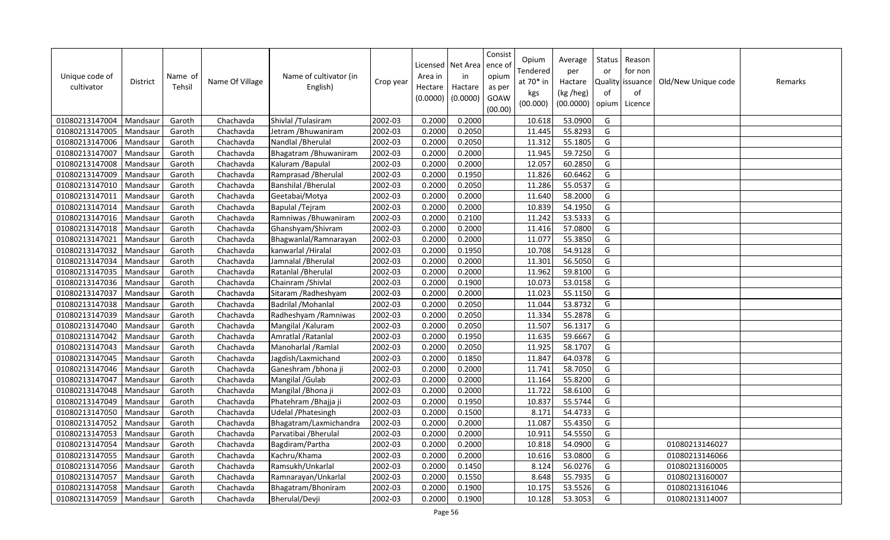| Unique code of<br>cultivator | <b>District</b> | Name of<br>Tehsil | Name Of Village | Name of cultivator (in<br>English) | Crop year | Area in<br>Hectare<br>(0.0000) | Licensed   Net Area<br>in<br>Hactare<br>(0.0000) | Consist<br>ence of<br>opium<br>as per<br>GOAW<br>(00.00) | Opium<br>Tendered<br>at 70* in<br>kgs<br>(00.000) | Average<br>per<br>Hactare<br>(kg /heg)<br>(00.0000) | Status<br>or<br>Quality<br>of<br>opium | Reason<br>for non<br>issuance<br>of<br>Licence | Old/New Unique code | Remarks |
|------------------------------|-----------------|-------------------|-----------------|------------------------------------|-----------|--------------------------------|--------------------------------------------------|----------------------------------------------------------|---------------------------------------------------|-----------------------------------------------------|----------------------------------------|------------------------------------------------|---------------------|---------|
| 01080213147004               | Mandsaur        | Garoth            | Chachavda       | Shivlal /Tulasiram                 | 2002-03   | 0.2000                         | 0.2000                                           |                                                          | 10.618                                            | 53.0900                                             | G                                      |                                                |                     |         |
| 01080213147005               | Mandsaur        | Garoth            | Chachavda       | Jetram / Bhuwaniram                | 2002-03   | 0.2000                         | 0.2050                                           |                                                          | 11.445                                            | 55.8293                                             | G                                      |                                                |                     |         |
| 01080213147006               | Mandsaur        | Garoth            | Chachavda       | Nandlal / Bherulal                 | 2002-03   | 0.2000                         | 0.2050                                           |                                                          | 11.312                                            | 55.1805                                             | G                                      |                                                |                     |         |
| 01080213147007               | Mandsaur        | Garoth            | Chachavda       | Bhagatram / Bhuwaniram             | 2002-03   | 0.2000                         | 0.2000                                           |                                                          | 11.945                                            | 59.7250                                             | G                                      |                                                |                     |         |
| 01080213147008               | Mandsaur        | Garoth            | Chachavda       | Kaluram / Bapulal                  | 2002-03   | 0.2000                         | 0.2000                                           |                                                          | 12.057                                            | 60.2850                                             | G                                      |                                                |                     |         |
| 01080213147009               | Mandsaur        | Garoth            | Chachavda       | Ramprasad / Bherulal               | 2002-03   | 0.2000                         | 0.1950                                           |                                                          | 11.826                                            | 60.6462                                             | G                                      |                                                |                     |         |
| 01080213147010               | Mandsaur        | Garoth            | Chachavda       | Banshilal / Bherulal               | 2002-03   | 0.2000                         | 0.2050                                           |                                                          | 11.286                                            | 55.0537                                             | G                                      |                                                |                     |         |
| 01080213147011               | Mandsaur        | Garoth            | Chachavda       | Geetabai/Motya                     | 2002-03   | 0.2000                         | 0.2000                                           |                                                          | 11.640                                            | 58.2000                                             | G                                      |                                                |                     |         |
| 01080213147014               | Mandsaur        | Garoth            | Chachavda       | Bapulal / Tejram                   | 2002-03   | 0.2000                         | 0.2000                                           |                                                          | 10.839                                            | 54.1950                                             | G                                      |                                                |                     |         |
| 01080213147016               | Mandsaur        | Garoth            | Chachavda       | Ramniwas / Bhuwaniram              | 2002-03   | 0.2000                         | 0.2100                                           |                                                          | 11.242                                            | 53.5333                                             | G                                      |                                                |                     |         |
| 01080213147018               | Mandsau         | Garoth            | Chachavda       | Ghanshyam/Shivram                  | 2002-03   | 0.2000                         | 0.2000                                           |                                                          | 11.416                                            | 57.0800                                             | G                                      |                                                |                     |         |
| 01080213147021               | Mandsaur        | Garoth            | Chachavda       | Bhagwanlal/Ramnarayan              | 2002-03   | 0.2000                         | 0.2000                                           |                                                          | 11.077                                            | 55.3850                                             | G                                      |                                                |                     |         |
| 01080213147032               | Mandsaur        | Garoth            | Chachavda       | kanwarlal / Hiralal                | 2002-03   | 0.2000                         | 0.1950                                           |                                                          | 10.708                                            | 54.9128                                             | G                                      |                                                |                     |         |
| 01080213147034               | Mandsaur        | Garoth            | Chachavda       | Jamnalal / Bherulal                | 2002-03   | 0.2000                         | 0.2000                                           |                                                          | 11.301                                            | 56.5050                                             | G                                      |                                                |                     |         |
| 01080213147035               | Mandsau         | Garoth            | Chachavda       | Ratanlal / Bherulal                | 2002-03   | 0.2000                         | 0.2000                                           |                                                          | 11.962                                            | 59.8100                                             | G                                      |                                                |                     |         |
| 01080213147036               | Mandsaur        | Garoth            | Chachavda       | Chainram / Shivlal                 | 2002-03   | 0.2000                         | 0.1900                                           |                                                          | 10.073                                            | 53.0158                                             | G                                      |                                                |                     |         |
| 01080213147037               | Mandsaur        | Garoth            | Chachavda       | Sitaram / Radheshyam               | 2002-03   | 0.2000                         | 0.2000                                           |                                                          | 11.023                                            | 55.1150                                             | G                                      |                                                |                     |         |
| 01080213147038               | Mandsaur        | Garoth            | Chachavda       | Badrilal / Mohanlal                | 2002-03   | 0.2000                         | 0.2050                                           |                                                          | 11.044                                            | 53.8732                                             | G                                      |                                                |                     |         |
| 01080213147039               | Mandsau         | Garoth            | Chachavda       | Radheshyam / Ramniwas              | 2002-03   | 0.2000                         | 0.2050                                           |                                                          | 11.334                                            | 55.2878                                             | G                                      |                                                |                     |         |
| 01080213147040               | Mandsaur        | Garoth            | Chachavda       | Mangilal / Kaluram                 | 2002-03   | 0.2000                         | 0.2050                                           |                                                          | 11.507                                            | 56.1317                                             | G                                      |                                                |                     |         |
| 01080213147042               | Mandsaur        | Garoth            | Chachavda       | Amratlal / Ratanlal                | 2002-03   | 0.2000                         | 0.1950                                           |                                                          | 11.635                                            | 59.6667                                             | G                                      |                                                |                     |         |
| 01080213147043               | Mandsaur        | Garoth            | Chachavda       | Manoharlal / Ramlal                | 2002-03   | 0.2000                         | 0.2050                                           |                                                          | 11.925                                            | 58.1707                                             | G                                      |                                                |                     |         |
| 01080213147045               | Mandsaur        | Garoth            | Chachavda       | Jagdish/Laxmichand                 | 2002-03   | 0.2000                         | 0.1850                                           |                                                          | 11.847                                            | 64.0378                                             | G                                      |                                                |                     |         |
| 01080213147046               | Mandsaur        | Garoth            | Chachavda       | Ganeshram / bhona ji               | 2002-03   | 0.2000                         | 0.2000                                           |                                                          | 11.741                                            | 58.7050                                             | G                                      |                                                |                     |         |
| 01080213147047               | Mandsaur        | Garoth            | Chachavda       | Mangilal /Gulab                    | 2002-03   | 0.2000                         | 0.2000                                           |                                                          | 11.164                                            | 55.8200                                             | G                                      |                                                |                     |         |
| 01080213147048               | Mandsaur        | Garoth            | Chachavda       | Mangilal / Bhona ji                | 2002-03   | 0.2000                         | 0.2000                                           |                                                          | 11.722                                            | 58.6100                                             | G                                      |                                                |                     |         |
| 01080213147049               | Mandsaur        | Garoth            | Chachavda       | Phatehram / Bhajja ji              | 2002-03   | 0.2000                         | 0.1950                                           |                                                          | 10.837                                            | 55.5744                                             | G                                      |                                                |                     |         |
| 01080213147050               | Mandsaur        | Garoth            | Chachavda       | Udelal / Phatesingh                | 2002-03   | 0.2000                         | 0.1500                                           |                                                          | 8.171                                             | 54.4733                                             | G                                      |                                                |                     |         |
| 01080213147052               | Mandsaur        | Garoth            | Chachavda       | Bhagatram/Laxmichandra             | 2002-03   | 0.2000                         | 0.2000                                           |                                                          | 11.087                                            | 55.4350                                             | G                                      |                                                |                     |         |
| 01080213147053               | Mandsau         | Garoth            | Chachavda       | Parvatibai / Bherulal              | 2002-03   | 0.2000                         | 0.2000                                           |                                                          | 10.911                                            | 54.5550                                             | G                                      |                                                |                     |         |
| 01080213147054               | Mandsaur        | Garoth            | Chachavda       | Bagdiram/Partha                    | 2002-03   | 0.2000                         | 0.2000                                           |                                                          | 10.818                                            | 54.0900                                             | G                                      |                                                | 01080213146027      |         |
| 01080213147055               | Mandsau         | Garoth            | Chachavda       | Kachru/Khama                       | 2002-03   | 0.2000                         | 0.2000                                           |                                                          | 10.616                                            | 53.0800                                             | G                                      |                                                | 01080213146066      |         |
| 01080213147056               | Mandsaur        | Garoth            | Chachavda       | Ramsukh/Unkarlal                   | 2002-03   | 0.2000                         | 0.1450                                           |                                                          | 8.124                                             | 56.0276                                             | G                                      |                                                | 01080213160005      |         |
| 01080213147057               | Mandsau         | Garoth            | Chachavda       | Ramnarayan/Unkarlal                | 2002-03   | 0.2000                         | 0.1550                                           |                                                          | 8.648                                             | 55.7935                                             | G                                      |                                                | 01080213160007      |         |
| 01080213147058               | Mandsaur        | Garoth            | Chachavda       | Bhagatram/Bhoniram                 | 2002-03   | 0.2000                         | 0.1900                                           |                                                          | 10.175                                            | 53.5526                                             | G                                      |                                                | 01080213161046      |         |
| 01080213147059               | Mandsaur        | Garoth            | Chachavda       | Bherulal/Devji                     | 2002-03   | 0.2000                         | 0.1900                                           |                                                          | 10.128                                            | 53.3053                                             | G                                      |                                                | 01080213114007      |         |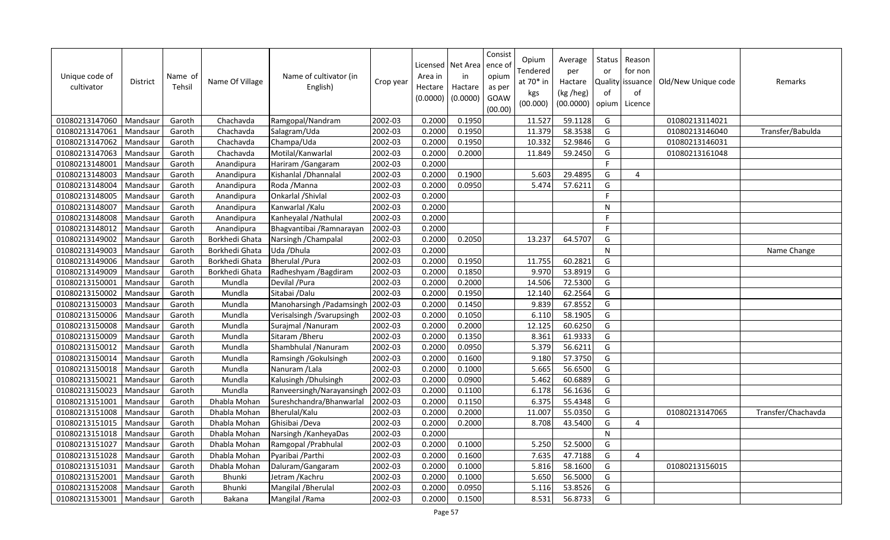| Unique code of<br>cultivator | <b>District</b> | Name of<br>Tehsil | Name Of Village | Name of cultivator (in<br>English) | Crop year | Area in<br>Hectare<br>(0.0000) | Licensed   Net Area<br>in<br>Hactare<br>(0.0000) | Consist<br>ence o<br>opium<br>as per<br>GOAW<br>(00.00) | Opium<br>Tendered<br>at 70* in<br>kgs<br>(00.000) | Average<br>per<br>Hactare<br>(kg /heg)<br>(00.0000) | Status<br>or<br>of<br>opium | Reason<br>for non<br>Quality issuance<br>of<br>Licence | Old/New Unique code | Remarks            |
|------------------------------|-----------------|-------------------|-----------------|------------------------------------|-----------|--------------------------------|--------------------------------------------------|---------------------------------------------------------|---------------------------------------------------|-----------------------------------------------------|-----------------------------|--------------------------------------------------------|---------------------|--------------------|
| 01080213147060               | Mandsaur        | Garoth            | Chachavda       | Ramgopal/Nandram                   | 2002-03   | 0.2000                         | 0.1950                                           |                                                         | 11.527                                            | 59.1128                                             | G                           |                                                        | 01080213114021      |                    |
| 01080213147061               | Mandsaur        | Garoth            | Chachavda       | Salagram/Uda                       | 2002-03   | 0.2000                         | 0.1950                                           |                                                         | 11.379                                            | 58.3538                                             | G                           |                                                        | 01080213146040      | Transfer/Babulda   |
| 01080213147062               | Mandsaur        | Garoth            | Chachavda       | Champa/Uda                         | 2002-03   | 0.2000                         | 0.1950                                           |                                                         | 10.332                                            | 52.9846                                             | G                           |                                                        | 01080213146031      |                    |
| 01080213147063               | Mandsaur        | Garoth            | Chachavda       | Motilal/Kanwarlal                  | 2002-03   | 0.2000                         | 0.2000                                           |                                                         | 11.849                                            | 59.2450                                             | G                           |                                                        | 01080213161048      |                    |
| 01080213148001               | Mandsaur        | Garoth            | Anandipura      | Hariram / Gangaram                 | 2002-03   | 0.2000                         |                                                  |                                                         |                                                   |                                                     | F.                          |                                                        |                     |                    |
| 01080213148003               | Mandsaur        | Garoth            | Anandipura      | Kishanlal / Dhannalal              | 2002-03   | 0.2000                         | 0.1900                                           |                                                         | 5.603                                             | 29.4895                                             | G                           | 4                                                      |                     |                    |
| 01080213148004               | Mandsaur        | Garoth            | Anandipura      | Roda / Manna                       | 2002-03   | 0.2000                         | 0.0950                                           |                                                         | 5.474                                             | 57.6211                                             | G                           |                                                        |                     |                    |
| 01080213148005               | Mandsaur        | Garoth            | Anandipura      | Onkarlal / Shivlal                 | 2002-03   | 0.2000                         |                                                  |                                                         |                                                   |                                                     | F.                          |                                                        |                     |                    |
| 01080213148007               | Mandsaur        | Garoth            | Anandipura      | Kanwarlal / Kalu                   | 2002-03   | 0.2000                         |                                                  |                                                         |                                                   |                                                     | $\mathsf{N}$                |                                                        |                     |                    |
| 01080213148008               | Mandsaur        | Garoth            | Anandipura      | Kanheyalal / Nathulal              | 2002-03   | 0.2000                         |                                                  |                                                         |                                                   |                                                     | F                           |                                                        |                     |                    |
| 01080213148012               | Mandsaur        | Garoth            | Anandipura      | Bhagvantibai / Ramnarayan          | 2002-03   | 0.2000                         |                                                  |                                                         |                                                   |                                                     | F.                          |                                                        |                     |                    |
| 01080213149002               | Mandsaur        | Garoth            | Borkhedi Ghata  | Narsingh / Champalal               | 2002-03   | 0.2000                         | 0.2050                                           |                                                         | 13.237                                            | 64.5707                                             | G                           |                                                        |                     |                    |
| 01080213149003               | Mandsaur        | Garoth            | Borkhedi Ghata  | Uda / Dhula                        | 2002-03   | 0.2000                         |                                                  |                                                         |                                                   |                                                     | $\mathsf{N}$                |                                                        |                     | Name Change        |
| 01080213149006               | Mandsaur        | Garoth            | Borkhedi Ghata  | <b>Bherulal / Pura</b>             | 2002-03   | 0.2000                         | 0.1950                                           |                                                         | 11.755                                            | 60.2821                                             | G                           |                                                        |                     |                    |
| 01080213149009               | Mandsaur        | Garoth            | Borkhedi Ghata  | Radheshyam /Bagdiram               | 2002-03   | 0.2000                         | 0.1850                                           |                                                         | 9.970                                             | 53.8919                                             | G                           |                                                        |                     |                    |
| 01080213150001               | Mandsaur        | Garoth            | Mundla          | Devilal / Pura                     | 2002-03   | 0.2000                         | 0.2000                                           |                                                         | 14.506                                            | 72.5300                                             | G                           |                                                        |                     |                    |
| 01080213150002               | Mandsaur        | Garoth            | Mundla          | Sitabai /Dalu                      | 2002-03   | 0.2000                         | 0.1950                                           |                                                         | 12.140                                            | 62.2564                                             | G                           |                                                        |                     |                    |
| 01080213150003               | Mandsaur        | Garoth            | Mundla          | Manoharsingh / Padamsingh          | 2002-03   | 0.2000                         | 0.1450                                           |                                                         | 9.839                                             | 67.8552                                             | G                           |                                                        |                     |                    |
| 01080213150006               | Mandsaur        | Garoth            | Mundla          | Verisalsingh / Svarupsingh         | 2002-03   | 0.2000                         | 0.1050                                           |                                                         | 6.110                                             | 58.1905                                             | G                           |                                                        |                     |                    |
| 01080213150008               | Mandsaur        | Garoth            | Mundla          | Surajmal / Nanuram                 | 2002-03   | 0.2000                         | 0.2000                                           |                                                         | 12.125                                            | 60.6250                                             | G                           |                                                        |                     |                    |
| 01080213150009               | Mandsaur        | Garoth            | Mundla          | Sitaram / Bheru                    | 2002-03   | 0.2000                         | 0.1350                                           |                                                         | 8.361                                             | 61.9333                                             | G                           |                                                        |                     |                    |
| 01080213150012               | Mandsaur        | Garoth            | Mundla          | Shambhulal / Nanuram               | 2002-03   | 0.2000                         | 0.0950                                           |                                                         | 5.379                                             | 56.6211                                             | G                           |                                                        |                     |                    |
| 01080213150014               | Mandsaur        | Garoth            | Mundla          | Ramsingh / Gokulsingh              | 2002-03   | 0.2000                         | 0.1600                                           |                                                         | 9.180                                             | 57.3750                                             | G                           |                                                        |                     |                    |
| 01080213150018               | Mandsaur        | Garoth            | Mundla          | Nanuram /Lala                      | 2002-03   | 0.2000                         | 0.1000                                           |                                                         | 5.665                                             | 56.6500                                             | G                           |                                                        |                     |                    |
| 01080213150021               | Mandsaur        | Garoth            | Mundla          | Kalusingh / Dhulsingh              | 2002-03   | 0.2000                         | 0.0900                                           |                                                         | 5.462                                             | 60.6889                                             | G                           |                                                        |                     |                    |
| 01080213150023               | Mandsaur        | Garoth            | Mundla          | Ranveersingh/Narayansingh          | 2002-03   | 0.2000                         | 0.1100                                           |                                                         | 6.178                                             | 56.1636                                             | G                           |                                                        |                     |                    |
| 01080213151001               | Mandsaur        | Garoth            | Dhabla Mohan    | Sureshchandra/Bhanwarlal           | 2002-03   | 0.2000                         | 0.1150                                           |                                                         | 6.375                                             | 55.4348                                             | G                           |                                                        |                     |                    |
| 01080213151008               | Mandsaur        | Garoth            | Dhabla Mohan    | Bherulal/Kalu                      | 2002-03   | 0.2000                         | 0.2000                                           |                                                         | 11.007                                            | 55.0350                                             | G                           |                                                        | 01080213147065      | Transfer/Chachavda |
| 01080213151015               | Mandsaur        | Garoth            | Dhabla Mohan    | Ghisibai /Deva                     | 2002-03   | 0.2000                         | 0.2000                                           |                                                         | 8.708                                             | 43.5400                                             | G                           | 4                                                      |                     |                    |
| 01080213151018               | Mandsaur        | Garoth            | Dhabla Mohan    | Narsingh / Kanheya Das             | 2002-03   | 0.2000                         |                                                  |                                                         |                                                   |                                                     | N                           |                                                        |                     |                    |
| 01080213151027               | Mandsaur        | Garoth            | Dhabla Mohan    | Ramgopal / Prabhulal               | 2002-03   | 0.2000                         | 0.1000                                           |                                                         | 5.250                                             | 52.5000                                             | G                           |                                                        |                     |                    |
| 01080213151028               | Mandsaur        | Garoth            | Dhabla Mohan    | Pyaribai / Parthi                  | 2002-03   | 0.2000                         | 0.1600                                           |                                                         | 7.635                                             | 47.7188                                             | G                           | 4                                                      |                     |                    |
| 01080213151031               | Mandsaur        | Garoth            | Dhabla Mohan    | Daluram/Gangaram                   | 2002-03   | 0.2000                         | 0.1000                                           |                                                         | 5.816                                             | 58.1600                                             | G                           |                                                        | 01080213156015      |                    |
| 01080213152001               | Mandsaur        | Garoth            | <b>Bhunki</b>   | Jetram / Kachru                    | 2002-03   | 0.2000                         | 0.1000                                           |                                                         | 5.650                                             | 56.5000                                             | G                           |                                                        |                     |                    |
| 01080213152008               | Mandsaur        | Garoth            | Bhunki          | Mangilal / Bherulal                | 2002-03   | 0.2000                         | 0.0950                                           |                                                         | 5.116                                             | 53.8526                                             | G                           |                                                        |                     |                    |
| 01080213153001               | Mandsaur        | Garoth            | <b>Bakana</b>   | Mangilal / Rama                    | 2002-03   | 0.2000                         | 0.1500                                           |                                                         | 8.531                                             | 56.8733                                             | G                           |                                                        |                     |                    |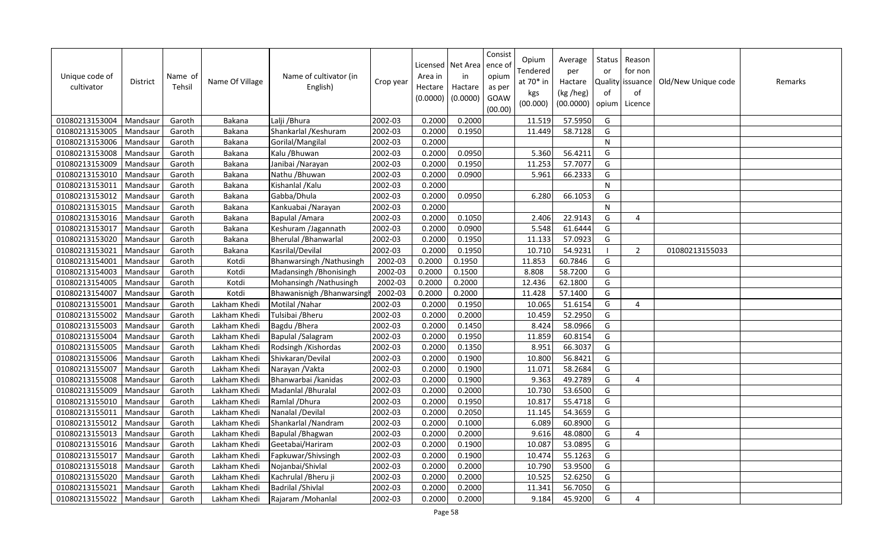| Unique code of<br>cultivator | District | Name of<br>Tehsil | Name Of Village | Name of cultivator (in<br>English) | Crop year | Area in<br>Hectare<br>(0.0000) | Licensed   Net Area<br>in<br>Hactare<br>(0.0000) | Consist<br>ence of<br>opium<br>as per<br>GOAW<br>(00.00) | Opium<br>Tendered<br>at 70* in<br>kgs<br>(00.000) | Average<br>per<br>Hactare<br>(kg /heg)<br>(00.0000) | Status<br>or<br>Quality<br>of<br>opium | Reason<br>for non<br>issuance<br>of<br>Licence | Old/New Unique code | Remarks |
|------------------------------|----------|-------------------|-----------------|------------------------------------|-----------|--------------------------------|--------------------------------------------------|----------------------------------------------------------|---------------------------------------------------|-----------------------------------------------------|----------------------------------------|------------------------------------------------|---------------------|---------|
| 01080213153004               | Mandsaur | Garoth            | Bakana          | Lalji / Bhura                      | 2002-03   | 0.2000                         | 0.2000                                           |                                                          | 11.519                                            | 57.5950                                             | G                                      |                                                |                     |         |
| 01080213153005               | Mandsaur | Garoth            | <b>Bakana</b>   | Shankarlal / Keshuram              | 2002-03   | 0.2000                         | 0.1950                                           |                                                          | 11.449                                            | 58.7128                                             | G                                      |                                                |                     |         |
| 01080213153006               | Mandsaur | Garoth            | <b>Bakana</b>   | Gorilal/Mangilal                   | 2002-03   | 0.2000                         |                                                  |                                                          |                                                   |                                                     | ${\sf N}$                              |                                                |                     |         |
| 01080213153008               | Mandsaur | Garoth            | Bakana          | Kalu / Bhuwan                      | 2002-03   | 0.2000                         | 0.0950                                           |                                                          | 5.360                                             | 56.4211                                             | G                                      |                                                |                     |         |
| 01080213153009               | Mandsaur | Garoth            | <b>Bakana</b>   | Janibai / Narayan                  | 2002-03   | 0.2000                         | 0.1950                                           |                                                          | 11.253                                            | 57.7077                                             | G                                      |                                                |                     |         |
| 01080213153010               | Mandsaur | Garoth            | Bakana          | Nathu / Bhuwan                     | 2002-03   | 0.2000                         | 0.0900                                           |                                                          | 5.961                                             | 66.2333                                             | G                                      |                                                |                     |         |
| 01080213153011               | Mandsaur | Garoth            | Bakana          | Kishanlal / Kalu                   | 2002-03   | 0.2000                         |                                                  |                                                          |                                                   |                                                     | $\mathsf{N}$                           |                                                |                     |         |
| 01080213153012               | Mandsaur | Garoth            | Bakana          | Gabba/Dhula                        | 2002-03   | 0.2000                         | 0.0950                                           |                                                          | 6.280                                             | 66.1053                                             | G                                      |                                                |                     |         |
| 01080213153015               | Mandsau  | Garoth            | Bakana          | Kankuabai / Narayan                | 2002-03   | 0.2000                         |                                                  |                                                          |                                                   |                                                     | ${\sf N}$                              |                                                |                     |         |
| 01080213153016               | Mandsaur | Garoth            | Bakana          | Bapulal / Amara                    | 2002-03   | 0.2000                         | 0.1050                                           |                                                          | 2.406                                             | 22.9143                                             | G                                      | $\overline{4}$                                 |                     |         |
| 01080213153017               | Mandsau  | Garoth            | Bakana          | Keshuram /Jagannath                | 2002-03   | 0.2000                         | 0.0900                                           |                                                          | 5.548                                             | 61.6444                                             | G                                      |                                                |                     |         |
| 01080213153020               | Mandsau  | Garoth            | Bakana          | Bherulal / Bhanwarlal              | 2002-03   | 0.2000                         | 0.1950                                           |                                                          | 11.133                                            | 57.0923                                             | G                                      |                                                |                     |         |
| 01080213153021               | Mandsau  | Garoth            | Bakana          | Kasrilal/Devilal                   | 2002-03   | 0.2000                         | 0.1950                                           |                                                          | 10.710                                            | 54.9231                                             | $\overline{\phantom{a}}$               | $\overline{2}$                                 | 01080213155033      |         |
| 01080213154001               | Mandsaur | Garoth            | Kotdi           | Bhanwarsingh / Nathusingh          | 2002-03   | 0.2000                         | 0.1950                                           |                                                          | 11.853                                            | 60.7846                                             | G                                      |                                                |                     |         |
| 01080213154003               | Mandsau  | Garoth            | Kotdi           | Madansingh / Bhonisingh            | 2002-03   | 0.2000                         | 0.1500                                           |                                                          | 8.808                                             | 58.7200                                             | G                                      |                                                |                     |         |
| 01080213154005               | Mandsaur | Garoth            | Kotdi           | Mohansingh / Nathusingh            | 2002-03   | 0.2000                         | 0.2000                                           |                                                          | 12.436                                            | 62.1800                                             | G                                      |                                                |                     |         |
| 01080213154007               | Mandsaur | Garoth            | Kotdi           | Bhawanisnigh / Bhanwarsing         | 2002-03   | 0.2000                         | 0.2000                                           |                                                          | 11.428                                            | 57.1400                                             | G                                      |                                                |                     |         |
| 01080213155001               | Mandsaur | Garoth            | Lakham Khedi    | Motilal / Nahar                    | 2002-03   | 0.2000                         | 0.1950                                           |                                                          | 10.065                                            | 51.6154                                             | G                                      | 4                                              |                     |         |
| 01080213155002               | Mandsaur | Garoth            | Lakham Khedi    | Tulsibai / Bheru                   | 2002-03   | 0.2000                         | 0.2000                                           |                                                          | 10.459                                            | 52.2950                                             | G                                      |                                                |                     |         |
| 01080213155003               | Mandsaur | Garoth            | Lakham Khedi    | Bagdu / Bhera                      | 2002-03   | 0.2000                         | 0.1450                                           |                                                          | 8.424                                             | 58.0966                                             | G                                      |                                                |                     |         |
| 01080213155004               | Mandsaur | Garoth            | Lakham Khedi    | Bapulal /Salagram                  | 2002-03   | 0.2000                         | 0.1950                                           |                                                          | 11.859                                            | 60.8154                                             | G                                      |                                                |                     |         |
| 01080213155005               | Mandsaur | Garoth            | Lakham Khedi    | Rodsingh / Kishordas               | 2002-03   | 0.2000                         | 0.1350                                           |                                                          | 8.951                                             | 66.3037                                             | G                                      |                                                |                     |         |
| 01080213155006               | Mandsaur | Garoth            | Lakham Khedi    | Shivkaran/Devilal                  | 2002-03   | 0.2000                         | 0.1900                                           |                                                          | 10.800                                            | 56.8421                                             | G                                      |                                                |                     |         |
| 01080213155007               | Mandsaur | Garoth            | Lakham Khedi    | Narayan / Vakta                    | 2002-03   | 0.2000                         | 0.1900                                           |                                                          | 11.071                                            | 58.2684                                             | G                                      |                                                |                     |         |
| 01080213155008               | Mandsaur | Garoth            | Lakham Khedi    | Bhanwarbai / kanidas               | 2002-03   | 0.2000                         | 0.1900                                           |                                                          | 9.363                                             | 49.2789                                             | G                                      | 4                                              |                     |         |
| 01080213155009               | Mandsaur | Garoth            | Lakham Khedi    | Madanlal / Bhuralal                | 2002-03   | 0.2000                         | 0.2000                                           |                                                          | 10.730                                            | 53.6500                                             | G                                      |                                                |                     |         |
| 01080213155010               | Mandsaur | Garoth            | Lakham Khedi    | Ramlal / Dhura                     | 2002-03   | 0.2000                         | 0.1950                                           |                                                          | 10.817                                            | 55.4718                                             | G                                      |                                                |                     |         |
| 01080213155011               | Mandsau  | Garoth            | Lakham Khedi    | Nanalal /Devilal                   | 2002-03   | 0.2000                         | 0.2050                                           |                                                          | 11.145                                            | 54.3659                                             | G                                      |                                                |                     |         |
| 01080213155012               | Mandsau  | Garoth            | Lakham Khedi    | Shankarlal / Nandram               | 2002-03   | 0.2000                         | 0.1000                                           |                                                          | 6.089                                             | 60.8900                                             | G                                      |                                                |                     |         |
| 01080213155013               | Mandsau  | Garoth            | Lakham Khedi    | Bapulal / Bhagwan                  | 2002-03   | 0.2000                         | 0.2000                                           |                                                          | 9.616                                             | 48.0800                                             | G                                      | 4                                              |                     |         |
| 01080213155016               | Mandsaur | Garoth            | Lakham Khedi    | Geetabai/Hariram                   | 2002-03   | 0.2000                         | 0.1900                                           |                                                          | 10.087                                            | 53.0895                                             | G                                      |                                                |                     |         |
| 01080213155017               | Mandsau  | Garoth            | Lakham Khedi    | Fapkuwar/Shivsingh                 | 2002-03   | 0.2000                         | 0.1900                                           |                                                          | 10.474                                            | 55.1263                                             | G                                      |                                                |                     |         |
| 01080213155018               | Mandsaur | Garoth            | Lakham Khedi    | Nojanbai/Shivlal                   | 2002-03   | 0.2000                         | 0.2000                                           |                                                          | 10.790                                            | 53.9500                                             | G                                      |                                                |                     |         |
| 01080213155020               | Mandsaur | Garoth            | Lakham Khedi    | Kachrulal / Bheru ji               | 2002-03   | 0.2000                         | 0.2000                                           |                                                          | 10.525                                            | 52.6250                                             | G                                      |                                                |                     |         |
| 01080213155021               | Mandsaur | Garoth            | Lakham Khedi    | Badrilal / Shivlal                 | 2002-03   | 0.2000                         | 0.2000                                           |                                                          | 11.341                                            | 56.7050                                             | G                                      |                                                |                     |         |
| 01080213155022               | Mandsaur | Garoth            | Lakham Khedi    | Rajaram /Mohanlal                  | 2002-03   | 0.2000                         | 0.2000                                           |                                                          | 9.184                                             | 45.9200                                             | G                                      | 4                                              |                     |         |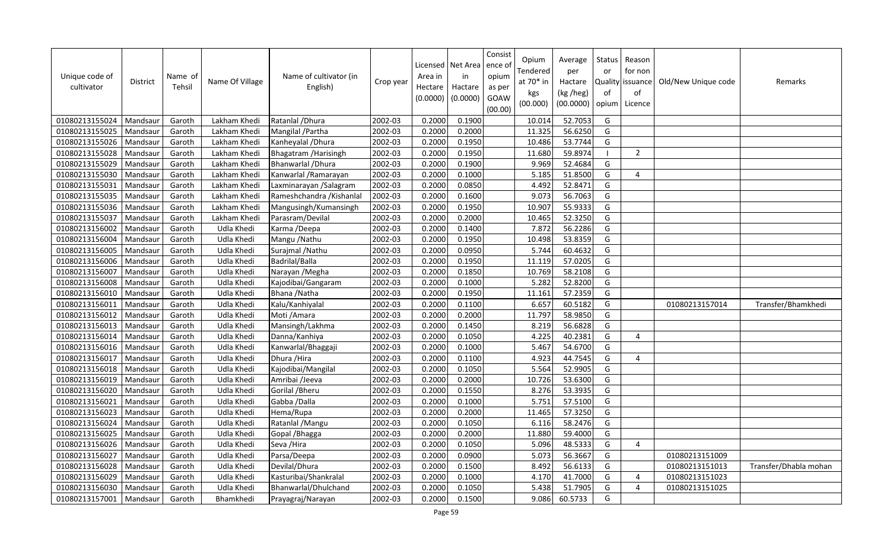| Unique code of<br>cultivator | <b>District</b> | Name of<br>Tehsil | Name Of Village | Name of cultivator (in<br>English) | Crop year | Area in<br>Hectare<br>(0.0000) | Licensed   Net Area<br>in<br>Hactare<br>(0.0000) | Consist<br>ence of<br>opium<br>as per<br>GOAW<br>(00.00) | Opium<br>Tendered<br>at 70* in<br>kgs<br>(00.000) | Average<br>per<br>Hactare<br>(kg /heg)<br>(00.0000) | Status<br>or<br>Quality<br>of<br>opium | Reason<br>for non<br>issuance<br>of<br>Licence | Old/New Unique code | Remarks               |
|------------------------------|-----------------|-------------------|-----------------|------------------------------------|-----------|--------------------------------|--------------------------------------------------|----------------------------------------------------------|---------------------------------------------------|-----------------------------------------------------|----------------------------------------|------------------------------------------------|---------------------|-----------------------|
| 01080213155024               | Mandsaur        | Garoth            | Lakham Khedi    | Ratanlal / Dhura                   | 2002-03   | 0.2000                         | 0.1900                                           |                                                          | 10.014                                            | 52.7053                                             | G                                      |                                                |                     |                       |
| 01080213155025               | Mandsaur        | Garoth            | Lakham Khedi    | Mangilal / Partha                  | 2002-03   | 0.2000                         | 0.2000                                           |                                                          | 11.325                                            | 56.6250                                             | G                                      |                                                |                     |                       |
| 01080213155026               | Mandsaur        | Garoth            | Lakham Khedi    | Kanheyalal / Dhura                 | 2002-03   | 0.2000                         | 0.1950                                           |                                                          | 10.486                                            | 53.7744                                             | G                                      |                                                |                     |                       |
| 01080213155028               | Mandsaur        | Garoth            | Lakham Khedi    | Bhagatram / Harisingh              | 2002-03   | 0.2000                         | 0.1950                                           |                                                          | 11.680                                            | 59.8974                                             | $\blacksquare$                         | $\overline{2}$                                 |                     |                       |
| 01080213155029               | Mandsaur        | Garoth            | Lakham Khedi    | Bhanwarlal / Dhura                 | 2002-03   | 0.2000                         | 0.1900                                           |                                                          | 9.969                                             | 52.4684                                             | G                                      |                                                |                     |                       |
| 01080213155030               | Mandsaur        | Garoth            | Lakham Khedi    | Kanwarlal / Ramarayan              | 2002-03   | 0.2000                         | 0.1000                                           |                                                          | 5.185                                             | 51.8500                                             | G                                      | $\overline{4}$                                 |                     |                       |
| 01080213155031               | Mandsaur        | Garoth            | Lakham Khedi    | Laxminarayan / Salagram            | 2002-03   | 0.2000                         | 0.0850                                           |                                                          | 4.492                                             | 52.8471                                             | G                                      |                                                |                     |                       |
| 01080213155035               | Mandsaur        | Garoth            | Lakham Khedi    | Rameshchandra / Kishanlal          | 2002-03   | 0.2000                         | 0.1600                                           |                                                          | 9.073                                             | 56.7063                                             | G                                      |                                                |                     |                       |
| 01080213155036               | Mandsaur        | Garoth            | Lakham Khedi    | Mangusingh/Kumansingh              | 2002-03   | 0.2000                         | 0.1950                                           |                                                          | 10.907                                            | 55.9333                                             | G                                      |                                                |                     |                       |
| 01080213155037               | Mandsaur        | Garoth            | Lakham Khedi    | Parasram/Devilal                   | 2002-03   | 0.2000                         | 0.2000                                           |                                                          | 10.465                                            | 52.3250                                             | G                                      |                                                |                     |                       |
| 01080213156002               | Mandsau         | Garoth            | Udla Khedi      | Karma /Deepa                       | 2002-03   | 0.2000                         | 0.1400                                           |                                                          | 7.872                                             | 56.2286                                             | G                                      |                                                |                     |                       |
| 01080213156004               | Mandsaur        | Garoth            | Udla Khedi      | Mangu / Nathu                      | 2002-03   | 0.2000                         | 0.1950                                           |                                                          | 10.498                                            | 53.8359                                             | G                                      |                                                |                     |                       |
| 01080213156005               | Mandsaur        | Garoth            | Udla Khedi      | Surajmal / Nathu                   | 2002-03   | 0.2000                         | 0.0950                                           |                                                          | 5.744                                             | 60.4632                                             | G                                      |                                                |                     |                       |
| 01080213156006               | Mandsaur        | Garoth            | Udla Khedi      | Badrilal/Balla                     | 2002-03   | 0.2000                         | 0.1950                                           |                                                          | 11.119                                            | 57.0205                                             | G                                      |                                                |                     |                       |
| 01080213156007               | Mandsau         | Garoth            | Udla Khedi      | Narayan / Megha                    | 2002-03   | 0.2000                         | 0.1850                                           |                                                          | 10.769                                            | 58.2108                                             | G                                      |                                                |                     |                       |
| 01080213156008               | Mandsaur        | Garoth            | Udla Khedi      | Kajodibai/Gangaram                 | 2002-03   | 0.2000                         | 0.1000                                           |                                                          | 5.282                                             | 52.8200                                             | G                                      |                                                |                     |                       |
| 01080213156010               | Mandsaur        | Garoth            | Udla Khedi      | Bhana / Natha                      | 2002-03   | 0.2000                         | 0.1950                                           |                                                          | 11.161                                            | 57.2359                                             | G                                      |                                                |                     |                       |
| 01080213156011               | Mandsaur        | Garoth            | Udla Khedi      | Kalu/Kanhiyalal                    | 2002-03   | 0.2000                         | 0.1100                                           |                                                          | 6.657                                             | 60.5182                                             | G                                      |                                                | 01080213157014      | Transfer/Bhamkhedi    |
| 01080213156012               | Mandsau         | Garoth            | Udla Khedi      | Moti / Amara                       | 2002-03   | 0.2000                         | 0.2000                                           |                                                          | 11.797                                            | 58.9850                                             | G                                      |                                                |                     |                       |
| 01080213156013               | Mandsaur        | Garoth            | Udla Khedi      | Mansingh/Lakhma                    | 2002-03   | 0.2000                         | 0.1450                                           |                                                          | 8.219                                             | 56.6828                                             | G                                      |                                                |                     |                       |
| 01080213156014               | Mandsau         | Garoth            | Udla Khedi      | Danna/Kanhiya                      | 2002-03   | 0.2000                         | 0.1050                                           |                                                          | 4.225                                             | 40.2381                                             | G                                      | $\boldsymbol{\Delta}$                          |                     |                       |
| 01080213156016               | Mandsaur        | Garoth            | Udla Khedi      | Kanwarlal/Bhaggaji                 | 2002-03   | 0.2000                         | 0.1000                                           |                                                          | 5.467                                             | 54.6700                                             | G                                      |                                                |                     |                       |
| 01080213156017               | Mandsaur        | Garoth            | Udla Khedi      | Dhura / Hira                       | 2002-03   | 0.2000                         | 0.1100                                           |                                                          | 4.923                                             | 44.7545                                             | G                                      | $\overline{4}$                                 |                     |                       |
| 01080213156018               | Mandsaur        | Garoth            | Udla Khedi      | Kajodibai/Mangilal                 | 2002-03   | 0.2000                         | 0.1050                                           |                                                          | 5.564                                             | 52.9905                                             | G                                      |                                                |                     |                       |
| 01080213156019               | Mandsaur        | Garoth            | Udla Khedi      | Amribai /Jeeva                     | 2002-03   | 0.2000                         | 0.2000                                           |                                                          | 10.726                                            | 53.6300                                             | G                                      |                                                |                     |                       |
| 01080213156020               | Mandsaur        | Garoth            | Udla Khedi      | Gorilal / Bheru                    | 2002-03   | 0.2000                         | 0.1550                                           |                                                          | 8.276                                             | 53.3935                                             | G                                      |                                                |                     |                       |
| 01080213156021               | Mandsaur        | Garoth            | Udla Khedi      | Gabba / Dalla                      | 2002-03   | 0.2000                         | 0.1000                                           |                                                          | 5.751                                             | 57.5100                                             | G                                      |                                                |                     |                       |
| 01080213156023               | Mandsaur        | Garoth            | Udla Khedi      | Hema/Rupa                          | 2002-03   | 0.2000                         | 0.2000                                           |                                                          | 11.465                                            | 57.3250                                             | G                                      |                                                |                     |                       |
| 01080213156024               | Mandsaur        | Garoth            | Udla Khedi      | Ratanlal / Mangu                   | 2002-03   | 0.2000                         | 0.1050                                           |                                                          | 6.116                                             | 58.2476                                             | G                                      |                                                |                     |                       |
| 01080213156025               | Mandsau         | Garoth            | Udla Khedi      | Gopal / Bhagga                     | 2002-03   | 0.2000                         | 0.2000                                           |                                                          | 11.880                                            | 59.4000                                             | G                                      |                                                |                     |                       |
| 01080213156026               | Mandsaur        | Garoth            | Udla Khedi      | Seva / Hira                        | 2002-03   | 0.2000                         | 0.1050                                           |                                                          | 5.096                                             | 48.5333                                             | G                                      | 4                                              |                     |                       |
| 01080213156027               | Mandsau         | Garoth            | Udla Khedi      | Parsa/Deepa                        | 2002-03   | 0.2000                         | 0.0900                                           |                                                          | 5.073                                             | 56.3667                                             | G                                      |                                                | 01080213151009      |                       |
| 01080213156028               | Mandsaur        | Garoth            | Udla Khedi      | Devilal/Dhura                      | 2002-03   | 0.2000                         | 0.1500                                           |                                                          | 8.492                                             | 56.6133                                             | G                                      |                                                | 01080213151013      | Transfer/Dhabla mohan |
| 01080213156029               | Mandsau         | Garoth            | Udla Khedi      | Kasturibai/Shankralal              | 2002-03   | 0.2000                         | 0.1000                                           |                                                          | 4.170                                             | 41.7000                                             | G                                      | 4                                              | 01080213151023      |                       |
| 01080213156030               | Mandsaur        | Garoth            | Udla Khedi      | Bhanwarlal/Dhulchand               | 2002-03   | 0.2000                         | 0.1050                                           |                                                          | 5.438                                             | 51.7905                                             | G                                      | $\overline{4}$                                 | 01080213151025      |                       |
| 01080213157001               | Mandsaur        | Garoth            | Bhamkhedi       | Prayagraj/Narayan                  | 2002-03   | 0.2000                         | 0.1500                                           |                                                          | 9.086                                             | 60.5733                                             | G                                      |                                                |                     |                       |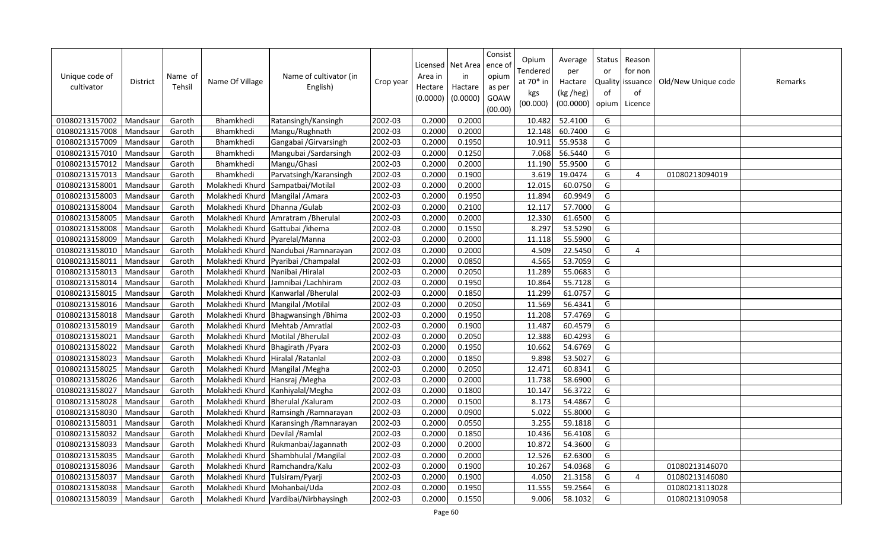| Unique code of<br>cultivator | District | Name of<br>Tehsil | Name Of Village                    | Name of cultivator (in<br>English)        | Crop year | Area in<br>Hectare<br>(0.0000) | Licensed   Net Area<br>in<br>Hactare<br>(0.0000) | Consist<br>ence of<br>opium<br>as per<br>GOAW<br>(00.00) | Opium<br>Tendered<br>at 70* in<br>kgs<br>(00.000) | Average<br>per<br>Hactare<br>(kg /heg)<br>(00.0000) | Status<br>or<br><b>Quality</b><br>of<br>opium | Reason<br>for non<br>issuance<br>of<br>Licence | Old/New Unique code | Remarks |
|------------------------------|----------|-------------------|------------------------------------|-------------------------------------------|-----------|--------------------------------|--------------------------------------------------|----------------------------------------------------------|---------------------------------------------------|-----------------------------------------------------|-----------------------------------------------|------------------------------------------------|---------------------|---------|
| 01080213157002               | Mandsaur | Garoth            | Bhamkhedi                          | Ratansingh/Kansingh                       | 2002-03   | 0.2000                         | 0.2000                                           |                                                          | 10.482                                            | 52.4100                                             | G                                             |                                                |                     |         |
| 01080213157008               | Mandsaur | Garoth            | Bhamkhedi                          | Mangu/Rughnath                            | 2002-03   | 0.2000                         | 0.2000                                           |                                                          | 12.148                                            | 60.7400                                             | G                                             |                                                |                     |         |
| 01080213157009               | Mandsaur | Garoth            | Bhamkhedi                          | Gangabai /Girvarsingh                     | 2002-03   | 0.2000                         | 0.1950                                           |                                                          | 10.911                                            | 55.9538                                             | G                                             |                                                |                     |         |
| 01080213157010               | Mandsaur | Garoth            | Bhamkhedi                          | Mangubai /Sardarsingh                     | 2002-03   | 0.2000                         | 0.1250                                           |                                                          | 7.068                                             | 56.5440                                             | G                                             |                                                |                     |         |
| 01080213157012               | Mandsaur | Garoth            | Bhamkhedi                          | Mangu/Ghasi                               | 2002-03   | 0.2000                         | 0.2000                                           |                                                          | 11.190                                            | 55.9500                                             | G                                             |                                                |                     |         |
| 01080213157013               | Mandsaur | Garoth            | Bhamkhedi                          | Parvatsingh/Karansingh                    | 2002-03   | 0.2000                         | 0.1900                                           |                                                          | 3.619                                             | 19.0474                                             | G                                             | $\overline{4}$                                 | 01080213094019      |         |
| 01080213158001               | Mandsaur | Garoth            | Molakhedi Khurd                    | Sampatbai/Motilal                         | 2002-03   | 0.2000                         | 0.2000                                           |                                                          | 12.015                                            | 60.0750                                             | G                                             |                                                |                     |         |
| 01080213158003               | Mandsaur | Garoth            | Molakhedi Khurd                    | Mangilal / Amara                          | 2002-03   | 0.2000                         | 0.1950                                           |                                                          | 11.894                                            | 60.9949                                             | G                                             |                                                |                     |         |
| 01080213158004               | Mandsaur | Garoth            | Molakhedi Khurd                    | Dhanna / Gulab                            | 2002-03   | 0.2000                         | 0.2100                                           |                                                          | 12.117                                            | 57.7000                                             | G                                             |                                                |                     |         |
| 01080213158005               | Mandsaur | Garoth            | Molakhedi Khurd                    | Amratram / Bherulal                       | 2002-03   | 0.2000                         | 0.2000                                           |                                                          | 12.330                                            | 61.6500                                             | G                                             |                                                |                     |         |
| 01080213158008               | Mandsau  | Garoth            | Molakhedi Khurd                    | Gattubai /khema                           | 2002-03   | 0.2000                         | 0.1550                                           |                                                          | 8.297                                             | 53.5290                                             | G                                             |                                                |                     |         |
| 01080213158009               | Mandsaur | Garoth            | Molakhedi Khurd                    | Pyarelal/Manna                            | 2002-03   | 0.2000                         | 0.2000                                           |                                                          | 11.118                                            | 55.5900                                             | G                                             |                                                |                     |         |
| 01080213158010               | Mandsaur | Garoth            |                                    | Molakhedi Khurd Nandubai / Ramnarayan     | 2002-03   | 0.2000                         | 0.2000                                           |                                                          | 4.509                                             | 22.5450                                             | G                                             | 4                                              |                     |         |
| 01080213158011               | Mandsaur | Garoth            | Molakhedi Khurd                    | Pyaribai / Champalal                      | 2002-03   | 0.2000                         | 0.0850                                           |                                                          | 4.565                                             | 53.7059                                             | G                                             |                                                |                     |         |
| 01080213158013               | Mandsau  | Garoth            | Molakhedi Khurd Nanibai /Hiralal   |                                           | 2002-03   | 0.2000                         | 0.2050                                           |                                                          | 11.289                                            | 55.0683                                             | G                                             |                                                |                     |         |
| 01080213158014               | Mandsaur | Garoth            | Molakhedi Khurd                    | Jamnibai / Lachhiram                      | 2002-03   | 0.2000                         | 0.1950                                           |                                                          | 10.864                                            | 55.7128                                             | G                                             |                                                |                     |         |
| 01080213158015               | Mandsaur | Garoth            | Molakhedi Khurd                    | Kanwarlal / Bherulal                      | 2002-03   | 0.2000                         | 0.1850                                           |                                                          | 11.299                                            | 61.0757                                             | G                                             |                                                |                     |         |
| 01080213158016               | Mandsaur | Garoth            | Molakhedi Khurd                    | Mangilal / Motilal                        | 2002-03   | 0.2000                         | 0.2050                                           |                                                          | 11.569                                            | 56.4341                                             | G                                             |                                                |                     |         |
| 01080213158018               | Mandsau  | Garoth            | Molakhedi Khurd                    | Bhagwansingh / Bhima                      | 2002-03   | 0.2000                         | 0.1950                                           |                                                          | 11.208                                            | 57.4769                                             | G                                             |                                                |                     |         |
| 01080213158019               | Mandsaur | Garoth            | Molakhedi Khurd                    | Mehtab / Amratlal                         | 2002-03   | 0.2000                         | 0.1900                                           |                                                          | 11.487                                            | 60.4579                                             | G                                             |                                                |                     |         |
| 01080213158021               | Mandsau  | Garoth            | Molakhedi Khurd                    | Motilal / Bherulal                        | 2002-03   | 0.2000                         | 0.2050                                           |                                                          | 12.388                                            | 60.4293                                             | G                                             |                                                |                     |         |
| 01080213158022               | Mandsaur | Garoth            | Molakhedi Khurd                    | Bhagirath / Pyara                         | 2002-03   | 0.2000                         | 0.1950                                           |                                                          | 10.662                                            | 54.6769                                             | G                                             |                                                |                     |         |
| 01080213158023               | Mandsaur | Garoth            | Molakhedi Khurd Hiralal / Ratanlal |                                           | 2002-03   | 0.2000                         | 0.1850                                           |                                                          | 9.898                                             | 53.5027                                             | G                                             |                                                |                     |         |
| 01080213158025               | Mandsaur | Garoth            | Molakhedi Khurd                    | Mangilal / Megha                          | 2002-03   | 0.2000                         | 0.2050                                           |                                                          | 12.471                                            | 60.8341                                             | G                                             |                                                |                     |         |
| 01080213158026               | Mandsaur | Garoth            | Molakhedi Khurd Hansraj / Megha    |                                           | 2002-03   | 0.2000                         | 0.2000                                           |                                                          | 11.738                                            | 58.6900                                             | G                                             |                                                |                     |         |
| 01080213158027               | Mandsaur | Garoth            | Molakhedi Khurd                    | Kanhiyalal/Megha                          | 2002-03   | 0.2000                         | 0.1800                                           |                                                          | 10.147                                            | 56.3722                                             | G                                             |                                                |                     |         |
| 01080213158028               | Mandsaur | Garoth            |                                    | Molakhedi Khurd Bherulal / Kaluram        | 2002-03   | 0.2000                         | 0.1500                                           |                                                          | 8.173                                             | 54.4867                                             | G                                             |                                                |                     |         |
| 01080213158030               | Mandsaur | Garoth            |                                    | Molakhedi Khurd Ramsingh / Ramnarayan     | 2002-03   | 0.2000                         | 0.0900                                           |                                                          | 5.022                                             | 55.8000                                             | G                                             |                                                |                     |         |
| 01080213158031               | Mandsaur | Garoth            |                                    | Molakhedi Khurd   Karansingh / Ramnarayan | 2002-03   | 0.2000                         | 0.0550                                           |                                                          | 3.255                                             | 59.1818                                             | G                                             |                                                |                     |         |
| 01080213158032               | Mandsau  | Garoth            | Molakhedi Khurd Devilal / Ramlal   |                                           | 2002-03   | 0.2000                         | 0.1850                                           |                                                          | 10.436                                            | 56.4108                                             | G                                             |                                                |                     |         |
| 01080213158033               | Mandsaur | Garoth            |                                    | Molakhedi Khurd Rukmanbai/Jagannath       | 2002-03   | 0.2000                         | 0.2000                                           |                                                          | 10.872                                            | 54.3600                                             | G                                             |                                                |                     |         |
| 01080213158035               | Mandsau  | Garoth            | Molakhedi Khurd                    | Shambhulal /Mangilal                      | 2002-03   | 0.2000                         | 0.2000                                           |                                                          | 12.526                                            | 62.6300                                             | G                                             |                                                |                     |         |
| 01080213158036               | Mandsau  | Garoth            | Molakhedi Khurd                    | Ramchandra/Kalu                           | 2002-03   | 0.2000                         | 0.1900                                           |                                                          | 10.267                                            | 54.0368                                             | G                                             |                                                | 01080213146070      |         |
| 01080213158037               | Mandsau  | Garoth            | Molakhedi Khurd                    | Tulsiram/Pyarji                           | 2002-03   | 0.2000                         | 0.1900                                           |                                                          | 4.050                                             | 21.3158                                             | G                                             | 4                                              | 01080213146080      |         |
| 01080213158038               | Mandsaur | Garoth            | Molakhedi Khurd Mohanbai/Uda       |                                           | 2002-03   | 0.2000                         | 0.1950                                           |                                                          | 11.555                                            | 59.2564                                             | G                                             |                                                | 01080213113028      |         |
| 01080213158039               | Mandsaur | Garoth            |                                    | Molakhedi Khurd Vardibai/Nirbhaysingh     | 2002-03   | 0.2000                         | 0.1550                                           |                                                          | 9.006                                             | 58.1032                                             | G                                             |                                                | 01080213109058      |         |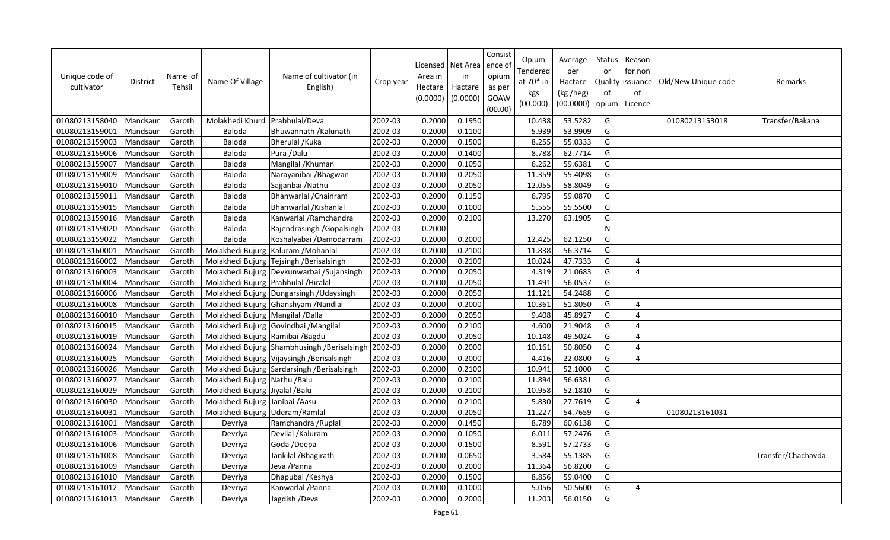| Unique code of<br>cultivator | <b>District</b> | Name of<br>Tehsil | Name Of Village                      | Name of cultivator (in<br>English)           | Crop year | Area in<br>Hectare<br>(0.0000) | Licensed   Net Area   ence o<br>in<br>Hactare<br>(0.0000) | Consist<br>opium<br>as per<br>GOAW<br>(00.00) | Opium<br>Tendered<br>at 70* in<br>kgs<br>(00.000) | Average<br>per<br>Hactare<br>(kg /heg)<br>(00.0000) | Status<br>or<br>of | Reason<br>for non<br>Quality issuance<br>of<br>opium   Licence | Old/New Unique code | <b>Remarks</b>     |
|------------------------------|-----------------|-------------------|--------------------------------------|----------------------------------------------|-----------|--------------------------------|-----------------------------------------------------------|-----------------------------------------------|---------------------------------------------------|-----------------------------------------------------|--------------------|----------------------------------------------------------------|---------------------|--------------------|
| 01080213158040               | Mandsaur        | Garoth            | Molakhedi Khurd                      | Prabhulal/Deva                               | 2002-03   | 0.2000                         | 0.1950                                                    |                                               | 10.438                                            | 53.5282                                             | G                  |                                                                | 01080213153018      | Transfer/Bakana    |
| 01080213159001               | Mandsaur        | Garoth            | Baloda                               | Bhuwannath / Kalunath                        | 2002-03   | 0.2000                         | 0.1100                                                    |                                               | 5.939                                             | 53.9909                                             | G                  |                                                                |                     |                    |
| 01080213159003               | Mandsaur        | Garoth            | Baloda                               | <b>Bherulal / Kuka</b>                       | 2002-03   | 0.2000                         | 0.1500                                                    |                                               | 8.255                                             | 55.0333                                             | G                  |                                                                |                     |                    |
| 01080213159006               | Mandsaur        | Garoth            | Baloda                               | Pura / Dalu                                  | 2002-03   | 0.2000                         | 0.1400                                                    |                                               | 8.788                                             | 62.7714                                             | G                  |                                                                |                     |                    |
| 01080213159007               | Mandsaur        | Garoth            | Baloda                               | Mangilal / Khuman                            | 2002-03   | 0.2000                         | 0.1050                                                    |                                               | 6.262                                             | 59.6381                                             | G                  |                                                                |                     |                    |
| 01080213159009               | Mandsaur        | Garoth            | Baloda                               | Narayanibai / Bhagwan                        | 2002-03   | 0.2000                         | 0.2050                                                    |                                               | 11.359                                            | 55.4098                                             | G                  |                                                                |                     |                    |
| 01080213159010               | Mandsaur        | Garoth            | Baloda                               | Sajjanbai / Nathu                            | 2002-03   | 0.2000                         | 0.2050                                                    |                                               | 12.055                                            | 58.8049                                             | G                  |                                                                |                     |                    |
| 01080213159011               | Mandsaur        | Garoth            | Baloda                               | Bhanwarlal / Chainram                        | 2002-03   | 0.2000                         | 0.1150                                                    |                                               | 6.795                                             | 59.0870                                             | G                  |                                                                |                     |                    |
| 01080213159015               | Mandsaur        | Garoth            | Baloda                               | Bhanwarlal / Kishanlal                       | 2002-03   | 0.2000                         | 0.1000                                                    |                                               | 5.555                                             | 55.5500                                             | G                  |                                                                |                     |                    |
| 01080213159016               | Mandsaur        | Garoth            | Baloda                               | Kanwarlal / Ramchandra                       | 2002-03   | 0.2000                         | 0.2100                                                    |                                               | 13.270                                            | 63.1905                                             | G                  |                                                                |                     |                    |
| 01080213159020               | Mandsaur        | Garoth            | <b>Baloda</b>                        | Rajendrasingh / Gopalsingh                   | 2002-03   | 0.2000                         |                                                           |                                               |                                                   |                                                     | N                  |                                                                |                     |                    |
| 01080213159022               | Mandsaur        | Garoth            | Baloda                               | Koshalyabai /Damodarram                      | 2002-03   | 0.2000                         | 0.2000                                                    |                                               | 12.425                                            | 62.1250                                             | G                  |                                                                |                     |                    |
| 01080213160001               | Mandsaur        | Garoth            | Molakhedi Bujurg                     | Kaluram / Mohanlal                           | 2002-03   | 0.2000                         | 0.2100                                                    |                                               | 11.838                                            | 56.3714                                             | G                  |                                                                |                     |                    |
| 01080213160002               | Mandsaur        | Garoth            |                                      | Molakhedi Bujurg Tejsingh / Berisalsingh     | 2002-03   | 0.2000                         | 0.2100                                                    |                                               | 10.024                                            | 47.7333                                             | G                  | 4                                                              |                     |                    |
| 01080213160003               | Mandsaur        | Garoth            |                                      | Molakhedi Bujurg Devkunwarbai / Sujansingh   | 2002-03   | 0.2000                         | 0.2050                                                    |                                               | 4.319                                             | 21.0683                                             | G                  | $\overline{4}$                                                 |                     |                    |
| 01080213160004               | Mandsaur        | Garoth            | Molakhedi Bujurg Prabhulal / Hiralal |                                              | 2002-03   | 0.2000                         | 0.2050                                                    |                                               | 11.491                                            | 56.0537                                             | G                  |                                                                |                     |                    |
| 01080213160006               | Mandsaur        | Garoth            |                                      | Molakhedi Bujurg Dungarsingh / Udaysingh     | 2002-03   | 0.2000                         | 0.2050                                                    |                                               | 11.121                                            | 54.2488                                             | G                  |                                                                |                     |                    |
| 01080213160008               | Mandsaur        | Garoth            |                                      | Molakhedi Bujurg Ghanshyam / Nandlal         | 2002-03   | 0.2000                         | 0.2000                                                    |                                               | 10.361                                            | 51.8050                                             | G                  | $\overline{4}$                                                 |                     |                    |
| 01080213160010               | Mandsaur        | Garoth            | Molakhedi Bujurg Mangilal /Dalla     |                                              | 2002-03   | 0.2000                         | 0.2050                                                    |                                               | 9.408                                             | 45.8927                                             | G                  | $\overline{4}$                                                 |                     |                    |
| 01080213160015               | Mandsaur        | Garoth            |                                      | Molakhedi Bujurg Govindbai / Mangilal        | 2002-03   | 0.2000                         | 0.2100                                                    |                                               | 4.600                                             | 21.9048                                             | G                  | 4                                                              |                     |                    |
| 01080213160019               | Mandsaur        | Garoth            | Molakhedi Bujurg Ramibai / Bagdu     |                                              | 2002-03   | 0.2000                         | 0.2050                                                    |                                               | 10.148                                            | 49.5024                                             | G                  | 4                                                              |                     |                    |
| 01080213160024               | Mandsaur        | Garoth            |                                      | Molakhedi Bujurg Shambhusingh / Berisalsingh | 2002-03   | 0.2000                         | 0.2000                                                    |                                               | 10.161                                            | 50.8050                                             | G                  | $\overline{4}$                                                 |                     |                    |
| 01080213160025               | Mandsaur        | Garoth            |                                      | Molakhedi Bujurg Vijaysingh / Berisalsingh   | 2002-03   | 0.2000                         | 0.2000                                                    |                                               | 4.416                                             | 22.0800                                             | G                  | 4                                                              |                     |                    |
| 01080213160026               | Mandsaur        | Garoth            |                                      | Molakhedi Bujurg Sardarsingh / Berisalsingh  | 2002-03   | 0.2000                         | 0.2100                                                    |                                               | 10.941                                            | 52.1000                                             | G                  |                                                                |                     |                    |
| 01080213160027               | Mandsaur        | Garoth            | Molakhedi Bujurg Nathu / Balu        |                                              | 2002-03   | 0.2000                         | 0.2100                                                    |                                               | 11.894                                            | 56.6381                                             | G                  |                                                                |                     |                    |
| 01080213160029               | Mandsaur        | Garoth            | Molakhedi Bujurg Jiyalal / Balu      |                                              | 2002-03   | 0.2000                         | 0.2100                                                    |                                               | 10.958                                            | 52.1810                                             | G                  |                                                                |                     |                    |
| 01080213160030               | Mandsaur        | Garoth            | Molakhedi Bujurg Janibai / Aasu      |                                              | 2002-03   | 0.2000                         | 0.2100                                                    |                                               | 5.830                                             | 27.7619                                             | G                  | 4                                                              |                     |                    |
| 01080213160031               | Mandsaur        | Garoth            | Molakhedi Bujurg Uderam/Ramlal       |                                              | 2002-03   | 0.2000                         | 0.2050                                                    |                                               | 11.227                                            | 54.7659                                             | G                  |                                                                | 01080213161031      |                    |
| 01080213161001               | Mandsaur        | Garoth            | Devriya                              | Ramchandra / Ruplal                          | 2002-03   | 0.2000                         | 0.1450                                                    |                                               | 8.789                                             | 60.6138                                             | G                  |                                                                |                     |                    |
| 01080213161003               | Mandsaur        | Garoth            | Devriya                              | Devilal / Kaluram                            | 2002-03   | 0.2000                         | 0.1050                                                    |                                               | 6.011                                             | 57.2476                                             | G                  |                                                                |                     |                    |
| 01080213161006               | Mandsaur        | Garoth            | Devriya                              | Goda /Deepa                                  | 2002-03   | 0.2000                         | 0.1500                                                    |                                               | 8.591                                             | 57.2733                                             | G                  |                                                                |                     |                    |
| 01080213161008               | Mandsaur        | Garoth            | Devriya                              | Jankilal / Bhagirath                         | 2002-03   | 0.2000                         | 0.0650                                                    |                                               | 3.584                                             | 55.1385                                             | G                  |                                                                |                     | Transfer/Chachavda |
| 01080213161009               | Mandsaur        | Garoth            | Devriya                              | Jeva / Panna                                 | 2002-03   | 0.2000                         | 0.2000                                                    |                                               | 11.364                                            | 56.8200                                             | G                  |                                                                |                     |                    |
| 01080213161010               | Mandsaur        | Garoth            | Devriya                              | Dhapubai / Keshya                            | 2002-03   | 0.2000                         | 0.1500                                                    |                                               | 8.856                                             | 59.0400                                             | G                  |                                                                |                     |                    |
| 01080213161012               | Mandsaur        | Garoth            | Devriya                              | Kanwarlal / Panna                            | 2002-03   | 0.2000                         | 0.1000                                                    |                                               | 5.056                                             | 50.5600                                             | G                  | 4                                                              |                     |                    |
| 01080213161013               | Mandsaur        | Garoth            | Devriya                              | Jagdish /Deva                                | 2002-03   | 0.2000                         | 0.2000                                                    |                                               | 11.203                                            | 56.0150                                             | G                  |                                                                |                     |                    |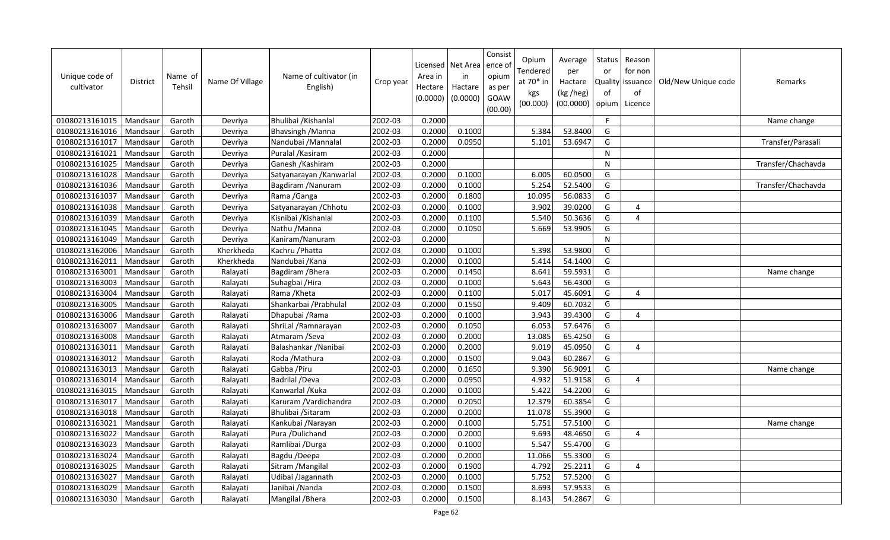| Unique code of<br>cultivator | District | Name of<br>Tehsil | Name Of Village | Name of cultivator (in<br>English) | Crop year | Area in<br>Hectare<br>(0.0000) | Licensed   Net Area  <br>in<br>Hactare<br>(0.0000) | Consist<br>ence o<br>opium<br>as per<br>GOAW<br>(00.00) | Opium<br>Tendered<br>at 70* in<br>kgs<br>(00.000) | Average<br>per<br>Hactare<br>(kg /heg)<br>(00.0000) | Status<br>or<br>of<br>opium | Reason<br>for non<br>Quality issuance<br>of<br>Licence | Old/New Unique code | Remarks            |
|------------------------------|----------|-------------------|-----------------|------------------------------------|-----------|--------------------------------|----------------------------------------------------|---------------------------------------------------------|---------------------------------------------------|-----------------------------------------------------|-----------------------------|--------------------------------------------------------|---------------------|--------------------|
| 01080213161015               | Mandsaur | Garoth            | Devriya         | Bhulibai / Kishanlal               | 2002-03   | 0.2000                         |                                                    |                                                         |                                                   |                                                     | F                           |                                                        |                     | Name change        |
| 01080213161016               | Mandsaur | Garoth            | Devriya         | <b>Bhavsingh /Manna</b>            | 2002-03   | 0.2000                         | 0.1000                                             |                                                         | 5.384                                             | 53.8400                                             | G                           |                                                        |                     |                    |
| 01080213161017               | Mandsaur | Garoth            | Devriya         | Nandubai / Mannalal                | 2002-03   | 0.2000                         | 0.0950                                             |                                                         | 5.101                                             | 53.6947                                             | G                           |                                                        |                     | Transfer/Parasali  |
| 01080213161021               | Mandsaur | Garoth            | Devriya         | Puralal / Kasiram                  | 2002-03   | 0.2000                         |                                                    |                                                         |                                                   |                                                     | N                           |                                                        |                     |                    |
| 01080213161025               | Mandsaur | Garoth            | Devriya         | Ganesh / Kashiram                  | 2002-03   | 0.2000                         |                                                    |                                                         |                                                   |                                                     | N                           |                                                        |                     | Transfer/Chachavda |
| 01080213161028               | Mandsaur | Garoth            | Devriya         | Satyanarayan / Kanwarlal           | 2002-03   | 0.2000                         | 0.1000                                             |                                                         | 6.005                                             | 60.0500                                             | G                           |                                                        |                     |                    |
| 01080213161036               | Mandsaur | Garoth            | Devriya         | Bagdiram / Nanuram                 | 2002-03   | 0.2000                         | 0.1000                                             |                                                         | 5.254                                             | 52.5400                                             | G                           |                                                        |                     | Transfer/Chachavda |
| 01080213161037               | Mandsaur | Garoth            | Devriya         | Rama / Ganga                       | 2002-03   | 0.2000                         | 0.1800                                             |                                                         | 10.095                                            | 56.0833                                             | G                           |                                                        |                     |                    |
| 01080213161038               | Mandsaur | Garoth            | Devriya         | Satyanarayan / Chhotu              | 2002-03   | 0.2000                         | 0.1000                                             |                                                         | 3.902                                             | 39.0200                                             | G                           | 4                                                      |                     |                    |
| 01080213161039               | Mandsaur | Garoth            | Devriya         | Kisnibai / Kishanlal               | 2002-03   | 0.2000                         | 0.1100                                             |                                                         | 5.540                                             | 50.3636                                             | G                           | 4                                                      |                     |                    |
| 01080213161045               | Mandsaur | Garoth            | Devriya         | Nathu /Manna                       | 2002-03   | 0.2000                         | 0.1050                                             |                                                         | 5.669                                             | 53.9905                                             | G                           |                                                        |                     |                    |
| 01080213161049               | Mandsaur | Garoth            | Devriya         | Kaniram/Nanuram                    | 2002-03   | 0.2000                         |                                                    |                                                         |                                                   |                                                     | ${\sf N}$                   |                                                        |                     |                    |
| 01080213162006               | Mandsaur | Garoth            | Kherkheda       | Kachru / Phatta                    | 2002-03   | 0.2000                         | 0.1000                                             |                                                         | 5.398                                             | 53.9800                                             | G                           |                                                        |                     |                    |
| 01080213162011               | Mandsaur | Garoth            | Kherkheda       | Nandubai / Kana                    | 2002-03   | 0.2000                         | 0.1000                                             |                                                         | 5.414                                             | 54.1400                                             | G                           |                                                        |                     |                    |
| 01080213163001               | Mandsaur | Garoth            | Ralayati        | Bagdiram / Bhera                   | 2002-03   | 0.2000                         | 0.1450                                             |                                                         | 8.641                                             | 59.5931                                             | G                           |                                                        |                     | Name change        |
| 01080213163003               | Mandsaur | Garoth            | Ralayati        | Suhagbai / Hira                    | 2002-03   | 0.2000                         | 0.1000                                             |                                                         | 5.643                                             | 56.4300                                             | G                           |                                                        |                     |                    |
| 01080213163004               | Mandsaur | Garoth            | Ralayati        | Rama / Kheta                       | 2002-03   | 0.2000                         | 0.1100                                             |                                                         | 5.017                                             | 45.6091                                             | G                           | 4                                                      |                     |                    |
| 01080213163005               | Mandsaur | Garoth            | Ralayati        | Shankarbai / Prabhulal             | 2002-03   | 0.2000                         | 0.1550                                             |                                                         | 9.409                                             | 60.7032                                             | G                           |                                                        |                     |                    |
| 01080213163006               | Mandsaur | Garoth            | Ralayati        | Dhapubai / Rama                    | 2002-03   | 0.2000                         | 0.1000                                             |                                                         | 3.943                                             | 39.4300                                             | G                           | 4                                                      |                     |                    |
| 01080213163007               | Mandsaur | Garoth            | Ralayati        | ShriLal / Ramnarayan               | 2002-03   | 0.2000                         | 0.1050                                             |                                                         | 6.053                                             | 57.6476                                             | G                           |                                                        |                     |                    |
| 01080213163008               | Mandsaur | Garoth            | Ralayati        | Atmaram / Seva                     | 2002-03   | 0.2000                         | 0.2000                                             |                                                         | 13.085                                            | 65.4250                                             | G                           |                                                        |                     |                    |
| 01080213163011               | Mandsaur | Garoth            | Ralayati        | Balashankar / Nanibai              | 2002-03   | 0.2000                         | 0.2000                                             |                                                         | 9.019                                             | 45.0950                                             | G                           | 4                                                      |                     |                    |
| 01080213163012               | Mandsaur | Garoth            | Ralayati        | Roda / Mathura                     | 2002-03   | 0.2000                         | 0.1500                                             |                                                         | 9.043                                             | 60.2867                                             | G                           |                                                        |                     |                    |
| 01080213163013               | Mandsaur | Garoth            | Ralayati        | Gabba / Piru                       | 2002-03   | 0.2000                         | 0.1650                                             |                                                         | 9.390                                             | 56.9091                                             | G                           |                                                        |                     | Name change        |
| 01080213163014               | Mandsaur | Garoth            | Ralayati        | Badrilal /Deva                     | 2002-03   | 0.2000                         | 0.0950                                             |                                                         | 4.932                                             | 51.9158                                             | G                           | 4                                                      |                     |                    |
| 01080213163015               | Mandsaur | Garoth            | Ralayati        | Kanwarlal / Kuka                   | 2002-03   | 0.2000                         | 0.1000                                             |                                                         | 5.422                                             | 54.2200                                             | G                           |                                                        |                     |                    |
| 01080213163017               | Mandsaur | Garoth            | Ralayati        | Karuram / Vardichandra             | 2002-03   | 0.2000                         | 0.2050                                             |                                                         | 12.379                                            | 60.3854                                             | G                           |                                                        |                     |                    |
| 01080213163018               | Mandsaur | Garoth            | Ralayati        | Bhulibai / Sitaram                 | 2002-03   | 0.2000                         | 0.2000                                             |                                                         | 11.078                                            | 55.3900                                             | G                           |                                                        |                     |                    |
| 01080213163021               | Mandsaur | Garoth            | Ralayati        | Kankubai / Narayan                 | 2002-03   | 0.2000                         | 0.1000                                             |                                                         | 5.75                                              | 57.5100                                             | G                           |                                                        |                     | Name change        |
| 01080213163022               | Mandsaur | Garoth            | Ralayati        | Pura / Dulichand                   | 2002-03   | 0.2000                         | 0.2000                                             |                                                         | 9.693                                             | 48.4650                                             | G                           | 4                                                      |                     |                    |
| 01080213163023               | Mandsaur | Garoth            | Ralayati        | Ramlibai /Durga                    | 2002-03   | 0.2000                         | 0.1000                                             |                                                         | 5.547                                             | 55.4700                                             | G                           |                                                        |                     |                    |
| 01080213163024               | Mandsaur | Garoth            | Ralayati        | Bagdu /Deepa                       | 2002-03   | 0.2000                         | 0.2000                                             |                                                         | 11.066                                            | 55.3300                                             | G                           |                                                        |                     |                    |
| 01080213163025               | Mandsaur | Garoth            | Ralayati        | Sitram / Mangilal                  | 2002-03   | 0.2000                         | 0.1900                                             |                                                         | 4.792                                             | 25.2211                                             | G                           | 4                                                      |                     |                    |
| 01080213163027               | Mandsaur | Garoth            | Ralayati        | Udibai /Jagannath                  | 2002-03   | 0.2000                         | 0.1000                                             |                                                         | 5.752                                             | 57.5200                                             | G                           |                                                        |                     |                    |
| 01080213163029               | Mandsaur | Garoth            | Ralayati        | Janibai / Nanda                    | 2002-03   | 0.2000                         | 0.1500                                             |                                                         | 8.693                                             | 57.9533                                             | G                           |                                                        |                     |                    |
| 01080213163030               | Mandsaur | Garoth            | Ralayati        | Mangilal / Bhera                   | 2002-03   | 0.2000                         | 0.1500                                             |                                                         | 8.143                                             | 54.2867                                             | G                           |                                                        |                     |                    |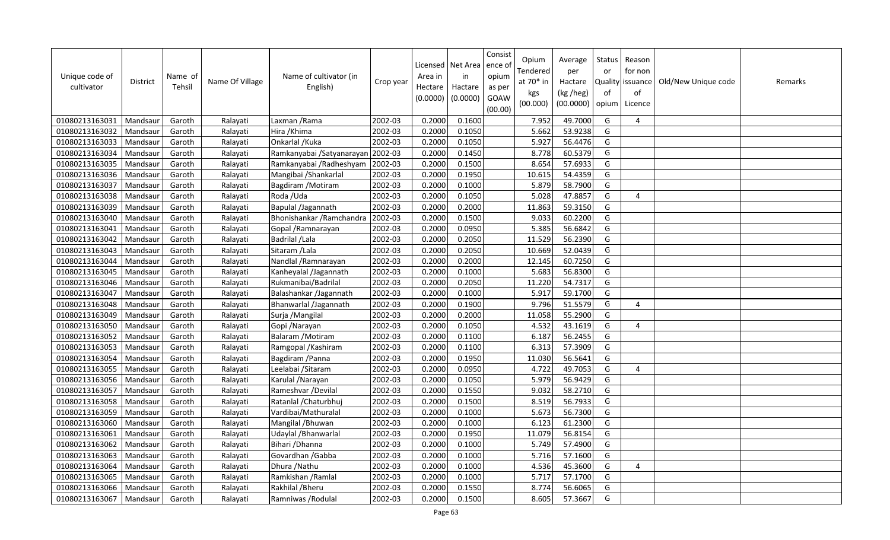| Unique code of<br>cultivator | <b>District</b> | Name of<br>Tehsil | Name Of Village | Name of cultivator (in<br>English) | Crop year | Area in<br>Hectare<br>(0.0000) | Licensed   Net Area<br>in<br>Hactare<br>(0.0000) | Consist<br>ence of<br>opium<br>as per<br>GOAW<br>(00.00) | Opium<br>Tendered<br>at 70* in<br>kgs<br>(00.000) | Average<br>per<br>Hactare<br>(kg /heg)<br>(00.0000) | Status<br>or<br>of<br>opium | Reason<br>for non<br>Quality issuance<br>of<br>Licence | Old/New Unique code | Remarks |
|------------------------------|-----------------|-------------------|-----------------|------------------------------------|-----------|--------------------------------|--------------------------------------------------|----------------------------------------------------------|---------------------------------------------------|-----------------------------------------------------|-----------------------------|--------------------------------------------------------|---------------------|---------|
| 01080213163031               | Mandsaur        | Garoth            | Ralayati        | Laxman / Rama                      | 2002-03   | 0.2000                         | 0.1600                                           |                                                          | 7.952                                             | 49.7000                                             | G                           | 4                                                      |                     |         |
| 01080213163032               | Mandsaur        | Garoth            | Ralayati        | Hira / Khima                       | 2002-03   | 0.2000                         | 0.1050                                           |                                                          | 5.662                                             | 53.9238                                             | G                           |                                                        |                     |         |
| 01080213163033               | Mandsaur        | Garoth            | Ralayati        | Onkarlal / Kuka                    | 2002-03   | 0.2000                         | 0.1050                                           |                                                          | 5.927                                             | 56.4476                                             | G                           |                                                        |                     |         |
| 01080213163034               | Mandsaur        | Garoth            | Ralayati        | Ramkanyabai / Satyanarayan         | 2002-03   | 0.2000                         | 0.1450                                           |                                                          | 8.778                                             | 60.5379                                             | G                           |                                                        |                     |         |
| 01080213163035               | Mandsaur        | Garoth            | Ralayati        | Ramkanyabai /Radheshyam            | 2002-03   | 0.2000                         | 0.1500                                           |                                                          | 8.654                                             | 57.6933                                             | G                           |                                                        |                     |         |
| 01080213163036               | Mandsaur        | Garoth            | Ralayati        | Mangibai / Shankarlal              | 2002-03   | 0.2000                         | 0.1950                                           |                                                          | 10.615                                            | 54.4359                                             | G                           |                                                        |                     |         |
| 01080213163037               | Mandsau         | Garoth            | Ralayati        | Bagdiram / Motiram                 | 2002-03   | 0.2000                         | 0.1000                                           |                                                          | 5.879                                             | 58.7900                                             | G                           |                                                        |                     |         |
| 01080213163038               | Mandsaur        | Garoth            | Ralayati        | Roda /Uda                          | 2002-03   | 0.2000                         | 0.1050                                           |                                                          | 5.028                                             | 47.8857                                             | G                           | $\overline{4}$                                         |                     |         |
| 01080213163039               | Mandsau         | Garoth            | Ralayati        | Bapulal /Jagannath                 | 2002-03   | 0.2000                         | 0.2000                                           |                                                          | 11.863                                            | 59.3150                                             | G                           |                                                        |                     |         |
| 01080213163040               | Mandsaur        | Garoth            | Ralayati        | Bhonishankar / Ramchandra          | 2002-03   | 0.2000                         | 0.1500                                           |                                                          | 9.033                                             | 60.2200                                             | G                           |                                                        |                     |         |
| 01080213163041               | Mandsau         | Garoth            | Ralayati        | Gopal / Ramnarayan                 | 2002-03   | 0.2000                         | 0.0950                                           |                                                          | 5.385                                             | 56.6842                                             | G                           |                                                        |                     |         |
| 01080213163042               | Mandsaur        | Garoth            | Ralayati        | Badrilal / Lala                    | 2002-03   | 0.2000                         | 0.2050                                           |                                                          | 11.529                                            | 56.2390                                             | G                           |                                                        |                     |         |
| 01080213163043               | Mandsau         | Garoth            | Ralayati        | Sitaram / Lala                     | 2002-03   | 0.2000                         | 0.2050                                           |                                                          | 10.669                                            | 52.0439                                             | G                           |                                                        |                     |         |
| 01080213163044               | Mandsaur        | Garoth            | Ralayati        | Nandlal / Ramnarayan               | 2002-03   | 0.2000                         | 0.2000                                           |                                                          | 12.145                                            | 60.7250                                             | G                           |                                                        |                     |         |
| 01080213163045               | Mandsaur        | Garoth            | Ralayati        | Kanheyalal /Jagannath              | 2002-03   | 0.2000                         | 0.1000                                           |                                                          | 5.683                                             | 56.8300                                             | G                           |                                                        |                     |         |
| 01080213163046               | Mandsaur        | Garoth            | Ralayati        | Rukmanibai/Badrilal                | 2002-03   | 0.2000                         | 0.2050                                           |                                                          | 11.220                                            | 54.7317                                             | G                           |                                                        |                     |         |
| 01080213163047               | Mandsaur        | Garoth            | Ralayati        | Balashankar /Jagannath             | 2002-03   | 0.2000                         | 0.1000                                           |                                                          | 5.917                                             | 59.1700                                             | G                           |                                                        |                     |         |
| 01080213163048               | Mandsaur        | Garoth            | Ralayati        | Bhanwarlal /Jagannath              | 2002-03   | 0.2000                         | 0.1900                                           |                                                          | 9.796                                             | 51.5579                                             | G                           | $\overline{4}$                                         |                     |         |
| 01080213163049               | Mandsaur        | Garoth            | Ralayati        | Surja / Mangilal                   | 2002-03   | 0.2000                         | 0.2000                                           |                                                          | 11.058                                            | 55.2900                                             | G                           |                                                        |                     |         |
| 01080213163050               | Mandsau         | Garoth            | Ralayati        | Gopi / Narayan                     | 2002-03   | 0.2000                         | 0.1050                                           |                                                          | 4.532                                             | 43.1619                                             | G                           | 4                                                      |                     |         |
| 01080213163052               | Mandsaur        | Garoth            | Ralayati        | Balaram / Motiram                  | 2002-03   | 0.2000                         | 0.1100                                           |                                                          | 6.187                                             | 56.2455                                             | G                           |                                                        |                     |         |
| 01080213163053               | Mandsaur        | Garoth            | Ralayati        | Ramgopal / Kashiram                | 2002-03   | 0.2000                         | 0.1100                                           |                                                          | 6.313                                             | 57.3909                                             | G                           |                                                        |                     |         |
| 01080213163054               | Mandsaur        | Garoth            | Ralayati        | Bagdiram / Panna                   | 2002-03   | 0.2000                         | 0.1950                                           |                                                          | 11.030                                            | 56.5641                                             | G                           |                                                        |                     |         |
| 01080213163055               | Mandsau         | Garoth            | Ralayati        | Leelabai / Sitaram                 | 2002-03   | 0.2000                         | 0.0950                                           |                                                          | 4.722                                             | 49.7053                                             | G                           | $\overline{4}$                                         |                     |         |
| 01080213163056               | Mandsaur        | Garoth            | Ralayati        | Karulal / Narayan                  | 2002-03   | 0.2000                         | 0.1050                                           |                                                          | 5.979                                             | 56.9429                                             | G                           |                                                        |                     |         |
| 01080213163057               | Mandsau         | Garoth            | Ralayati        | Rameshvar / Devilal                | 2002-03   | 0.2000                         | 0.1550                                           |                                                          | 9.032                                             | 58.2710                                             | G                           |                                                        |                     |         |
| 01080213163058               | Mandsaur        | Garoth            | Ralayati        | Ratanlal / Chaturbhuj              | 2002-03   | 0.2000                         | 0.1500                                           |                                                          | 8.519                                             | 56.7933                                             | G                           |                                                        |                     |         |
| 01080213163059               | Mandsau         | Garoth            | Ralayati        | Vardibai/Mathuralal                | 2002-03   | 0.2000                         | 0.1000                                           |                                                          | 5.673                                             | 56.7300                                             | G                           |                                                        |                     |         |
| 01080213163060               | Mandsaur        | Garoth            | Ralayati        | Mangilal / Bhuwan                  | 2002-03   | 0.2000                         | 0.1000                                           |                                                          | 6.123                                             | 61.2300                                             | G                           |                                                        |                     |         |
| 01080213163061               | Mandsau         | Garoth            | Ralayati        | Udaylal / Bhanwarlal               | 2002-03   | 0.2000                         | 0.1950                                           |                                                          | 11.079                                            | 56.8154                                             | G                           |                                                        |                     |         |
| 01080213163062               | Mandsaur        | Garoth            | Ralayati        | Bihari / Dhanna                    | 2002-03   | 0.2000                         | 0.1000                                           |                                                          | 5.749                                             | 57.4900                                             | G                           |                                                        |                     |         |
| 01080213163063               | Mandsaur        | Garoth            | Ralayati        | Govardhan / Gabba                  | 2002-03   | 0.2000                         | 0.1000                                           |                                                          | 5.716                                             | 57.1600                                             | G                           |                                                        |                     |         |
| 01080213163064               | Mandsaur        | Garoth            | Ralayati        | Dhura / Nathu                      | 2002-03   | 0.2000                         | 0.1000                                           |                                                          | 4.536                                             | 45.3600                                             | G                           | $\overline{4}$                                         |                     |         |
| 01080213163065               | Mandsaur        | Garoth            | Ralayati        | Ramkishan / Ramlal                 | 2002-03   | 0.2000                         | 0.1000                                           |                                                          | 5.717                                             | 57.1700                                             | G                           |                                                        |                     |         |
| 01080213163066               | Mandsaur        | Garoth            | Ralayati        | Rakhilal / Bheru                   | 2002-03   | 0.2000                         | 0.1550                                           |                                                          | 8.774                                             | 56.6065                                             | G                           |                                                        |                     |         |
| 01080213163067               | Mandsaur        | Garoth            | Ralayati        | Ramniwas / Rodulal                 | 2002-03   | 0.2000                         | 0.1500                                           |                                                          | 8.605                                             | 57.3667                                             | G                           |                                                        |                     |         |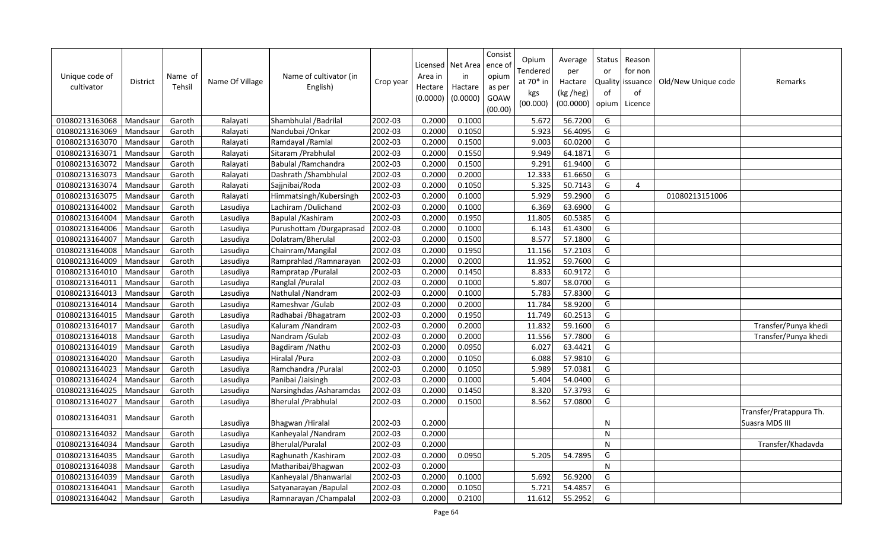| Unique code of<br>cultivator | <b>District</b> | Name of<br>Tehsil | Name Of Village | Name of cultivator (in<br>English) | Crop year | Licensed<br>Area in<br>Hectare<br>(0.0000) | Net Area<br>in<br>Hactare<br>(0.0000) | Consist<br>ence of<br>opium<br>as per<br>GOAW<br>(00.00) | Opium<br>Tendered<br>at $70*$ in<br>kgs<br>(00.000) | Average<br>per<br>Hactare<br>(kg /heg)<br>(00.0000) | <b>Status</b><br>or<br>of<br>opium | Reason<br>for non<br>Quality issuance<br>of<br>Licence | Old/New Unique code | Remarks                                   |
|------------------------------|-----------------|-------------------|-----------------|------------------------------------|-----------|--------------------------------------------|---------------------------------------|----------------------------------------------------------|-----------------------------------------------------|-----------------------------------------------------|------------------------------------|--------------------------------------------------------|---------------------|-------------------------------------------|
| 01080213163068               | Mandsaur        | Garoth            | Ralayati        | Shambhulal / Badrilal              | 2002-03   | 0.2000                                     | 0.1000                                |                                                          | 5.672                                               | 56.7200                                             | G                                  |                                                        |                     |                                           |
| 01080213163069               | Mandsaur        | Garoth            | Ralayati        | Nandubai / Onkar                   | 2002-03   | 0.2000                                     | 0.1050                                |                                                          | 5.923                                               | 56.4095                                             | G                                  |                                                        |                     |                                           |
| 01080213163070               | Mandsaur        | Garoth            | Ralayati        | Ramdayal / Ramlal                  | 2002-03   | 0.2000                                     | 0.1500                                |                                                          | 9.003                                               | 60.0200                                             | G                                  |                                                        |                     |                                           |
| 01080213163071               | Mandsaur        | Garoth            | Ralayati        | Sitaram / Prabhulal                | 2002-03   | 0.2000                                     | 0.1550                                |                                                          | 9.949                                               | 64.1871                                             | G                                  |                                                        |                     |                                           |
| 01080213163072               | Mandsaur        | Garoth            | Ralayati        | Babulal / Ramchandra               | 2002-03   | 0.2000                                     | 0.1500                                |                                                          | 9.291                                               | 61.9400                                             | G                                  |                                                        |                     |                                           |
| 01080213163073               | Mandsaur        | Garoth            | Ralayati        | Dashrath / Shambhulal              | 2002-03   | 0.2000                                     | 0.2000                                |                                                          | 12.333                                              | 61.6650                                             | G                                  |                                                        |                     |                                           |
| 01080213163074               | Mandsaur        | Garoth            | Ralayati        | Sajjnibai/Roda                     | 2002-03   | 0.2000                                     | 0.1050                                |                                                          | 5.325                                               | 50.7143                                             | G                                  | $\overline{4}$                                         |                     |                                           |
| 01080213163075               | Mandsaur        | Garoth            | Ralayati        | Himmatsingh/Kubersingh             | 2002-03   | 0.2000                                     | 0.1000                                |                                                          | 5.929                                               | 59.2900                                             | G                                  |                                                        | 01080213151006      |                                           |
| 01080213164002               | Mandsaur        | Garoth            | Lasudiya        | Lachiram /Dulichand                | 2002-03   | 0.2000                                     | 0.1000                                |                                                          | 6.369                                               | 63.6900                                             | G                                  |                                                        |                     |                                           |
| 01080213164004               | Mandsaur        | Garoth            | Lasudiya        | Bapulal / Kashiram                 | 2002-03   | 0.2000                                     | 0.1950                                |                                                          | 11.805                                              | 60.5385                                             | G                                  |                                                        |                     |                                           |
| 01080213164006               | Mandsaur        | Garoth            | Lasudiya        | Purushottam /Durgaprasad           | 2002-03   | 0.2000                                     | 0.1000                                |                                                          | 6.143                                               | 61.4300                                             | G                                  |                                                        |                     |                                           |
| 01080213164007               | Mandsaur        | Garoth            | Lasudiya        | Dolatram/Bherulal                  | 2002-03   | 0.2000                                     | 0.1500                                |                                                          | 8.577                                               | 57.1800                                             | G                                  |                                                        |                     |                                           |
| 01080213164008               | Mandsaur        | Garoth            | Lasudiya        | Chainram/Mangilal                  | 2002-03   | 0.2000                                     | 0.1950                                |                                                          | 11.156                                              | 57.2103                                             | G                                  |                                                        |                     |                                           |
| 01080213164009               | Mandsaur        | Garoth            | Lasudiya        | Ramprahlad / Ramnarayan            | 2002-03   | 0.2000                                     | 0.2000                                |                                                          | 11.952                                              | 59.7600                                             | G                                  |                                                        |                     |                                           |
| 01080213164010               | Mandsaur        | Garoth            | Lasudiya        | Rampratap / Puralal                | 2002-03   | 0.2000                                     | 0.1450                                |                                                          | 8.833                                               | 60.9172                                             | G                                  |                                                        |                     |                                           |
| 01080213164011               | Mandsaur        | Garoth            | Lasudiya        | Ranglal / Puralal                  | 2002-03   | 0.2000                                     | 0.1000                                |                                                          | 5.807                                               | 58.0700                                             | G                                  |                                                        |                     |                                           |
| 01080213164013               | Mandsaur        | Garoth            | Lasudiya        | Nathulal / Nandram                 | 2002-03   | 0.2000                                     | 0.1000                                |                                                          | 5.783                                               | 57.8300                                             | G                                  |                                                        |                     |                                           |
| 01080213164014               | Mandsaur        | Garoth            | Lasudiya        | Rameshvar / Gulab                  | 2002-03   | 0.2000                                     | 0.2000                                |                                                          | 11.784                                              | 58.9200                                             | G                                  |                                                        |                     |                                           |
| 01080213164015               | Mandsaur        | Garoth            | Lasudiya        | Radhabai / Bhagatram               | 2002-03   | 0.2000                                     | 0.1950                                |                                                          | 11.749                                              | 60.2513                                             | G                                  |                                                        |                     |                                           |
| 01080213164017               | Mandsaur        | Garoth            | Lasudiya        | Kaluram / Nandram                  | 2002-03   | 0.2000                                     | 0.2000                                |                                                          | 11.832                                              | 59.1600                                             | G                                  |                                                        |                     | Transfer/Punya khedi                      |
| 01080213164018               | Mandsaur        | Garoth            | Lasudiya        | Nandram / Gulab                    | 2002-03   | 0.2000                                     | 0.2000                                |                                                          | 11.556                                              | 57.7800                                             | G                                  |                                                        |                     | Transfer/Punya khedi                      |
| 01080213164019               | Mandsaur        | Garoth            | Lasudiya        | Bagdiram / Nathu                   | 2002-03   | 0.2000                                     | 0.0950                                |                                                          | 6.027                                               | 63.4421                                             | G                                  |                                                        |                     |                                           |
| 01080213164020               | Mandsaur        | Garoth            | Lasudiya        | Hiralal / Pura                     | 2002-03   | 0.2000                                     | 0.1050                                |                                                          | 6.088                                               | 57.9810                                             | G                                  |                                                        |                     |                                           |
| 01080213164023               | Mandsaur        | Garoth            | Lasudiya        | Ramchandra / Puralal               | 2002-03   | 0.2000                                     | 0.1050                                |                                                          | 5.989                                               | 57.0381                                             | G                                  |                                                        |                     |                                           |
| 01080213164024               | Mandsaur        | Garoth            | Lasudiya        | Panibai /Jaisingh                  | 2002-03   | 0.2000                                     | 0.1000                                |                                                          | 5.404                                               | 54.0400                                             | G                                  |                                                        |                     |                                           |
| 01080213164025               | Mandsaur        | Garoth            | Lasudiya        | Narsinghdas / Asharamdas           | 2002-03   | 0.2000                                     | 0.1450                                |                                                          | 8.320                                               | 57.3793                                             | G                                  |                                                        |                     |                                           |
| 01080213164027               | Mandsaur        | Garoth            | Lasudiya        | <b>Bherulal / Prabhulal</b>        | 2002-03   | 0.2000                                     | 0.1500                                |                                                          | 8.562                                               | 57.0800                                             | G                                  |                                                        |                     |                                           |
| 01080213164031               | Mandsaur        | Garoth            | Lasudiya        | Bhagwan / Hiralal                  | 2002-03   | 0.2000                                     |                                       |                                                          |                                                     |                                                     | N                                  |                                                        |                     | Transfer/Pratappura Th.<br>Suasra MDS III |
| 01080213164032               | Mandsaur        | Garoth            | Lasudiya        | Kanheyalal / Nandram               | 2002-03   | 0.2000                                     |                                       |                                                          |                                                     |                                                     | $\mathsf{N}$                       |                                                        |                     |                                           |
| 01080213164034               | Mandsaur        | Garoth            | Lasudiya        | <b>Bherulal/Puralal</b>            | 2002-03   | 0.2000                                     |                                       |                                                          |                                                     |                                                     | ${\sf N}$                          |                                                        |                     | Transfer/Khadavda                         |
| 01080213164035               | Mandsaur        | Garoth            | Lasudiya        | Raghunath / Kashiram               | 2002-03   | 0.2000                                     | 0.0950                                |                                                          | 5.205                                               | 54.7895                                             | G                                  |                                                        |                     |                                           |
| 01080213164038               | Mandsaur        | Garoth            | Lasudiya        | Matharibai/Bhagwan                 | 2002-03   | 0.2000                                     |                                       |                                                          |                                                     |                                                     | ${\sf N}$                          |                                                        |                     |                                           |
| 01080213164039               | Mandsaur        | Garoth            | Lasudiya        | Kanheyalal / Bhanwarlal            | 2002-03   | 0.2000                                     | 0.1000                                |                                                          | 5.692                                               | 56.9200                                             | G                                  |                                                        |                     |                                           |
| 01080213164041               | Mandsaur        | Garoth            | Lasudiya        | Satyanarayan / Bapulal             | 2002-03   | 0.2000                                     | 0.1050                                |                                                          | 5.721                                               | 54.4857                                             | G                                  |                                                        |                     |                                           |
| 01080213164042               | Mandsaur        | Garoth            | Lasudiya        | Ramnarayan / Champalal             | 2002-03   | 0.2000                                     | 0.2100                                |                                                          | 11.612                                              | 55.2952                                             | G                                  |                                                        |                     |                                           |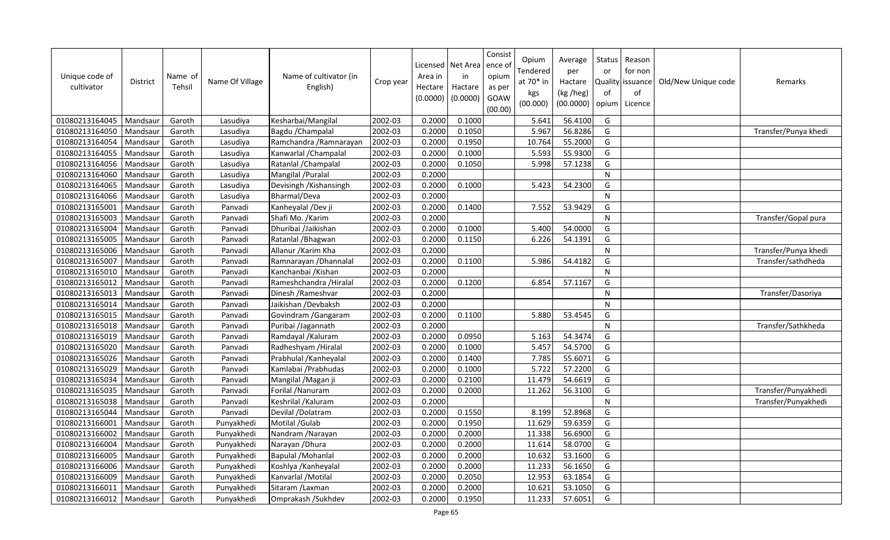| Unique code of<br>cultivator | <b>District</b> | Name of<br>Tehsil | Name Of Village | Name of cultivator (in<br>English) | Crop year | Area in<br>Hectare<br>(0.0000) | Licensed   Net Area  <br>in<br>Hactare<br>(0.0000) | Consist<br>ence o<br>opium<br>as per<br>GOAW<br>(00.00) | Opium<br>Tendered<br>at 70* in<br>kgs<br>(00.000) | Average<br>per<br>Hactare<br>(kg /heg)<br>(00.0000) | Status<br>or<br>of<br>opium | Reason<br>for non<br>Quality issuance<br>of<br>Licence | Old/New Unique code | Remarks              |
|------------------------------|-----------------|-------------------|-----------------|------------------------------------|-----------|--------------------------------|----------------------------------------------------|---------------------------------------------------------|---------------------------------------------------|-----------------------------------------------------|-----------------------------|--------------------------------------------------------|---------------------|----------------------|
| 01080213164045               | Mandsaur        | Garoth            | Lasudiya        | Kesharbai/Mangilal                 | 2002-03   | 0.2000                         | 0.1000                                             |                                                         | 5.641                                             | 56.4100                                             | G                           |                                                        |                     |                      |
| 01080213164050               | Mandsaur        | Garoth            | Lasudiya        | Bagdu / Champalal                  | 2002-03   | 0.2000                         | 0.1050                                             |                                                         | 5.967                                             | 56.8286                                             | G                           |                                                        |                     | Transfer/Punya khedi |
| 01080213164054               | Mandsaur        | Garoth            | Lasudiya        | Ramchandra / Ramnarayan            | 2002-03   | 0.2000                         | 0.1950                                             |                                                         | 10.764                                            | 55.2000                                             | G                           |                                                        |                     |                      |
| 01080213164055               | Mandsaur        | Garoth            | Lasudiya        | Kanwarlal / Champalal              | 2002-03   | 0.2000                         | 0.1000                                             |                                                         | 5.593                                             | 55.9300                                             | G                           |                                                        |                     |                      |
| 01080213164056               | Mandsaur        | Garoth            | Lasudiya        | Ratanlal / Champalal               | 2002-03   | 0.2000                         | 0.1050                                             |                                                         | 5.998                                             | 57.1238                                             | G                           |                                                        |                     |                      |
| 01080213164060               | Mandsaur        | Garoth            | Lasudiya        | Mangilal / Puralal                 | 2002-03   | 0.2000                         |                                                    |                                                         |                                                   |                                                     | $\mathsf{N}$                |                                                        |                     |                      |
| 01080213164065               | Mandsaur        | Garoth            | Lasudiya        | Devisingh / Kishansingh            | 2002-03   | 0.2000                         | 0.1000                                             |                                                         | 5.423                                             | 54.2300                                             | G                           |                                                        |                     |                      |
| 01080213164066               | Mandsaur        | Garoth            | Lasudiya        | Bharmal/Deva                       | 2002-03   | 0.2000                         |                                                    |                                                         |                                                   |                                                     | $\mathsf{N}$                |                                                        |                     |                      |
| 01080213165001               | Mandsaur        | Garoth            | Panvadi         | Kanheyalal /Dev ji                 | 2002-03   | 0.2000                         | 0.1400                                             |                                                         | 7.552                                             | 53.9429                                             | G                           |                                                        |                     |                      |
| 01080213165003               | Mandsaur        | Garoth            | Panvadi         | Shafi Mo. / Karim                  | 2002-03   | 0.2000                         |                                                    |                                                         |                                                   |                                                     | N                           |                                                        |                     | Transfer/Gopal pura  |
| 01080213165004               | Mandsaur        | Garoth            | Panvadi         | Dhuribai /Jaikishan                | 2002-03   | 0.2000                         | 0.1000                                             |                                                         | 5.400                                             | 54.0000                                             | G                           |                                                        |                     |                      |
| 01080213165005               | Mandsaur        | Garoth            | Panvadi         | Ratanlal / Bhagwan                 | 2002-03   | 0.2000                         | 0.1150                                             |                                                         | 6.226                                             | 54.1391                                             | G                           |                                                        |                     |                      |
| 01080213165006               | Mandsaur        | Garoth            | Panvadi         | Allanur / Karim Kha                | 2002-03   | 0.2000                         |                                                    |                                                         |                                                   |                                                     | N                           |                                                        |                     | Transfer/Punya khedi |
| 01080213165007               | Mandsaur        | Garoth            | Panvadi         | Ramnarayan / Dhannalal             | 2002-03   | 0.2000                         | 0.1100                                             |                                                         | 5.986                                             | 54.4182                                             | G                           |                                                        |                     | Transfer/sathdheda   |
| 01080213165010               | Mandsaur        | Garoth            | Panvadi         | Kanchanbai / Kishan                | 2002-03   | 0.2000                         |                                                    |                                                         |                                                   |                                                     | $\mathsf{N}$                |                                                        |                     |                      |
| 01080213165012               | Mandsaur        | Garoth            | Panvadi         | Rameshchandra / Hiralal            | 2002-03   | 0.2000                         | 0.1200                                             |                                                         | 6.854                                             | 57.1167                                             | G                           |                                                        |                     |                      |
| 01080213165013               | Mandsaur        | Garoth            | Panvadi         | Dinesh / Rameshvar                 | 2002-03   | 0.2000                         |                                                    |                                                         |                                                   |                                                     | N                           |                                                        |                     | Transfer/Dasoriya    |
| 01080213165014               | Mandsaur        | Garoth            | Panvadi         | Jaikishan /Devbaksh                | 2002-03   | 0.2000                         |                                                    |                                                         |                                                   |                                                     | $\mathsf{N}$                |                                                        |                     |                      |
| 01080213165015               | Mandsaur        | Garoth            | Panvadi         | Govindram / Gangaram               | 2002-03   | 0.2000                         | 0.1100                                             |                                                         | 5.880                                             | 53.4545                                             | G                           |                                                        |                     |                      |
| 01080213165018               | Mandsaur        | Garoth            | Panvadi         | Puribai /Jagannath                 | 2002-03   | 0.2000                         |                                                    |                                                         |                                                   |                                                     | $\mathsf{N}$                |                                                        |                     | Transfer/Sathkheda   |
| 01080213165019               | Mandsaur        | Garoth            | Panvadi         | Ramdayal / Kaluram                 | 2002-03   | 0.2000                         | 0.0950                                             |                                                         | 5.163                                             | 54.3474                                             | G                           |                                                        |                     |                      |
| 01080213165020               | Mandsaur        | Garoth            | Panvadi         | Radheshyam / Hiralal               | 2002-03   | 0.2000                         | 0.1000                                             |                                                         | 5.457                                             | 54.5700                                             | G                           |                                                        |                     |                      |
| 01080213165026               | Mandsaur        | Garoth            | Panvadi         | Prabhulal / Kanheyalal             | 2002-03   | 0.2000                         | 0.1400                                             |                                                         | 7.785                                             | 55.6071                                             | G                           |                                                        |                     |                      |
| 01080213165029               | Mandsaur        | Garoth            | Panvadi         | Kamlabai / Prabhudas               | 2002-03   | 0.2000                         | 0.1000                                             |                                                         | 5.722                                             | 57.2200                                             | G                           |                                                        |                     |                      |
| 01080213165034               | Mandsaur        | Garoth            | Panvadi         | Mangilal / Magan ji                | 2002-03   | 0.2000                         | 0.2100                                             |                                                         | 11.479                                            | 54.6619                                             | G                           |                                                        |                     |                      |
| 01080213165035               | Mandsaur        | Garoth            | Panvadi         | Forilal / Nanuram                  | 2002-03   | 0.2000                         | 0.2000                                             |                                                         | 11.262                                            | 56.3100                                             | G                           |                                                        |                     | Transfer/Punyakhedi  |
| 01080213165038               | Mandsaur        | Garoth            | Panvadi         | Keshrilal / Kaluram                | 2002-03   | 0.2000                         |                                                    |                                                         |                                                   |                                                     | ${\sf N}$                   |                                                        |                     | Transfer/Punyakhedi  |
| 01080213165044               | Mandsaur        | Garoth            | Panvadi         | Devilal /Dolatram                  | 2002-03   | 0.2000                         | 0.1550                                             |                                                         | 8.199                                             | 52.8968                                             | G                           |                                                        |                     |                      |
| 01080213166001               | Mandsaur        | Garoth            | Punyakhedi      | Motilal /Gulab                     | 2002-03   | 0.2000                         | 0.1950                                             |                                                         | 11.629                                            | 59.6359                                             | G                           |                                                        |                     |                      |
| 01080213166002               | Mandsaur        | Garoth            | Punyakhedi      | Nandram / Narayan                  | 2002-03   | 0.2000                         | 0.2000                                             |                                                         | 11.338                                            | 56.6900                                             | G                           |                                                        |                     |                      |
| 01080213166004               | Mandsaur        | Garoth            | Punyakhedi      | Narayan / Dhura                    | 2002-03   | 0.2000                         | 0.2000                                             |                                                         | 11.614                                            | 58.0700                                             | G                           |                                                        |                     |                      |
| 01080213166005               | Mandsaur        | Garoth            | Punyakhedi      | <b>Bapulal /Mohanlal</b>           | 2002-03   | 0.2000                         | 0.2000                                             |                                                         | 10.632                                            | 53.1600                                             | G                           |                                                        |                     |                      |
| 01080213166006               | Mandsaur        | Garoth            | Punyakhedi      | Koshlya /Kanheyalal                | 2002-03   | 0.2000                         | 0.2000                                             |                                                         | 11.233                                            | 56.1650                                             | G                           |                                                        |                     |                      |
| 01080213166009               | Mandsaur        | Garoth            | Punyakhedi      | Kanvarlal / Motilal                | 2002-03   | 0.2000                         | 0.2050                                             |                                                         | 12.953                                            | 63.1854                                             | G                           |                                                        |                     |                      |
| 01080213166011               | Mandsaur        | Garoth            | Punyakhedi      | Sitaram / Laxman                   | 2002-03   | 0.2000                         | 0.2000                                             |                                                         | 10.621                                            | 53.1050                                             | G                           |                                                        |                     |                      |
| 01080213166012               | Mandsaur        | Garoth            | Punyakhedi      | Omprakash / Sukhdev                | 2002-03   | 0.2000                         | 0.1950                                             |                                                         | 11.233                                            | 57.6051                                             | G                           |                                                        |                     |                      |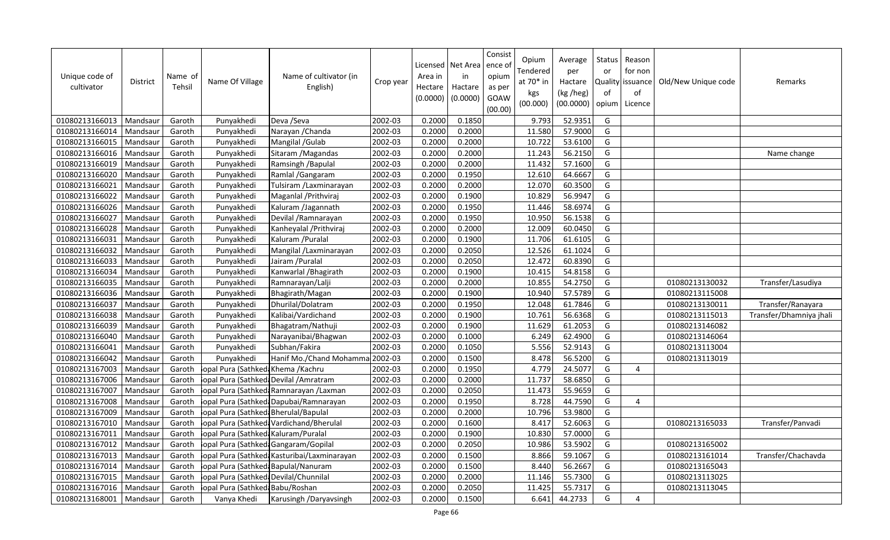| Unique code of<br>cultivator | District | Name of<br>Tehsil | Name Of Village                       | Name of cultivator (in<br>English)           | Crop year            | Licensed<br>Area in<br>Hectare<br>(0.0000) | Net Area<br>in<br>Hactare<br>(0.0000) | Consist<br>ence of<br>opium<br>as per<br>GOAW<br>(00.00) | Opium<br>Tendered<br>at $70*$ in<br>kgs<br>(00.000) | Average<br>per<br>Hactare<br>(kg /heg)<br>(00.0000) | <b>Status</b><br>or<br>of<br>opium | Reason<br>for non<br>Quality   issuance<br>of<br>Licence | Old/New Unique code | Remarks                 |
|------------------------------|----------|-------------------|---------------------------------------|----------------------------------------------|----------------------|--------------------------------------------|---------------------------------------|----------------------------------------------------------|-----------------------------------------------------|-----------------------------------------------------|------------------------------------|----------------------------------------------------------|---------------------|-------------------------|
| 01080213166013               | Mandsaur | Garoth            | Punyakhedi                            | Deva /Seva                                   | 2002-03              | 0.2000                                     | 0.1850                                |                                                          | 9.793                                               | 52.9351                                             | G                                  |                                                          |                     |                         |
| 01080213166014               | Mandsaur | Garoth            | Punyakhedi                            | Narayan / Chanda                             | 2002-03              | 0.2000                                     | 0.2000                                |                                                          | 11.580                                              | 57.9000                                             | G                                  |                                                          |                     |                         |
| 01080213166015               | Mandsaur | Garoth            | Punyakhedi                            | Mangilal /Gulab                              | 2002-03              | 0.2000                                     | 0.2000                                |                                                          | 10.722                                              | 53.6100                                             | G                                  |                                                          |                     |                         |
| 01080213166016               | Mandsaur | Garoth            | Punyakhedi                            | Sitaram / Magandas                           | 2002-03              | 0.2000                                     | 0.2000                                |                                                          | 11.243                                              | 56.2150                                             | G                                  |                                                          |                     | Name change             |
| 01080213166019               | Mandsaur | Garoth            | Punyakhedi                            | Ramsingh / Bapulal                           | 2002-03              | 0.2000                                     | 0.2000                                |                                                          | 11.432                                              | 57.1600                                             | G                                  |                                                          |                     |                         |
| 01080213166020               | Mandsaur | Garoth            | Punyakhedi                            | Ramlal / Gangaram                            | 2002-03              | 0.2000                                     | 0.1950                                |                                                          | 12.610                                              | 64.6667                                             | G                                  |                                                          |                     |                         |
| 01080213166021               | Mandsaur | Garoth            | Punyakhedi                            | Tulsiram /Laxminarayan                       | 2002-03              | 0.2000                                     | 0.2000                                |                                                          | 12.070                                              | 60.3500                                             | G                                  |                                                          |                     |                         |
| 01080213166022               | Mandsaur | Garoth            | Punyakhedi                            | Maganlal / Prithviraj                        | 2002-03              | 0.2000                                     | 0.1900                                |                                                          | 10.829                                              | 56.9947                                             | G                                  |                                                          |                     |                         |
| 01080213166026               | Mandsaur | Garoth            | Punyakhedi                            | Kaluram /Jagannath                           | 2002-03              | 0.2000                                     | 0.1950                                |                                                          | 11.446                                              | 58.6974                                             | G                                  |                                                          |                     |                         |
| 01080213166027               | Mandsaur | Garoth            | Punyakhedi                            | Devilal / Ramnarayan                         | 2002-03              | 0.2000                                     | 0.1950                                |                                                          | 10.950                                              | 56.1538                                             | G                                  |                                                          |                     |                         |
| 01080213166028               | Mandsaur | Garoth            | Punyakhedi                            | Kanheyalal / Prithviraj                      | 2002-03              | 0.2000                                     | 0.2000                                |                                                          | 12.009                                              | 60.0450                                             | G                                  |                                                          |                     |                         |
| 01080213166031               | Mandsaur | Garoth            | Punyakhedi                            | Kaluram / Puralal                            | 2002-03              | 0.2000                                     | 0.1900                                |                                                          | 11.706                                              | 61.6105                                             | G                                  |                                                          |                     |                         |
| 01080213166032               | Mandsaur | Garoth            | Punyakhedi                            | Mangilal /Laxminarayan                       | 2002-03              | 0.2000                                     | 0.2050                                |                                                          | 12.526                                              | 61.1024                                             | G                                  |                                                          |                     |                         |
| 01080213166033               | Mandsaur | Garoth            | Punyakhedi                            | Jairam / Puralal                             | 2002-03              | 0.2000                                     | 0.2050                                |                                                          | 12.472                                              | 60.8390                                             | G                                  |                                                          |                     |                         |
| 01080213166034               | Mandsaur | Garoth            | Punyakhedi                            | Kanwarlal / Bhagirath                        | 2002-03              | 0.2000                                     | 0.1900                                |                                                          | 10.415                                              | 54.8158                                             | G                                  |                                                          |                     |                         |
| 01080213166035               | Mandsaur | Garoth            | Punyakhedi                            | Ramnarayan/Lalji                             | 2002-03              | 0.2000                                     | 0.2000                                |                                                          | 10.855                                              | 54.2750                                             | G                                  |                                                          | 01080213130032      | Transfer/Lasudiya       |
| 01080213166036               | Mandsaur | Garoth            | Punyakhedi                            | Bhagirath/Magan                              | 2002-03              | 0.2000                                     | 0.1900                                |                                                          | 10.940                                              | 57.5789                                             | G                                  |                                                          | 01080213115008      |                         |
| 01080213166037               | Mandsaur | Garoth            | Punyakhedi                            | Dhurilal/Dolatram                            | 2002-03              | 0.2000                                     | 0.1950                                |                                                          | 12.048                                              | 61.7846                                             | G                                  |                                                          | 01080213130011      | Transfer/Ranayara       |
| 01080213166038               | Mandsaur | Garoth            | Punyakhedi                            | Kalibai/Vardichand                           | 2002-03              | 0.2000                                     | 0.1900                                |                                                          | 10.761                                              | 56.6368                                             | G                                  |                                                          | 01080213115013      | Transfer/Dhamniya jhali |
| 01080213166039               | Mandsaur | Garoth            | Punyakhedi                            | Bhagatram/Nathuji                            | 2002-03              | 0.2000                                     | 0.1900                                |                                                          | 11.629                                              | 61.2053                                             | G                                  |                                                          | 01080213146082      |                         |
| 01080213166040               | Mandsaur | Garoth            | Punyakhedi                            | Narayanibai/Bhagwan                          | 2002-03              | 0.2000                                     | 0.1000                                |                                                          | 6.249                                               | 62.4900                                             | G                                  |                                                          | 01080213146064      |                         |
| 01080213166041               | Mandsaur | Garoth            | Punyakhedi                            | Subhan/Fakira                                | 2002-03              | 0.2000                                     | 0.1050                                |                                                          | 5.556                                               | 52.9143                                             | G                                  |                                                          | 01080213113004      |                         |
| 01080213166042               | Mandsaur | Garoth            | Punyakhedi                            | Hanif Mo./Chand Mohamma 2002-03              |                      | 0.2000                                     | 0.1500                                |                                                          | 8.478                                               | 56.5200                                             | G                                  |                                                          | 01080213113019      |                         |
| 01080213167003               | Mandsaur | Garoth            | opal Pura (Sathked: Khema / Kachru    |                                              | 2002-03              | 0.2000                                     | 0.1950                                |                                                          | 4.779                                               | 24.5077                                             | G                                  | 4                                                        |                     |                         |
| 01080213167006               | Mandsaur | Garoth            |                                       | opal Pura (Sathked: Devilal / Amratram       | $\overline{2002-03}$ | 0.2000                                     | 0.2000                                |                                                          | 11.737                                              | 58.6850                                             | G                                  |                                                          |                     |                         |
| 01080213167007               | Mandsaur | Garoth            |                                       | opal Pura (Sathked: Ramnarayan / Laxman      | 2002-03              | 0.2000                                     | 0.2050                                |                                                          | 11.473                                              | 55.9659                                             | G                                  |                                                          |                     |                         |
| 01080213167008               | Mandsaur | Garoth            |                                       | opal Pura (Sathked: Dapubai/Ramnarayan       | 2002-03              | 0.2000                                     | 0.1950                                |                                                          | 8.728                                               | 44.7590                                             | G                                  | 4                                                        |                     |                         |
| 01080213167009               | Mandsaur | Garoth            | opal Pura (Sathked: Bherulal/Bapulal  |                                              | 2002-03              | 0.2000                                     | 0.2000                                |                                                          | 10.796                                              | 53.9800                                             | G                                  |                                                          |                     |                         |
| 01080213167010               | Mandsaur | Garoth            |                                       | opal Pura (Sathked: Vardichand/Bherulal      | 2002-03              | 0.2000                                     | 0.1600                                |                                                          | 8.417                                               | 52.6063                                             | G                                  |                                                          | 01080213165033      | Transfer/Panvadi        |
| 01080213167011               | Mandsaur | Garoth            | iopal Pura (Sathked: Kaluram/Puralal  |                                              | 2002-03              | 0.2000                                     | 0.1900                                |                                                          | 10.830                                              | 57.0000                                             | G                                  |                                                          |                     |                         |
| 01080213167012               | Mandsaur | Garoth            | opal Pura (Sathked: Gangaram/Gopilal  |                                              | 2002-03              | 0.2000                                     | 0.2050                                |                                                          | 10.986                                              | 53.5902                                             | G                                  |                                                          | 01080213165002      |                         |
| 01080213167013               | Mandsaur | Garoth            |                                       | lopal Pura (Sathked: Kasturibai/Laxminarayan | 2002-03              | 0.2000                                     | 0.1500                                |                                                          | 8.866                                               | 59.1067                                             | G                                  |                                                          | 01080213161014      | Transfer/Chachavda      |
| 01080213167014               | Mandsaur | Garoth            | opal Pura (Sathked: Bapulal/Nanuram   |                                              | 2002-03              | 0.2000                                     | 0.1500                                |                                                          | 8.440                                               | 56.2667                                             | G                                  |                                                          | 01080213165043      |                         |
| 01080213167015               | Mandsaur | Garoth            | opal Pura (Sathked: Devilal/Chunnilal |                                              | 2002-03              | 0.2000                                     | 0.2000                                |                                                          | 11.146                                              | 55.7300                                             | G                                  |                                                          | 01080213113025      |                         |
| 01080213167016               | Mandsaur | Garoth            | opal Pura (Sathked: Babu/Roshan       |                                              | 2002-03              | 0.2000                                     | 0.2050                                |                                                          | 11.425                                              | 55.7317                                             | G                                  |                                                          | 01080213113045      |                         |
| 01080213168001               | Mandsaur | Garoth            | Vanya Khedi                           | Karusingh /Daryavsingh                       | 2002-03              | 0.2000                                     | 0.1500                                |                                                          | 6.641                                               | 44.2733                                             | G                                  | 4                                                        |                     |                         |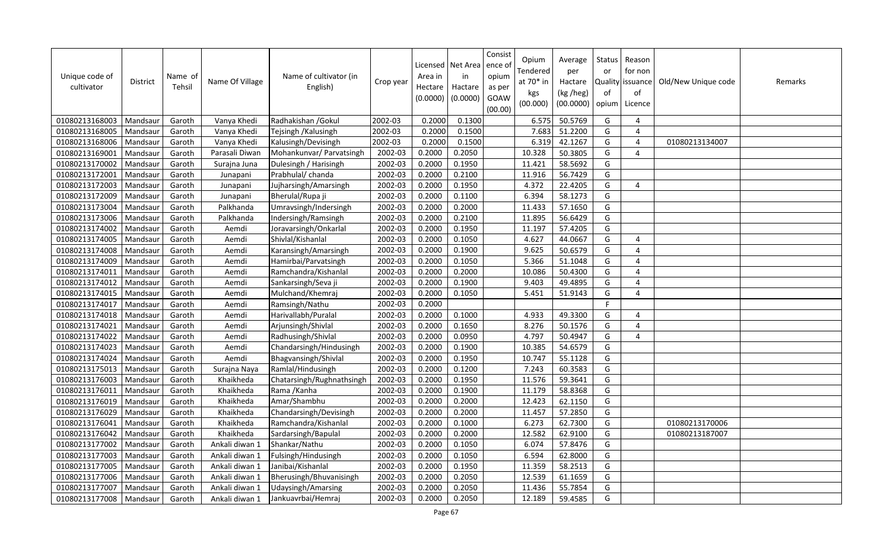| Unique code of<br>cultivator | District | Name of<br>Tehsil | Name Of Village | Name of cultivator (in<br>English) | Crop year | Area in<br>Hectare<br>(0.0000) | Licensed   Net Area<br>in<br>Hactare<br>(0.0000) | Consist<br>ence of<br>opium<br>as per<br>GOAW<br>(00.00) | Opium<br>Tendered<br>at 70* in<br>kgs<br>(00.000) | Average<br>per<br>Hactare<br>(kg /heg)<br>(00.0000) | Status<br>or<br><b>Quality</b><br>of<br>opium | Reason<br>for non<br>issuance<br>of<br>Licence | Old/New Unique code | Remarks |
|------------------------------|----------|-------------------|-----------------|------------------------------------|-----------|--------------------------------|--------------------------------------------------|----------------------------------------------------------|---------------------------------------------------|-----------------------------------------------------|-----------------------------------------------|------------------------------------------------|---------------------|---------|
| 01080213168003               | Mandsaur | Garoth            | Vanya Khedi     | Radhakishan / Gokul                | 2002-03   | 0.2000                         | 0.1300                                           |                                                          | 6.575                                             | 50.5769                                             | G                                             | $\overline{4}$                                 |                     |         |
| 01080213168005               | Mandsaur | Garoth            | Vanya Khedi     | Tejsingh / Kalusingh               | 2002-03   | 0.2000                         | 0.1500                                           |                                                          | 7.683                                             | 51.2200                                             | G                                             | $\boldsymbol{\Delta}$                          |                     |         |
| 01080213168006               | Mandsaur | Garoth            | Vanya Khedi     | Kalusingh/Devisingh                | 2002-03   | 0.2000                         | 0.1500                                           |                                                          | 6.319                                             | 42.1267                                             | G                                             | $\overline{4}$                                 | 01080213134007      |         |
| 01080213169001               | Mandsaur | Garoth            | Parasali Diwan  | Mohankunvar/ Parvatsingh           | 2002-03   | 0.2000                         | 0.2050                                           |                                                          | 10.328                                            | 50.3805                                             | G                                             | $\overline{4}$                                 |                     |         |
| 01080213170002               | Mandsaur | Garoth            | Surajna Juna    | Dulesingh / Harisingh              | 2002-03   | 0.2000                         | 0.1950                                           |                                                          | 11.421                                            | 58.5692                                             | G                                             |                                                |                     |         |
| 01080213172001               | Mandsaur | Garoth            | Junapani        | Prabhulal/ chanda                  | 2002-03   | 0.2000                         | 0.2100                                           |                                                          | 11.916                                            | 56.7429                                             | G                                             |                                                |                     |         |
| 01080213172003               | Mandsaur | Garoth            | Junapani        | Jujharsingh/Amarsingh              | 2002-03   | 0.2000                         | 0.1950                                           |                                                          | 4.372                                             | 22.4205                                             | G                                             | 4                                              |                     |         |
| 01080213172009               | Mandsaur | Garoth            | Junapani        | Bherulal/Rupa ji                   | 2002-03   | 0.2000                         | 0.1100                                           |                                                          | 6.394                                             | 58.1273                                             | G                                             |                                                |                     |         |
| 01080213173004               | Mandsau  | Garoth            | Palkhanda       | Umravsingh/Indersingh              | 2002-03   | 0.2000                         | 0.2000                                           |                                                          | 11.433                                            | 57.1650                                             | G                                             |                                                |                     |         |
| 01080213173006               | Mandsaur | Garoth            | Palkhanda       | Indersingh/Ramsingh                | 2002-03   | 0.2000                         | 0.2100                                           |                                                          | 11.895                                            | 56.6429                                             | G                                             |                                                |                     |         |
| 01080213174002               | Mandsau  | Garoth            | Aemdi           | Joravarsingh/Onkarlal              | 2002-03   | 0.2000                         | 0.1950                                           |                                                          | 11.197                                            | 57.4205                                             | G                                             |                                                |                     |         |
| 01080213174005               | Mandsau  | Garoth            | Aemdi           | Shivlal/Kishanlal                  | 2002-03   | 0.2000                         | 0.1050                                           |                                                          | 4.627                                             | 44.0667                                             | G                                             | $\overline{4}$                                 |                     |         |
| 01080213174008               | Mandsau  | Garoth            | Aemdi           | Karansingh/Amarsingh               | 2002-03   | 0.2000                         | 0.1900                                           |                                                          | 9.625                                             | 50.6579                                             | G                                             | $\boldsymbol{\Delta}$                          |                     |         |
| 01080213174009               | Mandsaur | Garoth            | Aemdi           | Hamirbai/Parvatsingh               | 2002-03   | 0.2000                         | 0.1050                                           |                                                          | 5.366                                             | 51.1048                                             | G                                             | $\overline{4}$                                 |                     |         |
| 01080213174011               | Mandsau  | Garoth            | Aemdi           | Ramchandra/Kishanlal               | 2002-03   | 0.2000                         | 0.2000                                           |                                                          | 10.086                                            | 50.4300                                             | G                                             | $\boldsymbol{\Delta}$                          |                     |         |
| 01080213174012               | Mandsaur | Garoth            | Aemdi           | Sankarsingh/Seva ji                | 2002-03   | 0.2000                         | 0.1900                                           |                                                          | 9.403                                             | 49.4895                                             | G                                             | $\overline{4}$                                 |                     |         |
| 01080213174015               | Mandsaur | Garoth            | Aemdi           | Mulchand/Khemraj                   | 2002-03   | 0.2000                         | 0.1050                                           |                                                          | 5.451                                             | 51.9143                                             | G                                             | $\boldsymbol{\Delta}$                          |                     |         |
| 01080213174017               | Mandsaur | Garoth            | Aemdi           | Ramsingh/Nathu                     | 2002-03   | 0.2000                         |                                                  |                                                          |                                                   |                                                     | F.                                            |                                                |                     |         |
| 01080213174018               | Mandsaur | Garoth            | Aemdi           | Harivallabh/Puralal                | 2002-03   | 0.2000                         | 0.1000                                           |                                                          | 4.933                                             | 49.3300                                             | G                                             | $\overline{4}$                                 |                     |         |
| 01080213174021               | Mandsaur | Garoth            | Aemdi           | Arjunsingh/Shivlal                 | 2002-03   | 0.2000                         | 0.1650                                           |                                                          | 8.276                                             | 50.1576                                             | G                                             | $\overline{a}$                                 |                     |         |
| 01080213174022               | Mandsaur | Garoth            | Aemdi           | Radhusingh/Shivlal                 | 2002-03   | 0.2000                         | 0.0950                                           |                                                          | 4.797                                             | 50.4947                                             | G                                             | $\overline{4}$                                 |                     |         |
| 01080213174023               | Mandsaur | Garoth            | Aemdi           | Chandarsingh/Hindusingh            | 2002-03   | 0.2000                         | 0.1900                                           |                                                          | 10.385                                            | 54.6579                                             | G                                             |                                                |                     |         |
| 01080213174024               | Mandsaur | Garoth            | Aemdi           | Bhagvansingh/Shivlal               | 2002-03   | 0.2000                         | 0.1950                                           |                                                          | 10.747                                            | 55.1128                                             | G                                             |                                                |                     |         |
| 01080213175013               | Mandsaur | Garoth            | Surajna Naya    | Ramlal/Hindusingh                  | 2002-03   | 0.2000                         | 0.1200                                           |                                                          | 7.243                                             | 60.3583                                             | G                                             |                                                |                     |         |
| 01080213176003               | Mandsaur | Garoth            | Khaikheda       | Chatarsingh/Rughnathsingh          | 2002-03   | 0.2000                         | 0.1950                                           |                                                          | 11.576                                            | 59.3641                                             | G                                             |                                                |                     |         |
| 01080213176011               | Mandsaur | Garoth            | Khaikheda       | Rama / Kanha                       | 2002-03   | 0.2000                         | 0.1900                                           |                                                          | 11.179                                            | 58.8368                                             | G                                             |                                                |                     |         |
| 01080213176019               | Mandsaur | Garoth            | Khaikheda       | Amar/Shambhu                       | 2002-03   | 0.2000                         | 0.2000                                           |                                                          | 12.423                                            | 62.1150                                             | G                                             |                                                |                     |         |
| 01080213176029               | Mandsau  | Garoth            | Khaikheda       | Chandarsingh/Devisingh             | 2002-03   | 0.2000                         | 0.2000                                           |                                                          | 11.457                                            | 57.2850                                             | G                                             |                                                |                     |         |
| 01080213176041               | Mandsau  | Garoth            | Khaikheda       | Ramchandra/Kishanlal               | 2002-03   | 0.2000                         | 0.1000                                           |                                                          | 6.273                                             | 62.7300                                             | G                                             |                                                | 01080213170006      |         |
| 01080213176042               | Mandsau  | Garoth            | Khaikheda       | Sardarsingh/Bapulal                | 2002-03   | 0.2000                         | 0.2000                                           |                                                          | 12.582                                            | 62.9100                                             | G                                             |                                                | 01080213187007      |         |
| 01080213177002               | Mandsaur | Garoth            | Ankali diwan 1  | Shankar/Nathu                      | 2002-03   | 0.2000                         | 0.1050                                           |                                                          | 6.074                                             | 57.8476                                             | G                                             |                                                |                     |         |
| 01080213177003               | Mandsau  | Garoth            | Ankali diwan 1  | Fulsingh/Hindusingh                | 2002-03   | 0.2000                         | 0.1050                                           |                                                          | 6.594                                             | 62.8000                                             | G                                             |                                                |                     |         |
| 01080213177005               | Mandsaur | Garoth            | Ankali diwan 1  | Janibai/Kishanlal                  | 2002-03   | 0.2000                         | 0.1950                                           |                                                          | 11.359                                            | 58.2513                                             | G                                             |                                                |                     |         |
| 01080213177006               | Mandsaur | Garoth            | Ankali diwan 1  | Bherusingh/Bhuvanisingh            | 2002-03   | 0.2000                         | 0.2050                                           |                                                          | 12.539                                            | 61.1659                                             | G                                             |                                                |                     |         |
| 01080213177007               | Mandsaur | Garoth            | Ankali diwan 1  | Udaysingh/Amarsing                 | 2002-03   | 0.2000                         | 0.2050                                           |                                                          | 11.436                                            | 55.7854                                             | G                                             |                                                |                     |         |
| 01080213177008               | Mandsaur | Garoth            | Ankali diwan 1  | Jankuavrbai/Hemraj                 | 2002-03   | 0.2000                         | 0.2050                                           |                                                          | 12.189                                            | 59.4585                                             | G                                             |                                                |                     |         |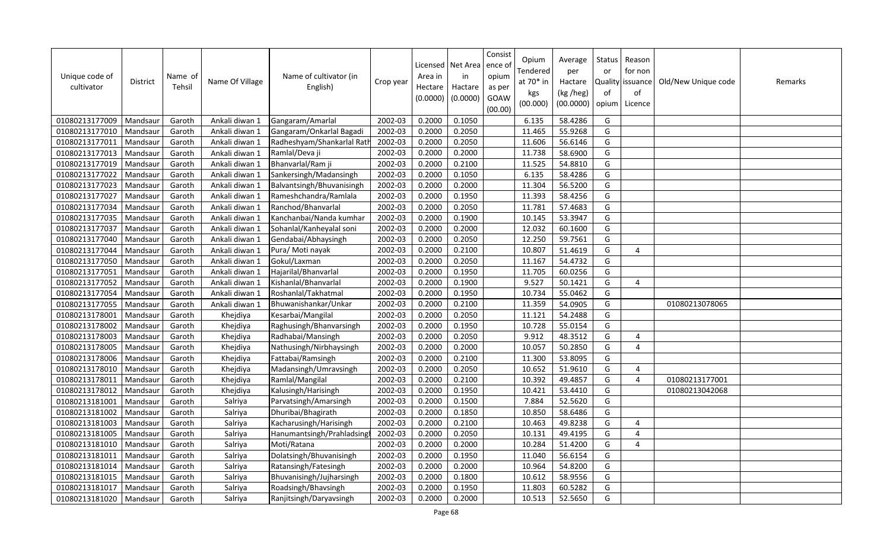| Unique code of<br>cultivator | <b>District</b> | Name of<br>Tehsil | Name Of Village | Name of cultivator (in<br>English) | Crop year | Area in<br>Hectare<br>(0.0000) | Licensed   Net Area<br>in<br>Hactare<br>(0.0000) | Consist<br>ence of<br>opium<br>as per<br>GOAW<br>(00.00) | Opium<br>Tendered<br>at 70* in<br>kgs<br>(00.000) | Average<br>per<br>Hactare<br>(kg /heg)<br>(00.0000) | <b>Status</b><br>or<br>of<br>opium | Reason<br>for non<br>Quality issuance<br>of<br>Licence | Old/New Unique code | Remarks |
|------------------------------|-----------------|-------------------|-----------------|------------------------------------|-----------|--------------------------------|--------------------------------------------------|----------------------------------------------------------|---------------------------------------------------|-----------------------------------------------------|------------------------------------|--------------------------------------------------------|---------------------|---------|
| 01080213177009               | Mandsaur        | Garoth            | Ankali diwan 1  | Gangaram/Amarlal                   | 2002-03   | 0.2000                         | 0.1050                                           |                                                          | 6.135                                             | 58.4286                                             | G                                  |                                                        |                     |         |
| 01080213177010               | Mandsau         | Garoth            | Ankali diwan 1  | Gangaram/Onkarlal Bagadi           | 2002-03   | 0.2000                         | 0.2050                                           |                                                          | 11.465                                            | 55.9268                                             | G                                  |                                                        |                     |         |
| 01080213177011               | Mandsaur        | Garoth            | Ankali diwan 1  | Radheshyam/Shankarlal Ratl         | 2002-03   | 0.2000                         | 0.2050                                           |                                                          | 11.606                                            | 56.6146                                             | G                                  |                                                        |                     |         |
| 01080213177013               | Mandsaur        | Garoth            | Ankali diwan 1  | Ramlal/Deva ji                     | 2002-03   | 0.2000                         | 0.2000                                           |                                                          | 11.738                                            | 58.6900                                             | G                                  |                                                        |                     |         |
| 01080213177019               | Mandsaur        | Garoth            | Ankali diwan 1  | Bhanvarlal/Ram ji                  | 2002-03   | 0.2000                         | 0.2100                                           |                                                          | 11.525                                            | 54.8810                                             | G                                  |                                                        |                     |         |
| 01080213177022               | Mandsaur        | Garoth            | Ankali diwan 1  | Sankersingh/Madansingh             | 2002-03   | 0.2000                         | 0.1050                                           |                                                          | 6.135                                             | 58.4286                                             | G                                  |                                                        |                     |         |
| 01080213177023               | Mandsaur        | Garoth            | Ankali diwan 1  | Balvantsingh/Bhuvanisingh          | 2002-03   | 0.2000                         | 0.2000                                           |                                                          | $11.\overline{304}$                               | 56.5200                                             | G                                  |                                                        |                     |         |
| 01080213177027               | Mandsaur        | Garoth            | Ankali diwan 1  | Rameshchandra/Ramlala              | 2002-03   | 0.2000                         | 0.1950                                           |                                                          | 11.393                                            | 58.4256                                             | G                                  |                                                        |                     |         |
| 01080213177034               | Mandsaur        | Garoth            | Ankali diwan 1  | Ranchod/Bhanvarlal                 | 2002-03   | 0.2000                         | 0.2050                                           |                                                          | 11.781                                            | 57.4683                                             | G                                  |                                                        |                     |         |
| 01080213177035               | Mandsau         | Garoth            | Ankali diwan 1  | Kanchanbai/Nanda kumhar            | 2002-03   | 0.2000                         | 0.1900                                           |                                                          | 10.145                                            | 53.3947                                             | G                                  |                                                        |                     |         |
| 01080213177037               | Mandsau         | Garoth            | Ankali diwan 1  | Sohanlal/Kanheyalal soni           | 2002-03   | 0.2000                         | 0.2000                                           |                                                          | 12.032                                            | 60.1600                                             | G                                  |                                                        |                     |         |
| 01080213177040               | Mandsau         | Garoth            | Ankali diwan 1  | Gendabai/Abhaysingh                | 2002-03   | 0.2000                         | 0.2050                                           |                                                          | 12.250                                            | 59.7561                                             | G                                  |                                                        |                     |         |
| 01080213177044               | Mandsaur        | Garoth            | Ankali diwan 1  | Pura/ Moti nayak                   | 2002-03   | 0.2000                         | 0.2100                                           |                                                          | 10.807                                            | 51.4619                                             | G                                  | $\overline{4}$                                         |                     |         |
| 01080213177050               | Mandsau         | Garoth            | Ankali diwan 1  | Gokul/Laxman                       | 2002-03   | 0.2000                         | 0.2050                                           |                                                          | 11.167                                            | 54.4732                                             | G                                  |                                                        |                     |         |
| 01080213177051               | Mandsau         | Garoth            | Ankali diwan 1  | Hajarilal/Bhanvarlal               | 2002-03   | 0.2000                         | 0.1950                                           |                                                          | 11.705                                            | 60.0256                                             | G                                  |                                                        |                     |         |
| 01080213177052               | Mandsau         | Garoth            | Ankali diwan 1  | Kishanlal/Bhanvarlal               | 2002-03   | 0.2000                         | 0.1900                                           |                                                          | 9.527                                             | 50.1421                                             | G                                  | $\overline{4}$                                         |                     |         |
| 01080213177054               | Mandsaur        | Garoth            | Ankali diwan 1  | Roshanlal/Takhatmal                | 2002-03   | 0.2000                         | 0.1950                                           |                                                          | 10.734                                            | 55.0462                                             | G                                  |                                                        |                     |         |
| 01080213177055               | Mandsaur        | Garoth            | Ankali diwan 1  | Bhuwanishankar/Unkar               | 2002-03   | 0.2000                         | 0.2100                                           |                                                          | 11.359                                            | 54.0905                                             | G                                  |                                                        | 01080213078065      |         |
| 01080213178001               | Mandsaur        | Garoth            | Khejdiya        | Kesarbai/Mangilal                  | 2002-03   | 0.2000                         | 0.2050                                           |                                                          | 11.121                                            | 54.2488                                             | G                                  |                                                        |                     |         |
| 01080213178002               | Mandsaur        | Garoth            | Khejdiya        | Raghusingh/Bhanvarsingh            | 2002-03   | 0.2000                         | 0.1950                                           |                                                          | 10.728                                            | 55.0154                                             | G                                  |                                                        |                     |         |
| 01080213178003               | Mandsaur        | Garoth            | Khejdiya        | Radhabai/Mansingh                  | 2002-03   | 0.2000                         | 0.2050                                           |                                                          | 9.912                                             | 48.3512                                             | G                                  | 4                                                      |                     |         |
| 01080213178005               | Mandsaur        | Garoth            | Khejdiya        | Nathusingh/Nirbhaysingh            | 2002-03   | 0.2000                         | 0.2000                                           |                                                          | 10.057                                            | 50.2850                                             | G                                  | $\overline{a}$                                         |                     |         |
| 01080213178006               | Mandsaur        | Garoth            | Khejdiya        | Fattabai/Ramsingh                  | 2002-03   | 0.2000                         | 0.2100                                           |                                                          | 11.300                                            | 53.8095                                             | G                                  |                                                        |                     |         |
| 01080213178010               | Mandsaur        | Garoth            | Khejdiya        | Madansingh/Umravsingh              | 2002-03   | 0.2000                         | 0.2050                                           |                                                          | 10.652                                            | 51.9610                                             | G                                  | $\overline{4}$                                         |                     |         |
| 01080213178011               | Mandsaur        | Garoth            | Khejdiya        | Ramlal/Mangilal                    | 2002-03   | 0.2000                         | 0.2100                                           |                                                          | 10.392                                            | 49.4857                                             | G                                  | $\overline{4}$                                         | 01080213177001      |         |
| 01080213178012               | Mandsaur        | Garoth            | Khejdiya        | Kalusingh/Harisingh                | 2002-03   | 0.2000                         | 0.1950                                           |                                                          | 10.421                                            | 53.4410                                             | G                                  |                                                        | 01080213042068      |         |
| 01080213181001               | Mandsau         | Garoth            | Salriya         | Parvatsingh/Amarsingh              | 2002-03   | 0.2000                         | 0.1500                                           |                                                          | 7.884                                             | 52.5620                                             | G                                  |                                                        |                     |         |
| 01080213181002               | Mandsaur        | Garoth            | Salriya         | Dhuribai/Bhagirath                 | 2002-03   | 0.2000                         | 0.1850                                           |                                                          | 10.850                                            | 58.6486                                             | G                                  |                                                        |                     |         |
| 01080213181003               | Mandsau         | Garoth            | Salriya         | Kacharusingh/Harisingh             | 2002-03   | 0.2000                         | 0.2100                                           |                                                          | 10.463                                            | 49.8238                                             | G                                  | $\overline{4}$                                         |                     |         |
| 01080213181005               | Mandsaur        | Garoth            | Salriya         | Hanumantsingh/Prahladsing          | 2002-03   | 0.2000                         | 0.2050                                           |                                                          | 10.131                                            | 49.4195                                             | G                                  | $\overline{4}$                                         |                     |         |
| 01080213181010               | Mandsaur        | Garoth            | Salriya         | Moti/Ratana                        | 2002-03   | 0.2000                         | 0.2000                                           |                                                          | 10.284                                            | 51.4200                                             | G                                  | $\overline{4}$                                         |                     |         |
| 01080213181011               | Mandsau         | Garoth            | Salriya         | Dolatsingh/Bhuvanisingh            | 2002-03   | 0.2000                         | 0.1950                                           |                                                          | 11.040                                            | 56.6154                                             | G                                  |                                                        |                     |         |
| 01080213181014               | Mandsau         | Garoth            | Salriya         | Ratansingh/Fatesingh               | 2002-03   | 0.2000                         | 0.2000                                           |                                                          | 10.964                                            | 54.8200                                             | G                                  |                                                        |                     |         |
| 01080213181015               | Mandsaur        | Garoth            | Salriya         | Bhuvanisingh/Jujharsingh           | 2002-03   | 0.2000                         | 0.1800                                           |                                                          | 10.612                                            | 58.9556                                             | G                                  |                                                        |                     |         |
| 01080213181017               | Mandsaur        | Garoth            | Salriya         | Roadsingh/Bhavsingh                | 2002-03   | 0.2000                         | 0.1950                                           |                                                          | 11.803                                            | 60.5282                                             | G                                  |                                                        |                     |         |
| 01080213181020               | Mandsaur        | Garoth            | Salriya         | Ranjitsingh/Daryavsingh            | 2002-03   | 0.2000                         | 0.2000                                           |                                                          | 10.513                                            | 52.5650                                             | G                                  |                                                        |                     |         |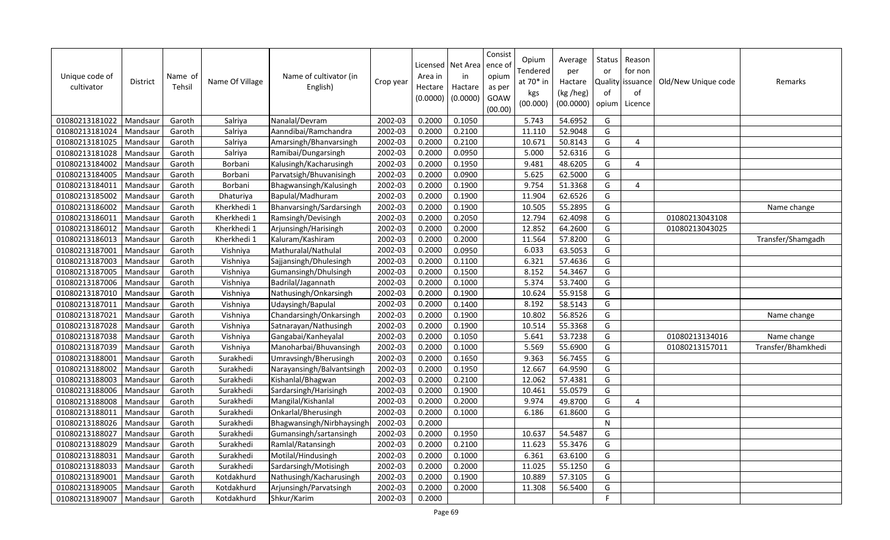| Unique code of<br>cultivator | District | Name of<br>Tehsil | Name Of Village | Name of cultivator (in<br>English) | Crop year | Area in<br>Hectare<br>(0.0000) | Licensed   Net Area<br>in<br>Hactare<br>(0.0000) | Consist<br>ence of<br>opium<br>as per<br>GOAW<br>(00.00) | Opium<br>Tendered<br>at 70* in<br>kgs<br>(00.000) | Average<br>per<br>Hactare<br>(kg /heg)<br>(00.0000) | Status<br>or<br><b>Quality</b><br>of<br>opium | Reason<br>for non<br>issuance<br>of<br>Licence | Old/New Unique code | Remarks            |
|------------------------------|----------|-------------------|-----------------|------------------------------------|-----------|--------------------------------|--------------------------------------------------|----------------------------------------------------------|---------------------------------------------------|-----------------------------------------------------|-----------------------------------------------|------------------------------------------------|---------------------|--------------------|
| 01080213181022               | Mandsaur | Garoth            | Salriya         | Nanalal/Devram                     | 2002-03   | 0.2000                         | 0.1050                                           |                                                          | 5.743                                             | 54.6952                                             | G                                             |                                                |                     |                    |
| 01080213181024               | Mandsaur | Garoth            | Salriya         | Aanndibai/Ramchandra               | 2002-03   | 0.2000                         | 0.2100                                           |                                                          | 11.110                                            | 52.9048                                             | G                                             |                                                |                     |                    |
| 01080213181025               | Mandsaur | Garoth            | Salriya         | Amarsingh/Bhanvarsingh             | 2002-03   | 0.2000                         | 0.2100                                           |                                                          | 10.671                                            | 50.8143                                             | G                                             | $\overline{4}$                                 |                     |                    |
| 01080213181028               | Mandsaur | Garoth            | Salriya         | Ramibai/Dungarsingh                | 2002-03   | 0.2000                         | 0.0950                                           |                                                          | 5.000                                             | 52.6316                                             | G                                             |                                                |                     |                    |
| 01080213184002               | Mandsaur | Garoth            | Borbani         | Kalusingh/Kacharusingh             | 2002-03   | 0.2000                         | 0.1950                                           |                                                          | 9.481                                             | 48.6205                                             | G                                             | $\overline{4}$                                 |                     |                    |
| 01080213184005               | Mandsaur | Garoth            | Borbani         | Parvatsigh/Bhuvanisingh            | 2002-03   | 0.2000                         | 0.0900                                           |                                                          | 5.625                                             | 62.5000                                             | G                                             |                                                |                     |                    |
| 01080213184011               | Mandsaur | Garoth            | Borbani         | Bhagwansingh/Kalusingh             | 2002-03   | 0.2000                         | 0.1900                                           |                                                          | 9.754                                             | 51.3368                                             | G                                             | 4                                              |                     |                    |
| 01080213185002               | Mandsaur | Garoth            | Dhaturiya       | Bapulal/Madhuram                   | 2002-03   | 0.2000                         | 0.1900                                           |                                                          | 11.904                                            | 62.6526                                             | G                                             |                                                |                     |                    |
| 01080213186002               | Mandsau  | Garoth            | Kherkhedi 1     | Bhanvarsingh/Sardarsingh           | 2002-03   | 0.2000                         | 0.1900                                           |                                                          | 10.505                                            | 55.2895                                             | G                                             |                                                |                     | Name change        |
| 01080213186011               | Mandsaur | Garoth            | Kherkhedi 1     | Ramsingh/Devisingh                 | 2002-03   | 0.2000                         | 0.2050                                           |                                                          | 12.794                                            | 62.4098                                             | G                                             |                                                | 01080213043108      |                    |
| 01080213186012               | Mandsau  | Garoth            | Kherkhedi 1     | Arjunsingh/Harisingh               | 2002-03   | 0.2000                         | 0.2000                                           |                                                          | 12.852                                            | 64.2600                                             | G                                             |                                                | 01080213043025      |                    |
| 01080213186013               | Mandsaur | Garoth            | Kherkhedi 1     | Kaluram/Kashiram                   | 2002-03   | 0.2000                         | 0.2000                                           |                                                          | 11.564                                            | 57.8200                                             | G                                             |                                                |                     | Transfer/Shamgadh  |
| 01080213187001               | Mandsau  | Garoth            | Vishniya        | Mathuralal/Nathulal                | 2002-03   | 0.2000                         | 0.0950                                           |                                                          | 6.033                                             | 63.5053                                             | G                                             |                                                |                     |                    |
| 01080213187003               | Mandsaur | Garoth            | Vishniya        | Sajjansingh/Dhulesingh             | 2002-03   | 0.2000                         | 0.1100                                           |                                                          | 6.321                                             | 57.4636                                             | G                                             |                                                |                     |                    |
| 01080213187005               | Mandsau  | Garoth            | Vishniya        | Gumansingh/Dhulsingh               | 2002-03   | 0.2000                         | 0.1500                                           |                                                          | 8.152                                             | 54.3467                                             | G                                             |                                                |                     |                    |
| 01080213187006               | Mandsaur | Garoth            | Vishniya        | Badrilal/Jagannath                 | 2002-03   | 0.2000                         | 0.1000                                           |                                                          | 5.374                                             | 53.7400                                             | G                                             |                                                |                     |                    |
| 01080213187010               | Mandsaur | Garoth            | Vishniya        | Nathusingh/Onkarsingh              | 2002-03   | 0.2000                         | 0.1900                                           |                                                          | 10.624                                            | 55.9158                                             | G                                             |                                                |                     |                    |
| 01080213187011               | Mandsaur | Garoth            | Vishniya        | Udaysingh/Bapulal                  | 2002-03   | 0.2000                         | 0.1400                                           |                                                          | 8.192                                             | 58.5143                                             | G                                             |                                                |                     |                    |
| 01080213187021               | Mandsau  | Garoth            | Vishniya        | Chandarsingh/Onkarsingh            | 2002-03   | 0.2000                         | 0.1900                                           |                                                          | 10.802                                            | 56.8526                                             | G                                             |                                                |                     | Name change        |
| 01080213187028               | Mandsaur | Garoth            | Vishniya        | Satnarayan/Nathusingh              | 2002-03   | 0.2000                         | 0.1900                                           |                                                          | 10.514                                            | 55.3368                                             | G                                             |                                                |                     |                    |
| 01080213187038               | Mandsaur | Garoth            | Vishniya        | Gangabai/Kanheyalal                | 2002-03   | 0.2000                         | 0.1050                                           |                                                          | 5.641                                             | 53.7238                                             | G                                             |                                                | 01080213134016      | Name change        |
| 01080213187039               | Mandsaur | Garoth            | Vishniya        | Manoharbai/Bhuvansingh             | 2002-03   | 0.2000                         | 0.1000                                           |                                                          | 5.569                                             | 55.6900                                             | G                                             |                                                | 01080213157011      | Transfer/Bhamkhedi |
| 01080213188001               | Mandsaur | Garoth            | Surakhedi       | Umravsingh/Bherusingh              | 2002-03   | 0.2000                         | 0.1650                                           |                                                          | 9.363                                             | 56.7455                                             | G                                             |                                                |                     |                    |
| 01080213188002               | Mandsaur | Garoth            | Surakhedi       | Narayansingh/Balvantsingh          | 2002-03   | 0.2000                         | 0.1950                                           |                                                          | 12.667                                            | 64.9590                                             | G                                             |                                                |                     |                    |
| 01080213188003               | Mandsaur | Garoth            | Surakhedi       | Kishanlal/Bhagwan                  | 2002-03   | 0.2000                         | 0.2100                                           |                                                          | 12.062                                            | 57.4381                                             | G                                             |                                                |                     |                    |
| 01080213188006               | Mandsaur | Garoth            | Surakhedi       | Sardarsingh/Harisingh              | 2002-03   | 0.2000                         | 0.1900                                           |                                                          | 10.461                                            | 55.0579                                             | G                                             |                                                |                     |                    |
| 01080213188008               | Mandsaur | Garoth            | Surakhedi       | Mangilal/Kishanlal                 | 2002-03   | 0.2000                         | 0.2000                                           |                                                          | 9.974                                             | 49.8700                                             | G                                             | $\overline{4}$                                 |                     |                    |
| 01080213188011               | Mandsaur | Garoth            | Surakhedi       | Onkarlal/Bherusingh                | 2002-03   | 0.2000                         | 0.1000                                           |                                                          | 6.186                                             | 61.8600                                             | G                                             |                                                |                     |                    |
| 01080213188026               | Mandsaur | Garoth            | Surakhedi       | Bhagwansingh/Nirbhaysingh          | 2002-03   | 0.2000                         |                                                  |                                                          |                                                   |                                                     | ${\sf N}$                                     |                                                |                     |                    |
| 01080213188027               | Mandsau  | Garoth            | Surakhedi       | Gumansingh/sartansingh             | 2002-03   | 0.2000                         | 0.1950                                           |                                                          | 10.637                                            | 54.5487                                             | G                                             |                                                |                     |                    |
| 01080213188029               | Mandsaur | Garoth            | Surakhedi       | Ramlal/Ratansingh                  | 2002-03   | 0.2000                         | 0.2100                                           |                                                          | 11.623                                            | 55.3476                                             | G                                             |                                                |                     |                    |
| 01080213188031               | Mandsau  | Garoth            | Surakhedi       | Motilal/Hindusingh                 | 2002-03   | 0.2000                         | 0.1000                                           |                                                          | 6.361                                             | 63.6100                                             | G                                             |                                                |                     |                    |
| 01080213188033               | Mandsaur | Garoth            | Surakhedi       | Sardarsingh/Motisingh              | 2002-03   | 0.2000                         | 0.2000                                           |                                                          | 11.025                                            | 55.1250                                             | G                                             |                                                |                     |                    |
| 01080213189001               | Mandsau  | Garoth            | Kotdakhurd      | Nathusingh/Kacharusingh            | 2002-03   | 0.2000                         | 0.1900                                           |                                                          | 10.889                                            | 57.3105                                             | G                                             |                                                |                     |                    |
| 01080213189005               | Mandsaur | Garoth            | Kotdakhurd      | Arjunsingh/Parvatsingh             | 2002-03   | 0.2000                         | 0.2000                                           |                                                          | 11.308                                            | 56.5400                                             | G                                             |                                                |                     |                    |
| 01080213189007               | Mandsaur | Garoth            | Kotdakhurd      | Shkur/Karim                        | 2002-03   | 0.2000                         |                                                  |                                                          |                                                   |                                                     | F.                                            |                                                |                     |                    |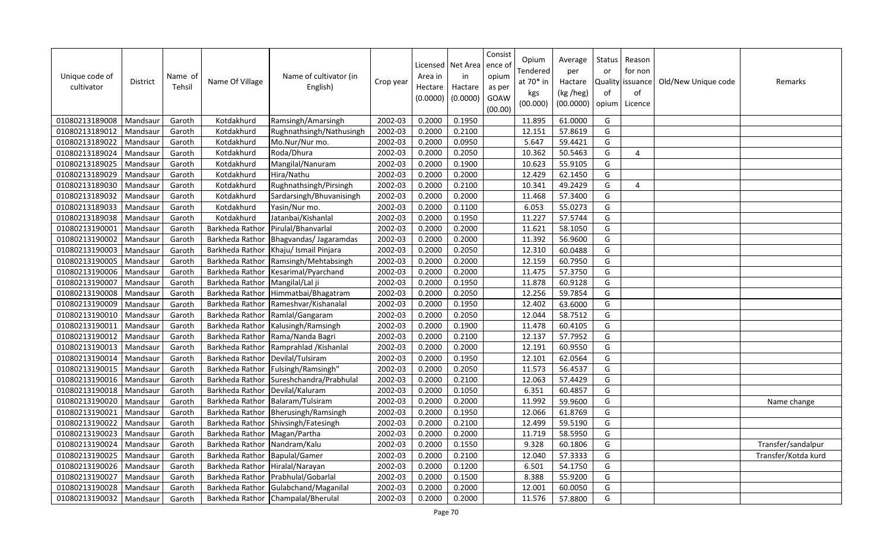| Unique code of<br>cultivator | <b>District</b> | Name of<br>Tehsil | Name Of Village | Name of cultivator (in<br>English) | Crop year | Licensed<br>Area in<br>Hectare<br>(0.0000) | Net Area<br>in<br>Hactare<br>(0.0000) | Consist<br>ence o<br>opium<br>as per<br>GOAW<br>(00.00) | Opium<br>Tendered<br>at $70*$ in<br>kgs<br>(00.000) | Average<br>per<br>Hactare<br>(kg /heg)<br>(00.0000) | Status<br>or<br><b>Quality</b><br>of<br>opium | Reason<br>for non<br>issuance<br>of<br>Licence | Old/New Unique code | Remarks             |
|------------------------------|-----------------|-------------------|-----------------|------------------------------------|-----------|--------------------------------------------|---------------------------------------|---------------------------------------------------------|-----------------------------------------------------|-----------------------------------------------------|-----------------------------------------------|------------------------------------------------|---------------------|---------------------|
| 01080213189008               | Mandsaur        | Garoth            | Kotdakhurd      | Ramsingh/Amarsingh                 | 2002-03   | 0.2000                                     | 0.1950                                |                                                         | 11.895                                              | 61.0000                                             | G                                             |                                                |                     |                     |
| 01080213189012               | Mandsaur        | Garoth            | Kotdakhurd      | Rughnathsingh/Nathusingh           | 2002-03   | 0.2000                                     | 0.2100                                |                                                         | 12.151                                              | 57.8619                                             | G                                             |                                                |                     |                     |
| 01080213189022               | Mandsaur        | Garoth            | Kotdakhurd      | Mo.Nur/Nur mo.                     | 2002-03   | 0.2000                                     | 0.0950                                |                                                         | 5.647                                               | 59.4421                                             | G                                             |                                                |                     |                     |
| 01080213189024               | Mandsaur        | Garoth            | Kotdakhurd      | Roda/Dhura                         | 2002-03   | 0.2000                                     | 0.2050                                |                                                         | 10.362                                              | 50.5463                                             | G                                             | 4                                              |                     |                     |
| 01080213189025               | Mandsaur        | Garoth            | Kotdakhurd      | Mangilal/Nanuram                   | 2002-03   | 0.2000                                     | 0.1900                                |                                                         | 10.623                                              | 55.9105                                             | G                                             |                                                |                     |                     |
| 01080213189029               | Mandsaur        | Garoth            | Kotdakhurd      | Hira/Nathu                         | 2002-03   | 0.2000                                     | 0.2000                                |                                                         | 12.429                                              | 62.1450                                             | G                                             |                                                |                     |                     |
| 01080213189030               | Mandsaur        | Garoth            | Kotdakhurd      | Rughnathsingh/Pirsingh             | 2002-03   | 0.2000                                     | 0.2100                                |                                                         | 10.341                                              | 49.2429                                             | G                                             | 4                                              |                     |                     |
| 01080213189032               | Mandsaur        | Garoth            | Kotdakhurd      | Sardarsingh/Bhuvanisingh           | 2002-03   | 0.2000                                     | 0.2000                                |                                                         | 11.468                                              | 57.3400                                             | G                                             |                                                |                     |                     |
| 01080213189033               | Mandsaur        | Garoth            | Kotdakhurd      | Yasin/Nur mo.                      | 2002-03   | 0.2000                                     | 0.1100                                |                                                         | 6.053                                               | 55.0273                                             | G                                             |                                                |                     |                     |
| 01080213189038               | Mandsau         | Garoth            | Kotdakhurd      | Jatanbai/Kishanlal                 | 2002-03   | 0.2000                                     | 0.1950                                |                                                         | 11.227                                              | 57.5744                                             | G                                             |                                                |                     |                     |
| 01080213190001               | Mandsau         | Garoth            | Barkheda Rathor | Pirulal/Bhanvarlal                 | 2002-03   | 0.2000                                     | 0.2000                                |                                                         | 11.621                                              | 58.1050                                             | G                                             |                                                |                     |                     |
| 01080213190002               | Mandsau         | Garoth            | Barkheda Rathor | Bhagvandas/ Jagaramdas             | 2002-03   | 0.2000                                     | 0.2000                                |                                                         | 11.392                                              | 56.9600                                             | G                                             |                                                |                     |                     |
| 01080213190003               | Mandsaur        | Garoth            | Barkheda Rathor | Khaju/ Ismail Pinjara              | 2002-03   | 0.2000                                     | 0.2050                                |                                                         | 12.310                                              | 60.0488                                             | G                                             |                                                |                     |                     |
| 01080213190005               | Mandsaur        | Garoth            | Barkheda Rathor | Ramsingh/Mehtabsingh               | 2002-03   | 0.2000                                     | 0.2000                                |                                                         | 12.159                                              | 60.7950                                             | G                                             |                                                |                     |                     |
| 01080213190006               | Mandsau         | Garoth            | Barkheda Rathor | Kesarimal/Pyarchand                | 2002-03   | 0.2000                                     | 0.2000                                |                                                         | 11.475                                              | 57.3750                                             | G                                             |                                                |                     |                     |
| 01080213190007               | Mandsaur        | Garoth            | Barkheda Rathor | Mangilal/Lal ji                    | 2002-03   | 0.2000                                     | 0.1950                                |                                                         | 11.878                                              | 60.9128                                             | G                                             |                                                |                     |                     |
| 01080213190008               | Mandsaur        | Garoth            | Barkheda Rathor | Himmatbai/Bhagatram                | 2002-03   | 0.2000                                     | 0.2050                                |                                                         | 12.256                                              | 59.7854                                             | G                                             |                                                |                     |                     |
| 01080213190009               | Mandsaur        | Garoth            | Barkheda Rathor | Rameshvar/Kishanalal               | 2002-03   | 0.2000                                     | 0.1950                                |                                                         | 12.402                                              | 63.6000                                             | G                                             |                                                |                     |                     |
| 01080213190010               | Mandsaur        | Garoth            | Barkheda Rathor | Ramlal/Gangaram                    | 2002-03   | 0.2000                                     | 0.2050                                |                                                         | 12.044                                              | 58.7512                                             | G                                             |                                                |                     |                     |
| 01080213190011               | Mandsaur        | Garoth            | Barkheda Rathor | Kalusingh/Ramsingh                 | 2002-03   | 0.2000                                     | 0.1900                                |                                                         | 11.478                                              | 60.4105                                             | G                                             |                                                |                     |                     |
| 01080213190012               | Mandsaur        | Garoth            | Barkheda Rathor | Rama/Nanda Bagri                   | 2002-03   | 0.2000                                     | 0.2100                                |                                                         | 12.137                                              | 57.7952                                             | G                                             |                                                |                     |                     |
| 01080213190013               | Mandsaur        | Garoth            | Barkheda Rathor | Ramprahlad / Kishanlal             | 2002-03   | 0.2000                                     | 0.2000                                |                                                         | 12.191                                              | 60.9550                                             | G                                             |                                                |                     |                     |
| 01080213190014               | Mandsaur        | Garoth            | Barkheda Rathor | Devilal/Tulsiram                   | 2002-03   | 0.2000                                     | 0.1950                                |                                                         | 12.101                                              | 62.0564                                             | G                                             |                                                |                     |                     |
| 01080213190015               | Mandsaur        | Garoth            | Barkheda Rathor | Fulsingh/Ramsingh'                 | 2002-03   | 0.2000                                     | 0.2050                                |                                                         | 11.573                                              | 56.4537                                             | G                                             |                                                |                     |                     |
| 01080213190016               | Mandsaur        | Garoth            | Barkheda Rathor | Sureshchandra/Prabhulal            | 2002-03   | 0.2000                                     | 0.2100                                |                                                         | 12.063                                              | 57.4429                                             | G                                             |                                                |                     |                     |
| 01080213190018               | Mandsaur        | Garoth            | Barkheda Rathor | Devilal/Kaluram                    | 2002-03   | 0.2000                                     | 0.1050                                |                                                         | 6.351                                               | 60.4857                                             | G                                             |                                                |                     |                     |
| 01080213190020               | Mandsaur        | Garoth            | Barkheda Rathor | Balaram/Tulsiram                   | 2002-03   | 0.2000                                     | 0.2000                                |                                                         | 11.992                                              | 59.9600                                             | G                                             |                                                |                     | Name change         |
| 01080213190021               | Mandsaur        | Garoth            | Barkheda Rathor | Bherusingh/Ramsingh                | 2002-03   | 0.2000                                     | 0.1950                                |                                                         | 12.066                                              | 61.8769                                             | G                                             |                                                |                     |                     |
| 01080213190022               | Mandsaur        | Garoth            | Barkheda Rathor | Shivsingh/Fatesingh                | 2002-03   | 0.2000                                     | 0.2100                                |                                                         | 12.499                                              | 59.5190                                             | G                                             |                                                |                     |                     |
| 01080213190023               | Mandsaur        | Garoth            | Barkheda Rathor | Magan/Partha                       | 2002-03   | 0.2000                                     | 0.2000                                |                                                         | 11.719                                              | 58.5950                                             | G                                             |                                                |                     |                     |
| 01080213190024               | Mandsaur        | Garoth            | Barkheda Rathor | Nandram/Kalu                       | 2002-03   | 0.2000                                     | 0.1550                                |                                                         | 9.328                                               | 60.1806                                             | G                                             |                                                |                     | Transfer/sandalpur  |
| 01080213190025               | Mandsau         | Garoth            | Barkheda Rathor | <b>Bapulal/Gamer</b>               | 2002-03   | 0.2000                                     | 0.2100                                |                                                         | 12.040                                              | 57.3333                                             | G                                             |                                                |                     | Transfer/Kotda kurd |
| 01080213190026               | Mandsaur        | Garoth            | Barkheda Rathor | Hiralal/Narayan                    | 2002-03   | 0.2000                                     | 0.1200                                |                                                         | 6.501                                               | 54.1750                                             | G                                             |                                                |                     |                     |
| 01080213190027               | Mandsau         | Garoth            | Barkheda Rathor | Prabhulal/Gobarlal                 | 2002-03   | 0.2000                                     | 0.1500                                |                                                         | 8.388                                               | 55.9200                                             | G                                             |                                                |                     |                     |
| 01080213190028               | Mandsaur        | Garoth            | Barkheda Rathor | Gulabchand/Maganilal               | 2002-03   | 0.2000                                     | 0.2000                                |                                                         | 12.001                                              | 60.0050                                             | G                                             |                                                |                     |                     |
| 01080213190032               | Mandsaur        | Garoth            | Barkheda Rathor | Champalal/Bherulal                 | 2002-03   | 0.2000                                     | 0.2000                                |                                                         | 11.576                                              | 57.8800                                             | G                                             |                                                |                     |                     |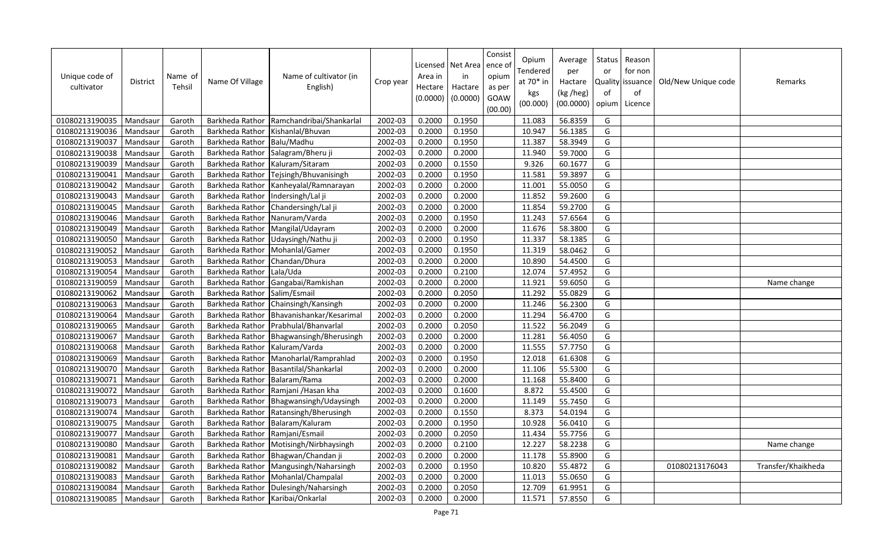| Unique code of<br>cultivator | <b>District</b> | Name of<br>Tehsil | Name Of Village | Name of cultivator (in<br>English) | Crop year | Licensed<br>Area in<br>Hectare<br>(0.0000) | Net Area<br>in<br>Hactare<br>(0.0000) | Consist<br>ence o<br>opium<br>as per<br>GOAW<br>(00.00) | Opium<br>Tendered<br>at $70*$ in<br>kgs<br>(00.000) | Average<br>per<br>Hactare<br>(kg /heg)<br>(00.0000) | Status<br>or<br><b>Quality</b><br>of<br>opium | Reason<br>for non<br>issuance<br>of<br>Licence | Old/New Unique code | Remarks            |
|------------------------------|-----------------|-------------------|-----------------|------------------------------------|-----------|--------------------------------------------|---------------------------------------|---------------------------------------------------------|-----------------------------------------------------|-----------------------------------------------------|-----------------------------------------------|------------------------------------------------|---------------------|--------------------|
| 01080213190035               | Mandsaur        | Garoth            | Barkheda Rathor | Ramchandribai/Shankarlal           | 2002-03   | 0.2000                                     | 0.1950                                |                                                         | 11.083                                              | 56.8359                                             | G                                             |                                                |                     |                    |
| 01080213190036               | Mandsau         | Garoth            | Barkheda Rathor | Kishanlal/Bhuvan                   | 2002-03   | 0.2000                                     | 0.1950                                |                                                         | 10.947                                              | 56.1385                                             | G                                             |                                                |                     |                    |
| 01080213190037               | Mandsaur        | Garoth            | Barkheda Rathor | Balu/Madhu                         | 2002-03   | 0.2000                                     | 0.1950                                |                                                         | 11.387                                              | 58.3949                                             | G                                             |                                                |                     |                    |
| 01080213190038               | Mandsaur        | Garoth            | Barkheda Rathor | Salagram/Bheru ji                  | 2002-03   | 0.2000                                     | 0.2000                                |                                                         | 11.940                                              | 59.7000                                             | G                                             |                                                |                     |                    |
| 01080213190039               | Mandsaur        | Garoth            | Barkheda Rathor | Kaluram/Sitaram                    | 2002-03   | 0.2000                                     | 0.1550                                |                                                         | 9.326                                               | 60.1677                                             | G                                             |                                                |                     |                    |
| 01080213190041               | Mandsaur        | Garoth            | Barkheda Rathor | Tejsingh/Bhuvanisingh              | 2002-03   | 0.2000                                     | 0.1950                                |                                                         | 11.581                                              | 59.3897                                             | G                                             |                                                |                     |                    |
| 01080213190042               | Mandsaur        | Garoth            | Barkheda Rathor | Kanheyalal/Ramnarayan              | 2002-03   | 0.2000                                     | 0.2000                                |                                                         | 11.001                                              | 55.0050                                             | G                                             |                                                |                     |                    |
| 01080213190043               | Mandsaur        | Garoth            | Barkheda Rathor | Indersingh/Lal ji                  | 2002-03   | 0.2000                                     | 0.2000                                |                                                         | 11.852                                              | 59.2600                                             | G                                             |                                                |                     |                    |
| 01080213190045               | Mandsaur        | Garoth            | Barkheda Rathor | Chandersingh/Lal ji                | 2002-03   | 0.2000                                     | 0.2000                                |                                                         | 11.854                                              | 59.2700                                             | G                                             |                                                |                     |                    |
| 01080213190046               | Mandsau         | Garoth            | Barkheda Rathor | Nanuram/Varda                      | 2002-03   | 0.2000                                     | 0.1950                                |                                                         | 11.243                                              | 57.6564                                             | G                                             |                                                |                     |                    |
| 01080213190049               | Mandsau         | Garoth            | Barkheda Rathor | Mangilal/Udayram                   | 2002-03   | 0.2000                                     | 0.2000                                |                                                         | 11.676                                              | 58.3800                                             | G                                             |                                                |                     |                    |
| 01080213190050               | Mandsau         | Garoth            | Barkheda Rathor | Udaysingh/Nathu ji                 | 2002-03   | 0.2000                                     | 0.1950                                |                                                         | 11.337                                              | 58.1385                                             | G                                             |                                                |                     |                    |
| 01080213190052               | Mandsaur        | Garoth            | Barkheda Rathor | Mohanlal/Gamer                     | 2002-03   | 0.2000                                     | 0.1950                                |                                                         | 11.319                                              | 58.0462                                             | G                                             |                                                |                     |                    |
| 01080213190053               | Mandsau         | Garoth            | Barkheda Rathor | Chandan/Dhura                      | 2002-03   | 0.2000                                     | 0.2000                                |                                                         | 10.890                                              | 54.4500                                             | G                                             |                                                |                     |                    |
| 01080213190054               | Mandsau         | Garoth            | Barkheda Rathor | Lala/Uda                           | 2002-03   | 0.2000                                     | 0.2100                                |                                                         | 12.074                                              | 57.4952                                             | G                                             |                                                |                     |                    |
| 01080213190059               | Mandsaur        | Garoth            | Barkheda Rathor | Gangabai/Ramkishan                 | 2002-03   | 0.2000                                     | 0.2000                                |                                                         | 11.921                                              | 59.6050                                             | G                                             |                                                |                     | Name change        |
| 01080213190062               | Mandsaur        | Garoth            | Barkheda Rathor | Salim/Esmail                       | 2002-03   | 0.2000                                     | 0.2050                                |                                                         | 11.292                                              | 55.0829                                             | G                                             |                                                |                     |                    |
| 01080213190063               | Mandsaur        | Garoth            | Barkheda Rathor | Chainsingh/Kansingh                | 2002-03   | 0.2000                                     | 0.2000                                |                                                         | 11.246                                              | 56.2300                                             | G                                             |                                                |                     |                    |
| 01080213190064               | Mandsaur        | Garoth            | Barkheda Rathor | Bhavanishankar/Kesarimal           | 2002-03   | 0.2000                                     | 0.2000                                |                                                         | 11.294                                              | 56.4700                                             | G                                             |                                                |                     |                    |
| 01080213190065               | Mandsaur        | Garoth            | Barkheda Rathor | Prabhulal/Bhanvarlal               | 2002-03   | 0.2000                                     | 0.2050                                |                                                         | 11.522                                              | 56.2049                                             | G                                             |                                                |                     |                    |
| 01080213190067               | Mandsaur        | Garoth            | Barkheda Rathor | Bhagwansingh/Bherusingh            | 2002-03   | 0.2000                                     | 0.2000                                |                                                         | 11.281                                              | 56.4050                                             | G                                             |                                                |                     |                    |
| 01080213190068               | Mandsaur        | Garoth            | Barkheda Rathor | Kaluram/Varda                      | 2002-03   | 0.2000                                     | 0.2000                                |                                                         | 11.555                                              | 57.7750                                             | G                                             |                                                |                     |                    |
| 01080213190069               | Mandsaur        | Garoth            | Barkheda Rathor | Manoharlal/Ramprahlad              | 2002-03   | 0.2000                                     | 0.1950                                |                                                         | 12.018                                              | 61.6308                                             | G                                             |                                                |                     |                    |
| 01080213190070               | Mandsaur        | Garoth            | Barkheda Rathor | Basantilal/Shankarlal              | 2002-03   | 0.2000                                     | 0.2000                                |                                                         | 11.106                                              | 55.5300                                             | G                                             |                                                |                     |                    |
| 01080213190071               | Mandsaur        | Garoth            | Barkheda Rathor | Balaram/Rama                       | 2002-03   | 0.2000                                     | 0.2000                                |                                                         | 11.168                                              | 55.8400                                             | G                                             |                                                |                     |                    |
| 01080213190072               | Mandsaur        | Garoth            | Barkheda Rathor | Ramjani / Hasan kha                | 2002-03   | 0.2000                                     | 0.1600                                |                                                         | 8.872                                               | 55.4500                                             | G                                             |                                                |                     |                    |
| 01080213190073               | Mandsaur        | Garoth            | Barkheda Rathor | Bhagwansingh/Udaysingh             | 2002-03   | 0.2000                                     | 0.2000                                |                                                         | 11.149                                              | 55.7450                                             | G                                             |                                                |                     |                    |
| 01080213190074               | Mandsaur        | Garoth            | Barkheda Rathor | Ratansingh/Bherusingh              | 2002-03   | 0.2000                                     | 0.1550                                |                                                         | 8.373                                               | 54.0194                                             | G                                             |                                                |                     |                    |
| 01080213190075               | Mandsaur        | Garoth            | Barkheda Rathor | Balaram/Kaluram                    | 2002-03   | 0.2000                                     | 0.1950                                |                                                         | 10.928                                              | 56.0410                                             | G                                             |                                                |                     |                    |
| 01080213190077               | Mandsaur        | Garoth            | Barkheda Rathor | Ramjani/Esmail                     | 2002-03   | 0.2000                                     | 0.2050                                |                                                         | 11.434                                              | 55.7756                                             | G                                             |                                                |                     |                    |
| 01080213190080               | Mandsaur        | Garoth            | Barkheda Rathor | Motisingh/Nirbhaysingh             | 2002-03   | 0.2000                                     | 0.2100                                |                                                         | 12.227                                              | 58.2238                                             | G                                             |                                                |                     | Name change        |
| 01080213190081               | Mandsaur        | Garoth            | Barkheda Rathor | Bhagwan/Chandan ji                 | 2002-03   | 0.2000                                     | 0.2000                                |                                                         | 11.178                                              | 55.8900                                             | G                                             |                                                |                     |                    |
| 01080213190082               | Mandsaur        | Garoth            | Barkheda Rathor | Mangusingh/Naharsingh              | 2002-03   | 0.2000                                     | 0.1950                                |                                                         | 10.820                                              | 55.4872                                             | G                                             |                                                | 01080213176043      | Transfer/Khaikheda |
| 01080213190083               | Mandsau         | Garoth            | Barkheda Rathor | Mohanlal/Champalal                 | 2002-03   | 0.2000                                     | 0.2000                                |                                                         | 11.013                                              | 55.0650                                             | G                                             |                                                |                     |                    |
| 01080213190084               | Mandsaur        | Garoth            | Barkheda Rathor | Dulesingh/Naharsingh               | 2002-03   | 0.2000                                     | 0.2050                                |                                                         | 12.709                                              | 61.9951                                             | G                                             |                                                |                     |                    |
| 01080213190085               | Mandsaur        | Garoth            | Barkheda Rathor | Karibai/Onkarlal                   | 2002-03   | 0.2000                                     | 0.2000                                |                                                         | 11.571                                              | 57.8550                                             | G                                             |                                                |                     |                    |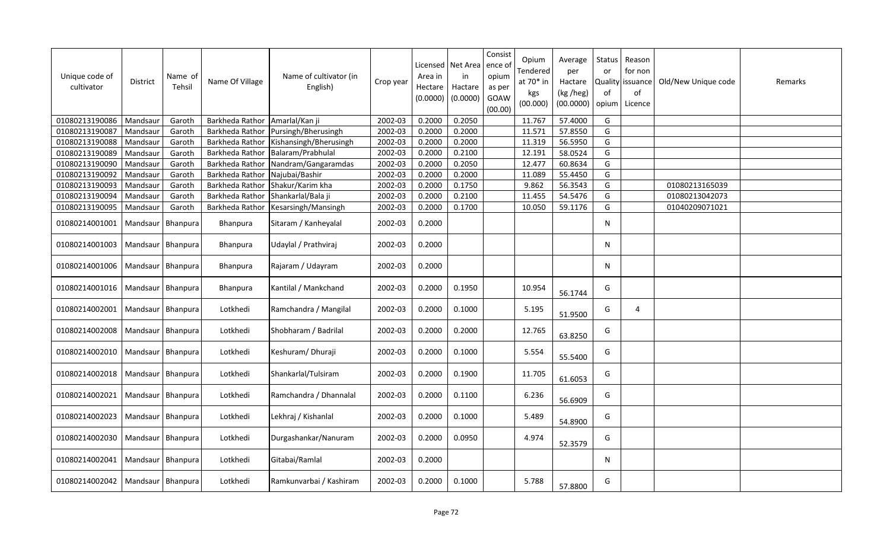| Unique code of<br>cultivator | District | Name of<br>Tehsil   | Name Of Village | Name of cultivator (in<br>English) | Crop year | Licensed<br>Area in<br>Hectare<br>(0.0000) | Net Area<br>in<br>Hactare<br>(0.0000) | Consist<br>ence of<br>opium<br>as per<br>GOAW<br>(00.00) | Opium<br>Tendered<br>at $70*$ in<br>kgs<br>(00.000) | Average<br>per<br>Hactare<br>(kg /heg)<br>(00.0000) | <b>Status</b><br>or<br>of<br>opium | Reason<br>for non<br>Quality   issuance  <br>of<br>Licence | Old/New Unique code | Remarks |
|------------------------------|----------|---------------------|-----------------|------------------------------------|-----------|--------------------------------------------|---------------------------------------|----------------------------------------------------------|-----------------------------------------------------|-----------------------------------------------------|------------------------------------|------------------------------------------------------------|---------------------|---------|
| 01080213190086               | Mandsaur | Garoth              | Barkheda Rathor | Amarlal/Kan ji                     | 2002-03   | 0.2000                                     | 0.2050                                |                                                          | 11.767                                              | 57.4000                                             | G                                  |                                                            |                     |         |
| 01080213190087               | Mandsaur | Garoth              | Barkheda Rathor | Pursingh/Bherusingh                | 2002-03   | 0.2000                                     | 0.2000                                |                                                          | 11.571                                              | 57.8550                                             | G                                  |                                                            |                     |         |
| 01080213190088               | Mandsaur | Garoth              | Barkheda Rathor | Kishansingh/Bherusingh             | 2002-03   | 0.2000                                     | 0.2000                                |                                                          | 11.319                                              | 56.5950                                             | G                                  |                                                            |                     |         |
| 01080213190089               | Mandsaur | Garoth              | Barkheda Rathor | Balaram/Prabhulal                  | 2002-03   | 0.2000                                     | 0.2100                                |                                                          | 12.191                                              | 58.0524                                             | G                                  |                                                            |                     |         |
| 01080213190090               | Mandsaur | Garoth              | Barkheda Rathor | Nandram/Gangaramdas                | 2002-03   | 0.2000                                     | 0.2050                                |                                                          | 12.477                                              | 60.8634                                             | G                                  |                                                            |                     |         |
| 01080213190092               | Mandsaur | Garoth              | Barkheda Rathor | Najubai/Bashir                     | 2002-03   | 0.2000                                     | 0.2000                                |                                                          | 11.089                                              | 55.4450                                             | G                                  |                                                            |                     |         |
| 01080213190093               | Mandsaur | Garoth              | Barkheda Rathor | Shakur/Karim kha                   | 2002-03   | 0.2000                                     | 0.1750                                |                                                          | 9.862                                               | 56.3543                                             | G                                  |                                                            | 01080213165039      |         |
| 01080213190094               | Mandsaur | Garoth              | Barkheda Rathor | Shankarlal/Bala ji                 | 2002-03   | 0.2000                                     | 0.2100                                |                                                          | 11.455                                              | 54.5476                                             | G                                  |                                                            | 01080213042073      |         |
| 01080213190095               | Mandsaur | Garoth              | Barkheda Rathor | Kesarsingh/Mansingh                | 2002-03   | 0.2000                                     | 0.1700                                |                                                          | 10.050                                              | 59.1176                                             | G                                  |                                                            | 01040209071021      |         |
| 01080214001001               | Mandsaur | Bhanpura            | Bhanpura        | Sitaram / Kanheyalal               | 2002-03   | 0.2000                                     |                                       |                                                          |                                                     |                                                     | N                                  |                                                            |                     |         |
| 01080214001003               | Mandsaur | Bhanpura            | <b>Bhanpura</b> | Udaylal / Prathviraj               | 2002-03   | 0.2000                                     |                                       |                                                          |                                                     |                                                     | N                                  |                                                            |                     |         |
| 01080214001006               |          | Mandsaur Bhanpura   | <b>Bhanpura</b> | Rajaram / Udayram                  | 2002-03   | 0.2000                                     |                                       |                                                          |                                                     |                                                     | N                                  |                                                            |                     |         |
| 01080214001016               |          | Mandsaur   Bhanpura | <b>Bhanpura</b> | Kantilal / Mankchand               | 2002-03   | 0.2000                                     | 0.1950                                |                                                          | 10.954                                              | 56.1744                                             | G                                  |                                                            |                     |         |
| 01080214002001               |          | Mandsaur   Bhanpura | Lotkhedi        | Ramchandra / Mangilal              | 2002-03   | 0.2000                                     | 0.1000                                |                                                          | 5.195                                               | 51.9500                                             | G                                  | 4                                                          |                     |         |
| 01080214002008               |          | Mandsaur   Bhanpura | Lotkhedi        | Shobharam / Badrilal               | 2002-03   | 0.2000                                     | 0.2000                                |                                                          | 12.765                                              | 63.8250                                             | G                                  |                                                            |                     |         |
| 01080214002010               | Mandsaur | Bhanpura            | Lotkhedi        | Keshuram/Dhuraji                   | 2002-03   | 0.2000                                     | 0.1000                                |                                                          | 5.554                                               | 55.5400                                             | G                                  |                                                            |                     |         |
| 01080214002018               |          | Mandsaur   Bhanpura | Lotkhedi        | Shankarlal/Tulsiram                | 2002-03   | 0.2000                                     | 0.1900                                |                                                          | 11.705                                              | 61.6053                                             | G                                  |                                                            |                     |         |
| 01080214002021               |          | Mandsaur Bhanpura   | Lotkhedi        | Ramchandra / Dhannalal             | 2002-03   | 0.2000                                     | 0.1100                                |                                                          | 6.236                                               | 56.6909                                             | G                                  |                                                            |                     |         |
| 01080214002023               |          | Mandsaur Bhanpura   | Lotkhedi        | Lekhraj / Kishanlal                | 2002-03   | 0.2000                                     | 0.1000                                |                                                          | 5.489                                               | 54.8900                                             | G                                  |                                                            |                     |         |
| 01080214002030               | Mandsaur | Bhanpura            | Lotkhedi        | Durgashankar/Nanuram               | 2002-03   | 0.2000                                     | 0.0950                                |                                                          | 4.974                                               | 52.3579                                             | G                                  |                                                            |                     |         |
| 01080214002041               |          | Mandsaur   Bhanpura | Lotkhedi        | Gitabai/Ramlal                     | 2002-03   | 0.2000                                     |                                       |                                                          |                                                     |                                                     | N                                  |                                                            |                     |         |
| 01080214002042               |          | Mandsaur   Bhanpura | Lotkhedi        | Ramkunvarbai / Kashiram            | 2002-03   | 0.2000                                     | 0.1000                                |                                                          | 5.788                                               | 57.8800                                             | G                                  |                                                            |                     |         |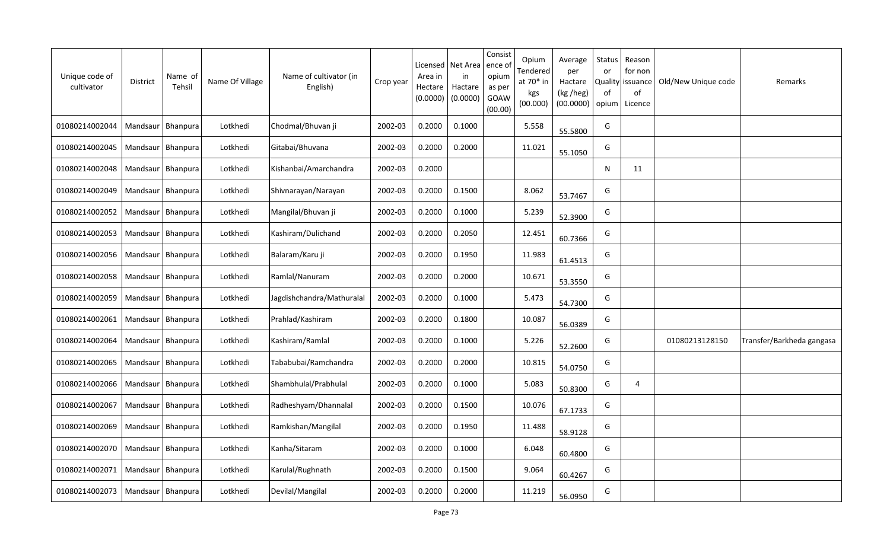| Unique code of<br>cultivator | District            | Name of<br>Tehsil   | Name Of Village | Name of cultivator (in<br>English) | Crop year | Licensed<br>Area in<br>Hectare<br>(0.0000) | Net Area<br>in<br>Hactare<br>(0.0000) | Consist<br>ence of<br>opium<br>as per<br>GOAW<br>(00.00) | Opium<br>Tendered<br>at 70* in<br>kgs<br>(00.000) | Average<br>per<br>Hactare<br>(kg /heg)<br>(00.0000) | Status<br>or<br>Quality<br>0f<br>opium | Reason<br>for non<br>issuance<br>of<br>Licence | Old/New Unique code | Remarks                   |
|------------------------------|---------------------|---------------------|-----------------|------------------------------------|-----------|--------------------------------------------|---------------------------------------|----------------------------------------------------------|---------------------------------------------------|-----------------------------------------------------|----------------------------------------|------------------------------------------------|---------------------|---------------------------|
| 01080214002044               |                     | Mandsaur   Bhanpura | Lotkhedi        | Chodmal/Bhuvan ji                  | 2002-03   | 0.2000                                     | 0.1000                                |                                                          | 5.558                                             | 55.5800                                             | G                                      |                                                |                     |                           |
| 01080214002045               |                     | Mandsaur   Bhanpura | Lotkhedi        | Gitabai/Bhuvana                    | 2002-03   | 0.2000                                     | 0.2000                                |                                                          | 11.021                                            | 55.1050                                             | G                                      |                                                |                     |                           |
| 01080214002048               | Mandsaur            | Bhanpura            | Lotkhedi        | Kishanbai/Amarchandra              | 2002-03   | 0.2000                                     |                                       |                                                          |                                                   |                                                     | N                                      | 11                                             |                     |                           |
| 01080214002049               |                     | Mandsaur   Bhanpura | Lotkhedi        | Shivnarayan/Narayan                | 2002-03   | 0.2000                                     | 0.1500                                |                                                          | 8.062                                             | 53.7467                                             | G                                      |                                                |                     |                           |
| 01080214002052               | Mandsaur            | Bhanpura            | Lotkhedi        | Mangilal/Bhuvan ji                 | 2002-03   | 0.2000                                     | 0.1000                                |                                                          | 5.239                                             | 52.3900                                             | G                                      |                                                |                     |                           |
| 01080214002053               | Mandsaur            | Bhanpura            | Lotkhedi        | Kashiram/Dulichand                 | 2002-03   | 0.2000                                     | 0.2050                                |                                                          | 12.451                                            | 60.7366                                             | G                                      |                                                |                     |                           |
| 01080214002056               | Mandsaur            | <b>Bhanpura</b>     | Lotkhedi        | Balaram/Karu ji                    | 2002-03   | 0.2000                                     | 0.1950                                |                                                          | 11.983                                            | 61.4513                                             | G                                      |                                                |                     |                           |
| 01080214002058               | Mandsaur            | Bhanpura            | Lotkhedi        | Ramlal/Nanuram                     | 2002-03   | 0.2000                                     | 0.2000                                |                                                          | 10.671                                            | 53.3550                                             | G                                      |                                                |                     |                           |
| 01080214002059               | Mandsaur            | Bhanpura            | Lotkhedi        | Jagdishchandra/Mathuralal          | 2002-03   | 0.2000                                     | 0.1000                                |                                                          | 5.473                                             | 54.7300                                             | G                                      |                                                |                     |                           |
| 01080214002061               | Mandsaur            | Bhanpura            | Lotkhedi        | Prahlad/Kashiram                   | 2002-03   | 0.2000                                     | 0.1800                                |                                                          | 10.087                                            | 56.0389                                             | G                                      |                                                |                     |                           |
| 01080214002064               | Mandsaur            | Bhanpura            | Lotkhedi        | Kashiram/Ramlal                    | 2002-03   | 0.2000                                     | 0.1000                                |                                                          | 5.226                                             | 52.2600                                             | G                                      |                                                | 01080213128150      | Transfer/Barkheda gangasa |
| 01080214002065               | Mandsaur            | <b>Bhanpura</b>     | Lotkhedi        | Tababubai/Ramchandra               | 2002-03   | 0.2000                                     | 0.2000                                |                                                          | 10.815                                            | 54.0750                                             | G                                      |                                                |                     |                           |
| 01080214002066               | Mandsaur            | Bhanpura            | Lotkhedi        | Shambhulal/Prabhulal               | 2002-03   | 0.2000                                     | 0.1000                                |                                                          | 5.083                                             | 50.8300                                             | G                                      | $\overline{4}$                                 |                     |                           |
| 01080214002067               |                     | Mandsaur   Bhanpura | Lotkhedi        | Radheshyam/Dhannalal               | 2002-03   | 0.2000                                     | 0.1500                                |                                                          | 10.076                                            | 67.1733                                             | G                                      |                                                |                     |                           |
| 01080214002069               | Mandsaur            | Bhanpura            | Lotkhedi        | Ramkishan/Mangilal                 | 2002-03   | 0.2000                                     | 0.1950                                |                                                          | 11.488                                            | 58.9128                                             | G                                      |                                                |                     |                           |
| 01080214002070               | Mandsaur            | Bhanpura            | Lotkhedi        | Kanha/Sitaram                      | 2002-03   | 0.2000                                     | 0.1000                                |                                                          | 6.048                                             | 60.4800                                             | G                                      |                                                |                     |                           |
| 01080214002071               |                     | Mandsaur   Bhanpura | Lotkhedi        | Karulal/Rughnath                   | 2002-03   | 0.2000                                     | 0.1500                                |                                                          | 9.064                                             | 60.4267                                             | G                                      |                                                |                     |                           |
| 01080214002073               | Mandsaur   Bhanpura |                     | Lotkhedi        | Devilal/Mangilal                   | 2002-03   | 0.2000                                     | 0.2000                                |                                                          | 11.219                                            | 56.0950                                             | G                                      |                                                |                     |                           |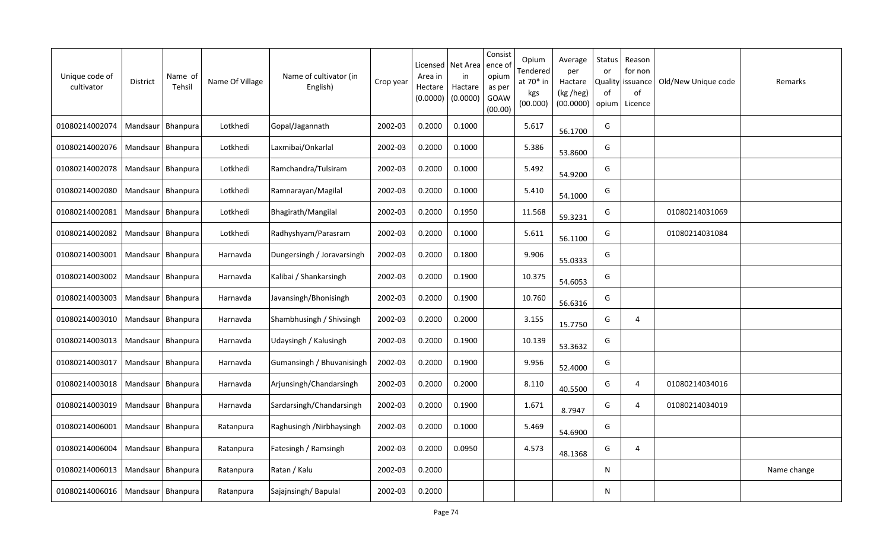| Unique code of<br>cultivator | District            | Name of<br>Tehsil   | Name Of Village | Name of cultivator (in<br>English) | Crop year | Licensed<br>Area in<br>Hectare<br>(0.0000) | Net Area<br>in<br>Hactare<br>(0.0000) | Consist<br>ence of<br>opium<br>as per<br>GOAW<br>(00.00) | Opium<br>Tendered<br>at 70* in<br>kgs<br>(00.000) | Average<br>per<br>Hactare<br>(kg /heg)<br>(00.0000) | Status<br>or<br>Quality<br>0f<br>opium | Reason<br>for non<br>issuance<br>of<br>Licence | Old/New Unique code | Remarks     |
|------------------------------|---------------------|---------------------|-----------------|------------------------------------|-----------|--------------------------------------------|---------------------------------------|----------------------------------------------------------|---------------------------------------------------|-----------------------------------------------------|----------------------------------------|------------------------------------------------|---------------------|-------------|
| 01080214002074               | Mandsaur            | Bhanpura            | Lotkhedi        | Gopal/Jagannath                    | 2002-03   | 0.2000                                     | 0.1000                                |                                                          | 5.617                                             | 56.1700                                             | G                                      |                                                |                     |             |
| 01080214002076               |                     | Mandsaur   Bhanpura | Lotkhedi        | Laxmibai/Onkarlal                  | 2002-03   | 0.2000                                     | 0.1000                                |                                                          | 5.386                                             | 53.8600                                             | G                                      |                                                |                     |             |
| 01080214002078               | Mandsaur   Bhanpura |                     | Lotkhedi        | Ramchandra/Tulsiram                | 2002-03   | 0.2000                                     | 0.1000                                |                                                          | 5.492                                             | 54.9200                                             | G                                      |                                                |                     |             |
| 01080214002080               |                     | Mandsaur   Bhanpura | Lotkhedi        | Ramnarayan/Magilal                 | 2002-03   | 0.2000                                     | 0.1000                                |                                                          | 5.410                                             | 54.1000                                             | G                                      |                                                |                     |             |
| 01080214002081               | Mandsaur   Bhanpura |                     | Lotkhedi        | Bhagirath/Mangilal                 | 2002-03   | 0.2000                                     | 0.1950                                |                                                          | 11.568                                            | 59.3231                                             | G                                      |                                                | 01080214031069      |             |
| 01080214002082               | Mandsaur            | Bhanpura            | Lotkhedi        | Radhyshyam/Parasram                | 2002-03   | 0.2000                                     | 0.1000                                |                                                          | 5.611                                             | 56.1100                                             | G                                      |                                                | 01080214031084      |             |
| 01080214003001               | Mandsaur            | Bhanpura            | Harnavda        | Dungersingh / Joravarsingh         | 2002-03   | 0.2000                                     | 0.1800                                |                                                          | 9.906                                             | 55.0333                                             | G                                      |                                                |                     |             |
| 01080214003002               | Mandsaur            | Bhanpura            | Harnavda        | Kalibai / Shankarsingh             | 2002-03   | 0.2000                                     | 0.1900                                |                                                          | 10.375                                            | 54.6053                                             | G                                      |                                                |                     |             |
| 01080214003003               | Mandsaur            | Bhanpura            | Harnavda        | Javansingh/Bhonisingh              | 2002-03   | 0.2000                                     | 0.1900                                |                                                          | 10.760                                            | 56.6316                                             | G                                      |                                                |                     |             |
| 01080214003010               | Mandsaur            | Bhanpura            | Harnavda        | Shambhusingh / Shivsingh           | 2002-03   | 0.2000                                     | 0.2000                                |                                                          | 3.155                                             | 15.7750                                             | G                                      | 4                                              |                     |             |
| 01080214003013               | Mandsaur            | Bhanpura            | Harnavda        | Udaysingh / Kalusingh              | 2002-03   | 0.2000                                     | 0.1900                                |                                                          | 10.139                                            | 53.3632                                             | G                                      |                                                |                     |             |
| 01080214003017               | Mandsaur            | Bhanpura            | Harnavda        | Gumansingh / Bhuvanisingh          | 2002-03   | 0.2000                                     | 0.1900                                |                                                          | 9.956                                             | 52.4000                                             | G                                      |                                                |                     |             |
| 01080214003018               | Mandsaur            | Bhanpura            | Harnavda        | Arjunsingh/Chandarsingh            | 2002-03   | 0.2000                                     | 0.2000                                |                                                          | 8.110                                             | 40.5500                                             | G                                      | $\overline{4}$                                 | 01080214034016      |             |
| 01080214003019               | Mandsaur   Bhanpura |                     | Harnavda        | Sardarsingh/Chandarsingh           | 2002-03   | 0.2000                                     | 0.1900                                |                                                          | 1.671                                             | 8.7947                                              | G                                      | 4                                              | 01080214034019      |             |
| 01080214006001               | Mandsaur            | Bhanpura            | Ratanpura       | Raghusingh /Nirbhaysingh           | 2002-03   | 0.2000                                     | 0.1000                                |                                                          | 5.469                                             | 54.6900                                             | G                                      |                                                |                     |             |
| 01080214006004               | Mandsaur   Bhanpura |                     | Ratanpura       | Fatesingh / Ramsingh               | 2002-03   | 0.2000                                     | 0.0950                                |                                                          | 4.573                                             | 48.1368                                             | G                                      | 4                                              |                     |             |
| 01080214006013               | Mandsaur   Bhanpura |                     | Ratanpura       | Ratan / Kalu                       | 2002-03   | 0.2000                                     |                                       |                                                          |                                                   |                                                     | N                                      |                                                |                     | Name change |
| 01080214006016               | Mandsaur   Bhanpura |                     | Ratanpura       | Sajajnsingh/Bapulal                | 2002-03   | 0.2000                                     |                                       |                                                          |                                                   |                                                     | N                                      |                                                |                     |             |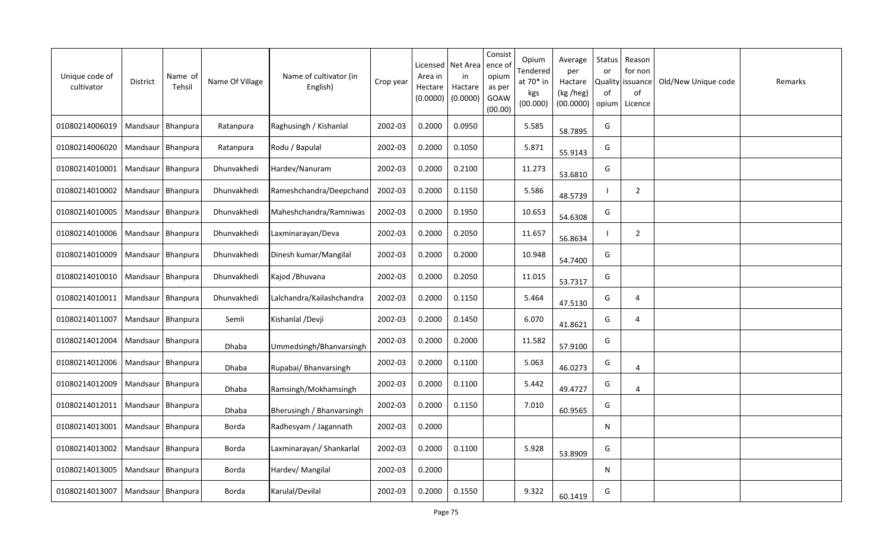| Unique code of<br>cultivator | <b>District</b>     | Name of<br>Tehsil | Name Of Village | Name of cultivator (in<br>English) | Crop year | Licensed<br>Area in<br>Hectare<br>(0.0000) | Net Area<br>in<br>Hactare<br>(0.0000) | Consist<br>ence of<br>opium<br>as per<br>GOAW<br>(00.00) | Opium<br>Tendered<br>at 70* in<br>kgs<br>(00.000) | Average<br>per<br>Hactare<br>(kg /heg)<br>(00.0000) | Status<br>or<br>Quality<br>of<br>opium | Reason<br>for non<br>issuance<br>of<br>Licence | Old/New Unique code | Remarks |
|------------------------------|---------------------|-------------------|-----------------|------------------------------------|-----------|--------------------------------------------|---------------------------------------|----------------------------------------------------------|---------------------------------------------------|-----------------------------------------------------|----------------------------------------|------------------------------------------------|---------------------|---------|
| 01080214006019               | Mandsaur            | Bhanpura          | Ratanpura       | Raghusingh / Kishanlal             | 2002-03   | 0.2000                                     | 0.0950                                |                                                          | 5.585                                             | 58.7895                                             | G                                      |                                                |                     |         |
| 01080214006020               | Mandsaur   Bhanpura |                   | Ratanpura       | Rodu / Bapulal                     | 2002-03   | 0.2000                                     | 0.1050                                |                                                          | 5.871                                             | 55.9143                                             | G                                      |                                                |                     |         |
| 01080214010001               | Mandsaur   Bhanpura |                   | Dhunvakhedi     | Hardev/Nanuram                     | 2002-03   | 0.2000                                     | 0.2100                                |                                                          | 11.273                                            | 53.6810                                             | G                                      |                                                |                     |         |
| 01080214010002               | Mandsaur   Bhanpura |                   | Dhunvakhedi     | Rameshchandra/Deepchand            | 2002-03   | 0.2000                                     | 0.1150                                |                                                          | 5.586                                             | 48.5739                                             |                                        | $\overline{2}$                                 |                     |         |
| 01080214010005               | Mandsaur   Bhanpura |                   | Dhunvakhedi     | Maheshchandra/Ramniwas             | 2002-03   | 0.2000                                     | 0.1950                                |                                                          | 10.653                                            | 54.6308                                             | G                                      |                                                |                     |         |
| 01080214010006               | Mandsaur            | Bhanpura          | Dhunvakhedi     | Laxminarayan/Deva                  | 2002-03   | 0.2000                                     | 0.2050                                |                                                          | 11.657                                            | 56.8634                                             |                                        | $\overline{2}$                                 |                     |         |
| 01080214010009               | Mandsaur            | Bhanpura          | Dhunvakhedi     | Dinesh kumar/Mangilal              | 2002-03   | 0.2000                                     | 0.2000                                |                                                          | 10.948                                            | 54.7400                                             | G                                      |                                                |                     |         |
| 01080214010010               | Mandsaur            | Bhanpura          | Dhunvakhedi     | Kajod / Bhuvana                    | 2002-03   | 0.2000                                     | 0.2050                                |                                                          | 11.015                                            | 53.7317                                             | G                                      |                                                |                     |         |
| 01080214010011               | Mandsaur            | Bhanpura          | Dhunvakhedi     | Lalchandra/Kailashchandra          | 2002-03   | 0.2000                                     | 0.1150                                |                                                          | 5.464                                             | 47.5130                                             | G                                      | 4                                              |                     |         |
| 01080214011007               | Mandsaur            | Bhanpura          | Semli           | Kishanlal /Devji                   | 2002-03   | 0.2000                                     | 0.1450                                |                                                          | 6.070                                             | 41.8621                                             | G                                      | $\overline{4}$                                 |                     |         |
| 01080214012004               | Mandsaur            | <b>Bhanpura</b>   | Dhaba           | Ummedsingh/Bhanvarsingh            | 2002-03   | 0.2000                                     | 0.2000                                |                                                          | 11.582                                            | 57.9100                                             | G                                      |                                                |                     |         |
| 01080214012006               | Mandsaur            | Bhanpura          | Dhaba           | Rupabai/ Bhanvarsingh              | 2002-03   | 0.2000                                     | 0.1100                                |                                                          | 5.063                                             | 46.0273                                             | G                                      | $\overline{4}$                                 |                     |         |
| 01080214012009               | Mandsaur            | Bhanpura          | Dhaba           | Ramsingh/Mokhamsingh               | 2002-03   | 0.2000                                     | 0.1100                                |                                                          | 5.442                                             | 49.4727                                             | G                                      | $\overline{4}$                                 |                     |         |
| 01080214012011               | Mandsaur Bhanpura   |                   | Dhaba           | Bherusingh / Bhanvarsingh          | 2002-03   | 0.2000                                     | 0.1150                                |                                                          | 7.010                                             | 60.9565                                             | G                                      |                                                |                     |         |
| 01080214013001               | Mandsaur            | Bhanpura          | Borda           | Radhesyam / Jagannath              | 2002-03   | 0.2000                                     |                                       |                                                          |                                                   |                                                     | N                                      |                                                |                     |         |
| 01080214013002               | Mandsaur   Bhanpura |                   | Borda           | Laxminarayan/ Shankarlal           | 2002-03   | 0.2000                                     | 0.1100                                |                                                          | 5.928                                             | 53.8909                                             | G                                      |                                                |                     |         |
| 01080214013005               | Mandsaur   Bhanpura |                   | Borda           | Hardev/ Mangilal                   | 2002-03   | 0.2000                                     |                                       |                                                          |                                                   |                                                     | N                                      |                                                |                     |         |
| 01080214013007               | Mandsaur   Bhanpura |                   | Borda           | Karulal/Devilal                    | 2002-03   | 0.2000                                     | 0.1550                                |                                                          | 9.322                                             | 60.1419                                             | G                                      |                                                |                     |         |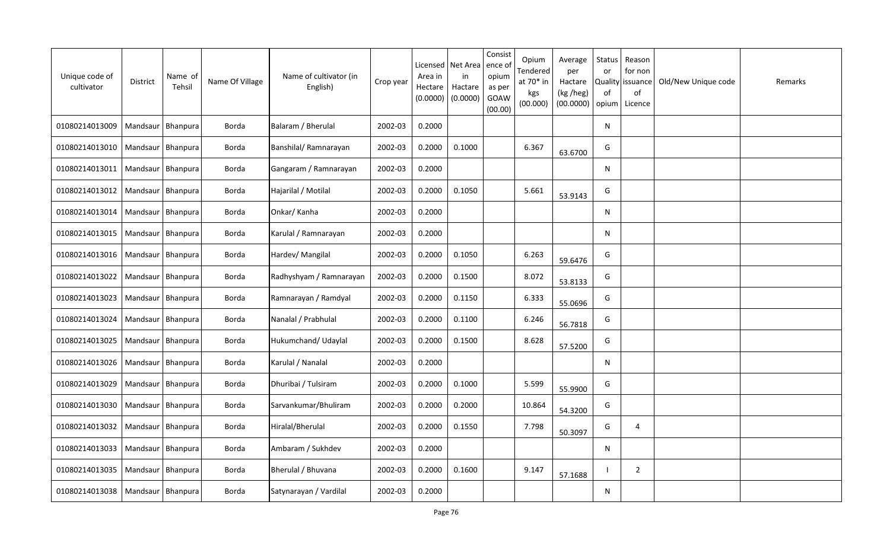| Unique code of<br>cultivator | District            | Name of<br>Tehsil   | Name Of Village | Name of cultivator (in<br>English) | Crop year | Licensed<br>Area in<br>Hectare<br>(0.0000) | Net Area<br>in<br>Hactare<br>(0.0000) | Consist<br>ence of<br>opium<br>as per<br>GOAW<br>(00.00) | Opium<br>Tendered<br>at 70* in<br>kgs<br>(00.000) | Average<br>per<br>Hactare<br>(kg /heg)<br>(00.0000) | Status<br>or<br><b>Quality</b><br>of<br>opium | Reason<br>for non<br>issuance<br>of<br>Licence | Old/New Unique code | Remarks |
|------------------------------|---------------------|---------------------|-----------------|------------------------------------|-----------|--------------------------------------------|---------------------------------------|----------------------------------------------------------|---------------------------------------------------|-----------------------------------------------------|-----------------------------------------------|------------------------------------------------|---------------------|---------|
| 01080214013009               |                     | Mandsaur   Bhanpura | Borda           | Balaram / Bherulal                 | 2002-03   | 0.2000                                     |                                       |                                                          |                                                   |                                                     | N                                             |                                                |                     |         |
| 01080214013010               | Mandsaur   Bhanpura |                     | Borda           | Banshilal/Ramnarayan               | 2002-03   | 0.2000                                     | 0.1000                                |                                                          | 6.367                                             | 63.6700                                             | G                                             |                                                |                     |         |
| 01080214013011               | Mandsaur   Bhanpura |                     | Borda           | Gangaram / Ramnarayan              | 2002-03   | 0.2000                                     |                                       |                                                          |                                                   |                                                     | N                                             |                                                |                     |         |
| 01080214013012               | Mandsaur Bhanpura   |                     | Borda           | Hajarilal / Motilal                | 2002-03   | 0.2000                                     | 0.1050                                |                                                          | 5.661                                             | 53.9143                                             | G                                             |                                                |                     |         |
| 01080214013014               | Mandsaur   Bhanpura |                     | Borda           | Onkar/ Kanha                       | 2002-03   | 0.2000                                     |                                       |                                                          |                                                   |                                                     | N                                             |                                                |                     |         |
| 01080214013015               | Mandsaur            | Bhanpura            | Borda           | Karulal / Ramnarayan               | 2002-03   | 0.2000                                     |                                       |                                                          |                                                   |                                                     | N                                             |                                                |                     |         |
| 01080214013016               | Mandsaur            | Bhanpura            | Borda           | Hardev/ Mangilal                   | 2002-03   | 0.2000                                     | 0.1050                                |                                                          | 6.263                                             | 59.6476                                             | G                                             |                                                |                     |         |
| 01080214013022               | Mandsaur            | Bhanpura            | Borda           | Radhyshyam / Ramnarayan            | 2002-03   | 0.2000                                     | 0.1500                                |                                                          | 8.072                                             | 53.8133                                             | G                                             |                                                |                     |         |
| 01080214013023               | Mandsaur            | Bhanpura            | Borda           | Ramnarayan / Ramdyal               | 2002-03   | 0.2000                                     | 0.1150                                |                                                          | 6.333                                             | 55.0696                                             | G                                             |                                                |                     |         |
| 01080214013024               | Mandsaur            | Bhanpura            | Borda           | Nanalal / Prabhulal                | 2002-03   | 0.2000                                     | 0.1100                                |                                                          | 6.246                                             | 56.7818                                             | G                                             |                                                |                     |         |
| 01080214013025               | Mandsaur            | Bhanpura            | Borda           | Hukumchand/ Udaylal                | 2002-03   | 0.2000                                     | 0.1500                                |                                                          | 8.628                                             | 57.5200                                             | G                                             |                                                |                     |         |
| 01080214013026               | Mandsaur            | Bhanpura            | Borda           | Karulal / Nanalal                  | 2002-03   | 0.2000                                     |                                       |                                                          |                                                   |                                                     | ${\sf N}$                                     |                                                |                     |         |
| 01080214013029               | Mandsaur            | Bhanpura            | Borda           | Dhuribai / Tulsiram                | 2002-03   | 0.2000                                     | 0.1000                                |                                                          | 5.599                                             | 55.9900                                             | G                                             |                                                |                     |         |
| 01080214013030               | Mandsaur   Bhanpura |                     | Borda           | Sarvankumar/Bhuliram               | 2002-03   | 0.2000                                     | 0.2000                                |                                                          | 10.864                                            | 54.3200                                             | G                                             |                                                |                     |         |
| 01080214013032               | Mandsaur   Bhanpura |                     | Borda           | Hiralal/Bherulal                   | 2002-03   | 0.2000                                     | 0.1550                                |                                                          | 7.798                                             | 50.3097                                             | G                                             | 4                                              |                     |         |
| 01080214013033               |                     | Mandsaur   Bhanpura | Borda           | Ambaram / Sukhdev                  | 2002-03   | 0.2000                                     |                                       |                                                          |                                                   |                                                     | N                                             |                                                |                     |         |
| 01080214013035               | Mandsaur   Bhanpura |                     | Borda           | Bherulal / Bhuvana                 | 2002-03   | 0.2000                                     | 0.1600                                |                                                          | 9.147                                             | 57.1688                                             |                                               | $\overline{2}$                                 |                     |         |
| 01080214013038               | Mandsaur   Bhanpura |                     | Borda           | Satynarayan / Vardilal             | 2002-03   | 0.2000                                     |                                       |                                                          |                                                   |                                                     | N                                             |                                                |                     |         |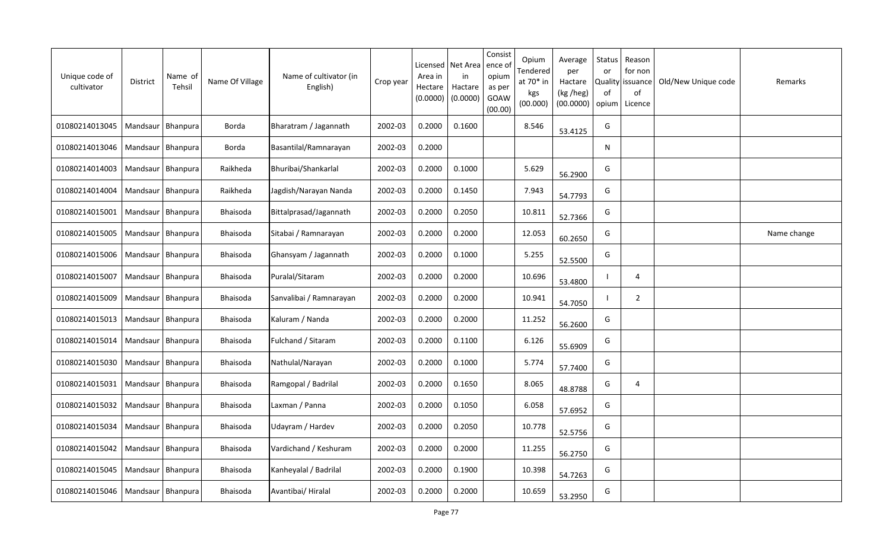| Unique code of<br>cultivator | District            | Name of<br>Tehsil   | Name Of Village | Name of cultivator (in<br>English) | Crop year | Licensed<br>Area in<br>Hectare<br>(0.0000) | Net Area<br>in<br>Hactare<br>(0.0000) | Consist<br>ence of<br>opium<br>as per<br>GOAW<br>(00.00) | Opium<br>Tendered<br>at 70* in<br>kgs<br>(00.000) | Average<br>per<br>Hactare<br>(kg /heg)<br>(00.0000) | Status<br>or<br><b>Quality</b><br>0f<br>opium | Reason<br>for non<br>issuance<br>of<br>Licence | Old/New Unique code | Remarks     |
|------------------------------|---------------------|---------------------|-----------------|------------------------------------|-----------|--------------------------------------------|---------------------------------------|----------------------------------------------------------|---------------------------------------------------|-----------------------------------------------------|-----------------------------------------------|------------------------------------------------|---------------------|-------------|
| 01080214013045               |                     | Mandsaur   Bhanpura | Borda           | Bharatram / Jagannath              | 2002-03   | 0.2000                                     | 0.1600                                |                                                          | 8.546                                             | 53.4125                                             | G                                             |                                                |                     |             |
| 01080214013046               | Mandsaur   Bhanpura |                     | Borda           | Basantilal/Ramnarayan              | 2002-03   | 0.2000                                     |                                       |                                                          |                                                   |                                                     | $\mathsf{N}$                                  |                                                |                     |             |
| 01080214014003               | Mandsaur   Bhanpura |                     | Raikheda        | Bhuribai/Shankarlal                | 2002-03   | 0.2000                                     | 0.1000                                |                                                          | 5.629                                             | 56.2900                                             | G                                             |                                                |                     |             |
| 01080214014004               | Mandsaur Bhanpura   |                     | Raikheda        | Jagdish/Narayan Nanda              | 2002-03   | 0.2000                                     | 0.1450                                |                                                          | 7.943                                             | 54.7793                                             | G                                             |                                                |                     |             |
| 01080214015001               | Mandsaur   Bhanpura |                     | Bhaisoda        | Bittalprasad/Jagannath             | 2002-03   | 0.2000                                     | 0.2050                                |                                                          | 10.811                                            | 52.7366                                             | G                                             |                                                |                     |             |
| 01080214015005               | Mandsaur Bhanpura   |                     | Bhaisoda        | Sitabai / Ramnarayan               | 2002-03   | 0.2000                                     | 0.2000                                |                                                          | 12.053                                            | 60.2650                                             | G                                             |                                                |                     | Name change |
| 01080214015006               | Mandsaur            | <b>Bhanpura</b>     | Bhaisoda        | Ghansyam / Jagannath               | 2002-03   | 0.2000                                     | 0.1000                                |                                                          | 5.255                                             | 52.5500                                             | G                                             |                                                |                     |             |
| 01080214015007               | Mandsaur            | Bhanpura            | Bhaisoda        | Puralal/Sitaram                    | 2002-03   | 0.2000                                     | 0.2000                                |                                                          | 10.696                                            | 53.4800                                             |                                               | 4                                              |                     |             |
| 01080214015009               | Mandsaur            | Bhanpura            | Bhaisoda        | Sanvalibai / Ramnarayan            | 2002-03   | 0.2000                                     | 0.2000                                |                                                          | 10.941                                            | 54.7050                                             |                                               | $\overline{2}$                                 |                     |             |
| 01080214015013               | Mandsaur            | <b>Bhanpura</b>     | Bhaisoda        | Kaluram / Nanda                    | 2002-03   | 0.2000                                     | 0.2000                                |                                                          | 11.252                                            | 56.2600                                             | G                                             |                                                |                     |             |
| 01080214015014               | Mandsaur            | Bhanpura            | Bhaisoda        | Fulchand / Sitaram                 | 2002-03   | 0.2000                                     | 0.1100                                |                                                          | 6.126                                             | 55.6909                                             | G                                             |                                                |                     |             |
| 01080214015030               | Mandsaur            | Bhanpura            | Bhaisoda        | Nathulal/Narayan                   | 2002-03   | 0.2000                                     | 0.1000                                |                                                          | 5.774                                             | 57.7400                                             | G                                             |                                                |                     |             |
| 01080214015031               | Mandsaur            | Bhanpura            | Bhaisoda        | Ramgopal / Badrilal                | 2002-03   | 0.2000                                     | 0.1650                                |                                                          | 8.065                                             | 48.8788                                             | G                                             | 4                                              |                     |             |
| 01080214015032               | Mandsaur   Bhanpura |                     | Bhaisoda        | Laxman / Panna                     | 2002-03   | 0.2000                                     | 0.1050                                |                                                          | 6.058                                             | 57.6952                                             | G                                             |                                                |                     |             |
| 01080214015034               | Mandsaur            | Bhanpura            | Bhaisoda        | Udayram / Hardev                   | 2002-03   | 0.2000                                     | 0.2050                                |                                                          | 10.778                                            | 52.5756                                             | G                                             |                                                |                     |             |
| 01080214015042               | Mandsaur            | Bhanpura            | Bhaisoda        | Vardichand / Keshuram              | 2002-03   | 0.2000                                     | 0.2000                                |                                                          | 11.255                                            | 56.2750                                             | G                                             |                                                |                     |             |
| 01080214015045               | Mandsaur   Bhanpura |                     | Bhaisoda        | Kanheyalal / Badrilal              | 2002-03   | 0.2000                                     | 0.1900                                |                                                          | 10.398                                            | 54.7263                                             | G                                             |                                                |                     |             |
| 01080214015046               | Mandsaur   Bhanpura |                     | Bhaisoda        | Avantibai/ Hiralal                 | 2002-03   | 0.2000                                     | 0.2000                                |                                                          | 10.659                                            | 53.2950                                             | G                                             |                                                |                     |             |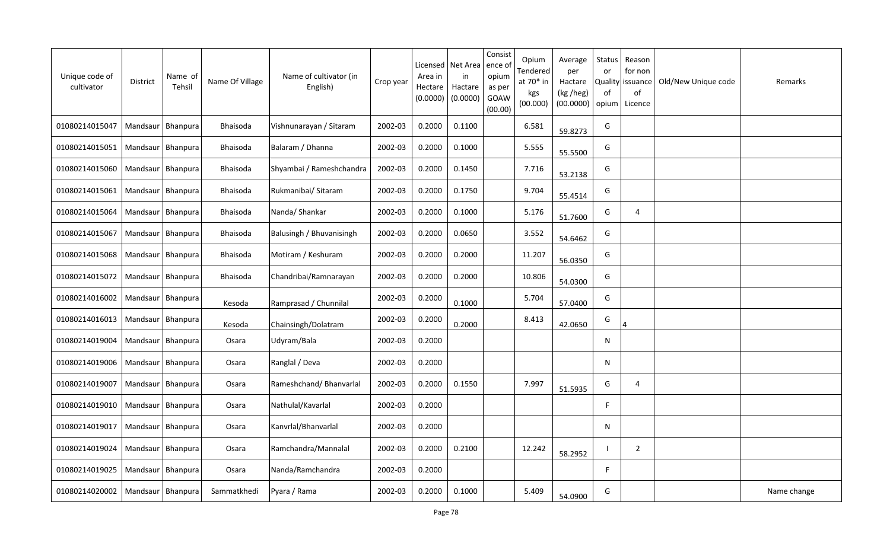| Unique code of<br>cultivator | District            | Name of<br>Tehsil | Name Of Village | Name of cultivator (in<br>English) | Crop year | Licensed<br>Area in<br>Hectare<br>(0.0000) | Net Area<br>in<br>Hactare<br>(0.0000) | Consist<br>ence of<br>opium<br>as per<br>GOAW<br>(00.00) | Opium<br>Tendered<br>at 70* in<br>kgs<br>(00.000) | Average<br>per<br>Hactare<br>(kg /heg)<br>(00.0000) | Status<br>or<br><b>Quality</b><br>0f<br>opium | Reason<br>for non<br>issuance<br>of<br>Licence | Old/New Unique code | Remarks     |
|------------------------------|---------------------|-------------------|-----------------|------------------------------------|-----------|--------------------------------------------|---------------------------------------|----------------------------------------------------------|---------------------------------------------------|-----------------------------------------------------|-----------------------------------------------|------------------------------------------------|---------------------|-------------|
| 01080214015047               | Mandsaur   Bhanpura |                   | Bhaisoda        | Vishnunarayan / Sitaram            | 2002-03   | 0.2000                                     | 0.1100                                |                                                          | 6.581                                             | 59.8273                                             | G                                             |                                                |                     |             |
| 01080214015051               | Mandsaur   Bhanpura |                   | Bhaisoda        | Balaram / Dhanna                   | 2002-03   | 0.2000                                     | 0.1000                                |                                                          | 5.555                                             | 55.5500                                             | G                                             |                                                |                     |             |
| 01080214015060               | Mandsaur   Bhanpura |                   | Bhaisoda        | Shyambai / Rameshchandra           | 2002-03   | 0.2000                                     | 0.1450                                |                                                          | 7.716                                             | 53.2138                                             | G                                             |                                                |                     |             |
| 01080214015061               | Mandsaur Bhanpura   |                   | Bhaisoda        | Rukmanibai/ Sitaram                | 2002-03   | 0.2000                                     | 0.1750                                |                                                          | 9.704                                             | 55.4514                                             | G                                             |                                                |                     |             |
| 01080214015064               | Mandsaur   Bhanpura |                   | Bhaisoda        | Nanda/Shankar                      | 2002-03   | 0.2000                                     | 0.1000                                |                                                          | 5.176                                             | 51.7600                                             | G                                             | 4                                              |                     |             |
| 01080214015067               | Mandsaur Bhanpura   |                   | Bhaisoda        | Balusingh / Bhuvanisingh           | 2002-03   | 0.2000                                     | 0.0650                                |                                                          | 3.552                                             | 54.6462                                             | G                                             |                                                |                     |             |
| 01080214015068               | Mandsaur            | <b>Bhanpura</b>   | Bhaisoda        | Motiram / Keshuram                 | 2002-03   | 0.2000                                     | 0.2000                                |                                                          | 11.207                                            | 56.0350                                             | G                                             |                                                |                     |             |
| 01080214015072               | Mandsaur            | Bhanpura          | Bhaisoda        | Chandribai/Ramnarayan              | 2002-03   | 0.2000                                     | 0.2000                                |                                                          | 10.806                                            | 54.0300                                             | G                                             |                                                |                     |             |
| 01080214016002               | Mandsaur            | Bhanpura          | Kesoda          | Ramprasad / Chunnilal              | 2002-03   | 0.2000                                     | 0.1000                                |                                                          | 5.704                                             | 57.0400                                             | G                                             |                                                |                     |             |
| 01080214016013               | Mandsaur            | Bhanpura          | Kesoda          | Chainsingh/Dolatram                | 2002-03   | 0.2000                                     | 0.2000                                |                                                          | 8.413                                             | 42.0650                                             | G                                             |                                                |                     |             |
| 01080214019004               | Mandsaur            | Bhanpura          | Osara           | Udyram/Bala                        | 2002-03   | 0.2000                                     |                                       |                                                          |                                                   |                                                     | N                                             |                                                |                     |             |
| 01080214019006               | Mandsaur            | Bhanpura          | Osara           | Ranglal / Deva                     | 2002-03   | 0.2000                                     |                                       |                                                          |                                                   |                                                     | N                                             |                                                |                     |             |
| 01080214019007               | Mandsaur            | Bhanpura          | Osara           | Rameshchand/ Bhanvarlal            | 2002-03   | 0.2000                                     | 0.1550                                |                                                          | 7.997                                             | 51.5935                                             | G                                             | 4                                              |                     |             |
| 01080214019010               | Mandsaur   Bhanpura |                   | Osara           | Nathulal/Kavarlal                  | 2002-03   | 0.2000                                     |                                       |                                                          |                                                   |                                                     | F                                             |                                                |                     |             |
| 01080214019017               | Mandsaur            | Bhanpura          | Osara           | Kanvrlal/Bhanvarlal                | 2002-03   | 0.2000                                     |                                       |                                                          |                                                   |                                                     | N                                             |                                                |                     |             |
| 01080214019024               | Mandsaur            | Bhanpura          | Osara           | Ramchandra/Mannalal                | 2002-03   | 0.2000                                     | 0.2100                                |                                                          | 12.242                                            | 58.2952                                             | - 1                                           | $\overline{2}$                                 |                     |             |
| 01080214019025               | Mandsaur   Bhanpura |                   | Osara           | Nanda/Ramchandra                   | 2002-03   | 0.2000                                     |                                       |                                                          |                                                   |                                                     | F                                             |                                                |                     |             |
| 01080214020002               | Mandsaur   Bhanpura |                   | Sammatkhedi     | Pyara / Rama                       | 2002-03   | 0.2000                                     | 0.1000                                |                                                          | 5.409                                             | 54.0900                                             | G                                             |                                                |                     | Name change |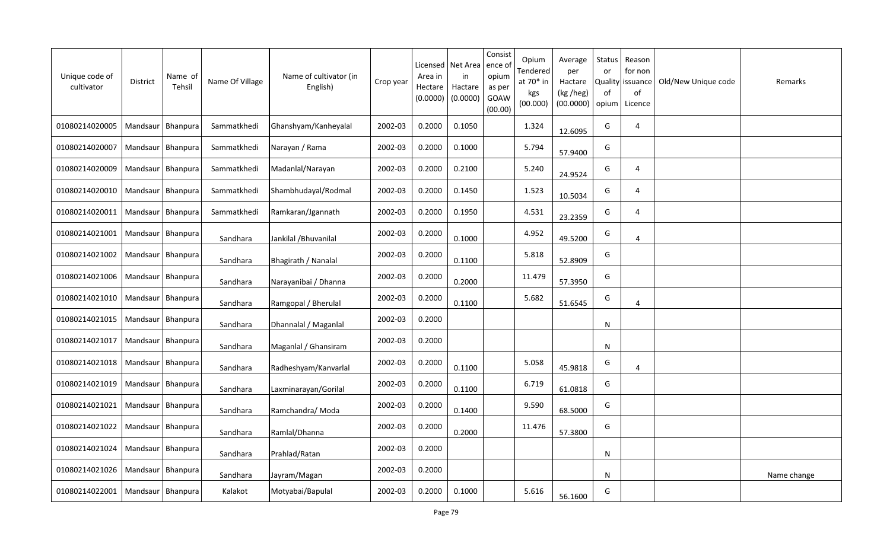| Unique code of<br>cultivator         | <b>District</b>     | Name of<br>Tehsil | Name Of Village | Name of cultivator (in<br>English) | Crop year | Area in<br>Hectare<br>(0.0000) | Licensed   Net Area<br>in<br>Hactare<br>(0.0000) | Consist<br>ence o<br>opium<br>as per<br>GOAW<br>(00.00) | Opium<br>Tendered<br>at $70*$ in<br>kgs<br>(00.000) | Average<br>per<br>Hactare<br>(kg /heg)<br>(00.0000) | <b>Status</b><br>or<br>0f<br>opium | Reason<br>for non<br>Quality issuance<br>of<br>Licence | Old/New Unique code | Remarks     |
|--------------------------------------|---------------------|-------------------|-----------------|------------------------------------|-----------|--------------------------------|--------------------------------------------------|---------------------------------------------------------|-----------------------------------------------------|-----------------------------------------------------|------------------------------------|--------------------------------------------------------|---------------------|-------------|
| 01080214020005                       | Mandsaur   Bhanpura |                   | Sammatkhedi     | Ghanshyam/Kanheyalal               | 2002-03   | 0.2000                         | 0.1050                                           |                                                         | 1.324                                               | 12.6095                                             | G                                  | 4                                                      |                     |             |
| 01080214020007                       | Mandsaur   Bhanpura |                   | Sammatkhedi     | Narayan / Rama                     | 2002-03   | 0.2000                         | 0.1000                                           |                                                         | 5.794                                               | 57.9400                                             | G                                  |                                                        |                     |             |
| 01080214020009                       | Mandsaur   Bhanpura |                   | Sammatkhedi     | Madanlal/Narayan                   | 2002-03   | 0.2000                         | 0.2100                                           |                                                         | 5.240                                               | 24.9524                                             | G                                  | 4                                                      |                     |             |
| 01080214020010                       | Mandsaur   Bhanpura |                   | Sammatkhedi     | Shambhudayal/Rodmal                | 2002-03   | 0.2000                         | 0.1450                                           |                                                         | 1.523                                               | 10.5034                                             | G                                  | 4                                                      |                     |             |
| 01080214020011                       | Mandsaur   Bhanpura |                   | Sammatkhedi     | Ramkaran/Jgannath                  | 2002-03   | 0.2000                         | 0.1950                                           |                                                         | 4.531                                               | 23.2359                                             | G                                  | 4                                                      |                     |             |
| 01080214021001                       | Mandsaur Bhanpura   |                   | Sandhara        | Jankilal / Bhuvanilal              | 2002-03   | 0.2000                         | 0.1000                                           |                                                         | 4.952                                               | 49.5200                                             | G                                  | 4                                                      |                     |             |
| 01080214021002                       | Mandsaur   Bhanpura |                   | Sandhara        | Bhagirath / Nanalal                | 2002-03   | 0.2000                         | 0.1100                                           |                                                         | 5.818                                               | 52.8909                                             | G                                  |                                                        |                     |             |
| 01080214021006   Mandsaur   Bhanpura |                     |                   | Sandhara        | Narayanibai / Dhanna               | 2002-03   | 0.2000                         | 0.2000                                           |                                                         | 11.479                                              | 57.3950                                             | G                                  |                                                        |                     |             |
| 01080214021010                       | Mandsaur            | Bhanpura          | Sandhara        | Ramgopal / Bherulal                | 2002-03   | 0.2000                         | 0.1100                                           |                                                         | 5.682                                               | 51.6545                                             | G                                  | 4                                                      |                     |             |
| 01080214021015                       | Mandsaur   Bhanpura |                   | Sandhara        | Dhannalal / Maganlal               | 2002-03   | 0.2000                         |                                                  |                                                         |                                                     |                                                     | $\mathsf{N}$                       |                                                        |                     |             |
| 01080214021017                       | Mandsaur            | Bhanpura          | Sandhara        | Maganlal / Ghansiram               | 2002-03   | 0.2000                         |                                                  |                                                         |                                                     |                                                     | $\mathsf{N}$                       |                                                        |                     |             |
| 01080214021018                       | Mandsaur   Bhanpura |                   | Sandhara        | Radheshyam/Kanvarlal               | 2002-03   | 0.2000                         | 0.1100                                           |                                                         | 5.058                                               | 45.9818                                             | G                                  | $\overline{4}$                                         |                     |             |
| 01080214021019                       | Mandsaur   Bhanpura |                   | Sandhara        | Laxminarayan/Gorilal               | 2002-03   | 0.2000                         | 0.1100                                           |                                                         | 6.719                                               | 61.0818                                             | G                                  |                                                        |                     |             |
| 01080214021021                       | Mandsaur   Bhanpura |                   | Sandhara        | Ramchandra/ Moda                   | 2002-03   | 0.2000                         | 0.1400                                           |                                                         | 9.590                                               | 68.5000                                             | G                                  |                                                        |                     |             |
| 01080214021022                       | Mandsaur   Bhanpura |                   | Sandhara        | Ramlal/Dhanna                      | 2002-03   | 0.2000                         | 0.2000                                           |                                                         | 11.476                                              | 57.3800                                             | G                                  |                                                        |                     |             |
| 01080214021024                       | Mandsaur   Bhanpura |                   | Sandhara        | Prahlad/Ratan                      | 2002-03   | 0.2000                         |                                                  |                                                         |                                                     |                                                     | N                                  |                                                        |                     |             |
| 01080214021026                       | Mandsaur   Bhanpura |                   | Sandhara        | Jayram/Magan                       | 2002-03   | 0.2000                         |                                                  |                                                         |                                                     |                                                     | N                                  |                                                        |                     | Name change |
| 01080214022001                       | Mandsaur   Bhanpura |                   | Kalakot         | Motyabai/Bapulal                   | 2002-03   | 0.2000                         | 0.1000                                           |                                                         | 5.616                                               | 56.1600                                             | G                                  |                                                        |                     |             |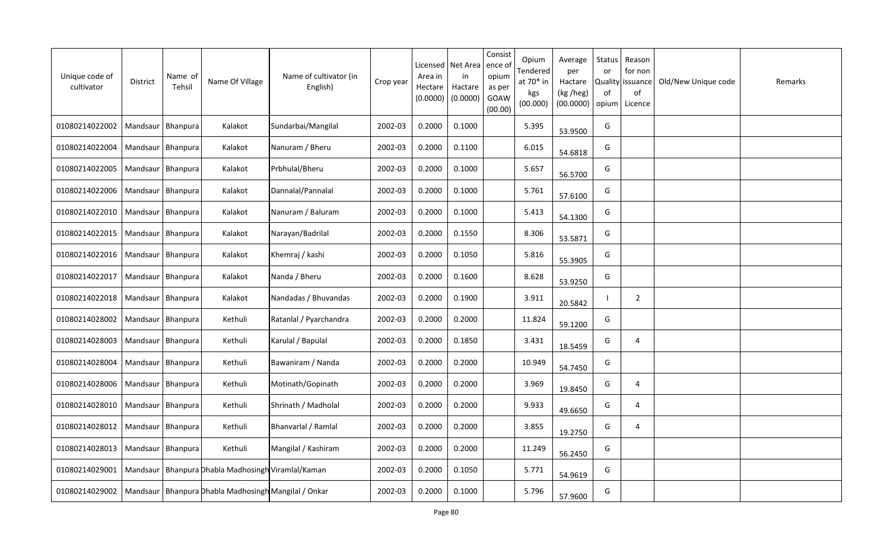| Unique code of<br>cultivator | <b>District</b>     | Name of<br>Tehsil   | Name Of Village                                        | Name of cultivator (in<br>English) | Crop year | Licensed<br>Area in<br>Hectare<br>(0.0000) | Net Area<br>in<br>Hactare<br>(0.0000) | Consist<br>ence of<br>opium<br>as per<br>GOAW<br>(00.00) | Opium<br>Tendered<br>at 70* in<br>kgs<br>(00.000) | Average<br>per<br>Hactare<br>(kg /heg)<br>(00.0000) | Status<br>or<br>Quality<br>of<br>opium | Reason<br>for non<br>issuance<br>of<br>Licence | Old/New Unique code | Remarks |
|------------------------------|---------------------|---------------------|--------------------------------------------------------|------------------------------------|-----------|--------------------------------------------|---------------------------------------|----------------------------------------------------------|---------------------------------------------------|-----------------------------------------------------|----------------------------------------|------------------------------------------------|---------------------|---------|
| 01080214022002               |                     | Mandsaur   Bhanpura | Kalakot                                                | Sundarbai/Mangilal                 | 2002-03   | 0.2000                                     | 0.1000                                |                                                          | 5.395                                             | 53.9500                                             | G                                      |                                                |                     |         |
| 01080214022004               |                     | Mandsaur   Bhanpura | Kalakot                                                | Nanuram / Bheru                    | 2002-03   | 0.2000                                     | 0.1100                                |                                                          | 6.015                                             | 54.6818                                             | G                                      |                                                |                     |         |
| 01080214022005               | Mandsaur   Bhanpura |                     | Kalakot                                                | Prbhulal/Bheru                     | 2002-03   | 0.2000                                     | 0.1000                                |                                                          | 5.657                                             | 56.5700                                             | G                                      |                                                |                     |         |
| 01080214022006               |                     | Mandsaur Bhanpura   | Kalakot                                                | Dannalal/Pannalal                  | 2002-03   | 0.2000                                     | 0.1000                                |                                                          | 5.761                                             | 57.6100                                             | G                                      |                                                |                     |         |
| 01080214022010               | Mandsaur   Bhanpura |                     | Kalakot                                                | Nanuram / Baluram                  | 2002-03   | 0.2000                                     | 0.1000                                |                                                          | 5.413                                             | 54.1300                                             | G                                      |                                                |                     |         |
| 01080214022015               | Mandsaur            | Bhanpura            | Kalakot                                                | Narayan/Badrilal                   | 2002-03   | 0.2000                                     | 0.1550                                |                                                          | 8.306                                             | 53.5871                                             | G                                      |                                                |                     |         |
| 01080214022016               | Mandsaur            | Bhanpura            | Kalakot                                                | Khemraj / kashi                    | 2002-03   | 0.2000                                     | 0.1050                                |                                                          | 5.816                                             | 55.3905                                             | G                                      |                                                |                     |         |
| 01080214022017               | Mandsaur            | Bhanpura            | Kalakot                                                | Nanda / Bheru                      | 2002-03   | 0.2000                                     | 0.1600                                |                                                          | 8.628                                             | 53.9250                                             | G                                      |                                                |                     |         |
| 01080214022018               | Mandsaur            | Bhanpura            | Kalakot                                                | Nandadas / Bhuvandas               | 2002-03   | 0.2000                                     | 0.1900                                |                                                          | 3.911                                             | 20.5842                                             |                                        | $\overline{2}$                                 |                     |         |
| 01080214028002               | Mandsaur            | Bhanpura            | Kethuli                                                | Ratanlal / Pyarchandra             | 2002-03   | 0.2000                                     | 0.2000                                |                                                          | 11.824                                            | 59.1200                                             | G                                      |                                                |                     |         |
| 01080214028003               | Mandsaur            | Bhanpura            | Kethuli                                                | Karulal / Bapulal                  | 2002-03   | 0.2000                                     | 0.1850                                |                                                          | 3.431                                             | 18.5459                                             | G                                      | 4                                              |                     |         |
| 01080214028004               | Mandsaur            | Bhanpura            | Kethuli                                                | Bawaniram / Nanda                  | 2002-03   | 0.2000                                     | 0.2000                                |                                                          | 10.949                                            | 54.7450                                             | G                                      |                                                |                     |         |
| 01080214028006               | Mandsaur            | Bhanpura            | Kethuli                                                | Motinath/Gopinath                  | 2002-03   | 0.2000                                     | 0.2000                                |                                                          | 3.969                                             | 19.8450                                             | G                                      | $\overline{4}$                                 |                     |         |
| 01080214028010               | Mandsaur   Bhanpura |                     | Kethuli                                                | Shrinath / Madholal                | 2002-03   | 0.2000                                     | 0.2000                                |                                                          | 9.933                                             | 49.6650                                             | G                                      | 4                                              |                     |         |
| 01080214028012               |                     | Mandsaur   Bhanpura | Kethuli                                                | Bhanvarlal / Ramlal                | 2002-03   | 0.2000                                     | 0.2000                                |                                                          | 3.855                                             | 19.2750                                             | G                                      | 4                                              |                     |         |
| 01080214028013               |                     | Mandsaur   Bhanpura | Kethuli                                                | Mangilal / Kashiram                | 2002-03   | 0.2000                                     | 0.2000                                |                                                          | 11.249                                            | 56.2450                                             | G                                      |                                                |                     |         |
| 01080214029001               |                     |                     | Mandsaur   Bhanpura Dhabla Madhosingh Viramlal/Kaman   |                                    | 2002-03   | 0.2000                                     | 0.1050                                |                                                          | 5.771                                             | 54.9619                                             | G                                      |                                                |                     |         |
| 01080214029002               |                     |                     | Mandsaur   Bhanpura Dhabla Madhosingh Mangilal / Onkar |                                    | 2002-03   | 0.2000                                     | 0.1000                                |                                                          | 5.796                                             | 57.9600                                             | G                                      |                                                |                     |         |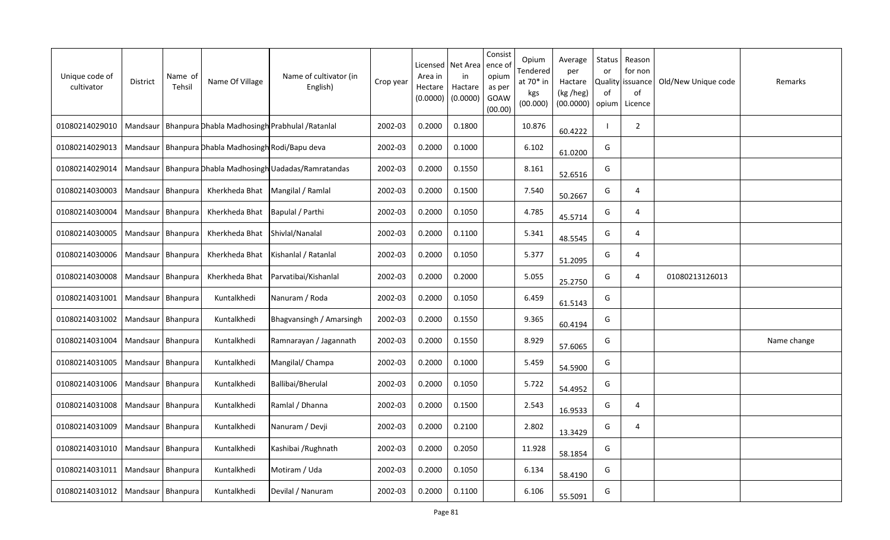| Unique code of<br>cultivator | District            | Name of<br>Tehsil   | Name Of Village                                      | Name of cultivator (in<br>English)                         | Crop year | Licensed<br>Area in<br>Hectare<br>(0.0000) | Net Area<br>in<br>Hactare<br>(0.0000) | Consist<br>ence of<br>opium<br>as per<br>GOAW<br>(00.00) | Opium<br>Tendered<br>at 70* in<br>kgs<br>(00.000) | Average<br>per<br>Hactare<br>(kg /heg)<br>(00.0000) | Status<br>or<br>0f<br>opium | Reason<br>for non<br>Quality   issuance<br>of<br>Licence | Old/New Unique code | Remarks     |
|------------------------------|---------------------|---------------------|------------------------------------------------------|------------------------------------------------------------|-----------|--------------------------------------------|---------------------------------------|----------------------------------------------------------|---------------------------------------------------|-----------------------------------------------------|-----------------------------|----------------------------------------------------------|---------------------|-------------|
| 01080214029010               |                     |                     |                                                      | Mandsaur   Bhanpura Dhabla Madhosingh Prabhulal / Ratanlal | 2002-03   | 0.2000                                     | 0.1800                                |                                                          | 10.876                                            | 60.4222                                             |                             | $\overline{2}$                                           |                     |             |
| 01080214029013               |                     |                     | Mandsaur   Bhanpura Dhabla Madhosingh Rodi/Bapu deva |                                                            | 2002-03   | 0.2000                                     | 0.1000                                |                                                          | 6.102                                             | 61.0200                                             | G                           |                                                          |                     |             |
| 01080214029014               |                     |                     |                                                      | Mandsaur   Bhanpura Dhabla Madhosingh Uadadas/Ramratandas  | 2002-03   | 0.2000                                     | 0.1550                                |                                                          | 8.161                                             | 52.6516                                             | G                           |                                                          |                     |             |
| 01080214030003               | Mandsaur Bhanpura   |                     | Kherkheda Bhat                                       | Mangilal / Ramlal                                          | 2002-03   | 0.2000                                     | 0.1500                                |                                                          | 7.540                                             | 50.2667                                             | G                           | $\overline{4}$                                           |                     |             |
| 01080214030004               |                     | Mandsaur   Bhanpura | Kherkheda Bhat                                       | Bapulal / Parthi                                           | 2002-03   | 0.2000                                     | 0.1050                                |                                                          | 4.785                                             | 45.5714                                             | G                           | 4                                                        |                     |             |
| 01080214030005               | Mandsaur Bhanpura   |                     | Kherkheda Bhat                                       | Shivlal/Nanalal                                            | 2002-03   | 0.2000                                     | 0.1100                                |                                                          | 5.341                                             | 48.5545                                             | G                           | 4                                                        |                     |             |
| 01080214030006               | Mandsaur            | Bhanpura            | Kherkheda Bhat                                       | Kishanlal / Ratanlal                                       | 2002-03   | 0.2000                                     | 0.1050                                |                                                          | 5.377                                             | 51.2095                                             | G                           | $\overline{4}$                                           |                     |             |
| 01080214030008               |                     | Mandsaur   Bhanpura | Kherkheda Bhat                                       | Parvatibai/Kishanlal                                       | 2002-03   | 0.2000                                     | 0.2000                                |                                                          | 5.055                                             | 25.2750                                             | G                           | $\overline{4}$                                           | 01080213126013      |             |
| 01080214031001               |                     | Mandsaur   Bhanpura | Kuntalkhedi                                          | Nanuram / Roda                                             | 2002-03   | 0.2000                                     | 0.1050                                |                                                          | 6.459                                             | 61.5143                                             | G                           |                                                          |                     |             |
| 01080214031002               | Mandsaur   Bhanpura |                     | Kuntalkhedi                                          | Bhagvansingh / Amarsingh                                   | 2002-03   | 0.2000                                     | 0.1550                                |                                                          | 9.365                                             | 60.4194                                             | G                           |                                                          |                     |             |
| 01080214031004               | Mandsaur            | Bhanpura            | Kuntalkhedi                                          | Ramnarayan / Jagannath                                     | 2002-03   | 0.2000                                     | 0.1550                                |                                                          | 8.929                                             | 57.6065                                             | G                           |                                                          |                     | Name change |
| 01080214031005               |                     | Mandsaur   Bhanpura | Kuntalkhedi                                          | Mangilal/ Champa                                           | 2002-03   | 0.2000                                     | 0.1000                                |                                                          | 5.459                                             | 54.5900                                             | G                           |                                                          |                     |             |
| 01080214031006               |                     | Mandsaur   Bhanpura | Kuntalkhedi                                          | Ballibai/Bherulal                                          | 2002-03   | 0.2000                                     | 0.1050                                |                                                          | 5.722                                             | 54.4952                                             | G                           |                                                          |                     |             |
| 01080214031008               | Mandsaur   Bhanpura |                     | Kuntalkhedi                                          | Ramlal / Dhanna                                            | 2002-03   | 0.2000                                     | 0.1500                                |                                                          | 2.543                                             | 16.9533                                             | G                           | $\overline{4}$                                           |                     |             |
| 01080214031009               |                     | Mandsaur   Bhanpura | Kuntalkhedi                                          | Nanuram / Devji                                            | 2002-03   | 0.2000                                     | 0.2100                                |                                                          | 2.802                                             | 13.3429                                             | G                           | 4                                                        |                     |             |
| 01080214031010               | Mandsaur   Bhanpura |                     | Kuntalkhedi                                          | Kashibai / Rughnath                                        | 2002-03   | 0.2000                                     | 0.2050                                |                                                          | 11.928                                            | 58.1854                                             | G                           |                                                          |                     |             |
| 01080214031011               | Mandsaur   Bhanpura |                     | Kuntalkhedi                                          | Motiram / Uda                                              | 2002-03   | 0.2000                                     | 0.1050                                |                                                          | 6.134                                             | 58.4190                                             | G                           |                                                          |                     |             |
| 01080214031012               | Mandsaur   Bhanpura |                     | Kuntalkhedi                                          | Devilal / Nanuram                                          | 2002-03   | 0.2000                                     | 0.1100                                |                                                          | 6.106                                             | 55.5091                                             | G                           |                                                          |                     |             |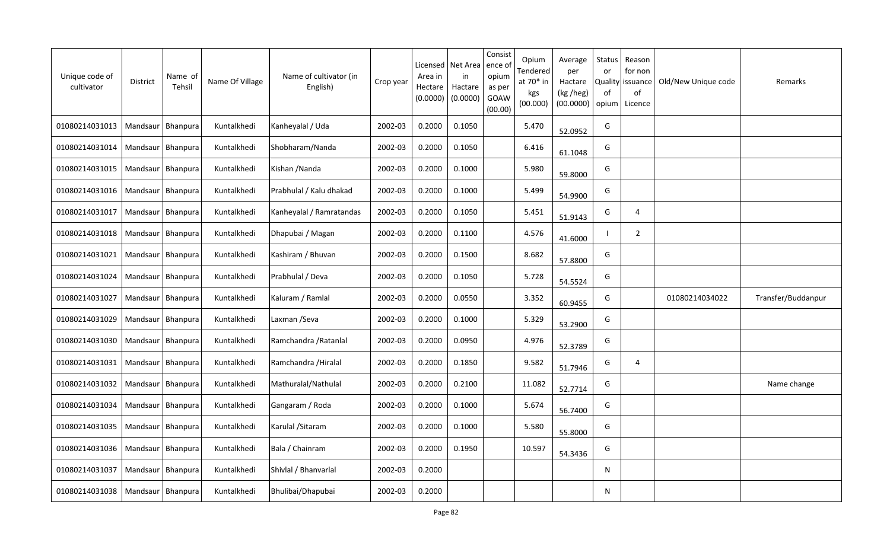| Unique code of<br>cultivator | <b>District</b>     | Name of<br>Tehsil   | Name Of Village | Name of cultivator (in<br>English) | Crop year | Licensed<br>Area in<br>Hectare<br>(0.0000) | Net Area<br>in<br>Hactare<br>(0.0000) | Consist<br>ence of<br>opium<br>as per<br>GOAW<br>(00.00) | Opium<br>Tendered<br>at 70* in<br>kgs<br>(00.000) | Average<br>per<br>Hactare<br>(kg /heg)<br>(00.0000) | Status<br>or<br><b>Quality</b><br>of<br>opium | Reason<br>for non<br>issuance<br>of<br>Licence | Old/New Unique code | Remarks            |
|------------------------------|---------------------|---------------------|-----------------|------------------------------------|-----------|--------------------------------------------|---------------------------------------|----------------------------------------------------------|---------------------------------------------------|-----------------------------------------------------|-----------------------------------------------|------------------------------------------------|---------------------|--------------------|
| 01080214031013               |                     | Mandsaur   Bhanpura | Kuntalkhedi     | Kanheyalal / Uda                   | 2002-03   | 0.2000                                     | 0.1050                                |                                                          | 5.470                                             | 52.0952                                             | G                                             |                                                |                     |                    |
| 01080214031014               | Mandsaur   Bhanpura |                     | Kuntalkhedi     | Shobharam/Nanda                    | 2002-03   | 0.2000                                     | 0.1050                                |                                                          | 6.416                                             | 61.1048                                             | G                                             |                                                |                     |                    |
| 01080214031015               | Mandsaur   Bhanpura |                     | Kuntalkhedi     | Kishan /Nanda                      | 2002-03   | 0.2000                                     | 0.1000                                |                                                          | 5.980                                             | 59.8000                                             | G                                             |                                                |                     |                    |
| 01080214031016               |                     | Mandsaur   Bhanpura | Kuntalkhedi     | Prabhulal / Kalu dhakad            | 2002-03   | 0.2000                                     | 0.1000                                |                                                          | 5.499                                             | 54.9900                                             | G                                             |                                                |                     |                    |
| 01080214031017               | Mandsaur   Bhanpura |                     | Kuntalkhedi     | Kanheyalal / Ramratandas           | 2002-03   | 0.2000                                     | 0.1050                                |                                                          | 5.451                                             | 51.9143                                             | G                                             | 4                                              |                     |                    |
| 01080214031018               | Mandsaur            | Bhanpura            | Kuntalkhedi     | Dhapubai / Magan                   | 2002-03   | 0.2000                                     | 0.1100                                |                                                          | 4.576                                             | 41.6000                                             |                                               | 2                                              |                     |                    |
| 01080214031021               | Mandsaur            | Bhanpura            | Kuntalkhedi     | Kashiram / Bhuvan                  | 2002-03   | 0.2000                                     | 0.1500                                |                                                          | 8.682                                             | 57.8800                                             | G                                             |                                                |                     |                    |
| 01080214031024               | Mandsaur            | Bhanpura            | Kuntalkhedi     | Prabhulal / Deva                   | 2002-03   | 0.2000                                     | 0.1050                                |                                                          | 5.728                                             | 54.5524                                             | G                                             |                                                |                     |                    |
| 01080214031027               | Mandsaur            | Bhanpura            | Kuntalkhedi     | Kaluram / Ramlal                   | 2002-03   | 0.2000                                     | 0.0550                                |                                                          | 3.352                                             | 60.9455                                             | G                                             |                                                | 01080214034022      | Transfer/Buddanpur |
| 01080214031029               | Mandsaur            | Bhanpura            | Kuntalkhedi     | Laxman /Seva                       | 2002-03   | 0.2000                                     | 0.1000                                |                                                          | 5.329                                             | 53.2900                                             | G                                             |                                                |                     |                    |
| 01080214031030               | Mandsaur            | Bhanpura            | Kuntalkhedi     | Ramchandra / Ratanlal              | 2002-03   | 0.2000                                     | 0.0950                                |                                                          | 4.976                                             | 52.3789                                             | G                                             |                                                |                     |                    |
| 01080214031031               |                     | Mandsaur   Bhanpura | Kuntalkhedi     | Ramchandra / Hiralal               | 2002-03   | 0.2000                                     | 0.1850                                |                                                          | 9.582                                             | 51.7946                                             | G                                             | 4                                              |                     |                    |
| 01080214031032               |                     | Mandsaur   Bhanpura | Kuntalkhedi     | Mathuralal/Nathulal                | 2002-03   | 0.2000                                     | 0.2100                                |                                                          | 11.082                                            | 52.7714                                             | G                                             |                                                |                     | Name change        |
| 01080214031034               | Mandsaur   Bhanpura |                     | Kuntalkhedi     | Gangaram / Roda                    | 2002-03   | 0.2000                                     | 0.1000                                |                                                          | 5.674                                             | 56.7400                                             | G                                             |                                                |                     |                    |
| 01080214031035               | Mandsaur Bhanpura   |                     | Kuntalkhedi     | Karulal / Sitaram                  | 2002-03   | 0.2000                                     | 0.1000                                |                                                          | 5.580                                             | 55.8000                                             | G                                             |                                                |                     |                    |
| 01080214031036               | Mandsaur            | Bhanpura            | Kuntalkhedi     | Bala / Chainram                    | 2002-03   | 0.2000                                     | 0.1950                                |                                                          | 10.597                                            | 54.3436                                             | G                                             |                                                |                     |                    |
| 01080214031037               | Mandsaur Bhanpura   |                     | Kuntalkhedi     | Shivlal / Bhanvarlal               | 2002-03   | 0.2000                                     |                                       |                                                          |                                                   |                                                     | N                                             |                                                |                     |                    |
| 01080214031038               | Mandsaur   Bhanpura |                     | Kuntalkhedi     | Bhulibai/Dhapubai                  | 2002-03   | 0.2000                                     |                                       |                                                          |                                                   |                                                     | N                                             |                                                |                     |                    |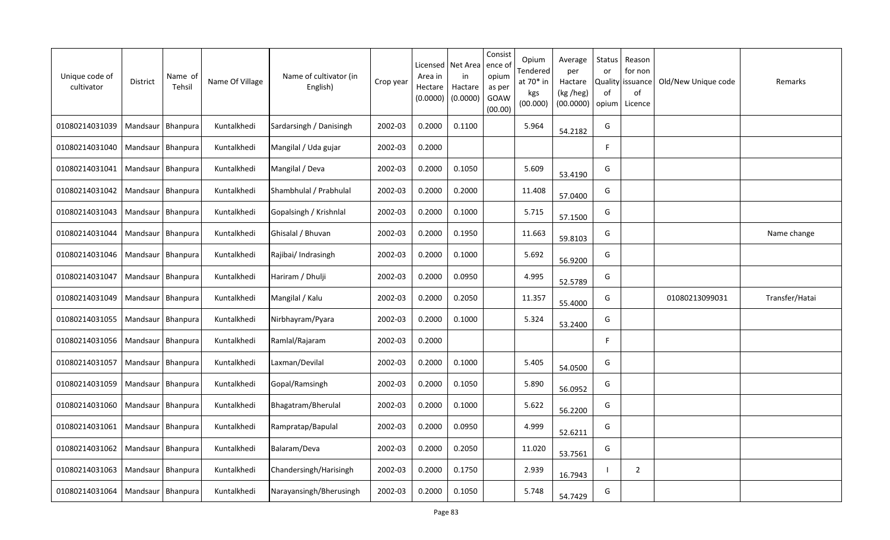| Unique code of<br>cultivator | District            | Name of<br>Tehsil   | Name Of Village | Name of cultivator (in<br>English) | Crop year | Licensed<br>Area in<br>Hectare<br>(0.0000) | Net Area<br>in<br>Hactare<br>(0.0000) | Consist<br>ence of<br>opium<br>as per<br>GOAW<br>(00.00) | Opium<br>Tendered<br>at 70* in<br>kgs<br>(00.000) | Average<br>per<br>Hactare<br>(kg /heg)<br>(00.0000) | Status<br>or<br>of<br>opium | Reason<br>for non<br>Quality   issuance<br>of<br>Licence | Old/New Unique code | Remarks        |
|------------------------------|---------------------|---------------------|-----------------|------------------------------------|-----------|--------------------------------------------|---------------------------------------|----------------------------------------------------------|---------------------------------------------------|-----------------------------------------------------|-----------------------------|----------------------------------------------------------|---------------------|----------------|
| 01080214031039               |                     | Mandsaur   Bhanpura | Kuntalkhedi     | Sardarsingh / Danisingh            | 2002-03   | 0.2000                                     | 0.1100                                |                                                          | 5.964                                             | 54.2182                                             | G                           |                                                          |                     |                |
| 01080214031040               | Mandsaur   Bhanpura |                     | Kuntalkhedi     | Mangilal / Uda gujar               | 2002-03   | 0.2000                                     |                                       |                                                          |                                                   |                                                     | F.                          |                                                          |                     |                |
| 01080214031041               | Mandsaur   Bhanpura |                     | Kuntalkhedi     | Mangilal / Deva                    | 2002-03   | 0.2000                                     | 0.1050                                |                                                          | 5.609                                             | 53.4190                                             | G                           |                                                          |                     |                |
| 01080214031042               | Mandsaur Bhanpura   |                     | Kuntalkhedi     | Shambhulal / Prabhulal             | 2002-03   | 0.2000                                     | 0.2000                                |                                                          | 11.408                                            | 57.0400                                             | G                           |                                                          |                     |                |
| 01080214031043               | Mandsaur   Bhanpura |                     | Kuntalkhedi     | Gopalsingh / Krishnlal             | 2002-03   | 0.2000                                     | 0.1000                                |                                                          | 5.715                                             | 57.1500                                             | G                           |                                                          |                     |                |
| 01080214031044               | Mandsaur   Bhanpura |                     | Kuntalkhedi     | Ghisalal / Bhuvan                  | 2002-03   | 0.2000                                     | 0.1950                                |                                                          | 11.663                                            | 59.8103                                             | G                           |                                                          |                     | Name change    |
| 01080214031046               | Mandsaur            | Bhanpura            | Kuntalkhedi     | Rajibai/Indrasingh                 | 2002-03   | 0.2000                                     | 0.1000                                |                                                          | 5.692                                             | 56.9200                                             | G                           |                                                          |                     |                |
| 01080214031047               | Mandsaur   Bhanpura |                     | Kuntalkhedi     | Hariram / Dhulji                   | 2002-03   | 0.2000                                     | 0.0950                                |                                                          | 4.995                                             | 52.5789                                             | G                           |                                                          |                     |                |
| 01080214031049               | Mandsaur   Bhanpura |                     | Kuntalkhedi     | Mangilal / Kalu                    | 2002-03   | 0.2000                                     | 0.2050                                |                                                          | 11.357                                            | 55.4000                                             | G                           |                                                          | 01080213099031      | Transfer/Hatai |
| 01080214031055               | Mandsaur            | Bhanpura            | Kuntalkhedi     | Nirbhayram/Pyara                   | 2002-03   | 0.2000                                     | 0.1000                                |                                                          | 5.324                                             | 53.2400                                             | G                           |                                                          |                     |                |
| 01080214031056               | Mandsaur            | Bhanpura            | Kuntalkhedi     | Ramlal/Rajaram                     | 2002-03   | 0.2000                                     |                                       |                                                          |                                                   |                                                     | F                           |                                                          |                     |                |
| 01080214031057               |                     | Mandsaur   Bhanpura | Kuntalkhedi     | Laxman/Devilal                     | 2002-03   | 0.2000                                     | 0.1000                                |                                                          | 5.405                                             | 54.0500                                             | G                           |                                                          |                     |                |
| 01080214031059               | Mandsaur Bhanpura   |                     | Kuntalkhedi     | Gopal/Ramsingh                     | 2002-03   | 0.2000                                     | 0.1050                                |                                                          | 5.890                                             | 56.0952                                             | G                           |                                                          |                     |                |
| 01080214031060               | Mandsaur   Bhanpura |                     | Kuntalkhedi     | Bhagatram/Bherulal                 | 2002-03   | 0.2000                                     | 0.1000                                |                                                          | 5.622                                             | 56.2200                                             | G                           |                                                          |                     |                |
| 01080214031061               | Mandsaur   Bhanpura |                     | Kuntalkhedi     | Rampratap/Bapulal                  | 2002-03   | 0.2000                                     | 0.0950                                |                                                          | 4.999                                             | 52.6211                                             | G                           |                                                          |                     |                |
| 01080214031062               | Mandsaur Bhanpura   |                     | Kuntalkhedi     | Balaram/Deva                       | 2002-03   | 0.2000                                     | 0.2050                                |                                                          | 11.020                                            | 53.7561                                             | G                           |                                                          |                     |                |
| 01080214031063               |                     | Mandsaur   Bhanpura | Kuntalkhedi     | Chandersingh/Harisingh             | 2002-03   | 0.2000                                     | 0.1750                                |                                                          | 2.939                                             | 16.7943                                             |                             | $\overline{2}$                                           |                     |                |
| 01080214031064               | Mandsaur   Bhanpura |                     | Kuntalkhedi     | Narayansingh/Bherusingh            | 2002-03   | 0.2000                                     | 0.1050                                |                                                          | 5.748                                             | 54.7429                                             | G                           |                                                          |                     |                |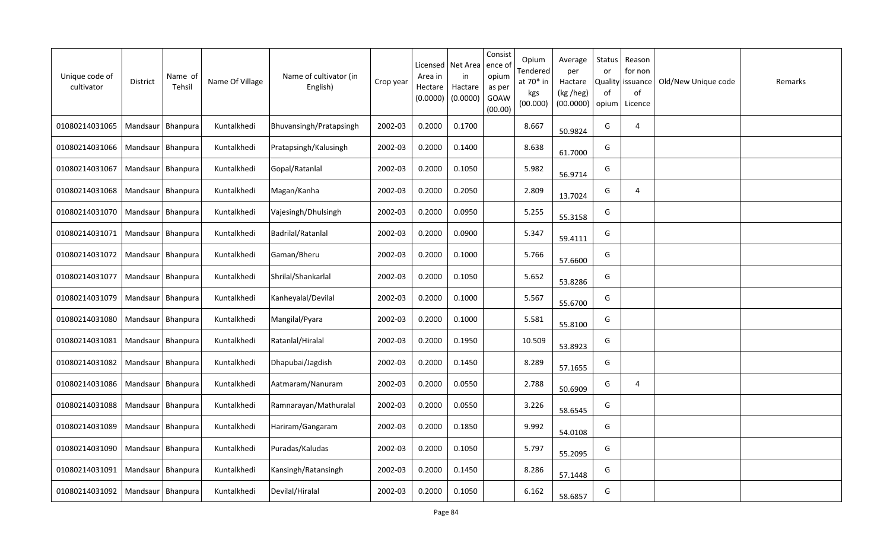| Unique code of<br>cultivator | <b>District</b>     | Name of<br>Tehsil   | Name Of Village | Name of cultivator (in<br>English) | Crop year | Licensed<br>Area in<br>Hectare<br>(0.0000) | Net Area<br>in<br>Hactare<br>(0.0000) | Consist<br>ence of<br>opium<br>as per<br>GOAW<br>(00.00) | Opium<br>Tendered<br>at 70* in<br>kgs<br>(00.000) | Average<br>per<br>Hactare<br>(kg /heg)<br>(00.0000) | Status<br>or<br>Quality<br>of<br>opium | Reason<br>for non<br>issuance<br>of<br>Licence | Old/New Unique code | Remarks |
|------------------------------|---------------------|---------------------|-----------------|------------------------------------|-----------|--------------------------------------------|---------------------------------------|----------------------------------------------------------|---------------------------------------------------|-----------------------------------------------------|----------------------------------------|------------------------------------------------|---------------------|---------|
| 01080214031065               | Mandsaur            | Bhanpura            | Kuntalkhedi     | Bhuvansingh/Pratapsingh            | 2002-03   | 0.2000                                     | 0.1700                                |                                                          | 8.667                                             | 50.9824                                             | G                                      | 4                                              |                     |         |
| 01080214031066               | Mandsaur Bhanpura   |                     | Kuntalkhedi     | Pratapsingh/Kalusingh              | 2002-03   | 0.2000                                     | 0.1400                                |                                                          | 8.638                                             | 61.7000                                             | G                                      |                                                |                     |         |
| 01080214031067               | Mandsaur   Bhanpura |                     | Kuntalkhedi     | Gopal/Ratanlal                     | 2002-03   | 0.2000                                     | 0.1050                                |                                                          | 5.982                                             | 56.9714                                             | G                                      |                                                |                     |         |
| 01080214031068               |                     | Mandsaur Bhanpura   | Kuntalkhedi     | Magan/Kanha                        | 2002-03   | 0.2000                                     | 0.2050                                |                                                          | 2.809                                             | 13.7024                                             | G                                      | 4                                              |                     |         |
| 01080214031070               | Mandsaur   Bhanpura |                     | Kuntalkhedi     | Vajesingh/Dhulsingh                | 2002-03   | 0.2000                                     | 0.0950                                |                                                          | 5.255                                             | 55.3158                                             | G                                      |                                                |                     |         |
| 01080214031071               | Mandsaur            | Bhanpura            | Kuntalkhedi     | Badrilal/Ratanlal                  | 2002-03   | 0.2000                                     | 0.0900                                |                                                          | 5.347                                             | 59.4111                                             | G                                      |                                                |                     |         |
| 01080214031072               | Mandsaur            | Bhanpura            | Kuntalkhedi     | Gaman/Bheru                        | 2002-03   | 0.2000                                     | 0.1000                                |                                                          | 5.766                                             | 57.6600                                             | G                                      |                                                |                     |         |
| 01080214031077               | Mandsaur            | Bhanpura            | Kuntalkhedi     | Shrilal/Shankarlal                 | 2002-03   | 0.2000                                     | 0.1050                                |                                                          | 5.652                                             | 53.8286                                             | G                                      |                                                |                     |         |
| 01080214031079               | Mandsaur            | Bhanpura            | Kuntalkhedi     | Kanheyalal/Devilal                 | 2002-03   | 0.2000                                     | 0.1000                                |                                                          | 5.567                                             | 55.6700                                             | G                                      |                                                |                     |         |
| 01080214031080               | Mandsaur            | Bhanpura            | Kuntalkhedi     | Mangilal/Pyara                     | 2002-03   | 0.2000                                     | 0.1000                                |                                                          | 5.581                                             | 55.8100                                             | G                                      |                                                |                     |         |
| 01080214031081               | Mandsaur            | Bhanpura            | Kuntalkhedi     | Ratanlal/Hiralal                   | 2002-03   | 0.2000                                     | 0.1950                                |                                                          | 10.509                                            | 53.8923                                             | G                                      |                                                |                     |         |
| 01080214031082               | Mandsaur            | Bhanpura            | Kuntalkhedi     | Dhapubai/Jagdish                   | 2002-03   | 0.2000                                     | 0.1450                                |                                                          | 8.289                                             | 57.1655                                             | G                                      |                                                |                     |         |
| 01080214031086               | Mandsaur            | Bhanpura            | Kuntalkhedi     | Aatmaram/Nanuram                   | 2002-03   | 0.2000                                     | 0.0550                                |                                                          | 2.788                                             | 50.6909                                             | G                                      | $\overline{4}$                                 |                     |         |
| 01080214031088               | Mandsaur Bhanpura   |                     | Kuntalkhedi     | Ramnarayan/Mathuralal              | 2002-03   | 0.2000                                     | 0.0550                                |                                                          | 3.226                                             | 58.6545                                             | G                                      |                                                |                     |         |
| 01080214031089               | Mandsaur            | Bhanpura            | Kuntalkhedi     | Hariram/Gangaram                   | 2002-03   | 0.2000                                     | 0.1850                                |                                                          | 9.992                                             | 54.0108                                             | G                                      |                                                |                     |         |
| 01080214031090               |                     | Mandsaur   Bhanpura | Kuntalkhedi     | Puradas/Kaludas                    | 2002-03   | 0.2000                                     | 0.1050                                |                                                          | 5.797                                             | 55.2095                                             | G                                      |                                                |                     |         |
| 01080214031091               |                     | Mandsaur   Bhanpura | Kuntalkhedi     | Kansingh/Ratansingh                | 2002-03   | 0.2000                                     | 0.1450                                |                                                          | 8.286                                             | 57.1448                                             | G                                      |                                                |                     |         |
| 01080214031092               |                     | Mandsaur   Bhanpura | Kuntalkhedi     | Devilal/Hiralal                    | 2002-03   | 0.2000                                     | 0.1050                                |                                                          | 6.162                                             | 58.6857                                             | G                                      |                                                |                     |         |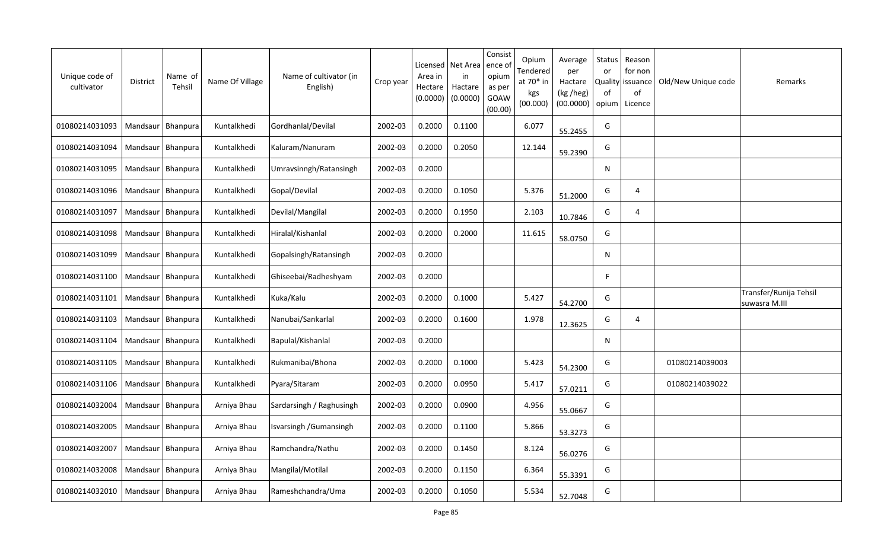| Unique code of<br>cultivator | District            | Name of<br>Tehsil   | Name Of Village | Name of cultivator (in<br>English) | Crop year | Licensed<br>Area in<br>Hectare<br>(0.0000) | Net Area<br>in<br>Hactare<br>(0.0000) | Consist<br>ence of<br>opium<br>as per<br>GOAW<br>(00.00) | Opium<br>Tendered<br>at 70* in<br>kgs<br>(00.000) | Average<br>per<br>Hactare<br>(kg /heg)<br>(00.0000) | Status<br>or<br>Quality<br>of<br>opium | Reason<br>for non<br>issuance<br>of<br>Licence | Old/New Unique code | Remarks                                 |
|------------------------------|---------------------|---------------------|-----------------|------------------------------------|-----------|--------------------------------------------|---------------------------------------|----------------------------------------------------------|---------------------------------------------------|-----------------------------------------------------|----------------------------------------|------------------------------------------------|---------------------|-----------------------------------------|
| 01080214031093               | Mandsaur            | Bhanpura            | Kuntalkhedi     | Gordhanlal/Devilal                 | 2002-03   | 0.2000                                     | 0.1100                                |                                                          | 6.077                                             | 55.2455                                             | G                                      |                                                |                     |                                         |
| 01080214031094               | Mandsaur Bhanpura   |                     | Kuntalkhedi     | Kaluram/Nanuram                    | 2002-03   | 0.2000                                     | 0.2050                                |                                                          | 12.144                                            | 59.2390                                             | G                                      |                                                |                     |                                         |
| 01080214031095               | Mandsaur   Bhanpura |                     | Kuntalkhedi     | Umravsinngh/Ratansingh             | 2002-03   | 0.2000                                     |                                       |                                                          |                                                   |                                                     | N                                      |                                                |                     |                                         |
| 01080214031096               |                     | Mandsaur Bhanpura   | Kuntalkhedi     | Gopal/Devilal                      | 2002-03   | 0.2000                                     | 0.1050                                |                                                          | 5.376                                             | 51.2000                                             | G                                      | 4                                              |                     |                                         |
| 01080214031097               | Mandsaur   Bhanpura |                     | Kuntalkhedi     | Devilal/Mangilal                   | 2002-03   | 0.2000                                     | 0.1950                                |                                                          | 2.103                                             | 10.7846                                             | G                                      | 4                                              |                     |                                         |
| 01080214031098               | Mandsaur            | Bhanpura            | Kuntalkhedi     | Hiralal/Kishanlal                  | 2002-03   | 0.2000                                     | 0.2000                                |                                                          | 11.615                                            | 58.0750                                             | G                                      |                                                |                     |                                         |
| 01080214031099               | Mandsaur            | Bhanpura            | Kuntalkhedi     | Gopalsingh/Ratansingh              | 2002-03   | 0.2000                                     |                                       |                                                          |                                                   |                                                     | N                                      |                                                |                     |                                         |
| 01080214031100               | Mandsaur            | Bhanpura            | Kuntalkhedi     | Ghiseebai/Radheshyam               | 2002-03   | 0.2000                                     |                                       |                                                          |                                                   |                                                     | F                                      |                                                |                     |                                         |
| 01080214031101               | Mandsaur            | Bhanpura            | Kuntalkhedi     | Kuka/Kalu                          | 2002-03   | 0.2000                                     | 0.1000                                |                                                          | 5.427                                             | 54.2700                                             | G                                      |                                                |                     | Transfer/Runija Tehsil<br>suwasra M.III |
| 01080214031103               | Mandsaur            | Bhanpura            | Kuntalkhedi     | Nanubai/Sankarlal                  | 2002-03   | 0.2000                                     | 0.1600                                |                                                          | 1.978                                             | 12.3625                                             | G                                      | 4                                              |                     |                                         |
| 01080214031104               | Mandsaur            | Bhanpura            | Kuntalkhedi     | Bapulal/Kishanlal                  | 2002-03   | 0.2000                                     |                                       |                                                          |                                                   |                                                     | N                                      |                                                |                     |                                         |
| 01080214031105               | Mandsaur            | Bhanpura            | Kuntalkhedi     | Rukmanibai/Bhona                   | 2002-03   | 0.2000                                     | 0.1000                                |                                                          | 5.423                                             | 54.2300                                             | G                                      |                                                | 01080214039003      |                                         |
| 01080214031106               | Mandsaur            | Bhanpura            | Kuntalkhedi     | Pyara/Sitaram                      | 2002-03   | 0.2000                                     | 0.0950                                |                                                          | 5.417                                             | 57.0211                                             | G                                      |                                                | 01080214039022      |                                         |
| 01080214032004               | Mandsaur Bhanpura   |                     | Arniya Bhau     | Sardarsingh / Raghusingh           | 2002-03   | 0.2000                                     | 0.0900                                |                                                          | 4.956                                             | 55.0667                                             | G                                      |                                                |                     |                                         |
| 01080214032005               | Mandsaur            | Bhanpura            | Arniya Bhau     | Isvarsingh /Gumansingh             | 2002-03   | 0.2000                                     | 0.1100                                |                                                          | 5.866                                             | 53.3273                                             | G                                      |                                                |                     |                                         |
| 01080214032007               |                     | Mandsaur   Bhanpura | Arniya Bhau     | Ramchandra/Nathu                   | 2002-03   | 0.2000                                     | 0.1450                                |                                                          | 8.124                                             | 56.0276                                             | G                                      |                                                |                     |                                         |
| 01080214032008               |                     | Mandsaur   Bhanpura | Arniya Bhau     | Mangilal/Motilal                   | 2002-03   | 0.2000                                     | 0.1150                                |                                                          | 6.364                                             | 55.3391                                             | G                                      |                                                |                     |                                         |
| 01080214032010               | Mandsaur   Bhanpura |                     | Arniya Bhau     | Rameshchandra/Uma                  | 2002-03   | 0.2000                                     | 0.1050                                |                                                          | 5.534                                             | 52.7048                                             | G                                      |                                                |                     |                                         |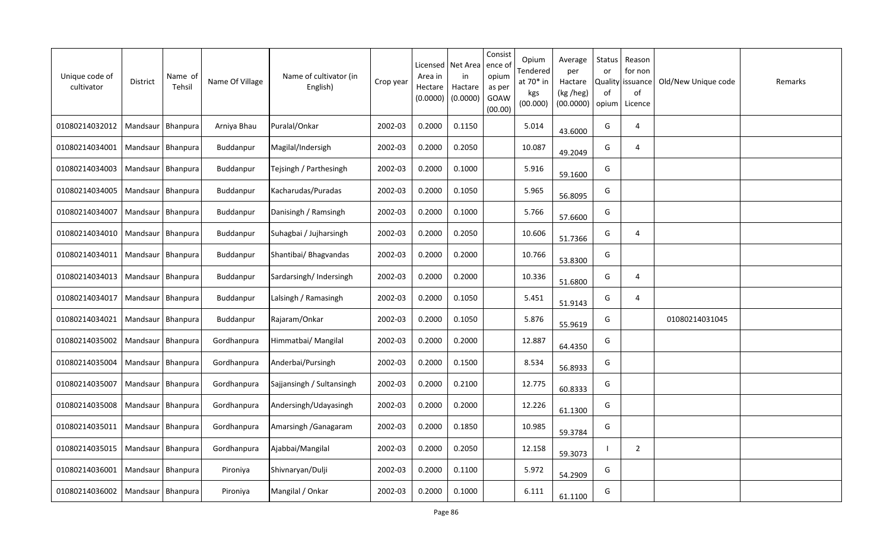| Unique code of<br>cultivator | District            | Name of<br>Tehsil   | Name Of Village | Name of cultivator (in<br>English) | Crop year | Licensed<br>Area in<br>Hectare<br>(0.0000) | Net Area<br>in<br>Hactare<br>(0.0000) | Consist<br>ence of<br>opium<br>as per<br>GOAW<br>(00.00) | Opium<br>Tendered<br>at 70* in<br>kgs<br>(00.000) | Average<br>per<br>Hactare<br>(kg /heg)<br>(00.0000) | Status<br>or<br>Quality<br>0f<br>opium | Reason<br>for non<br>issuance<br>of<br>Licence | Old/New Unique code | Remarks |
|------------------------------|---------------------|---------------------|-----------------|------------------------------------|-----------|--------------------------------------------|---------------------------------------|----------------------------------------------------------|---------------------------------------------------|-----------------------------------------------------|----------------------------------------|------------------------------------------------|---------------------|---------|
| 01080214032012               | Mandsaur            | Bhanpura            | Arniya Bhau     | Puralal/Onkar                      | 2002-03   | 0.2000                                     | 0.1150                                |                                                          | 5.014                                             | 43.6000                                             | G                                      | 4                                              |                     |         |
| 01080214034001               |                     | Mandsaur   Bhanpura | Buddanpur       | Magilal/Indersigh                  | 2002-03   | 0.2000                                     | 0.2050                                |                                                          | 10.087                                            | 49.2049                                             | G                                      | 4                                              |                     |         |
| 01080214034003               | Mandsaur            | Bhanpura            | Buddanpur       | Tejsingh / Parthesingh             | 2002-03   | 0.2000                                     | 0.1000                                |                                                          | 5.916                                             | 59.1600                                             | G                                      |                                                |                     |         |
| 01080214034005               | Mandsaur   Bhanpura |                     | Buddanpur       | Kacharudas/Puradas                 | 2002-03   | 0.2000                                     | 0.1050                                |                                                          | 5.965                                             | 56.8095                                             | G                                      |                                                |                     |         |
| 01080214034007               | Mandsaur            | Bhanpura            | Buddanpur       | Danisingh / Ramsingh               | 2002-03   | 0.2000                                     | 0.1000                                |                                                          | 5.766                                             | 57.6600                                             | G                                      |                                                |                     |         |
| 01080214034010               | Mandsaur            | Bhanpura            | Buddanpur       | Suhagbai / Jujharsingh             | 2002-03   | 0.2000                                     | 0.2050                                |                                                          | 10.606                                            | 51.7366                                             | G                                      | 4                                              |                     |         |
| 01080214034011               | Mandsaur            | Bhanpura            | Buddanpur       | Shantibai/ Bhagvandas              | 2002-03   | 0.2000                                     | 0.2000                                |                                                          | 10.766                                            | 53.8300                                             | G                                      |                                                |                     |         |
| 01080214034013               | Mandsaur            | Bhanpura            | Buddanpur       | Sardarsingh/ Indersingh            | 2002-03   | 0.2000                                     | 0.2000                                |                                                          | 10.336                                            | 51.6800                                             | G                                      | 4                                              |                     |         |
| 01080214034017               | Mandsaur            | Bhanpura            | Buddanpur       | Lalsingh / Ramasingh               | 2002-03   | 0.2000                                     | 0.1050                                |                                                          | 5.451                                             | 51.9143                                             | G                                      | 4                                              |                     |         |
| 01080214034021               | Mandsaur            | Bhanpura            | Buddanpur       | Rajaram/Onkar                      | 2002-03   | 0.2000                                     | 0.1050                                |                                                          | 5.876                                             | 55.9619                                             | G                                      |                                                | 01080214031045      |         |
| 01080214035002               | Mandsaur            | Bhanpura            | Gordhanpura     | Himmatbai/ Mangilal                | 2002-03   | 0.2000                                     | 0.2000                                |                                                          | 12.887                                            | 64.4350                                             | G                                      |                                                |                     |         |
| 01080214035004               | Mandsaur            | Bhanpura            | Gordhanpura     | Anderbai/Pursingh                  | 2002-03   | 0.2000                                     | 0.1500                                |                                                          | 8.534                                             | 56.8933                                             | G                                      |                                                |                     |         |
| 01080214035007               | Mandsaur Bhanpura   |                     | Gordhanpura     | Sajjansingh / Sultansingh          | 2002-03   | 0.2000                                     | 0.2100                                |                                                          | 12.775                                            | 60.8333                                             | G                                      |                                                |                     |         |
| 01080214035008               | Mandsaur   Bhanpura |                     | Gordhanpura     | Andersingh/Udayasingh              | 2002-03   | 0.2000                                     | 0.2000                                |                                                          | 12.226                                            | 61.1300                                             | G                                      |                                                |                     |         |
| 01080214035011               | Mandsaur   Bhanpura |                     | Gordhanpura     | Amarsingh / Ganagaram              | 2002-03   | 0.2000                                     | 0.1850                                |                                                          | 10.985                                            | 59.3784                                             | G                                      |                                                |                     |         |
| 01080214035015               | Mandsaur            | Bhanpura            | Gordhanpura     | Ajabbai/Mangilal                   | 2002-03   | 0.2000                                     | 0.2050                                |                                                          | 12.158                                            | 59.3073                                             | -1                                     | $\overline{2}$                                 |                     |         |
| 01080214036001               |                     | Mandsaur Bhanpura   | Pironiya        | Shivnaryan/Dulji                   | 2002-03   | 0.2000                                     | 0.1100                                |                                                          | 5.972                                             | 54.2909                                             | G                                      |                                                |                     |         |
| 01080214036002               |                     | Mandsaur   Bhanpura | Pironiya        | Mangilal / Onkar                   | 2002-03   | 0.2000                                     | 0.1000                                |                                                          | 6.111                                             | 61.1100                                             | G                                      |                                                |                     |         |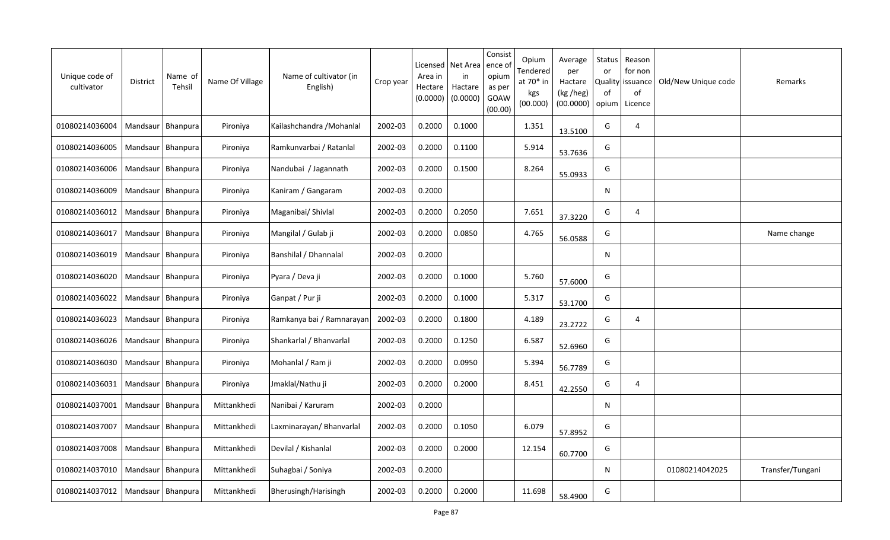| Unique code of<br>cultivator | District            | Name of<br>Tehsil   | Name Of Village | Name of cultivator (in<br>English) | Crop year | Licensed<br>Area in<br>Hectare<br>(0.0000) | Net Area<br>in<br>Hactare<br>(0.0000) | Consist<br>ence of<br>opium<br>as per<br><b>GOAW</b><br>(00.00) | Opium<br>Tendered<br>at 70* in<br>kgs<br>(00.000) | Average<br>per<br>Hactare<br>(kg /heg)<br>(00.0000) | Status<br>or<br>of<br>opium | Reason<br>for non<br>Quality   issuance<br>of<br>Licence | Old/New Unique code | Remarks          |
|------------------------------|---------------------|---------------------|-----------------|------------------------------------|-----------|--------------------------------------------|---------------------------------------|-----------------------------------------------------------------|---------------------------------------------------|-----------------------------------------------------|-----------------------------|----------------------------------------------------------|---------------------|------------------|
| 01080214036004               |                     | Mandsaur   Bhanpura | Pironiya        | Kailashchandra / Mohanlal          | 2002-03   | 0.2000                                     | 0.1000                                |                                                                 | 1.351                                             | 13.5100                                             | G                           | 4                                                        |                     |                  |
| 01080214036005               |                     | Mandsaur   Bhanpura | Pironiya        | Ramkunvarbai / Ratanlal            | 2002-03   | 0.2000                                     | 0.1100                                |                                                                 | 5.914                                             | 53.7636                                             | G                           |                                                          |                     |                  |
| 01080214036006               | Mandsaur   Bhanpura |                     | Pironiya        | Nandubai / Jagannath               | 2002-03   | 0.2000                                     | 0.1500                                |                                                                 | 8.264                                             | 55.0933                                             | G                           |                                                          |                     |                  |
| 01080214036009               |                     | Mandsaur   Bhanpura | Pironiya        | Kaniram / Gangaram                 | 2002-03   | 0.2000                                     |                                       |                                                                 |                                                   |                                                     | N                           |                                                          |                     |                  |
| 01080214036012               |                     | Mandsaur   Bhanpura | Pironiya        | Maganibai/ Shivlal                 | 2002-03   | 0.2000                                     | 0.2050                                |                                                                 | 7.651                                             | 37.3220                                             | G                           | $\overline{4}$                                           |                     |                  |
| 01080214036017               | Mandsaur Bhanpura   |                     | Pironiya        | Mangilal / Gulab ji                | 2002-03   | 0.2000                                     | 0.0850                                |                                                                 | 4.765                                             | 56.0588                                             | G                           |                                                          |                     | Name change      |
| 01080214036019               | Mandsaur            | Bhanpura            | Pironiya        | Banshilal / Dhannalal              | 2002-03   | 0.2000                                     |                                       |                                                                 |                                                   |                                                     | N                           |                                                          |                     |                  |
| 01080214036020               |                     | Mandsaur   Bhanpura | Pironiya        | Pyara / Deva ji                    | 2002-03   | 0.2000                                     | 0.1000                                |                                                                 | 5.760                                             | 57.6000                                             | G                           |                                                          |                     |                  |
| 01080214036022               |                     | Mandsaur   Bhanpura | Pironiya        | Ganpat / Pur ji                    | 2002-03   | 0.2000                                     | 0.1000                                |                                                                 | 5.317                                             | 53.1700                                             | G                           |                                                          |                     |                  |
| 01080214036023               |                     | Mandsaur   Bhanpura | Pironiya        | Ramkanya bai / Ramnarayan          | 2002-03   | 0.2000                                     | 0.1800                                |                                                                 | 4.189                                             | 23.2722                                             | G                           | 4                                                        |                     |                  |
| 01080214036026               | Mandsaur            | Bhanpura            | Pironiya        | Shankarlal / Bhanvarlal            | 2002-03   | 0.2000                                     | 0.1250                                |                                                                 | 6.587                                             | 52.6960                                             | G                           |                                                          |                     |                  |
| 01080214036030               |                     | Mandsaur   Bhanpura | Pironiya        | Mohanlal / Ram ji                  | 2002-03   | 0.2000                                     | 0.0950                                |                                                                 | 5.394                                             | 56.7789                                             | G                           |                                                          |                     |                  |
| 01080214036031               | Mandsaur Bhanpura   |                     | Pironiya        | Jmaklal/Nathu ji                   | 2002-03   | 0.2000                                     | 0.2000                                |                                                                 | 8.451                                             | 42.2550                                             | G                           | 4                                                        |                     |                  |
| 01080214037001               | Mandsaur   Bhanpura |                     | Mittankhedi     | Nanibai / Karuram                  | 2002-03   | 0.2000                                     |                                       |                                                                 |                                                   |                                                     | N                           |                                                          |                     |                  |
| 01080214037007               | Mandsaur   Bhanpura |                     | Mittankhedi     | Laxminarayan/ Bhanvarlal           | 2002-03   | 0.2000                                     | 0.1050                                |                                                                 | 6.079                                             | 57.8952                                             | G                           |                                                          |                     |                  |
| 01080214037008               | Mandsaur   Bhanpura |                     | Mittankhedi     | Devilal / Kishanlal                | 2002-03   | 0.2000                                     | 0.2000                                |                                                                 | 12.154                                            | 60.7700                                             | G                           |                                                          |                     |                  |
| 01080214037010               | Mandsaur   Bhanpura |                     | Mittankhedi     | Suhagbai / Soniya                  | 2002-03   | 0.2000                                     |                                       |                                                                 |                                                   |                                                     | N                           |                                                          | 01080214042025      | Transfer/Tungani |
| 01080214037012               | Mandsaur   Bhanpura |                     | Mittankhedi     | Bherusingh/Harisingh               | 2002-03   | 0.2000                                     | 0.2000                                |                                                                 | 11.698                                            | 58.4900                                             | G                           |                                                          |                     |                  |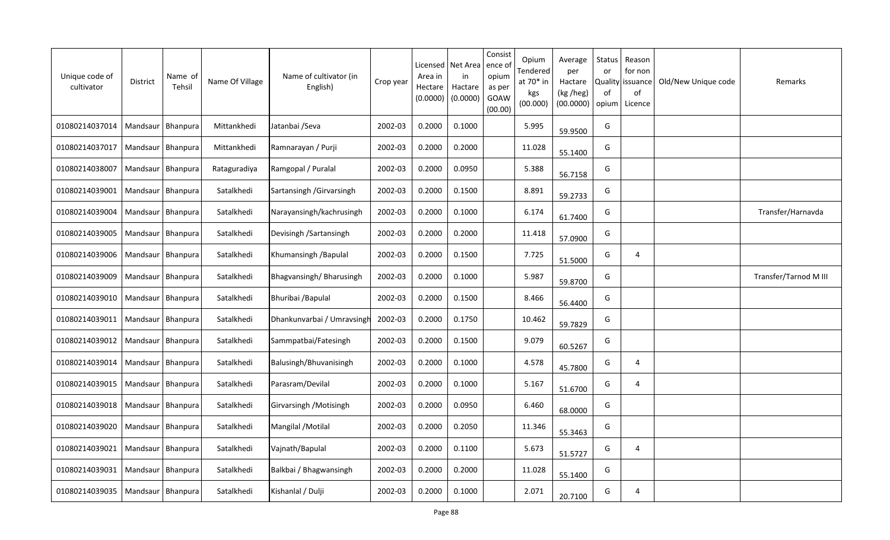| Unique code of<br>cultivator | <b>District</b>     | Name of<br>Tehsil   | Name Of Village | Name of cultivator (in<br>English) | Crop year | Licensed<br>Area in<br>Hectare<br>(0.0000) | Net Area<br>in<br>Hactare<br>(0.0000) | Consist<br>ence of<br>opium<br>as per<br>GOAW<br>(00.00) | Opium<br>Tendered<br>at 70* in<br>kgs<br>(00.000) | Average<br>per<br>Hactare<br>(kg /heg)<br>(00.0000) | Status<br>or<br>Quality<br>0f<br>opium | Reason<br>for non<br>issuance<br>of<br>Licence | Old/New Unique code | Remarks               |
|------------------------------|---------------------|---------------------|-----------------|------------------------------------|-----------|--------------------------------------------|---------------------------------------|----------------------------------------------------------|---------------------------------------------------|-----------------------------------------------------|----------------------------------------|------------------------------------------------|---------------------|-----------------------|
| 01080214037014               | Mandsaur            | Bhanpura            | Mittankhedi     | Jatanbai /Seva                     | 2002-03   | 0.2000                                     | 0.1000                                |                                                          | 5.995                                             | 59.9500                                             | G                                      |                                                |                     |                       |
| 01080214037017               | Mandsaur   Bhanpura |                     | Mittankhedi     | Ramnarayan / Purji                 | 2002-03   | 0.2000                                     | 0.2000                                |                                                          | 11.028                                            | 55.1400                                             | G                                      |                                                |                     |                       |
| 01080214038007               | Mandsaur   Bhanpura |                     | Rataguradiya    | Ramgopal / Puralal                 | 2002-03   | 0.2000                                     | 0.0950                                |                                                          | 5.388                                             | 56.7158                                             | G                                      |                                                |                     |                       |
| 01080214039001               |                     | Mandsaur   Bhanpura | Satalkhedi      | Sartansingh / Girvarsingh          | 2002-03   | 0.2000                                     | 0.1500                                |                                                          | 8.891                                             | 59.2733                                             | G                                      |                                                |                     |                       |
| 01080214039004               |                     | Mandsaur   Bhanpura | Satalkhedi      | Narayansingh/kachrusingh           | 2002-03   | 0.2000                                     | 0.1000                                |                                                          | 6.174                                             | 61.7400                                             | G                                      |                                                |                     | Transfer/Harnavda     |
| 01080214039005               | Mandsaur            | Bhanpura            | Satalkhedi      | Devisingh / Sartansingh            | 2002-03   | 0.2000                                     | 0.2000                                |                                                          | 11.418                                            | 57.0900                                             | G                                      |                                                |                     |                       |
| 01080214039006               | Mandsaur            | <b>Bhanpura</b>     | Satalkhedi      | Khumansingh / Bapulal              | 2002-03   | 0.2000                                     | 0.1500                                |                                                          | 7.725                                             | 51.5000                                             | G                                      | 4                                              |                     |                       |
| 01080214039009               | Mandsaur            | Bhanpura            | Satalkhedi      | Bhagvansingh/Bharusingh            | 2002-03   | 0.2000                                     | 0.1000                                |                                                          | 5.987                                             | 59.8700                                             | G                                      |                                                |                     | Transfer/Tarnod M III |
| 01080214039010               | Mandsaur            | Bhanpura            | Satalkhedi      | Bhuribai / Bapulal                 | 2002-03   | 0.2000                                     | 0.1500                                |                                                          | 8.466                                             | 56.4400                                             | G                                      |                                                |                     |                       |
| 01080214039011               | Mandsaur            | Bhanpura            | Satalkhedi      | Dhankunvarbai / Umravsingh         | 2002-03   | 0.2000                                     | 0.1750                                |                                                          | 10.462                                            | 59.7829                                             | G                                      |                                                |                     |                       |
| 01080214039012               | Mandsaur            | Bhanpura            | Satalkhedi      | Sammpatbai/Fatesingh               | 2002-03   | 0.2000                                     | 0.1500                                |                                                          | 9.079                                             | 60.5267                                             | G                                      |                                                |                     |                       |
| 01080214039014               | Mandsaur            | Bhanpura            | Satalkhedi      | Balusingh/Bhuvanisingh             | 2002-03   | 0.2000                                     | 0.1000                                |                                                          | 4.578                                             | 45.7800                                             | G                                      | $\overline{4}$                                 |                     |                       |
| 01080214039015               | Mandsaur            | Bhanpura            | Satalkhedi      | Parasram/Devilal                   | 2002-03   | 0.2000                                     | 0.1000                                |                                                          | 5.167                                             | 51.6700                                             | G                                      | $\overline{4}$                                 |                     |                       |
| 01080214039018               | Mandsaur   Bhanpura |                     | Satalkhedi      | Girvarsingh / Motisingh            | 2002-03   | 0.2000                                     | 0.0950                                |                                                          | 6.460                                             | 68.0000                                             | G                                      |                                                |                     |                       |
| 01080214039020               | Mandsaur            | Bhanpura            | Satalkhedi      | Mangilal / Motilal                 | 2002-03   | 0.2000                                     | 0.2050                                |                                                          | 11.346                                            | 55.3463                                             | G                                      |                                                |                     |                       |
| 01080214039021               |                     | Mandsaur   Bhanpura | Satalkhedi      | Vajnath/Bapulal                    | 2002-03   | 0.2000                                     | 0.1100                                |                                                          | 5.673                                             | 51.5727                                             | G                                      | 4                                              |                     |                       |
| 01080214039031               | Mandsaur   Bhanpura |                     | Satalkhedi      | Balkbai / Bhagwansingh             | 2002-03   | 0.2000                                     | 0.2000                                |                                                          | 11.028                                            | 55.1400                                             | G                                      |                                                |                     |                       |
| 01080214039035               | Mandsaur   Bhanpura |                     | Satalkhedi      | Kishanlal / Dulji                  | 2002-03   | 0.2000                                     | 0.1000                                |                                                          | 2.071                                             | 20.7100                                             | G                                      | 4                                              |                     |                       |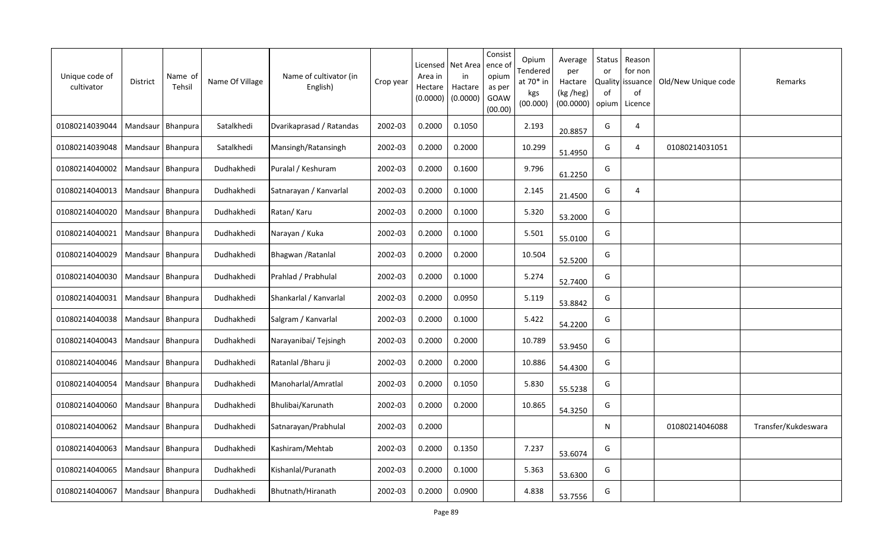| Unique code of<br>cultivator | District            | Name of<br>Tehsil   | Name Of Village | Name of cultivator (in<br>English) | Crop year | Licensed<br>Area in<br>Hectare<br>(0.0000) | Net Area<br>in<br>Hactare<br>(0.0000) | Consist<br>ence of<br>opium<br>as per<br>GOAW<br>(00.00) | Opium<br>Tendered<br>at 70* in<br>kgs<br>(00.000) | Average<br>per<br>Hactare<br>(kg /heg)<br>(00.0000) | Status<br>or<br>Quality<br>of<br>opium | Reason<br>for non<br>issuance<br>of<br>Licence | Old/New Unique code | Remarks             |
|------------------------------|---------------------|---------------------|-----------------|------------------------------------|-----------|--------------------------------------------|---------------------------------------|----------------------------------------------------------|---------------------------------------------------|-----------------------------------------------------|----------------------------------------|------------------------------------------------|---------------------|---------------------|
| 01080214039044               | Mandsaur            | Bhanpura            | Satalkhedi      | Dvarikaprasad / Ratandas           | 2002-03   | 0.2000                                     | 0.1050                                |                                                          | 2.193                                             | 20.8857                                             | G                                      | 4                                              |                     |                     |
| 01080214039048               |                     | Mandsaur   Bhanpura | Satalkhedi      | Mansingh/Ratansingh                | 2002-03   | 0.2000                                     | 0.2000                                |                                                          | 10.299                                            | 51.4950                                             | G                                      | $\overline{4}$                                 | 01080214031051      |                     |
| 01080214040002               |                     | Mandsaur   Bhanpura | Dudhakhedi      | Puralal / Keshuram                 | 2002-03   | 0.2000                                     | 0.1600                                |                                                          | 9.796                                             | 61.2250                                             | G                                      |                                                |                     |                     |
| 01080214040013               | Mandsaur Bhanpura   |                     | Dudhakhedi      | Satnarayan / Kanvarlal             | 2002-03   | 0.2000                                     | 0.1000                                |                                                          | 2.145                                             | 21.4500                                             | G                                      | 4                                              |                     |                     |
| 01080214040020               | Mandsaur   Bhanpura |                     | Dudhakhedi      | Ratan/Karu                         | 2002-03   | 0.2000                                     | 0.1000                                |                                                          | 5.320                                             | 53.2000                                             | G                                      |                                                |                     |                     |
| 01080214040021               | Mandsaur            | Bhanpura            | Dudhakhedi      | Narayan / Kuka                     | 2002-03   | 0.2000                                     | 0.1000                                |                                                          | 5.501                                             | 55.0100                                             | G                                      |                                                |                     |                     |
| 01080214040029               | Mandsaur            | Bhanpura            | Dudhakhedi      | Bhagwan / Ratanlal                 | 2002-03   | 0.2000                                     | 0.2000                                |                                                          | 10.504                                            | 52.5200                                             | G                                      |                                                |                     |                     |
| 01080214040030               | Mandsaur            | Bhanpura            | Dudhakhedi      | Prahlad / Prabhulal                | 2002-03   | 0.2000                                     | 0.1000                                |                                                          | 5.274                                             | 52.7400                                             | G                                      |                                                |                     |                     |
| 01080214040031               | Mandsaur            | Bhanpura            | Dudhakhedi      | Shankarlal / Kanvarlal             | 2002-03   | 0.2000                                     | 0.0950                                |                                                          | 5.119                                             | 53.8842                                             | G                                      |                                                |                     |                     |
| 01080214040038               | Mandsaur            | Bhanpura            | Dudhakhedi      | Salgram / Kanvarlal                | 2002-03   | 0.2000                                     | 0.1000                                |                                                          | 5.422                                             | 54.2200                                             | G                                      |                                                |                     |                     |
| 01080214040043               | Mandsaur            | Bhanpura            | Dudhakhedi      | Narayanibai/ Tejsingh              | 2002-03   | 0.2000                                     | 0.2000                                |                                                          | 10.789                                            | 53.9450                                             | G                                      |                                                |                     |                     |
| 01080214040046               | Mandsaur            | Bhanpura            | Dudhakhedi      | Ratanlal / Bharu ji                | 2002-03   | 0.2000                                     | 0.2000                                |                                                          | 10.886                                            | 54.4300                                             | G                                      |                                                |                     |                     |
| 01080214040054               | Mandsaur            | Bhanpura            | Dudhakhedi      | Manoharlal/Amratlal                | 2002-03   | 0.2000                                     | 0.1050                                |                                                          | 5.830                                             | 55.5238                                             | G                                      |                                                |                     |                     |
| 01080214040060               | Mandsaur Bhanpura   |                     | Dudhakhedi      | Bhulibai/Karunath                  | 2002-03   | 0.2000                                     | 0.2000                                |                                                          | 10.865                                            | 54.3250                                             | G                                      |                                                |                     |                     |
| 01080214040062               | Mandsaur            | Bhanpura            | Dudhakhedi      | Satnarayan/Prabhulal               | 2002-03   | 0.2000                                     |                                       |                                                          |                                                   |                                                     | N                                      |                                                | 01080214046088      | Transfer/Kukdeswara |
| 01080214040063               |                     | Mandsaur   Bhanpura | Dudhakhedi      | Kashiram/Mehtab                    | 2002-03   | 0.2000                                     | 0.1350                                |                                                          | 7.237                                             | 53.6074                                             | G                                      |                                                |                     |                     |
| 01080214040065               | Mandsaur   Bhanpura |                     | Dudhakhedi      | Kishanlal/Puranath                 | 2002-03   | 0.2000                                     | 0.1000                                |                                                          | 5.363                                             | 53.6300                                             | G                                      |                                                |                     |                     |
| 01080214040067               | Mandsaur   Bhanpura |                     | Dudhakhedi      | Bhutnath/Hiranath                  | 2002-03   | 0.2000                                     | 0.0900                                |                                                          | 4.838                                             | 53.7556                                             | G                                      |                                                |                     |                     |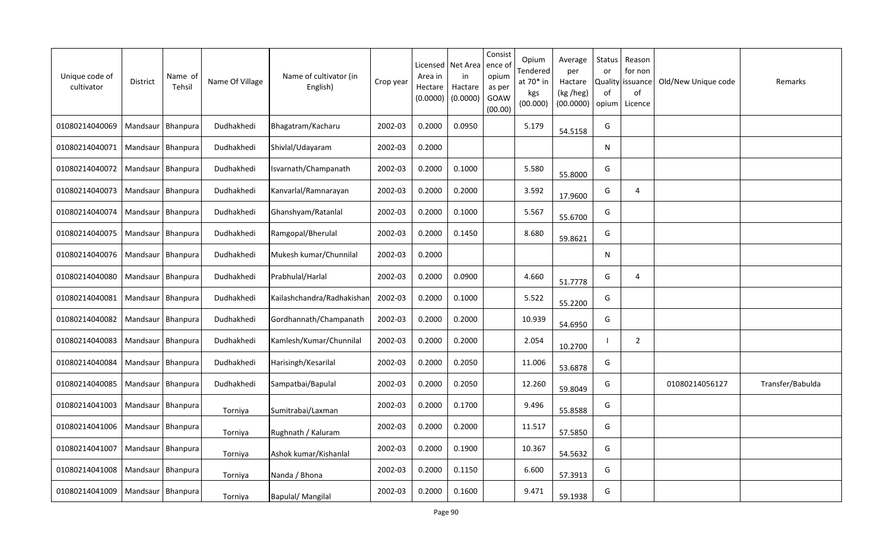| Unique code of<br>cultivator | District            | Name of<br>Tehsil | Name Of Village | Name of cultivator (in<br>English) | Crop year | Licensed<br>Area in<br>Hectare<br>(0.0000) | Net Area<br>in<br>Hactare<br>(0.0000) | Consist<br>ence of<br>opium<br>as per<br>GOAW<br>(00.00) | Opium<br>Tendered<br>at 70* in<br>kgs<br>(00.000) | Average<br>per<br>Hactare<br>(kg /heg)<br>(00.0000) | Status<br>or<br><b>Quality</b><br>of<br>opium | Reason<br>for non<br>issuance<br>of<br>Licence | Old/New Unique code | Remarks          |
|------------------------------|---------------------|-------------------|-----------------|------------------------------------|-----------|--------------------------------------------|---------------------------------------|----------------------------------------------------------|---------------------------------------------------|-----------------------------------------------------|-----------------------------------------------|------------------------------------------------|---------------------|------------------|
| 01080214040069               | Mandsaur            | Bhanpura          | Dudhakhedi      | Bhagatram/Kacharu                  | 2002-03   | 0.2000                                     | 0.0950                                |                                                          | 5.179                                             | 54.5158                                             | G                                             |                                                |                     |                  |
| 01080214040071               | Mandsaur            | Bhanpura          | Dudhakhedi      | Shivlal/Udayaram                   | 2002-03   | 0.2000                                     |                                       |                                                          |                                                   |                                                     | N                                             |                                                |                     |                  |
| 01080214040072               | Mandsaur   Bhanpura |                   | Dudhakhedi      | Isvarnath/Champanath               | 2002-03   | 0.2000                                     | 0.1000                                |                                                          | 5.580                                             | 55.8000                                             | G                                             |                                                |                     |                  |
| 01080214040073               | Mandsaur   Bhanpura |                   | Dudhakhedi      | Kanvarlal/Ramnarayan               | 2002-03   | 0.2000                                     | 0.2000                                |                                                          | 3.592                                             | 17.9600                                             | G                                             | 4                                              |                     |                  |
| 01080214040074               | Mandsaur   Bhanpura |                   | Dudhakhedi      | Ghanshyam/Ratanlal                 | 2002-03   | 0.2000                                     | 0.1000                                |                                                          | 5.567                                             | 55.6700                                             | G                                             |                                                |                     |                  |
| 01080214040075               | Mandsaur            | Bhanpura          | Dudhakhedi      | Ramgopal/Bherulal                  | 2002-03   | 0.2000                                     | 0.1450                                |                                                          | 8.680                                             | 59.8621                                             | G                                             |                                                |                     |                  |
| 01080214040076               | Mandsaur            | Bhanpura          | Dudhakhedi      | Mukesh kumar/Chunnilal             | 2002-03   | 0.2000                                     |                                       |                                                          |                                                   |                                                     | N                                             |                                                |                     |                  |
| 01080214040080               | Mandsaur            | Bhanpura          | Dudhakhedi      | Prabhulal/Harlal                   | 2002-03   | 0.2000                                     | 0.0900                                |                                                          | 4.660                                             | 51.7778                                             | G                                             | 4                                              |                     |                  |
| 01080214040081               | Mandsaur   Bhanpura |                   | Dudhakhedi      | Kailashchandra/Radhakishan         | 2002-03   | 0.2000                                     | 0.1000                                |                                                          | 5.522                                             | 55.2200                                             | G                                             |                                                |                     |                  |
| 01080214040082               | Mandsaur            | Bhanpura          | Dudhakhedi      | Gordhannath/Champanath             | 2002-03   | 0.2000                                     | 0.2000                                |                                                          | 10.939                                            | 54.6950                                             | G                                             |                                                |                     |                  |
| 01080214040083               | Mandsaur            | Bhanpura          | Dudhakhedi      | Kamlesh/Kumar/Chunnilal            | 2002-03   | 0.2000                                     | 0.2000                                |                                                          | 2.054                                             | 10.2700                                             | -1                                            | 2                                              |                     |                  |
| 01080214040084               | Mandsaur            | Bhanpura          | Dudhakhedi      | Harisingh/Kesarilal                | 2002-03   | 0.2000                                     | 0.2050                                |                                                          | 11.006                                            | 53.6878                                             | G                                             |                                                |                     |                  |
| 01080214040085               | Mandsaur            | <b>Bhanpura</b>   | Dudhakhedi      | Sampatbai/Bapulal                  | 2002-03   | 0.2000                                     | 0.2050                                |                                                          | 12.260                                            | 59.8049                                             | G                                             |                                                | 01080214056127      | Transfer/Babulda |
| 01080214041003               | Mandsaur            | Bhanpura          | Torniya         | Sumitrabai/Laxman                  | 2002-03   | 0.2000                                     | 0.1700                                |                                                          | 9.496                                             | 55.8588                                             | G                                             |                                                |                     |                  |
| 01080214041006               | Mandsaur            | Bhanpura          | Torniya         | Rughnath / Kaluram                 | 2002-03   | 0.2000                                     | 0.2000                                |                                                          | 11.517                                            | 57.5850                                             | G                                             |                                                |                     |                  |
| 01080214041007               | Mandsaur            | Bhanpura          | Torniya         | Ashok kumar/Kishanlal              | 2002-03   | 0.2000                                     | 0.1900                                |                                                          | 10.367                                            | 54.5632                                             | G                                             |                                                |                     |                  |
| 01080214041008               | Mandsaur            | Bhanpura          | Torniya         | Nanda / Bhona                      | 2002-03   | 0.2000                                     | 0.1150                                |                                                          | 6.600                                             | 57.3913                                             | G                                             |                                                |                     |                  |
| 01080214041009               | Mandsaur   Bhanpura |                   | Torniya         | Bapulal/Mangilal                   | 2002-03   | 0.2000                                     | 0.1600                                |                                                          | 9.471                                             | 59.1938                                             | G                                             |                                                |                     |                  |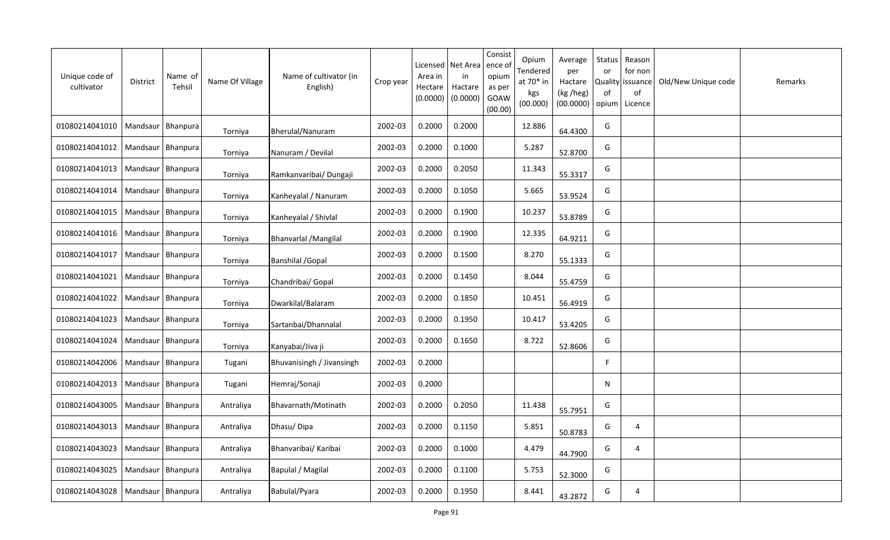| Unique code of<br>cultivator | District            | Name of<br>Tehsil   | Name Of Village | Name of cultivator (in<br>English) | Crop year | Licensed<br>Area in<br>Hectare<br>(0.0000) | Net Area<br>in<br>Hactare<br>(0.0000) | Consist<br>ence of<br>opium<br>as per<br>GOAW<br>(00.00) | Opium<br>Tendered<br>at 70* in<br>kgs<br>(00.000) | Average<br>per<br>Hactare<br>(kg /heg)<br>(00.0000) | Status<br>or<br><b>Quality</b><br>of<br>opium | Reason<br>for non<br>issuance<br>of<br>Licence | Old/New Unique code | Remarks |
|------------------------------|---------------------|---------------------|-----------------|------------------------------------|-----------|--------------------------------------------|---------------------------------------|----------------------------------------------------------|---------------------------------------------------|-----------------------------------------------------|-----------------------------------------------|------------------------------------------------|---------------------|---------|
| 01080214041010               | Mandsaur   Bhanpura |                     | Torniya         | Bherulal/Nanuram                   | 2002-03   | 0.2000                                     | 0.2000                                |                                                          | 12.886                                            | 64.4300                                             | G                                             |                                                |                     |         |
| 01080214041012               | Mandsaur   Bhanpura |                     | Torniya         | Nanuram / Devilal                  | 2002-03   | 0.2000                                     | 0.1000                                |                                                          | 5.287                                             | 52.8700                                             | G                                             |                                                |                     |         |
| 01080214041013               | Mandsaur   Bhanpura |                     | Torniya         | Ramkanvaribai/ Dungaji             | 2002-03   | 0.2000                                     | 0.2050                                |                                                          | 11.343                                            | 55.3317                                             | G                                             |                                                |                     |         |
| 01080214041014               |                     | Mandsaur   Bhanpura | Torniya         | Kanheyalal / Nanuram               | 2002-03   | 0.2000                                     | 0.1050                                |                                                          | 5.665                                             | 53.9524                                             | G                                             |                                                |                     |         |
| 01080214041015               | Mandsaur   Bhanpura |                     | Torniya         | Kanheyalal / Shivlal               | 2002-03   | 0.2000                                     | 0.1900                                |                                                          | 10.237                                            | 53.8789                                             | G                                             |                                                |                     |         |
| 01080214041016               | Mandsaur   Bhanpura |                     | Torniya         | <b>Bhanvarlal / Mangilal</b>       | 2002-03   | 0.2000                                     | 0.1900                                |                                                          | 12.335                                            | 64.9211                                             | G                                             |                                                |                     |         |
| 01080214041017               | Mandsaur            | <b>Bhanpura</b>     | Torniya         | <b>Banshilal / Gopal</b>           | 2002-03   | 0.2000                                     | 0.1500                                |                                                          | 8.270                                             | 55.1333                                             | G                                             |                                                |                     |         |
| 01080214041021               | Mandsaur            | Bhanpura            | Torniya         | Chandribai/ Gopal                  | 2002-03   | 0.2000                                     | 0.1450                                |                                                          | 8.044                                             | 55.4759                                             | G                                             |                                                |                     |         |
| 01080214041022               | Mandsaur            | Bhanpura            | Torniya         | Dwarkilal/Balaram                  | 2002-03   | 0.2000                                     | 0.1850                                |                                                          | 10.451                                            | 56.4919                                             | G                                             |                                                |                     |         |
| 01080214041023               | Mandsaur   Bhanpura |                     | Torniya         | Sartanbai/Dhannalal                | 2002-03   | 0.2000                                     | 0.1950                                |                                                          | 10.417                                            | 53.4205                                             | G                                             |                                                |                     |         |
| 01080214041024               | Mandsaur            | Bhanpura            | Torniya         | Kanyabai/Jiva ji                   | 2002-03   | 0.2000                                     | 0.1650                                |                                                          | 8.722                                             | 52.8606                                             | G                                             |                                                |                     |         |
| 01080214042006               | Mandsaur Bhanpura   |                     | Tugani          | Bhuvanisingh / Jivansingh          | 2002-03   | 0.2000                                     |                                       |                                                          |                                                   |                                                     | F                                             |                                                |                     |         |
| 01080214042013               | Mandsaur            | Bhanpura            | Tugani          | Hemraj/Sonaji                      | 2002-03   | 0.2000                                     |                                       |                                                          |                                                   |                                                     | N                                             |                                                |                     |         |
| 01080214043005               | Mandsaur   Bhanpura |                     | Antraliya       | Bhavarnath/Motinath                | 2002-03   | 0.2000                                     | 0.2050                                |                                                          | 11.438                                            | 55.7951                                             | G                                             |                                                |                     |         |
| 01080214043013               |                     | Mandsaur   Bhanpura | Antraliya       | Dhasu/Dipa                         | 2002-03   | 0.2000                                     | 0.1150                                |                                                          | 5.851                                             | 50.8783                                             | G                                             | 4                                              |                     |         |
| 01080214043023               |                     | Mandsaur   Bhanpura | Antraliya       | Bhanvaribai/ Karibai               | 2002-03   | 0.2000                                     | 0.1000                                |                                                          | 4.479                                             | 44.7900                                             | G                                             | 4                                              |                     |         |
| 01080214043025               | Mandsaur   Bhanpura |                     | Antraliya       | Bapulal / Magilal                  | 2002-03   | 0.2000                                     | 0.1100                                |                                                          | 5.753                                             | 52.3000                                             | G                                             |                                                |                     |         |
| 01080214043028               | Mandsaur   Bhanpura |                     | Antraliya       | Babulal/Pyara                      | 2002-03   | 0.2000                                     | 0.1950                                |                                                          | 8.441                                             | 43.2872                                             | G                                             | 4                                              |                     |         |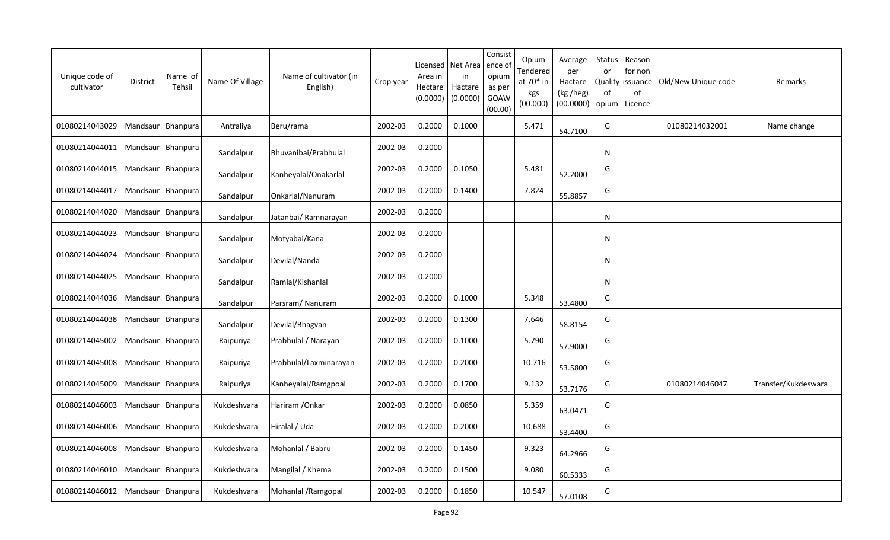| Unique code of<br>cultivator         | District            | Name of<br>Tehsil | Name Of Village | Name of cultivator (in<br>English) | Crop year | Area in<br>Hectare<br>(0.0000) | Licensed   Net Area<br>in<br>Hactare<br>(0.0000) | Consist<br>ence o<br>opium<br>as per<br>GOAW<br>(00.00) | Opium<br>Tendered<br>at $70*$ in<br>kgs<br>(00.000) | Average<br>per<br>Hactare<br>(kg /heg)<br>(00.0000) | <b>Status</b><br>or<br>0f<br>opium | Reason<br>for non<br>Quality issuance<br>of<br>Licence | Old/New Unique code | Remarks             |
|--------------------------------------|---------------------|-------------------|-----------------|------------------------------------|-----------|--------------------------------|--------------------------------------------------|---------------------------------------------------------|-----------------------------------------------------|-----------------------------------------------------|------------------------------------|--------------------------------------------------------|---------------------|---------------------|
| 01080214043029                       | Mandsaur   Bhanpura |                   | Antraliya       | Beru/rama                          | 2002-03   | 0.2000                         | 0.1000                                           |                                                         | 5.471                                               | 54.7100                                             | G                                  |                                                        | 01080214032001      | Name change         |
| 01080214044011                       | Mandsaur   Bhanpura |                   | Sandalpur       | Bhuvanibai/Prabhulal               | 2002-03   | 0.2000                         |                                                  |                                                         |                                                     |                                                     | N                                  |                                                        |                     |                     |
| 01080214044015                       | Mandsaur   Bhanpura |                   | Sandalpur       | Kanheyalal/Onakarlal               | 2002-03   | 0.2000                         | 0.1050                                           |                                                         | 5.481                                               | 52.2000                                             | G                                  |                                                        |                     |                     |
| 01080214044017                       | Mandsaur   Bhanpura |                   | Sandalpur       | Onkarlal/Nanuram                   | 2002-03   | 0.2000                         | 0.1400                                           |                                                         | 7.824                                               | 55.8857                                             | G                                  |                                                        |                     |                     |
| 01080214044020                       | Mandsaur   Bhanpura |                   | Sandalpur       | Jatanbai/ Ramnarayan               | 2002-03   | 0.2000                         |                                                  |                                                         |                                                     |                                                     | N                                  |                                                        |                     |                     |
| 01080214044023                       | Mandsaur   Bhanpura |                   | Sandalpur       | Motyabai/Kana                      | 2002-03   | 0.2000                         |                                                  |                                                         |                                                     |                                                     | N                                  |                                                        |                     |                     |
| 01080214044024                       | Mandsaur            | Bhanpura          | Sandalpur       | Devilal/Nanda                      | 2002-03   | 0.2000                         |                                                  |                                                         |                                                     |                                                     | N                                  |                                                        |                     |                     |
| 01080214044025                       | Mandsaur   Bhanpura |                   | Sandalpur       | Ramlal/Kishanlal                   | 2002-03   | 0.2000                         |                                                  |                                                         |                                                     |                                                     | N                                  |                                                        |                     |                     |
| 01080214044036                       | Mandsaur            | Bhanpura          | Sandalpur       | Parsram/Nanuram                    | 2002-03   | 0.2000                         | 0.1000                                           |                                                         | 5.348                                               | 53.4800                                             | G                                  |                                                        |                     |                     |
| 01080214044038                       | Mandsaur   Bhanpura |                   | Sandalpur       | Devilal/Bhagvan                    | 2002-03   | 0.2000                         | 0.1300                                           |                                                         | 7.646                                               | 58.8154                                             | G                                  |                                                        |                     |                     |
| 01080214045002                       | Mandsaur   Bhanpura |                   | Raipuriya       | Prabhulal / Narayan                | 2002-03   | 0.2000                         | 0.1000                                           |                                                         | 5.790                                               | 57.9000                                             | G                                  |                                                        |                     |                     |
| 01080214045008                       | Mandsaur   Bhanpura |                   | Raipuriya       | Prabhulal/Laxminarayan             | 2002-03   | 0.2000                         | 0.2000                                           |                                                         | 10.716                                              | 53.5800                                             | G                                  |                                                        |                     |                     |
| 01080214045009                       | Mandsaur   Bhanpura |                   | Raipuriya       | Kanheyalal/Ramgpoal                | 2002-03   | 0.2000                         | 0.1700                                           |                                                         | 9.132                                               | 53.7176                                             | G                                  |                                                        | 01080214046047      | Transfer/Kukdeswara |
| 01080214046003                       | Mandsaur   Bhanpura |                   | Kukdeshvara     | Hariram / Onkar                    | 2002-03   | 0.2000                         | 0.0850                                           |                                                         | 5.359                                               | 63.0471                                             | G                                  |                                                        |                     |                     |
| 01080214046006                       | Mandsaur   Bhanpura |                   | Kukdeshvara     | Hiralal / Uda                      | 2002-03   | 0.2000                         | 0.2000                                           |                                                         | 10.688                                              | 53.4400                                             | G                                  |                                                        |                     |                     |
| 01080214046008                       | Mandsaur   Bhanpura |                   | Kukdeshvara     | Mohanlal / Babru                   | 2002-03   | 0.2000                         | 0.1450                                           |                                                         | 9.323                                               | 64.2966                                             | G                                  |                                                        |                     |                     |
| 01080214046010                       | Mandsaur   Bhanpura |                   | Kukdeshvara     | Mangilal / Khema                   | 2002-03   | 0.2000                         | 0.1500                                           |                                                         | 9.080                                               | 60.5333                                             | G                                  |                                                        |                     |                     |
| 01080214046012   Mandsaur   Bhanpura |                     |                   | Kukdeshvara     | Mohanlal / Ramgopal                | 2002-03   | 0.2000                         | 0.1850                                           |                                                         | 10.547                                              | 57.0108                                             | G                                  |                                                        |                     |                     |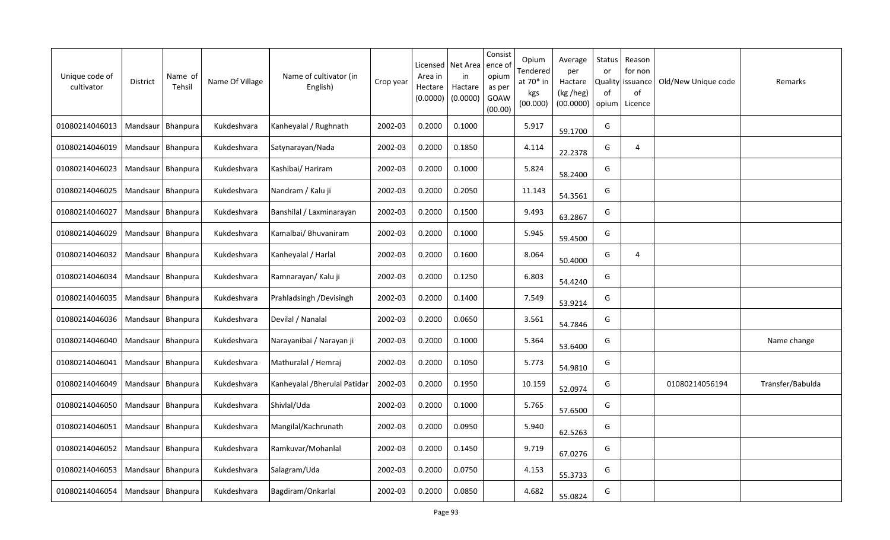| Unique code of<br>cultivator | District            | Name of<br>Tehsil   | Name Of Village | Name of cultivator (in<br>English) | Crop year | Licensed<br>Area in<br>Hectare<br>(0.0000) | Net Area<br>in<br>Hactare<br>(0.0000) | Consist<br>ence of<br>opium<br>as per<br>GOAW<br>(00.00) | Opium<br>Tendered<br>at 70* in<br>kgs<br>(00.000) | Average<br>per<br>Hactare<br>(kg /heg)<br>(00.0000) | Status<br>or<br>Quality<br>of<br>opium | Reason<br>for non<br>issuance<br>of<br>Licence | Old/New Unique code | Remarks          |
|------------------------------|---------------------|---------------------|-----------------|------------------------------------|-----------|--------------------------------------------|---------------------------------------|----------------------------------------------------------|---------------------------------------------------|-----------------------------------------------------|----------------------------------------|------------------------------------------------|---------------------|------------------|
| 01080214046013               | Mandsaur            | Bhanpura            | Kukdeshvara     | Kanheyalal / Rughnath              | 2002-03   | 0.2000                                     | 0.1000                                |                                                          | 5.917                                             | 59.1700                                             | G                                      |                                                |                     |                  |
| 01080214046019               |                     | Mandsaur   Bhanpura | Kukdeshvara     | Satynarayan/Nada                   | 2002-03   | 0.2000                                     | 0.1850                                |                                                          | 4.114                                             | 22.2378                                             | G                                      | $\overline{4}$                                 |                     |                  |
| 01080214046023               | Mandsaur   Bhanpura |                     | Kukdeshvara     | Kashibai/ Hariram                  | 2002-03   | 0.2000                                     | 0.1000                                |                                                          | 5.824                                             | 58.2400                                             | G                                      |                                                |                     |                  |
| 01080214046025               | Mandsaur Bhanpura   |                     | Kukdeshvara     | Nandram / Kalu ji                  | 2002-03   | 0.2000                                     | 0.2050                                |                                                          | 11.143                                            | 54.3561                                             | G                                      |                                                |                     |                  |
| 01080214046027               | Mandsaur   Bhanpura |                     | Kukdeshvara     | Banshilal / Laxminarayan           | 2002-03   | 0.2000                                     | 0.1500                                |                                                          | 9.493                                             | 63.2867                                             | G                                      |                                                |                     |                  |
| 01080214046029               | Mandsaur            | Bhanpura            | Kukdeshvara     | Kamalbai/ Bhuvaniram               | 2002-03   | 0.2000                                     | 0.1000                                |                                                          | 5.945                                             | 59.4500                                             | G                                      |                                                |                     |                  |
| 01080214046032               | Mandsaur            | Bhanpura            | Kukdeshvara     | Kanheyalal / Harlal                | 2002-03   | 0.2000                                     | 0.1600                                |                                                          | 8.064                                             | 50.4000                                             | G                                      | 4                                              |                     |                  |
| 01080214046034               | Mandsaur            | Bhanpura            | Kukdeshvara     | Ramnarayan/ Kalu ji                | 2002-03   | 0.2000                                     | 0.1250                                |                                                          | 6.803                                             | 54.4240                                             | G                                      |                                                |                     |                  |
| 01080214046035               | Mandsaur            | Bhanpura            | Kukdeshvara     | Prahladsingh / Devisingh           | 2002-03   | 0.2000                                     | 0.1400                                |                                                          | 7.549                                             | 53.9214                                             | G                                      |                                                |                     |                  |
| 01080214046036               | Mandsaur            | Bhanpura            | Kukdeshvara     | Devilal / Nanalal                  | 2002-03   | 0.2000                                     | 0.0650                                |                                                          | 3.561                                             | 54.7846                                             | G                                      |                                                |                     |                  |
| 01080214046040               | Mandsaur            | Bhanpura            | Kukdeshvara     | Narayanibai / Narayan ji           | 2002-03   | 0.2000                                     | 0.1000                                |                                                          | 5.364                                             | 53.6400                                             | G                                      |                                                |                     | Name change      |
| 01080214046041               | Mandsaur            | Bhanpura            | Kukdeshvara     | Mathuralal / Hemraj                | 2002-03   | 0.2000                                     | 0.1050                                |                                                          | 5.773                                             | 54.9810                                             | G                                      |                                                |                     |                  |
| 01080214046049               | Mandsaur            | Bhanpura            | Kukdeshvara     | Kanheyalal / Bherulal Patidar      | 2002-03   | 0.2000                                     | 0.1950                                |                                                          | 10.159                                            | 52.0974                                             | G                                      |                                                | 01080214056194      | Transfer/Babulda |
| 01080214046050               | Mandsaur Bhanpura   |                     | Kukdeshvara     | Shivlal/Uda                        | 2002-03   | 0.2000                                     | 0.1000                                |                                                          | 5.765                                             | 57.6500                                             | G                                      |                                                |                     |                  |
| 01080214046051               | Mandsaur            | Bhanpura            | Kukdeshvara     | Mangilal/Kachrunath                | 2002-03   | 0.2000                                     | 0.0950                                |                                                          | 5.940                                             | 62.5263                                             | G                                      |                                                |                     |                  |
| 01080214046052               |                     | Mandsaur   Bhanpura | Kukdeshvara     | Ramkuvar/Mohanlal                  | 2002-03   | 0.2000                                     | 0.1450                                |                                                          | 9.719                                             | 67.0276                                             | G                                      |                                                |                     |                  |
| 01080214046053               | Mandsaur   Bhanpura |                     | Kukdeshvara     | Salagram/Uda                       | 2002-03   | 0.2000                                     | 0.0750                                |                                                          | 4.153                                             | 55.3733                                             | G                                      |                                                |                     |                  |
| 01080214046054               | Mandsaur   Bhanpura |                     | Kukdeshvara     | Bagdiram/Onkarlal                  | 2002-03   | 0.2000                                     | 0.0850                                |                                                          | 4.682                                             | 55.0824                                             | G                                      |                                                |                     |                  |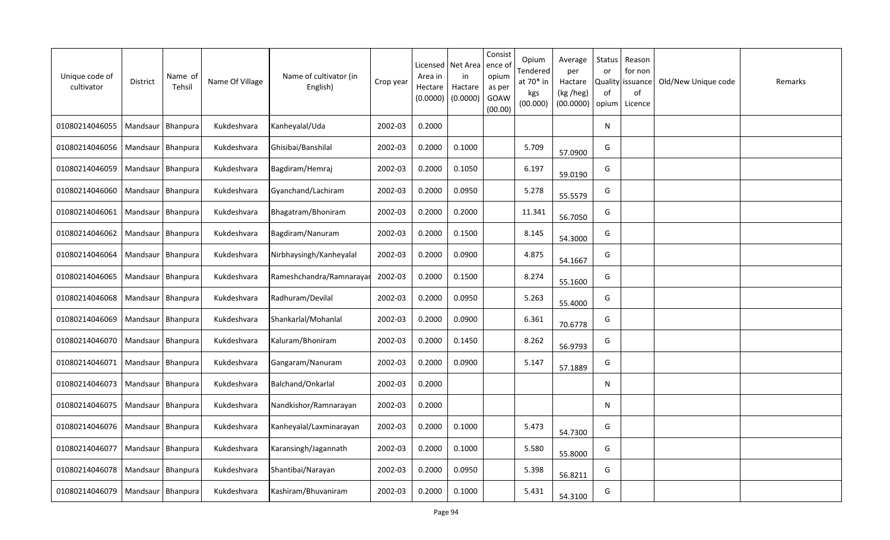| Unique code of<br>cultivator | District            | Name of<br>Tehsil | Name Of Village | Name of cultivator (in<br>English) | Crop year | Licensed<br>Area in<br>Hectare<br>(0.0000) | Net Area<br>in<br>Hactare<br>(0.0000) | Consist<br>ence of<br>opium<br>as per<br>GOAW<br>(00.00) | Opium<br>Tendered<br>at 70* in<br>kgs<br>(00.000) | Average<br>per<br>Hactare<br>(kg /heg)<br>(00.0000) | Status<br>or<br><b>Quality</b><br>of<br>opium | Reason<br>for non<br>issuance<br>of<br>Licence | Old/New Unique code | Remarks |
|------------------------------|---------------------|-------------------|-----------------|------------------------------------|-----------|--------------------------------------------|---------------------------------------|----------------------------------------------------------|---------------------------------------------------|-----------------------------------------------------|-----------------------------------------------|------------------------------------------------|---------------------|---------|
| 01080214046055               | Mandsaur   Bhanpura |                   | Kukdeshvara     | Kanheyalal/Uda                     | 2002-03   | 0.2000                                     |                                       |                                                          |                                                   |                                                     | $\mathsf{N}$                                  |                                                |                     |         |
| 01080214046056               | Mandsaur            | Bhanpura          | Kukdeshvara     | Ghisibai/Banshilal                 | 2002-03   | 0.2000                                     | 0.1000                                |                                                          | 5.709                                             | 57.0900                                             | G                                             |                                                |                     |         |
| 01080214046059               | Mandsaur            | Bhanpura          | Kukdeshvara     | Bagdiram/Hemraj                    | 2002-03   | 0.2000                                     | 0.1050                                |                                                          | 6.197                                             | 59.0190                                             | G                                             |                                                |                     |         |
| 01080214046060               | Mandsaur   Bhanpura |                   | Kukdeshvara     | Gyanchand/Lachiram                 | 2002-03   | 0.2000                                     | 0.0950                                |                                                          | 5.278                                             | 55.5579                                             | G                                             |                                                |                     |         |
| 01080214046061               | Mandsaur            | Bhanpura          | Kukdeshvara     | Bhagatram/Bhoniram                 | 2002-03   | 0.2000                                     | 0.2000                                |                                                          | 11.341                                            | 56.7050                                             | G                                             |                                                |                     |         |
| 01080214046062               | Mandsaur            | Bhanpura          | Kukdeshvara     | Bagdiram/Nanuram                   | 2002-03   | 0.2000                                     | 0.1500                                |                                                          | 8.145                                             | 54.3000                                             | G                                             |                                                |                     |         |
| 01080214046064               | Mandsaur            | Bhanpura          | Kukdeshvara     | Nirbhaysingh/Kanheyalal            | 2002-03   | 0.2000                                     | 0.0900                                |                                                          | 4.875                                             | 54.1667                                             | G                                             |                                                |                     |         |
| 01080214046065               | Mandsaur            | Bhanpura          | Kukdeshvara     | Rameshchandra/Ramnarayar           | 2002-03   | 0.2000                                     | 0.1500                                |                                                          | 8.274                                             | 55.1600                                             | G                                             |                                                |                     |         |
| 01080214046068               | Mandsaur            | Bhanpura          | Kukdeshvara     | Radhuram/Devilal                   | 2002-03   | 0.2000                                     | 0.0950                                |                                                          | 5.263                                             | 55.4000                                             | G                                             |                                                |                     |         |
| 01080214046069               | Mandsaur            | Bhanpura          | Kukdeshvara     | Shankarlal/Mohanlal                | 2002-03   | 0.2000                                     | 0.0900                                |                                                          | 6.361                                             | 70.6778                                             | G                                             |                                                |                     |         |
| 01080214046070               | Mandsaur            | Bhanpura          | Kukdeshvara     | Kaluram/Bhoniram                   | 2002-03   | 0.2000                                     | 0.1450                                |                                                          | 8.262                                             | 56.9793                                             | G                                             |                                                |                     |         |
| 01080214046071               | Mandsaur Bhanpura   |                   | Kukdeshvara     | Gangaram/Nanuram                   | 2002-03   | 0.2000                                     | 0.0900                                |                                                          | 5.147                                             | 57.1889                                             | G                                             |                                                |                     |         |
| 01080214046073               | Mandsaur            | Bhanpura          | Kukdeshvara     | Balchand/Onkarlal                  | 2002-03   | 0.2000                                     |                                       |                                                          |                                                   |                                                     | N                                             |                                                |                     |         |
| 01080214046075               | Mandsaur   Bhanpura |                   | Kukdeshvara     | Nandkishor/Ramnarayan              | 2002-03   | 0.2000                                     |                                       |                                                          |                                                   |                                                     | $\mathsf{N}$                                  |                                                |                     |         |
| 01080214046076               | Mandsaur            | Bhanpura          | Kukdeshvara     | Kanheyalal/Laxminarayan            | 2002-03   | 0.2000                                     | 0.1000                                |                                                          | 5.473                                             | 54.7300                                             | G                                             |                                                |                     |         |
| 01080214046077               | Mandsaur            | Bhanpura          | Kukdeshvara     | Karansingh/Jagannath               | 2002-03   | 0.2000                                     | 0.1000                                |                                                          | 5.580                                             | 55.8000                                             | G                                             |                                                |                     |         |
| 01080214046078               | Mandsaur   Bhanpura |                   | Kukdeshvara     | Shantibai/Narayan                  | 2002-03   | 0.2000                                     | 0.0950                                |                                                          | 5.398                                             | 56.8211                                             | G                                             |                                                |                     |         |
| 01080214046079               | Mandsaur   Bhanpura |                   | Kukdeshvara     | Kashiram/Bhuvaniram                | 2002-03   | 0.2000                                     | 0.1000                                |                                                          | 5.431                                             | 54.3100                                             | G                                             |                                                |                     |         |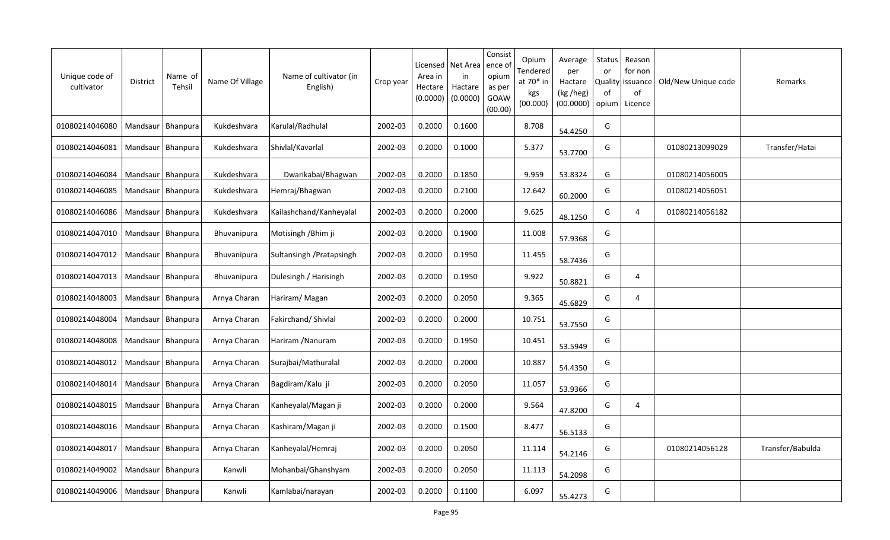| Unique code of<br>cultivator         | District            | Name of<br>Tehsil   | Name Of Village    | Name of cultivator (in<br>English) | Crop year | Area in<br>Hectare<br>(0.0000) | Licensed   Net Area<br>in<br>Hactare<br>(0.0000) | Consist<br>ence o<br>opium<br>as per<br>GOAW<br>(00.00) | Opium<br>Tendered<br>at 70* in<br>kgs<br>(00.000) | Average<br>per<br>Hactare<br>(kg /heg)<br>(00.0000) | <b>Status</b><br>or<br>0f<br>opium | Reason<br>for non<br>Quality issuance<br>of<br>Licence | Old/New Unique code | Remarks          |
|--------------------------------------|---------------------|---------------------|--------------------|------------------------------------|-----------|--------------------------------|--------------------------------------------------|---------------------------------------------------------|---------------------------------------------------|-----------------------------------------------------|------------------------------------|--------------------------------------------------------|---------------------|------------------|
| 01080214046080                       |                     | Mandsaur   Bhanpura | Kukdeshvara        | Karulal/Radhulal                   | 2002-03   | 0.2000                         | 0.1600                                           |                                                         | 8.708                                             | 54.4250                                             | G                                  |                                                        |                     |                  |
| 01080214046081                       | Mandsaur   Bhanpura |                     | Kukdeshvara        | Shivlal/Kavarlal                   | 2002-03   | 0.2000                         | 0.1000                                           |                                                         | 5.377                                             | 53.7700                                             | G                                  |                                                        | 01080213099029      | Transfer/Hatai   |
| 01080214046084                       | Mandsaur   Bhanpura |                     | Kukdeshvara        | Dwarikabai/Bhagwan                 | 2002-03   | 0.2000                         | 0.1850                                           |                                                         | 9.959                                             | 53.8324                                             | G                                  |                                                        | 01080214056005      |                  |
| 01080214046085                       | Mandsaur   Bhanpura |                     | Kukdeshvara        | Hemraj/Bhagwan                     | 2002-03   | 0.2000                         | 0.2100                                           |                                                         | 12.642                                            | 60.2000                                             | G                                  |                                                        | 01080214056051      |                  |
| 01080214046086                       | Mandsaur   Bhanpura |                     | Kukdeshvara        | Kailashchand/Kanheyalal            | 2002-03   | 0.2000                         | 0.2000                                           |                                                         | 9.625                                             | 48.1250                                             | G                                  | 4                                                      | 01080214056182      |                  |
| 01080214047010                       | Mandsaur   Bhanpura |                     | <b>Bhuvanipura</b> | Motisingh / Bhim ji                | 2002-03   | 0.2000                         | 0.1900                                           |                                                         | 11.008                                            | 57.9368                                             | G                                  |                                                        |                     |                  |
| 01080214047012                       | Mandsaur            | Bhanpura            | <b>Bhuvanipura</b> | Sultansingh / Pratapsingh          | 2002-03   | 0.2000                         | 0.1950                                           |                                                         | 11.455                                            | 58.7436                                             | G                                  |                                                        |                     |                  |
| 01080214047013                       | Mandsaur            | <b>Bhanpura</b>     | <b>Bhuvanipura</b> | Dulesingh / Harisingh              | 2002-03   | 0.2000                         | 0.1950                                           |                                                         | 9.922                                             | 50.8821                                             | G                                  | 4                                                      |                     |                  |
| 01080214048003                       | Mandsaur            | Bhanpura            | Arnya Charan       | Hariram/Magan                      | 2002-03   | 0.2000                         | 0.2050                                           |                                                         | 9.365                                             | 45.6829                                             | G                                  | $\overline{4}$                                         |                     |                  |
| 01080214048004                       | Mandsaur   Bhanpura |                     | Arnya Charan       | Fakirchand/ Shivlal                | 2002-03   | 0.2000                         | 0.2000                                           |                                                         | 10.751                                            | 53.7550                                             | G                                  |                                                        |                     |                  |
| 01080214048008                       |                     | Mandsaur   Bhanpura | Arnya Charan       | Hariram / Nanuram                  | 2002-03   | 0.2000                         | 0.1950                                           |                                                         | 10.451                                            | 53.5949                                             | G                                  |                                                        |                     |                  |
| 01080214048012                       | Mandsaur   Bhanpura |                     | Arnya Charan       | Surajbai/Mathuralal                | 2002-03   | 0.2000                         | 0.2000                                           |                                                         | 10.887                                            | 54.4350                                             | G                                  |                                                        |                     |                  |
| 01080214048014                       | Mandsaur   Bhanpura |                     | Arnya Charan       | Bagdiram/Kalu ji                   | 2002-03   | 0.2000                         | 0.2050                                           |                                                         | 11.057                                            | 53.9366                                             | G                                  |                                                        |                     |                  |
| 01080214048015   Mandsaur   Bhanpura |                     |                     | Arnya Charan       | Kanheyalal/Magan ji                | 2002-03   | 0.2000                         | 0.2000                                           |                                                         | 9.564                                             | 47.8200                                             | G                                  | 4                                                      |                     |                  |
| 01080214048016                       | Mandsaur   Bhanpura |                     | Arnya Charan       | Kashiram/Magan ji                  | 2002-03   | 0.2000                         | 0.1500                                           |                                                         | 8.477                                             | 56.5133                                             | G                                  |                                                        |                     |                  |
| 01080214048017                       | Mandsaur   Bhanpura |                     | Arnya Charan       | Kanheyalal/Hemraj                  | 2002-03   | 0.2000                         | 0.2050                                           |                                                         | 11.114                                            | 54.2146                                             | G                                  |                                                        | 01080214056128      | Transfer/Babulda |
| 01080214049002                       | Mandsaur   Bhanpura |                     | Kanwli             | Mohanbai/Ghanshyam                 | 2002-03   | 0.2000                         | 0.2050                                           |                                                         | 11.113                                            | 54.2098                                             | G                                  |                                                        |                     |                  |
| 01080214049006   Mandsaur   Bhanpura |                     |                     | Kanwli             | Kamlabai/narayan                   | 2002-03   | 0.2000                         | 0.1100                                           |                                                         | 6.097                                             | 55.4273                                             | G                                  |                                                        |                     |                  |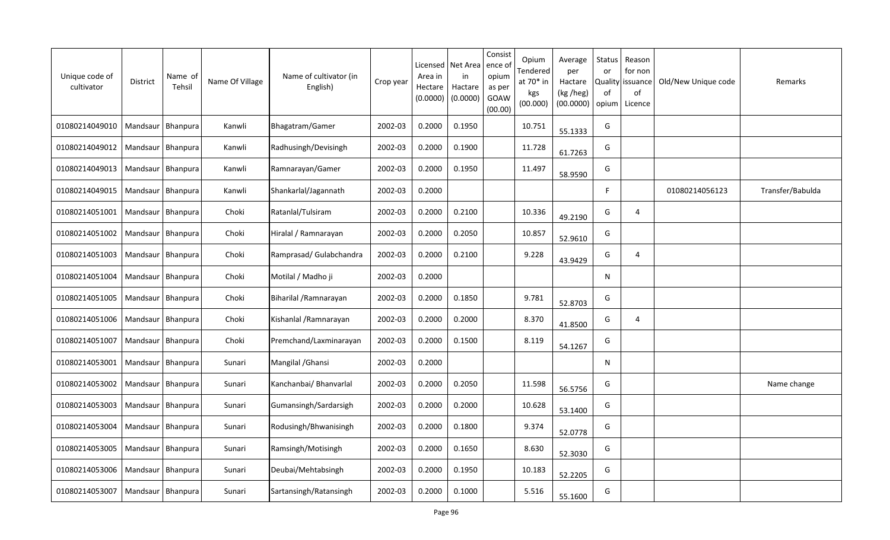| Unique code of<br>cultivator | District            | Name of<br>Tehsil   | Name Of Village | Name of cultivator (in<br>English) | Crop year | Licensed<br>Area in<br>Hectare<br>(0.0000) | Net Area<br>in<br>Hactare<br>(0.0000) | Consist<br>ence of<br>opium<br>as per<br>GOAW<br>(00.00) | Opium<br>Tendered<br>at 70* in<br>kgs<br>(00.000) | Average<br>per<br>Hactare<br>(kg /heg)<br>(00.0000) | Status<br>or<br>of<br>opium | Reason<br>for non<br>Quality   issuance<br>of<br>Licence | Old/New Unique code | Remarks          |
|------------------------------|---------------------|---------------------|-----------------|------------------------------------|-----------|--------------------------------------------|---------------------------------------|----------------------------------------------------------|---------------------------------------------------|-----------------------------------------------------|-----------------------------|----------------------------------------------------------|---------------------|------------------|
| 01080214049010               | Mandsaur   Bhanpura |                     | Kanwli          | Bhagatram/Gamer                    | 2002-03   | 0.2000                                     | 0.1950                                |                                                          | 10.751                                            | 55.1333                                             | G                           |                                                          |                     |                  |
| 01080214049012               |                     | Mandsaur   Bhanpura | Kanwli          | Radhusingh/Devisingh               | 2002-03   | 0.2000                                     | 0.1900                                |                                                          | 11.728                                            | 61.7263                                             | G                           |                                                          |                     |                  |
| 01080214049013               | Mandsaur   Bhanpura |                     | Kanwli          | Ramnarayan/Gamer                   | 2002-03   | 0.2000                                     | 0.1950                                |                                                          | 11.497                                            | 58.9590                                             | G                           |                                                          |                     |                  |
| 01080214049015               | Mandsaur   Bhanpura |                     | Kanwli          | Shankarlal/Jagannath               | 2002-03   | 0.2000                                     |                                       |                                                          |                                                   |                                                     | F                           |                                                          | 01080214056123      | Transfer/Babulda |
| 01080214051001               | Mandsaur   Bhanpura |                     | Choki           | Ratanlal/Tulsiram                  | 2002-03   | 0.2000                                     | 0.2100                                |                                                          | 10.336                                            | 49.2190                                             | G                           | $\overline{4}$                                           |                     |                  |
| 01080214051002               | Mandsaur Bhanpura   |                     | Choki           | Hiralal / Ramnarayan               | 2002-03   | 0.2000                                     | 0.2050                                |                                                          | 10.857                                            | 52.9610                                             | G                           |                                                          |                     |                  |
| 01080214051003               | Mandsaur            | Bhanpura            | Choki           | Ramprasad/Gulabchandra             | 2002-03   | 0.2000                                     | 0.2100                                |                                                          | 9.228                                             | 43.9429                                             | G                           | $\overline{4}$                                           |                     |                  |
| 01080214051004               | Mandsaur   Bhanpura |                     | Choki           | Motilal / Madho ji                 | 2002-03   | 0.2000                                     |                                       |                                                          |                                                   |                                                     | N                           |                                                          |                     |                  |
| 01080214051005               | Mandsaur            | Bhanpura            | Choki           | Biharilal / Ramnarayan             | 2002-03   | 0.2000                                     | 0.1850                                |                                                          | 9.781                                             | 52.8703                                             | G                           |                                                          |                     |                  |
| 01080214051006               | Mandsaur            | Bhanpura            | Choki           | Kishanlal / Ramnarayan             | 2002-03   | 0.2000                                     | 0.2000                                |                                                          | 8.370                                             | 41.8500                                             | G                           | 4                                                        |                     |                  |
| 01080214051007               | Mandsaur            | Bhanpura            | Choki           | Premchand/Laxminarayan             | 2002-03   | 0.2000                                     | 0.1500                                |                                                          | 8.119                                             | 54.1267                                             | G                           |                                                          |                     |                  |
| 01080214053001               |                     | Mandsaur   Bhanpura | Sunari          | Mangilal / Ghansi                  | 2002-03   | 0.2000                                     |                                       |                                                          |                                                   |                                                     | N                           |                                                          |                     |                  |
| 01080214053002               |                     | Mandsaur   Bhanpura | Sunari          | Kanchanbai/ Bhanvarlal             | 2002-03   | 0.2000                                     | 0.2050                                |                                                          | 11.598                                            | 56.5756                                             | G                           |                                                          |                     | Name change      |
| 01080214053003               | Mandsaur   Bhanpura |                     | Sunari          | Gumansingh/Sardarsigh              | 2002-03   | 0.2000                                     | 0.2000                                |                                                          | 10.628                                            | 53.1400                                             | G                           |                                                          |                     |                  |
| 01080214053004               |                     | Mandsaur   Bhanpura | Sunari          | Rodusingh/Bhwanisingh              | 2002-03   | 0.2000                                     | 0.1800                                |                                                          | 9.374                                             | 52.0778                                             | G                           |                                                          |                     |                  |
| 01080214053005               | Mandsaur   Bhanpura |                     | Sunari          | Ramsingh/Motisingh                 | 2002-03   | 0.2000                                     | 0.1650                                |                                                          | 8.630                                             | 52.3030                                             | G                           |                                                          |                     |                  |
| 01080214053006               | Mandsaur   Bhanpura |                     | Sunari          | Deubai/Mehtabsingh                 | 2002-03   | 0.2000                                     | 0.1950                                |                                                          | 10.183                                            | 52.2205                                             | G                           |                                                          |                     |                  |
| 01080214053007               | Mandsaur Bhanpura   |                     | Sunari          | Sartansingh/Ratansingh             | 2002-03   | 0.2000                                     | 0.1000                                |                                                          | 5.516                                             | 55.1600                                             | G                           |                                                          |                     |                  |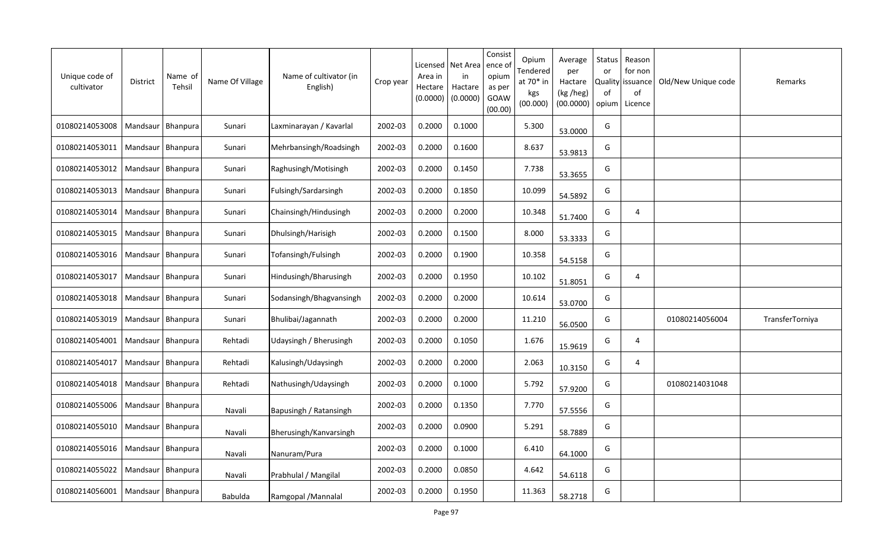| Unique code of<br>cultivator         | District            | Name of<br>Tehsil   | Name Of Village | Name of cultivator (in<br>English) | Crop year | Licensed<br>Area in<br>Hectare<br>(0.0000) | Net Area<br>in<br>Hactare<br>(0.0000) | Consist<br>ence of<br>opium<br>as per<br>GOAW<br>(00.00) | Opium<br>Tendered<br>at 70* in<br>kgs<br>(00.000) | Average<br>per<br>Hactare<br>(kg /heg)<br>(00.0000) | Status<br>or<br>0f<br>opium | Reason<br>for non<br>Quality   issuance<br>of<br>Licence | Old/New Unique code | Remarks         |
|--------------------------------------|---------------------|---------------------|-----------------|------------------------------------|-----------|--------------------------------------------|---------------------------------------|----------------------------------------------------------|---------------------------------------------------|-----------------------------------------------------|-----------------------------|----------------------------------------------------------|---------------------|-----------------|
| 01080214053008                       | Mandsaur   Bhanpura |                     | Sunari          | Laxminarayan / Kavarlal            | 2002-03   | 0.2000                                     | 0.1000                                |                                                          | 5.300                                             | 53.0000                                             | G                           |                                                          |                     |                 |
| 01080214053011                       | Mandsaur   Bhanpura |                     | Sunari          | Mehrbansingh/Roadsingh             | 2002-03   | 0.2000                                     | 0.1600                                |                                                          | 8.637                                             | 53.9813                                             | G                           |                                                          |                     |                 |
| 01080214053012                       | Mandsaur   Bhanpura |                     | Sunari          | Raghusingh/Motisingh               | 2002-03   | 0.2000                                     | 0.1450                                |                                                          | 7.738                                             | 53.3655                                             | G                           |                                                          |                     |                 |
| 01080214053013                       | Mandsaur   Bhanpura |                     | Sunari          | Fulsingh/Sardarsingh               | 2002-03   | 0.2000                                     | 0.1850                                |                                                          | 10.099                                            | 54.5892                                             | G                           |                                                          |                     |                 |
| 01080214053014                       | Mandsaur   Bhanpura |                     | Sunari          | Chainsingh/Hindusingh              | 2002-03   | 0.2000                                     | 0.2000                                |                                                          | 10.348                                            | 51.7400                                             | G                           | $\overline{4}$                                           |                     |                 |
| 01080214053015                       | Mandsaur Bhanpura   |                     | Sunari          | Dhulsingh/Harisigh                 | 2002-03   | 0.2000                                     | 0.1500                                |                                                          | 8.000                                             | 53.3333                                             | G                           |                                                          |                     |                 |
| 01080214053016                       | Mandsaur   Bhanpura |                     | Sunari          | Tofansingh/Fulsingh                | 2002-03   | 0.2000                                     | 0.1900                                |                                                          | 10.358                                            | 54.5158                                             | G                           |                                                          |                     |                 |
| 01080214053017                       | Mandsaur   Bhanpura |                     | Sunari          | Hindusingh/Bharusingh              | 2002-03   | 0.2000                                     | 0.1950                                |                                                          | 10.102                                            | 51.8051                                             | G                           | $\overline{4}$                                           |                     |                 |
| 01080214053018                       | Mandsaur   Bhanpura |                     | Sunari          | Sodansingh/Bhagvansingh            | 2002-03   | 0.2000                                     | 0.2000                                |                                                          | 10.614                                            | 53.0700                                             | G                           |                                                          |                     |                 |
| 01080214053019                       | Mandsaur            | Bhanpura            | Sunari          | Bhulibai/Jagannath                 | 2002-03   | 0.2000                                     | 0.2000                                |                                                          | 11.210                                            | 56.0500                                             | G                           |                                                          | 01080214056004      | TransferTorniya |
| 01080214054001                       | Mandsaur            | <b>Bhanpura</b>     | Rehtadi         | Udaysingh / Bherusingh             | 2002-03   | 0.2000                                     | 0.1050                                |                                                          | 1.676                                             | 15.9619                                             | G                           | 4                                                        |                     |                 |
| 01080214054017                       | Mandsaur            | Bhanpura            | Rehtadi         | Kalusingh/Udaysingh                | 2002-03   | 0.2000                                     | 0.2000                                |                                                          | 2.063                                             | 10.3150                                             | G                           | $\overline{4}$                                           |                     |                 |
| 01080214054018                       | Mandsaur            | <b>Bhanpura</b>     | Rehtadi         | Nathusingh/Udaysingh               | 2002-03   | 0.2000                                     | 0.1000                                |                                                          | 5.792                                             | 57.9200                                             | G                           |                                                          | 01080214031048      |                 |
| 01080214055006                       | Mandsaur            | Bhanpura            | Navali          | Bapusingh / Ratansingh             | 2002-03   | 0.2000                                     | 0.1350                                |                                                          | 7.770                                             | 57.5556                                             | G                           |                                                          |                     |                 |
| 01080214055010                       | Mandsaur            | Bhanpura            | Navali          | Bherusingh/Kanvarsingh             | 2002-03   | 0.2000                                     | 0.0900                                |                                                          | 5.291                                             | 58.7889                                             | G                           |                                                          |                     |                 |
| 01080214055016                       |                     | Mandsaur   Bhanpura | Navali          | Nanuram/Pura                       | 2002-03   | 0.2000                                     | 0.1000                                |                                                          | 6.410                                             | 64.1000                                             | G                           |                                                          |                     |                 |
| 01080214055022                       |                     | Mandsaur   Bhanpura | Navali          | Prabhulal / Mangilal               | 2002-03   | 0.2000                                     | 0.0850                                |                                                          | 4.642                                             | 54.6118                                             | G                           |                                                          |                     |                 |
| 01080214056001   Mandsaur   Bhanpura |                     |                     | <b>Babulda</b>  | Ramgopal / Mannalal                | 2002-03   | 0.2000                                     | 0.1950                                |                                                          | 11.363                                            | 58.2718                                             | G                           |                                                          |                     |                 |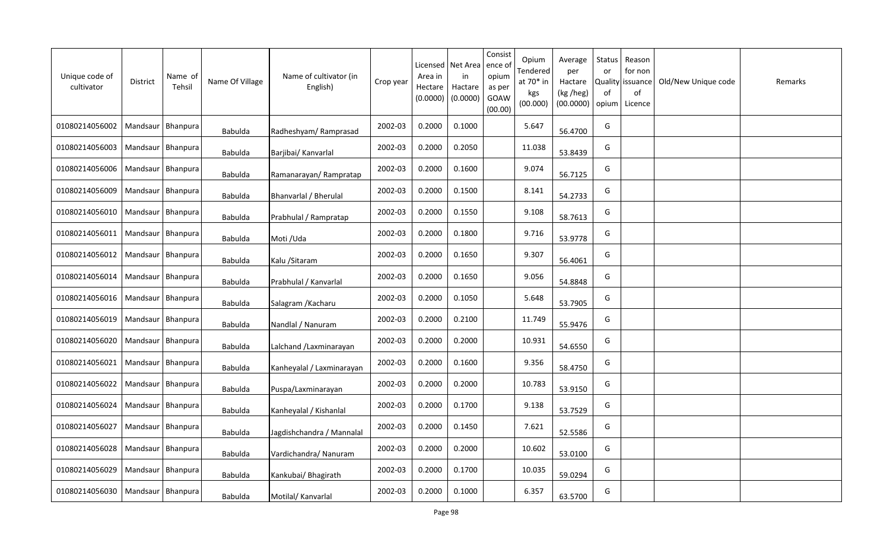| Unique code of<br>cultivator | District            | Name of<br>Tehsil | Name Of Village | Name of cultivator (in<br>English) | Crop year | Licensed<br>Area in<br>Hectare<br>(0.0000) | Net Area<br>in<br>Hactare<br>(0.0000) | Consist<br>ence of<br>opium<br>as per<br>GOAW<br>(00.00) | Opium<br>Tendered<br>at 70* in<br>kgs<br>(00.000) | Average<br>per<br>Hactare<br>(kg /heg)<br>(00.0000) | Status<br>or<br><b>Quality</b><br>of<br>opium | Reason<br>for non<br>issuance<br>of<br>Licence | Old/New Unique code | Remarks |
|------------------------------|---------------------|-------------------|-----------------|------------------------------------|-----------|--------------------------------------------|---------------------------------------|----------------------------------------------------------|---------------------------------------------------|-----------------------------------------------------|-----------------------------------------------|------------------------------------------------|---------------------|---------|
| 01080214056002               | Mandsaur            | Bhanpura          | <b>Babulda</b>  | Radheshyam/Ramprasad               | 2002-03   | 0.2000                                     | 0.1000                                |                                                          | 5.647                                             | 56.4700                                             | G                                             |                                                |                     |         |
| 01080214056003               | Mandsaur   Bhanpura |                   | Babulda         | Barjibai/ Kanvarlal                | 2002-03   | 0.2000                                     | 0.2050                                |                                                          | 11.038                                            | 53.8439                                             | G                                             |                                                |                     |         |
| 01080214056006               | Mandsaur   Bhanpura |                   | Babulda         | Ramanarayan/Rampratap              | 2002-03   | 0.2000                                     | 0.1600                                |                                                          | 9.074                                             | 56.7125                                             | G                                             |                                                |                     |         |
| 01080214056009               | Mandsaur   Bhanpura |                   | <b>Babulda</b>  | Bhanvarlal / Bherulal              | 2002-03   | 0.2000                                     | 0.1500                                |                                                          | 8.141                                             | 54.2733                                             | G                                             |                                                |                     |         |
| 01080214056010               | Mandsaur   Bhanpura |                   | <b>Babulda</b>  | Prabhulal / Rampratap              | 2002-03   | 0.2000                                     | 0.1550                                |                                                          | 9.108                                             | 58.7613                                             | G                                             |                                                |                     |         |
| 01080214056011               | Mandsaur Bhanpura   |                   | <b>Babulda</b>  | Moti /Uda                          | 2002-03   | 0.2000                                     | 0.1800                                |                                                          | 9.716                                             | 53.9778                                             | G                                             |                                                |                     |         |
| 01080214056012               | Mandsaur   Bhanpura |                   | <b>Babulda</b>  | Kalu / Sitaram                     | 2002-03   | 0.2000                                     | 0.1650                                |                                                          | 9.307                                             | 56.4061                                             | G                                             |                                                |                     |         |
| 01080214056014               | Mandsaur            | Bhanpura          | <b>Babulda</b>  | Prabhulal / Kanvarlal              | 2002-03   | 0.2000                                     | 0.1650                                |                                                          | 9.056                                             | 54.8848                                             | G                                             |                                                |                     |         |
| 01080214056016               | Mandsaur   Bhanpura |                   | <b>Babulda</b>  | Salagram / Kacharu                 | 2002-03   | 0.2000                                     | 0.1050                                |                                                          | 5.648                                             | 53.7905                                             | G                                             |                                                |                     |         |
| 01080214056019               | Mandsaur            | Bhanpura          | Babulda         | Nandlal / Nanuram                  | 2002-03   | 0.2000                                     | 0.2100                                |                                                          | 11.749                                            | 55.9476                                             | G                                             |                                                |                     |         |
| 01080214056020               | Mandsaur            | <b>Bhanpura</b>   | Babulda         | Lalchand / Laxminarayan            | 2002-03   | 0.2000                                     | 0.2000                                |                                                          | 10.931                                            | 54.6550                                             | G                                             |                                                |                     |         |
| 01080214056021               | Mandsaur            | Bhanpura          | Babulda         | Kanheyalal / Laxminarayan          | 2002-03   | 0.2000                                     | 0.1600                                |                                                          | 9.356                                             | 58.4750                                             | G                                             |                                                |                     |         |
| 01080214056022               | Mandsaur            | <b>Bhanpura</b>   | <b>Babulda</b>  | Puspa/Laxminarayan                 | 2002-03   | 0.2000                                     | 0.2000                                |                                                          | 10.783                                            | 53.9150                                             | G                                             |                                                |                     |         |
| 01080214056024               | Mandsaur            | Bhanpura          | Babulda         | Kanheyalal / Kishanlal             | 2002-03   | 0.2000                                     | 0.1700                                |                                                          | 9.138                                             | 53.7529                                             | G                                             |                                                |                     |         |
| 01080214056027               | Mandsaur            | Bhanpura          | <b>Babulda</b>  | Jagdishchandra / Mannalal          | 2002-03   | 0.2000                                     | 0.1450                                |                                                          | 7.621                                             | 52.5586                                             | G                                             |                                                |                     |         |
| 01080214056028               | Mandsaur            | Bhanpura          | <b>Babulda</b>  | Vardichandra/ Nanuram              | 2002-03   | 0.2000                                     | 0.2000                                |                                                          | 10.602                                            | 53.0100                                             | G                                             |                                                |                     |         |
| 01080214056029               | Mandsaur            | Bhanpura          | <b>Babulda</b>  | Kankubai/ Bhagirath                | 2002-03   | 0.2000                                     | 0.1700                                |                                                          | 10.035                                            | 59.0294                                             | G                                             |                                                |                     |         |
| 01080214056030               | Mandsaur   Bhanpura |                   | <b>Babulda</b>  | Motilal/ Kanvarlal                 | 2002-03   | 0.2000                                     | 0.1000                                |                                                          | 6.357                                             | 63.5700                                             | G                                             |                                                |                     |         |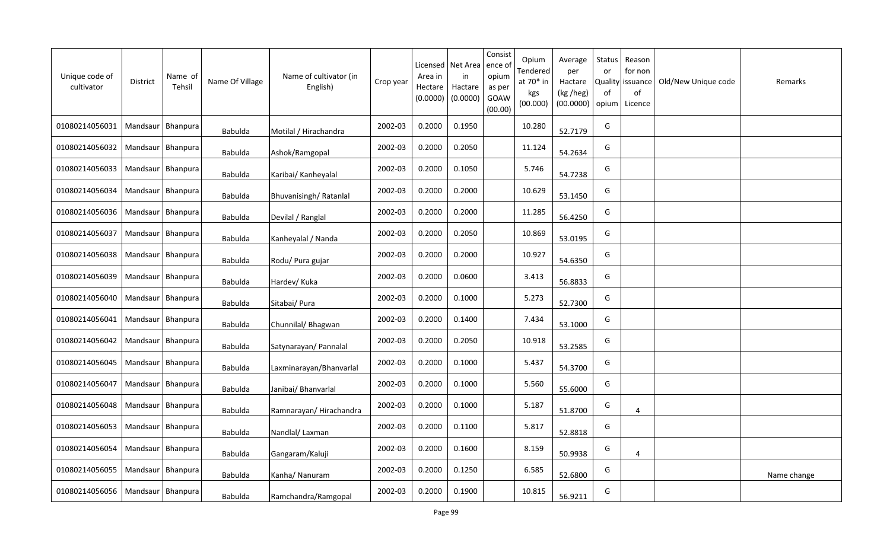| Unique code of<br>cultivator | <b>District</b>     | Name of<br>Tehsil | Name Of Village | Name of cultivator (in<br>English) | Crop year | Licensed<br>Area in<br>Hectare<br>(0.0000) | Net Area<br>in<br>Hactare<br>(0.0000) | Consist<br>ence of<br>opium<br>as per<br>GOAW<br>(00.00) | Opium<br>Tendered<br>at 70* in<br>kgs<br>(00.000) | Average<br>per<br>Hactare<br>(kg /heg)<br>(00.0000) | Status<br>or<br><b>Quality</b><br>of<br>opium | Reason<br>for non<br>issuance<br>of<br>Licence | Old/New Unique code | Remarks     |
|------------------------------|---------------------|-------------------|-----------------|------------------------------------|-----------|--------------------------------------------|---------------------------------------|----------------------------------------------------------|---------------------------------------------------|-----------------------------------------------------|-----------------------------------------------|------------------------------------------------|---------------------|-------------|
| 01080214056031               | Mandsaur   Bhanpura |                   | <b>Babulda</b>  | Motilal / Hirachandra              | 2002-03   | 0.2000                                     | 0.1950                                |                                                          | 10.280                                            | 52.7179                                             | G                                             |                                                |                     |             |
| 01080214056032               | Mandsaur   Bhanpura |                   | Babulda         | Ashok/Ramgopal                     | 2002-03   | 0.2000                                     | 0.2050                                |                                                          | 11.124                                            | 54.2634                                             | G                                             |                                                |                     |             |
| 01080214056033               | Mandsaur   Bhanpura |                   | <b>Babulda</b>  | Karibai/ Kanheyalal                | 2002-03   | 0.2000                                     | 0.1050                                |                                                          | 5.746                                             | 54.7238                                             | G                                             |                                                |                     |             |
| 01080214056034               | Mandsaur   Bhanpura |                   | Babulda         | Bhuvanisingh/Ratanlal              | 2002-03   | 0.2000                                     | 0.2000                                |                                                          | 10.629                                            | 53.1450                                             | G                                             |                                                |                     |             |
| 01080214056036               | Mandsaur   Bhanpura |                   | <b>Babulda</b>  | Devilal / Ranglal                  | 2002-03   | 0.2000                                     | 0.2000                                |                                                          | 11.285                                            | 56.4250                                             | G                                             |                                                |                     |             |
| 01080214056037               | Mandsaur Bhanpura   |                   | <b>Babulda</b>  | Kanheyalal / Nanda                 | 2002-03   | 0.2000                                     | 0.2050                                |                                                          | 10.869                                            | 53.0195                                             | G                                             |                                                |                     |             |
| 01080214056038               | Mandsaur            | Bhanpura          | <b>Babulda</b>  | Rodu/ Pura gujar                   | 2002-03   | 0.2000                                     | 0.2000                                |                                                          | 10.927                                            | 54.6350                                             | G                                             |                                                |                     |             |
| 01080214056039               | Mandsaur   Bhanpura |                   | Babulda         | Hardev/ Kuka                       | 2002-03   | 0.2000                                     | 0.0600                                |                                                          | 3.413                                             | 56.8833                                             | G                                             |                                                |                     |             |
| 01080214056040               | Mandsaur            | Bhanpura          | <b>Babulda</b>  | Sitabai/ Pura                      | 2002-03   | 0.2000                                     | 0.1000                                |                                                          | 5.273                                             | 52.7300                                             | G                                             |                                                |                     |             |
| 01080214056041               | Mandsaur   Bhanpura |                   | Babulda         | Chunnilal/ Bhagwan                 | 2002-03   | 0.2000                                     | 0.1400                                |                                                          | 7.434                                             | 53.1000                                             | G                                             |                                                |                     |             |
| 01080214056042               | Mandsaur            | Bhanpura          | Babulda         | Satynarayan/ Pannalal              | 2002-03   | 0.2000                                     | 0.2050                                |                                                          | 10.918                                            | 53.2585                                             | G                                             |                                                |                     |             |
| 01080214056045               | Mandsaur            | Bhanpura          | Babulda         | Laxminarayan/Bhanvarlal            | 2002-03   | 0.2000                                     | 0.1000                                |                                                          | 5.437                                             | 54.3700                                             | G                                             |                                                |                     |             |
| 01080214056047               | Mandsaur            | Bhanpura          | Babulda         | Janibai/ Bhanvarlal                | 2002-03   | 0.2000                                     | 0.1000                                |                                                          | 5.560                                             | 55.6000                                             | G                                             |                                                |                     |             |
| 01080214056048               | Mandsaur            | Bhanpura          | Babulda         | Ramnarayan/Hirachandra             | 2002-03   | 0.2000                                     | 0.1000                                |                                                          | 5.187                                             | 51.8700                                             | G                                             | $\overline{4}$                                 |                     |             |
| 01080214056053               | Mandsaur            | Bhanpura          | Babulda         | Nandlal/Laxman                     | 2002-03   | 0.2000                                     | 0.1100                                |                                                          | 5.817                                             | 52.8818                                             | G                                             |                                                |                     |             |
| 01080214056054               | Mandsaur            | Bhanpura          | <b>Babulda</b>  | Gangaram/Kaluji                    | 2002-03   | 0.2000                                     | 0.1600                                |                                                          | 8.159                                             | 50.9938                                             | G                                             | 4                                              |                     |             |
| 01080214056055               | Mandsaur            | <b>Bhanpura</b>   | <b>Babulda</b>  | Kanha/ Nanuram                     | 2002-03   | 0.2000                                     | 0.1250                                |                                                          | 6.585                                             | 52.6800                                             | G                                             |                                                |                     | Name change |
| 01080214056056               | Mandsaur   Bhanpura |                   | Babulda         | Ramchandra/Ramgopal                | 2002-03   | 0.2000                                     | 0.1900                                |                                                          | 10.815                                            | 56.9211                                             | G                                             |                                                |                     |             |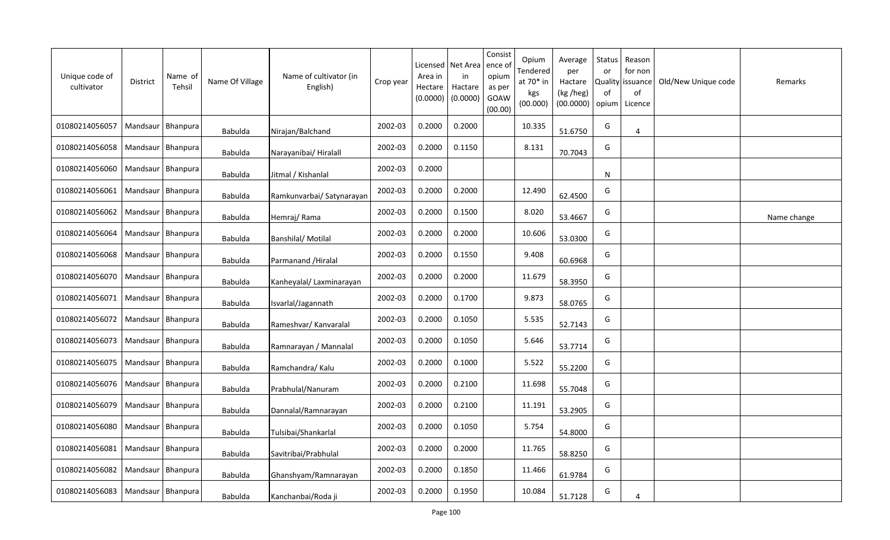| Unique code of<br>cultivator | <b>District</b>     | Name of<br>Tehsil | Name Of Village | Name of cultivator (in<br>English) | Crop year | Licensed<br>Area in<br>Hectare<br>(0.0000) | Net Area<br>in<br>Hactare<br>(0.0000) | Consist<br>ence of<br>opium<br>as per<br>GOAW<br>(00.00) | Opium<br>Tendered<br>at 70* in<br>kgs<br>(00.000) | Average<br>per<br>Hactare<br>(kg /heg)<br>(00.0000) | Status<br>or<br>Quality<br>of<br>opium | Reason<br>for non<br>issuance<br>of<br>Licence | Old/New Unique code | Remarks     |
|------------------------------|---------------------|-------------------|-----------------|------------------------------------|-----------|--------------------------------------------|---------------------------------------|----------------------------------------------------------|---------------------------------------------------|-----------------------------------------------------|----------------------------------------|------------------------------------------------|---------------------|-------------|
| 01080214056057               | Mandsaur   Bhanpura |                   | Babulda         | Nirajan/Balchand                   | 2002-03   | 0.2000                                     | 0.2000                                |                                                          | 10.335                                            | 51.6750                                             | G                                      | 4                                              |                     |             |
| 01080214056058               | Mandsaur   Bhanpura |                   | Babulda         | Narayanibai/ Hiralall              | 2002-03   | 0.2000                                     | 0.1150                                |                                                          | 8.131                                             | 70.7043                                             | G                                      |                                                |                     |             |
| 01080214056060               | Mandsaur   Bhanpura |                   | Babulda         | Jitmal / Kishanlal                 | 2002-03   | 0.2000                                     |                                       |                                                          |                                                   |                                                     | <b>N</b>                               |                                                |                     |             |
| 01080214056061               | Mandsaur   Bhanpura |                   | <b>Babulda</b>  | Ramkunvarbai/ Satynarayan          | 2002-03   | 0.2000                                     | 0.2000                                |                                                          | 12.490                                            | 62.4500                                             | G                                      |                                                |                     |             |
| 01080214056062               | Mandsaur   Bhanpura |                   | Babulda         | Hemraj/Rama                        | 2002-03   | 0.2000                                     | 0.1500                                |                                                          | 8.020                                             | 53.4667                                             | G                                      |                                                |                     | Name change |
| 01080214056064               | Mandsaur Bhanpura   |                   | Babulda         | <b>Banshilal/Motilal</b>           | 2002-03   | 0.2000                                     | 0.2000                                |                                                          | 10.606                                            | 53.0300                                             | G                                      |                                                |                     |             |
| 01080214056068               | Mandsaur   Bhanpura |                   | <b>Babulda</b>  | Parmanand / Hiralal                | 2002-03   | 0.2000                                     | 0.1550                                |                                                          | 9.408                                             | 60.6968                                             | G                                      |                                                |                     |             |
| 01080214056070               | Mandsaur   Bhanpura |                   | <b>Babulda</b>  | Kanheyalal/ Laxminarayan           | 2002-03   | 0.2000                                     | 0.2000                                |                                                          | 11.679                                            | 58.3950                                             | G                                      |                                                |                     |             |
| 01080214056071               | Mandsaur   Bhanpura |                   | <b>Babulda</b>  | Isvarlal/Jagannath                 | 2002-03   | 0.2000                                     | 0.1700                                |                                                          | 9.873                                             | 58.0765                                             | G                                      |                                                |                     |             |
| 01080214056072               | Mandsaur   Bhanpura |                   | Babulda         | Rameshvar/ Kanvaralal              | 2002-03   | 0.2000                                     | 0.1050                                |                                                          | 5.535                                             | 52.7143                                             | G                                      |                                                |                     |             |
| 01080214056073               | Mandsaur            | Bhanpura          | Babulda         | Ramnarayan / Mannalal              | 2002-03   | 0.2000                                     | 0.1050                                |                                                          | 5.646                                             | 53.7714                                             | G                                      |                                                |                     |             |
| 01080214056075               | Mandsaur   Bhanpura |                   | Babulda         | Ramchandra/ Kalu                   | 2002-03   | 0.2000                                     | 0.1000                                |                                                          | 5.522                                             | 55.2200                                             | G                                      |                                                |                     |             |
| 01080214056076               | Mandsaur            | Bhanpura          | Babulda         | Prabhulal/Nanuram                  | 2002-03   | 0.2000                                     | 0.2100                                |                                                          | 11.698                                            | 55.7048                                             | G                                      |                                                |                     |             |
| 01080214056079               | Mandsaur   Bhanpura |                   | Babulda         | Dannalal/Ramnarayan                | 2002-03   | 0.2000                                     | 0.2100                                |                                                          | 11.191                                            | 53.2905                                             | G                                      |                                                |                     |             |
| 01080214056080               | Mandsaur   Bhanpura |                   | <b>Babulda</b>  | Tulsibai/Shankarlal                | 2002-03   | 0.2000                                     | 0.1050                                |                                                          | 5.754                                             | 54.8000                                             | G                                      |                                                |                     |             |
| 01080214056081               | Mandsaur   Bhanpura |                   | Babulda         | Savitribai/Prabhulal               | 2002-03   | 0.2000                                     | 0.2000                                |                                                          | 11.765                                            | 58.8250                                             | G                                      |                                                |                     |             |
| 01080214056082               | Mandsaur   Bhanpura |                   | <b>Babulda</b>  | Ghanshyam/Ramnarayan               | 2002-03   | 0.2000                                     | 0.1850                                |                                                          | 11.466                                            | 61.9784                                             | G                                      |                                                |                     |             |
| 01080214056083               | Mandsaur   Bhanpura |                   | Babulda         | Kanchanbai/Roda ji                 | 2002-03   | 0.2000                                     | 0.1950                                |                                                          | 10.084                                            | 51.7128                                             | G                                      | 4                                              |                     |             |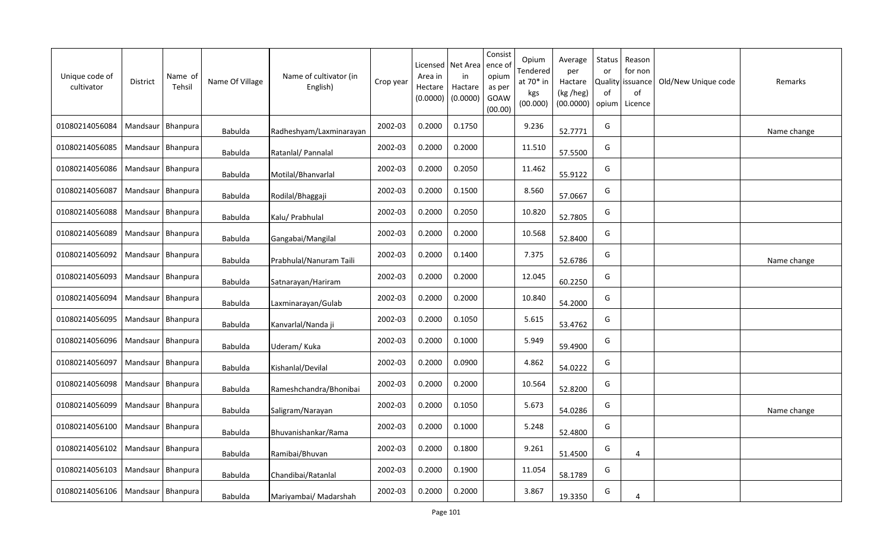| Unique code of<br>cultivator | <b>District</b>     | Name of<br>Tehsil | Name Of Village | Name of cultivator (in<br>English) | Crop year | Area in<br>Hectare<br>(0.0000) | Licensed   Net Area<br>in<br>Hactare<br>(0.0000) | Consist<br>ence o<br>opium<br>as per<br>GOAW<br>(00.00) | Opium<br>Tendered<br>at 70* in<br>kgs<br>(00.000) | Average<br>per<br>Hactare<br>(kg /heg)<br>(00.0000) | Status<br>or<br>of<br>opium | Reason<br>for non<br>Quality issuance<br>of<br>Licence | Old/New Unique code | Remarks     |
|------------------------------|---------------------|-------------------|-----------------|------------------------------------|-----------|--------------------------------|--------------------------------------------------|---------------------------------------------------------|---------------------------------------------------|-----------------------------------------------------|-----------------------------|--------------------------------------------------------|---------------------|-------------|
| 01080214056084               | Mandsaur   Bhanpura |                   | Babulda         | Radheshyam/Laxminarayan            | 2002-03   | 0.2000                         | 0.1750                                           |                                                         | 9.236                                             | 52.7771                                             | G                           |                                                        |                     | Name change |
| 01080214056085               | Mandsaur   Bhanpura |                   | Babulda         | Ratanlal/ Pannalal                 | 2002-03   | 0.2000                         | 0.2000                                           |                                                         | 11.510                                            | 57.5500                                             | G                           |                                                        |                     |             |
| 01080214056086               | Mandsaur   Bhanpura |                   | <b>Babulda</b>  | Motilal/Bhanvarlal                 | 2002-03   | 0.2000                         | 0.2050                                           |                                                         | 11.462                                            | 55.9122                                             | G                           |                                                        |                     |             |
| 01080214056087               | Mandsaur   Bhanpura |                   | Babulda         | Rodilal/Bhaggaji                   | 2002-03   | 0.2000                         | 0.1500                                           |                                                         | 8.560                                             | 57.0667                                             | G                           |                                                        |                     |             |
| 01080214056088               | Mandsaur   Bhanpura |                   | Babulda         | Kalu/ Prabhulal                    | 2002-03   | 0.2000                         | 0.2050                                           |                                                         | 10.820                                            | 52.7805                                             | G                           |                                                        |                     |             |
| 01080214056089               | Mandsaur Bhanpura   |                   | Babulda         | Gangabai/Mangilal                  | 2002-03   | 0.2000                         | 0.2000                                           |                                                         | 10.568                                            | 52.8400                                             | G                           |                                                        |                     |             |
| 01080214056092               | Mandsaur   Bhanpura |                   | <b>Babulda</b>  | Prabhulal/Nanuram Taili            | 2002-03   | 0.2000                         | 0.1400                                           |                                                         | 7.375                                             | 52.6786                                             | G                           |                                                        |                     | Name change |
| 01080214056093               | Mandsaur   Bhanpura |                   | <b>Babulda</b>  | Satnarayan/Hariram                 | 2002-03   | 0.2000                         | 0.2000                                           |                                                         | 12.045                                            | 60.2250                                             | G                           |                                                        |                     |             |
| 01080214056094               | Mandsaur   Bhanpura |                   | <b>Babulda</b>  | Laxminarayan/Gulab                 | 2002-03   | 0.2000                         | 0.2000                                           |                                                         | 10.840                                            | 54.2000                                             | G                           |                                                        |                     |             |
| 01080214056095               | Mandsaur            | Bhanpura          | <b>Babulda</b>  | Kanvarlal/Nanda ji                 | 2002-03   | 0.2000                         | 0.1050                                           |                                                         | 5.615                                             | 53.4762                                             | G                           |                                                        |                     |             |
| 01080214056096               | Mandsaur            | Bhanpura          | <b>Babulda</b>  | Uderam/Kuka                        | 2002-03   | 0.2000                         | 0.1000                                           |                                                         | 5.949                                             | 59.4900                                             | G                           |                                                        |                     |             |
| 01080214056097               | Mandsaur            | <b>Bhanpura</b>   | <b>Babulda</b>  | Kishanlal/Devilal                  | 2002-03   | 0.2000                         | 0.0900                                           |                                                         | 4.862                                             | 54.0222                                             | G                           |                                                        |                     |             |
| 01080214056098               | Mandsaur            | Bhanpura          | <b>Babulda</b>  | Rameshchandra/Bhonibai             | 2002-03   | 0.2000                         | 0.2000                                           |                                                         | 10.564                                            | 52.8200                                             | G                           |                                                        |                     |             |
| 01080214056099               | Mandsaur   Bhanpura |                   | Babulda         | Saligram/Narayan                   | 2002-03   | 0.2000                         | 0.1050                                           |                                                         | 5.673                                             | 54.0286                                             | G                           |                                                        |                     | Name change |
| 01080214056100               | Mandsaur            | Bhanpura          | Babulda         | Bhuvanishankar/Rama                | 2002-03   | 0.2000                         | 0.1000                                           |                                                         | 5.248                                             | 52.4800                                             | G                           |                                                        |                     |             |
| 01080214056102               | Mandsaur            | Bhanpura          | Babulda         | Ramibai/Bhuvan                     | 2002-03   | 0.2000                         | 0.1800                                           |                                                         | 9.261                                             | 51.4500                                             | G                           | 4                                                      |                     |             |
| 01080214056103               | Mandsaur            | Bhanpura          | <b>Babulda</b>  | Chandibai/Ratanlal                 | 2002-03   | 0.2000                         | 0.1900                                           |                                                         | 11.054                                            | 58.1789                                             | G                           |                                                        |                     |             |
| 01080214056106               | Mandsaur   Bhanpura |                   | <b>Babulda</b>  | Mariyambai/ Madarshah              | 2002-03   | 0.2000                         | 0.2000                                           |                                                         | 3.867                                             | 19.3350                                             | G                           | 4                                                      |                     |             |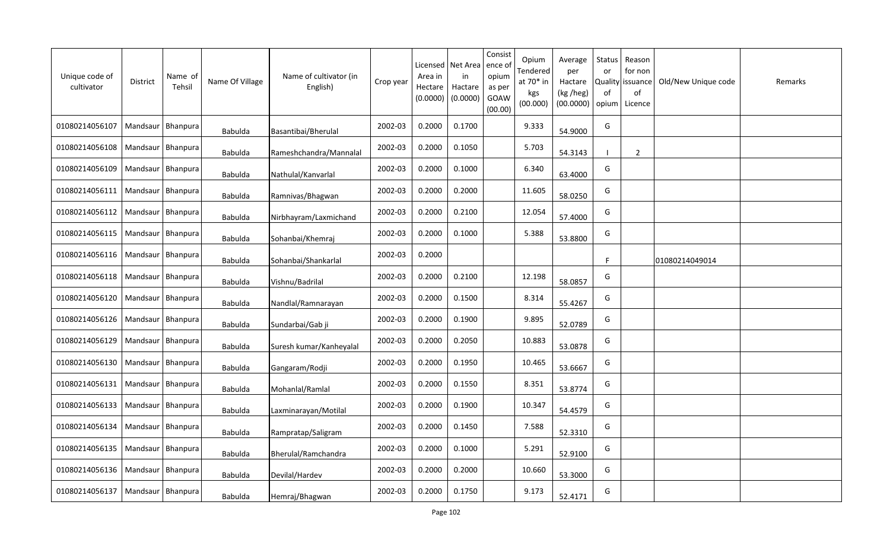| Unique code of<br>cultivator | <b>District</b>     | Name of<br>Tehsil | Name Of Village | Name of cultivator (in<br>English) | Crop year | Licensed<br>Area in<br>Hectare<br>(0.0000) | Net Area<br>in<br>Hactare<br>(0.0000) | Consist<br>ence of<br>opium<br>as per<br>GOAW<br>(00.00) | Opium<br>Tendered<br>at 70* in<br>kgs<br>(00.000) | Average<br>per<br>Hactare<br>(kg /heg)<br>(00.0000) | Status<br>or<br><b>Quality</b><br>of<br>opium | Reason<br>for non<br>issuance<br>of<br>Licence | Old/New Unique code | Remarks |
|------------------------------|---------------------|-------------------|-----------------|------------------------------------|-----------|--------------------------------------------|---------------------------------------|----------------------------------------------------------|---------------------------------------------------|-----------------------------------------------------|-----------------------------------------------|------------------------------------------------|---------------------|---------|
| 01080214056107               | Mandsaur   Bhanpura |                   | <b>Babulda</b>  | Basantibai/Bherulal                | 2002-03   | 0.2000                                     | 0.1700                                |                                                          | 9.333                                             | 54.9000                                             | G                                             |                                                |                     |         |
| 01080214056108               | Mandsaur Bhanpura   |                   | Babulda         | Rameshchandra/Mannalal             | 2002-03   | 0.2000                                     | 0.1050                                |                                                          | 5.703                                             | 54.3143                                             | $\blacksquare$                                | $\overline{2}$                                 |                     |         |
| 01080214056109               | Mandsaur   Bhanpura |                   | <b>Babulda</b>  | Nathulal/Kanvarlal                 | 2002-03   | 0.2000                                     | 0.1000                                |                                                          | 6.340                                             | 63.4000                                             | G                                             |                                                |                     |         |
| 01080214056111               | Mandsaur   Bhanpura |                   | Babulda         | Ramnivas/Bhagwan                   | 2002-03   | 0.2000                                     | 0.2000                                |                                                          | 11.605                                            | 58.0250                                             | G                                             |                                                |                     |         |
| 01080214056112               | Mandsaur   Bhanpura |                   | <b>Babulda</b>  | Nirbhayram/Laxmichand              | 2002-03   | 0.2000                                     | 0.2100                                |                                                          | 12.054                                            | 57.4000                                             | G                                             |                                                |                     |         |
| 01080214056115               | Mandsaur Bhanpura   |                   | <b>Babulda</b>  | Sohanbai/Khemraj                   | 2002-03   | 0.2000                                     | 0.1000                                |                                                          | 5.388                                             | 53.8800                                             | G                                             |                                                |                     |         |
| 01080214056116               | Mandsaur            | Bhanpura          | <b>Babulda</b>  | Sohanbai/Shankarlal                | 2002-03   | 0.2000                                     |                                       |                                                          |                                                   |                                                     | F                                             |                                                | 01080214049014      |         |
| 01080214056118               | Mandsaur   Bhanpura |                   | Babulda         | Vishnu/Badrilal                    | 2002-03   | 0.2000                                     | 0.2100                                |                                                          | 12.198                                            | 58.0857                                             | G                                             |                                                |                     |         |
| 01080214056120               | Mandsaur            | Bhanpura          | <b>Babulda</b>  | Nandlal/Ramnarayan                 | 2002-03   | 0.2000                                     | 0.1500                                |                                                          | 8.314                                             | 55.4267                                             | G                                             |                                                |                     |         |
| 01080214056126               | Mandsaur   Bhanpura |                   | Babulda         | Sundarbai/Gab ji                   | 2002-03   | 0.2000                                     | 0.1900                                |                                                          | 9.895                                             | 52.0789                                             | G                                             |                                                |                     |         |
| 01080214056129               | Mandsaur            | Bhanpura          | Babulda         | Suresh kumar/Kanheyalal            | 2002-03   | 0.2000                                     | 0.2050                                |                                                          | 10.883                                            | 53.0878                                             | G                                             |                                                |                     |         |
| 01080214056130               | Mandsaur            | Bhanpura          | Babulda         | Gangaram/Rodji                     | 2002-03   | 0.2000                                     | 0.1950                                |                                                          | 10.465                                            | 53.6667                                             | G                                             |                                                |                     |         |
| 01080214056131               | Mandsaur            | Bhanpura          | <b>Babulda</b>  | Mohanlal/Ramlal                    | 2002-03   | 0.2000                                     | 0.1550                                |                                                          | 8.351                                             | 53.8774                                             | G                                             |                                                |                     |         |
| 01080214056133               | Mandsaur            | Bhanpura          | <b>Babulda</b>  | Laxminarayan/Motilal               | 2002-03   | 0.2000                                     | 0.1900                                |                                                          | 10.347                                            | 54.4579                                             | G                                             |                                                |                     |         |
| 01080214056134               | Mandsaur            | Bhanpura          | <b>Babulda</b>  | Rampratap/Saligram                 | 2002-03   | 0.2000                                     | 0.1450                                |                                                          | 7.588                                             | 52.3310                                             | G                                             |                                                |                     |         |
| 01080214056135               | Mandsaur            | Bhanpura          | <b>Babulda</b>  | Bherulal/Ramchandra                | 2002-03   | 0.2000                                     | 0.1000                                |                                                          | 5.291                                             | 52.9100                                             | G                                             |                                                |                     |         |
| 01080214056136               | Mandsaur            | <b>Bhanpura</b>   | <b>Babulda</b>  | Devilal/Hardev                     | 2002-03   | 0.2000                                     | 0.2000                                |                                                          | 10.660                                            | 53.3000                                             | G                                             |                                                |                     |         |
| 01080214056137               | Mandsaur   Bhanpura |                   | Babulda         | Hemraj/Bhagwan                     | 2002-03   | 0.2000                                     | 0.1750                                |                                                          | 9.173                                             | 52.4171                                             | G                                             |                                                |                     |         |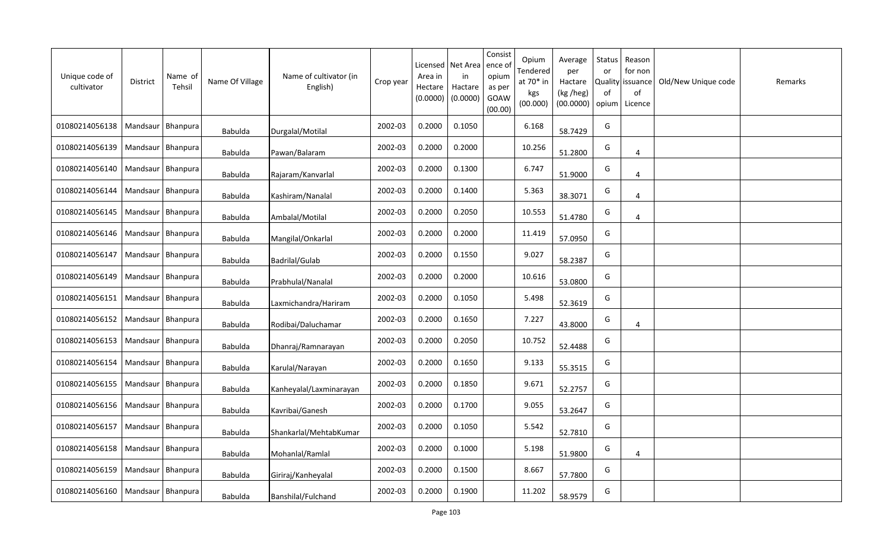| Unique code of<br>cultivator | District            | Name of<br>Tehsil   | Name Of Village | Name of cultivator (in<br>English) | Crop year | Licensed<br>Area in<br>Hectare<br>(0.0000) | Net Area<br>in<br>Hactare<br>(0.0000) | Consist<br>ence of<br>opium<br>as per<br>GOAW<br>(00.00) | Opium<br>Tendered<br>at 70* in<br>kgs<br>(00.000) | Average<br>per<br>Hactare<br>(kg /heg)<br>(00.0000) | Status<br>or<br>0f<br>opium | Reason<br>for non<br>Quality issuance<br>of<br>Licence | Old/New Unique code | Remarks |
|------------------------------|---------------------|---------------------|-----------------|------------------------------------|-----------|--------------------------------------------|---------------------------------------|----------------------------------------------------------|---------------------------------------------------|-----------------------------------------------------|-----------------------------|--------------------------------------------------------|---------------------|---------|
| 01080214056138               |                     | Mandsaur   Bhanpura | Babulda         | Durgalal/Motilal                   | 2002-03   | 0.2000                                     | 0.1050                                |                                                          | 6.168                                             | 58.7429                                             | G                           |                                                        |                     |         |
| 01080214056139               |                     | Mandsaur   Bhanpura | Babulda         | Pawan/Balaram                      | 2002-03   | 0.2000                                     | 0.2000                                |                                                          | 10.256                                            | 51.2800                                             | G                           | 4                                                      |                     |         |
| 01080214056140               |                     | Mandsaur   Bhanpura | Babulda         | Rajaram/Kanvarlal                  | 2002-03   | 0.2000                                     | 0.1300                                |                                                          | 6.747                                             | 51.9000                                             | G                           | 4                                                      |                     |         |
| 01080214056144               | Mandsaur   Bhanpura |                     | <b>Babulda</b>  | Kashiram/Nanalal                   | 2002-03   | 0.2000                                     | 0.1400                                |                                                          | 5.363                                             | 38.3071                                             | G                           | $\overline{4}$                                         |                     |         |
| 01080214056145               |                     | Mandsaur   Bhanpura | Babulda         | Ambalal/Motilal                    | 2002-03   | 0.2000                                     | 0.2050                                |                                                          | 10.553                                            | 51.4780                                             | G                           | $\overline{4}$                                         |                     |         |
| 01080214056146               | Mandsaur Bhanpura   |                     | Babulda         | Mangilal/Onkarlal                  | 2002-03   | 0.2000                                     | 0.2000                                |                                                          | 11.419                                            | 57.0950                                             | G                           |                                                        |                     |         |
| 01080214056147               | Mandsaur   Bhanpura |                     | <b>Babulda</b>  | Badrilal/Gulab                     | 2002-03   | 0.2000                                     | 0.1550                                |                                                          | 9.027                                             | 58.2387                                             | G                           |                                                        |                     |         |
| 01080214056149               | Mandsaur   Bhanpura |                     | <b>Babulda</b>  | Prabhulal/Nanalal                  | 2002-03   | 0.2000                                     | 0.2000                                |                                                          | 10.616                                            | 53.0800                                             | G                           |                                                        |                     |         |
| 01080214056151               | Mandsaur   Bhanpura |                     | <b>Babulda</b>  | Laxmichandra/Hariram               | 2002-03   | 0.2000                                     | 0.1050                                |                                                          | 5.498                                             | 52.3619                                             | G                           |                                                        |                     |         |
| 01080214056152               | Mandsaur   Bhanpura |                     | Babulda         | Rodibai/Daluchamar                 | 2002-03   | 0.2000                                     | 0.1650                                |                                                          | 7.227                                             | 43.8000                                             | G                           | 4                                                      |                     |         |
| 01080214056153               | Mandsaur            | Bhanpura            | Babulda         | Dhanraj/Ramnarayan                 | 2002-03   | 0.2000                                     | 0.2050                                |                                                          | 10.752                                            | 52.4488                                             | G                           |                                                        |                     |         |
| 01080214056154               | Mandsaur   Bhanpura |                     | Babulda         | Karulal/Narayan                    | 2002-03   | 0.2000                                     | 0.1650                                |                                                          | 9.133                                             | 55.3515                                             | G                           |                                                        |                     |         |
| 01080214056155               | Mandsaur            | Bhanpura            | Babulda         | Kanheyalal/Laxminarayan            | 2002-03   | 0.2000                                     | 0.1850                                |                                                          | 9.671                                             | 52.2757                                             | G                           |                                                        |                     |         |
| 01080214056156               | Mandsaur   Bhanpura |                     | Babulda         | Kavribai/Ganesh                    | 2002-03   | 0.2000                                     | 0.1700                                |                                                          | 9.055                                             | 53.2647                                             | G                           |                                                        |                     |         |
| 01080214056157               | Mandsaur   Bhanpura |                     | <b>Babulda</b>  | Shankarlal/MehtabKumar             | 2002-03   | 0.2000                                     | 0.1050                                |                                                          | 5.542                                             | 52.7810                                             | G                           |                                                        |                     |         |
| 01080214056158               | Mandsaur   Bhanpura |                     | Babulda         | Mohanlal/Ramlal                    | 2002-03   | 0.2000                                     | 0.1000                                |                                                          | 5.198                                             | 51.9800                                             | G                           | 4                                                      |                     |         |
| 01080214056159               | Mandsaur   Bhanpura |                     | <b>Babulda</b>  | Giriraj/Kanheyalal                 | 2002-03   | 0.2000                                     | 0.1500                                |                                                          | 8.667                                             | 57.7800                                             | G                           |                                                        |                     |         |
| 01080214056160               | Mandsaur   Bhanpura |                     | Babulda         | Banshilal/Fulchand                 | 2002-03   | 0.2000                                     | 0.1900                                |                                                          | 11.202                                            | 58.9579                                             | G                           |                                                        |                     |         |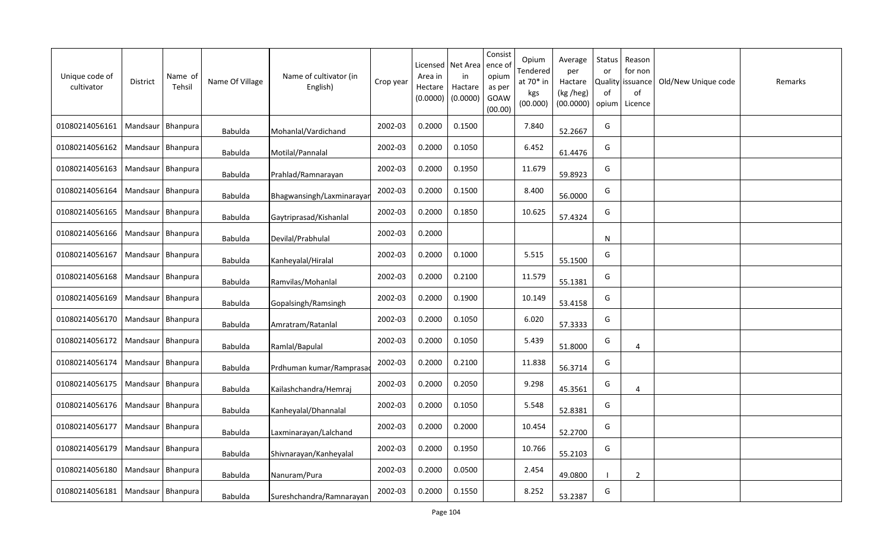| Unique code of<br>cultivator | <b>District</b>     | Name of<br>Tehsil | Name Of Village | Name of cultivator (in<br>English) | Crop year | Licensed<br>Area in<br>Hectare<br>(0.0000) | Net Area<br>in<br>Hactare<br>(0.0000) | Consist<br>ence of<br>opium<br>as per<br>GOAW<br>(00.00) | Opium<br>Tendered<br>at 70* in<br>kgs<br>(00.000) | Average<br>per<br>Hactare<br>(kg /heg)<br>(00.0000) | Status<br>or<br><b>Quality</b><br>of<br>opium | Reason<br>for non<br>issuance<br>of<br>Licence | Old/New Unique code | Remarks |
|------------------------------|---------------------|-------------------|-----------------|------------------------------------|-----------|--------------------------------------------|---------------------------------------|----------------------------------------------------------|---------------------------------------------------|-----------------------------------------------------|-----------------------------------------------|------------------------------------------------|---------------------|---------|
| 01080214056161               | Mandsaur   Bhanpura |                   | <b>Babulda</b>  | Mohanlal/Vardichand                | 2002-03   | 0.2000                                     | 0.1500                                |                                                          | 7.840                                             | 52.2667                                             | G                                             |                                                |                     |         |
| 01080214056162               | Mandsaur   Bhanpura |                   | Babulda         | Motilal/Pannalal                   | 2002-03   | 0.2000                                     | 0.1050                                |                                                          | 6.452                                             | 61.4476                                             | G                                             |                                                |                     |         |
| 01080214056163               | Mandsaur   Bhanpura |                   | <b>Babulda</b>  | Prahlad/Ramnarayan                 | 2002-03   | 0.2000                                     | 0.1950                                |                                                          | 11.679                                            | 59.8923                                             | G                                             |                                                |                     |         |
| 01080214056164               | Mandsaur   Bhanpura |                   | Babulda         | Bhagwansingh/Laxminarayar          | 2002-03   | 0.2000                                     | 0.1500                                |                                                          | 8.400                                             | 56.0000                                             | G                                             |                                                |                     |         |
| 01080214056165               | Mandsaur   Bhanpura |                   | <b>Babulda</b>  | Gaytriprasad/Kishanlal             | 2002-03   | 0.2000                                     | 0.1850                                |                                                          | 10.625                                            | 57.4324                                             | G                                             |                                                |                     |         |
| 01080214056166               | Mandsaur Bhanpura   |                   | <b>Babulda</b>  | Devilal/Prabhulal                  | 2002-03   | 0.2000                                     |                                       |                                                          |                                                   |                                                     | N                                             |                                                |                     |         |
| 01080214056167               | Mandsaur            | Bhanpura          | <b>Babulda</b>  | Kanheyalal/Hiralal                 | 2002-03   | 0.2000                                     | 0.1000                                |                                                          | 5.515                                             | 55.1500                                             | G                                             |                                                |                     |         |
| 01080214056168               | Mandsaur   Bhanpura |                   | Babulda         | Ramvilas/Mohanlal                  | 2002-03   | 0.2000                                     | 0.2100                                |                                                          | 11.579                                            | 55.1381                                             | G                                             |                                                |                     |         |
| 01080214056169               | Mandsaur            | Bhanpura          | <b>Babulda</b>  | Gopalsingh/Ramsingh                | 2002-03   | 0.2000                                     | 0.1900                                |                                                          | 10.149                                            | 53.4158                                             | G                                             |                                                |                     |         |
| 01080214056170               | Mandsaur   Bhanpura |                   | <b>Babulda</b>  | Amratram/Ratanlal                  | 2002-03   | 0.2000                                     | 0.1050                                |                                                          | 6.020                                             | 57.3333                                             | G                                             |                                                |                     |         |
| 01080214056172               | Mandsaur            | Bhanpura          | <b>Babulda</b>  | Ramlal/Bapulal                     | 2002-03   | 0.2000                                     | 0.1050                                |                                                          | 5.439                                             | 51.8000                                             | G                                             | $\overline{4}$                                 |                     |         |
| 01080214056174               | Mandsaur            | Bhanpura          | Babulda         | Prdhuman kumar/Ramprasa            | 2002-03   | 0.2000                                     | 0.2100                                |                                                          | 11.838                                            | 56.3714                                             | G                                             |                                                |                     |         |
| 01080214056175               | Mandsaur            | Bhanpura          | <b>Babulda</b>  | Kailashchandra/Hemraj              | 2002-03   | 0.2000                                     | 0.2050                                |                                                          | 9.298                                             | 45.3561                                             | G                                             | 4                                              |                     |         |
| 01080214056176               | Mandsaur            | Bhanpura          | Babulda         | Kanheyalal/Dhannalal               | 2002-03   | 0.2000                                     | 0.1050                                |                                                          | 5.548                                             | 52.8381                                             | G                                             |                                                |                     |         |
| 01080214056177               | Mandsaur            | Bhanpura          | Babulda         | Laxminarayan/Lalchand              | 2002-03   | 0.2000                                     | 0.2000                                |                                                          | 10.454                                            | 52.2700                                             | G                                             |                                                |                     |         |
| 01080214056179               | Mandsaur            | Bhanpura          | <b>Babulda</b>  | Shivnarayan/Kanheyalal             | 2002-03   | 0.2000                                     | 0.1950                                |                                                          | 10.766                                            | 55.2103                                             | G                                             |                                                |                     |         |
| 01080214056180               | Mandsaur            | Bhanpura          | <b>Babulda</b>  | Nanuram/Pura                       | 2002-03   | 0.2000                                     | 0.0500                                |                                                          | 2.454                                             | 49.0800                                             | - 1                                           | 2                                              |                     |         |
| 01080214056181               | Mandsaur   Bhanpura |                   | Babulda         | Sureshchandra/Ramnarayan           | 2002-03   | 0.2000                                     | 0.1550                                |                                                          | 8.252                                             | 53.2387                                             | G                                             |                                                |                     |         |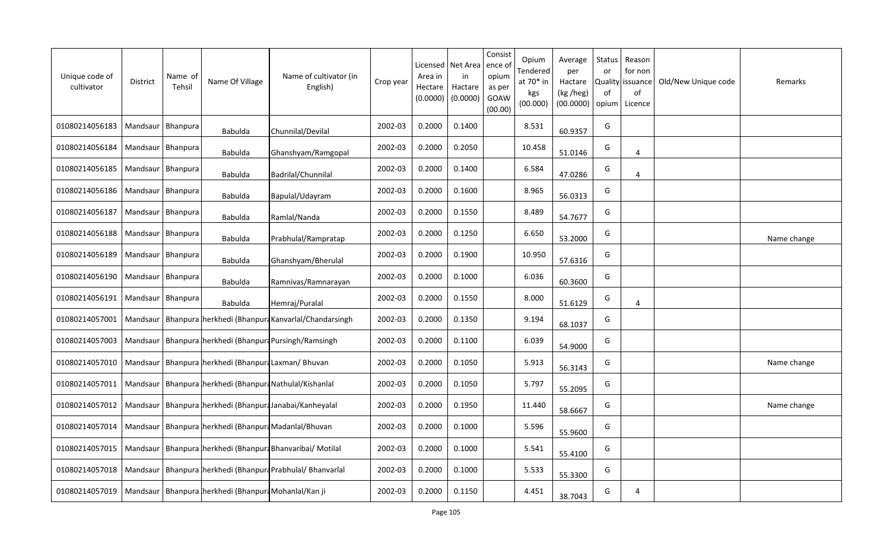| Unique code of<br>cultivator                                              | <b>District</b>     | Name of<br>Tehsil | Name Of Village                                       | Name of cultivator (in<br>English)                                              | Crop year | Area in<br>Hectare<br>(0.0000) | Licensed   Net Area<br>in<br>Hactare<br>(0.0000) | Consist<br>ence o<br>opium<br>as per<br>GOAW<br>(00.00) | Opium<br>Tendered<br>at 70* in<br>kgs<br>(00.000) | Average<br>per<br>Hactare<br>(kg /heg)<br>(00.0000) | <b>Status</b><br>or<br>0f<br>opium | Reason<br>for non<br>Quality issuance<br>of<br>Licence | Old/New Unique code | Remarks     |
|---------------------------------------------------------------------------|---------------------|-------------------|-------------------------------------------------------|---------------------------------------------------------------------------------|-----------|--------------------------------|--------------------------------------------------|---------------------------------------------------------|---------------------------------------------------|-----------------------------------------------------|------------------------------------|--------------------------------------------------------|---------------------|-------------|
| 01080214056183                                                            | Mandsaur   Bhanpura |                   | Babulda                                               | Chunnilal/Devilal                                                               | 2002-03   | 0.2000                         | 0.1400                                           |                                                         | 8.531                                             | 60.9357                                             | G                                  |                                                        |                     |             |
| 01080214056184                                                            | Mandsaur   Bhanpura |                   | Babulda                                               | Ghanshyam/Ramgopal                                                              | 2002-03   | 0.2000                         | 0.2050                                           |                                                         | 10.458                                            | 51.0146                                             | G                                  | 4                                                      |                     |             |
| 01080214056185                                                            | Mandsaur   Bhanpura |                   | Babulda                                               | Badrilal/Chunnilal                                                              | 2002-03   | 0.2000                         | 0.1400                                           |                                                         | 6.584                                             | 47.0286                                             | G                                  | $\overline{4}$                                         |                     |             |
| 01080214056186                                                            | Mandsaur   Bhanpura |                   | Babulda                                               | Bapulal/Udayram                                                                 | 2002-03   | 0.2000                         | 0.1600                                           |                                                         | 8.965                                             | 56.0313                                             | G                                  |                                                        |                     |             |
| 01080214056187                                                            | Mandsaur   Bhanpura |                   | Babulda                                               | Ramlal/Nanda                                                                    | 2002-03   | 0.2000                         | 0.1550                                           |                                                         | 8.489                                             | 54.7677                                             | G                                  |                                                        |                     |             |
| 01080214056188                                                            | Mandsaur   Bhanpura |                   | <b>Babulda</b>                                        | Prabhulal/Rampratap                                                             | 2002-03   | 0.2000                         | 0.1250                                           |                                                         | 6.650                                             | 53.2000                                             | G                                  |                                                        |                     | Name change |
| 01080214056189                                                            | Mandsaur   Bhanpura |                   | Babulda                                               | Ghanshyam/Bherulal                                                              | 2002-03   | 0.2000                         | 0.1900                                           |                                                         | 10.950                                            | 57.6316                                             | G                                  |                                                        |                     |             |
| 01080214056190                                                            | Mandsaur   Bhanpura |                   | <b>Babulda</b>                                        | Ramnivas/Ramnarayan                                                             | 2002-03   | 0.2000                         | 0.1000                                           |                                                         | 6.036                                             | 60.3600                                             | G                                  |                                                        |                     |             |
| 01080214056191                                                            | Mandsaur   Bhanpura |                   | <b>Babulda</b>                                        | Hemraj/Puralal                                                                  | 2002-03   | 0.2000                         | 0.1550                                           |                                                         | 8.000                                             | 51.6129                                             | G                                  | 4                                                      |                     |             |
| 01080214057001                                                            |                     |                   |                                                       | Mandsaur   Bhanpura   herkhedi (Bhanpura Kanvarlal/Chandarsingh                 | 2002-03   | 0.2000                         | 0.1350                                           |                                                         | 9.194                                             | 68.1037                                             | G                                  |                                                        |                     |             |
| 01080214057003                                                            |                     |                   |                                                       | Mandsaur   Bhanpura   herkhedi (Bhanpura Pursingh/Ramsingh                      | 2002-03   | 0.2000                         | 0.1100                                           |                                                         | 6.039                                             | 54.9000                                             | G                                  |                                                        |                     |             |
| 01080214057010                                                            |                     |                   | Mandsaur   Bhanpura herkhedi (Bhanpura Laxman/ Bhuvan |                                                                                 | 2002-03   | 0.2000                         | 0.1050                                           |                                                         | 5.913                                             | 56.3143                                             | G                                  |                                                        |                     | Name change |
| 01080214057011                                                            |                     |                   |                                                       | Mandsaur   Bhanpura   herkhedi (Bhanpura Nathulal/Kishanlal                     | 2002-03   | 0.2000                         | 0.1050                                           |                                                         | 5.797                                             | 55.2095                                             | G                                  |                                                        |                     |             |
|                                                                           |                     |                   |                                                       | 01080214057012   Mandsaur   Bhanpura   herkhedi (Bhanpura Janabai/Kanheyalal    | 2002-03   | 0.2000                         | 0.1950                                           |                                                         | 11.440                                            | 58.6667                                             | G                                  |                                                        |                     | Name change |
| 01080214057014                                                            |                     |                   |                                                       | Mandsaur   Bhanpura   herkhedi (Bhanpura Madanlal/Bhuvan                        | 2002-03   | 0.2000                         | 0.1000                                           |                                                         | 5.596                                             | 55.9600                                             | G                                  |                                                        |                     |             |
| 01080214057015                                                            |                     |                   |                                                       | Mandsaur   Bhanpura   herkhedi (Bhanpura Bhanvaribai/ Motilal                   | 2002-03   | 0.2000                         | 0.1000                                           |                                                         | 5.541                                             | 55.4100                                             | G                                  |                                                        |                     |             |
|                                                                           |                     |                   |                                                       | 01080214057018   Mandsaur   Bhanpura   herkhedi (Bhanpura Prabhulal/ Bhanvarlal | 2002-03   | 0.2000                         | 0.1000                                           |                                                         | 5.533                                             | 55.3300                                             | G                                  |                                                        |                     |             |
| 01080214057019   Mandsaur   Bhanpura   herkhedi (Bhanpura Mohanlal/Kan ji |                     |                   |                                                       |                                                                                 | 2002-03   | 0.2000                         | 0.1150                                           |                                                         | 4.451                                             | 38.7043                                             | G                                  | 4                                                      |                     |             |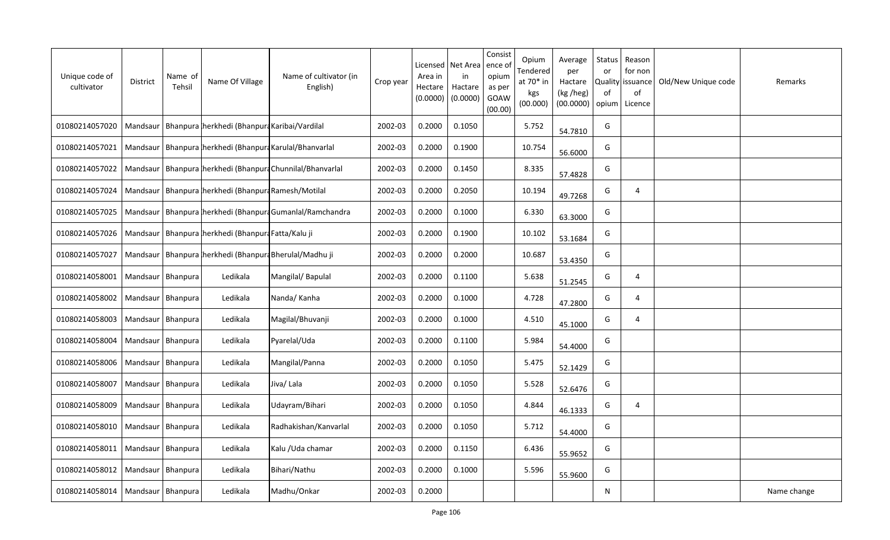| Unique code of<br>cultivator         | <b>District</b>     | Name of<br>Tehsil | Name Of Village                                             | Name of cultivator (in<br>English)                            | Crop year | Area in<br>Hectare<br>(0.0000) | Licensed   Net Area<br>in<br>Hactare<br>(0.0000) | Consist<br>ence o<br>opium<br>as per<br>GOAW<br>(00.00) | Opium<br>Tendered<br>at $70*$ in<br>kgs<br>(00.000) | Average<br>per<br>Hactare<br>(kg /heg)<br>(00.0000) | <b>Status</b><br>or<br>0f<br>opium | Reason<br>for non<br>Quality issuance<br>of<br>Licence | Old/New Unique code | Remarks     |
|--------------------------------------|---------------------|-------------------|-------------------------------------------------------------|---------------------------------------------------------------|-----------|--------------------------------|--------------------------------------------------|---------------------------------------------------------|-----------------------------------------------------|-----------------------------------------------------|------------------------------------|--------------------------------------------------------|---------------------|-------------|
| 01080214057020                       |                     |                   | Mandsaur   Bhanpura herkhedi (Bhanpura Karibai/Vardilal     |                                                               | 2002-03   | 0.2000                         | 0.1050                                           |                                                         | 5.752                                               | 54.7810                                             | G                                  |                                                        |                     |             |
| 01080214057021                       |                     |                   | Mandsaur   Bhanpura   herkhedi (Bhanpura Karulal/Bhanvarlal |                                                               | 2002-03   | 0.2000                         | 0.1900                                           |                                                         | 10.754                                              | 56.6000                                             | G                                  |                                                        |                     |             |
| 01080214057022                       |                     |                   |                                                             | Mandsaur   Bhanpura   herkhedi (Bhanpura Chunnilal/Bhanvarlal | 2002-03   | 0.2000                         | 0.1450                                           |                                                         | 8.335                                               | 57.4828                                             | G                                  |                                                        |                     |             |
| 01080214057024                       |                     |                   | Mandsaur   Bhanpura   herkhedi (Bhanpura Ramesh/Motilal     |                                                               | 2002-03   | 0.2000                         | 0.2050                                           |                                                         | 10.194                                              | 49.7268                                             | G                                  | 4                                                      |                     |             |
| 01080214057025                       |                     |                   |                                                             | Mandsaur   Bhanpura   herkhedi (Bhanpura Gumanlal/Ramchandra  | 2002-03   | 0.2000                         | 0.1000                                           |                                                         | 6.330                                               | 63.3000                                             | G                                  |                                                        |                     |             |
| 01080214057026                       |                     |                   | Mandsaur   Bhanpura   herkhedi (Bhanpura Fatta/Kalu ji      |                                                               | 2002-03   | 0.2000                         | 0.1900                                           |                                                         | 10.102                                              | 53.1684                                             | G                                  |                                                        |                     |             |
| 01080214057027                       | Mandsaur            |                   | Bhanpura herkhedi (Bhanpura Bherulal/Madhu ji               |                                                               | 2002-03   | 0.2000                         | 0.2000                                           |                                                         | 10.687                                              | 53.4350                                             | G                                  |                                                        |                     |             |
| 01080214058001                       | Mandsaur Bhanpura   |                   | Ledikala                                                    | Mangilal/ Bapulal                                             | 2002-03   | 0.2000                         | 0.1100                                           |                                                         | 5.638                                               | 51.2545                                             | G                                  | 4                                                      |                     |             |
| 01080214058002                       | Mandsaur   Bhanpura |                   | Ledikala                                                    | Nanda/ Kanha                                                  | 2002-03   | 0.2000                         | 0.1000                                           |                                                         | 4.728                                               | 47.2800                                             | G                                  | 4                                                      |                     |             |
| 01080214058003                       | Mandsaur   Bhanpura |                   | Ledikala                                                    | Magilal/Bhuvanji                                              | 2002-03   | 0.2000                         | 0.1000                                           |                                                         | 4.510                                               | 45.1000                                             | G                                  | 4                                                      |                     |             |
| 01080214058004                       | Mandsaur   Bhanpura |                   | Ledikala                                                    | Pyarelal/Uda                                                  | 2002-03   | 0.2000                         | 0.1100                                           |                                                         | 5.984                                               | 54.4000                                             | G                                  |                                                        |                     |             |
| 01080214058006                       | Mandsaur Bhanpura   |                   | Ledikala                                                    | Mangilal/Panna                                                | 2002-03   | 0.2000                         | 0.1050                                           |                                                         | 5.475                                               | 52.1429                                             | G                                  |                                                        |                     |             |
| 01080214058007                       | Mandsaur   Bhanpura |                   | Ledikala                                                    | Jiva/Lala                                                     | 2002-03   | 0.2000                         | 0.1050                                           |                                                         | 5.528                                               | 52.6476                                             | G                                  |                                                        |                     |             |
| 01080214058009                       | Mandsaur   Bhanpura |                   | Ledikala                                                    | Udayram/Bihari                                                | 2002-03   | 0.2000                         | 0.1050                                           |                                                         | 4.844                                               | 46.1333                                             | G                                  | 4                                                      |                     |             |
| 01080214058010                       | Mandsaur   Bhanpura |                   | Ledikala                                                    | Radhakishan/Kanvarlal                                         | 2002-03   | 0.2000                         | 0.1050                                           |                                                         | 5.712                                               | 54.4000                                             | G                                  |                                                        |                     |             |
| 01080214058011                       | Mandsaur   Bhanpura |                   | Ledikala                                                    | Kalu /Uda chamar                                              | 2002-03   | 0.2000                         | 0.1150                                           |                                                         | 6.436                                               | 55.9652                                             | G                                  |                                                        |                     |             |
| 01080214058012                       | Mandsaur   Bhanpura |                   | Ledikala                                                    | Bihari/Nathu                                                  | 2002-03   | 0.2000                         | 0.1000                                           |                                                         | 5.596                                               | 55.9600                                             | G                                  |                                                        |                     |             |
| 01080214058014   Mandsaur   Bhanpura |                     |                   | Ledikala                                                    | Madhu/Onkar                                                   | 2002-03   | 0.2000                         |                                                  |                                                         |                                                     |                                                     | N.                                 |                                                        |                     | Name change |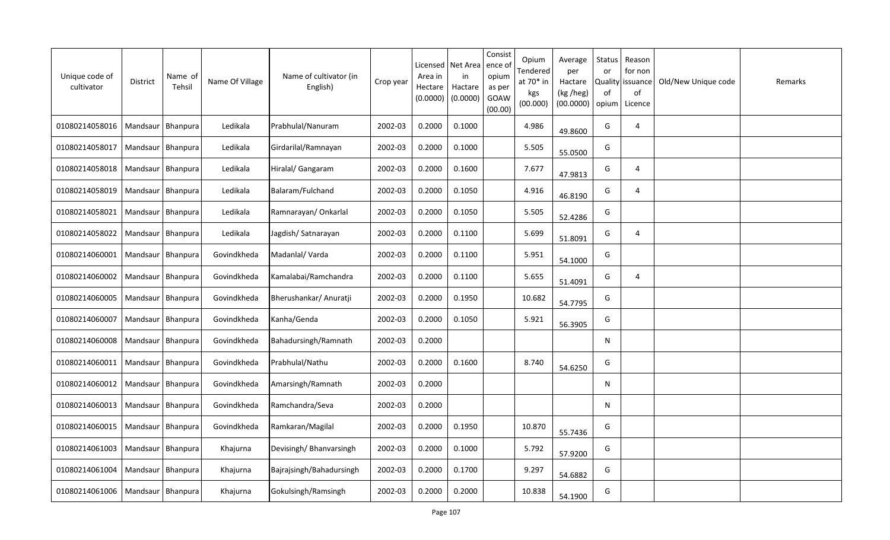| Unique code of<br>cultivator | District            | Name of<br>Tehsil   | Name Of Village | Name of cultivator (in<br>English) | Crop year | Licensed<br>Area in<br>Hectare<br>(0.0000) | Net Area<br>in<br>Hactare<br>(0.0000) | Consist<br>ence of<br>opium<br>as per<br>GOAW<br>(00.00) | Opium<br>Tendered<br>at 70* in<br>kgs<br>(00.000) | Average<br>per<br>Hactare<br>(kg /heg)<br>(00.0000) | Status<br>or<br>Quality<br>of<br>opium | Reason<br>for non<br>issuance<br>of<br>Licence | Old/New Unique code | Remarks |
|------------------------------|---------------------|---------------------|-----------------|------------------------------------|-----------|--------------------------------------------|---------------------------------------|----------------------------------------------------------|---------------------------------------------------|-----------------------------------------------------|----------------------------------------|------------------------------------------------|---------------------|---------|
| 01080214058016               | Mandsaur            | Bhanpura            | Ledikala        | Prabhulal/Nanuram                  | 2002-03   | 0.2000                                     | 0.1000                                |                                                          | 4.986                                             | 49.8600                                             | G                                      | 4                                              |                     |         |
| 01080214058017               |                     | Mandsaur   Bhanpura | Ledikala        | Girdarilal/Ramnayan                | 2002-03   | 0.2000                                     | 0.1000                                |                                                          | 5.505                                             | 55.0500                                             | G                                      |                                                |                     |         |
| 01080214058018               | Mandsaur            | Bhanpura            | Ledikala        | Hiralal/ Gangaram                  | 2002-03   | 0.2000                                     | 0.1600                                |                                                          | 7.677                                             | 47.9813                                             | G                                      | 4                                              |                     |         |
| 01080214058019               |                     | Mandsaur Bhanpura   | Ledikala        | Balaram/Fulchand                   | 2002-03   | 0.2000                                     | 0.1050                                |                                                          | 4.916                                             | 46.8190                                             | G                                      | 4                                              |                     |         |
| 01080214058021               | Mandsaur            | Bhanpura            | Ledikala        | Ramnarayan/ Onkarlal               | 2002-03   | 0.2000                                     | 0.1050                                |                                                          | 5.505                                             | 52.4286                                             | G                                      |                                                |                     |         |
| 01080214058022               | Mandsaur            | Bhanpura            | Ledikala        | Jagdish/Satnarayan                 | 2002-03   | 0.2000                                     | 0.1100                                |                                                          | 5.699                                             | 51.8091                                             | G                                      | 4                                              |                     |         |
| 01080214060001               | Mandsaur            | Bhanpura            | Govindkheda     | Madanlal/Varda                     | 2002-03   | 0.2000                                     | 0.1100                                |                                                          | 5.951                                             | 54.1000                                             | G                                      |                                                |                     |         |
| 01080214060002               | Mandsaur            | <b>Bhanpura</b>     | Govindkheda     | Kamalabai/Ramchandra               | 2002-03   | 0.2000                                     | 0.1100                                |                                                          | 5.655                                             | 51.4091                                             | G                                      | 4                                              |                     |         |
| 01080214060005               | Mandsaur            | Bhanpura            | Govindkheda     | Bherushankar/ Anuratji             | 2002-03   | 0.2000                                     | 0.1950                                |                                                          | 10.682                                            | 54.7795                                             | G                                      |                                                |                     |         |
| 01080214060007               | Mandsaur            | Bhanpura            | Govindkheda     | Kanha/Genda                        | 2002-03   | 0.2000                                     | 0.1050                                |                                                          | 5.921                                             | 56.3905                                             | G                                      |                                                |                     |         |
| 01080214060008               | Mandsaur            | Bhanpura            | Govindkheda     | Bahadursingh/Ramnath               | 2002-03   | 0.2000                                     |                                       |                                                          |                                                   |                                                     | N                                      |                                                |                     |         |
| 01080214060011               | Mandsaur            | Bhanpura            | Govindkheda     | Prabhulal/Nathu                    | 2002-03   | 0.2000                                     | 0.1600                                |                                                          | 8.740                                             | 54.6250                                             | G                                      |                                                |                     |         |
| 01080214060012               | Mandsaur            | Bhanpura            | Govindkheda     | Amarsingh/Ramnath                  | 2002-03   | 0.2000                                     |                                       |                                                          |                                                   |                                                     | N                                      |                                                |                     |         |
| 01080214060013               | Mandsaur   Bhanpura |                     | Govindkheda     | Ramchandra/Seva                    | 2002-03   | 0.2000                                     |                                       |                                                          |                                                   |                                                     | N                                      |                                                |                     |         |
| 01080214060015               | Mandsaur   Bhanpura |                     | Govindkheda     | Ramkaran/Magilal                   | 2002-03   | 0.2000                                     | 0.1950                                |                                                          | 10.870                                            | 55.7436                                             | G                                      |                                                |                     |         |
| 01080214061003               |                     | Mandsaur   Bhanpura | Khajurna        | Devisingh/Bhanvarsingh             | 2002-03   | 0.2000                                     | 0.1000                                |                                                          | 5.792                                             | 57.9200                                             | G                                      |                                                |                     |         |
| 01080214061004               |                     | Mandsaur Bhanpura   | Khajurna        | Bajrajsingh/Bahadursingh           | 2002-03   | 0.2000                                     | 0.1700                                |                                                          | 9.297                                             | 54.6882                                             | G                                      |                                                |                     |         |
| 01080214061006               | Mandsaur   Bhanpura |                     | Khajurna        | Gokulsingh/Ramsingh                | 2002-03   | 0.2000                                     | 0.2000                                |                                                          | 10.838                                            | 54.1900                                             | G                                      |                                                |                     |         |